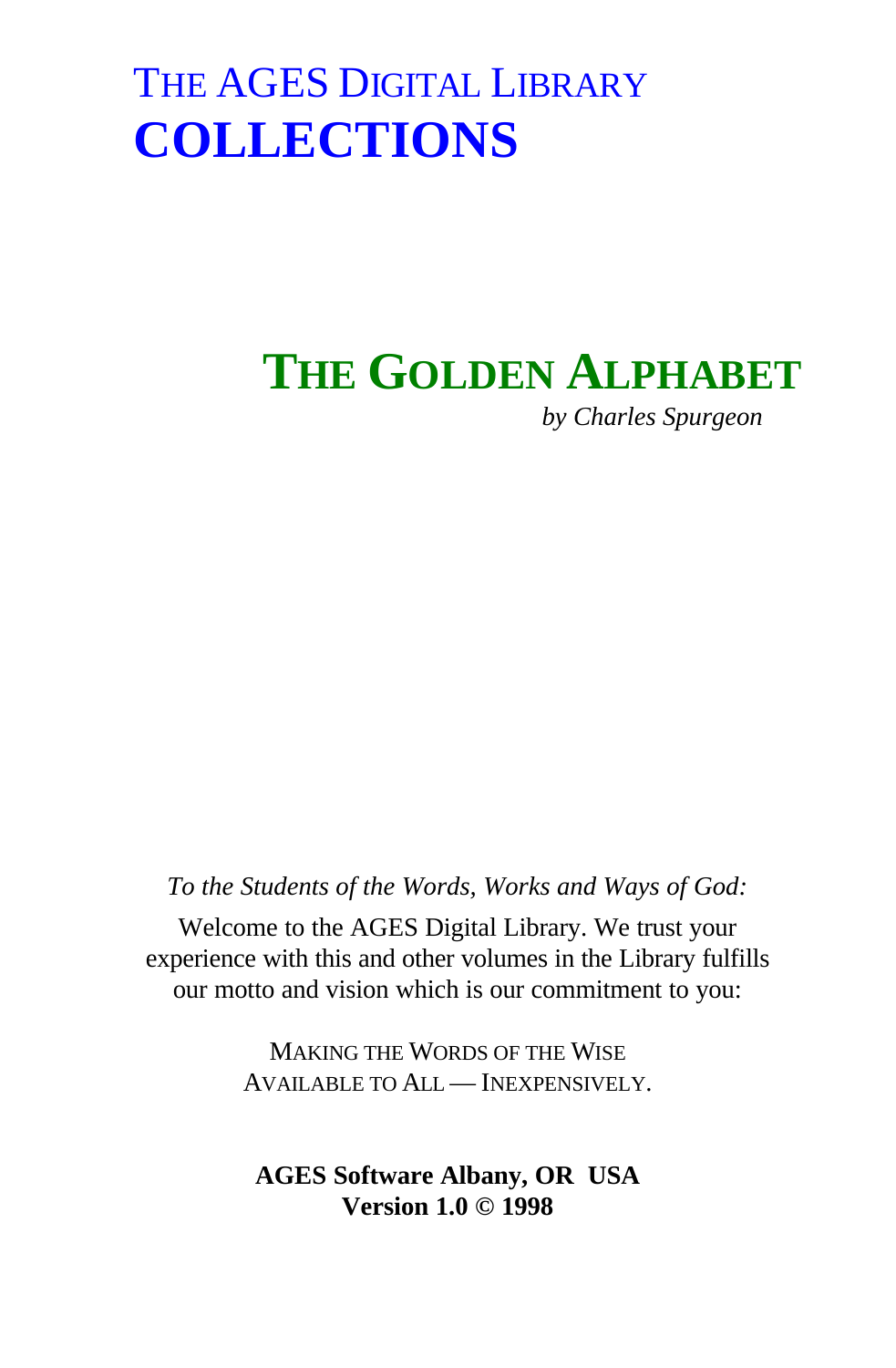### **THE GOLDEN ALPHABET**

*by Charles Spurgeon*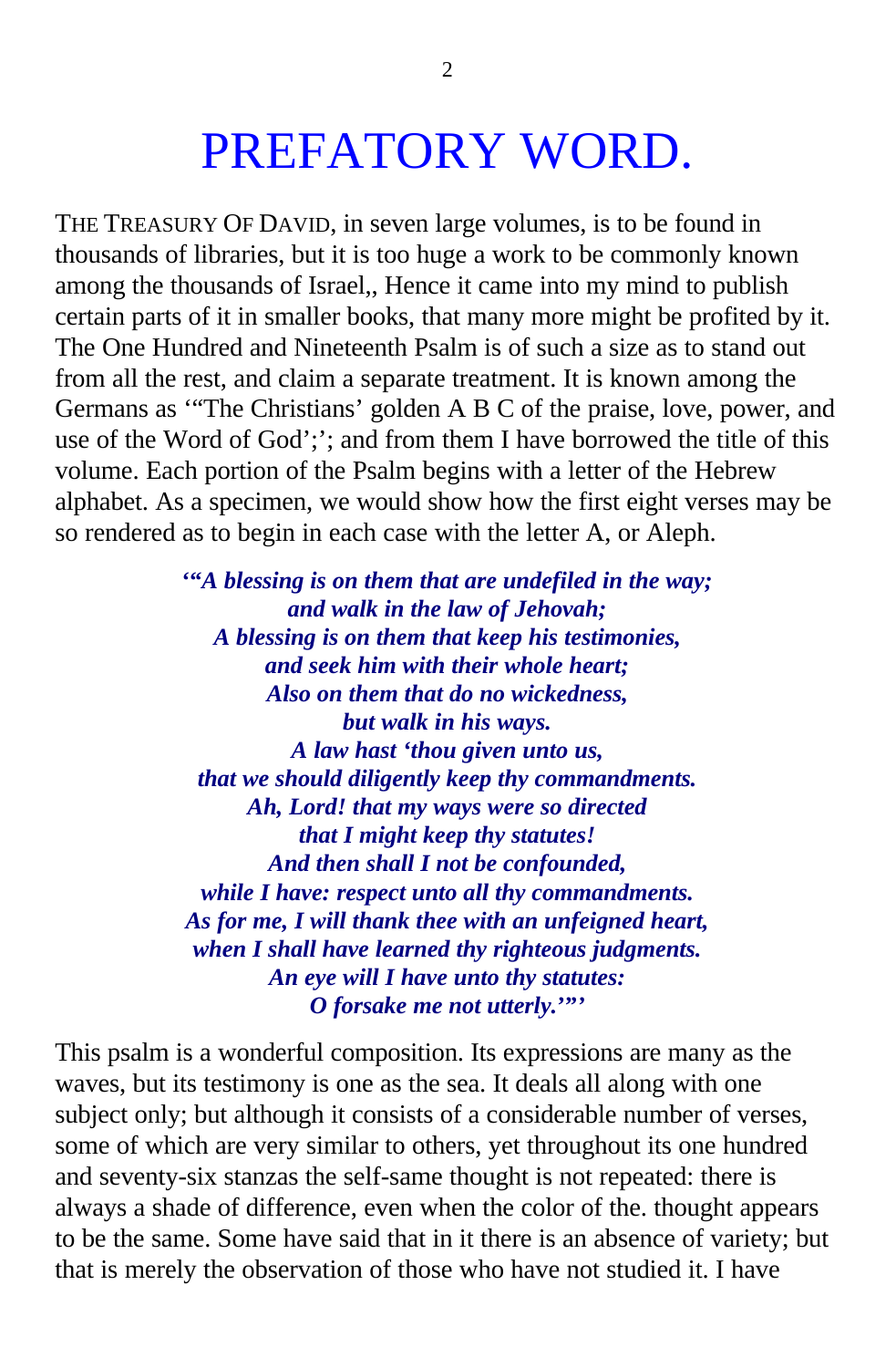### PREFATORY WORD.

THE TREASURY OF DAVID, in seven large volumes, is to be found in thousands of libraries, but it is too huge a work to be commonly known among the thousands of Israel,, Hence it came into my mind to publish certain parts of it in smaller books, that many more might be profited by it. The One Hundred and Nineteenth Psalm is of such a size as to stand out from all the rest, and claim a separate treatment. It is known among the Germans as '"The Christians' golden A B C of the praise, love, power, and use of the Word of God':': and from them I have borrowed the title of this volume. Each portion of the Psalm begins with a letter of the Hebrew alphabet. As a specimen, we would show how the first eight verses may be so rendered as to begin in each case with the letter A, or Aleph.

> **'"***A blessing is on them that are undefiled in the way; and walk in the law of Jehovah; A blessing is on them that keep his testimonies, and seek him with their whole heart; Also on them that do no wickedness, but walk in his ways. A law hast 'thou given unto us, that we should diligently keep thy commandments. Ah, Lord! that my ways were so directed that I might keep thy statutes! And then shall I not be confounded, while I have: respect unto all thy commandments. As for me, I will thank thee with an unfeigned heart, when I shall have learned thy righteous judgments. An eye will I have unto thy statutes: O forsake me not utterly.***'"***'*

This psalm is a wonderful composition. Its expressions are many as the waves, but its testimony is one as the sea. It deals all along with one subject only; but although it consists of a considerable number of verses, some of which are very similar to others, yet throughout its one hundred and seventy-six stanzas the self-same thought is not repeated: there is always a shade of difference, even when the color of the. thought appears to be the same. Some have said that in it there is an absence of variety; but that is merely the observation of those who have not studied it. I have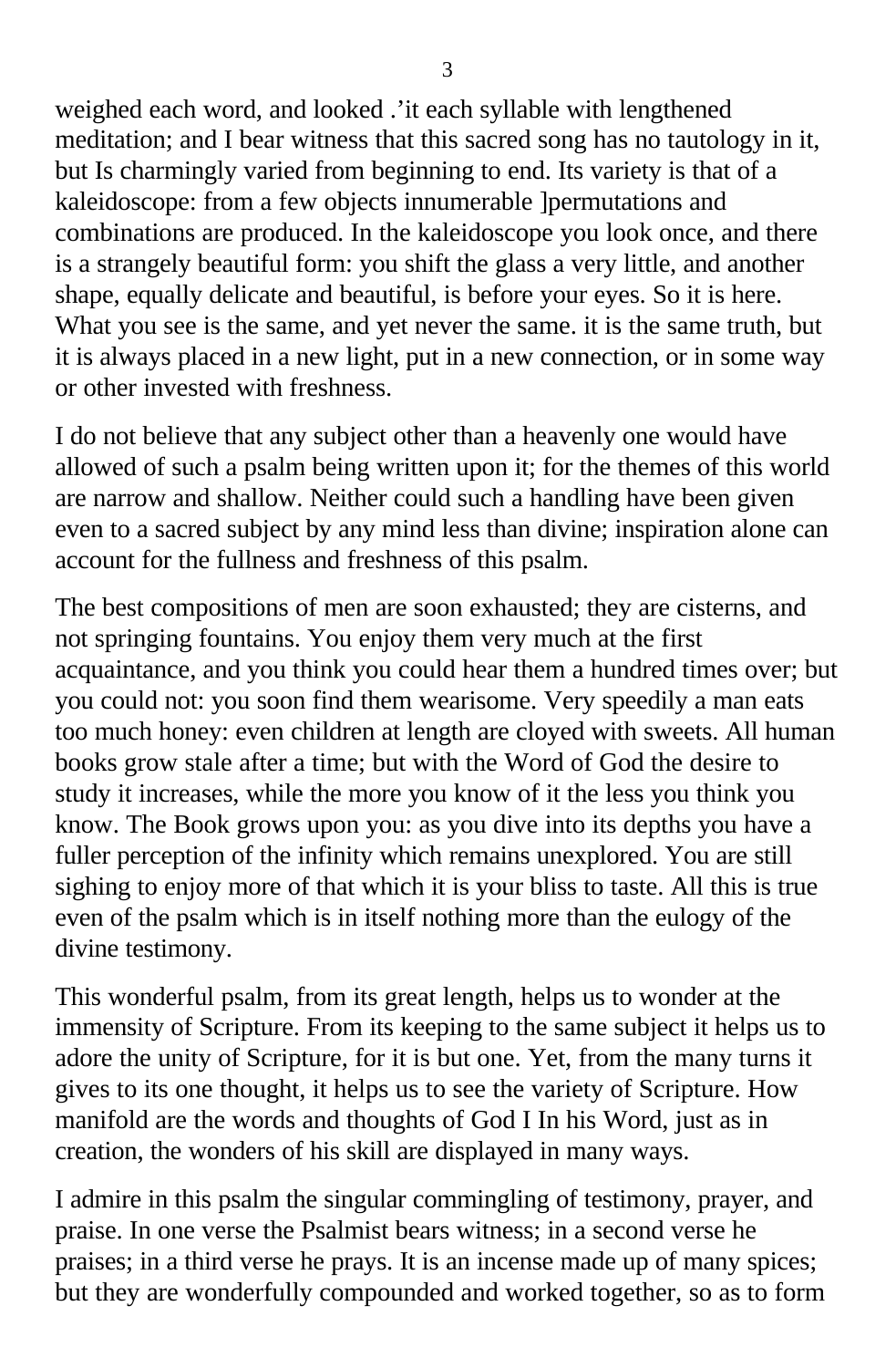weighed each word, and looked .'it each syllable with lengthened meditation; and I bear witness that this sacred song has no tautology in it, but Is charmingly varied from beginning to end. Its variety is that of a kaleidoscope: from a few objects innumerable ]permutations and combinations are produced. In the kaleidoscope you look once, and there is a strangely beautiful form: you shift the glass a very little, and another shape, equally delicate and beautiful, is before your eyes. So it is here. What you see is the same, and yet never the same. it is the same truth, but it is always placed in a new light, put in a new connection, or in some way or other invested with freshness.

I do not believe that any subject other than a heavenly one would have allowed of such a psalm being written upon it; for the themes of this world are narrow and shallow. Neither could such a handling have been given even to a sacred subject by any mind less than divine; inspiration alone can account for the fullness and freshness of this psalm.

The best compositions of men are soon exhausted; they are cisterns, and not springing fountains. You enjoy them very much at the first acquaintance, and you think you could hear them a hundred times over; but you could not: you soon find them wearisome. Very speedily a man eats too much honey: even children at length are cloyed with sweets. All human books grow stale after a time; but with the Word of God the desire to study it increases, while the more you know of it the less you think you know. The Book grows upon you: as you dive into its depths you have a fuller perception of the infinity which remains unexplored. You are still sighing to enjoy more of that which it is your bliss to taste. All this is true even of the psalm which is in itself nothing more than the eulogy of the divine testimony.

This wonderful psalm, from its great length, helps us to wonder at the immensity of Scripture. From its keeping to the same subject it helps us to adore the unity of Scripture, for it is but one. Yet, from the many turns it gives to its one thought, it helps us to see the variety of Scripture. How manifold are the words and thoughts of God I In his Word, just as in creation, the wonders of his skill are displayed in many ways.

I admire in this psalm the singular commingling of testimony, prayer, and praise. In one verse the Psalmist bears witness; in a second verse he praises; in a third verse he prays. It is an incense made up of many spices; but they are wonderfully compounded and worked together, so as to form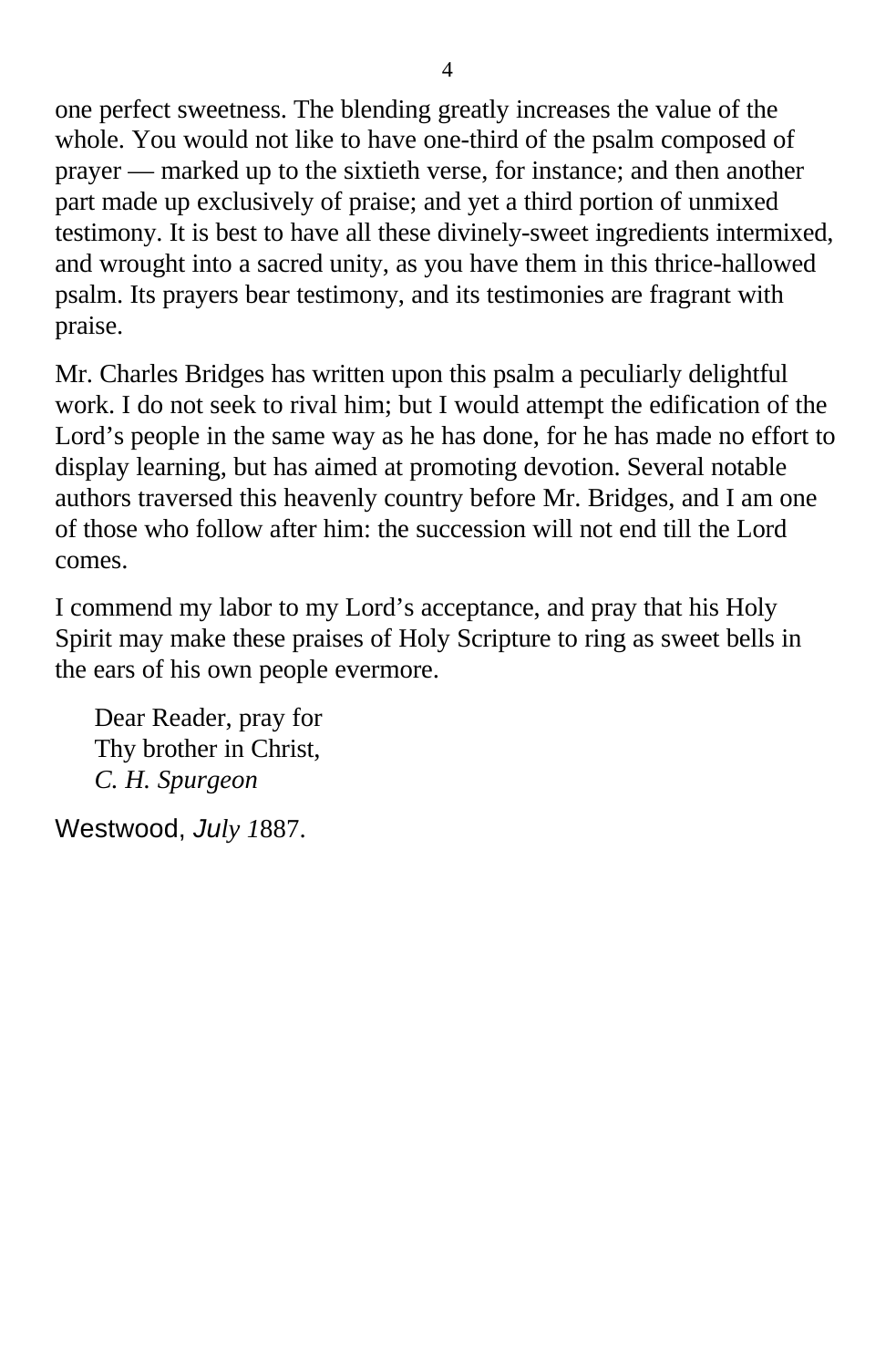one perfect sweetness. The blending greatly increases the value of the whole. You would not like to have one-third of the psalm composed of prayer — marked up to the sixtieth verse, for instance; and then another part made up exclusively of praise; and yet a third portion of unmixed testimony. It is best to have all these divinely-sweet ingredients intermixed, and wrought into a sacred unity, as you have them in this thrice-hallowed psalm. Its prayers bear testimony, and its testimonies are fragrant with praise.

Mr. Charles Bridges has written upon this psalm a peculiarly delightful work. I do not seek to rival him; but I would attempt the edification of the Lord's people in the same way as he has done, for he has made no effort to display learning, but has aimed at promoting devotion. Several notable authors traversed this heavenly country before Mr. Bridges, and I am one of those who follow after him: the succession will not end till the Lord comes.

I commend my labor to my Lord's acceptance, and pray that his Holy Spirit may make these praises of Holy Scripture to ring as sweet bells in the ears of his own people evermore.

Dear Reader, pray for Thy brother in Christ, *C. H. Spurgeon*

Westwood, *July 1*887.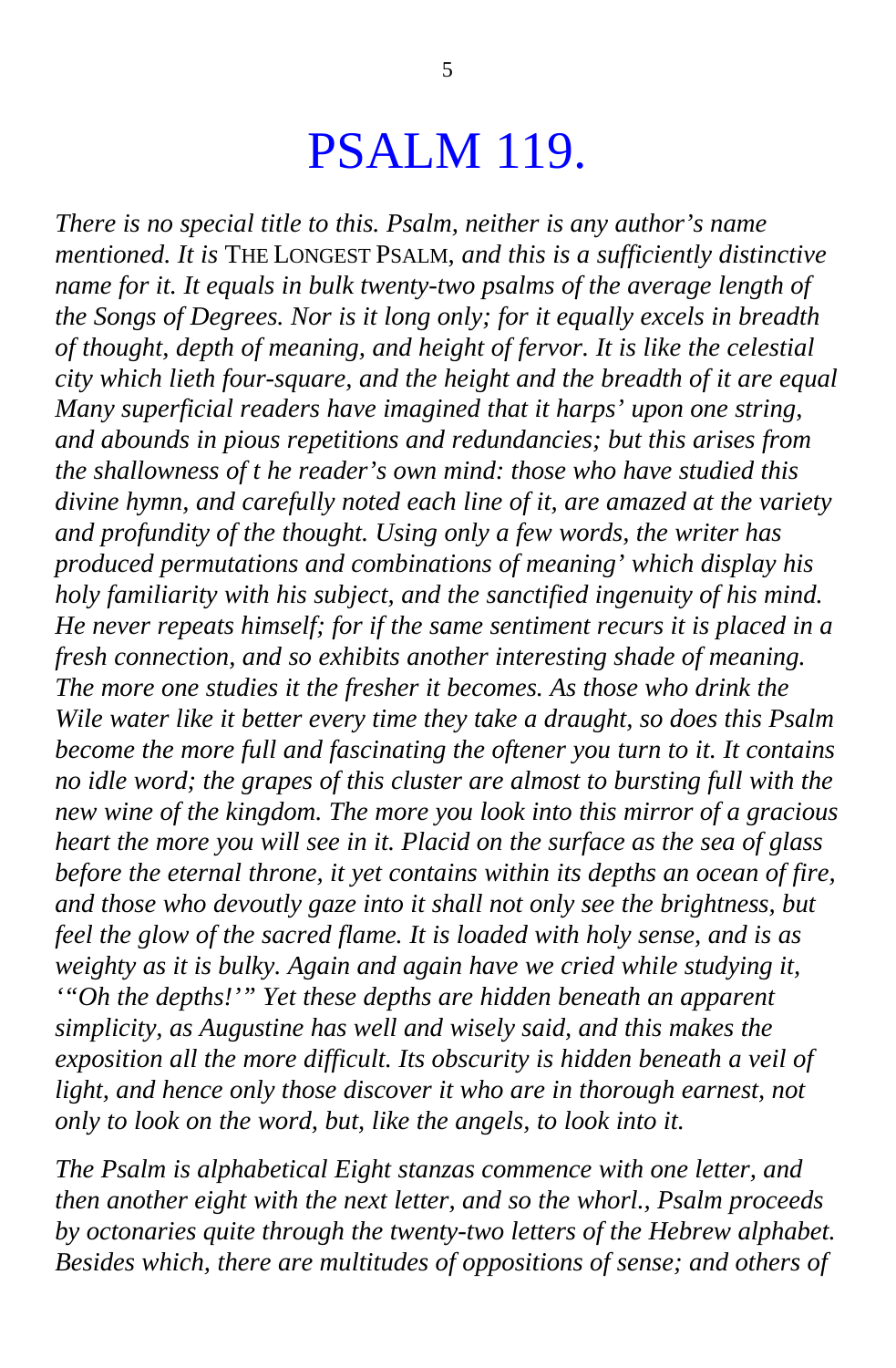### PSALM 119.

*There is no special title to this. Psalm, neither is any author's name mentioned. It is* THE LONGEST PSALM, *and this is a sufficiently distinctive name for it. It equals in bulk twenty-two psalms of the average length of the Songs of Degrees. Nor is it long only; for it equally excels in breadth of thought, depth of meaning, and height of fervor. It is like the celestial city which lieth four-square, and the height and the breadth of it are equal Many superficial readers have imagined that it harps' upon one string, and abounds in pious repetitions and redundancies; but this arises from the shallowness of t he reader's own mind: those who have studied this divine hymn, and carefully noted each line of it, are amazed at the variety and profundity of the thought. Using only a few words, the writer has produced permutations and combinations of meaning' which display his holy familiarity with his subject, and the sanctified ingenuity of his mind. He never repeats himself; for if the same sentiment recurs it is placed in a fresh connection, and so exhibits another interesting shade of meaning. The more one studies it the fresher it becomes. As those who drink the Wile water like it better every time they take a draught, so does this Psalm become the more full and fascinating the oftener you turn to it. It contains no idle word; the grapes of this cluster are almost to bursting full with the new wine of the kingdom. The more you look into this mirror of a gracious heart the more you will see in it. Placid on the surface as the sea of glass before the eternal throne, it yet contains within its depths an ocean of fire, and those who devoutly gaze into it shall not only see the brightness, but feel the glow of the sacred flame. It is loaded with holy sense, and is as weighty as it is bulky. Again and again have we cried while studying it, '"Oh the depths!'" Yet these depths are hidden beneath an apparent simplicity, as Augustine has well and wisely said, and this makes the exposition all the more difficult. Its obscurity is hidden beneath a veil of light, and hence only those discover it who are in thorough earnest, not only to look on the word, but, like the angels, to look into it.*

*The Psalm is alphabetical Eight stanzas commence with one letter, and then another eight with the next letter, and so the whorl., Psalm proceeds by octonaries quite through the twenty-two letters of the Hebrew alphabet. Besides which, there are multitudes of oppositions of sense; and others of*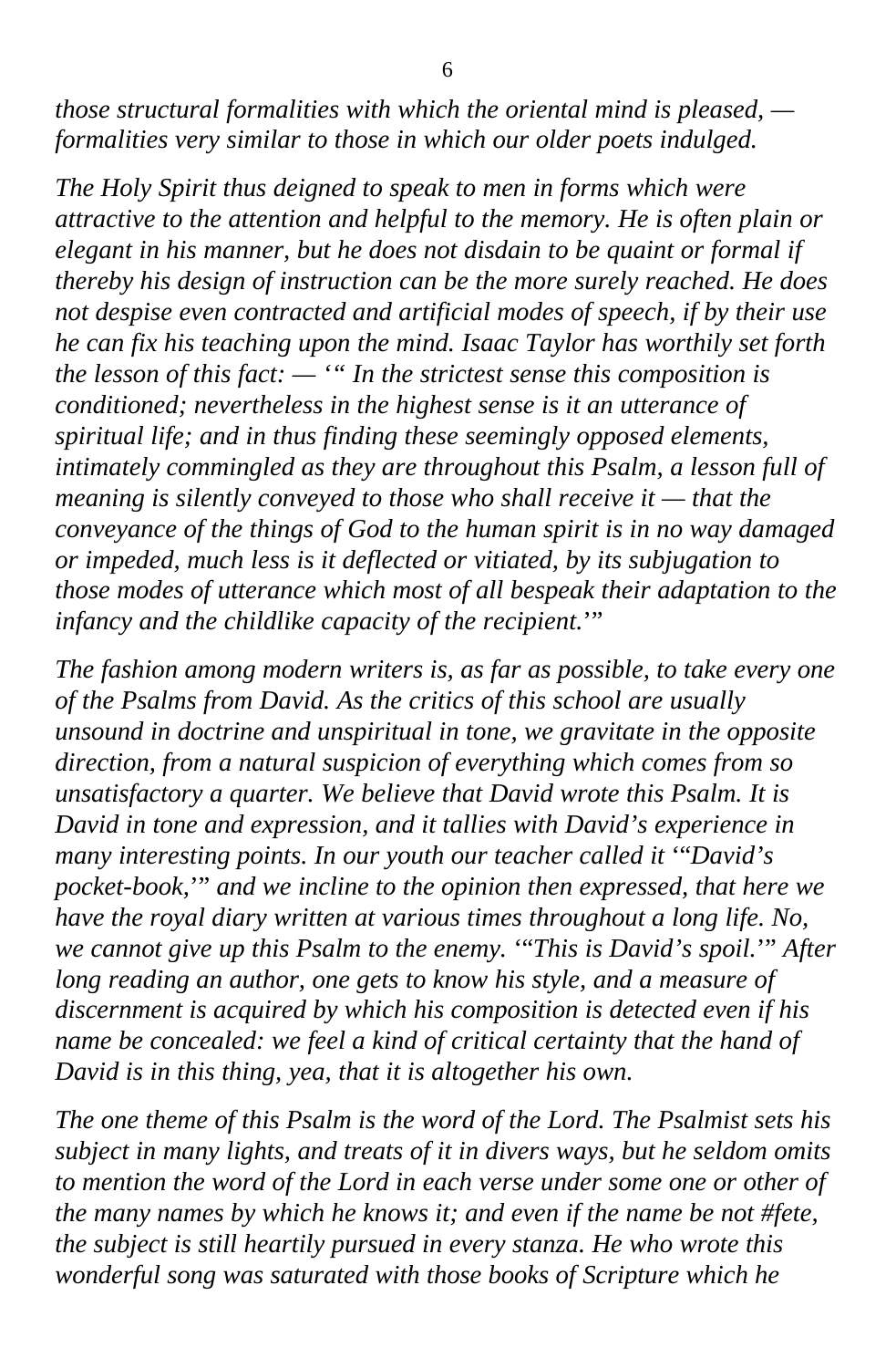*those structural formalities with which the oriental mind is pleased, formalities very similar to those in which our older poets indulged.*

*The Holy Spirit thus deigned to speak to men in forms which were attractive to the attention and helpful to the memory. He is often plain or elegant in his manner, but he does not disdain to be quaint or formal if thereby his design of instruction can be the more surely reached. He does not despise even contracted and artificial modes of speech, if by their use he can fix his teaching upon the mind. Isaac Taylor has worthily set forth the lesson of this fact: — '" In the strictest sense this composition is conditioned; nevertheless in the highest sense is it an utterance of spiritual life; and in thus finding these seemingly opposed elements, intimately commingled as they are throughout this Psalm, a lesson full of meaning is silently conveyed to those who shall receive it — that the conveyance of the things of God to the human spirit is in no way damaged or impeded, much less is it deflected or vitiated, by its subjugation to those modes of utterance which most of all bespeak their adaptation to the infancy and the childlike capacity of the recipient.*'"

*The fashion among modern writers is, as far as possible, to take every one of the Psalms from David. As the critics of this school are usually unsound in doctrine and unspiritual in tone, we gravitate in the opposite direction, from a natural suspicion of everything which comes from so unsatisfactory a quarter. We believe that David wrote this Psalm. It is David in tone and expression, and it tallies with David's experience in many interesting points. In our youth our teacher called it* '"*David's pocket-book,*'" *and we incline to the opinion then expressed, that here we have the royal diary written at various times throughout a long life. No, we cannot give up this Psalm to the enemy.* '"*This is David's spoil.*'" *After long reading an author, one gets to know his style, and a measure of discernment is acquired by which his composition is detected even if his name be concealed: we feel a kind of critical certainty that the hand of David is in this thing, yea, that it is altogether his own.*

*The one theme of this Psalm is the word of the Lord. The Psalmist sets his subject in many lights, and treats of it in divers ways, but he seldom omits to mention the word of the Lord in each verse under some one or other of the many names by which he knows it; and even if the name be not #fete, the subject is still heartily pursued in every stanza. He who wrote this wonderful song was saturated with those books of Scripture which he*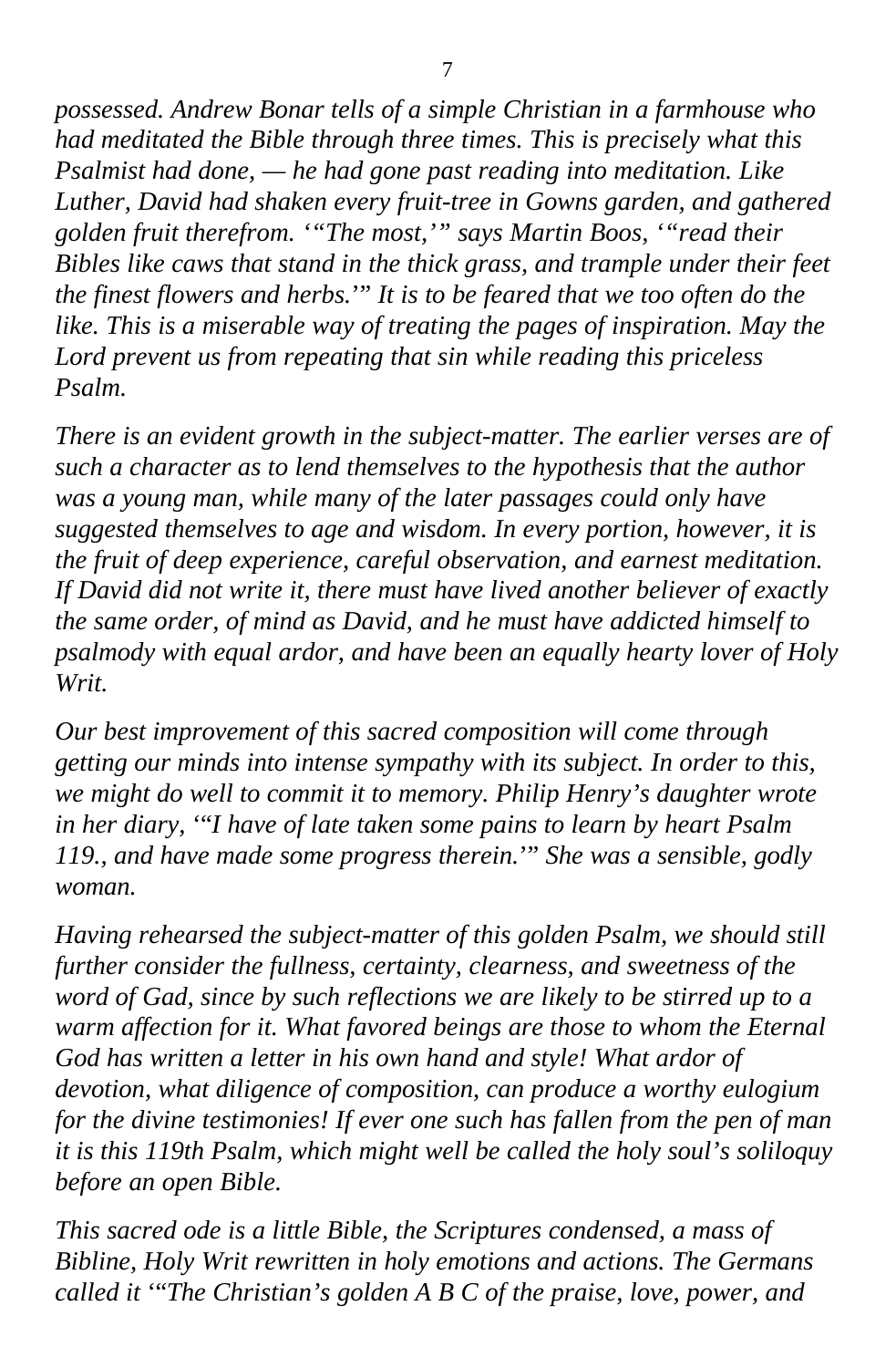*possessed. Andrew Bonar tells of a simple Christian in a farmhouse who had meditated the Bible through three times. This is precisely what this Psalmist had done, — he had gone past reading into meditation. Like Luther, David had shaken every fruit-tree in Gowns garden, and gathered golden fruit therefrom. '"The most,'" says Martin Boos, '"read their Bibles like caws that stand in the thick grass, and trample under their feet the finest flowers and herbs.*'" *It is to be feared that we too often do the like. This is a miserable way of treating the pages of inspiration. May the Lord prevent us from repeating that sin while reading this priceless Psalm.*

*There is an evident growth in the subject-matter. The earlier verses are of such a character as to lend themselves to the hypothesis that the author was a young man, while many of the later passages could only have suggested themselves to age and wisdom. In every portion, however, it is the fruit of deep experience, careful observation, and earnest meditation. If David did not write it, there must have lived another believer of exactly the same order, of mind as David, and he must have addicted himself to psalmody with equal ardor, and have been an equally hearty lover of Holy Writ.*

*Our best improvement of this sacred composition will come through getting our minds into intense sympathy with its subject. In order to this, we might do well to commit it to memory. Philip Henry's daughter wrote in her diary,* '"*I have of late taken some pains to learn by heart Psalm 119., and have made some progress therein.*'" *She was a sensible, godly woman.*

*Having rehearsed the subject-matter of this golden Psalm, we should still further consider the fullness, certainty, clearness, and sweetness of the word of Gad, since by such reflections we are likely to be stirred up to a warm affection for it. What favored beings are those to whom the Eternal God has written a letter in his own hand and style! What ardor of devotion, what diligence of composition, can produce a worthy eulogium for the divine testimonies! If ever one such has fallen from the pen of man it is this 119th Psalm, which might well be called the holy soul's soliloquy before an open Bible.*

*This sacred ode is a little Bible, the Scriptures condensed, a mass of Bibline, Holy Writ rewritten in holy emotions and actions. The Germans called it* '"*The Christian's golden A B C of the praise, love, power, and*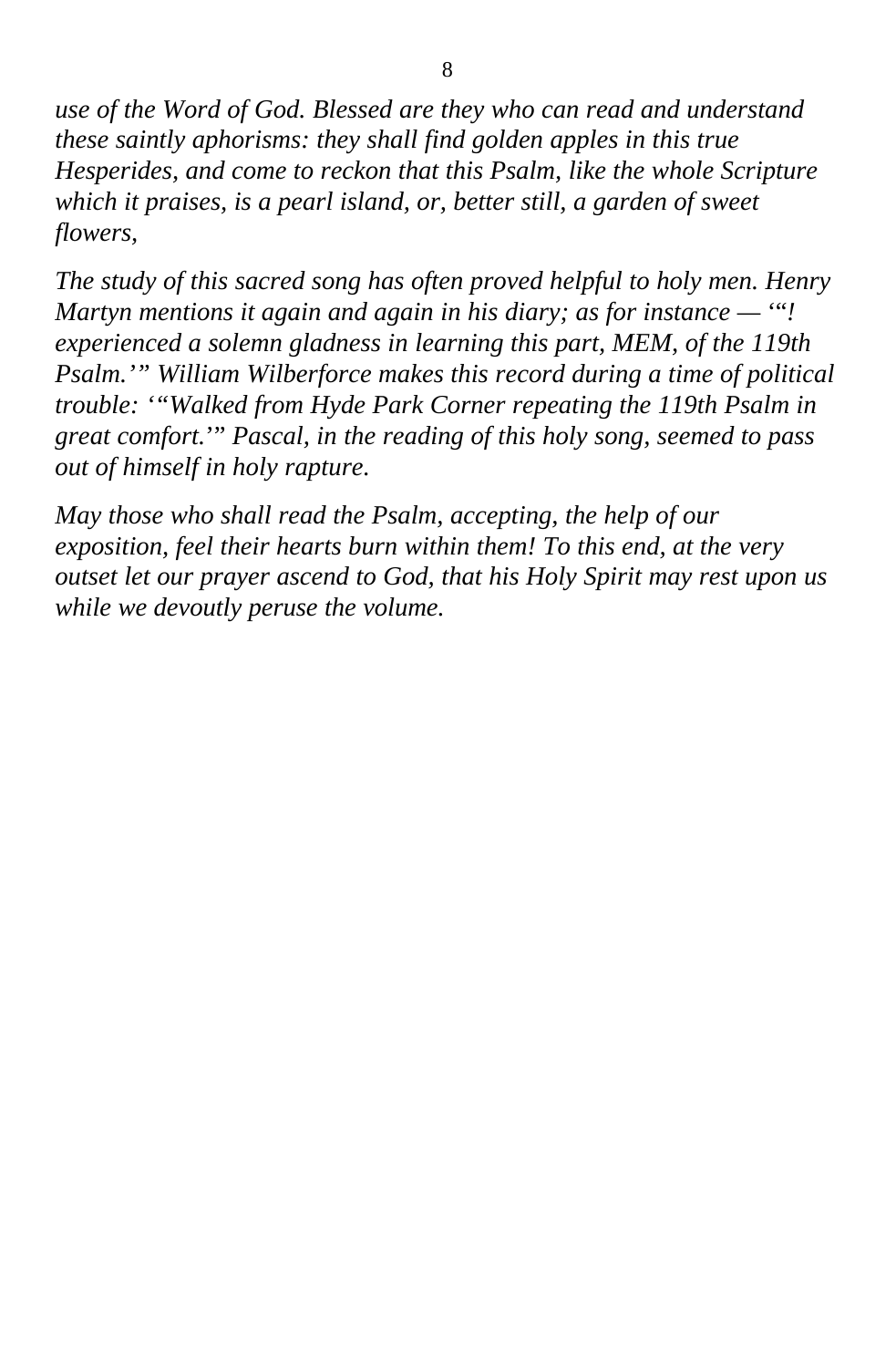*use of the Word of God. Blessed are they who can read and understand these saintly aphorisms: they shall find golden apples in this true Hesperides, and come to reckon that this Psalm, like the whole Scripture which it praises, is a pearl island, or, better still, a garden of sweet flowers,*

*The study of this sacred song has often proved helpful to holy men. Henry Martyn mentions it again and again in his diary; as for instance —* '"*! experienced a solemn gladness in learning this part, MEM, of the 119th Psalm.'" William Wilberforce makes this record during a time of political trouble: '"Walked from Hyde Park Corner repeating the 119th Psalm in great comfort.*'" *Pascal, in the reading of this holy song, seemed to pass out of himself in holy rapture.*

*May those who shall read the Psalm, accepting, the help of our exposition, feel their hearts burn within them! To this end, at the very outset let our prayer ascend to God, that his Holy Spirit may rest upon us while we devoutly peruse the volume.*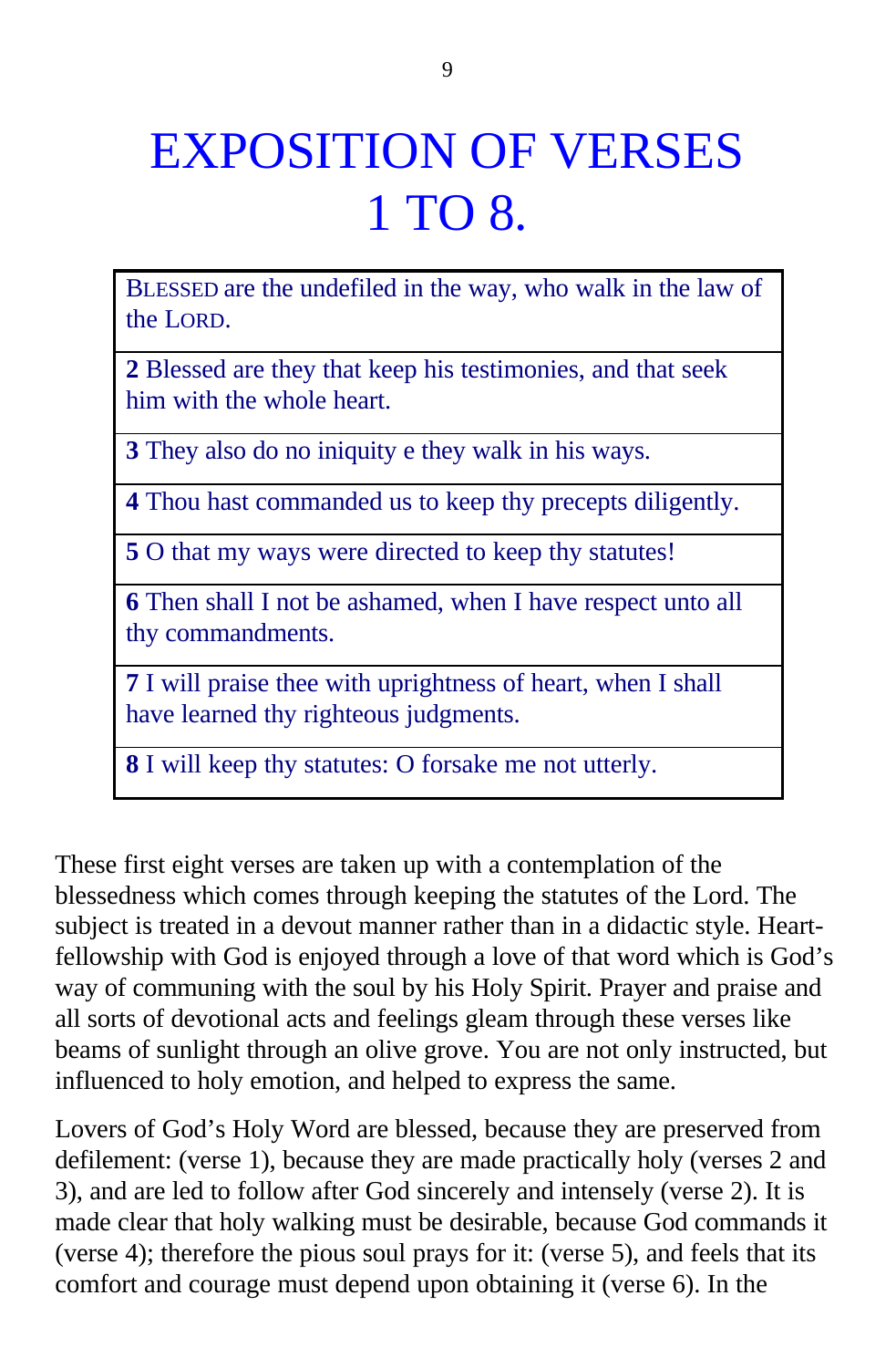# EXPOSITION OF VERSES 1 TO 8.

BLESSED are the undefiled in the way, who walk in the law of the LORD.

**2** Blessed are they that keep his testimonies, and that seek him with the whole heart.

**3** They also do no iniquity e they walk in his ways.

**4** Thou hast commanded us to keep thy precepts diligently.

**5** O that my ways were directed to keep thy statutes!

**6** Then shall I not be ashamed, when I have respect unto all thy commandments.

**7** I will praise thee with uprightness of heart, when I shall have learned thy righteous judgments.

**8** I will keep thy statutes: O forsake me not utterly.

These first eight verses are taken up with a contemplation of the blessedness which comes through keeping the statutes of the Lord. The subject is treated in a devout manner rather than in a didactic style. Heartfellowship with God is enjoyed through a love of that word which is God's way of communing with the soul by his Holy Spirit. Prayer and praise and all sorts of devotional acts and feelings gleam through these verses like beams of sunlight through an olive grove. You are not only instructed, but influenced to holy emotion, and helped to express the same.

Lovers of God's Holy Word are blessed, because they are preserved from defilement: (verse 1), because they are made practically holy (verses 2 and 3), and are led to follow after God sincerely and intensely (verse 2). It is made clear that holy walking must be desirable, because God commands it (verse 4); therefore the pious soul prays for it: (verse 5), and feels that its comfort and courage must depend upon obtaining it (verse 6). In the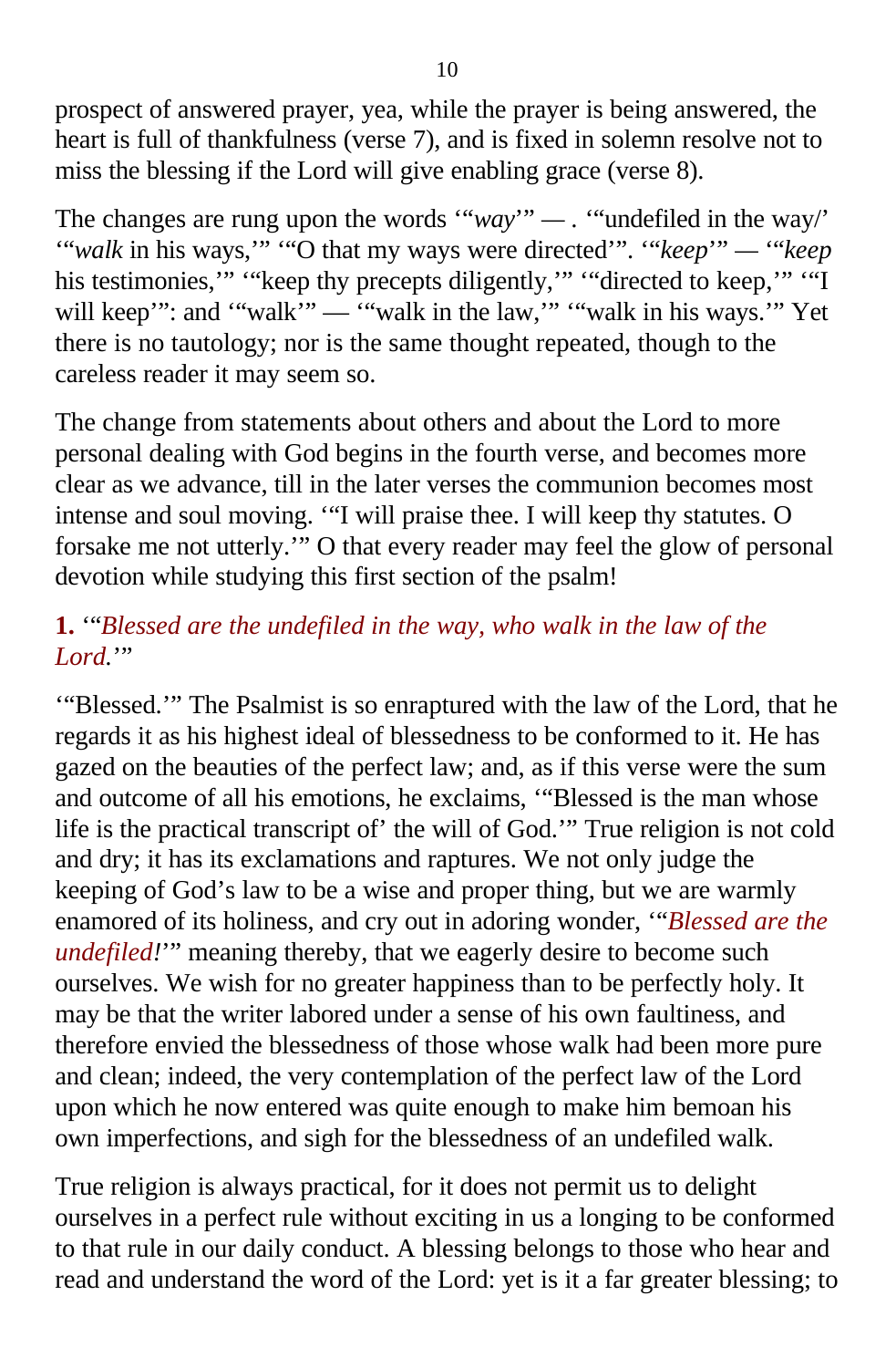prospect of answered prayer, yea, while the prayer is being answered, the heart is full of thankfulness (verse 7), and is fixed in solemn resolve not to miss the blessing if the Lord will give enabling grace (verse 8).

The changes are rung upon the words ""way" — . ""undefiled in the way/" '"*walk* in his ways,'" '"O that my ways were directed'". '"*keep*'" *—* '"*keep* his testimonies," "keep thy precepts diligently," "directed to keep," "I will keep'": and ""walk'" — ""walk in the law,"" ""walk in his ways."" Yet there is no tautology; nor is the same thought repeated, though to the careless reader it may seem so.

The change from statements about others and about the Lord to more personal dealing with God begins in the fourth verse, and becomes more clear as we advance, till in the later verses the communion becomes most intense and soul moving. '"I will praise thee. I will keep thy statutes. O forsake me not utterly.'" O that every reader may feel the glow of personal devotion while studying this first section of the psalm!

#### **1.** '"*Blessed are the undefiled in the way, who walk in the law of the* Lord<sup>"</sup>

'"Blessed.'" The Psalmist is so enraptured with the law of the Lord, that he regards it as his highest ideal of blessedness to be conformed to it. He has gazed on the beauties of the perfect law; and, as if this verse were the sum and outcome of all his emotions, he exclaims, '"Blessed is the man whose life is the practical transcript of' the will of God.'" True religion is not cold and dry; it has its exclamations and raptures. We not only judge the keeping of God's law to be a wise and proper thing, but we are warmly enamored of its holiness, and cry out in adoring wonder, '"*Blessed are the undefiled!*" meaning thereby, that we eagerly desire to become such ourselves. We wish for no greater happiness than to be perfectly holy. It may be that the writer labored under a sense of his own faultiness, and therefore envied the blessedness of those whose walk had been more pure and clean; indeed, the very contemplation of the perfect law of the Lord upon which he now entered was quite enough to make him bemoan his own imperfections, and sigh for the blessedness of an undefiled walk.

True religion is always practical, for it does not permit us to delight ourselves in a perfect rule without exciting in us a longing to be conformed to that rule in our daily conduct. A blessing belongs to those who hear and read and understand the word of the Lord: yet is it a far greater blessing; to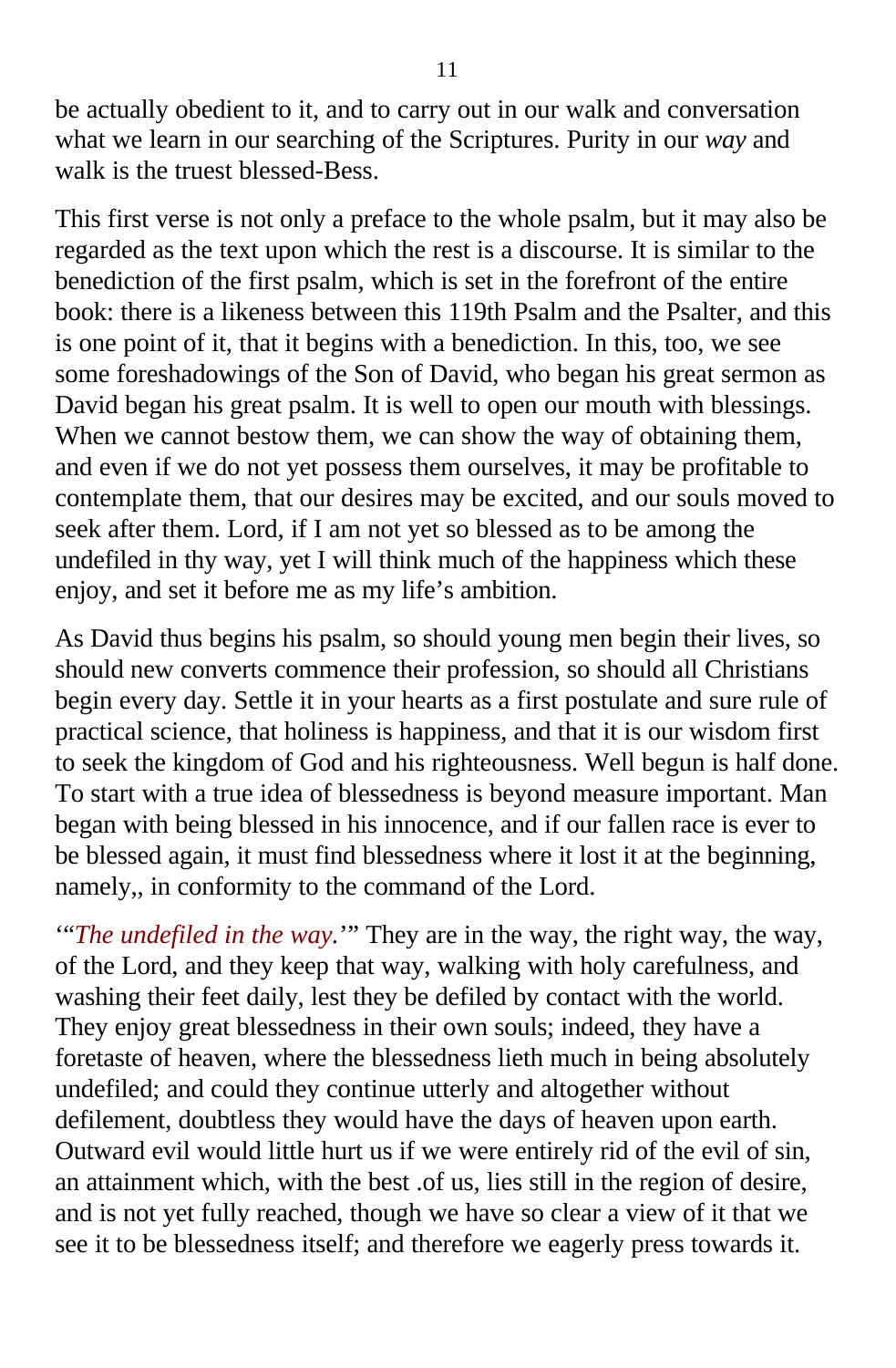be actually obedient to it, and to carry out in our walk and conversation what we learn in our searching of the Scriptures. Purity in our *way* and walk is the truest blessed-Bess.

This first verse is not only a preface to the whole psalm, but it may also be regarded as the text upon which the rest is a discourse. It is similar to the benediction of the first psalm, which is set in the forefront of the entire book: there is a likeness between this 119th Psalm and the Psalter, and this is one point of it, that it begins with a benediction. In this, too, we see some foreshadowings of the Son of David, who began his great sermon as David began his great psalm. It is well to open our mouth with blessings. When we cannot bestow them, we can show the way of obtaining them, and even if we do not yet possess them ourselves, it may be profitable to contemplate them, that our desires may be excited, and our souls moved to seek after them. Lord, if I am not yet so blessed as to be among the undefiled in thy way, yet I will think much of the happiness which these enjoy, and set it before me as my life's ambition.

As David thus begins his psalm, so should young men begin their lives, so should new converts commence their profession, so should all Christians begin every day. Settle it in your hearts as a first postulate and sure rule of practical science, that holiness is happiness, and that it is our wisdom first to seek the kingdom of God and his righteousness. Well begun is half done. To start with a true idea of blessedness is beyond measure important. Man began with being blessed in his innocence, and if our fallen race is ever to be blessed again, it must find blessedness where it lost it at the beginning, namely,, in conformity to the command of the Lord.

'"*The undefiled in the way.*'" They are in the way, the right way, the way, of the Lord, and they keep that way, walking with holy carefulness, and washing their feet daily, lest they be defiled by contact with the world. They enjoy great blessedness in their own souls; indeed, they have a foretaste of heaven, where the blessedness lieth much in being absolutely undefiled; and could they continue utterly and altogether without defilement, doubtless they would have the days of heaven upon earth. Outward evil would little hurt us if we were entirely rid of the evil of sin, an attainment which, with the best .of us, lies still in the region of desire, and is not yet fully reached, though we have so clear a view of it that we see it to be blessedness itself; and therefore we eagerly press towards it.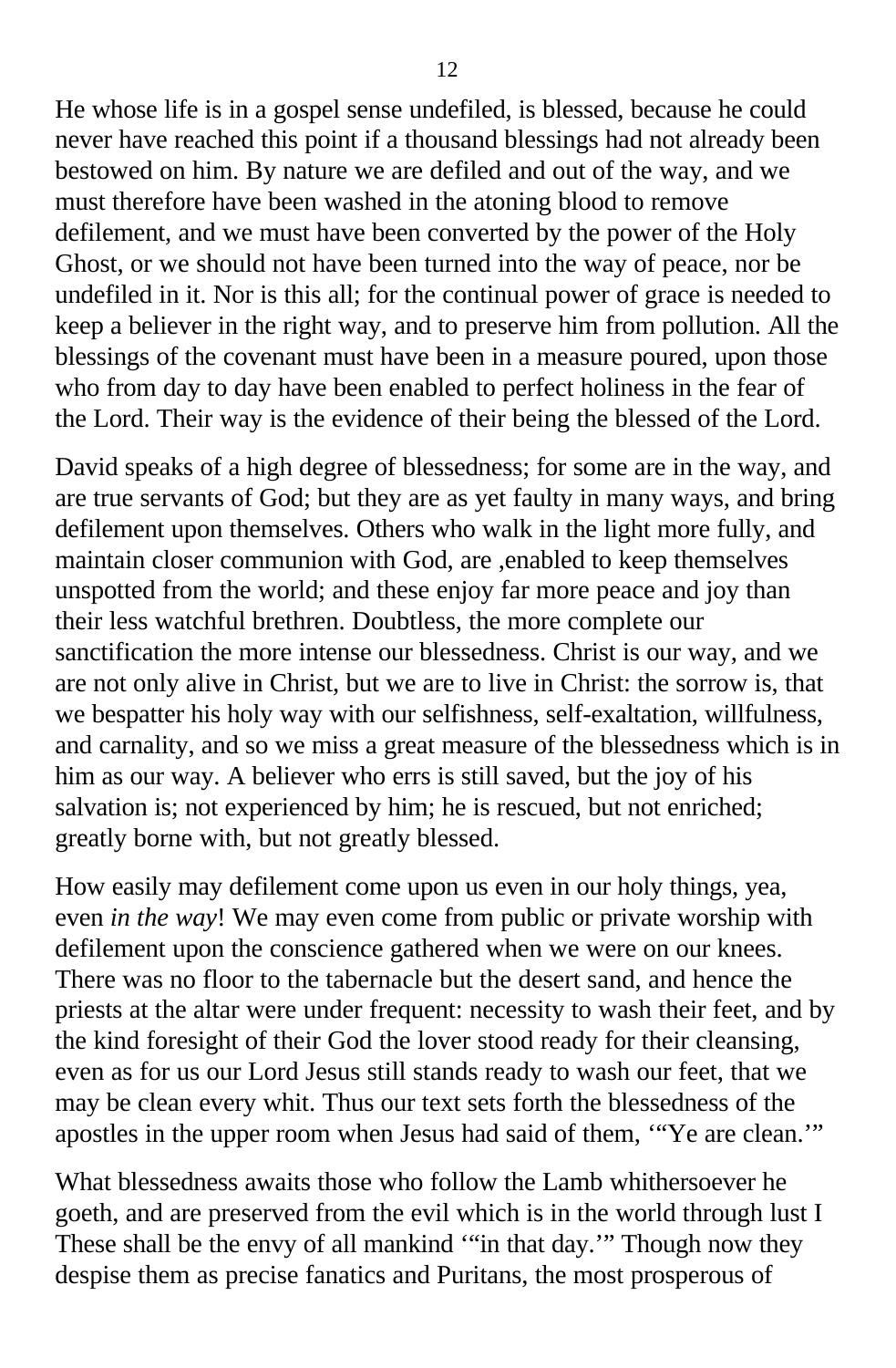He whose life is in a gospel sense undefiled, is blessed, because he could never have reached this point if a thousand blessings had not already been bestowed on him. By nature we are defiled and out of the way, and we must therefore have been washed in the atoning blood to remove defilement, and we must have been converted by the power of the Holy Ghost, or we should not have been turned into the way of peace, nor be undefiled in it. Nor is this all; for the continual power of grace is needed to keep a believer in the right way, and to preserve him from pollution. All the blessings of the covenant must have been in a measure poured, upon those who from day to day have been enabled to perfect holiness in the fear of the Lord. Their way is the evidence of their being the blessed of the Lord.

David speaks of a high degree of blessedness; for some are in the way, and are true servants of God; but they are as yet faulty in many ways, and bring defilement upon themselves. Others who walk in the light more fully, and maintain closer communion with God, are ,enabled to keep themselves unspotted from the world; and these enjoy far more peace and joy than their less watchful brethren. Doubtless, the more complete our sanctification the more intense our blessedness. Christ is our way, and we are not only alive in Christ, but we are to live in Christ: the sorrow is, that we bespatter his holy way with our selfishness, self-exaltation, willfulness, and carnality, and so we miss a great measure of the blessedness which is in him as our way. A believer who errs is still saved, but the joy of his salvation is; not experienced by him; he is rescued, but not enriched; greatly borne with, but not greatly blessed.

How easily may defilement come upon us even in our holy things, yea, even *in the way*! We may even come from public or private worship with defilement upon the conscience gathered when we were on our knees. There was no floor to the tabernacle but the desert sand, and hence the priests at the altar were under frequent: necessity to wash their feet, and by the kind foresight of their God the lover stood ready for their cleansing, even as for us our Lord Jesus still stands ready to wash our feet, that we may be clean every whit. Thus our text sets forth the blessedness of the apostles in the upper room when Jesus had said of them, '"Ye are clean.'"

What blessedness awaits those who follow the Lamb whithersoever he goeth, and are preserved from the evil which is in the world through lust I These shall be the envy of all mankind '"in that day.'" Though now they despise them as precise fanatics and Puritans, the most prosperous of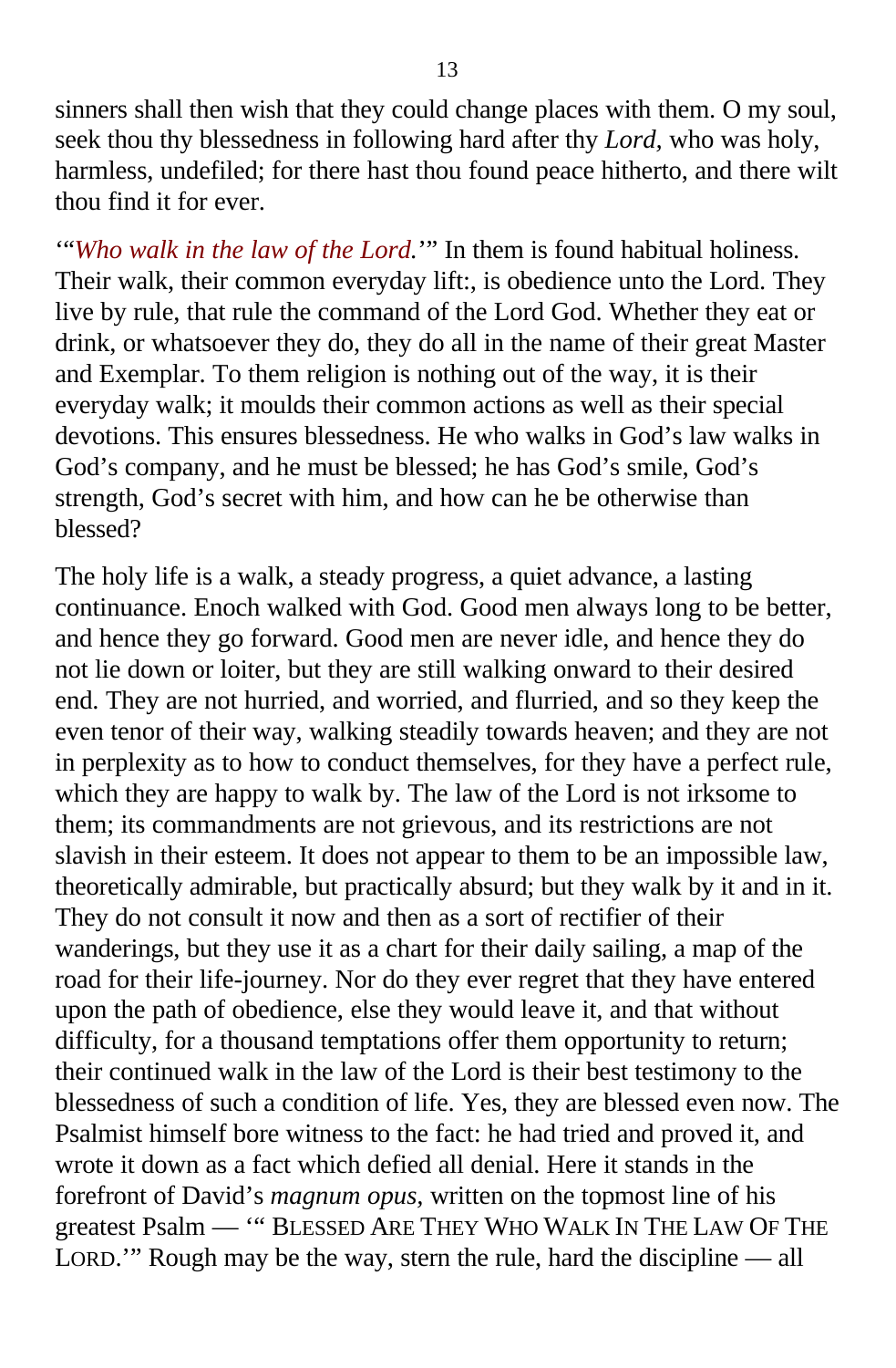sinners shall then wish that they could change places with them. O my soul, seek thou thy blessedness in following hard after thy *Lord,* who was holy, harmless, undefiled; for there hast thou found peace hitherto, and there wilt thou find it for ever.

'"*Who walk in the law of the Lord.*'" In them is found habitual holiness. Their walk, their common everyday lift:, is obedience unto the Lord. They live by rule, that rule the command of the Lord God. Whether they eat or drink, or whatsoever they do, they do all in the name of their great Master and Exemplar. To them religion is nothing out of the way, it is their everyday walk; it moulds their common actions as well as their special devotions. This ensures blessedness. He who walks in God's law walks in God's company, and he must be blessed; he has God's smile, God's strength, God's secret with him, and how can he be otherwise than blessed?

The holy life is a walk, a steady progress, a quiet advance, a lasting continuance. Enoch walked with God. Good men always long to be better, and hence they go forward. Good men are never idle, and hence they do not lie down or loiter, but they are still walking onward to their desired end. They are not hurried, and worried, and flurried, and so they keep the even tenor of their way, walking steadily towards heaven; and they are not in perplexity as to how to conduct themselves, for they have a perfect rule, which they are happy to walk by. The law of the Lord is not irksome to them; its commandments are not grievous, and its restrictions are not slavish in their esteem. It does not appear to them to be an impossible law, theoretically admirable, but practically absurd; but they walk by it and in it. They do not consult it now and then as a sort of rectifier of their wanderings, but they use it as a chart for their daily sailing, a map of the road for their life-journey. Nor do they ever regret that they have entered upon the path of obedience, else they would leave it, and that without difficulty, for a thousand temptations offer them opportunity to return; their continued walk in the law of the Lord is their best testimony to the blessedness of such a condition of life. Yes, they are blessed even now. The Psalmist himself bore witness to the fact: he had tried and proved it, and wrote it down as a fact which defied all denial. Here it stands in the forefront of David's *magnum opus,* written on the topmost line of his greatest Psalm — '" BLESSED ARE THEY WHO WALK IN THE LAW OF THE LORD.'" Rough may be the way, stern the rule, hard the discipline — all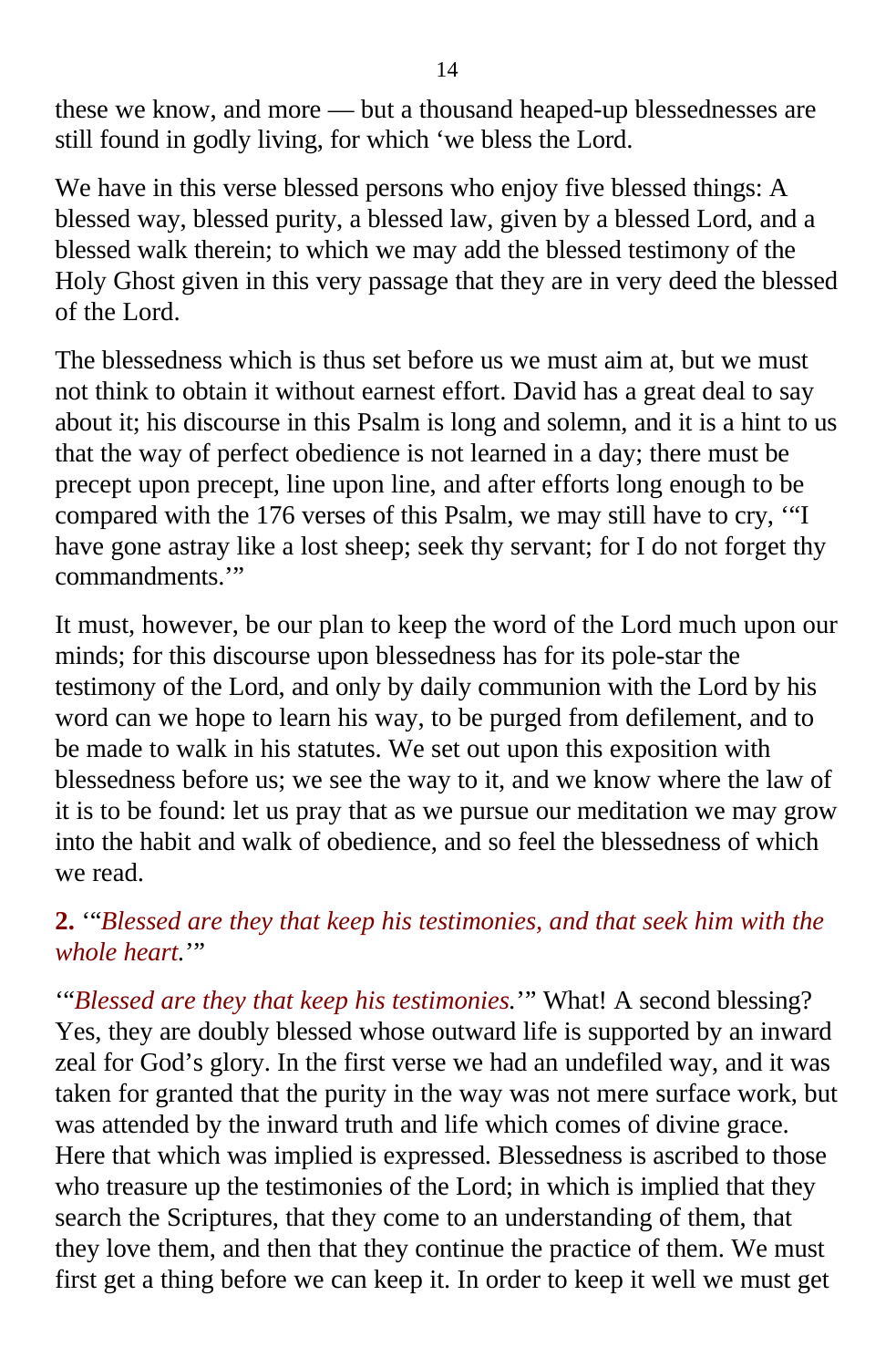these we know, and more — but a thousand heaped-up blessednesses are still found in godly living, for which 'we bless the Lord.

We have in this verse blessed persons who enjoy five blessed things: A blessed way, blessed purity, a blessed law, given by a blessed Lord, and a blessed walk therein; to which we may add the blessed testimony of the Holy Ghost given in this very passage that they are in very deed the blessed of the Lord.

The blessedness which is thus set before us we must aim at, but we must not think to obtain it without earnest effort. David has a great deal to say about it; his discourse in this Psalm is long and solemn, and it is a hint to us that the way of perfect obedience is not learned in a day; there must be precept upon precept, line upon line, and after efforts long enough to be compared with the 176 verses of this Psalm, we may still have to cry, '"I have gone astray like a lost sheep; seek thy servant; for I do not forget thy commandments.'"

It must, however, be our plan to keep the word of the Lord much upon our minds; for this discourse upon blessedness has for its pole-star the testimony of the Lord, and only by daily communion with the Lord by his word can we hope to learn his way, to be purged from defilement, and to be made to walk in his statutes. We set out upon this exposition with blessedness before us; we see the way to it, and we know where the law of it is to be found: let us pray that as we pursue our meditation we may grow into the habit and walk of obedience, and so feel the blessedness of which we read.

#### **2.** '"*Blessed are they that keep his testimonies, and that seek him with the* whole heart."

'"*Blessed are they that keep his testimonies.*'" What! A second blessing? Yes, they are doubly blessed whose outward life is supported by an inward zeal for God's glory. In the first verse we had an undefiled way, and it was taken for granted that the purity in the way was not mere surface work, but was attended by the inward truth and life which comes of divine grace. Here that which was implied is expressed. Blessedness is ascribed to those who treasure up the testimonies of the Lord; in which is implied that they search the Scriptures, that they come to an understanding of them, that they love them, and then that they continue the practice of them. We must first get a thing before we can keep it. In order to keep it well we must get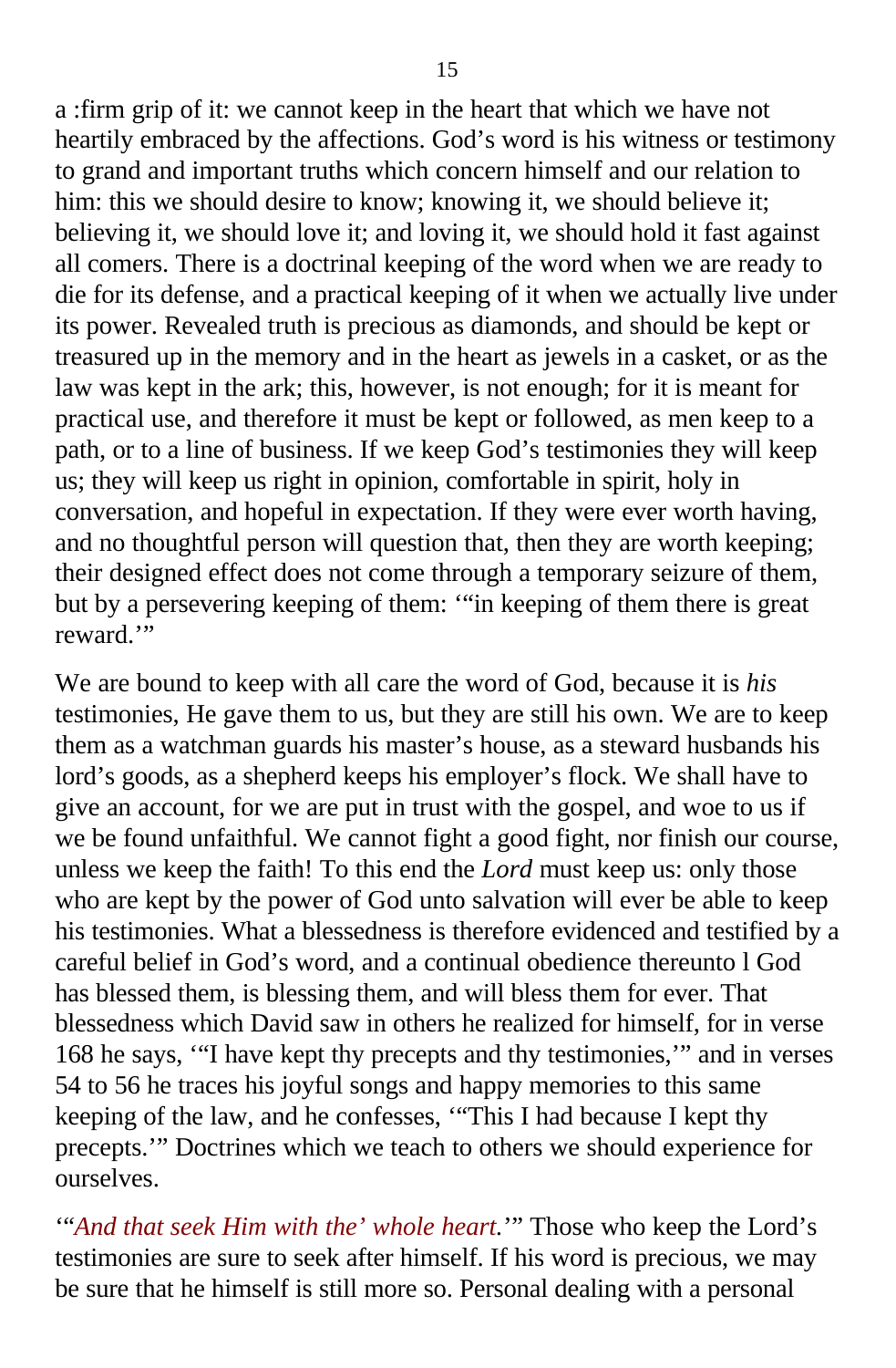a :firm grip of it: we cannot keep in the heart that which we have not heartily embraced by the affections. God's word is his witness or testimony to grand and important truths which concern himself and our relation to him: this we should desire to know; knowing it, we should believe it; believing it, we should love it; and loving it, we should hold it fast against all comers. There is a doctrinal keeping of the word when we are ready to die for its defense, and a practical keeping of it when we actually live under its power. Revealed truth is precious as diamonds, and should be kept or treasured up in the memory and in the heart as jewels in a casket, or as the law was kept in the ark; this, however, is not enough; for it is meant for practical use, and therefore it must be kept or followed, as men keep to a path, or to a line of business. If we keep God's testimonies they will keep us; they will keep us right in opinion, comfortable in spirit, holy in conversation, and hopeful in expectation. If they were ever worth having, and no thoughtful person will question that, then they are worth keeping; their designed effect does not come through a temporary seizure of them, but by a persevering keeping of them: '"in keeping of them there is great reward."

We are bound to keep with all care the word of God, because it is *his* testimonies, He gave them to us, but they are still his own. We are to keep them as a watchman guards his master's house, as a steward husbands his lord's goods, as a shepherd keeps his employer's flock. We shall have to give an account, for we are put in trust with the gospel, and woe to us if we be found unfaithful. We cannot fight a good fight, nor finish our course, unless we keep the faith! To this end the *Lord* must keep us: only those who are kept by the power of God unto salvation will ever be able to keep his testimonies. What a blessedness is therefore evidenced and testified by a careful belief in God's word, and a continual obedience thereunto l God has blessed them, is blessing them, and will bless them for ever. That blessedness which David saw in others he realized for himself, for in verse 168 he says, '"I have kept thy precepts and thy testimonies,'" and in verses 54 to 56 he traces his joyful songs and happy memories to this same keeping of the law, and he confesses, '"This I had because I kept thy precepts.'" Doctrines which we teach to others we should experience for ourselves.

'"*And that seek Him with the' whole heart.*'" Those who keep the Lord's testimonies are sure to seek after himself. If his word is precious, we may be sure that he himself is still more so. Personal dealing with a personal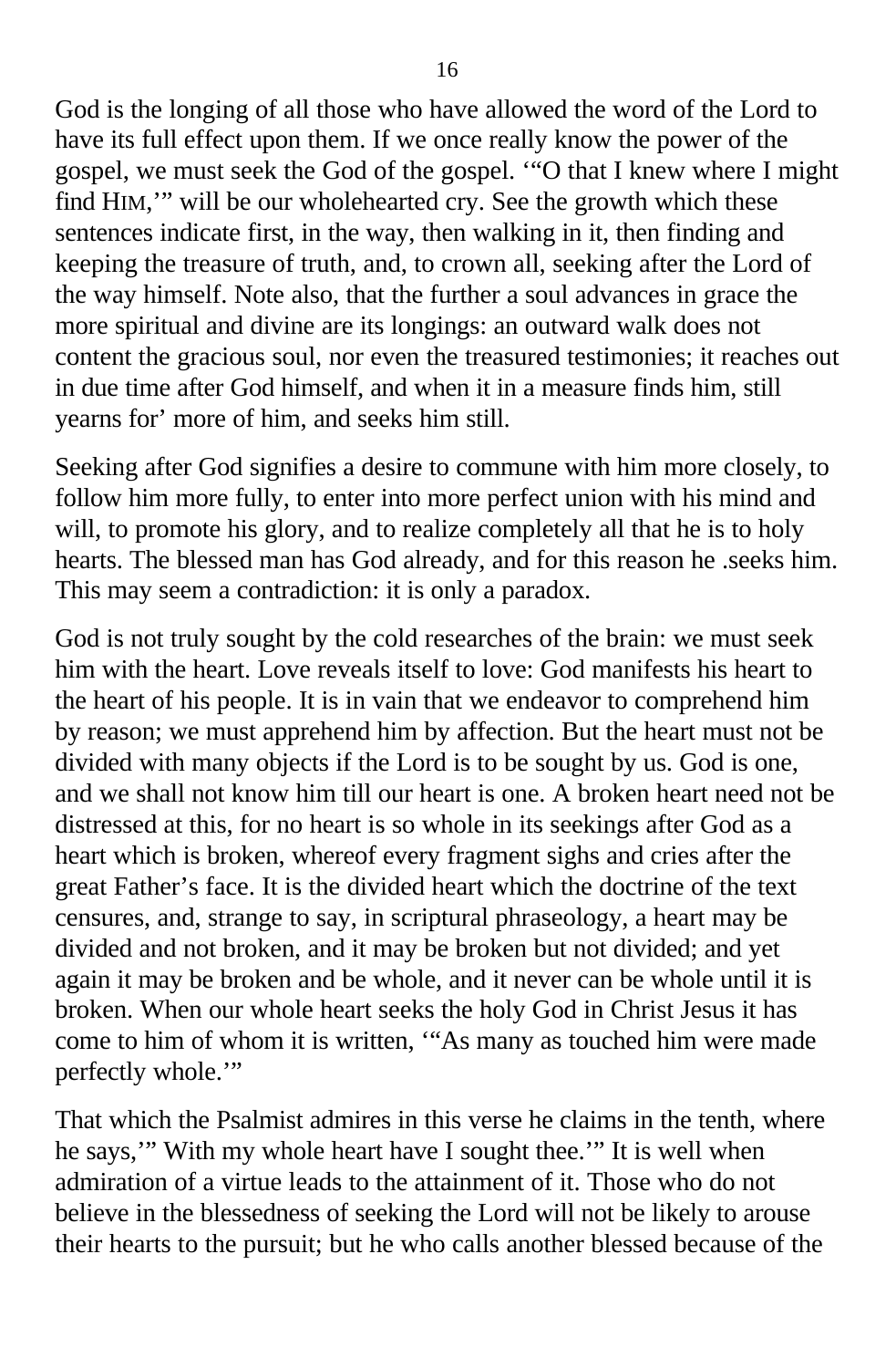God is the longing of all those who have allowed the word of the Lord to have its full effect upon them. If we once really know the power of the gospel, we must seek the God of the gospel. '"O that I knew where I might find HIM,'" will be our wholehearted cry. See the growth which these sentences indicate first, in the way, then walking in it, then finding and keeping the treasure of truth, and, to crown all, seeking after the Lord of the way himself. Note also, that the further a soul advances in grace the more spiritual and divine are its longings: an outward walk does not content the gracious soul, nor even the treasured testimonies; it reaches out in due time after God himself, and when it in a measure finds him, still yearns for' more of him, and seeks him still.

Seeking after God signifies a desire to commune with him more closely, to follow him more fully, to enter into more perfect union with his mind and will, to promote his glory, and to realize completely all that he is to holy hearts. The blessed man has God already, and for this reason he .seeks him. This may seem a contradiction: it is only a paradox.

God is not truly sought by the cold researches of the brain: we must seek him with the heart. Love reveals itself to love: God manifests his heart to the heart of his people. It is in vain that we endeavor to comprehend him by reason; we must apprehend him by affection. But the heart must not be divided with many objects if the Lord is to be sought by us. God is one, and we shall not know him till our heart is one. A broken heart need not be distressed at this, for no heart is so whole in its seekings after God as a heart which is broken, whereof every fragment sighs and cries after the great Father's face. It is the divided heart which the doctrine of the text censures, and, strange to say, in scriptural phraseology, a heart may be divided and not broken, and it may be broken but not divided; and yet again it may be broken and be whole, and it never can be whole until it is broken. When our whole heart seeks the holy God in Christ Jesus it has come to him of whom it is written, '"As many as touched him were made perfectly whole."

That which the Psalmist admires in this verse he claims in the tenth, where he says,'" With my whole heart have I sought thee.'" It is well when admiration of a virtue leads to the attainment of it. Those who do not believe in the blessedness of seeking the Lord will not be likely to arouse their hearts to the pursuit; but he who calls another blessed because of the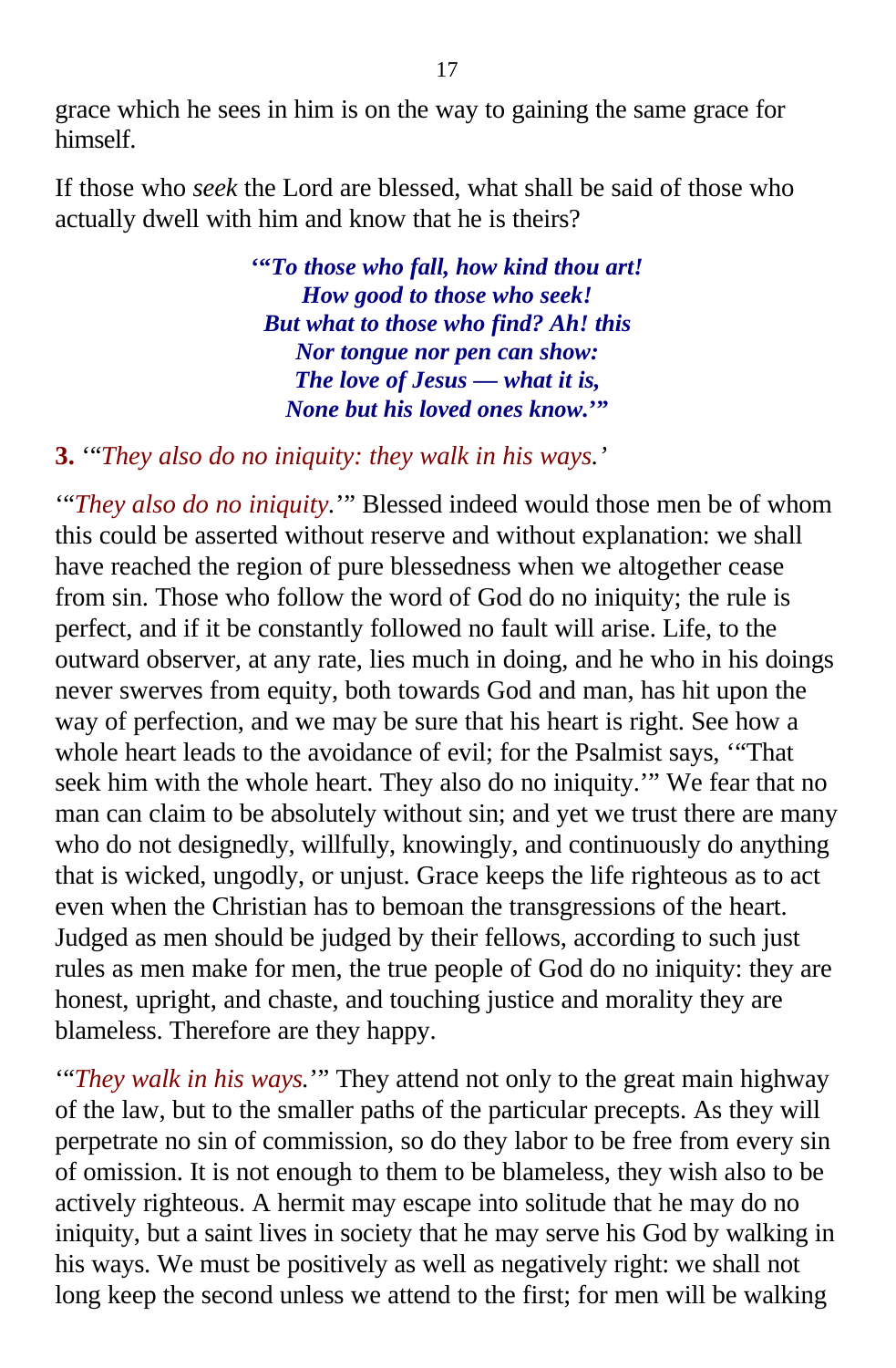grace which he sees in him is on the way to gaining the same grace for himself.

If those who *seek* the Lord are blessed, what shall be said of those who actually dwell with him and know that he is theirs?

> **'"***To those who fall, how kind thou art! How good to those who seek! But what to those who find? Ah! this Nor tongue nor pen can show: The love of Jesus — what it is, None but his loved ones know.***'"**

#### **3.** '"*They also do no iniquity: they walk in his ways.'*

'"*They also do no iniquity.*'" Blessed indeed would those men be of whom this could be asserted without reserve and without explanation: we shall have reached the region of pure blessedness when we altogether cease from sin. Those who follow the word of God do no iniquity; the rule is perfect, and if it be constantly followed no fault will arise. Life, to the outward observer, at any rate, lies much in doing, and he who in his doings never swerves from equity, both towards God and man, has hit upon the way of perfection, and we may be sure that his heart is right. See how a whole heart leads to the avoidance of evil; for the Psalmist says, '"That seek him with the whole heart. They also do no iniquity.'" We fear that no man can claim to be absolutely without sin; and yet we trust there are many who do not designedly, willfully, knowingly, and continuously do anything that is wicked, ungodly, or unjust. Grace keeps the life righteous as to act even when the Christian has to bemoan the transgressions of the heart. Judged as men should be judged by their fellows, according to such just rules as men make for men, the true people of God do no iniquity: they are honest, upright, and chaste, and touching justice and morality they are blameless. Therefore are they happy.

'"*They walk in his ways.*'" They attend not only to the great main highway of the law, but to the smaller paths of the particular precepts. As they will perpetrate no sin of commission, so do they labor to be free from every sin of omission. It is not enough to them to be blameless, they wish also to be actively righteous. A hermit may escape into solitude that he may do no iniquity, but a saint lives in society that he may serve his God by walking in his ways. We must be positively as well as negatively right: we shall not long keep the second unless we attend to the first; for men will be walking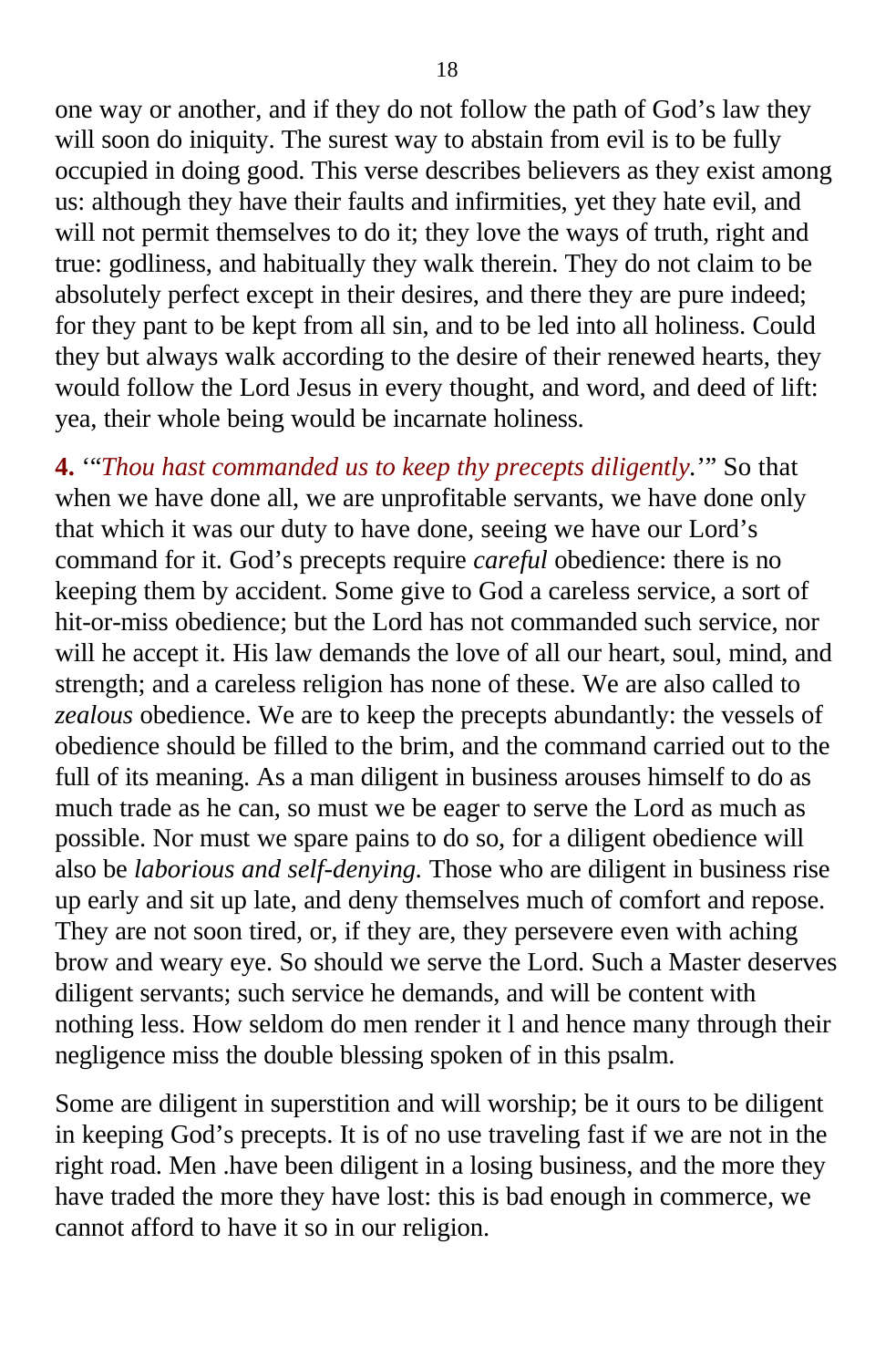one way or another, and if they do not follow the path of God's law they will soon do iniquity. The surest way to abstain from evil is to be fully occupied in doing good. This verse describes believers as they exist among us: although they have their faults and infirmities, yet they hate evil, and will not permit themselves to do it; they love the ways of truth, right and true: godliness, and habitually they walk therein. They do not claim to be absolutely perfect except in their desires, and there they are pure indeed; for they pant to be kept from all sin, and to be led into all holiness. Could they but always walk according to the desire of their renewed hearts, they would follow the Lord Jesus in every thought, and word, and deed of lift: yea, their whole being would be incarnate holiness.

**4.** '"*Thou hast commanded us to keep thy precepts diligently.*'" So that when we have done all, we are unprofitable servants, we have done only that which it was our duty to have done, seeing we have our Lord's command for it. God's precepts require *careful* obedience: there is no keeping them by accident. Some give to God a careless service, a sort of hit-or-miss obedience; but the Lord has not commanded such service, nor will he accept it. His law demands the love of all our heart, soul, mind, and strength; and a careless religion has none of these. We are also called to *zealous* obedience. We are to keep the precepts abundantly: the vessels of obedience should be filled to the brim, and the command carried out to the full of its meaning. As a man diligent in business arouses himself to do as much trade as he can, so must we be eager to serve the Lord as much as possible. Nor must we spare pains to do so, for a diligent obedience will also be *laborious and self-denying.* Those who are diligent in business rise up early and sit up late, and deny themselves much of comfort and repose. They are not soon tired, or, if they are, they persevere even with aching brow and weary eye. So should we serve the Lord. Such a Master deserves diligent servants; such service he demands, and will be content with nothing less. How seldom do men render it l and hence many through their negligence miss the double blessing spoken of in this psalm.

Some are diligent in superstition and will worship; be it ours to be diligent in keeping God's precepts. It is of no use traveling fast if we are not in the right road. Men .have been diligent in a losing business, and the more they have traded the more they have lost: this is bad enough in commerce, we cannot afford to have it so in our religion.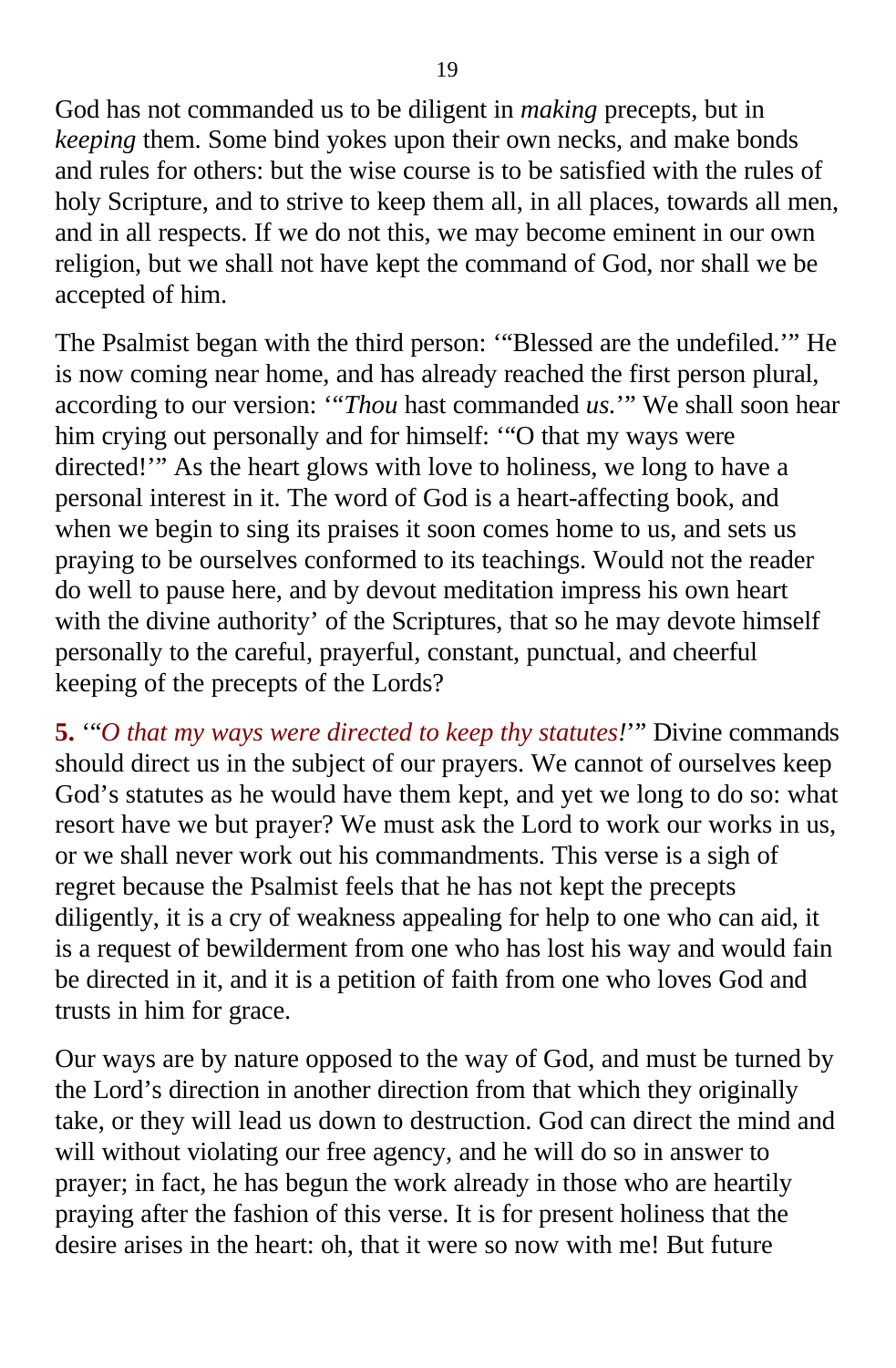God has not commanded us to be diligent in *making* precepts, but in *keeping* them. Some bind yokes upon their own necks, and make bonds and rules for others: but the wise course is to be satisfied with the rules of holy Scripture, and to strive to keep them all, in all places, towards all men, and in all respects. If we do not this, we may become eminent in our own religion, but we shall not have kept the command of God, nor shall we be accepted of him.

The Psalmist began with the third person: '"Blessed are the undefiled.'" He is now coming near home, and has already reached the first person plural, according to our version: '"*Thou* hast commanded *us.*'" We shall soon hear him crying out personally and for himself: '"O that my ways were directed!'" As the heart glows with love to holiness, we long to have a personal interest in it. The word of God is a heart-affecting book, and when we begin to sing its praises it soon comes home to us, and sets us praying to be ourselves conformed to its teachings. Would not the reader do well to pause here, and by devout meditation impress his own heart with the divine authority' of the Scriptures, that so he may devote himself personally to the careful, prayerful, constant, punctual, and cheerful keeping of the precepts of the Lords?

**5.** '"*O that my ways were directed to keep thy statutes!*'" Divine commands should direct us in the subject of our prayers. We cannot of ourselves keep God's statutes as he would have them kept, and yet we long to do so: what resort have we but prayer? We must ask the Lord to work our works in us, or we shall never work out his commandments. This verse is a sigh of regret because the Psalmist feels that he has not kept the precepts diligently, it is a cry of weakness appealing for help to one who can aid, it is a request of bewilderment from one who has lost his way and would fain be directed in it, and it is a petition of faith from one who loves God and trusts in him for grace.

Our ways are by nature opposed to the way of God, and must be turned by the Lord's direction in another direction from that which they originally take, or they will lead us down to destruction. God can direct the mind and will without violating our free agency, and he will do so in answer to prayer; in fact, he has begun the work already in those who are heartily praying after the fashion of this verse. It is for present holiness that the desire arises in the heart: oh, that it were so now with me! But future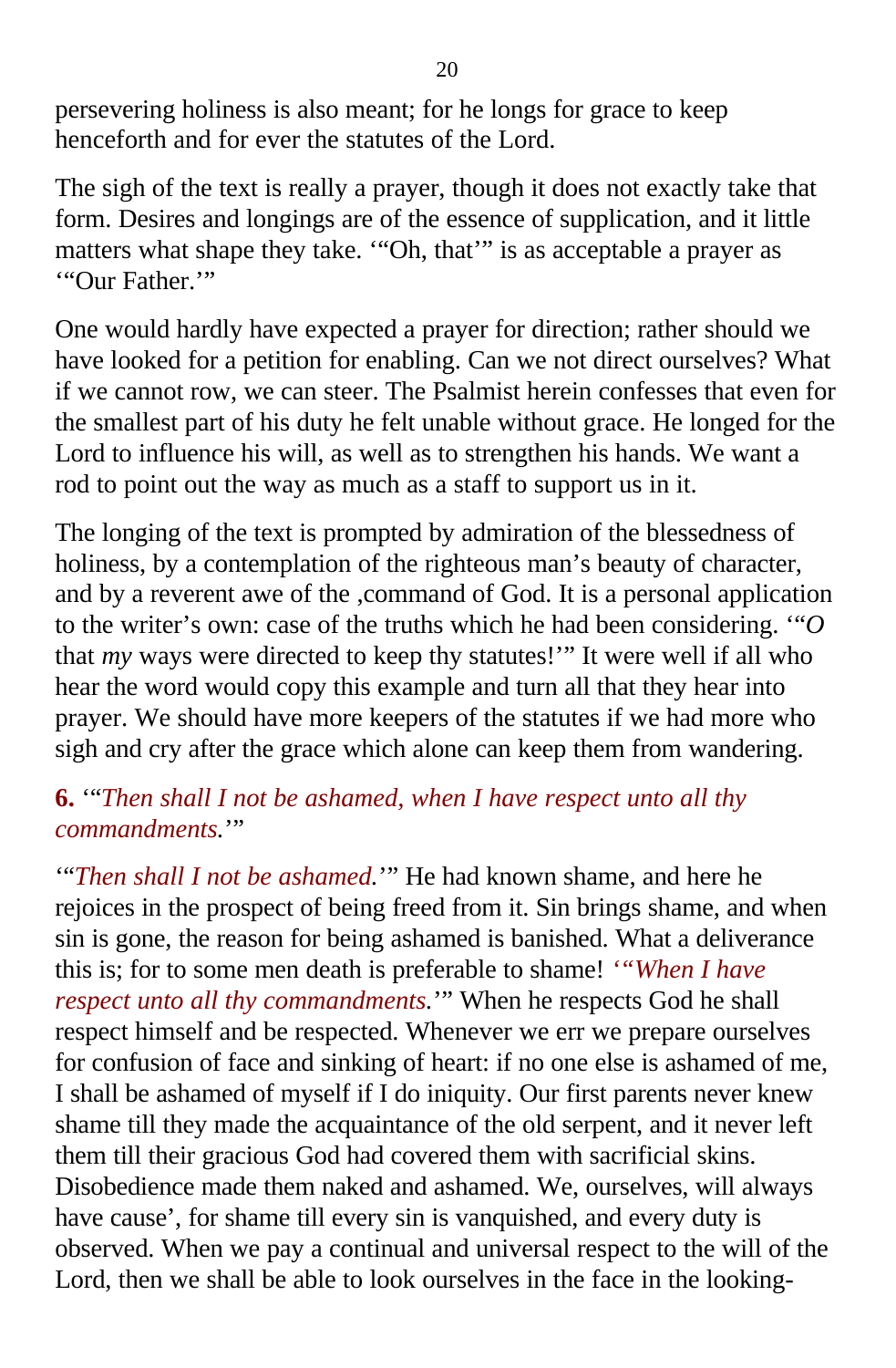persevering holiness is also meant; for he longs for grace to keep henceforth and for ever the statutes of the Lord.

The sigh of the text is really a prayer, though it does not exactly take that form. Desires and longings are of the essence of supplication, and it little matters what shape they take. '"Oh, that'" is as acceptable a prayer as '"Our Father.'"

One would hardly have expected a prayer for direction; rather should we have looked for a petition for enabling. Can we not direct ourselves? What if we cannot row, we can steer. The Psalmist herein confesses that even for the smallest part of his duty he felt unable without grace. He longed for the Lord to influence his will, as well as to strengthen his hands. We want a rod to point out the way as much as a staff to support us in it.

The longing of the text is prompted by admiration of the blessedness of holiness, by a contemplation of the righteous man's beauty of character, and by a reverent awe of the ,command of God. It is a personal application to the writer's own: case of the truths which he had been considering. '"*O* that *my* ways were directed to keep thy statutes!'" It were well if all who hear the word would copy this example and turn all that they hear into prayer. We should have more keepers of the statutes if we had more who sigh and cry after the grace which alone can keep them from wandering.

#### **6.** '"*Then shall I not be ashamed, when I have respect unto all thy commandments.*'"

'"*Then shall I not be ashamed.*'" He had known shame, and here he rejoices in the prospect of being freed from it. Sin brings shame, and when sin is gone, the reason for being ashamed is banished. What a deliverance this is; for to some men death is preferable to shame! *'"When I have respect unto all thy commandments.*'" When he respects God he shall respect himself and be respected. Whenever we err we prepare ourselves for confusion of face and sinking of heart: if no one else is ashamed of me, I shall be ashamed of myself if I do iniquity. Our first parents never knew shame till they made the acquaintance of the old serpent, and it never left them till their gracious God had covered them with sacrificial skins. Disobedience made them naked and ashamed. We, ourselves, will always have cause', for shame till every sin is vanquished, and every duty is observed. When we pay a continual and universal respect to the will of the Lord, then we shall be able to look ourselves in the face in the looking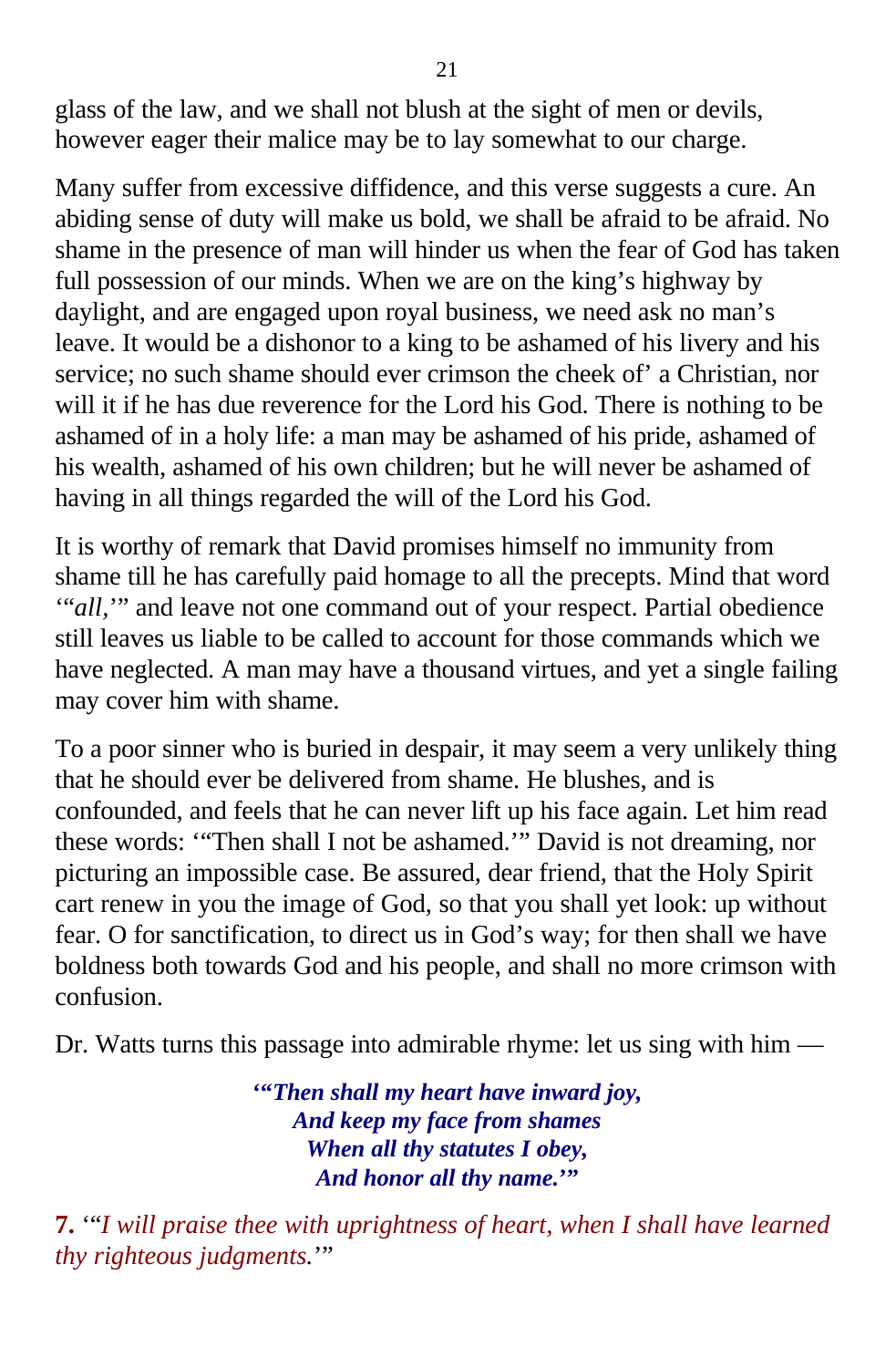glass of the law, and we shall not blush at the sight of men or devils, however eager their malice may be to lay somewhat to our charge.

Many suffer from excessive diffidence, and this verse suggests a cure. An abiding sense of duty will make us bold, we shall be afraid to be afraid. No shame in the presence of man will hinder us when the fear of God has taken full possession of our minds. When we are on the king's highway by daylight, and are engaged upon royal business, we need ask no man's leave. It would be a dishonor to a king to be ashamed of his livery and his service; no such shame should ever crimson the cheek of' a Christian, nor will it if he has due reverence for the Lord his God. There is nothing to be ashamed of in a holy life: a man may be ashamed of his pride, ashamed of his wealth, ashamed of his own children; but he will never be ashamed of having in all things regarded the will of the Lord his God.

It is worthy of remark that David promises himself no immunity from shame till he has carefully paid homage to all the precepts. Mind that word "all," and leave not one command out of your respect. Partial obedience still leaves us liable to be called to account for those commands which we have neglected. A man may have a thousand virtues, and yet a single failing may cover him with shame.

To a poor sinner who is buried in despair, it may seem a very unlikely thing that he should ever be delivered from shame. He blushes, and is confounded, and feels that he can never lift up his face again. Let him read these words: '"Then shall I not be ashamed.'" David is not dreaming, nor picturing an impossible case. Be assured, dear friend, that the Holy Spirit cart renew in you the image of God, so that you shall yet look: up without fear. O for sanctification, to direct us in God's way; for then shall we have boldness both towards God and his people, and shall no more crimson with confusion.

Dr. Watts turns this passage into admirable rhyme: let us sing with him —

**'"***Then shall my heart have inward joy, And keep my face from shames When all thy statutes I obey,* And honor all thy name."

**7.** '"*I will praise thee with uprightness of heart, when I shall have learned thy righteous judgments.*'"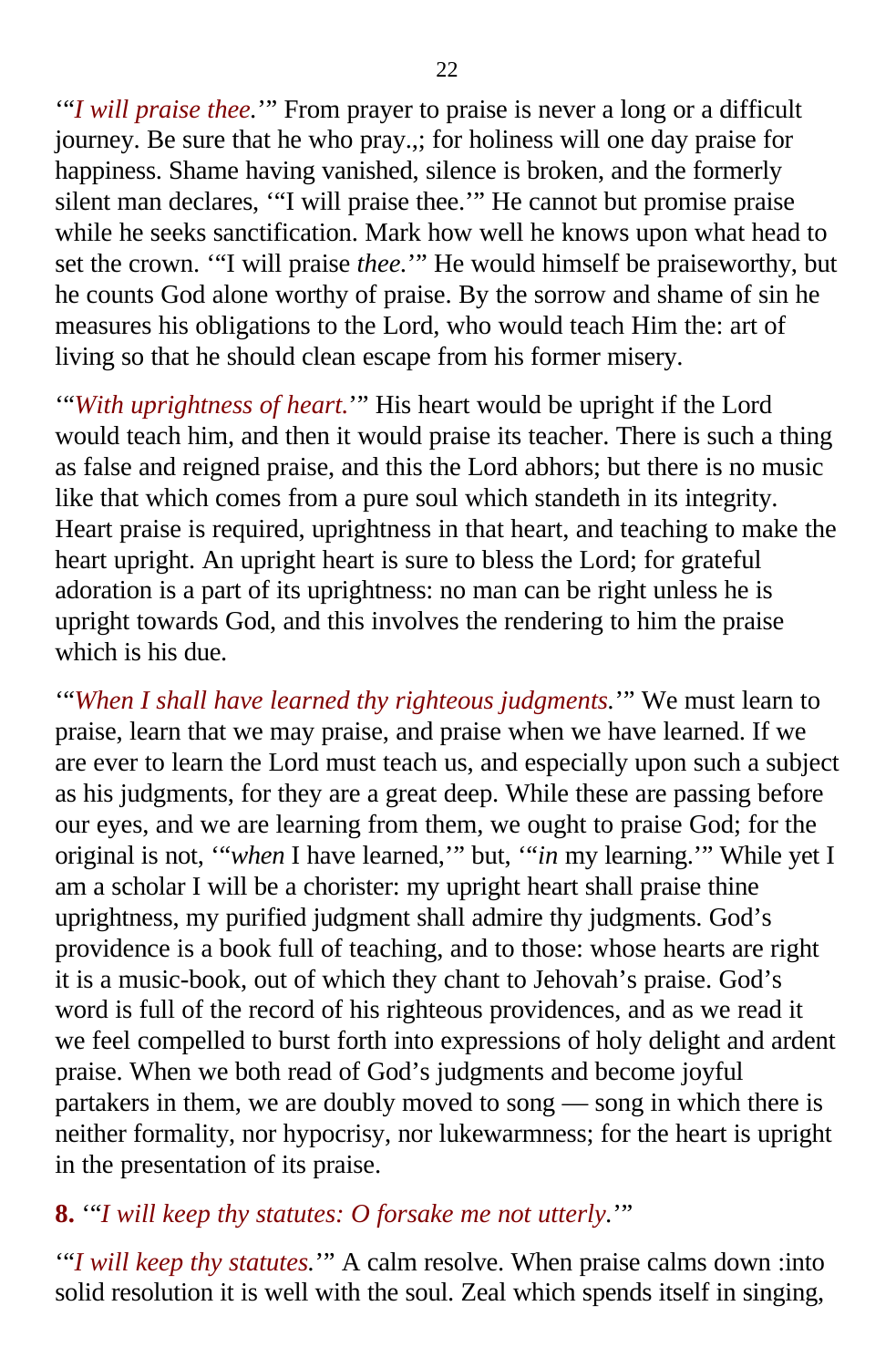'"*I will praise thee.*'" From prayer to praise is never a long or a difficult journey. Be sure that he who pray.,; for holiness will one day praise for happiness. Shame having vanished, silence is broken, and the formerly silent man declares, '"I will praise thee.'" He cannot but promise praise while he seeks sanctification. Mark how well he knows upon what head to set the crown. '"I will praise *thee.*'" He would himself be praiseworthy, but he counts God alone worthy of praise. By the sorrow and shame of sin he measures his obligations to the Lord, who would teach Him the: art of living so that he should clean escape from his former misery.

'"*With uprightness of heart.*'" His heart would be upright if the Lord would teach him, and then it would praise its teacher. There is such a thing as false and reigned praise, and this the Lord abhors; but there is no music like that which comes from a pure soul which standeth in its integrity. Heart praise is required, uprightness in that heart, and teaching to make the heart upright. An upright heart is sure to bless the Lord; for grateful adoration is a part of its uprightness: no man can be right unless he is upright towards God, and this involves the rendering to him the praise which is his due.

'"*When I shall have learned thy righteous judgments.*'" We must learn to praise, learn that we may praise, and praise when we have learned. If we are ever to learn the Lord must teach us, and especially upon such a subject as his judgments, for they are a great deep. While these are passing before our eyes, and we are learning from them, we ought to praise God; for the original is not, '"*when* I have learned,'" but, '"*in* my learning.'" While yet I am a scholar I will be a chorister: my upright heart shall praise thine uprightness, my purified judgment shall admire thy judgments. God's providence is a book full of teaching, and to those: whose hearts are right it is a music-book, out of which they chant to Jehovah's praise. God's word is full of the record of his righteous providences, and as we read it we feel compelled to burst forth into expressions of holy delight and ardent praise. When we both read of God's judgments and become joyful partakers in them, we are doubly moved to song — song in which there is neither formality, nor hypocrisy, nor lukewarmness; for the heart is upright in the presentation of its praise.

#### **8.** '"*I will keep thy statutes: O forsake me not utterly.*'"

'"*I will keep thy statutes.*'" A calm resolve. When praise calms down :into solid resolution it is well with the soul. Zeal which spends itself in singing,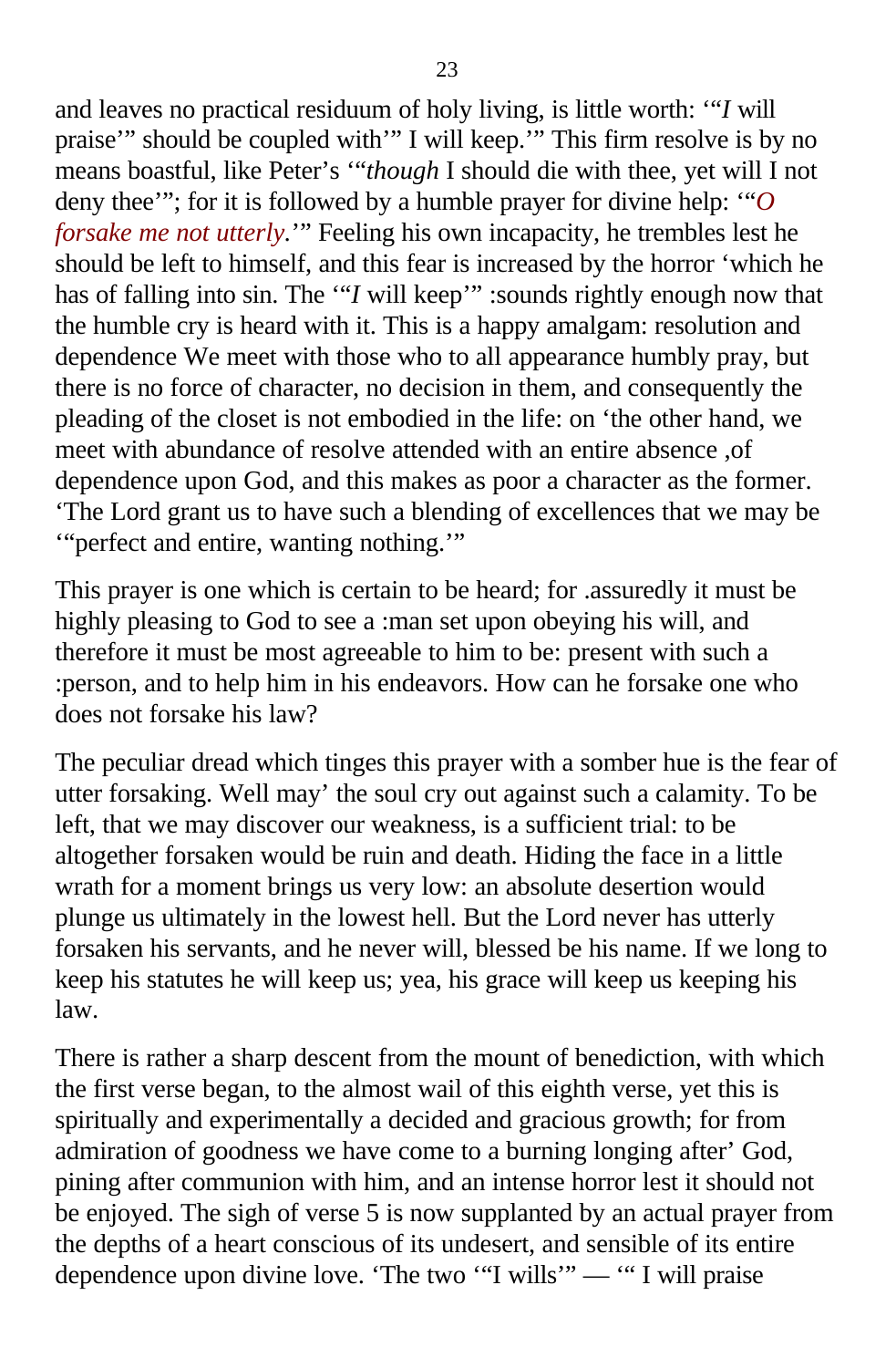and leaves no practical residuum of holy living, is little worth: '"*I* will praise'" should be coupled with'" I will keep.'" This firm resolve is by no means boastful, like Peter's '"*though* I should die with thee, yet will I not deny thee'"; for it is followed by a humble prayer for divine help: '"*O forsake me not utterly.*'" Feeling his own incapacity, he trembles lest he should be left to himself, and this fear is increased by the horror 'which he has of falling into sin. The "*I* will keep" :sounds rightly enough now that the humble cry is heard with it. This is a happy amalgam: resolution and dependence We meet with those who to all appearance humbly pray, but there is no force of character, no decision in them, and consequently the pleading of the closet is not embodied in the life: on 'the other hand, we meet with abundance of resolve attended with an entire absence ,of dependence upon God, and this makes as poor a character as the former. 'The Lord grant us to have such a blending of excellences that we may be '"perfect and entire, wanting nothing.'"

This prayer is one which is certain to be heard; for .assuredly it must be highly pleasing to God to see a :man set upon obeying his will, and therefore it must be most agreeable to him to be: present with such a :person, and to help him in his endeavors. How can he forsake one who does not forsake his law?

The peculiar dread which tinges this prayer with a somber hue is the fear of utter forsaking. Well may' the soul cry out against such a calamity. To be left, that we may discover our weakness, is a sufficient trial: to be altogether forsaken would be ruin and death. Hiding the face in a little wrath for a moment brings us very low: an absolute desertion would plunge us ultimately in the lowest hell. But the Lord never has utterly forsaken his servants, and he never will, blessed be his name. If we long to keep his statutes he will keep us; yea, his grace will keep us keeping his law.

There is rather a sharp descent from the mount of benediction, with which the first verse began, to the almost wail of this eighth verse, yet this is spiritually and experimentally a decided and gracious growth; for from admiration of goodness we have come to a burning longing after' God, pining after communion with him, and an intense horror lest it should not be enjoyed. The sigh of verse 5 is now supplanted by an actual prayer from the depths of a heart conscious of its undesert, and sensible of its entire dependence upon divine love. 'The two '"I wills'" — '" I will praise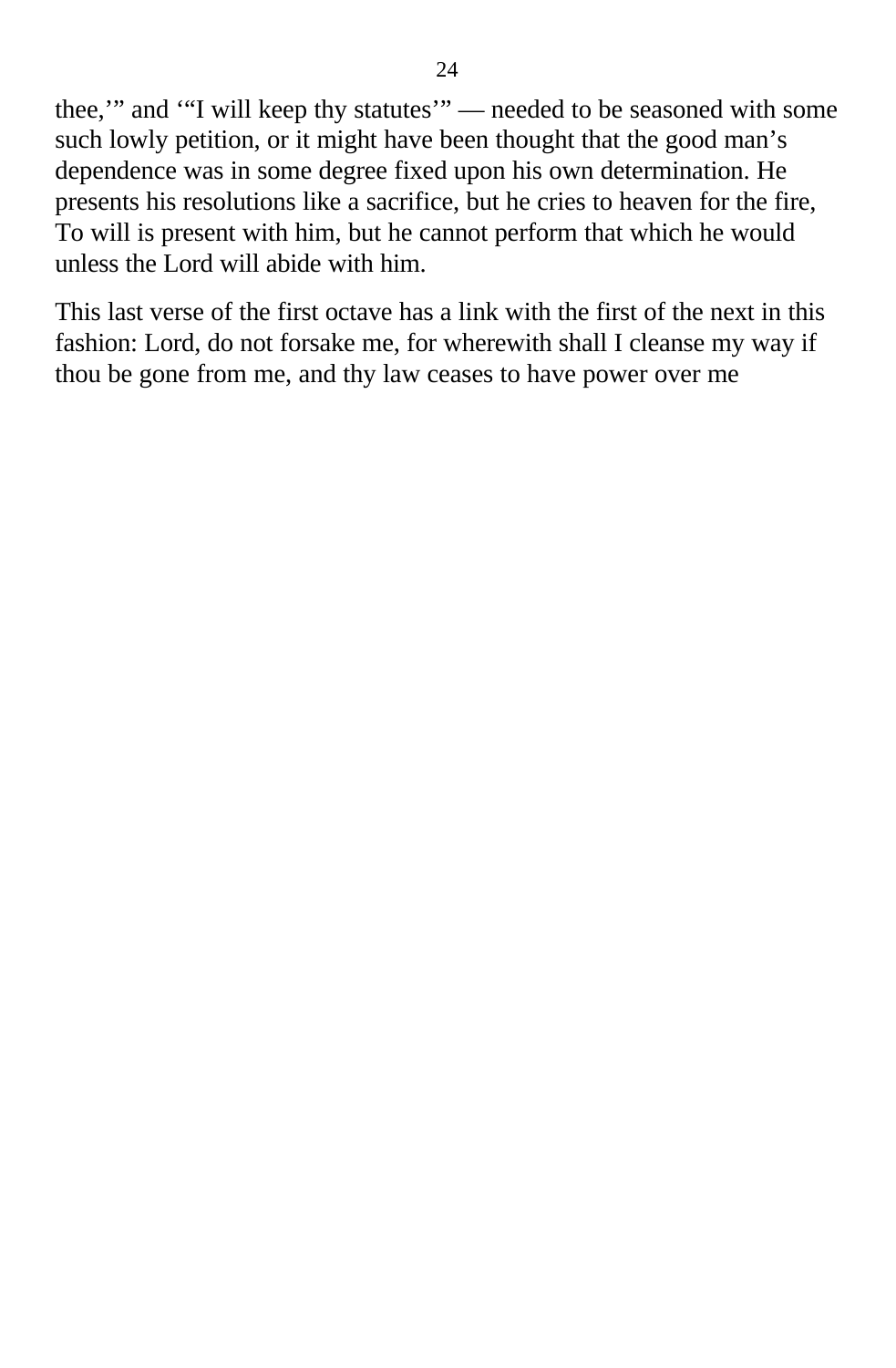thee,'" and '"I will keep thy statutes'" — needed to be seasoned with some such lowly petition, or it might have been thought that the good man's dependence was in some degree fixed upon his own determination. He presents his resolutions like a sacrifice, but he cries to heaven for the fire, To will is present with him, but he cannot perform that which he would unless the Lord will abide with him.

This last verse of the first octave has a link with the first of the next in this fashion: Lord, do not forsake me, for wherewith shall I cleanse my way if thou be gone from me, and thy law ceases to have power over me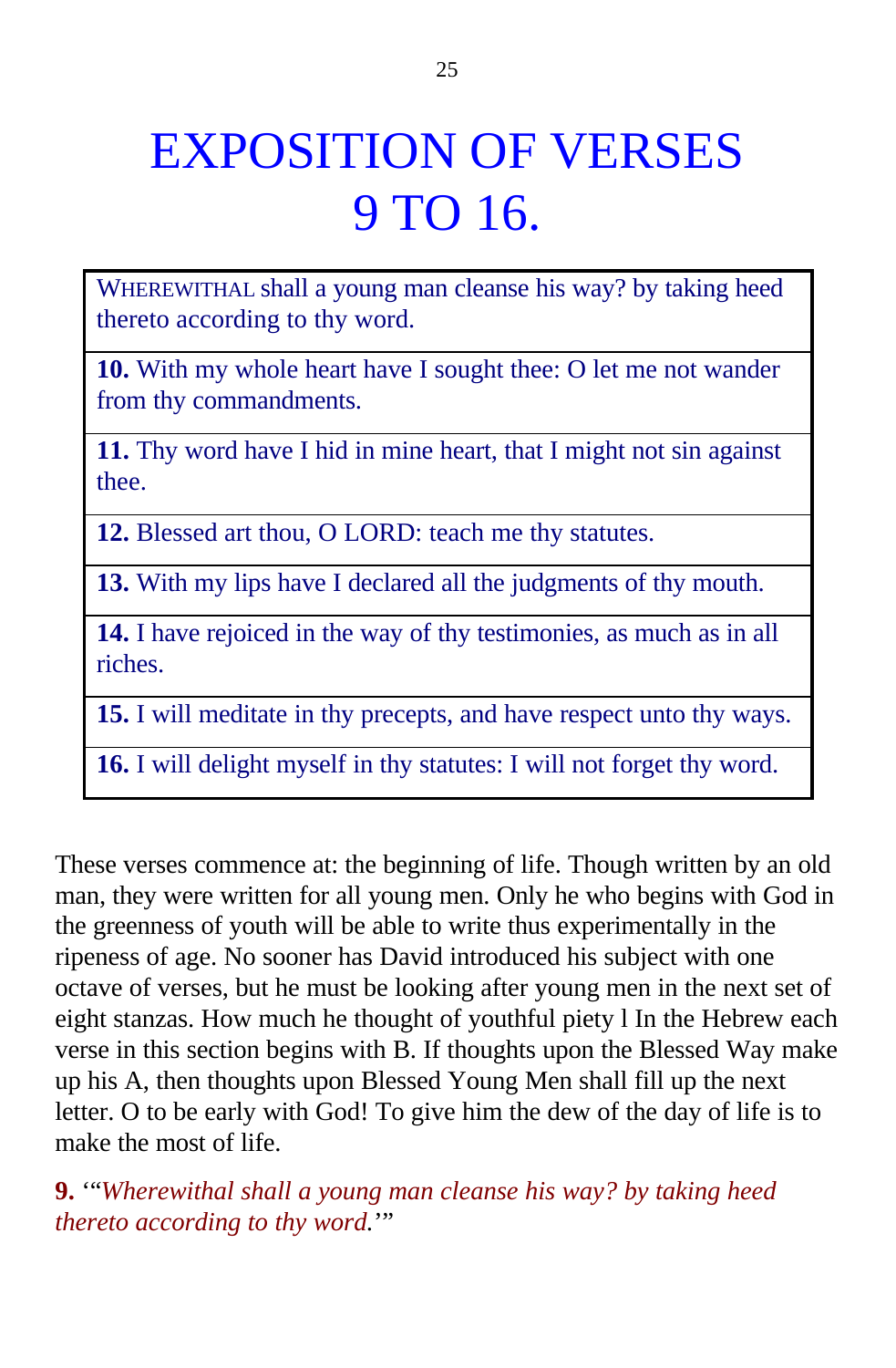# EXPOSITION OF VERSES 9 TO 16.

WHEREWITHAL shall a young man cleanse his way? by taking heed thereto according to thy word.

**10.** With my whole heart have I sought thee: O let me not wander from thy commandments.

**11.** Thy word have I hid in mine heart, that I might not sin against thee.

**12.** Blessed art thou, O LORD: teach me thy statutes.

**13.** With my lips have I declared all the judgments of thy mouth.

**14.** I have rejoiced in the way of thy testimonies, as much as in all riches.

**15.** I will meditate in thy precepts, and have respect unto thy ways.

**16.** I will delight myself in thy statutes: I will not forget thy word.

These verses commence at: the beginning of life. Though written by an old man, they were written for all young men. Only he who begins with God in the greenness of youth will be able to write thus experimentally in the ripeness of age. No sooner has David introduced his subject with one octave of verses, but he must be looking after young men in the next set of eight stanzas. How much he thought of youthful piety l In the Hebrew each verse in this section begins with B. If thoughts upon the Blessed Way make up his A, then thoughts upon Blessed Young Men shall fill up the next letter. O to be early with God! To give him the dew of the day of life is to make the most of life.

**9.** '"*Wherewithal shall a young man cleanse his way? by taking heed thereto according to thy word.*'"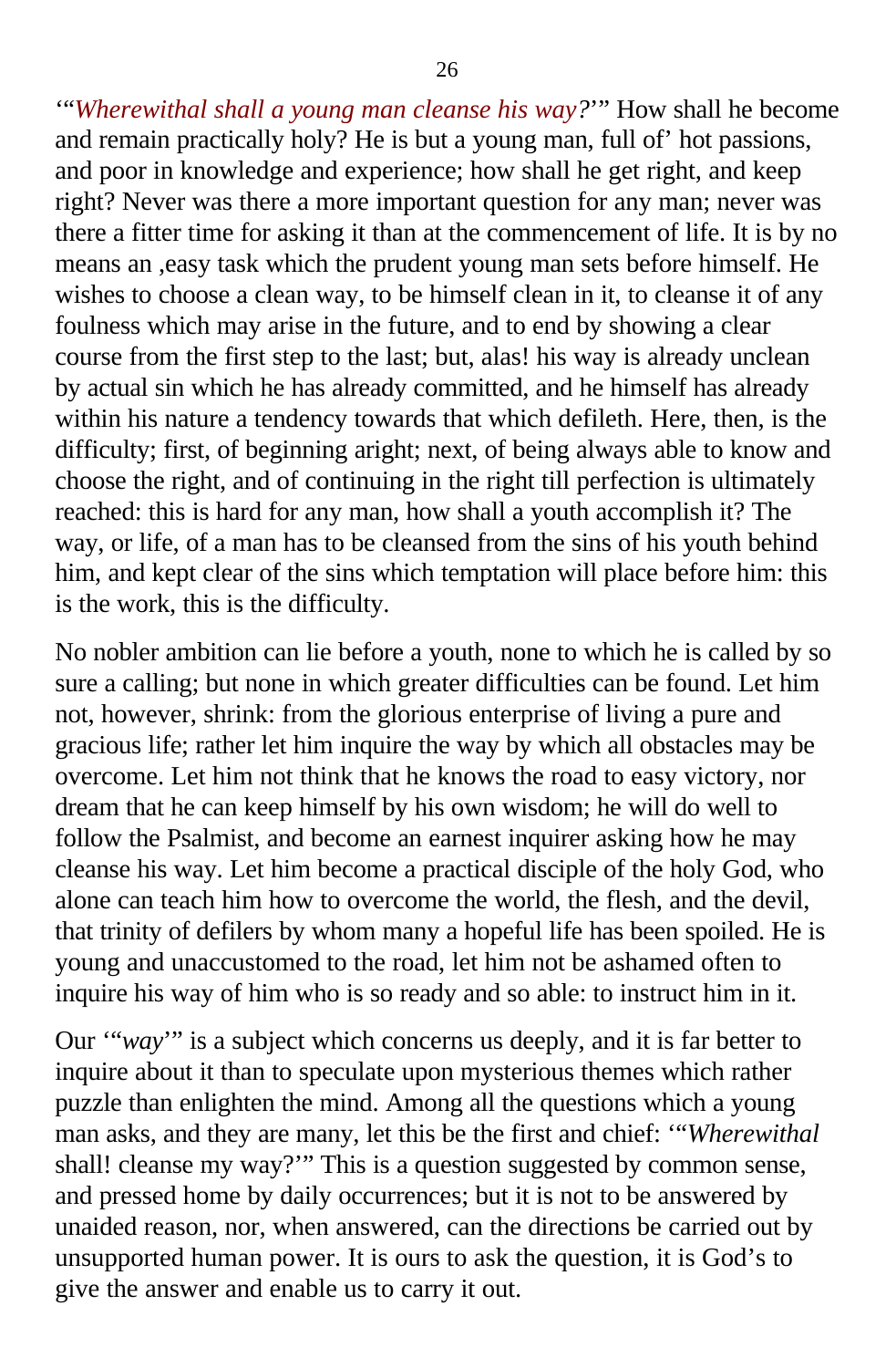'"*Wherewithal shall a young man cleanse his way?*'" How shall he become and remain practically holy? He is but a young man, full of' hot passions, and poor in knowledge and experience; how shall he get right, and keep right? Never was there a more important question for any man; never was there a fitter time for asking it than at the commencement of life. It is by no means an ,easy task which the prudent young man sets before himself. He wishes to choose a clean way, to be himself clean in it, to cleanse it of any foulness which may arise in the future, and to end by showing a clear course from the first step to the last; but, alas! his way is already unclean by actual sin which he has already committed, and he himself has already within his nature a tendency towards that which defileth. Here, then, is the difficulty; first, of beginning aright; next, of being always able to know and choose the right, and of continuing in the right till perfection is ultimately reached: this is hard for any man, how shall a youth accomplish it? The way, or life, of a man has to be cleansed from the sins of his youth behind him, and kept clear of the sins which temptation will place before him: this is the work, this is the difficulty.

No nobler ambition can lie before a youth, none to which he is called by so sure a calling; but none in which greater difficulties can be found. Let him not, however, shrink: from the glorious enterprise of living a pure and gracious life; rather let him inquire the way by which all obstacles may be overcome. Let him not think that he knows the road to easy victory, nor dream that he can keep himself by his own wisdom; he will do well to follow the Psalmist, and become an earnest inquirer asking how he may cleanse his way. Let him become a practical disciple of the holy God, who alone can teach him how to overcome the world, the flesh, and the devil, that trinity of defilers by whom many a hopeful life has been spoiled. He is young and unaccustomed to the road, let him not be ashamed often to inquire his way of him who is so ready and so able: to instruct him in it.

Our '"*way*'" is a subject which concerns us deeply, and it is far better to inquire about it than to speculate upon mysterious themes which rather puzzle than enlighten the mind. Among all the questions which a young man asks, and they are many, let this be the first and chief: '"*Wherewithal* shall! cleanse my way?'" This is a question suggested by common sense, and pressed home by daily occurrences; but it is not to be answered by unaided reason, nor, when answered, can the directions be carried out by unsupported human power. It is ours to ask the question, it is God's to give the answer and enable us to carry it out.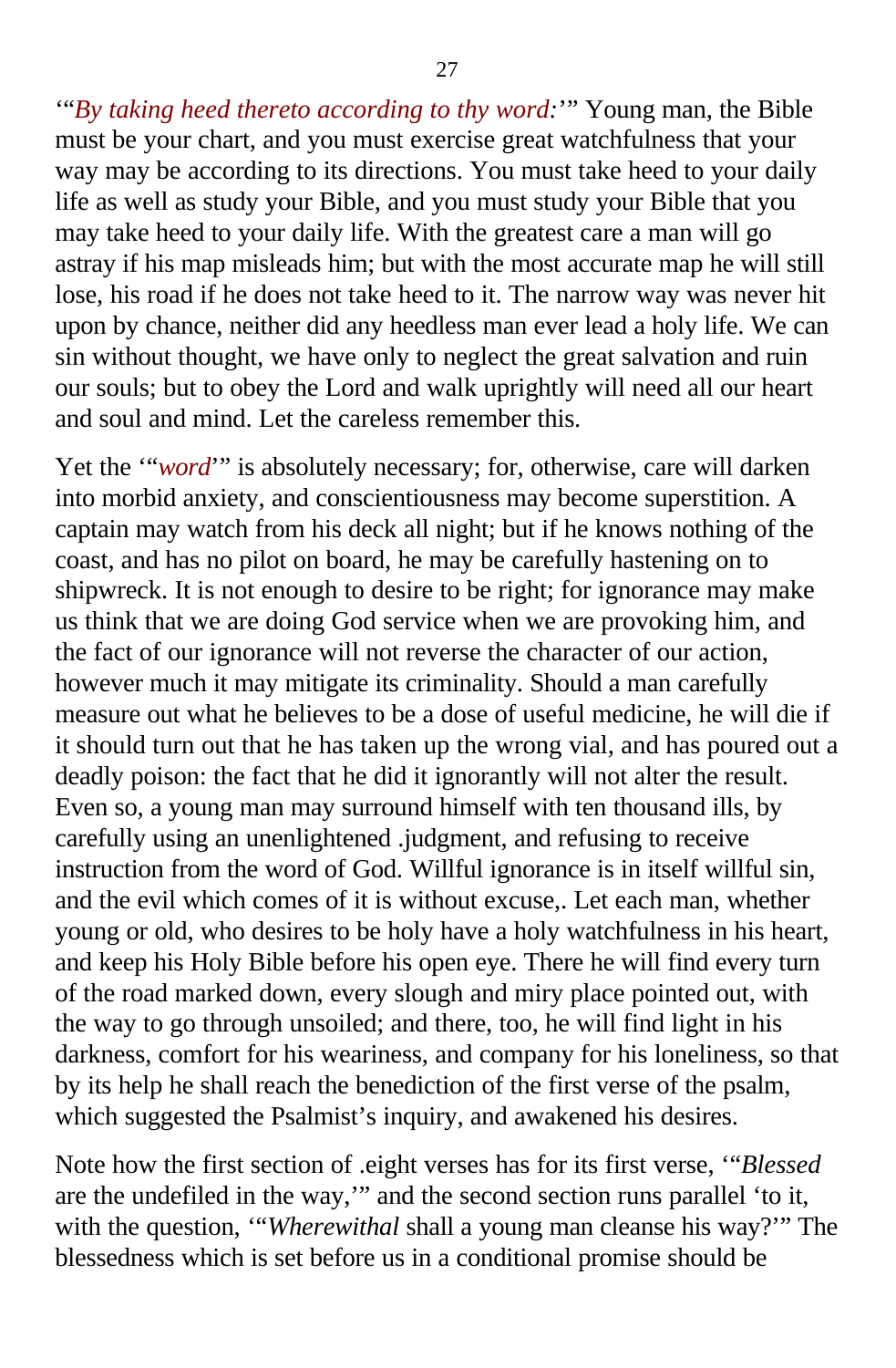'"*By taking heed thereto according to thy word:*'" Young man, the Bible must be your chart, and you must exercise great watchfulness that your way may be according to its directions. You must take heed to your daily life as well as study your Bible, and you must study your Bible that you may take heed to your daily life. With the greatest care a man will go astray if his map misleads him; but with the most accurate map he will still lose, his road if he does not take heed to it. The narrow way was never hit upon by chance, neither did any heedless man ever lead a holy life. We can sin without thought, we have only to neglect the great salvation and ruin our souls; but to obey the Lord and walk uprightly will need all our heart and soul and mind. Let the careless remember this.

Yet the '"*word*'" is absolutely necessary; for, otherwise, care will darken into morbid anxiety, and conscientiousness may become superstition. A captain may watch from his deck all night; but if he knows nothing of the coast, and has no pilot on board, he may be carefully hastening on to shipwreck. It is not enough to desire to be right; for ignorance may make us think that we are doing God service when we are provoking him, and the fact of our ignorance will not reverse the character of our action, however much it may mitigate its criminality. Should a man carefully measure out what he believes to be a dose of useful medicine, he will die if it should turn out that he has taken up the wrong vial, and has poured out a deadly poison: the fact that he did it ignorantly will not alter the result. Even so, a young man may surround himself with ten thousand ills, by carefully using an unenlightened .judgment, and refusing to receive instruction from the word of God. Willful ignorance is in itself willful sin, and the evil which comes of it is without excuse,. Let each man, whether young or old, who desires to be holy have a holy watchfulness in his heart, and keep his Holy Bible before his open eye. There he will find every turn of the road marked down, every slough and miry place pointed out, with the way to go through unsoiled; and there, too, he will find light in his darkness, comfort for his weariness, and company for his loneliness, so that by its help he shall reach the benediction of the first verse of the psalm, which suggested the Psalmist's inquiry, and awakened his desires.

Note how the first section of .eight verses has for its first verse, '"*Blessed* are the undefiled in the way,'" and the second section runs parallel 'to it, with the question, '"*Wherewithal* shall a young man cleanse his way?'" The blessedness which is set before us in a conditional promise should be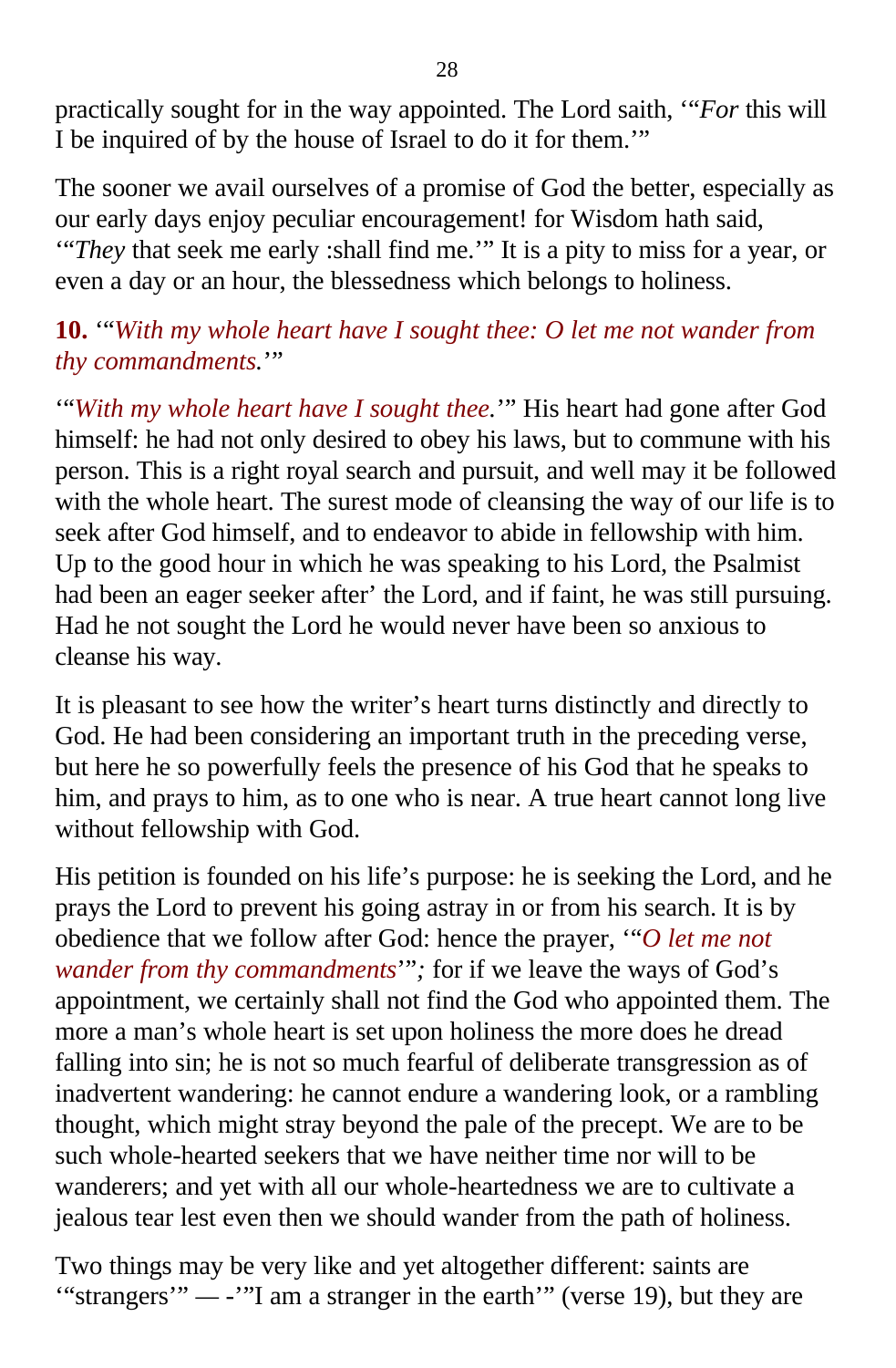practically sought for in the way appointed. The Lord saith, '"*For* this will I be inquired of by the house of Israel to do it for them.'"

The sooner we avail ourselves of a promise of God the better, especially as our early days enjoy peculiar encouragement! for Wisdom hath said, '"*They* that seek me early :shall find me.'" It is a pity to miss for a year, or even a day or an hour, the blessedness which belongs to holiness.

#### **10.** '"*With my whole heart have I sought thee: O let me not wander from thy commandments.*"

'"*With my whole heart have I sought thee.*'" His heart had gone after God himself: he had not only desired to obey his laws, but to commune with his person. This is a right royal search and pursuit, and well may it be followed with the whole heart. The surest mode of cleansing the way of our life is to seek after God himself, and to endeavor to abide in fellowship with him. Up to the good hour in which he was speaking to his Lord, the Psalmist had been an eager seeker after' the Lord, and if faint, he was still pursuing. Had he not sought the Lord he would never have been so anxious to cleanse his way.

It is pleasant to see how the writer's heart turns distinctly and directly to God. He had been considering an important truth in the preceding verse, but here he so powerfully feels the presence of his God that he speaks to him, and prays to him, as to one who is near. A true heart cannot long live without fellowship with God.

His petition is founded on his life's purpose: he is seeking the Lord, and he prays the Lord to prevent his going astray in or from his search. It is by obedience that we follow after God: hence the prayer, '"*O let me not wander from thy commandments*'"*;* for if we leave the ways of God's appointment, we certainly shall not find the God who appointed them. The more a man's whole heart is set upon holiness the more does he dread falling into sin; he is not so much fearful of deliberate transgression as of inadvertent wandering: he cannot endure a wandering look, or a rambling thought, which might stray beyond the pale of the precept. We are to be such whole-hearted seekers that we have neither time nor will to be wanderers; and yet with all our whole-heartedness we are to cultivate a jealous tear lest even then we should wander from the path of holiness.

Two things may be very like and yet altogether different: saints are '"strangers'" *— -*'"I am a stranger in the earth'" (verse 19), but they are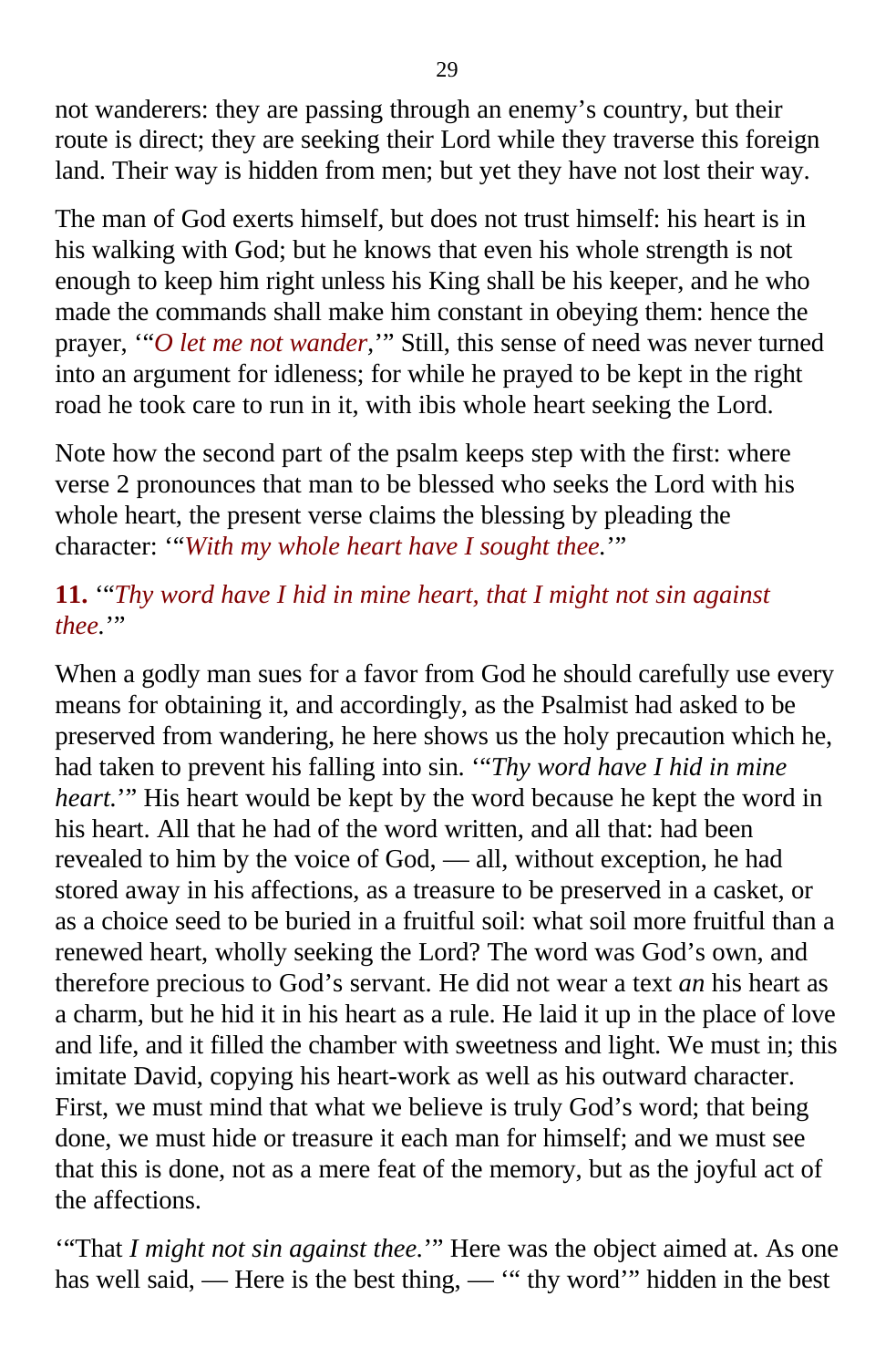not wanderers: they are passing through an enemy's country, but their route is direct; they are seeking their Lord while they traverse this foreign land. Their way is hidden from men; but yet they have not lost their way.

The man of God exerts himself, but does not trust himself: his heart is in his walking with God; but he knows that even his whole strength is not enough to keep him right unless his King shall be his keeper, and he who made the commands shall make him constant in obeying them: hence the prayer, '"*O let me not wander,*'" Still, this sense of need was never turned into an argument for idleness; for while he prayed to be kept in the right road he took care to run in it, with ibis whole heart seeking the Lord.

Note how the second part of the psalm keeps step with the first: where verse 2 pronounces that man to be blessed who seeks the Lord with his whole heart, the present verse claims the blessing by pleading the character: '"*With my whole heart have I sought thee.*'"

#### **11.** '"*Thy word have I hid in mine heart, that I might not sin against thee.*'"

When a godly man sues for a favor from God he should carefully use every means for obtaining it, and accordingly, as the Psalmist had asked to be preserved from wandering, he here shows us the holy precaution which he, had taken to prevent his falling into sin. '"*Thy word have I hid in mine heart.*'" His heart would be kept by the word because he kept the word in his heart. All that he had of the word written, and all that: had been revealed to him by the voice of God, — all, without exception, he had stored away in his affections, as a treasure to be preserved in a casket, or as a choice seed to be buried in a fruitful soil: what soil more fruitful than a renewed heart, wholly seeking the Lord? The word was God's own, and therefore precious to God's servant. He did not wear a text *an* his heart as a charm, but he hid it in his heart as a rule. He laid it up in the place of love and life, and it filled the chamber with sweetness and light. We must in; this imitate David, copying his heart-work as well as his outward character. First, we must mind that what we believe is truly God's word; that being done, we must hide or treasure it each man for himself; and we must see that this is done, not as a mere feat of the memory, but as the joyful act of the affections.

'"That *I might not sin against thee.*'" Here was the object aimed at. As one has well said, — Here is the best thing, — '" thy word'" hidden in the best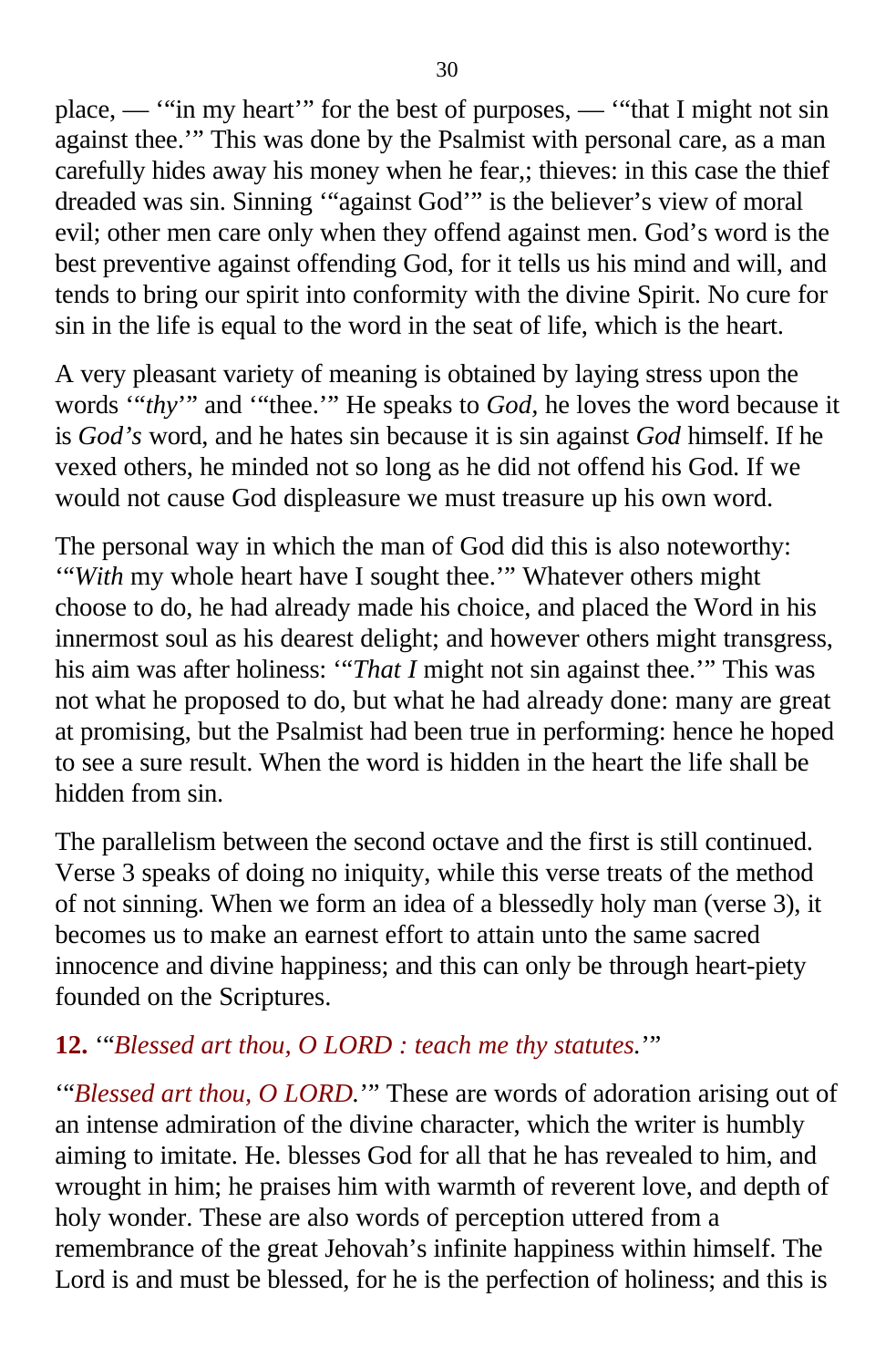place, — '"in my heart'" for the best of purposes, — '"that I might not sin against thee.'" This was done by the Psalmist with personal care, as a man carefully hides away his money when he fear,; thieves: in this case the thief dreaded was sin. Sinning '"against God'" is the believer's view of moral evil; other men care only when they offend against men. God's word is the best preventive against offending God, for it tells us his mind and will, and tends to bring our spirit into conformity with the divine Spirit. No cure for sin in the life is equal to the word in the seat of life, which is the heart.

A very pleasant variety of meaning is obtained by laying stress upon the words '"*thy*'" and '"thee.'" He speaks to *God,* he loves the word because it is *God's* word, and he hates sin because it is sin against *God* himself. If he vexed others, he minded not so long as he did not offend his God. If we would not cause God displeasure we must treasure up his own word.

The personal way in which the man of God did this is also noteworthy: '"*With* my whole heart have I sought thee.'" Whatever others might choose to do, he had already made his choice, and placed the Word in his innermost soul as his dearest delight; and however others might transgress, his aim was after holiness: '"*That I* might not sin against thee.'" This was not what he proposed to do, but what he had already done: many are great at promising, but the Psalmist had been true in performing: hence he hoped to see a sure result. When the word is hidden in the heart the life shall be hidden from sin.

The parallelism between the second octave and the first is still continued. Verse 3 speaks of doing no iniquity, while this verse treats of the method of not sinning. When we form an idea of a blessedly holy man (verse 3), it becomes us to make an earnest effort to attain unto the same sacred innocence and divine happiness; and this can only be through heart-piety founded on the Scriptures.

#### **12.** '"*Blessed art thou, O LORD : teach me thy statutes.*'"

'"*Blessed art thou, O LORD.*'" These are words of adoration arising out of an intense admiration of the divine character, which the writer is humbly aiming to imitate. He. blesses God for all that he has revealed to him, and wrought in him; he praises him with warmth of reverent love, and depth of holy wonder. These are also words of perception uttered from a remembrance of the great Jehovah's infinite happiness within himself. The Lord is and must be blessed, for he is the perfection of holiness; and this is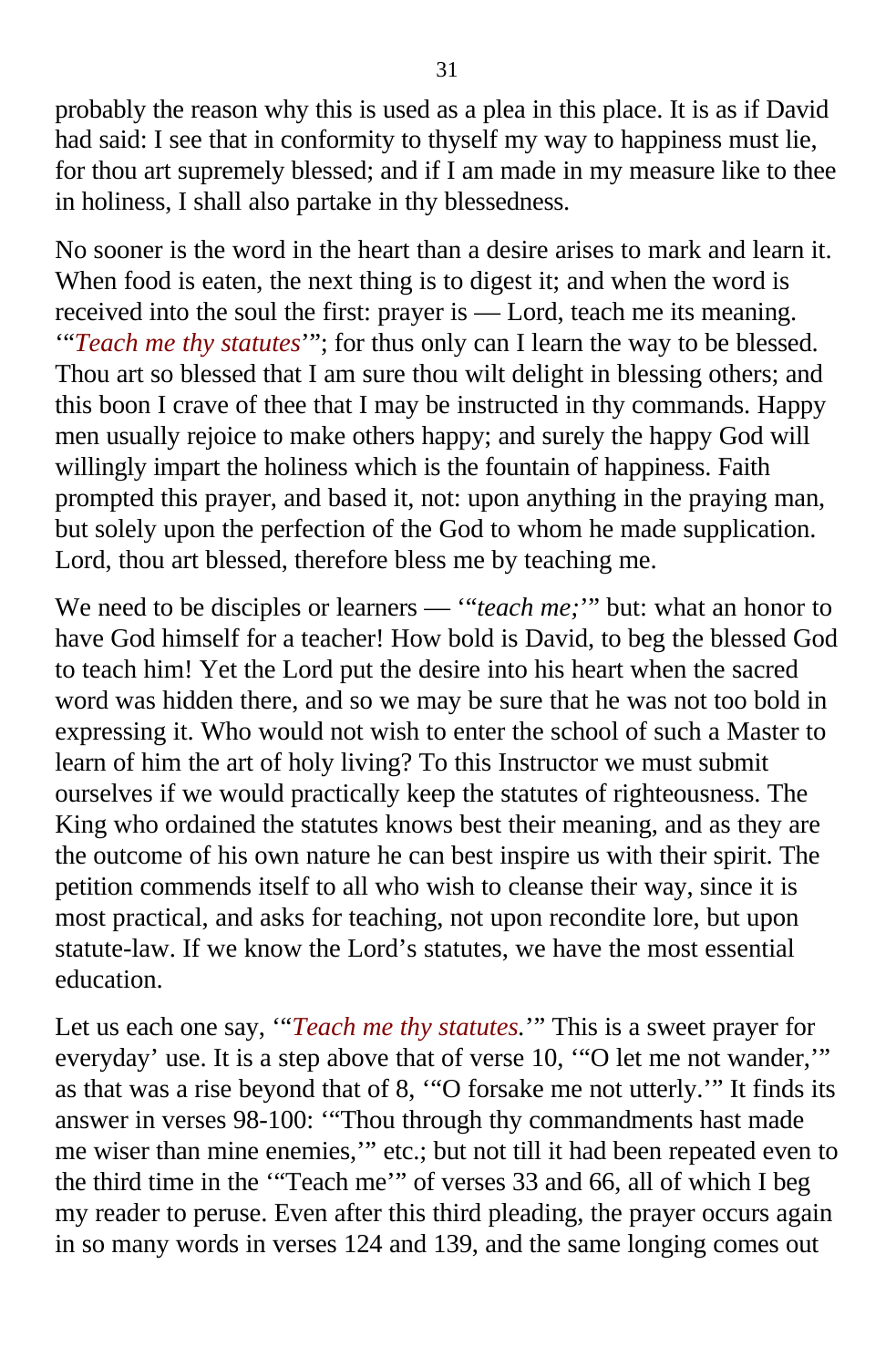probably the reason why this is used as a plea in this place. It is as if David had said: I see that in conformity to thyself my way to happiness must lie, for thou art supremely blessed; and if I am made in my measure like to thee in holiness, I shall also partake in thy blessedness.

No sooner is the word in the heart than a desire arises to mark and learn it. When food is eaten, the next thing is to digest it; and when the word is received into the soul the first: prayer is — Lord, teach me its meaning. '"*Teach me thy statutes*'"; for thus only can I learn the way to be blessed. Thou art so blessed that I am sure thou wilt delight in blessing others; and this boon I crave of thee that I may be instructed in thy commands. Happy men usually rejoice to make others happy; and surely the happy God will willingly impart the holiness which is the fountain of happiness. Faith prompted this prayer, and based it, not: upon anything in the praying man, but solely upon the perfection of the God to whom he made supplication. Lord, thou art blessed, therefore bless me by teaching me.

We need to be disciples or learners — "*'teach me*;" but: what an honor to have God himself for a teacher! How bold is David, to beg the blessed God to teach him! Yet the Lord put the desire into his heart when the sacred word was hidden there, and so we may be sure that he was not too bold in expressing it. Who would not wish to enter the school of such a Master to learn of him the art of holy living? To this Instructor we must submit ourselves if we would practically keep the statutes of righteousness. The King who ordained the statutes knows best their meaning, and as they are the outcome of his own nature he can best inspire us with their spirit. The petition commends itself to all who wish to cleanse their way, since it is most practical, and asks for teaching, not upon recondite lore, but upon statute-law. If we know the Lord's statutes, we have the most essential education.

Let us each one say, '"*Teach me thy statutes.*'" This is a sweet prayer for everyday' use. It is a step above that of verse 10, '"O let me not wander,'" as that was a rise beyond that of 8, '"O forsake me not utterly.'" It finds its answer in verses 98-100: '"Thou through thy commandments hast made me wiser than mine enemies,'" etc.; but not till it had been repeated even to the third time in the '"Teach me'" of verses 33 and 66, all of which I beg my reader to peruse. Even after this third pleading, the prayer occurs again in so many words in verses 124 and 139, and the same longing comes out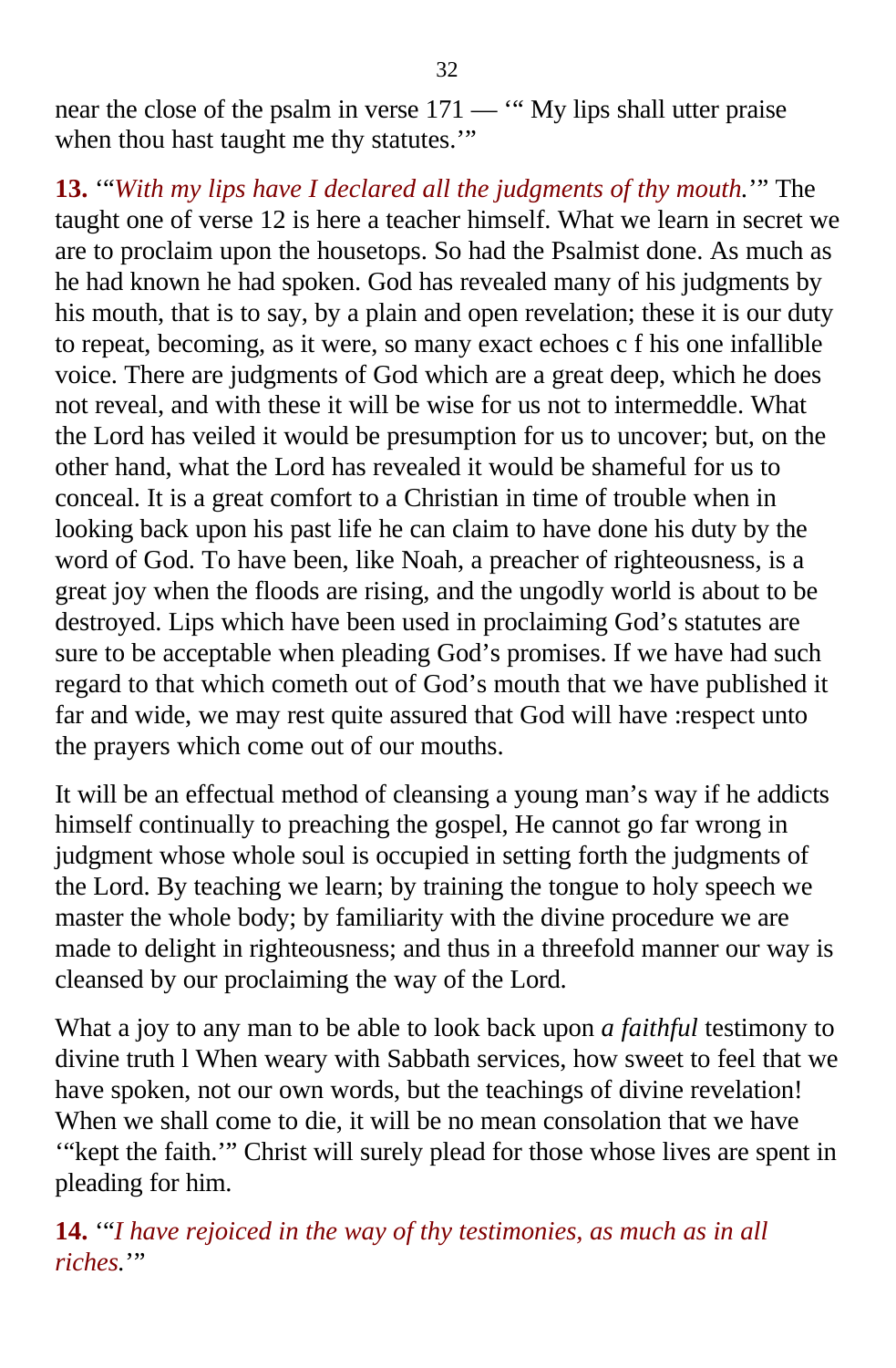near the close of the psalm in verse 171 — '" My lips shall utter praise when thou hast taught me thy statutes."

**13.** '"*With my lips have I declared all the judgments of thy mouth.*'" The taught one of verse 12 is here a teacher himself. What we learn in secret we are to proclaim upon the housetops. So had the Psalmist done. As much as he had known he had spoken. God has revealed many of his judgments by his mouth, that is to say, by a plain and open revelation; these it is our duty to repeat, becoming, as it were, so many exact echoes c f his one infallible voice. There are judgments of God which are a great deep, which he does not reveal, and with these it will be wise for us not to intermeddle. What the Lord has veiled it would be presumption for us to uncover; but, on the other hand, what the Lord has revealed it would be shameful for us to conceal. It is a great comfort to a Christian in time of trouble when in looking back upon his past life he can claim to have done his duty by the word of God. To have been, like Noah, a preacher of righteousness, is a great joy when the floods are rising, and the ungodly world is about to be destroyed. Lips which have been used in proclaiming God's statutes are sure to be acceptable when pleading God's promises. If we have had such regard to that which cometh out of God's mouth that we have published it far and wide, we may rest quite assured that God will have :respect unto the prayers which come out of our mouths.

It will be an effectual method of cleansing a young man's way if he addicts himself continually to preaching the gospel, He cannot go far wrong in judgment whose whole soul is occupied in setting forth the judgments of the Lord. By teaching we learn; by training the tongue to holy speech we master the whole body; by familiarity with the divine procedure we are made to delight in righteousness; and thus in a threefold manner our way is cleansed by our proclaiming the way of the Lord.

What a joy to any man to be able to look back upon *a faithful* testimony to divine truth l When weary with Sabbath services, how sweet to feel that we have spoken, not our own words, but the teachings of divine revelation! When we shall come to die, it will be no mean consolation that we have '"kept the faith.'" Christ will surely plead for those whose lives are spent in pleading for him.

**14.** '"*I have rejoiced in the way of thy testimonies, as much as in all riches.*'"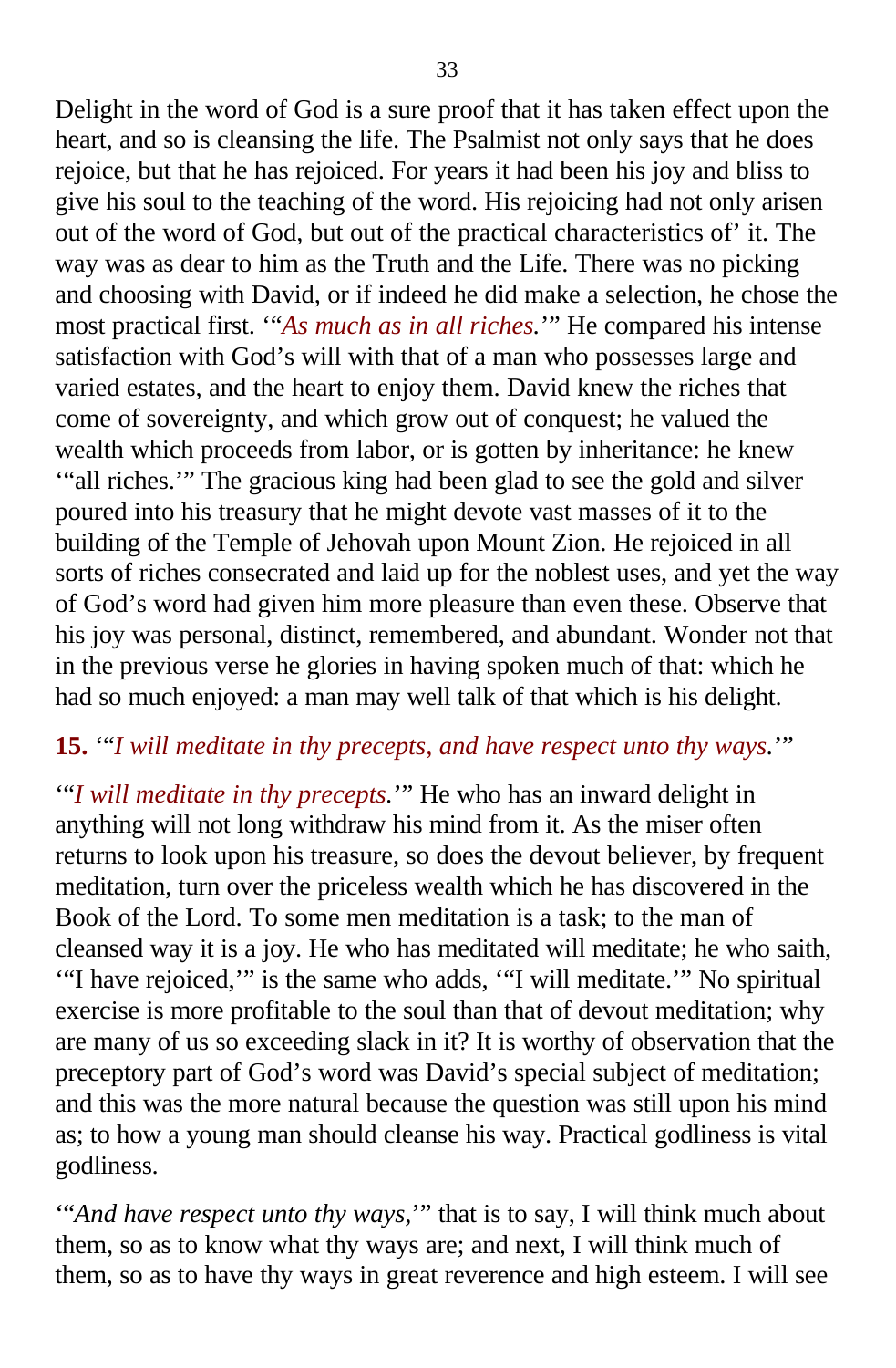Delight in the word of God is a sure proof that it has taken effect upon the heart, and so is cleansing the life. The Psalmist not only says that he does rejoice, but that he has rejoiced. For years it had been his joy and bliss to give his soul to the teaching of the word. His rejoicing had not only arisen out of the word of God, but out of the practical characteristics of' it. The way was as dear to him as the Truth and the Life. There was no picking and choosing with David, or if indeed he did make a selection, he chose the most practical first. '"*As much as in all riches.*'" He compared his intense satisfaction with God's will with that of a man who possesses large and varied estates, and the heart to enjoy them. David knew the riches that come of sovereignty, and which grow out of conquest; he valued the wealth which proceeds from labor, or is gotten by inheritance: he knew '"all riches.'" The gracious king had been glad to see the gold and silver poured into his treasury that he might devote vast masses of it to the building of the Temple of Jehovah upon Mount Zion. He rejoiced in all sorts of riches consecrated and laid up for the noblest uses, and yet the way of God's word had given him more pleasure than even these. Observe that his joy was personal, distinct, remembered, and abundant. Wonder not that in the previous verse he glories in having spoken much of that: which he had so much enjoyed: a man may well talk of that which is his delight.

#### **15.** '"*I will meditate in thy precepts, and have respect unto thy ways.*'"

'"*I will meditate in thy precepts.*'" He who has an inward delight in anything will not long withdraw his mind from it. As the miser often returns to look upon his treasure, so does the devout believer, by frequent meditation, turn over the priceless wealth which he has discovered in the Book of the Lord. To some men meditation is a task; to the man of cleansed way it is a joy. He who has meditated will meditate; he who saith, '"I have rejoiced,'" is the same who adds, '"I will meditate.'" No spiritual exercise is more profitable to the soul than that of devout meditation; why are many of us so exceeding slack in it? It is worthy of observation that the preceptory part of God's word was David's special subject of meditation; and this was the more natural because the question was still upon his mind as; to how a young man should cleanse his way. Practical godliness is vital godliness.

'"*And have respect unto thy ways,*'" that is to say, I will think much about them, so as to know what thy ways are; and next, I will think much of them, so as to have thy ways in great reverence and high esteem. I will see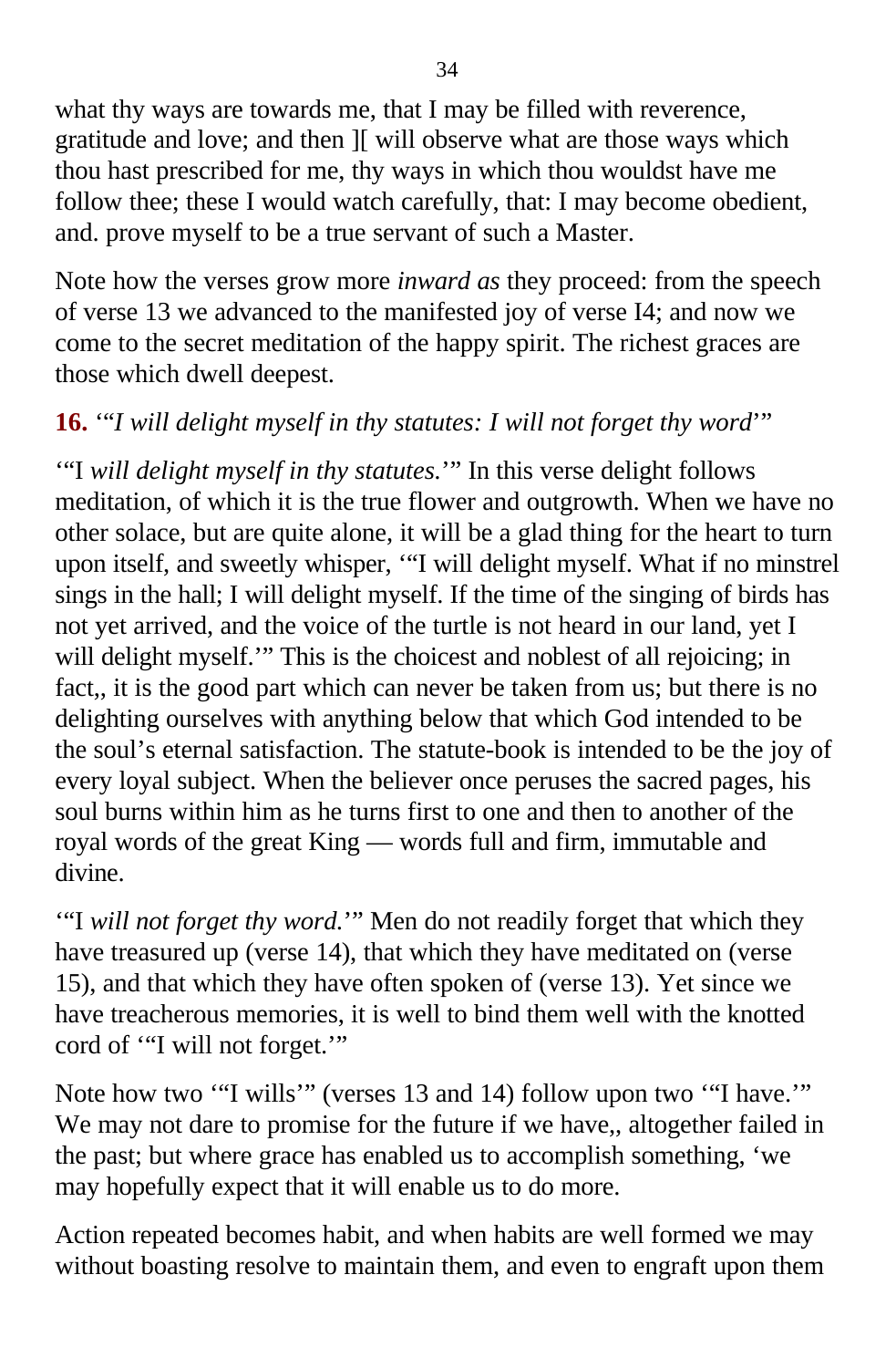what thy ways are towards me, that I may be filled with reverence, gratitude and love; and then ][ will observe what are those ways which thou hast prescribed for me, thy ways in which thou wouldst have me follow thee; these I would watch carefully, that: I may become obedient, and. prove myself to be a true servant of such a Master.

Note how the verses grow more *inward as* they proceed: from the speech of verse 13 we advanced to the manifested joy of verse I4; and now we come to the secret meditation of the happy spirit. The richest graces are those which dwell deepest.

#### **16.** '"*I will delight myself in thy statutes: I will not forget thy word*'"

'"I *will delight myself in thy statutes.*'" In this verse delight follows meditation, of which it is the true flower and outgrowth. When we have no other solace, but are quite alone, it will be a glad thing for the heart to turn upon itself, and sweetly whisper, '"I will delight myself. What if no minstrel sings in the hall; I will delight myself. If the time of the singing of birds has not yet arrived, and the voice of the turtle is not heard in our land, yet I will delight myself." This is the choicest and noblest of all rejoicing; in fact,, it is the good part which can never be taken from us; but there is no delighting ourselves with anything below that which God intended to be the soul's eternal satisfaction. The statute-book is intended to be the joy of every loyal subject. When the believer once peruses the sacred pages, his soul burns within him as he turns first to one and then to another of the royal words of the great King — words full and firm, immutable and divine.

'"I *will not forget thy word.*'" Men do not readily forget that which they have treasured up (verse 14), that which they have meditated on (verse 15), and that which they have often spoken of (verse 13). Yet since we have treacherous memories, it is well to bind them well with the knotted cord of '"I will not forget.'"

Note how two '"I wills'" (verses 13 and 14) follow upon two '"I have.'" We may not dare to promise for the future if we have,, altogether failed in the past; but where grace has enabled us to accomplish something, 'we may hopefully expect that it will enable us to do more.

Action repeated becomes habit, and when habits are well formed we may without boasting resolve to maintain them, and even to engraft upon them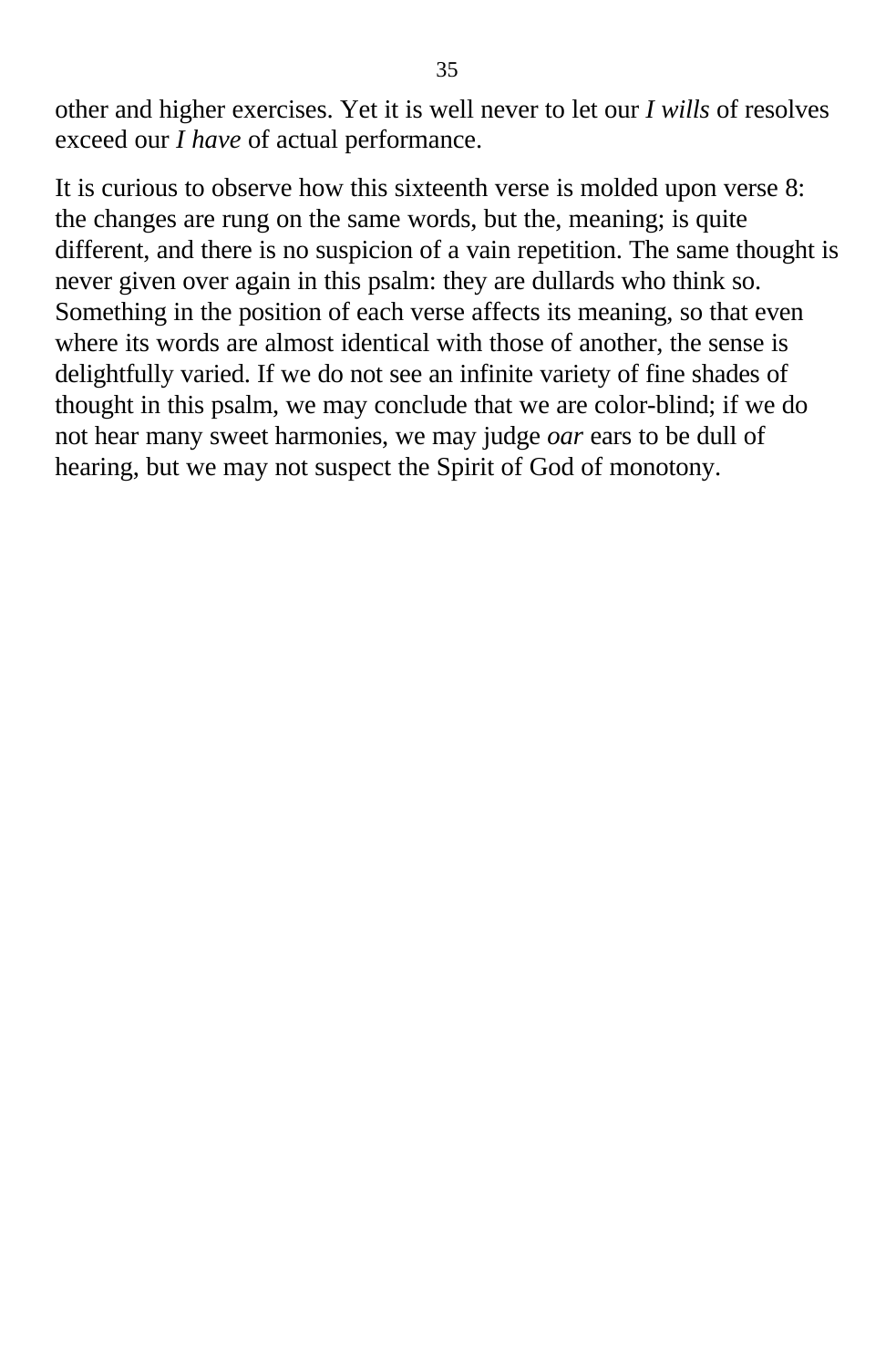other and higher exercises. Yet it is well never to let our *I wills* of resolves exceed our *I have* of actual performance.

It is curious to observe how this sixteenth verse is molded upon verse 8: the changes are rung on the same words, but the, meaning; is quite different, and there is no suspicion of a vain repetition. The same thought is never given over again in this psalm: they are dullards who think so. Something in the position of each verse affects its meaning, so that even where its words are almost identical with those of another, the sense is delightfully varied. If we do not see an infinite variety of fine shades of thought in this psalm, we may conclude that we are color-blind; if we do not hear many sweet harmonies, we may judge *oar* ears to be dull of hearing, but we may not suspect the Spirit of God of monotony.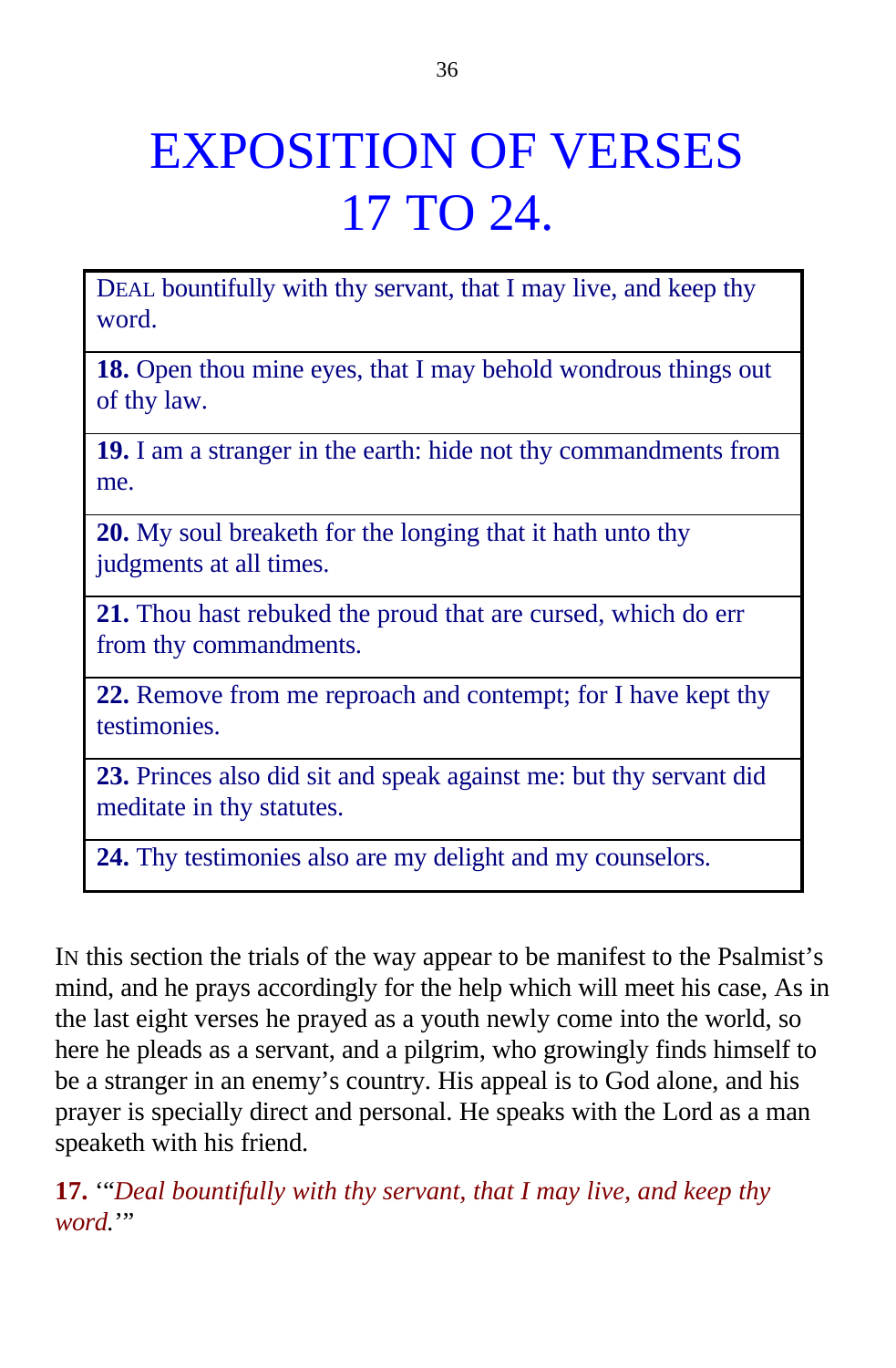# EXPOSITION OF VERSES 17 TO 24.

DEAL bountifully with thy servant, that I may live, and keep thy word.

**18.** Open thou mine eyes, that I may behold wondrous things out of thy law.

**19.** I am a stranger in the earth: hide not thy commandments from me.

**20.** My soul breaketh for the longing that it hath unto thy judgments at all times.

**21.** Thou hast rebuked the proud that are cursed, which do err from thy commandments.

**22.** Remove from me reproach and contempt; for I have kept thy testimonies.

**23.** Princes also did sit and speak against me: but thy servant did meditate in thy statutes.

**24.** Thy testimonies also are my delight and my counselors.

IN this section the trials of the way appear to be manifest to the Psalmist's mind, and he prays accordingly for the help which will meet his case, As in the last eight verses he prayed as a youth newly come into the world, so here he pleads as a servant, and a pilgrim, who growingly finds himself to be a stranger in an enemy's country. His appeal is to God alone, and his prayer is specially direct and personal. He speaks with the Lord as a man speaketh with his friend.

**17.** '"*Deal bountifully with thy servant, that I may live, and keep thy* word."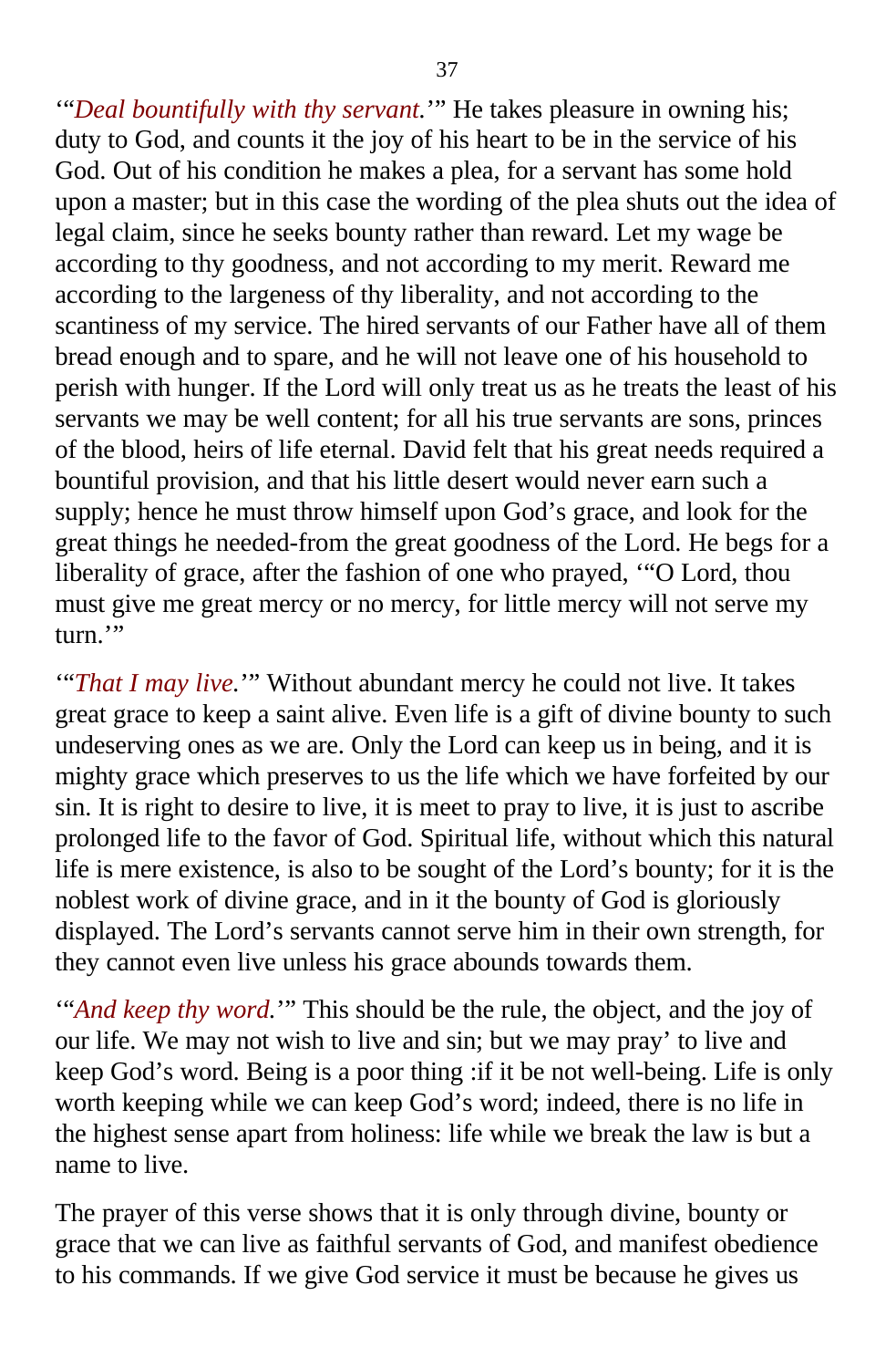'"*Deal bountifully with thy servant.*'" He takes pleasure in owning his; duty to God, and counts it the joy of his heart to be in the service of his God. Out of his condition he makes a plea, for a servant has some hold upon a master; but in this case the wording of the plea shuts out the idea of legal claim, since he seeks bounty rather than reward. Let my wage be according to thy goodness, and not according to my merit. Reward me according to the largeness of thy liberality, and not according to the scantiness of my service. The hired servants of our Father have all of them bread enough and to spare, and he will not leave one of his household to perish with hunger. If the Lord will only treat us as he treats the least of his servants we may be well content; for all his true servants are sons, princes of the blood, heirs of life eternal. David felt that his great needs required a bountiful provision, and that his little desert would never earn such a supply; hence he must throw himself upon God's grace, and look for the great things he needed-from the great goodness of the Lord. He begs for a liberality of grace, after the fashion of one who prayed, '"O Lord, thou must give me great mercy or no mercy, for little mercy will not serve my turn<sup>"</sup>

'"*That I may live.*'" Without abundant mercy he could not live. It takes great grace to keep a saint alive. Even life is a gift of divine bounty to such undeserving ones as we are. Only the Lord can keep us in being, and it is mighty grace which preserves to us the life which we have forfeited by our sin. It is right to desire to live, it is meet to pray to live, it is just to ascribe prolonged life to the favor of God. Spiritual life, without which this natural life is mere existence, is also to be sought of the Lord's bounty; for it is the noblest work of divine grace, and in it the bounty of God is gloriously displayed. The Lord's servants cannot serve him in their own strength, for they cannot even live unless his grace abounds towards them.

'"*And keep thy word.*'" This should be the rule, the object, and the joy of our life. We may not wish to live and sin; but we may pray' to live and keep God's word. Being is a poor thing :if it be not well-being. Life is only worth keeping while we can keep God's word; indeed, there is no life in the highest sense apart from holiness: life while we break the law is but a name to live.

The prayer of this verse shows that it is only through divine, bounty or grace that we can live as faithful servants of God, and manifest obedience to his commands. If we give God service it must be because he gives us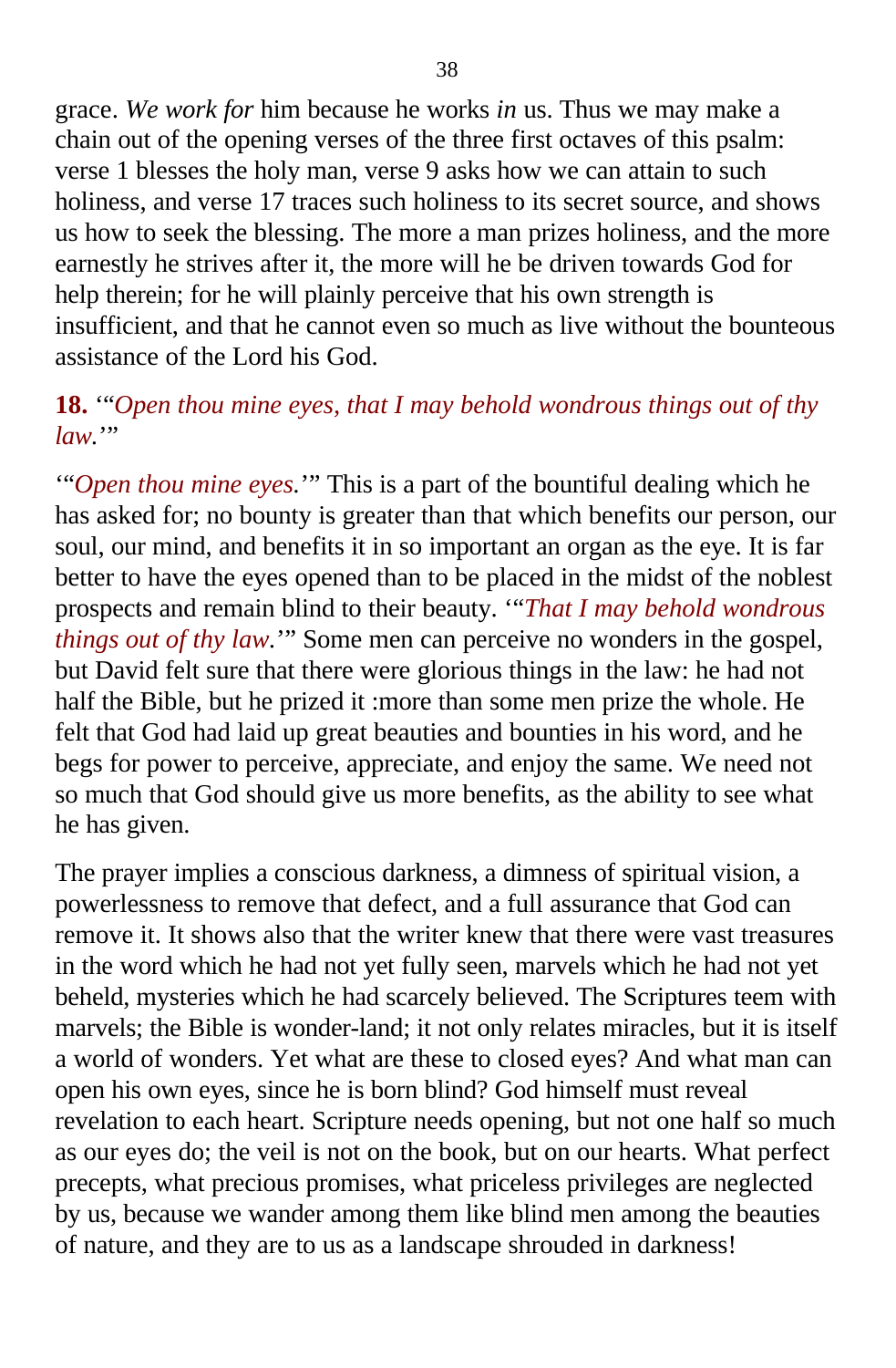grace. *We work for* him because he works *in* us. Thus we may make a chain out of the opening verses of the three first octaves of this psalm: verse 1 blesses the holy man, verse 9 asks how we can attain to such holiness, and verse 17 traces such holiness to its secret source, and shows us how to seek the blessing. The more a man prizes holiness, and the more earnestly he strives after it, the more will he be driven towards God for help therein; for he will plainly perceive that his own strength is insufficient, and that he cannot even so much as live without the bounteous assistance of the Lord his God.

#### **18.** '"*Open thou mine eyes, that I may behold wondrous things out of thy law.*'"

'"*Open thou mine eyes.*'" This is a part of the bountiful dealing which he has asked for; no bounty is greater than that which benefits our person, our soul, our mind, and benefits it in so important an organ as the eye. It is far better to have the eyes opened than to be placed in the midst of the noblest prospects and remain blind to their beauty. '"*That I may behold wondrous things out of thy law.*'" Some men can perceive no wonders in the gospel, but David felt sure that there were glorious things in the law: he had not half the Bible, but he prized it :more than some men prize the whole. He felt that God had laid up great beauties and bounties in his word, and he begs for power to perceive, appreciate, and enjoy the same. We need not so much that God should give us more benefits, as the ability to see what he has given.

The prayer implies a conscious darkness, a dimness of spiritual vision, a powerlessness to remove that defect, and a full assurance that God can remove it. It shows also that the writer knew that there were vast treasures in the word which he had not yet fully seen, marvels which he had not yet beheld, mysteries which he had scarcely believed. The Scriptures teem with marvels; the Bible is wonder-land; it not only relates miracles, but it is itself a world of wonders. Yet what are these to closed eyes? And what man can open his own eyes, since he is born blind? God himself must reveal revelation to each heart. Scripture needs opening, but not one half so much as our eyes do; the veil is not on the book, but on our hearts. What perfect precepts, what precious promises, what priceless privileges are neglected by us, because we wander among them like blind men among the beauties of nature, and they are to us as a landscape shrouded in darkness!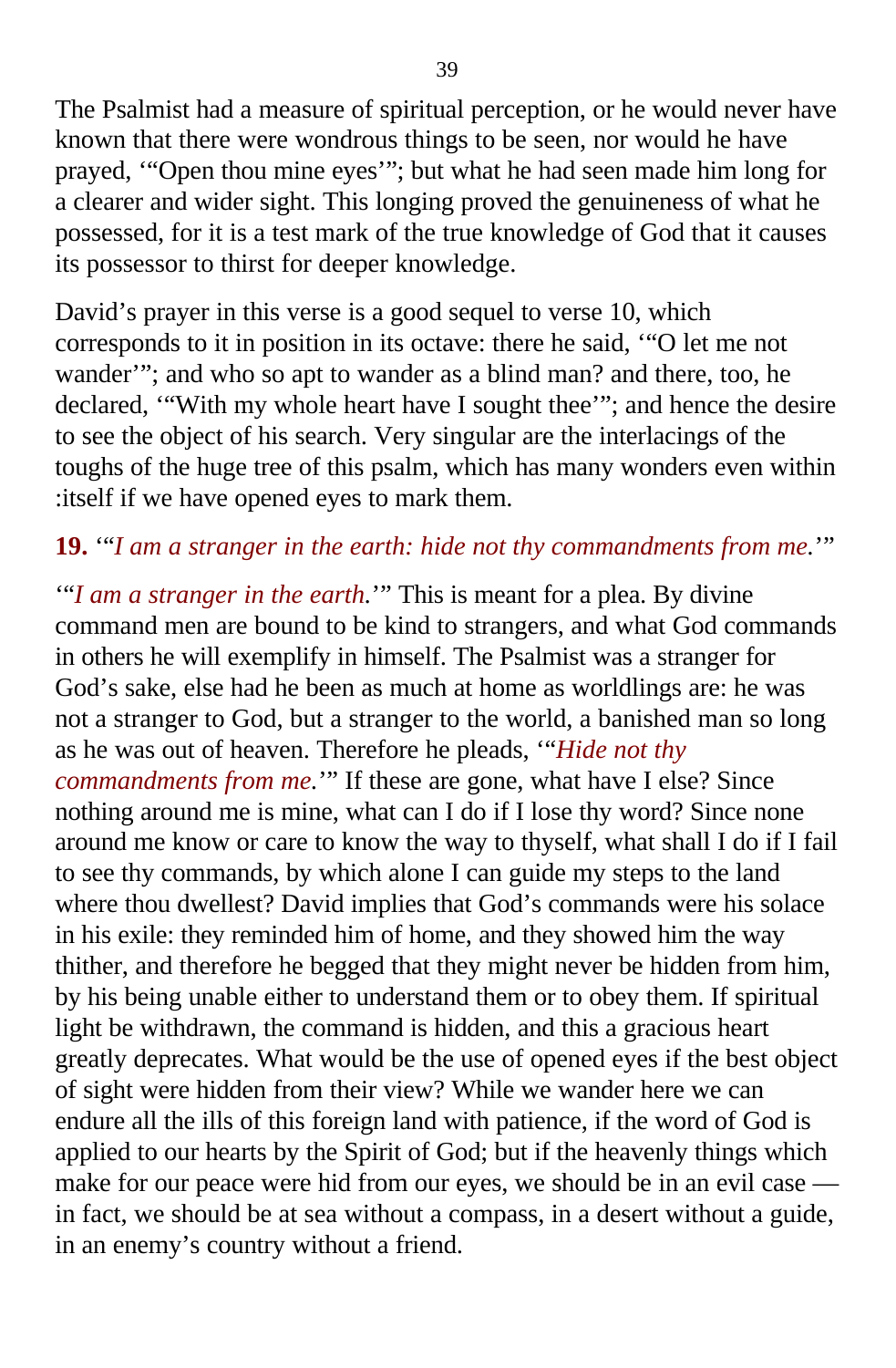The Psalmist had a measure of spiritual perception, or he would never have known that there were wondrous things to be seen, nor would he have prayed, '"Open thou mine eyes'"; but what he had seen made him long for a clearer and wider sight. This longing proved the genuineness of what he possessed, for it is a test mark of the true knowledge of God that it causes its possessor to thirst for deeper knowledge.

David's prayer in this verse is a good sequel to verse 10, which corresponds to it in position in its octave: there he said, '"O let me not wander'"; and who so apt to wander as a blind man? and there, too, he declared, '"With my whole heart have I sought thee'"; and hence the desire to see the object of his search. Very singular are the interlacings of the toughs of the huge tree of this psalm, which has many wonders even within :itself if we have opened eyes to mark them.

#### **19.** '"*I am a stranger in the earth: hide not thy commandments from me.*'"

'"*I am a stranger in the earth.*'" This is meant for a plea. By divine command men are bound to be kind to strangers, and what God commands in others he will exemplify in himself. The Psalmist was a stranger for God's sake, else had he been as much at home as worldlings are: he was not a stranger to God, but a stranger to the world, a banished man so long as he was out of heaven. Therefore he pleads, '"*Hide not thy commandments from me.*'" If these are gone, what have I else? Since nothing around me is mine, what can I do if I lose thy word? Since none around me know or care to know the way to thyself, what shall I do if I fail to see thy commands, by which alone I can guide my steps to the land where thou dwellest? David implies that God's commands were his solace in his exile: they reminded him of home, and they showed him the way thither, and therefore he begged that they might never be hidden from him, by his being unable either to understand them or to obey them. If spiritual light be withdrawn, the command is hidden, and this a gracious heart greatly deprecates. What would be the use of opened eyes if the best object of sight were hidden from their view? While we wander here we can endure all the ills of this foreign land with patience, if the word of God is applied to our hearts by the Spirit of God; but if the heavenly things which make for our peace were hid from our eyes, we should be in an evil case in fact, we should be at sea without a compass, in a desert without a guide, in an enemy's country without a friend.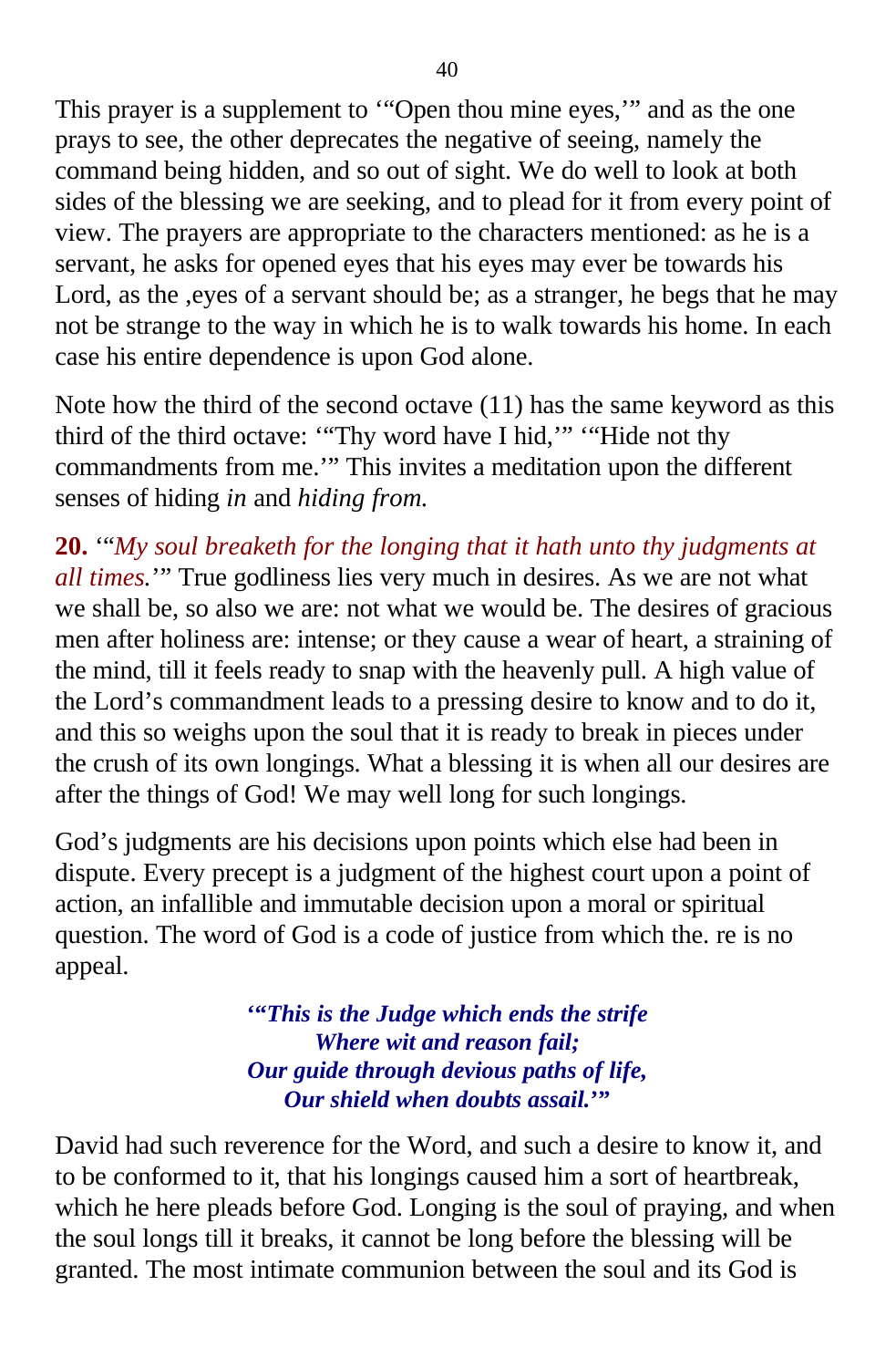This prayer is a supplement to '"Open thou mine eyes,'" and as the one prays to see, the other deprecates the negative of seeing, namely the command being hidden, and so out of sight. We do well to look at both sides of the blessing we are seeking, and to plead for it from every point of view. The prayers are appropriate to the characters mentioned: as he is a servant, he asks for opened eyes that his eyes may ever be towards his Lord, as the ,eyes of a servant should be; as a stranger, he begs that he may not be strange to the way in which he is to walk towards his home. In each case his entire dependence is upon God alone.

Note how the third of the second octave (11) has the same keyword as this third of the third octave: '"Thy word have I hid,'" '"Hide not thy commandments from me.'" This invites a meditation upon the different senses of hiding *in* and *hiding from.*

**20.** '"*My soul breaketh for the longing that it hath unto thy judgments at all times.*'" True godliness lies very much in desires. As we are not what we shall be, so also we are: not what we would be. The desires of gracious men after holiness are: intense; or they cause a wear of heart, a straining of the mind, till it feels ready to snap with the heavenly pull. A high value of the Lord's commandment leads to a pressing desire to know and to do it, and this so weighs upon the soul that it is ready to break in pieces under the crush of its own longings. What a blessing it is when all our desires are after the things of God! We may well long for such longings.

God's judgments are his decisions upon points which else had been in dispute. Every precept is a judgment of the highest court upon a point of action, an infallible and immutable decision upon a moral or spiritual question. The word of God is a code of justice from which the. re is no appeal.

> **'"***This is the Judge which ends the strife Where wit and reason fail; Our guide through devious paths of life, Our shield when doubts assail.*

David had such reverence for the Word, and such a desire to know it, and to be conformed to it, that his longings caused him a sort of heartbreak, which he here pleads before God. Longing is the soul of praying, and when the soul longs till it breaks, it cannot be long before the blessing will be granted. The most intimate communion between the soul and its God is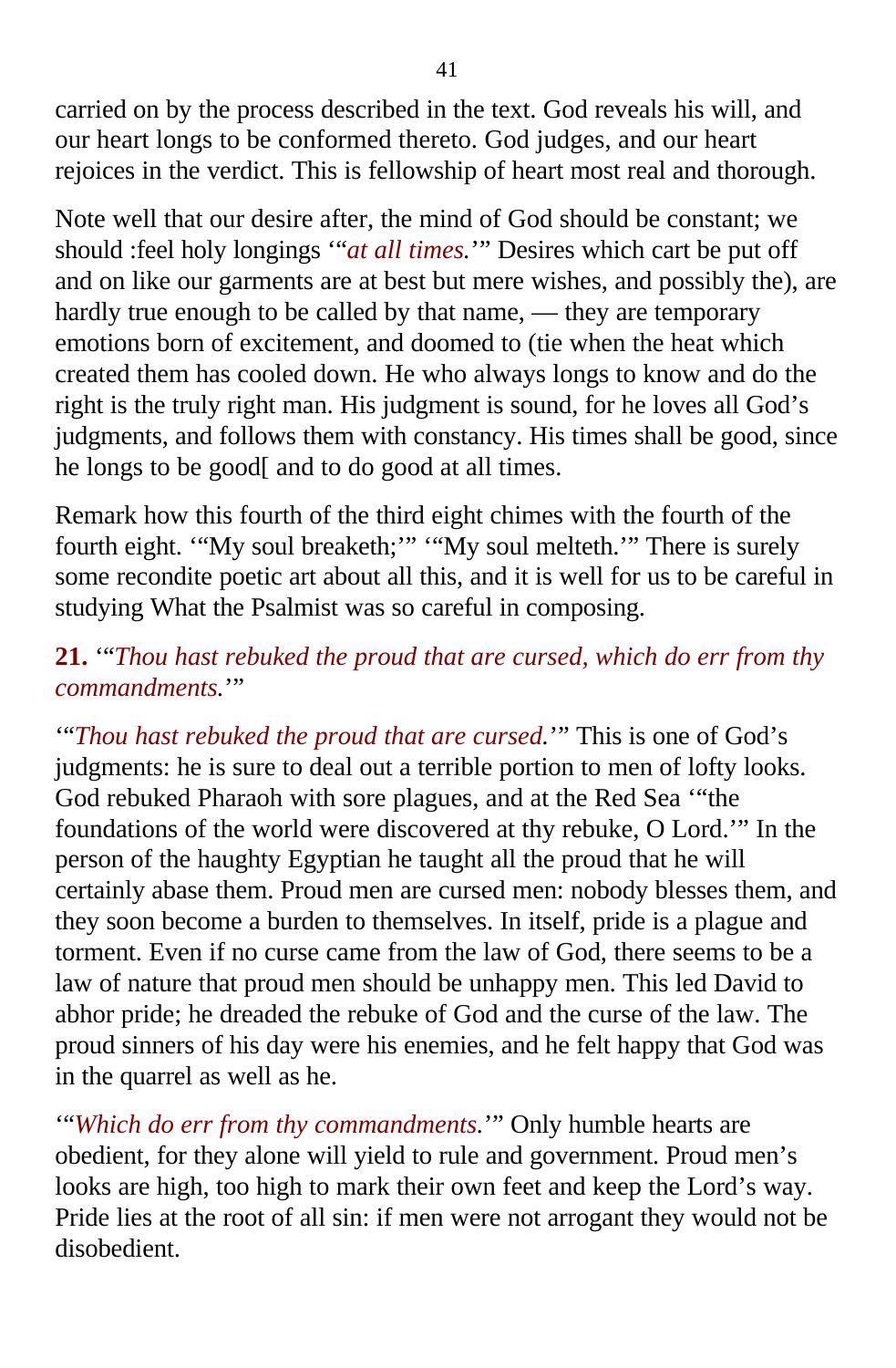carried on by the process described in the text. God reveals his will, and our heart longs to be conformed thereto. God judges, and our heart rejoices in the verdict. This is fellowship of heart most real and thorough.

Note well that our desire after, the mind of God should be constant; we should :feel holy longings '"*at all times.*'" Desires which cart be put off and on like our garments are at best but mere wishes, and possibly the), are hardly true enough to be called by that name, — they are temporary emotions born of excitement, and doomed to (tie when the heat which created them has cooled down. He who always longs to know and do the right is the truly right man. His judgment is sound, for he loves all God's judgments, and follows them with constancy. His times shall be good, since he longs to be good[ and to do good at all times.

Remark how this fourth of the third eight chimes with the fourth of the fourth eight. '"My soul breaketh;'" '"My soul melteth.'" There is surely some recondite poetic art about all this, and it is well for us to be careful in studying What the Psalmist was so careful in composing.

## **21.** '"*Thou hast rebuked the proud that are cursed, which do err from thy commandments.*'"

'"*Thou hast rebuked the proud that are cursed.*'" This is one of God's judgments: he is sure to deal out a terrible portion to men of lofty looks. God rebuked Pharaoh with sore plagues, and at the Red Sea '"the foundations of the world were discovered at thy rebuke, O Lord.'" In the person of the haughty Egyptian he taught all the proud that he will certainly abase them. Proud men are cursed men: nobody blesses them, and they soon become a burden to themselves. In itself, pride is a plague and torment. Even if no curse came from the law of God, there seems to be a law of nature that proud men should be unhappy men. This led David to abhor pride; he dreaded the rebuke of God and the curse of the law. The proud sinners of his day were his enemies, and he felt happy that God was in the quarrel as well as he.

'"*Which do err from thy commandments.*'" Only humble hearts are obedient, for they alone will yield to rule and government. Proud men's looks are high, too high to mark their own feet and keep the Lord's way. Pride lies at the root of all sin: if men were not arrogant they would not be disobedient.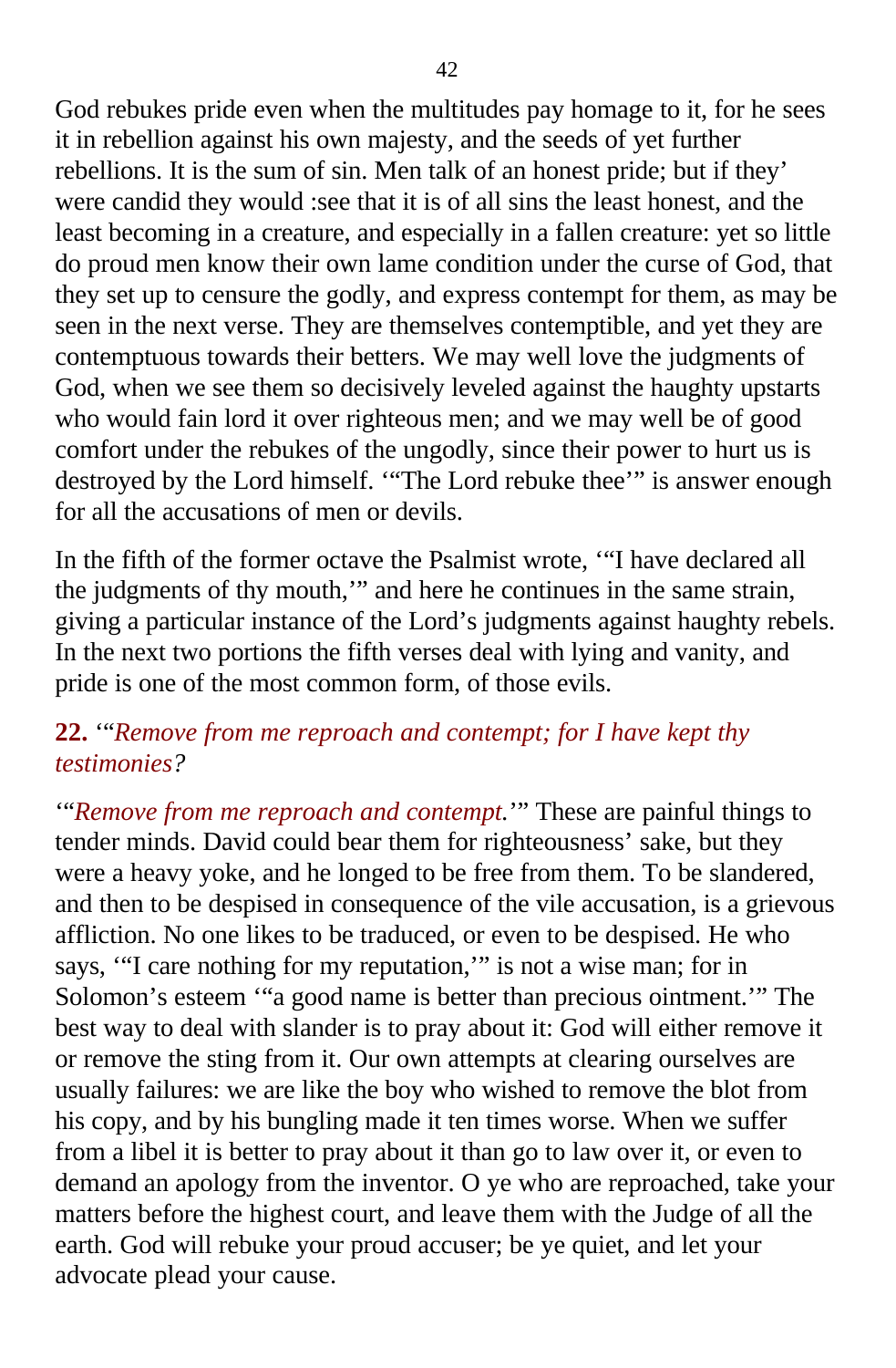God rebukes pride even when the multitudes pay homage to it, for he sees it in rebellion against his own majesty, and the seeds of yet further rebellions. It is the sum of sin. Men talk of an honest pride; but if they' were candid they would :see that it is of all sins the least honest, and the least becoming in a creature, and especially in a fallen creature: yet so little do proud men know their own lame condition under the curse of God, that they set up to censure the godly, and express contempt for them, as may be seen in the next verse. They are themselves contemptible, and yet they are contemptuous towards their betters. We may well love the judgments of God, when we see them so decisively leveled against the haughty upstarts who would fain lord it over righteous men; and we may well be of good comfort under the rebukes of the ungodly, since their power to hurt us is destroyed by the Lord himself. '"The Lord rebuke thee'" is answer enough for all the accusations of men or devils.

In the fifth of the former octave the Psalmist wrote, '"I have declared all the judgments of thy mouth,'" and here he continues in the same strain, giving a particular instance of the Lord's judgments against haughty rebels. In the next two portions the fifth verses deal with lying and vanity, and pride is one of the most common form, of those evils.

## **22.** '"*Remove from me reproach and contempt; for I have kept thy testimonies?*

'"*Remove from me reproach and contempt.*'" These are painful things to tender minds. David could bear them for righteousness' sake, but they were a heavy yoke, and he longed to be free from them. To be slandered, and then to be despised in consequence of the vile accusation, is a grievous affliction. No one likes to be traduced, or even to be despised. He who says, '"I care nothing for my reputation,'" is not a wise man; for in Solomon's esteem '"a good name is better than precious ointment.'" The best way to deal with slander is to pray about it: God will either remove it or remove the sting from it. Our own attempts at clearing ourselves are usually failures: we are like the boy who wished to remove the blot from his copy, and by his bungling made it ten times worse. When we suffer from a libel it is better to pray about it than go to law over it, or even to demand an apology from the inventor. O ye who are reproached, take your matters before the highest court, and leave them with the Judge of all the earth. God will rebuke your proud accuser; be ye quiet, and let your advocate plead your cause.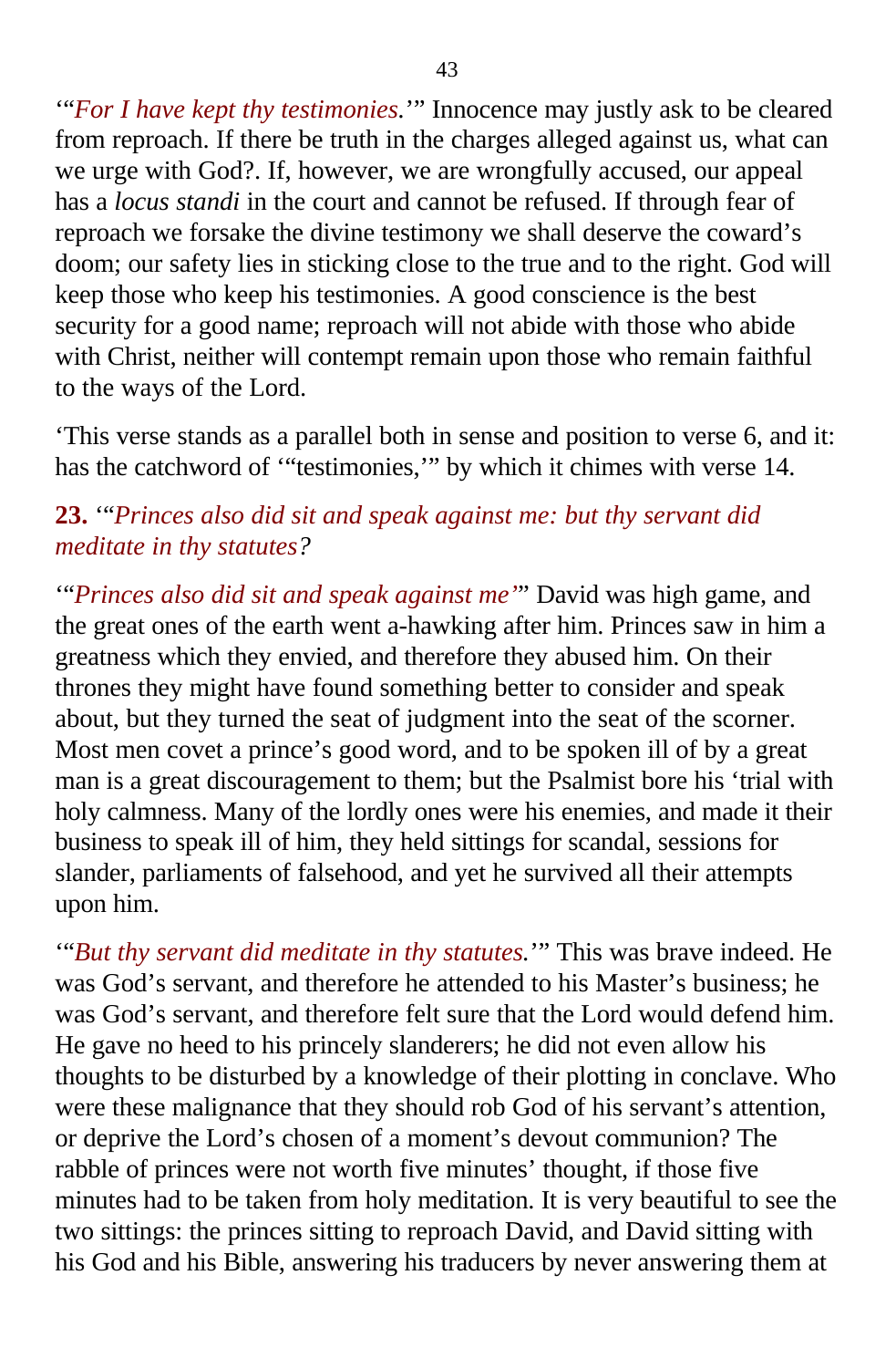'"*For I have kept thy testimonies.*'" Innocence may justly ask to be cleared from reproach. If there be truth in the charges alleged against us, what can we urge with God?. If, however, we are wrongfully accused, our appeal has a *locus standi* in the court and cannot be refused. If through fear of reproach we forsake the divine testimony we shall deserve the coward's doom; our safety lies in sticking close to the true and to the right. God will keep those who keep his testimonies. A good conscience is the best security for a good name; reproach will not abide with those who abide with Christ, neither will contempt remain upon those who remain faithful to the ways of the Lord.

'This verse stands as a parallel both in sense and position to verse 6, and it: has the catchword of '"testimonies,'" by which it chimes with verse 14.

## **23.** '"*Princes also did sit and speak against me: but thy servant did meditate in thy statutes?*

'"*Princes also did sit and speak against me'*" David was high game, and the great ones of the earth went a-hawking after him. Princes saw in him a greatness which they envied, and therefore they abused him. On their thrones they might have found something better to consider and speak about, but they turned the seat of judgment into the seat of the scorner. Most men covet a prince's good word, and to be spoken ill of by a great man is a great discouragement to them; but the Psalmist bore his 'trial with holy calmness. Many of the lordly ones were his enemies, and made it their business to speak ill of him, they held sittings for scandal, sessions for slander, parliaments of falsehood, and yet he survived all their attempts upon him.

'"*But thy servant did meditate in thy statutes.*'" This was brave indeed. He was God's servant, and therefore he attended to his Master's business; he was God's servant, and therefore felt sure that the Lord would defend him. He gave no heed to his princely slanderers; he did not even allow his thoughts to be disturbed by a knowledge of their plotting in conclave. Who were these malignance that they should rob God of his servant's attention, or deprive the Lord's chosen of a moment's devout communion? The rabble of princes were not worth five minutes' thought, if those five minutes had to be taken from holy meditation. It is very beautiful to see the two sittings: the princes sitting to reproach David, and David sitting with his God and his Bible, answering his traducers by never answering them at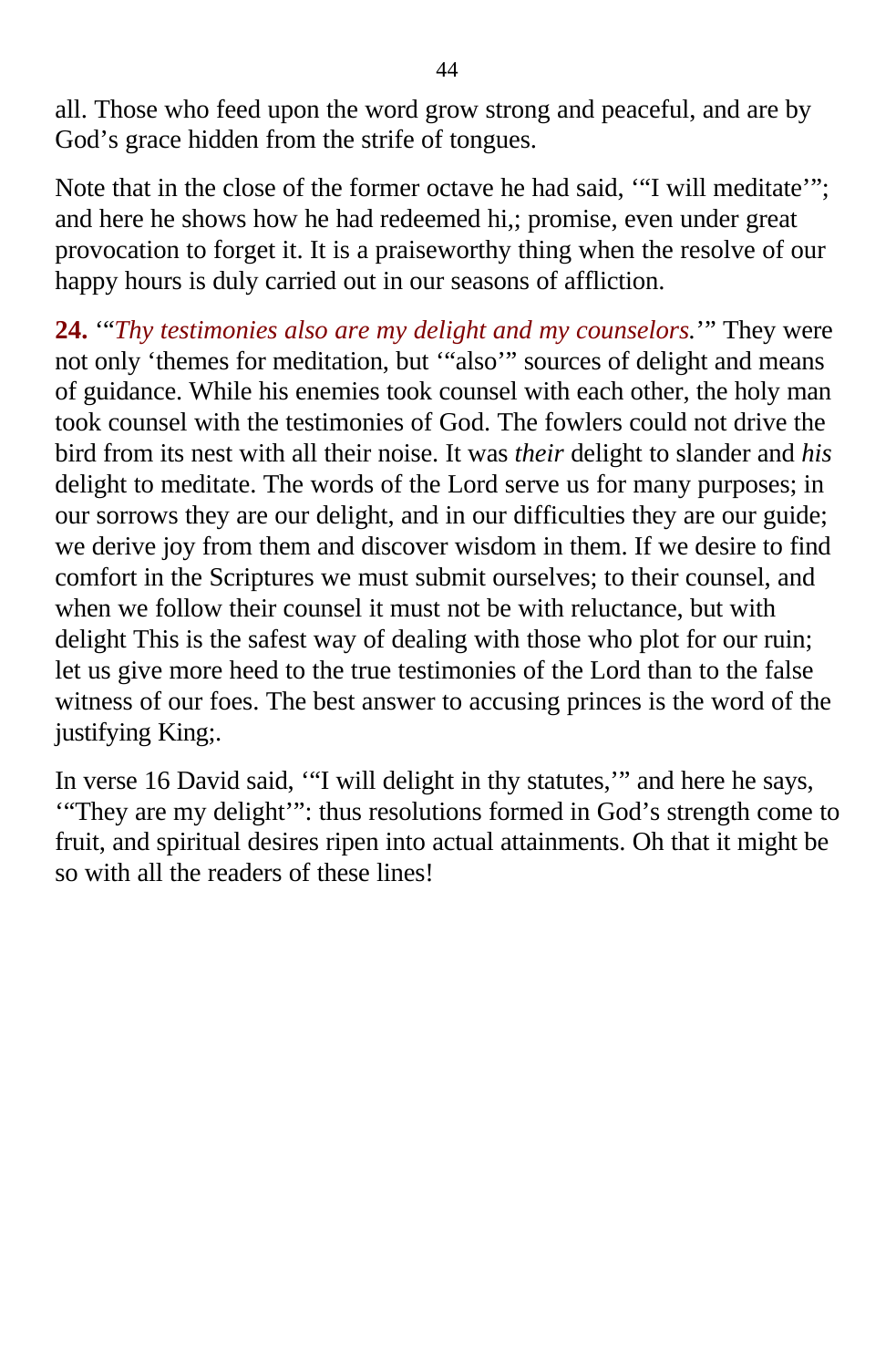all. Those who feed upon the word grow strong and peaceful, and are by God's grace hidden from the strife of tongues.

Note that in the close of the former octave he had said, '"I will meditate'"; and here he shows how he had redeemed hi,; promise, even under great provocation to forget it. It is a praiseworthy thing when the resolve of our happy hours is duly carried out in our seasons of affliction.

**24.** '"*Thy testimonies also are my delight and my counselors.*'" They were not only 'themes for meditation, but '"also'" sources of delight and means of guidance. While his enemies took counsel with each other, the holy man took counsel with the testimonies of God. The fowlers could not drive the bird from its nest with all their noise. It was *their* delight to slander and *his* delight to meditate. The words of the Lord serve us for many purposes; in our sorrows they are our delight, and in our difficulties they are our guide; we derive joy from them and discover wisdom in them. If we desire to find comfort in the Scriptures we must submit ourselves; to their counsel, and when we follow their counsel it must not be with reluctance, but with delight This is the safest way of dealing with those who plot for our ruin; let us give more heed to the true testimonies of the Lord than to the false witness of our foes. The best answer to accusing princes is the word of the justifying King;.

In verse 16 David said, '"I will delight in thy statutes,'" and here he says, '"They are my delight'": thus resolutions formed in God's strength come to fruit, and spiritual desires ripen into actual attainments. Oh that it might be so with all the readers of these lines!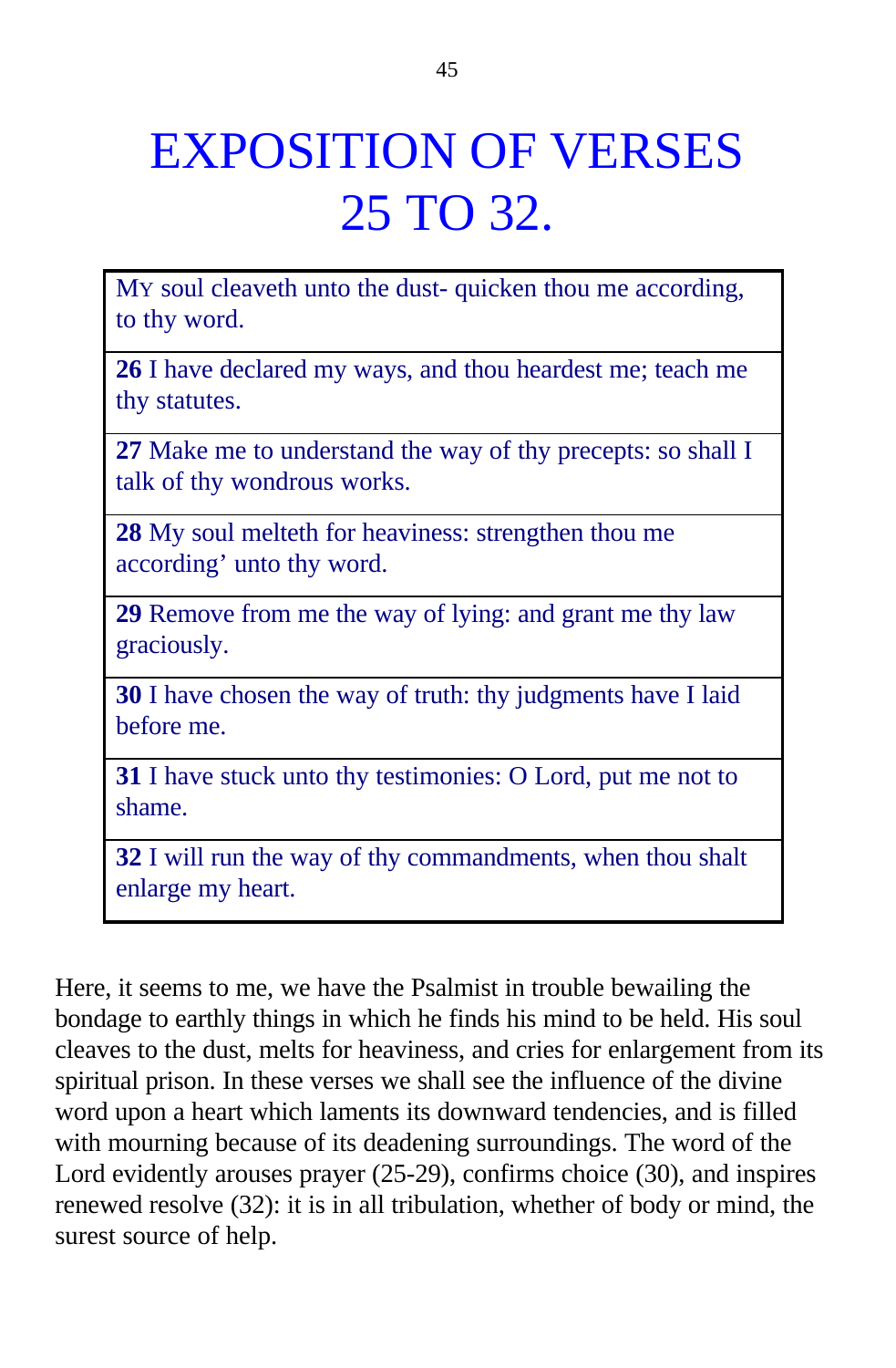# EXPOSITION OF VERSES 25 TO 32.

MY soul cleaveth unto the dust- quicken thou me according, to thy word.

**26** I have declared my ways, and thou heardest me; teach me thy statutes.

**27** Make me to understand the way of thy precepts: so shall I talk of thy wondrous works.

**28** My soul melteth for heaviness: strengthen thou me according' unto thy word.

**29** Remove from me the way of lying: and grant me thy law graciously.

**30** I have chosen the way of truth: thy judgments have I laid before me.

**31** I have stuck unto thy testimonies: O Lord, put me not to shame.

**32** I will run the way of thy commandments, when thou shalt enlarge my heart.

Here, it seems to me, we have the Psalmist in trouble bewailing the bondage to earthly things in which he finds his mind to be held. His soul cleaves to the dust, melts for heaviness, and cries for enlargement from its spiritual prison. In these verses we shall see the influence of the divine word upon a heart which laments its downward tendencies, and is filled with mourning because of its deadening surroundings. The word of the Lord evidently arouses prayer (25-29), confirms choice (30), and inspires renewed resolve (32): it is in all tribulation, whether of body or mind, the surest source of help.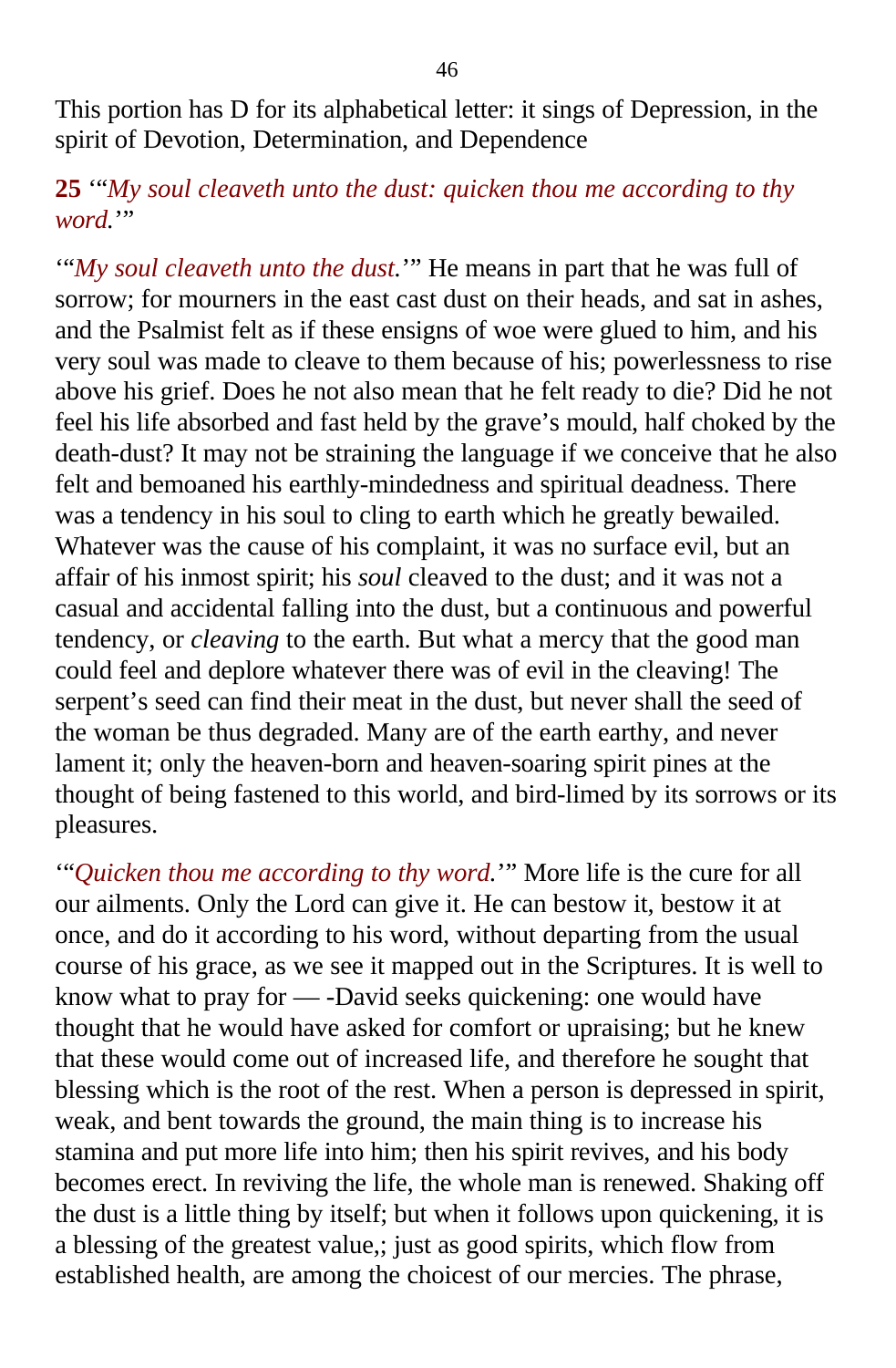This portion has D for its alphabetical letter: it sings of Depression, in the spirit of Devotion, Determination, and Dependence

#### **25** '"*My soul cleaveth unto the dust: quicken thou me according to thy* word."

'"*My soul cleaveth unto the dust.*'" He means in part that he was full of sorrow; for mourners in the east cast dust on their heads, and sat in ashes, and the Psalmist felt as if these ensigns of woe were glued to him, and his very soul was made to cleave to them because of his; powerlessness to rise above his grief. Does he not also mean that he felt ready to die? Did he not feel his life absorbed and fast held by the grave's mould, half choked by the death-dust? It may not be straining the language if we conceive that he also felt and bemoaned his earthly-mindedness and spiritual deadness. There was a tendency in his soul to cling to earth which he greatly bewailed. Whatever was the cause of his complaint, it was no surface evil, but an affair of his inmost spirit; his *soul* cleaved to the dust; and it was not a casual and accidental falling into the dust, but a continuous and powerful tendency, or *cleaving* to the earth. But what a mercy that the good man could feel and deplore whatever there was of evil in the cleaving! The serpent's seed can find their meat in the dust, but never shall the seed of the woman be thus degraded. Many are of the earth earthy, and never lament it; only the heaven-born and heaven-soaring spirit pines at the thought of being fastened to this world, and bird-limed by its sorrows or its pleasures.

'"*Quicken thou me according to thy word.*'" More life is the cure for all our ailments. Only the Lord can give it. He can bestow it, bestow it at once, and do it according to his word, without departing from the usual course of his grace, as we see it mapped out in the Scriptures. It is well to know what to pray for — -David seeks quickening: one would have thought that he would have asked for comfort or upraising; but he knew that these would come out of increased life, and therefore he sought that blessing which is the root of the rest. When a person is depressed in spirit, weak, and bent towards the ground, the main thing is to increase his stamina and put more life into him; then his spirit revives, and his body becomes erect. In reviving the life, the whole man is renewed. Shaking off the dust is a little thing by itself; but when it follows upon quickening, it is a blessing of the greatest value,; just as good spirits, which flow from established health, are among the choicest of our mercies. The phrase,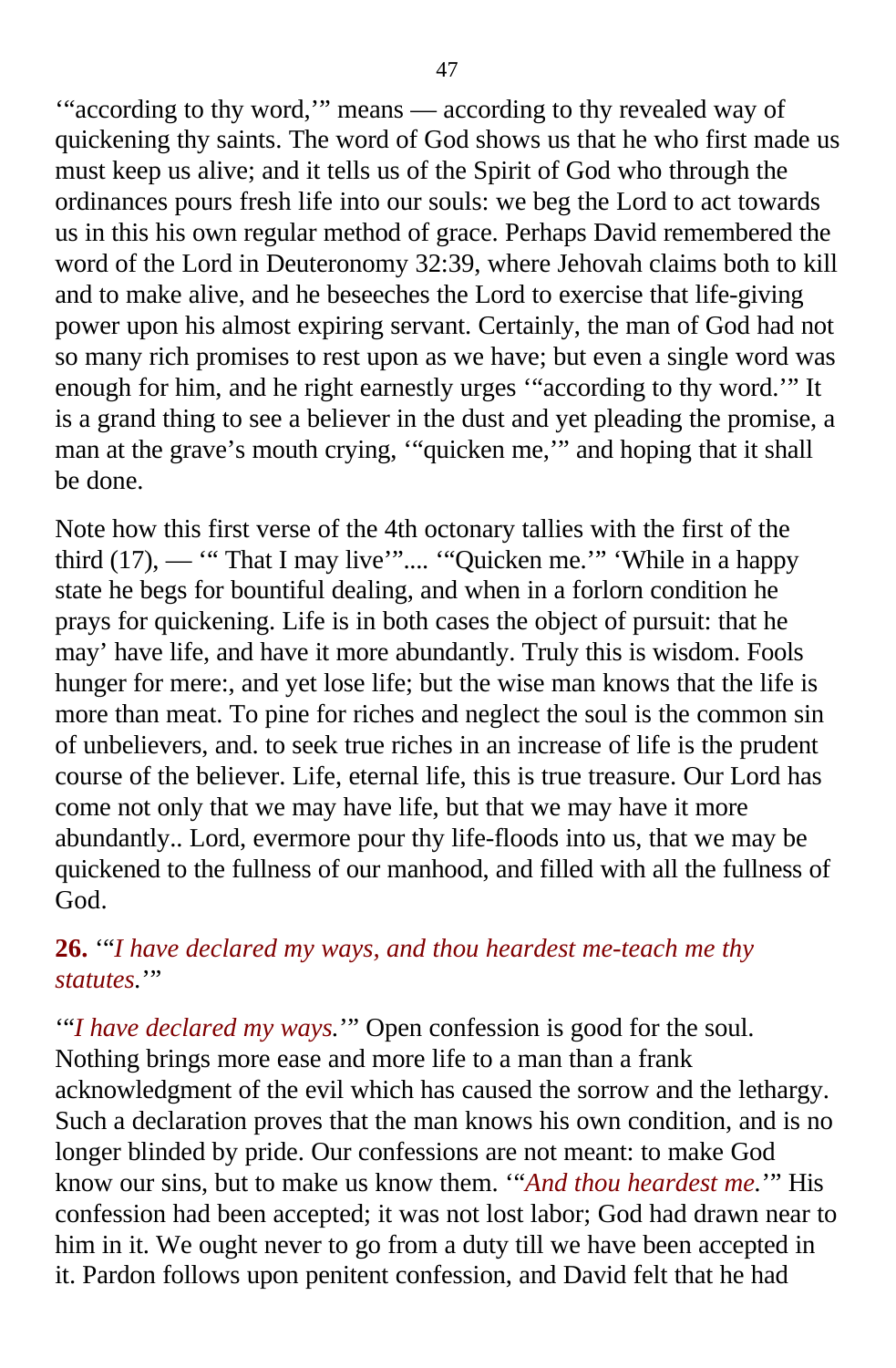'"according to thy word,'" means — according to thy revealed way of quickening thy saints. The word of God shows us that he who first made us must keep us alive; and it tells us of the Spirit of God who through the ordinances pours fresh life into our souls: we beg the Lord to act towards us in this his own regular method of grace. Perhaps David remembered the word of the Lord in Deuteronomy 32:39, where Jehovah claims both to kill and to make alive, and he beseeches the Lord to exercise that life-giving power upon his almost expiring servant. Certainly, the man of God had not so many rich promises to rest upon as we have; but even a single word was enough for him, and he right earnestly urges '"according to thy word.'" It is a grand thing to see a believer in the dust and yet pleading the promise, a man at the grave's mouth crying, '"quicken me,'" and hoping that it shall be done.

Note how this first verse of the 4th octonary tallies with the first of the third  $(17)$ ,  $-$  "' That I may live"".... "'Quicken me."' 'While in a happy state he begs for bountiful dealing, and when in a forlorn condition he prays for quickening. Life is in both cases the object of pursuit: that he may' have life, and have it more abundantly. Truly this is wisdom. Fools hunger for mere:, and yet lose life; but the wise man knows that the life is more than meat. To pine for riches and neglect the soul is the common sin of unbelievers, and. to seek true riches in an increase of life is the prudent course of the believer. Life, eternal life, this is true treasure. Our Lord has come not only that we may have life, but that we may have it more abundantly.. Lord, evermore pour thy life-floods into us, that we may be quickened to the fullness of our manhood, and filled with all the fullness of God.

### **26.** '"*I have declared my ways, and thou heardest me-teach me thy* statutes."

'"*I have declared my ways.*'" Open confession is good for the soul. Nothing brings more ease and more life to a man than a frank acknowledgment of the evil which has caused the sorrow and the lethargy. Such a declaration proves that the man knows his own condition, and is no longer blinded by pride. Our confessions are not meant: to make God know our sins, but to make us know them. '"*And thou heardest me.*'" His confession had been accepted; it was not lost labor; God had drawn near to him in it. We ought never to go from a duty till we have been accepted in it. Pardon follows upon penitent confession, and David felt that he had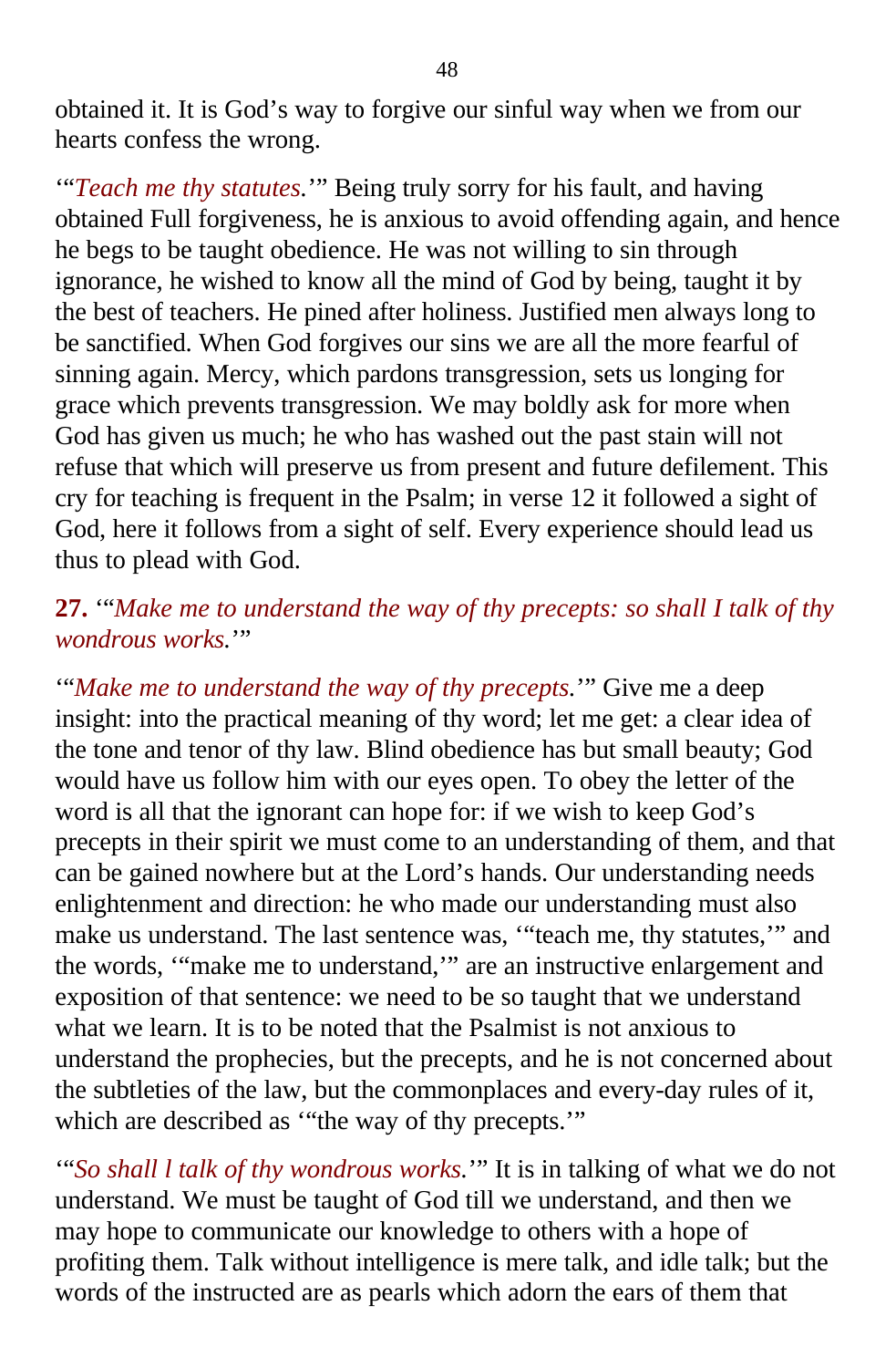obtained it. It is God's way to forgive our sinful way when we from our hearts confess the wrong.

'"*Teach me thy statutes.*'" Being truly sorry for his fault, and having obtained Full forgiveness, he is anxious to avoid offending again, and hence he begs to be taught obedience. He was not willing to sin through ignorance, he wished to know all the mind of God by being, taught it by the best of teachers. He pined after holiness. Justified men always long to be sanctified. When God forgives our sins we are all the more fearful of sinning again. Mercy, which pardons transgression, sets us longing for grace which prevents transgression. We may boldly ask for more when God has given us much; he who has washed out the past stain will not refuse that which will preserve us from present and future defilement. This cry for teaching is frequent in the Psalm; in verse 12 it followed a sight of God, here it follows from a sight of self. Every experience should lead us thus to plead with God.

#### **27.** '"*Make me to understand the way of thy precepts: so shall I talk of thy wondrous works.*'"

'"*Make me to understand the way of thy precepts.*'" Give me a deep insight: into the practical meaning of thy word; let me get: a clear idea of the tone and tenor of thy law. Blind obedience has but small beauty; God would have us follow him with our eyes open. To obey the letter of the word is all that the ignorant can hope for: if we wish to keep God's precepts in their spirit we must come to an understanding of them, and that can be gained nowhere but at the Lord's hands. Our understanding needs enlightenment and direction: he who made our understanding must also make us understand. The last sentence was, '"teach me, thy statutes,'" and the words, '"make me to understand,'" are an instructive enlargement and exposition of that sentence: we need to be so taught that we understand what we learn. It is to be noted that the Psalmist is not anxious to understand the prophecies, but the precepts, and he is not concerned about the subtleties of the law, but the commonplaces and every-day rules of it, which are described as "the way of thy precepts."

'"*So shall l talk of thy wondrous works.*'" It is in talking of what we do not understand. We must be taught of God till we understand, and then we may hope to communicate our knowledge to others with a hope of profiting them. Talk without intelligence is mere talk, and idle talk; but the words of the instructed are as pearls which adorn the ears of them that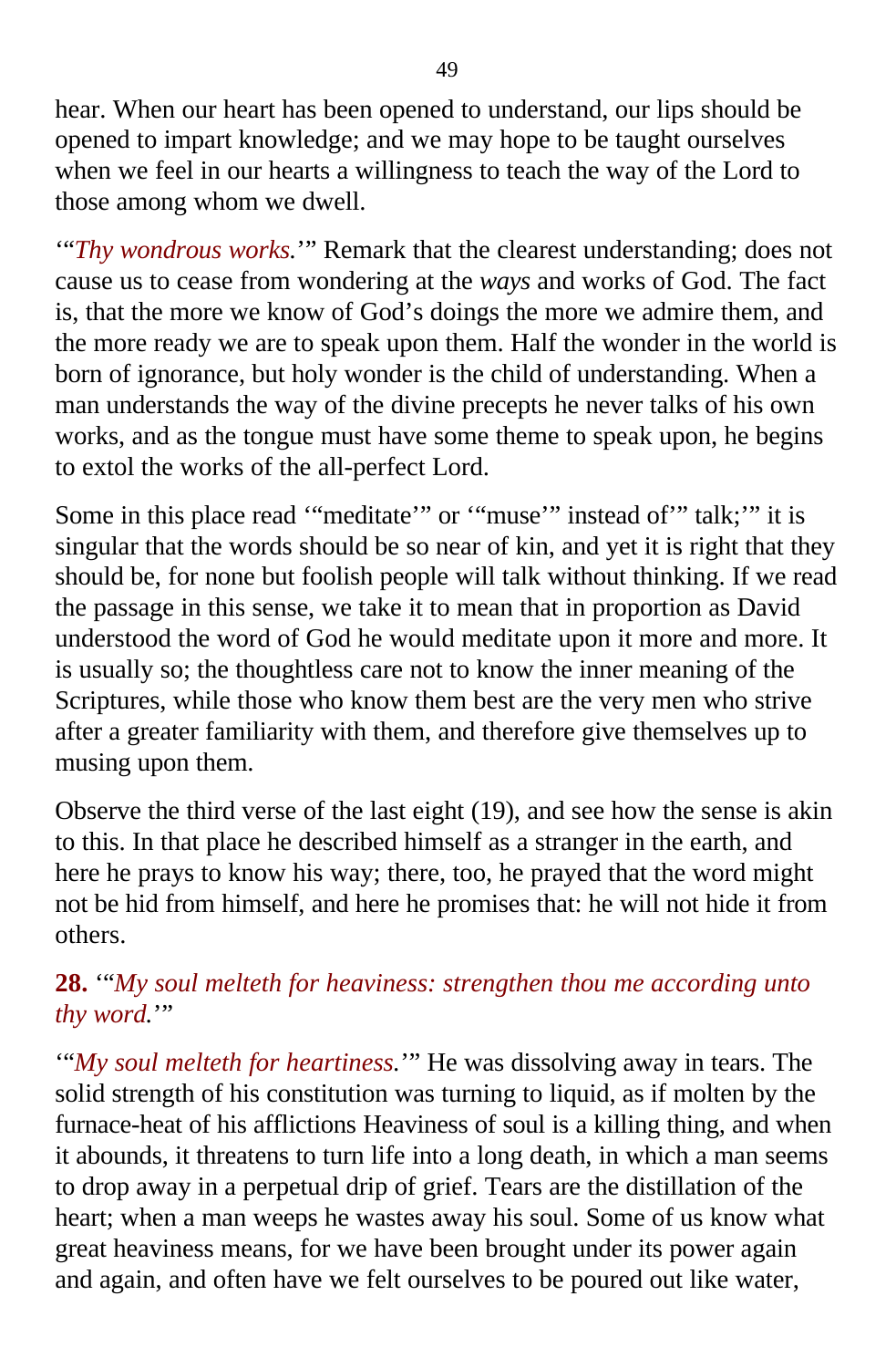hear. When our heart has been opened to understand, our lips should be opened to impart knowledge; and we may hope to be taught ourselves when we feel in our hearts a willingness to teach the way of the Lord to those among whom we dwell.

'"*Thy wondrous works.*'" Remark that the clearest understanding; does not cause us to cease from wondering at the *ways* and works of God. The fact is, that the more we know of God's doings the more we admire them, and the more ready we are to speak upon them. Half the wonder in the world is born of ignorance, but holy wonder is the child of understanding. When a man understands the way of the divine precepts he never talks of his own works, and as the tongue must have some theme to speak upon, he begins to extol the works of the all-perfect Lord.

Some in this place read '"meditate'" or '"muse'" instead of'" talk;'" it is singular that the words should be so near of kin, and yet it is right that they should be, for none but foolish people will talk without thinking. If we read the passage in this sense, we take it to mean that in proportion as David understood the word of God he would meditate upon it more and more. It is usually so; the thoughtless care not to know the inner meaning of the Scriptures, while those who know them best are the very men who strive after a greater familiarity with them, and therefore give themselves up to musing upon them.

Observe the third verse of the last eight (19), and see how the sense is akin to this. In that place he described himself as a stranger in the earth, and here he prays to know his way; there, too, he prayed that the word might not be hid from himself, and here he promises that: he will not hide it from others.

## **28.** '"*My soul melteth for heaviness: strengthen thou me according unto thy word.*"

'"*My soul melteth for heartiness.*'" He was dissolving away in tears. The solid strength of his constitution was turning to liquid, as if molten by the furnace-heat of his afflictions Heaviness of soul is a killing thing, and when it abounds, it threatens to turn life into a long death, in which a man seems to drop away in a perpetual drip of grief. Tears are the distillation of the heart; when a man weeps he wastes away his soul. Some of us know what great heaviness means, for we have been brought under its power again and again, and often have we felt ourselves to be poured out like water,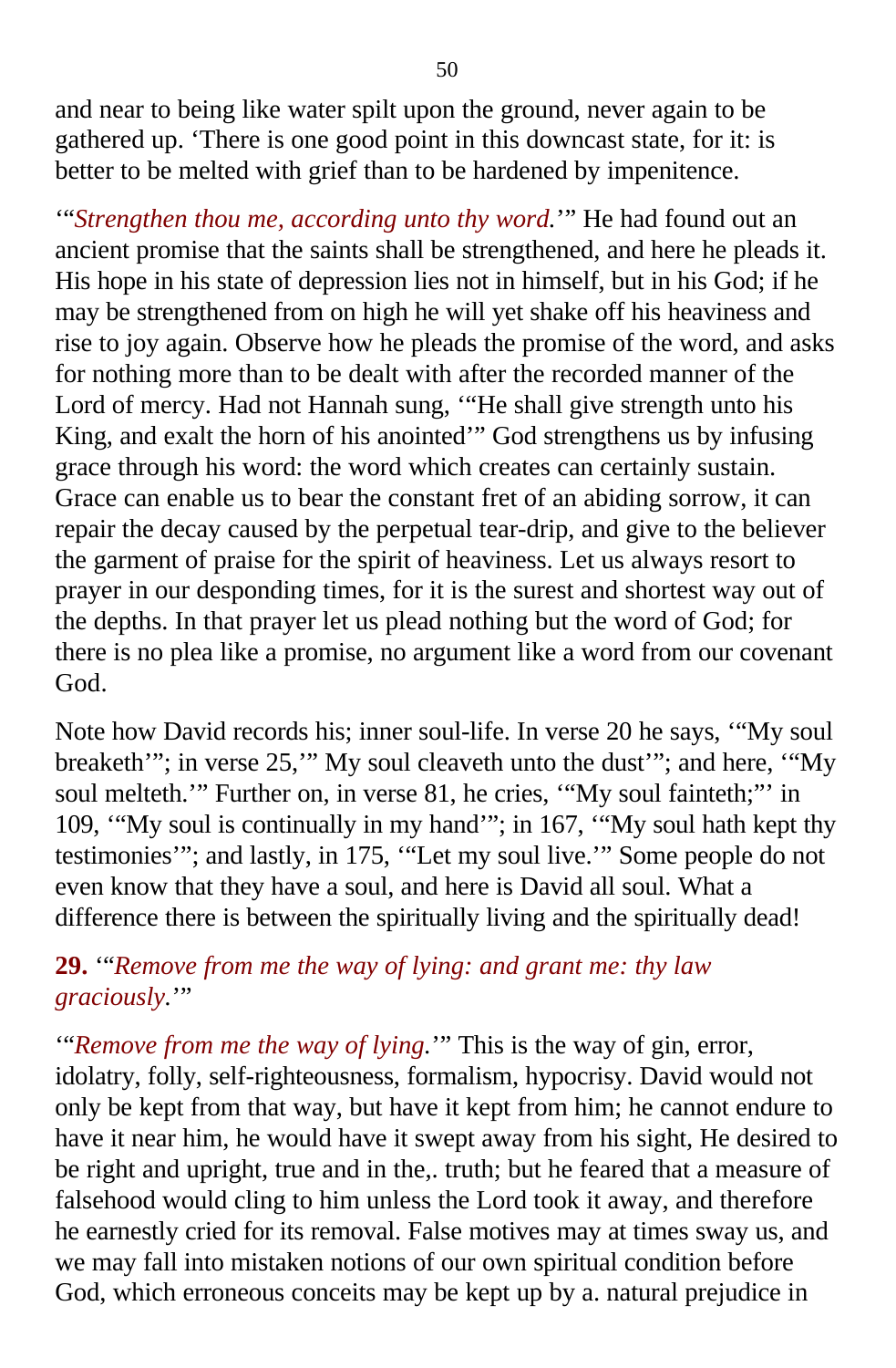and near to being like water spilt upon the ground, never again to be gathered up. 'There is one good point in this downcast state, for it: is better to be melted with grief than to be hardened by impenitence.

'"*Strengthen thou me, according unto thy word.*'" He had found out an ancient promise that the saints shall be strengthened, and here he pleads it. His hope in his state of depression lies not in himself, but in his God; if he may be strengthened from on high he will yet shake off his heaviness and rise to joy again. Observe how he pleads the promise of the word, and asks for nothing more than to be dealt with after the recorded manner of the Lord of mercy. Had not Hannah sung, '"He shall give strength unto his King, and exalt the horn of his anointed'" God strengthens us by infusing grace through his word: the word which creates can certainly sustain. Grace can enable us to bear the constant fret of an abiding sorrow, it can repair the decay caused by the perpetual tear-drip, and give to the believer the garment of praise for the spirit of heaviness. Let us always resort to prayer in our desponding times, for it is the surest and shortest way out of the depths. In that prayer let us plead nothing but the word of God; for there is no plea like a promise, no argument like a word from our covenant God.

Note how David records his; inner soul-life. In verse 20 he says, '"My soul breaketh'"; in verse 25,'" My soul cleaveth unto the dust'"; and here, '"My soul melteth.'" Further on, in verse 81, he cries, '"My soul fainteth;"' in 109, '"My soul is continually in my hand'"; in 167, '"My soul hath kept thy testimonies'"; and lastly, in 175, '"Let my soul live.'" Some people do not even know that they have a soul, and here is David all soul. What a difference there is between the spiritually living and the spiritually dead!

### **29.** '"*Remove from me the way of lying: and grant me: thy law graciously.*'"

'"*Remove from me the way of lying.*'" This is the way of gin, error, idolatry, folly, self-righteousness, formalism, hypocrisy. David would not only be kept from that way, but have it kept from him; he cannot endure to have it near him, he would have it swept away from his sight, He desired to be right and upright, true and in the,. truth; but he feared that a measure of falsehood would cling to him unless the Lord took it away, and therefore he earnestly cried for its removal. False motives may at times sway us, and we may fall into mistaken notions of our own spiritual condition before God, which erroneous conceits may be kept up by a. natural prejudice in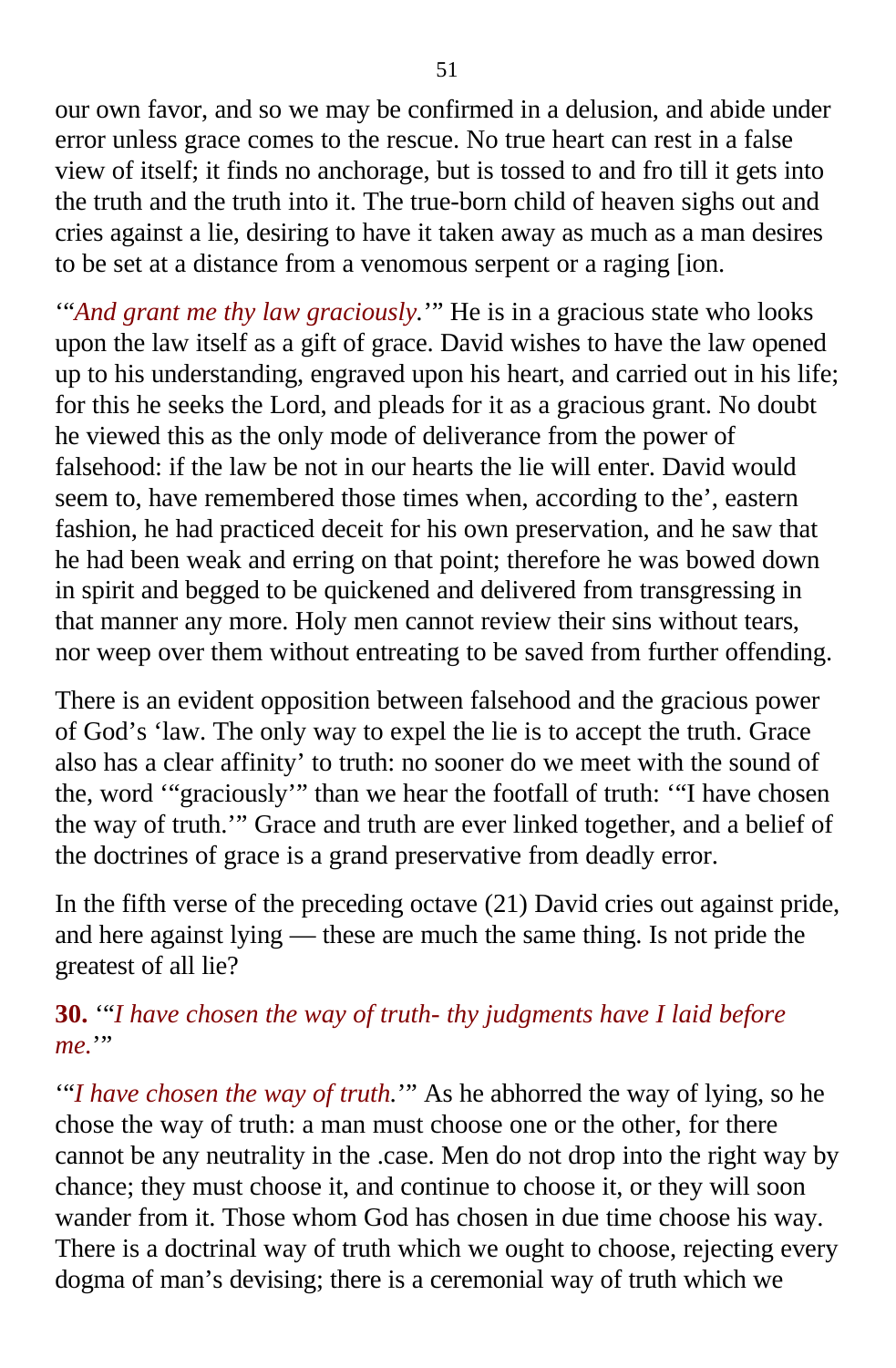our own favor, and so we may be confirmed in a delusion, and abide under error unless grace comes to the rescue. No true heart can rest in a false view of itself; it finds no anchorage, but is tossed to and fro till it gets into the truth and the truth into it. The true-born child of heaven sighs out and cries against a lie, desiring to have it taken away as much as a man desires to be set at a distance from a venomous serpent or a raging [ion.

'"*And grant me thy law graciously.*'" He is in a gracious state who looks upon the law itself as a gift of grace. David wishes to have the law opened up to his understanding, engraved upon his heart, and carried out in his life; for this he seeks the Lord, and pleads for it as a gracious grant. No doubt he viewed this as the only mode of deliverance from the power of falsehood: if the law be not in our hearts the lie will enter. David would seem to, have remembered those times when, according to the', eastern fashion, he had practiced deceit for his own preservation, and he saw that he had been weak and erring on that point; therefore he was bowed down in spirit and begged to be quickened and delivered from transgressing in that manner any more. Holy men cannot review their sins without tears, nor weep over them without entreating to be saved from further offending.

There is an evident opposition between falsehood and the gracious power of God's 'law. The only way to expel the lie is to accept the truth. Grace also has a clear affinity' to truth: no sooner do we meet with the sound of the, word '"graciously'" than we hear the footfall of truth: '"I have chosen the way of truth.'" Grace and truth are ever linked together, and a belief of the doctrines of grace is a grand preservative from deadly error.

In the fifth verse of the preceding octave (21) David cries out against pride, and here against lying — these are much the same thing. Is not pride the greatest of all lie?

### **30.** '"*I have chosen the way of truth- thy judgments have I laid before* me."

'"*I have chosen the way of truth.*'" As he abhorred the way of lying, so he chose the way of truth: a man must choose one or the other, for there cannot be any neutrality in the .case. Men do not drop into the right way by chance; they must choose it, and continue to choose it, or they will soon wander from it. Those whom God has chosen in due time choose his way. There is a doctrinal way of truth which we ought to choose, rejecting every dogma of man's devising; there is a ceremonial way of truth which we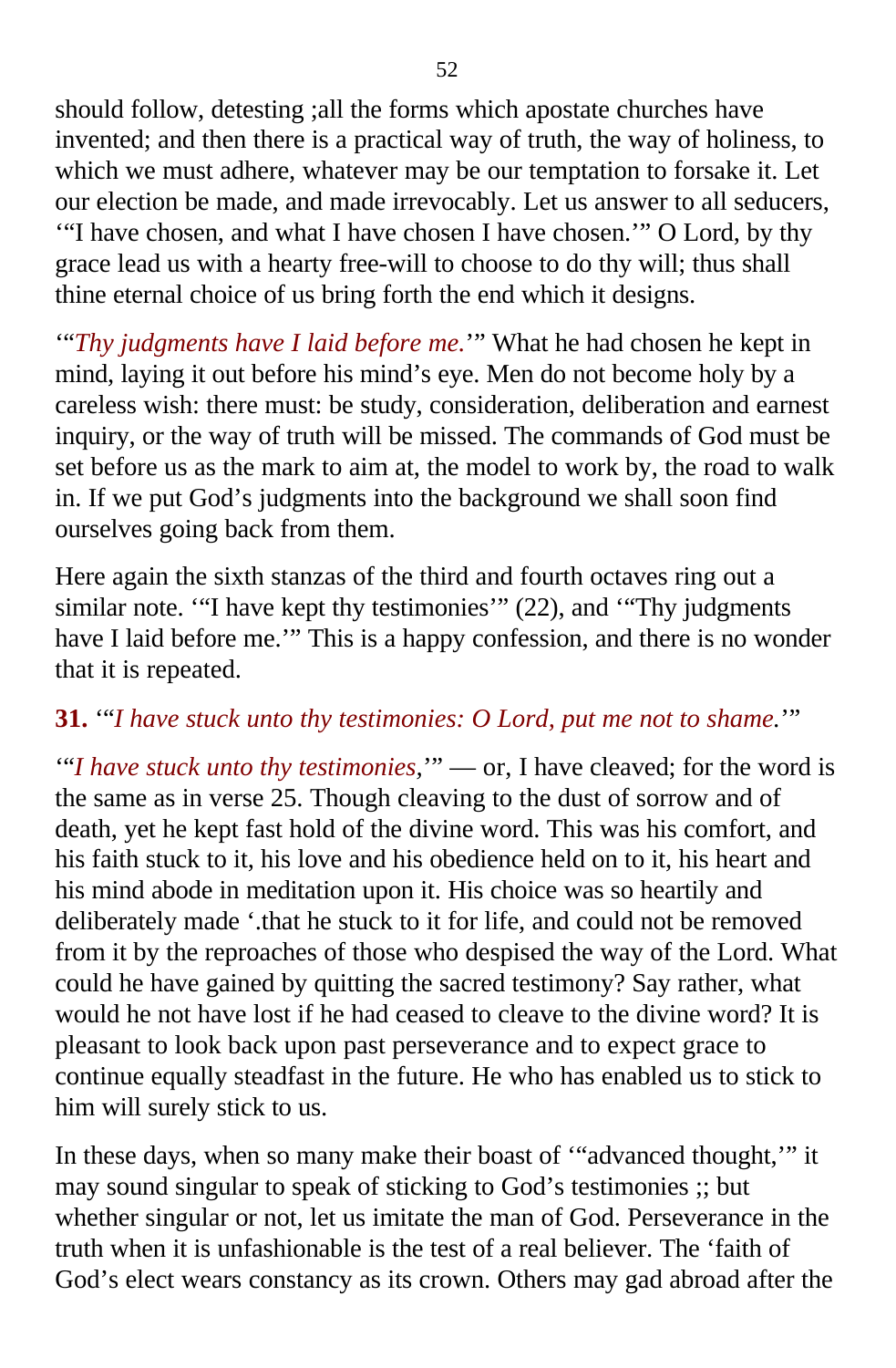should follow, detesting ;all the forms which apostate churches have invented; and then there is a practical way of truth, the way of holiness, to which we must adhere, whatever may be our temptation to forsake it. Let our election be made, and made irrevocably. Let us answer to all seducers, '"I have chosen, and what I have chosen I have chosen.'" O Lord, by thy grace lead us with a hearty free-will to choose to do thy will; thus shall thine eternal choice of us bring forth the end which it designs.

'"*Thy judgments have I laid before me.*'" What he had chosen he kept in mind, laying it out before his mind's eye. Men do not become holy by a careless wish: there must: be study, consideration, deliberation and earnest inquiry, or the way of truth will be missed. The commands of God must be set before us as the mark to aim at, the model to work by, the road to walk in. If we put God's judgments into the background we shall soon find ourselves going back from them.

Here again the sixth stanzas of the third and fourth octaves ring out a similar note. "I have kept thy testimonies" (22), and "Thy judgments" have I laid before me." This is a happy confession, and there is no wonder that it is repeated.

## **31.** '"*I have stuck unto thy testimonies: O Lord, put me not to shame.*'"

'"*I have stuck unto thy testimonies,*'" — or, I have cleaved; for the word is the same as in verse 25. Though cleaving to the dust of sorrow and of death, yet he kept fast hold of the divine word. This was his comfort, and his faith stuck to it, his love and his obedience held on to it, his heart and his mind abode in meditation upon it. His choice was so heartily and deliberately made '.that he stuck to it for life, and could not be removed from it by the reproaches of those who despised the way of the Lord. What could he have gained by quitting the sacred testimony? Say rather, what would he not have lost if he had ceased to cleave to the divine word? It is pleasant to look back upon past perseverance and to expect grace to continue equally steadfast in the future. He who has enabled us to stick to him will surely stick to us.

In these days, when so many make their boast of '"advanced thought,'" it may sound singular to speak of sticking to God's testimonies ;; but whether singular or not, let us imitate the man of God. Perseverance in the truth when it is unfashionable is the test of a real believer. The 'faith of God's elect wears constancy as its crown. Others may gad abroad after the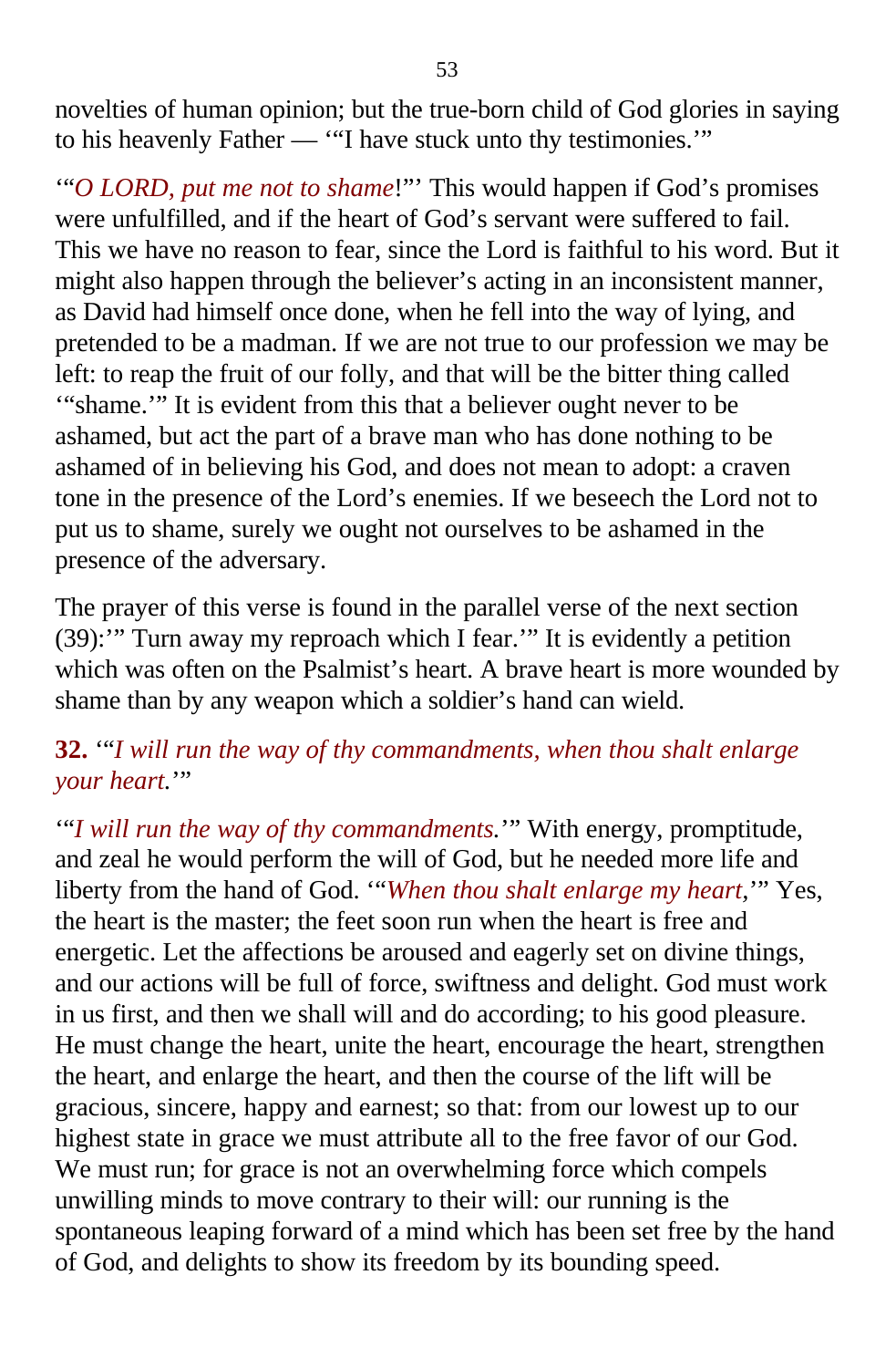novelties of human opinion; but the true-born child of God glories in saying to his heavenly Father — '"I have stuck unto thy testimonies.'"

'"*O LORD, put me not to shame*!"' This would happen if God's promises were unfulfilled, and if the heart of God's servant were suffered to fail. This we have no reason to fear, since the Lord is faithful to his word. But it might also happen through the believer's acting in an inconsistent manner, as David had himself once done, when he fell into the way of lying, and pretended to be a madman. If we are not true to our profession we may be left: to reap the fruit of our folly, and that will be the bitter thing called '"shame.'" It is evident from this that a believer ought never to be ashamed, but act the part of a brave man who has done nothing to be ashamed of in believing his God, and does not mean to adopt: a craven tone in the presence of the Lord's enemies. If we beseech the Lord not to put us to shame, surely we ought not ourselves to be ashamed in the presence of the adversary.

The prayer of this verse is found in the parallel verse of the next section (39):'" Turn away my reproach which I fear.'" It is evidently a petition which was often on the Psalmist's heart. A brave heart is more wounded by shame than by any weapon which a soldier's hand can wield.

## **32.** '"*I will run the way of thy commandments, when thou shalt enlarge your heart.*"

'"*I will run the way of thy commandments.*'" With energy, promptitude, and zeal he would perform the will of God, but he needed more life and liberty from the hand of God. '"*When thou shalt enlarge my heart,*'" Yes, the heart is the master; the feet soon run when the heart is free and energetic. Let the affections be aroused and eagerly set on divine things, and our actions will be full of force, swiftness and delight. God must work in us first, and then we shall will and do according; to his good pleasure. He must change the heart, unite the heart, encourage the heart, strengthen the heart, and enlarge the heart, and then the course of the lift will be gracious, sincere, happy and earnest; so that: from our lowest up to our highest state in grace we must attribute all to the free favor of our God. We must run; for grace is not an overwhelming force which compels unwilling minds to move contrary to their will: our running is the spontaneous leaping forward of a mind which has been set free by the hand of God, and delights to show its freedom by its bounding speed.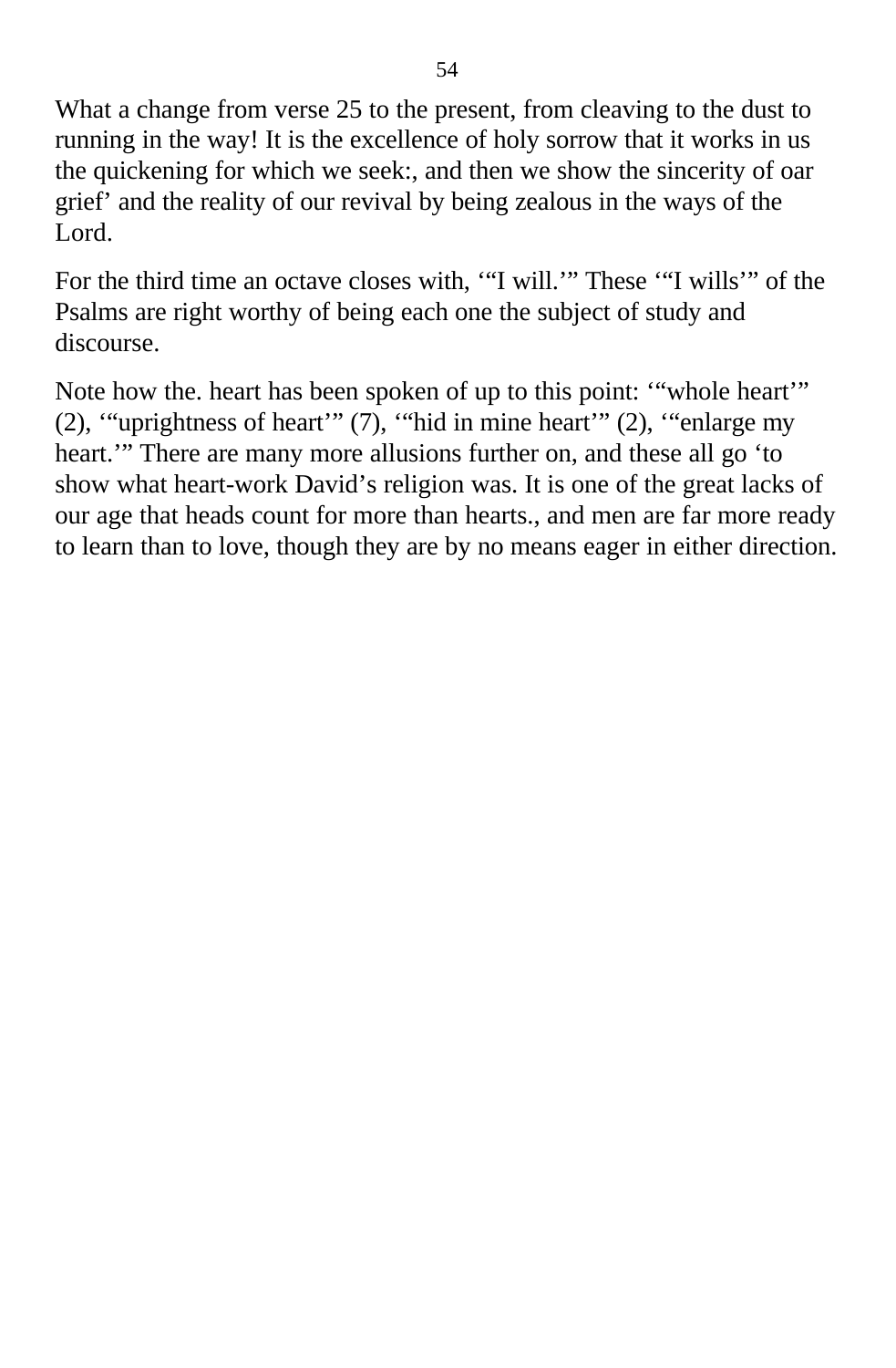What a change from verse 25 to the present, from cleaving to the dust to running in the way! It is the excellence of holy sorrow that it works in us the quickening for which we seek:, and then we show the sincerity of oar grief' and the reality of our revival by being zealous in the ways of the Lord.

For the third time an octave closes with, '"I will.'" These '"I wills'" of the Psalms are right worthy of being each one the subject of study and discourse.

Note how the. heart has been spoken of up to this point: '"whole heart'" (2), '"uprightness of heart'" (7), '"hid in mine heart'" (2), '"enlarge my heart.'" There are many more allusions further on, and these all go 'to show what heart-work David's religion was. It is one of the great lacks of our age that heads count for more than hearts., and men are far more ready to learn than to love, though they are by no means eager in either direction.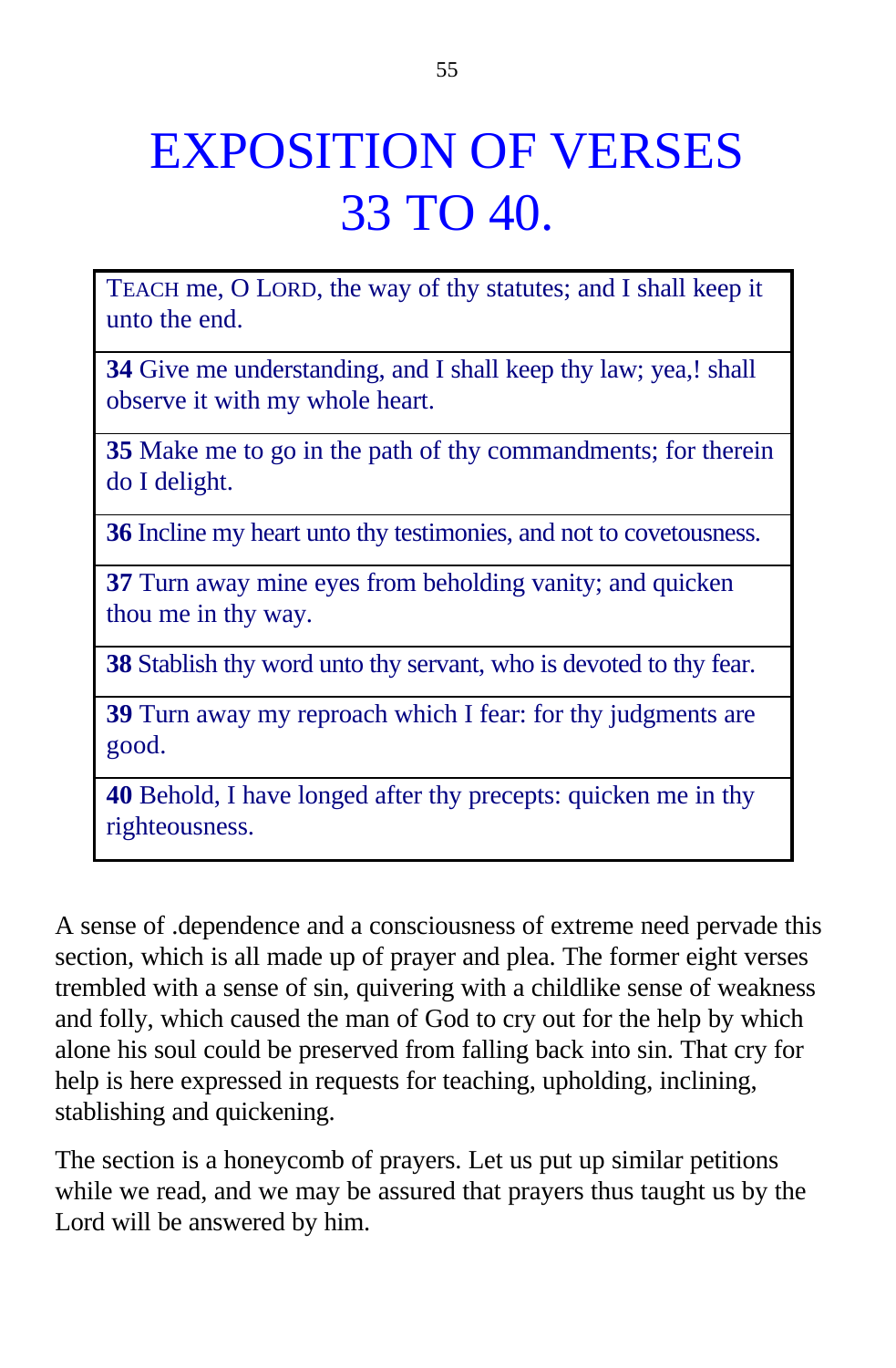# EXPOSITION OF VERSES 33 TO 40.

TEACH me, O LORD, the way of thy statutes; and I shall keep it unto the end.

**34** Give me understanding, and I shall keep thy law; yea,! shall observe it with my whole heart.

**35** Make me to go in the path of thy commandments; for therein do I delight.

**36** Incline my heart unto thy testimonies, and not to covetousness.

**37** Turn away mine eyes from beholding vanity; and quicken thou me in thy way.

**38** Stablish thy word unto thy servant, who is devoted to thy fear.

**39** Turn away my reproach which I fear: for thy judgments are good.

**40** Behold, I have longed after thy precepts: quicken me in thy righteousness.

A sense of .dependence and a consciousness of extreme need pervade this section, which is all made up of prayer and plea. The former eight verses trembled with a sense of sin, quivering with a childlike sense of weakness and folly, which caused the man of God to cry out for the help by which alone his soul could be preserved from falling back into sin. That cry for help is here expressed in requests for teaching, upholding, inclining, stablishing and quickening.

The section is a honeycomb of prayers. Let us put up similar petitions while we read, and we may be assured that prayers thus taught us by the Lord will be answered by him.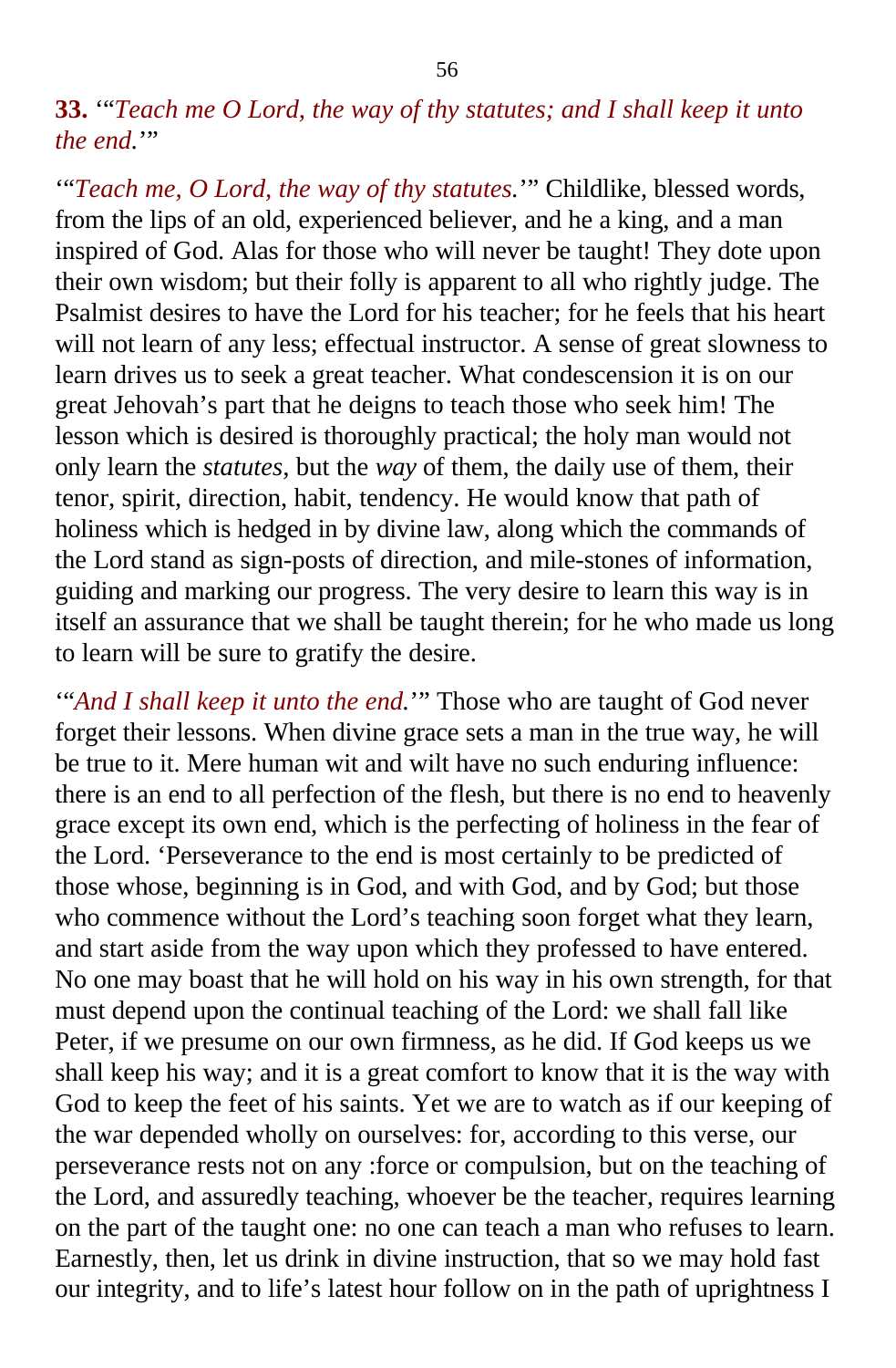**33.** '"*Teach me O Lord, the way of thy statutes; and I shall keep it unto the end.*"

'"*Teach me, O Lord, the way of thy statutes.*'" Childlike, blessed words, from the lips of an old, experienced believer, and he a king, and a man inspired of God. Alas for those who will never be taught! They dote upon their own wisdom; but their folly is apparent to all who rightly judge. The Psalmist desires to have the Lord for his teacher; for he feels that his heart will not learn of any less; effectual instructor. A sense of great slowness to learn drives us to seek a great teacher. What condescension it is on our great Jehovah's part that he deigns to teach those who seek him! The lesson which is desired is thoroughly practical; the holy man would not only learn the *statutes,* but the *way* of them, the daily use of them, their tenor, spirit, direction, habit, tendency. He would know that path of holiness which is hedged in by divine law, along which the commands of the Lord stand as sign-posts of direction, and mile-stones of information, guiding and marking our progress. The very desire to learn this way is in itself an assurance that we shall be taught therein; for he who made us long to learn will be sure to gratify the desire.

'"*And I shall keep it unto the end.*'" Those who are taught of God never forget their lessons. When divine grace sets a man in the true way, he will be true to it. Mere human wit and wilt have no such enduring influence: there is an end to all perfection of the flesh, but there is no end to heavenly grace except its own end, which is the perfecting of holiness in the fear of the Lord. 'Perseverance to the end is most certainly to be predicted of those whose, beginning is in God, and with God, and by God; but those who commence without the Lord's teaching soon forget what they learn, and start aside from the way upon which they professed to have entered. No one may boast that he will hold on his way in his own strength, for that must depend upon the continual teaching of the Lord: we shall fall like Peter, if we presume on our own firmness, as he did. If God keeps us we shall keep his way; and it is a great comfort to know that it is the way with God to keep the feet of his saints. Yet we are to watch as if our keeping of the war depended wholly on ourselves: for, according to this verse, our perseverance rests not on any :force or compulsion, but on the teaching of the Lord, and assuredly teaching, whoever be the teacher, requires learning on the part of the taught one: no one can teach a man who refuses to learn. Earnestly, then, let us drink in divine instruction, that so we may hold fast our integrity, and to life's latest hour follow on in the path of uprightness I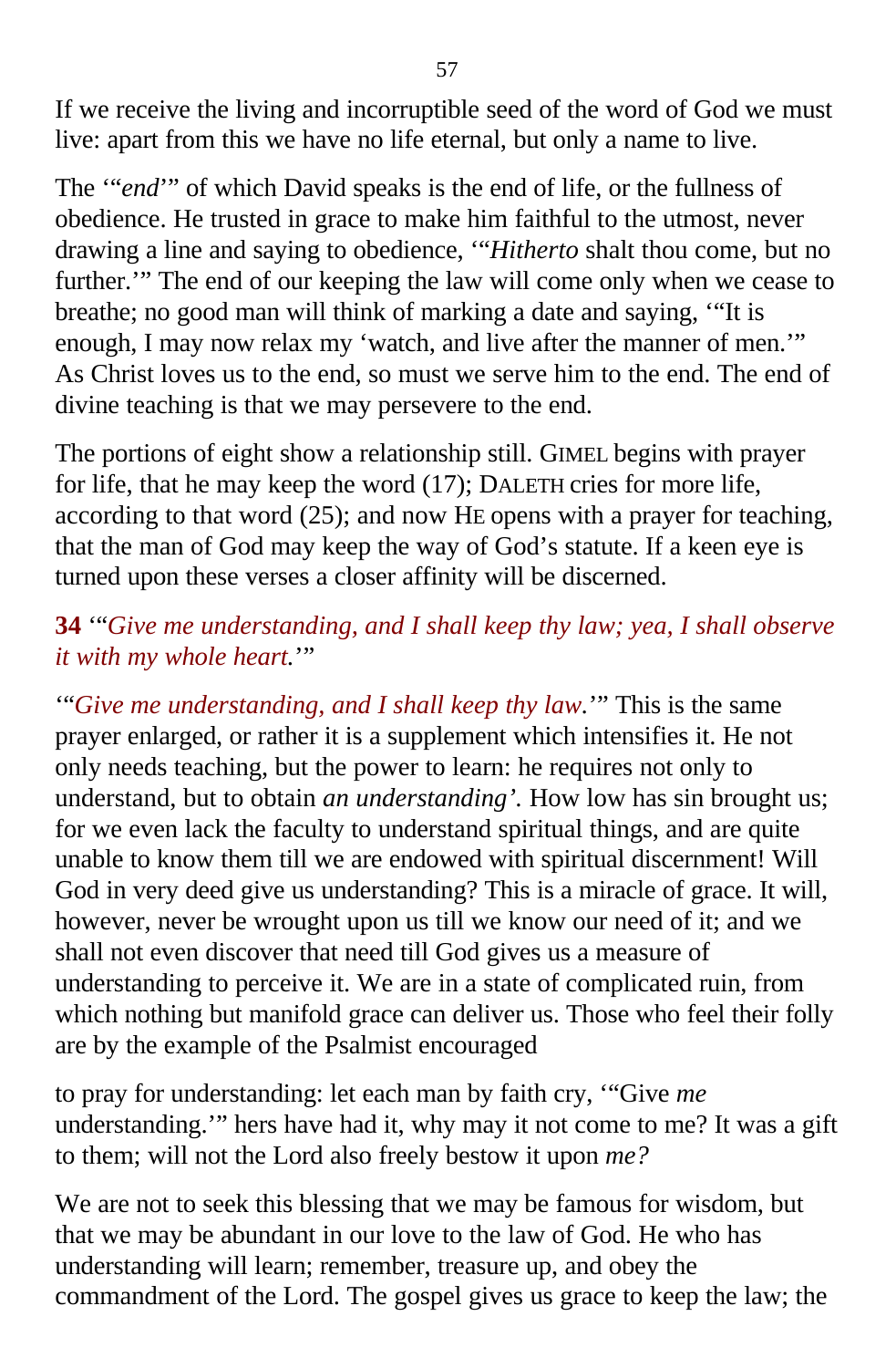If we receive the living and incorruptible seed of the word of God we must live: apart from this we have no life eternal, but only a name to live.

The '"*end*'" of which David speaks is the end of life, or the fullness of obedience. He trusted in grace to make him faithful to the utmost, never drawing a line and saying to obedience, '"*Hitherto* shalt thou come, but no further.'" The end of our keeping the law will come only when we cease to breathe; no good man will think of marking a date and saying, '"It is enough, I may now relax my 'watch, and live after the manner of men.'" As Christ loves us to the end, so must we serve him to the end. The end of divine teaching is that we may persevere to the end.

The portions of eight show a relationship still. GIMEL begins with prayer for life, that he may keep the word (17); DALETH cries for more life, according to that word (25); and now HE opens with a prayer for teaching, that the man of God may keep the way of God's statute. If a keen eye is turned upon these verses a closer affinity will be discerned.

## **34** '"*Give me understanding, and I shall keep thy law; yea, I shall observe it with my whole heart.*"

'"*Give me understanding, and I shall keep thy law.*'" This is the same prayer enlarged, or rather it is a supplement which intensifies it. He not only needs teaching, but the power to learn: he requires not only to understand, but to obtain *an understanding'.* How low has sin brought us; for we even lack the faculty to understand spiritual things, and are quite unable to know them till we are endowed with spiritual discernment! Will God in very deed give us understanding? This is a miracle of grace. It will, however, never be wrought upon us till we know our need of it; and we shall not even discover that need till God gives us a measure of understanding to perceive it. We are in a state of complicated ruin, from which nothing but manifold grace can deliver us. Those who feel their folly are by the example of the Psalmist encouraged

to pray for understanding: let each man by faith cry, '"Give *me* understanding.'" hers have had it, why may it not come to me? It was a gift to them; will not the Lord also freely bestow it upon *me?*

We are not to seek this blessing that we may be famous for wisdom, but that we may be abundant in our love to the law of God. He who has understanding will learn; remember, treasure up, and obey the commandment of the Lord. The gospel gives us grace to keep the law; the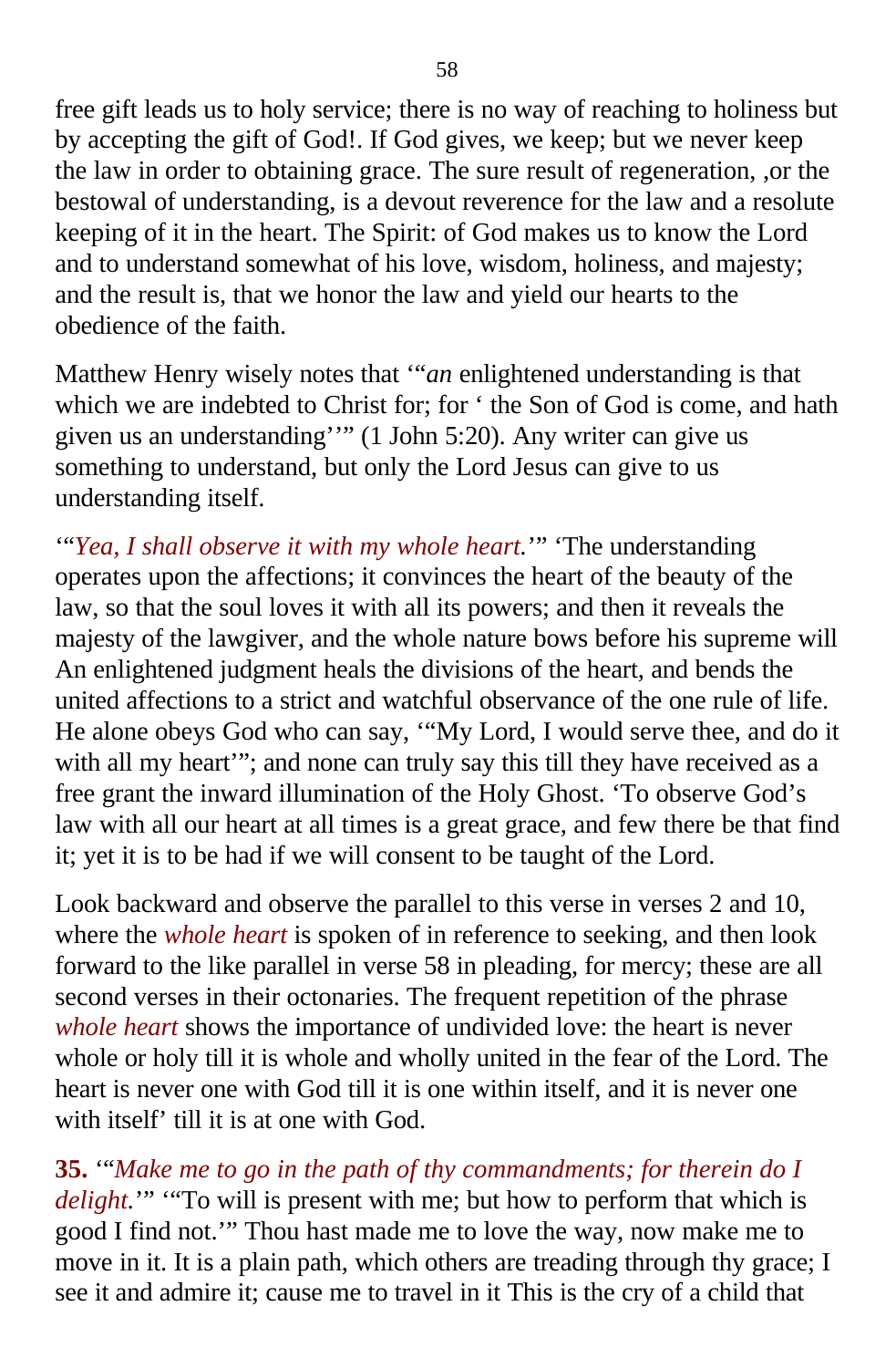free gift leads us to holy service; there is no way of reaching to holiness but by accepting the gift of God!. If God gives, we keep; but we never keep the law in order to obtaining grace. The sure result of regeneration, ,or the bestowal of understanding, is a devout reverence for the law and a resolute keeping of it in the heart. The Spirit: of God makes us to know the Lord and to understand somewhat of his love, wisdom, holiness, and majesty; and the result is, that we honor the law and yield our hearts to the obedience of the faith.

Matthew Henry wisely notes that '"*an* enlightened understanding is that which we are indebted to Christ for: for ' the Son of God is come, and hath given us an understanding''" (1 John 5:20). Any writer can give us something to understand, but only the Lord Jesus can give to us understanding itself.

'"*Yea, I shall observe it with my whole heart.*'" 'The understanding operates upon the affections; it convinces the heart of the beauty of the law, so that the soul loves it with all its powers; and then it reveals the majesty of the lawgiver, and the whole nature bows before his supreme will An enlightened judgment heals the divisions of the heart, and bends the united affections to a strict and watchful observance of the one rule of life. He alone obeys God who can say, '"My Lord, I would serve thee, and do it with all my heart""; and none can truly say this till they have received as a free grant the inward illumination of the Holy Ghost. 'To observe God's law with all our heart at all times is a great grace, and few there be that find it; yet it is to be had if we will consent to be taught of the Lord.

Look backward and observe the parallel to this verse in verses 2 and 10, where the *whole heart* is spoken of in reference to seeking, and then look forward to the like parallel in verse 58 in pleading, for mercy; these are all second verses in their octonaries. The frequent repetition of the phrase *whole heart* shows the importance of undivided love: the heart is never whole or holy till it is whole and wholly united in the fear of the Lord. The heart is never one with God till it is one within itself, and it is never one with itself' till it is at one with God.

**35.** '"*Make me to go in the path of thy commandments; for therein do I delight.*" "To will is present with me; but how to perform that which is good I find not.'" Thou hast made me to love the way, now make me to move in it. It is a plain path, which others are treading through thy grace; I see it and admire it; cause me to travel in it This is the cry of a child that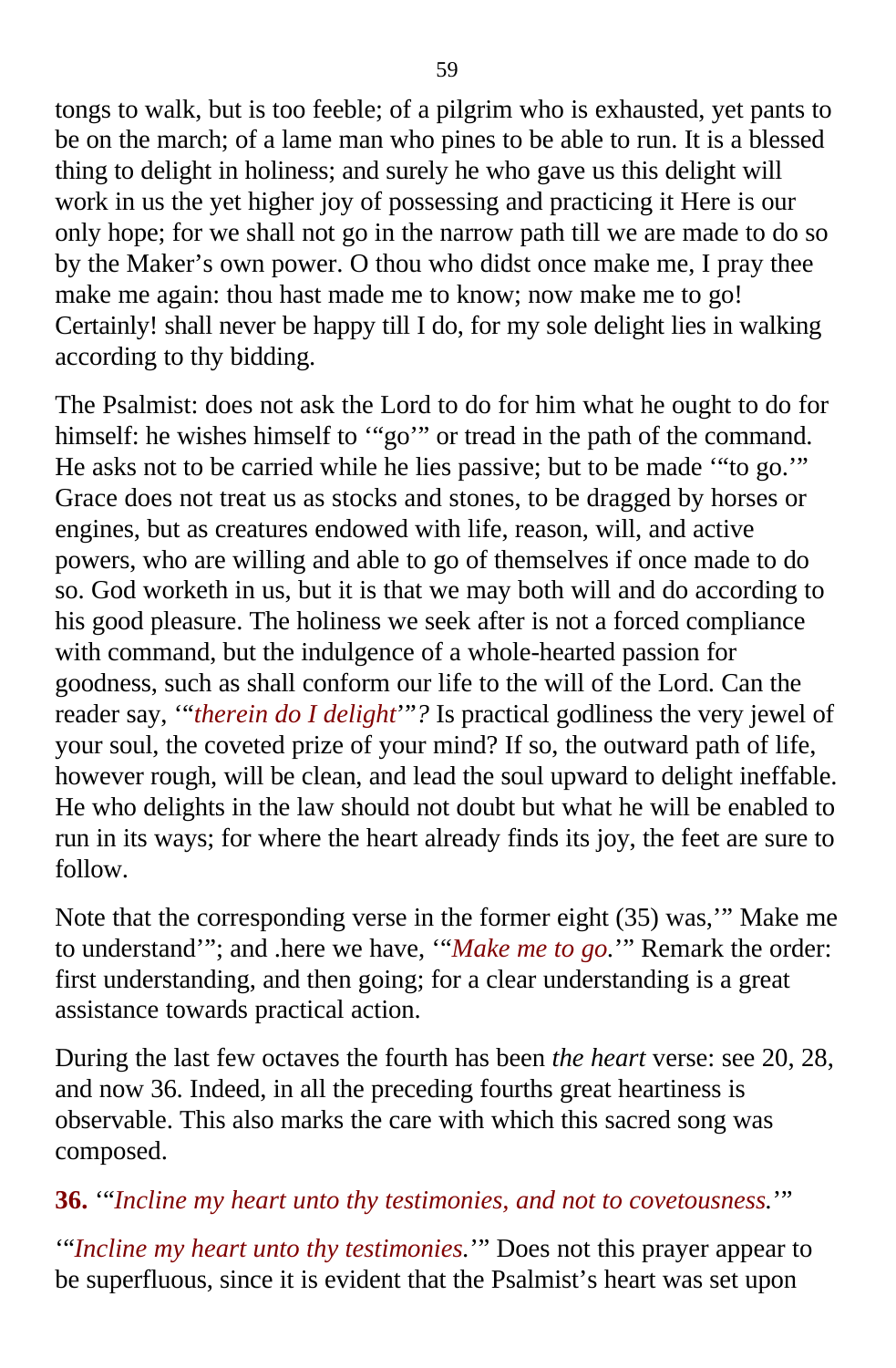tongs to walk, but is too feeble; of a pilgrim who is exhausted, yet pants to be on the march; of a lame man who pines to be able to run. It is a blessed thing to delight in holiness; and surely he who gave us this delight will work in us the yet higher joy of possessing and practicing it Here is our only hope; for we shall not go in the narrow path till we are made to do so by the Maker's own power. O thou who didst once make me, I pray thee make me again: thou hast made me to know; now make me to go! Certainly! shall never be happy till I do, for my sole delight lies in walking according to thy bidding.

The Psalmist: does not ask the Lord to do for him what he ought to do for himself: he wishes himself to ""go"" or tread in the path of the command. He asks not to be carried while he lies passive; but to be made '"to go.'" Grace does not treat us as stocks and stones, to be dragged by horses or engines, but as creatures endowed with life, reason, will, and active powers, who are willing and able to go of themselves if once made to do so. God worketh in us, but it is that we may both will and do according to his good pleasure. The holiness we seek after is not a forced compliance with command, but the indulgence of a whole-hearted passion for goodness, such as shall conform our life to the will of the Lord. Can the reader say, '"*therein do I delight*'"*?* Is practical godliness the very jewel of your soul, the coveted prize of your mind? If so, the outward path of life, however rough, will be clean, and lead the soul upward to delight ineffable. He who delights in the law should not doubt but what he will be enabled to run in its ways; for where the heart already finds its joy, the feet are sure to follow.

Note that the corresponding verse in the former eight (35) was,'" Make me to understand'"; and .here we have, '"*Make me to go.*'" Remark the order: first understanding, and then going; for a clear understanding is a great assistance towards practical action.

During the last few octaves the fourth has been *the heart* verse: see 20, 28, and now 36. Indeed, in all the preceding fourths great heartiness is observable. This also marks the care with which this sacred song was composed.

**36.** '"*Incline my heart unto thy testimonies, and not to covetousness.*'"

'"*Incline my heart unto thy testimonies.*'" Does not this prayer appear to be superfluous, since it is evident that the Psalmist's heart was set upon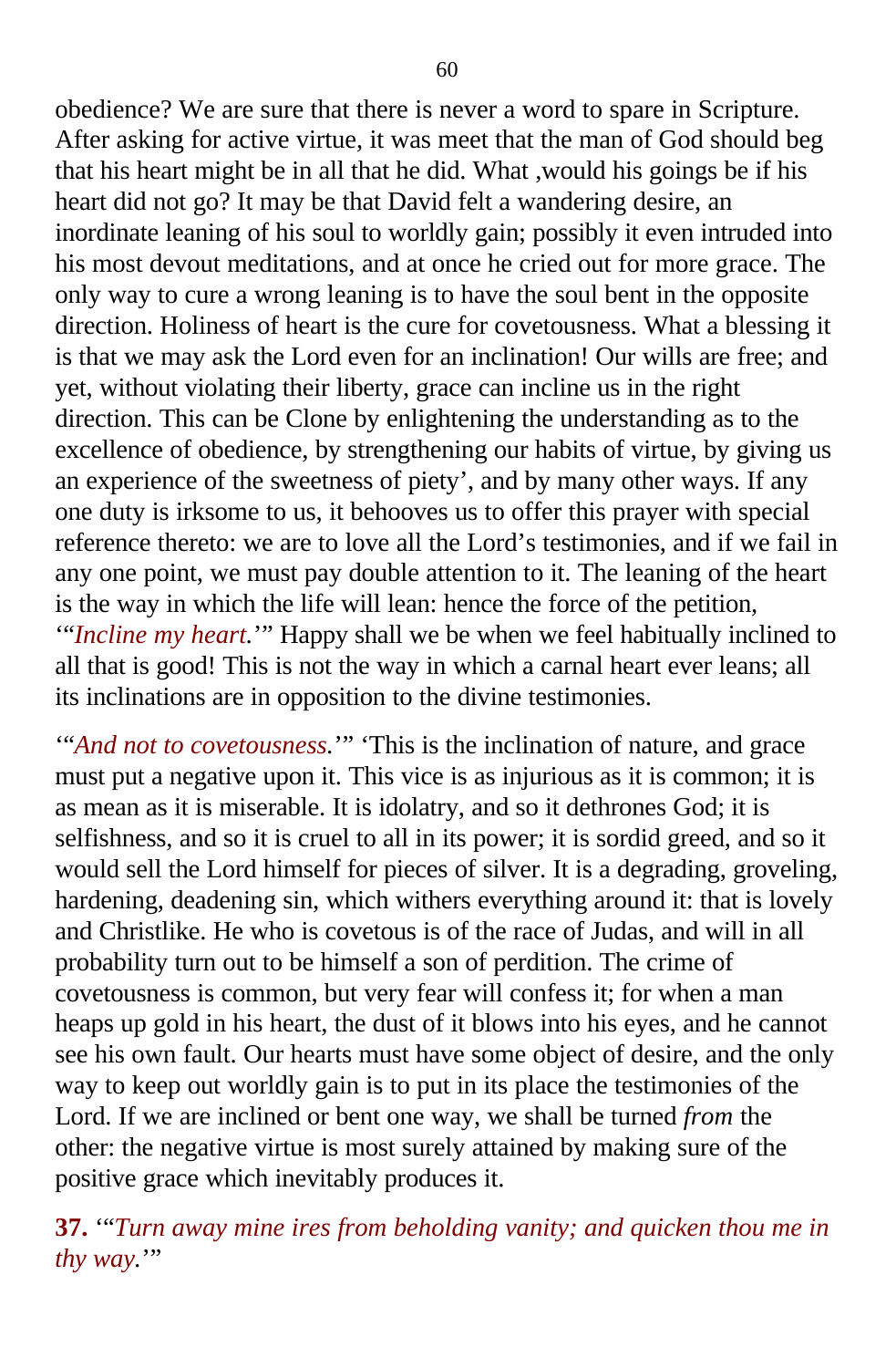obedience? We are sure that there is never a word to spare in Scripture. After asking for active virtue, it was meet that the man of God should beg that his heart might be in all that he did. What ,would his goings be if his heart did not go? It may be that David felt a wandering desire, an inordinate leaning of his soul to worldly gain; possibly it even intruded into his most devout meditations, and at once he cried out for more grace. The only way to cure a wrong leaning is to have the soul bent in the opposite direction. Holiness of heart is the cure for covetousness. What a blessing it is that we may ask the Lord even for an inclination! Our wills are free; and yet, without violating their liberty, grace can incline us in the right direction. This can be Clone by enlightening the understanding as to the excellence of obedience, by strengthening our habits of virtue, by giving us an experience of the sweetness of piety', and by many other ways. If any one duty is irksome to us, it behooves us to offer this prayer with special reference thereto: we are to love all the Lord's testimonies, and if we fail in any one point, we must pay double attention to it. The leaning of the heart is the way in which the life will lean: hence the force of the petition, '"*Incline my heart.*'" Happy shall we be when we feel habitually inclined to all that is good! This is not the way in which a carnal heart ever leans; all its inclinations are in opposition to the divine testimonies.

'"*And not to covetousness.*'" 'This is the inclination of nature, and grace must put a negative upon it. This vice is as injurious as it is common; it is as mean as it is miserable. It is idolatry, and so it dethrones God; it is selfishness, and so it is cruel to all in its power; it is sordid greed, and so it would sell the Lord himself for pieces of silver. It is a degrading, groveling, hardening, deadening sin, which withers everything around it: that is lovely and Christlike. He who is covetous is of the race of Judas, and will in all probability turn out to be himself a son of perdition. The crime of covetousness is common, but very fear will confess it; for when a man heaps up gold in his heart, the dust of it blows into his eyes, and he cannot see his own fault. Our hearts must have some object of desire, and the only way to keep out worldly gain is to put in its place the testimonies of the Lord. If we are inclined or bent one way, we shall be turned *from* the other: the negative virtue is most surely attained by making sure of the positive grace which inevitably produces it.

**37.** '"*Turn away mine ires from beholding vanity; and quicken thou me in thy way.*"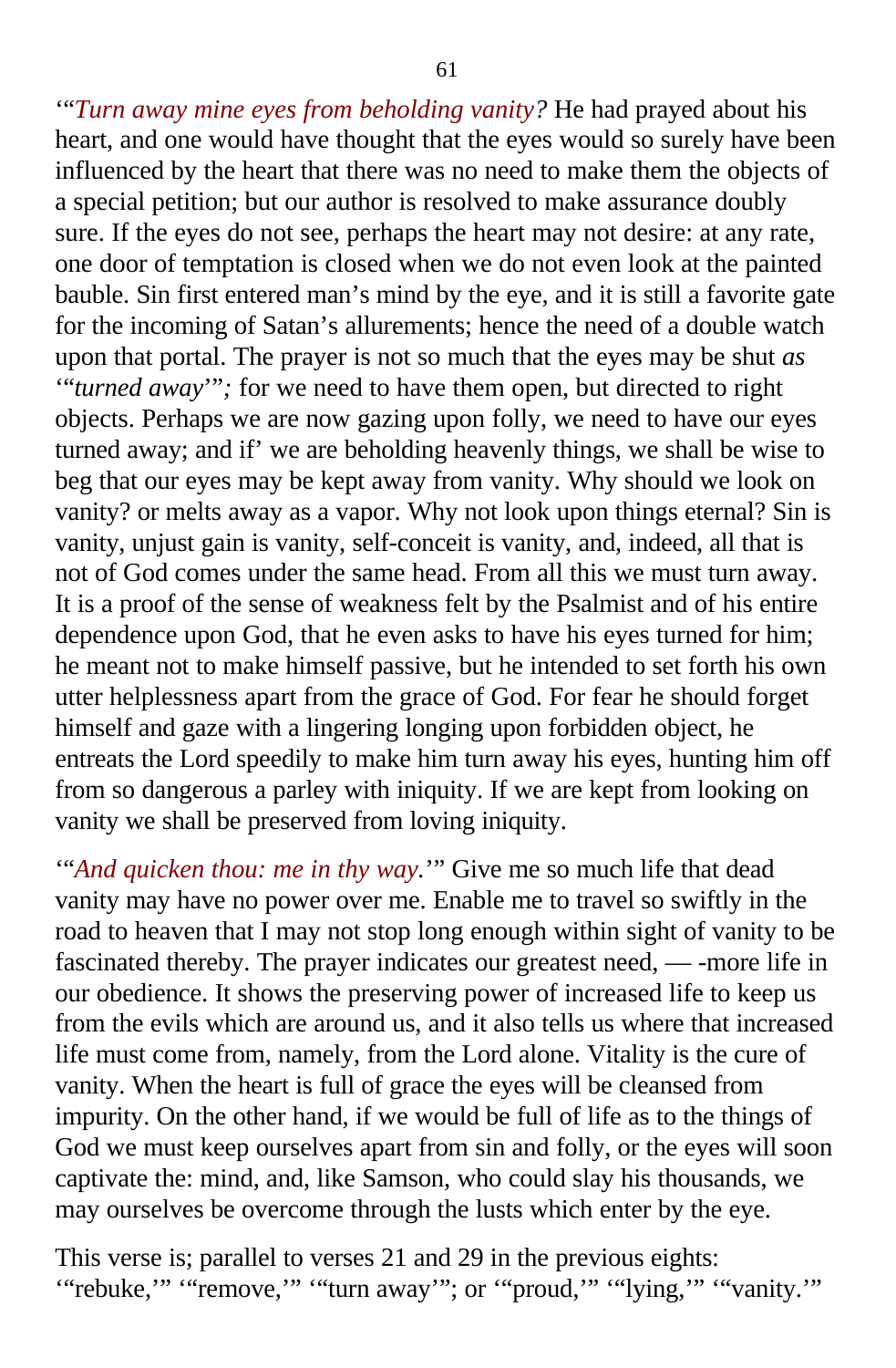'"*Turn away mine eyes from beholding vanity?* He had prayed about his heart, and one would have thought that the eyes would so surely have been influenced by the heart that there was no need to make them the objects of a special petition; but our author is resolved to make assurance doubly sure. If the eyes do not see, perhaps the heart may not desire: at any rate, one door of temptation is closed when we do not even look at the painted bauble. Sin first entered man's mind by the eye, and it is still a favorite gate for the incoming of Satan's allurements; hence the need of a double watch upon that portal. The prayer is not so much that the eyes may be shut *as* '"*turned away*'"*;* for we need to have them open, but directed to right objects. Perhaps we are now gazing upon folly, we need to have our eyes turned away; and if' we are beholding heavenly things, we shall be wise to beg that our eyes may be kept away from vanity. Why should we look on vanity? or melts away as a vapor. Why not look upon things eternal? Sin is vanity, unjust gain is vanity, self-conceit is vanity, and, indeed, all that is not of God comes under the same head. From all this we must turn away. It is a proof of the sense of weakness felt by the Psalmist and of his entire dependence upon God, that he even asks to have his eyes turned for him; he meant not to make himself passive, but he intended to set forth his own utter helplessness apart from the grace of God. For fear he should forget himself and gaze with a lingering longing upon forbidden object, he entreats the Lord speedily to make him turn away his eyes, hunting him off from so dangerous a parley with iniquity. If we are kept from looking on vanity we shall be preserved from loving iniquity.

'"*And quicken thou: me in thy way.*'" Give me so much life that dead vanity may have no power over me. Enable me to travel so swiftly in the road to heaven that I may not stop long enough within sight of vanity to be fascinated thereby. The prayer indicates our greatest need, — -more life in our obedience. It shows the preserving power of increased life to keep us from the evils which are around us, and it also tells us where that increased life must come from, namely, from the Lord alone. Vitality is the cure of vanity. When the heart is full of grace the eyes will be cleansed from impurity. On the other hand, if we would be full of life as to the things of God we must keep ourselves apart from sin and folly, or the eyes will soon captivate the: mind, and, like Samson, who could slay his thousands, we may ourselves be overcome through the lusts which enter by the eye.

This verse is; parallel to verses 21 and 29 in the previous eights: '"rebuke,'" '"remove,'" '"turn away'"; or '"proud,'" '"lying,'" '"vanity.'"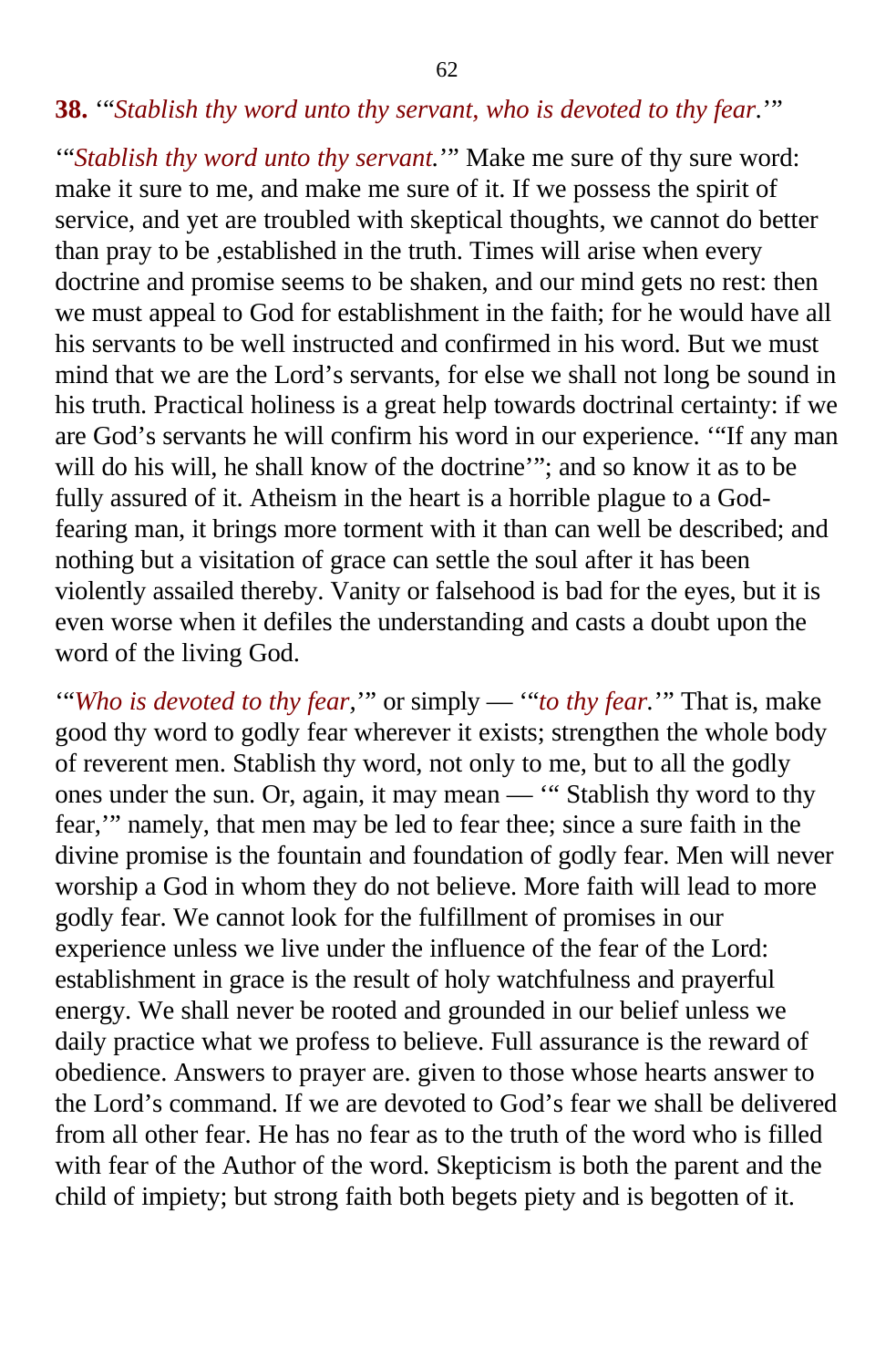#### **38.** '"*Stablish thy word unto thy servant, who is devoted to thy fear.*'"

'"*Stablish thy word unto thy servant.*'" Make me sure of thy sure word: make it sure to me, and make me sure of it. If we possess the spirit of service, and yet are troubled with skeptical thoughts, we cannot do better than pray to be ,established in the truth. Times will arise when every doctrine and promise seems to be shaken, and our mind gets no rest: then we must appeal to God for establishment in the faith; for he would have all his servants to be well instructed and confirmed in his word. But we must mind that we are the Lord's servants, for else we shall not long be sound in his truth. Practical holiness is a great help towards doctrinal certainty: if we are God's servants he will confirm his word in our experience. '"If any man will do his will, he shall know of the doctrine""; and so know it as to be fully assured of it. Atheism in the heart is a horrible plague to a Godfearing man, it brings more torment with it than can well be described; and nothing but a visitation of grace can settle the soul after it has been violently assailed thereby. Vanity or falsehood is bad for the eyes, but it is even worse when it defiles the understanding and casts a doubt upon the word of the living God.

'"*Who is devoted to thy fear,*'" or simply — '"*to thy fear.*'" That is, make good thy word to godly fear wherever it exists; strengthen the whole body of reverent men. Stablish thy word, not only to me, but to all the godly ones under the sun. Or, again, it may mean — '" Stablish thy word to thy fear,'" namely, that men may be led to fear thee; since a sure faith in the divine promise is the fountain and foundation of godly fear. Men will never worship a God in whom they do not believe. More faith will lead to more godly fear. We cannot look for the fulfillment of promises in our experience unless we live under the influence of the fear of the Lord: establishment in grace is the result of holy watchfulness and prayerful energy. We shall never be rooted and grounded in our belief unless we daily practice what we profess to believe. Full assurance is the reward of obedience. Answers to prayer are. given to those whose hearts answer to the Lord's command. If we are devoted to God's fear we shall be delivered from all other fear. He has no fear as to the truth of the word who is filled with fear of the Author of the word. Skepticism is both the parent and the child of impiety; but strong faith both begets piety and is begotten of it.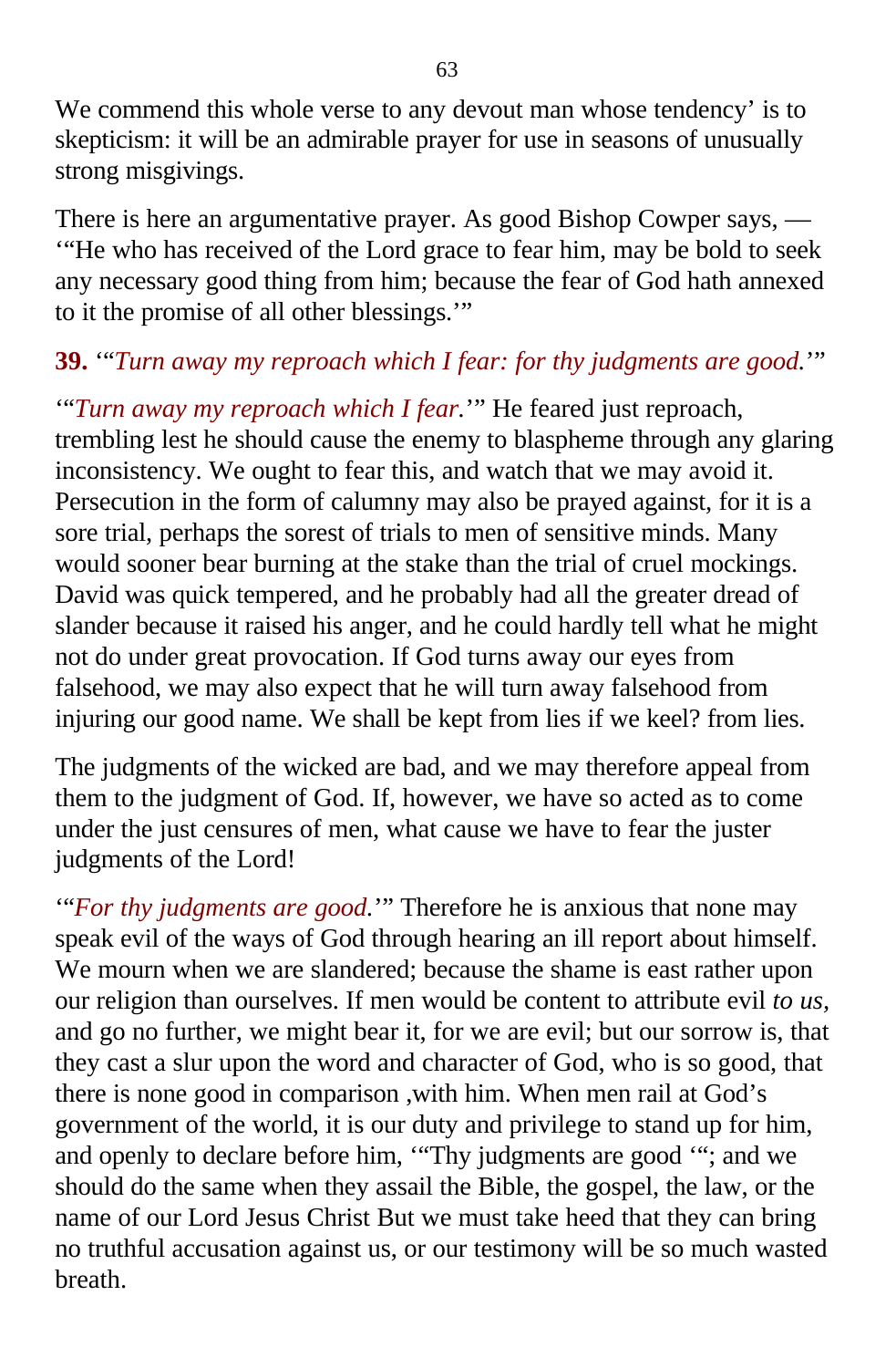We commend this whole verse to any devout man whose tendency' is to skepticism: it will be an admirable prayer for use in seasons of unusually strong misgivings.

There is here an argumentative prayer. As good Bishop Cowper says, — '"He who has received of the Lord grace to fear him, may be bold to seek any necessary good thing from him; because the fear of God hath annexed to it the promise of all other blessings.'"

## **39.** '"*Turn away my reproach which I fear: for thy judgments are good.*'"

'"*Turn away my reproach which I fear.*'" He feared just reproach, trembling lest he should cause the enemy to blaspheme through any glaring inconsistency. We ought to fear this, and watch that we may avoid it. Persecution in the form of calumny may also be prayed against, for it is a sore trial, perhaps the sorest of trials to men of sensitive minds. Many would sooner bear burning at the stake than the trial of cruel mockings. David was quick tempered, and he probably had all the greater dread of slander because it raised his anger, and he could hardly tell what he might not do under great provocation. If God turns away our eyes from falsehood, we may also expect that he will turn away falsehood from injuring our good name. We shall be kept from lies if we keel? from lies.

The judgments of the wicked are bad, and we may therefore appeal from them to the judgment of God. If, however, we have so acted as to come under the just censures of men, what cause we have to fear the juster judgments of the Lord!

'"*For thy judgments are good.*'" Therefore he is anxious that none may speak evil of the ways of God through hearing an ill report about himself. We mourn when we are slandered; because the shame is east rather upon our religion than ourselves. If men would be content to attribute evil *to us,* and go no further, we might bear it, for we are evil; but our sorrow is, that they cast a slur upon the word and character of God, who is so good, that there is none good in comparison ,with him. When men rail at God's government of the world, it is our duty and privilege to stand up for him, and openly to declare before him, '"Thy judgments are good '"; and we should do the same when they assail the Bible, the gospel, the law, or the name of our Lord Jesus Christ But we must take heed that they can bring no truthful accusation against us, or our testimony will be so much wasted breath.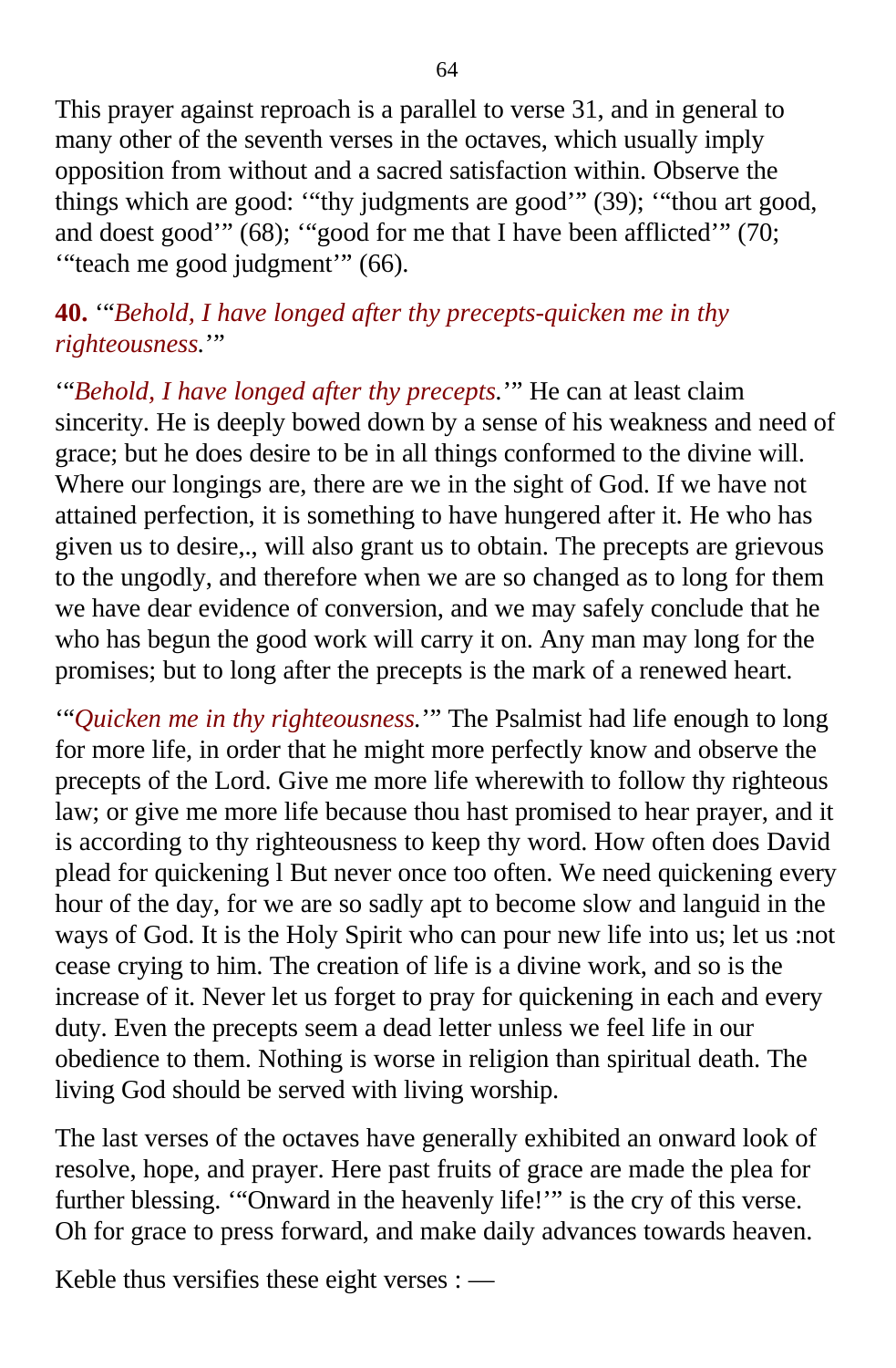This prayer against reproach is a parallel to verse 31, and in general to many other of the seventh verses in the octaves, which usually imply opposition from without and a sacred satisfaction within. Observe the things which are good: '"thy judgments are good'" (39); '"thou art good, and doest good'" (68); '"good for me that I have been afflicted'" (70; '"teach me good judgment'" (66).

### **40.** '"*Behold, I have longed after thy precepts-quicken me in thy righteousness.*'"

'"*Behold, I have longed after thy precepts.*'" He can at least claim sincerity. He is deeply bowed down by a sense of his weakness and need of grace; but he does desire to be in all things conformed to the divine will. Where our longings are, there are we in the sight of God. If we have not attained perfection, it is something to have hungered after it. He who has given us to desire,., will also grant us to obtain. The precepts are grievous to the ungodly, and therefore when we are so changed as to long for them we have dear evidence of conversion, and we may safely conclude that he who has begun the good work will carry it on. Any man may long for the promises; but to long after the precepts is the mark of a renewed heart.

'"*Quicken me in thy righteousness.*'" The Psalmist had life enough to long for more life, in order that he might more perfectly know and observe the precepts of the Lord. Give me more life wherewith to follow thy righteous law; or give me more life because thou hast promised to hear prayer, and it is according to thy righteousness to keep thy word. How often does David plead for quickening l But never once too often. We need quickening every hour of the day, for we are so sadly apt to become slow and languid in the ways of God. It is the Holy Spirit who can pour new life into us; let us :not cease crying to him. The creation of life is a divine work, and so is the increase of it. Never let us forget to pray for quickening in each and every duty. Even the precepts seem a dead letter unless we feel life in our obedience to them. Nothing is worse in religion than spiritual death. The living God should be served with living worship.

The last verses of the octaves have generally exhibited an onward look of resolve, hope, and prayer. Here past fruits of grace are made the plea for further blessing. '"Onward in the heavenly life!'" is the cry of this verse. Oh for grace to press forward, and make daily advances towards heaven.

Keble thus versifies these eight verses : —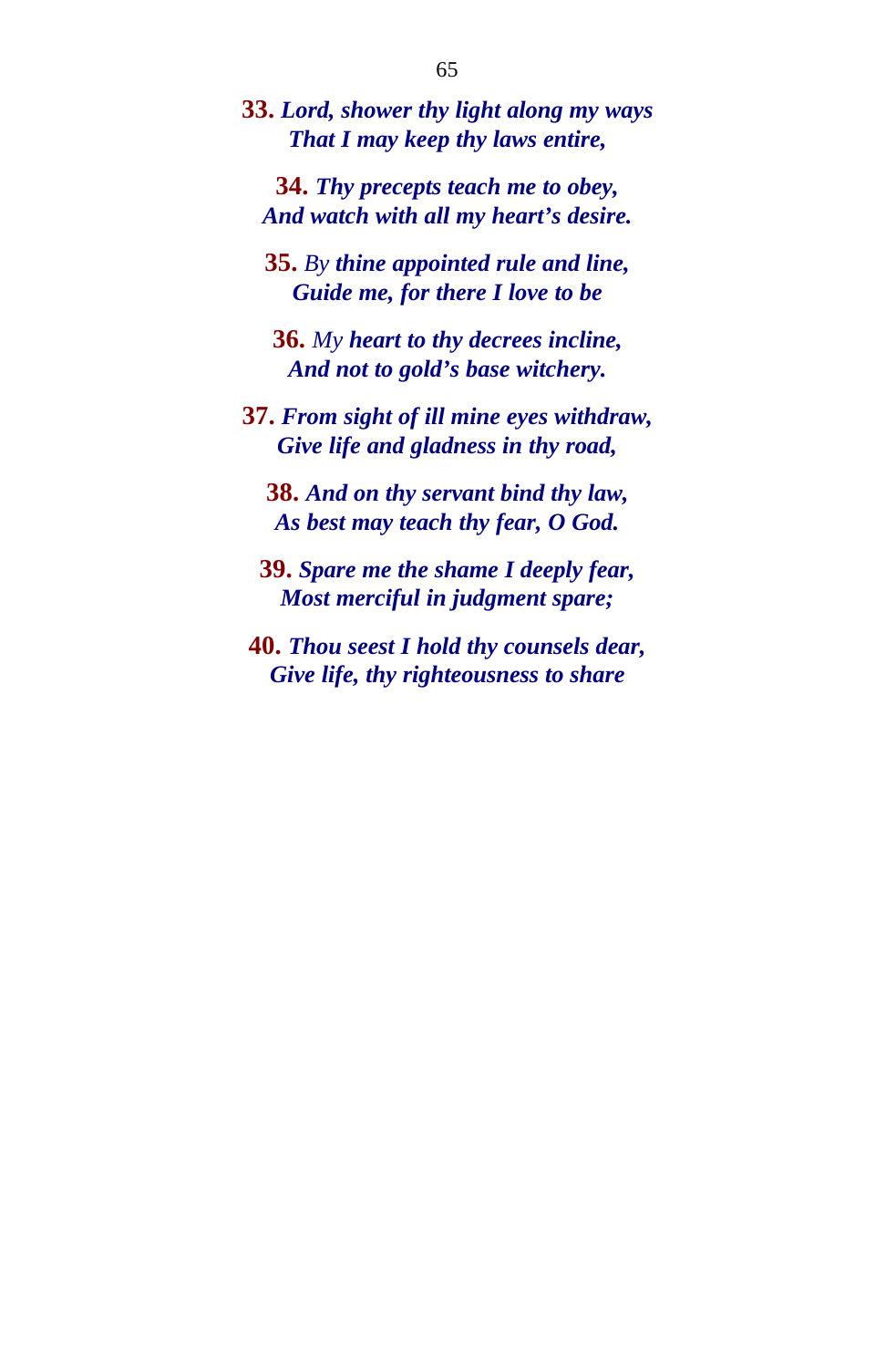**33.** *Lord, shower thy light along my ways That I may keep thy laws entire,*

**34.** *Thy precepts teach me to obey, And watch with all my heart's desire.*

**35.** *By thine appointed rule and line, Guide me, for there I love to be*

**36.** *My heart to thy decrees incline, And not to gold's base witchery.*

**37.** *From sight of ill mine eyes withdraw, Give life and gladness in thy road,*

**38.** *And on thy servant bind thy law, As best may teach thy fear, O God.*

**39.** *Spare me the shame I deeply fear, Most merciful in judgment spare;*

**40.** *Thou seest I hold thy counsels dear, Give life, thy righteousness to share*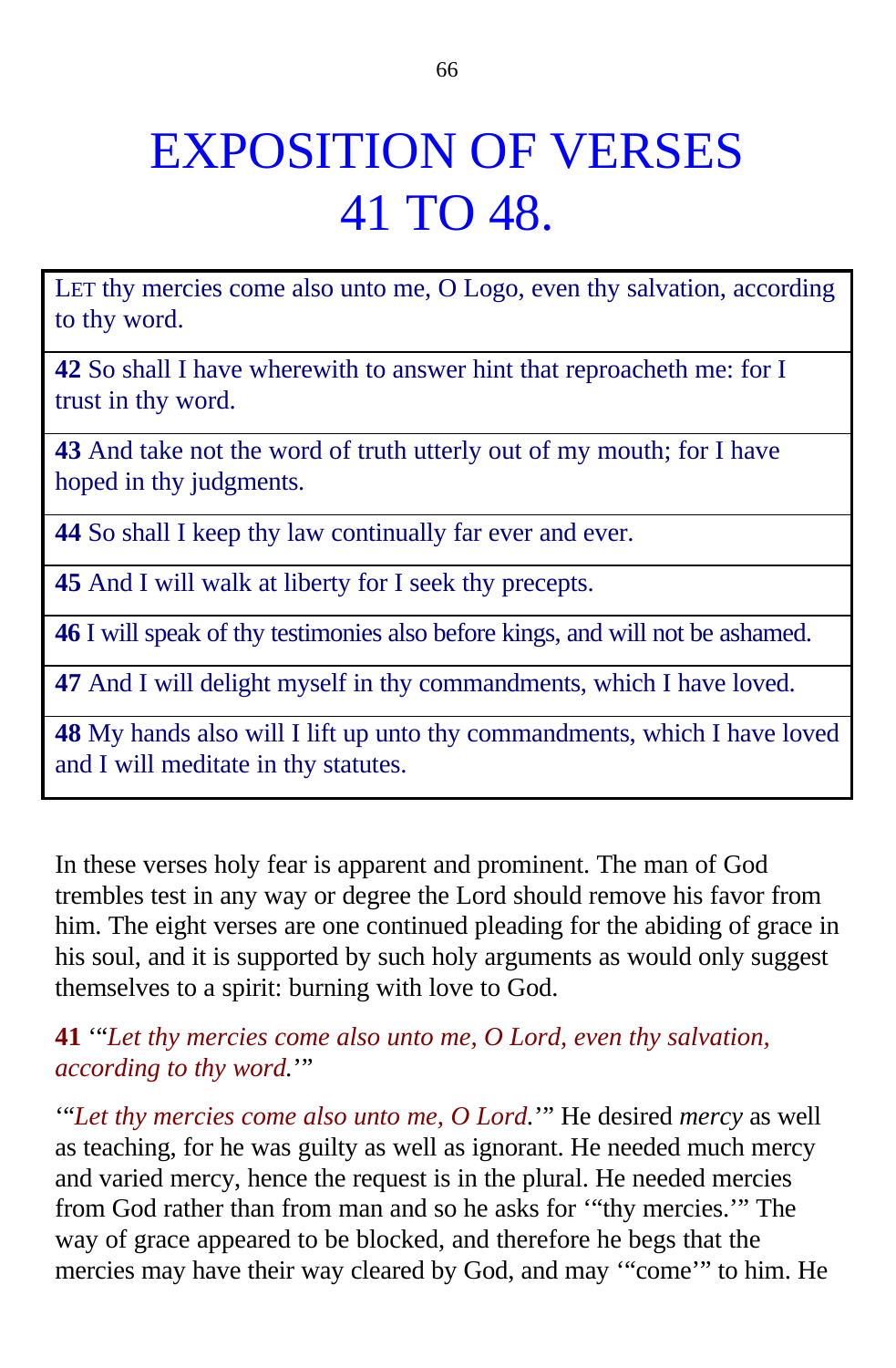## EXPOSITION OF VERSES 41 TO 48.

LET thy mercies come also unto me, O Logo, even thy salvation, according to thy word.

**42** So shall I have wherewith to answer hint that reproacheth me: for I trust in thy word.

**43** And take not the word of truth utterly out of my mouth; for I have hoped in thy judgments.

**44** So shall I keep thy law continually far ever and ever.

**45** And I will walk at liberty for I seek thy precepts.

**46** I will speak of thy testimonies also before kings, and will not be ashamed.

**47** And I will delight myself in thy commandments, which I have loved.

**48** My hands also will I lift up unto thy commandments, which I have loved and I will meditate in thy statutes.

In these verses holy fear is apparent and prominent. The man of God trembles test in any way or degree the Lord should remove his favor from him. The eight verses are one continued pleading for the abiding of grace in his soul, and it is supported by such holy arguments as would only suggest themselves to a spirit: burning with love to God.

#### **41** '"*Let thy mercies come also unto me, O Lord, even thy salvation, according to thy word.*'"

'"*Let thy mercies come also unto me, O Lord.*'" He desired *mercy* as well as teaching, for he was guilty as well as ignorant. He needed much mercy and varied mercy, hence the request is in the plural. He needed mercies from God rather than from man and so he asks for '"thy mercies.'" The way of grace appeared to be blocked, and therefore he begs that the mercies may have their way cleared by God, and may '"come'" to him. He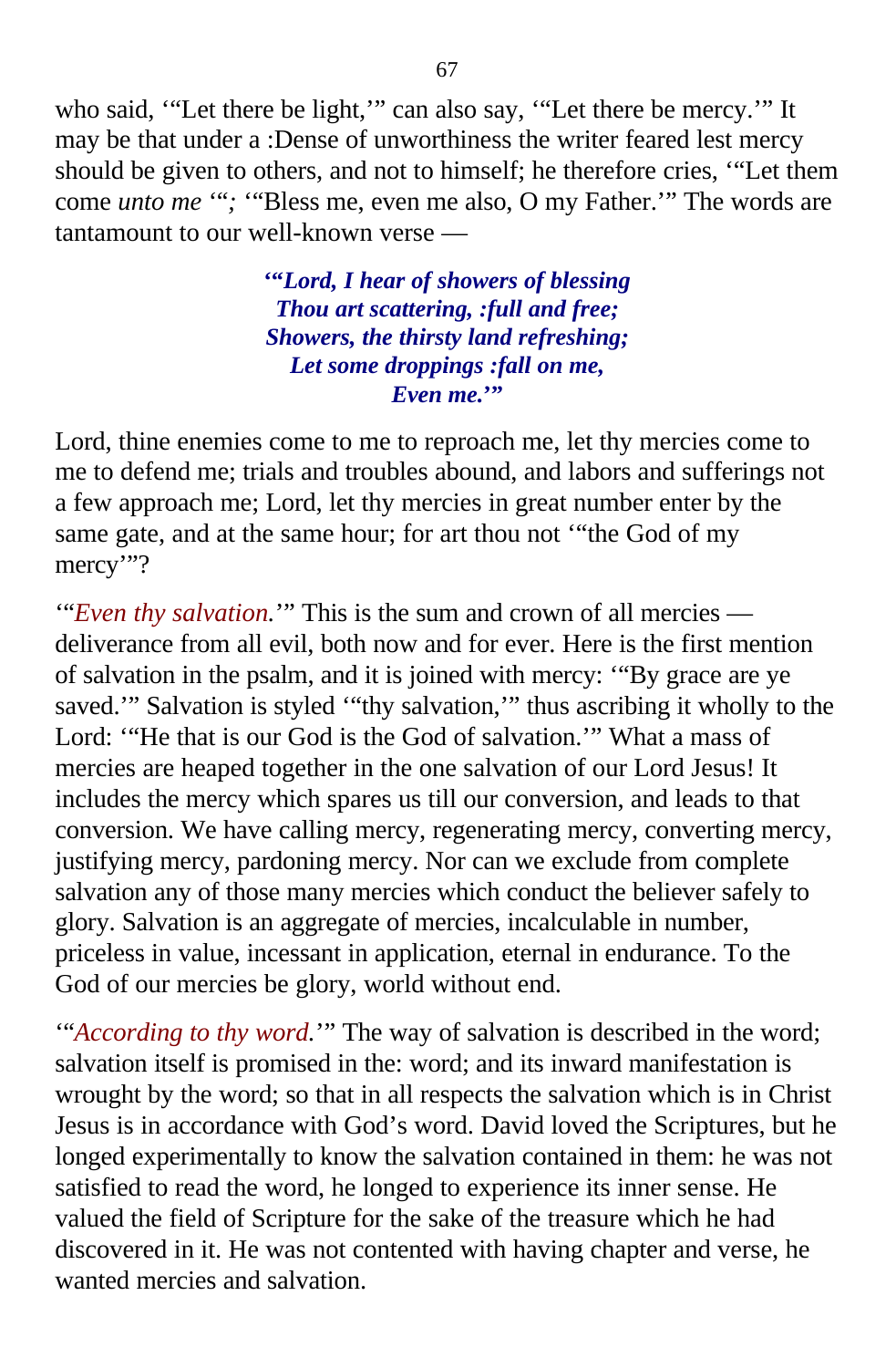who said, '"Let there be light,'" can also say, '"Let there be mercy.'" It may be that under a :Dense of unworthiness the writer feared lest mercy should be given to others, and not to himself; he therefore cries, '"Let them come *unto me* '"*;* '"Bless me, even me also, O my Father.'" The words are tantamount to our well-known verse —

> **'"***Lord, I hear of showers of blessing Thou art scattering, :full and free; Showers, the thirsty land refreshing; Let some droppings :fall on me, Even me.*"

Lord, thine enemies come to me to reproach me, let thy mercies come to me to defend me; trials and troubles abound, and labors and sufferings not a few approach me; Lord, let thy mercies in great number enter by the same gate, and at the same hour; for art thou not '"the God of my mercy"?

'"*Even thy salvation.*'" This is the sum and crown of all mercies deliverance from all evil, both now and for ever. Here is the first mention of salvation in the psalm, and it is joined with mercy: '"By grace are ye saved.'" Salvation is styled '"thy salvation,'" thus ascribing it wholly to the Lord: '"He that is our God is the God of salvation.'" What a mass of mercies are heaped together in the one salvation of our Lord Jesus! It includes the mercy which spares us till our conversion, and leads to that conversion. We have calling mercy, regenerating mercy, converting mercy, justifying mercy, pardoning mercy. Nor can we exclude from complete salvation any of those many mercies which conduct the believer safely to glory. Salvation is an aggregate of mercies, incalculable in number, priceless in value, incessant in application, eternal in endurance. To the God of our mercies be glory, world without end.

'"*According to thy word.*'" The way of salvation is described in the word; salvation itself is promised in the: word; and its inward manifestation is wrought by the word; so that in all respects the salvation which is in Christ Jesus is in accordance with God's word. David loved the Scriptures, but he longed experimentally to know the salvation contained in them: he was not satisfied to read the word, he longed to experience its inner sense. He valued the field of Scripture for the sake of the treasure which he had discovered in it. He was not contented with having chapter and verse, he wanted mercies and salvation.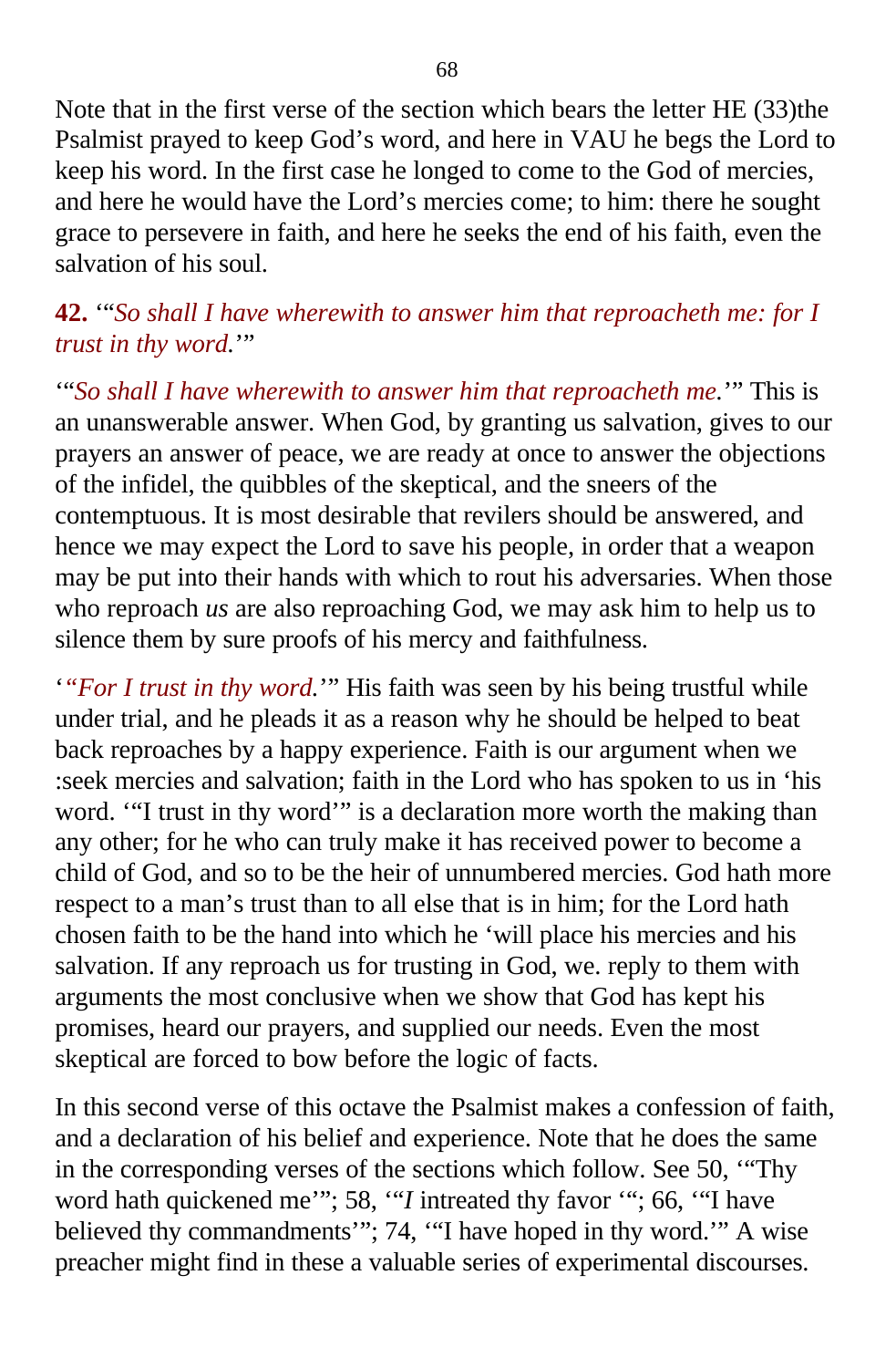Note that in the first verse of the section which bears the letter HE (33)the Psalmist prayed to keep God's word, and here in VAU he begs the Lord to keep his word. In the first case he longed to come to the God of mercies, and here he would have the Lord's mercies come; to him: there he sought grace to persevere in faith, and here he seeks the end of his faith, even the salvation of his soul.

### **42.** '"*So shall I have wherewith to answer him that reproacheth me: for I* trust in thy word."

'"*So shall I have wherewith to answer him that reproacheth me.*'" This is an unanswerable answer. When God, by granting us salvation, gives to our prayers an answer of peace, we are ready at once to answer the objections of the infidel, the quibbles of the skeptical, and the sneers of the contemptuous. It is most desirable that revilers should be answered, and hence we may expect the Lord to save his people, in order that a weapon may be put into their hands with which to rout his adversaries. When those who reproach *us* are also reproaching God, we may ask him to help us to silence them by sure proofs of his mercy and faithfulness.

'*"For I trust in thy word.*'" His faith was seen by his being trustful while under trial, and he pleads it as a reason why he should be helped to beat back reproaches by a happy experience. Faith is our argument when we :seek mercies and salvation; faith in the Lord who has spoken to us in 'his word. '"I trust in thy word'" is a declaration more worth the making than any other; for he who can truly make it has received power to become a child of God, and so to be the heir of unnumbered mercies. God hath more respect to a man's trust than to all else that is in him; for the Lord hath chosen faith to be the hand into which he 'will place his mercies and his salvation. If any reproach us for trusting in God, we. reply to them with arguments the most conclusive when we show that God has kept his promises, heard our prayers, and supplied our needs. Even the most skeptical are forced to bow before the logic of facts.

In this second verse of this octave the Psalmist makes a confession of faith, and a declaration of his belief and experience. Note that he does the same in the corresponding verses of the sections which follow. See 50, '"Thy word hath quickened me'"; 58, '"*I* intreated thy favor '"; 66, '"I have believed thy commandments'"; 74, '"I have hoped in thy word.'" A wise preacher might find in these a valuable series of experimental discourses.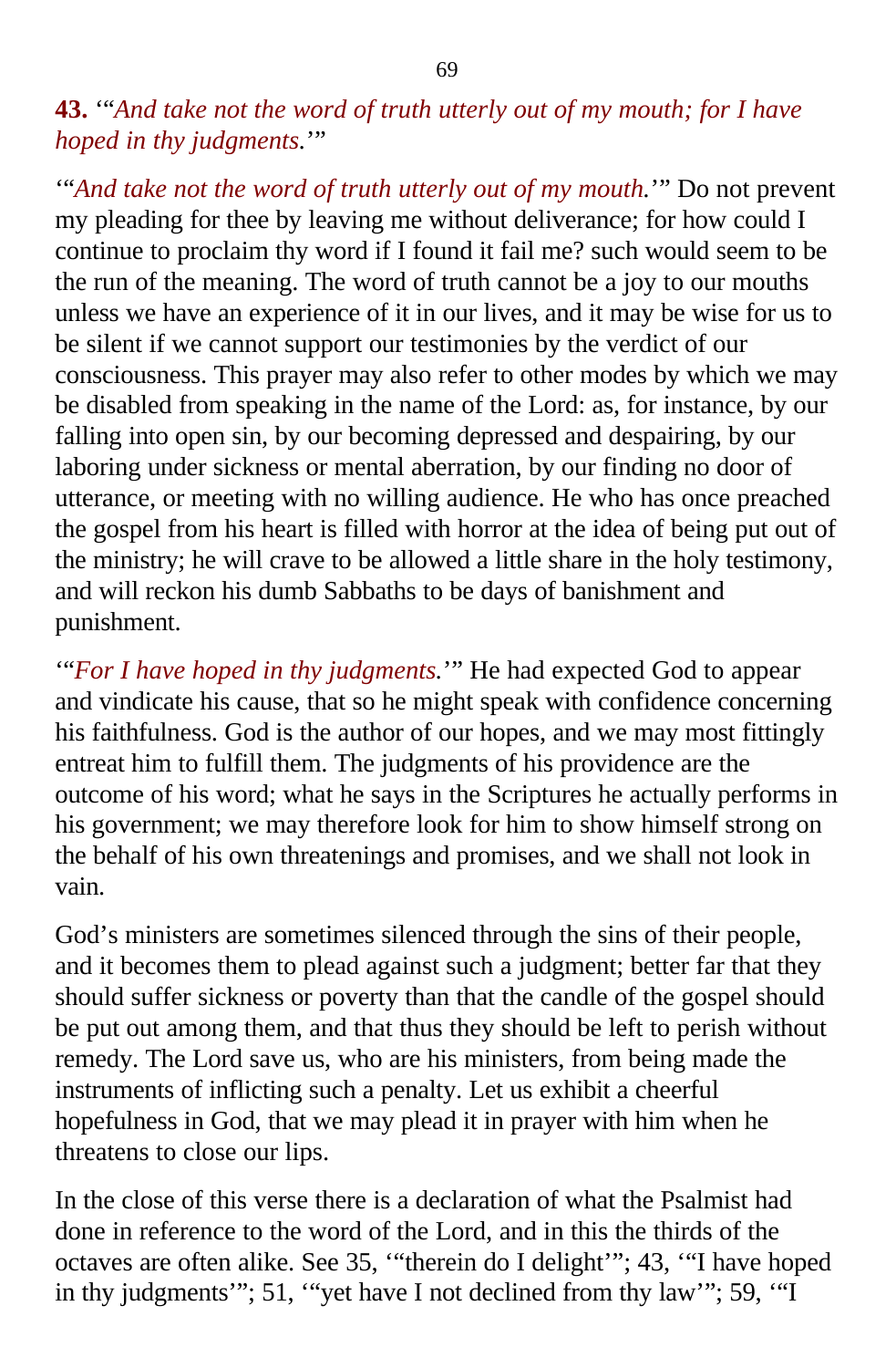**43.** '"*And take not the word of truth utterly out of my mouth; for I have hoped in thy judgments.*"

'"*And take not the word of truth utterly out of my mouth.*'" Do not prevent my pleading for thee by leaving me without deliverance; for how could I continue to proclaim thy word if I found it fail me? such would seem to be the run of the meaning. The word of truth cannot be a joy to our mouths unless we have an experience of it in our lives, and it may be wise for us to be silent if we cannot support our testimonies by the verdict of our consciousness. This prayer may also refer to other modes by which we may be disabled from speaking in the name of the Lord: as, for instance, by our falling into open sin, by our becoming depressed and despairing, by our laboring under sickness or mental aberration, by our finding no door of utterance, or meeting with no willing audience. He who has once preached the gospel from his heart is filled with horror at the idea of being put out of the ministry; he will crave to be allowed a little share in the holy testimony, and will reckon his dumb Sabbaths to be days of banishment and punishment.

'"*For I have hoped in thy judgments.*'" He had expected God to appear and vindicate his cause, that so he might speak with confidence concerning his faithfulness. God is the author of our hopes, and we may most fittingly entreat him to fulfill them. The judgments of his providence are the outcome of his word; what he says in the Scriptures he actually performs in his government; we may therefore look for him to show himself strong on the behalf of his own threatenings and promises, and we shall not look in vain.

God's ministers are sometimes silenced through the sins of their people, and it becomes them to plead against such a judgment; better far that they should suffer sickness or poverty than that the candle of the gospel should be put out among them, and that thus they should be left to perish without remedy. The Lord save us, who are his ministers, from being made the instruments of inflicting such a penalty. Let us exhibit a cheerful hopefulness in God, that we may plead it in prayer with him when he threatens to close our lips.

In the close of this verse there is a declaration of what the Psalmist had done in reference to the word of the Lord, and in this the thirds of the octaves are often alike. See 35, '"therein do I delight'"; 43, '"I have hoped in thy judgments'"; 51, '"yet have I not declined from thy law'"; 59, '"I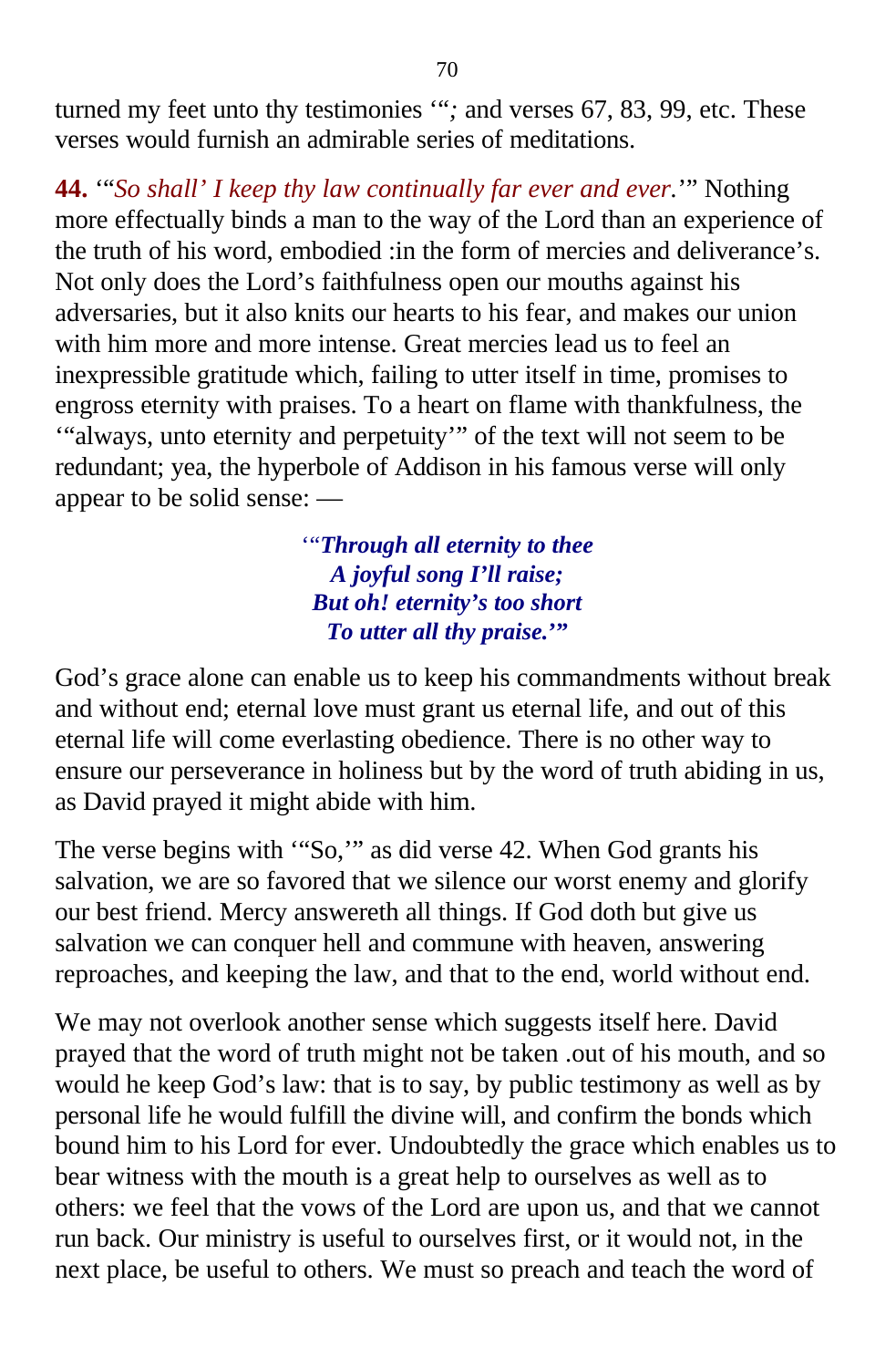turned my feet unto thy testimonies '"*;* and verses 67, 83, 99, etc. These verses would furnish an admirable series of meditations.

**44.** '"*So shall' I keep thy law continually far ever and ever.*'" Nothing more effectually binds a man to the way of the Lord than an experience of the truth of his word, embodied :in the form of mercies and deliverance's. Not only does the Lord's faithfulness open our mouths against his adversaries, but it also knits our hearts to his fear, and makes our union with him more and more intense. Great mercies lead us to feel an inexpressible gratitude which, failing to utter itself in time, promises to engross eternity with praises. To a heart on flame with thankfulness, the '"always, unto eternity and perpetuity'" of the text will not seem to be redundant; yea, the hyperbole of Addison in his famous verse will only appear to be solid sense: —

> '"*Through all eternity to thee A joyful song I'll raise; But oh! eternity's too short To utter all thy praise.*

God's grace alone can enable us to keep his commandments without break and without end; eternal love must grant us eternal life, and out of this eternal life will come everlasting obedience. There is no other way to ensure our perseverance in holiness but by the word of truth abiding in us, as David prayed it might abide with him.

The verse begins with '"So,'" as did verse 42. When God grants his salvation, we are so favored that we silence our worst enemy and glorify our best friend. Mercy answereth all things. If God doth but give us salvation we can conquer hell and commune with heaven, answering reproaches, and keeping the law, and that to the end, world without end.

We may not overlook another sense which suggests itself here. David prayed that the word of truth might not be taken .out of his mouth, and so would he keep God's law: that is to say, by public testimony as well as by personal life he would fulfill the divine will, and confirm the bonds which bound him to his Lord for ever. Undoubtedly the grace which enables us to bear witness with the mouth is a great help to ourselves as well as to others: we feel that the vows of the Lord are upon us, and that we cannot run back. Our ministry is useful to ourselves first, or it would not, in the next place, be useful to others. We must so preach and teach the word of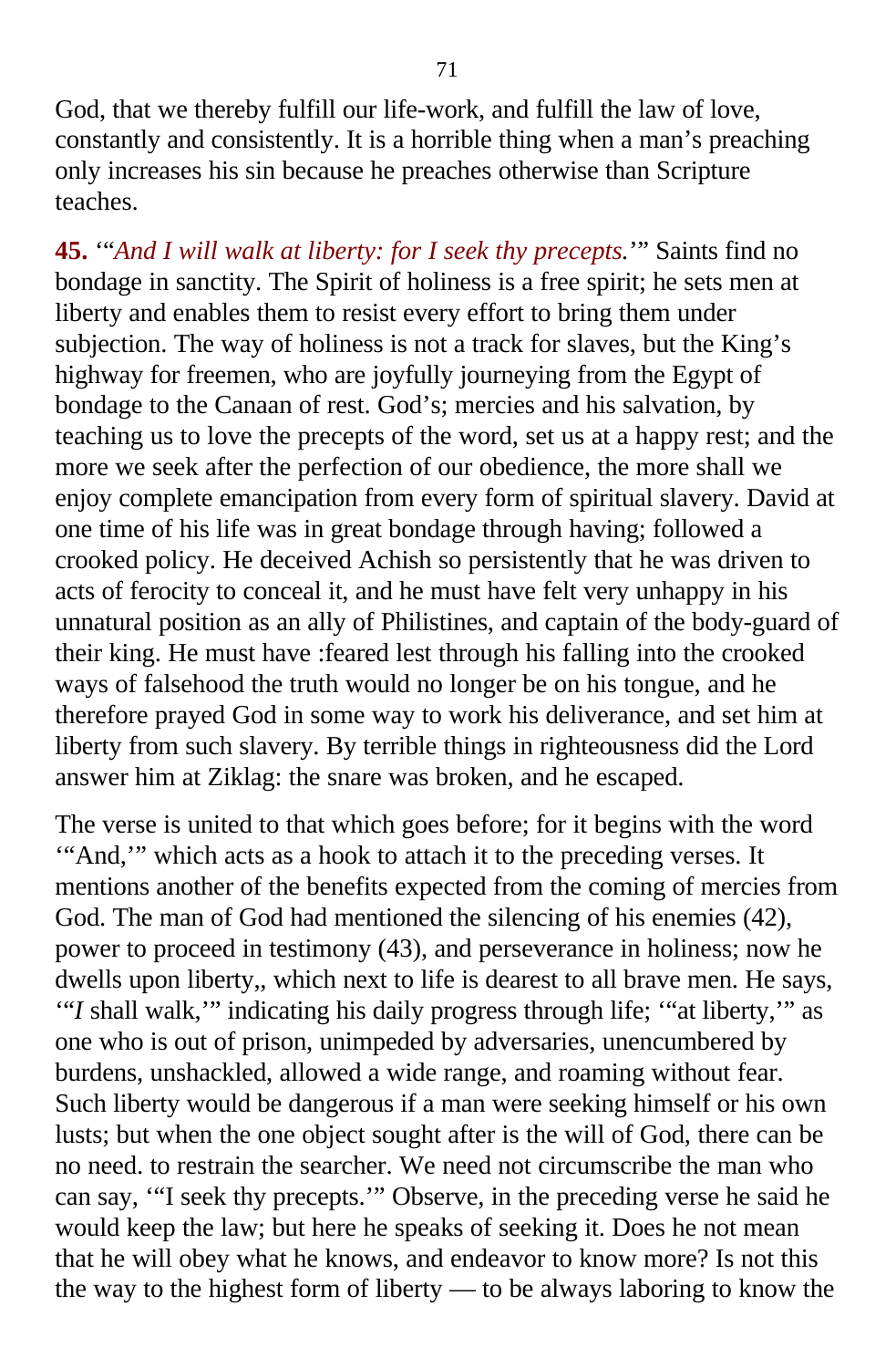God, that we thereby fulfill our life-work, and fulfill the law of love, constantly and consistently. It is a horrible thing when a man's preaching only increases his sin because he preaches otherwise than Scripture teaches.

**45.** '"*And I will walk at liberty: for I seek thy precepts.*'" Saints find no bondage in sanctity. The Spirit of holiness is a free spirit; he sets men at liberty and enables them to resist every effort to bring them under subjection. The way of holiness is not a track for slaves, but the King's highway for freemen, who are joyfully journeying from the Egypt of bondage to the Canaan of rest. God's; mercies and his salvation, by teaching us to love the precepts of the word, set us at a happy rest; and the more we seek after the perfection of our obedience, the more shall we enjoy complete emancipation from every form of spiritual slavery. David at one time of his life was in great bondage through having; followed a crooked policy. He deceived Achish so persistently that he was driven to acts of ferocity to conceal it, and he must have felt very unhappy in his unnatural position as an ally of Philistines, and captain of the body-guard of their king. He must have :feared lest through his falling into the crooked ways of falsehood the truth would no longer be on his tongue, and he therefore prayed God in some way to work his deliverance, and set him at liberty from such slavery. By terrible things in righteousness did the Lord answer him at Ziklag: the snare was broken, and he escaped.

The verse is united to that which goes before; for it begins with the word "'And," which acts as a hook to attach it to the preceding verses. It mentions another of the benefits expected from the coming of mercies from God. The man of God had mentioned the silencing of his enemies (42), power to proceed in testimony (43), and perseverance in holiness; now he dwells upon liberty,, which next to life is dearest to all brave men. He says, '"*I* shall walk,'" indicating his daily progress through life; '"at liberty,'" as one who is out of prison, unimpeded by adversaries, unencumbered by burdens, unshackled, allowed a wide range, and roaming without fear. Such liberty would be dangerous if a man were seeking himself or his own lusts; but when the one object sought after is the will of God, there can be no need. to restrain the searcher. We need not circumscribe the man who can say, '"I seek thy precepts.'" Observe, in the preceding verse he said he would keep the law; but here he speaks of seeking it. Does he not mean that he will obey what he knows, and endeavor to know more? Is not this the way to the highest form of liberty — to be always laboring to know the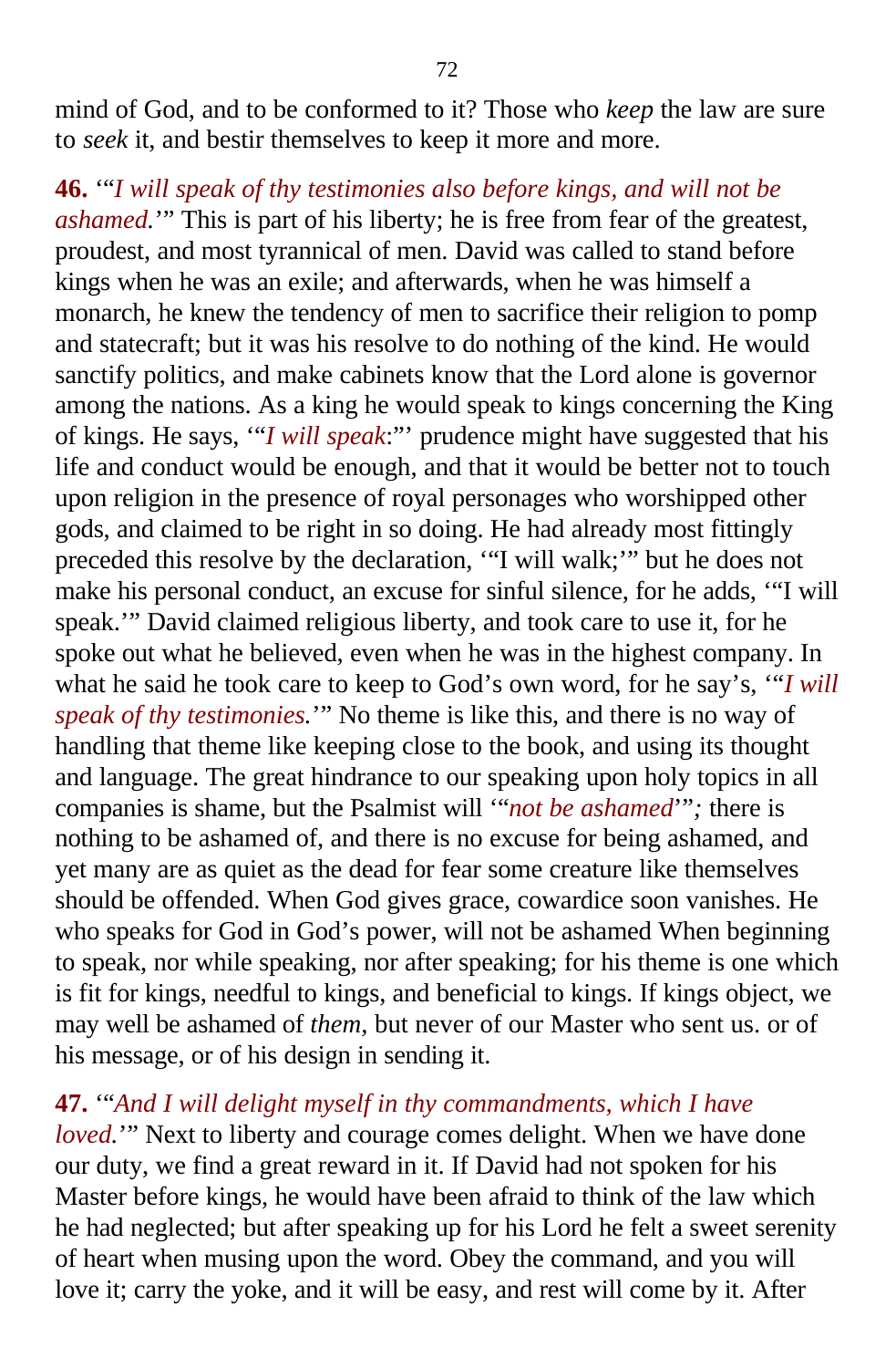mind of God, and to be conformed to it? Those who *keep* the law are sure to *seek* it, and bestir themselves to keep it more and more.

**46.** '"*I will speak of thy testimonies also before kings, and will not be ashamed.*'" This is part of his liberty; he is free from fear of the greatest, proudest, and most tyrannical of men. David was called to stand before kings when he was an exile; and afterwards, when he was himself a monarch, he knew the tendency of men to sacrifice their religion to pomp and statecraft; but it was his resolve to do nothing of the kind. He would sanctify politics, and make cabinets know that the Lord alone is governor among the nations. As a king he would speak to kings concerning the King of kings. He says, '"*I will speak*:"' prudence might have suggested that his life and conduct would be enough, and that it would be better not to touch upon religion in the presence of royal personages who worshipped other gods, and claimed to be right in so doing. He had already most fittingly preceded this resolve by the declaration, '"I will walk;'" but he does not make his personal conduct, an excuse for sinful silence, for he adds, '"I will speak.'" David claimed religious liberty, and took care to use it, for he spoke out what he believed, even when he was in the highest company. In what he said he took care to keep to God's own word, for he say's, '"*I will speak of thy testimonies.*'" No theme is like this, and there is no way of handling that theme like keeping close to the book, and using its thought and language. The great hindrance to our speaking upon holy topics in all companies is shame, but the Psalmist will '"*not be ashamed*'"*;* there is nothing to be ashamed of, and there is no excuse for being ashamed, and yet many are as quiet as the dead for fear some creature like themselves should be offended. When God gives grace, cowardice soon vanishes. He who speaks for God in God's power, will not be ashamed When beginning to speak, nor while speaking, nor after speaking; for his theme is one which is fit for kings, needful to kings, and beneficial to kings. If kings object, we may well be ashamed of *them,* but never of our Master who sent us. or of his message, or of his design in sending it.

**47.** '"*And I will delight myself in thy commandments, which I have loved.*" Next to liberty and courage comes delight. When we have done our duty, we find a great reward in it. If David had not spoken for his Master before kings, he would have been afraid to think of the law which he had neglected; but after speaking up for his Lord he felt a sweet serenity of heart when musing upon the word. Obey the command, and you will love it; carry the yoke, and it will be easy, and rest will come by it. After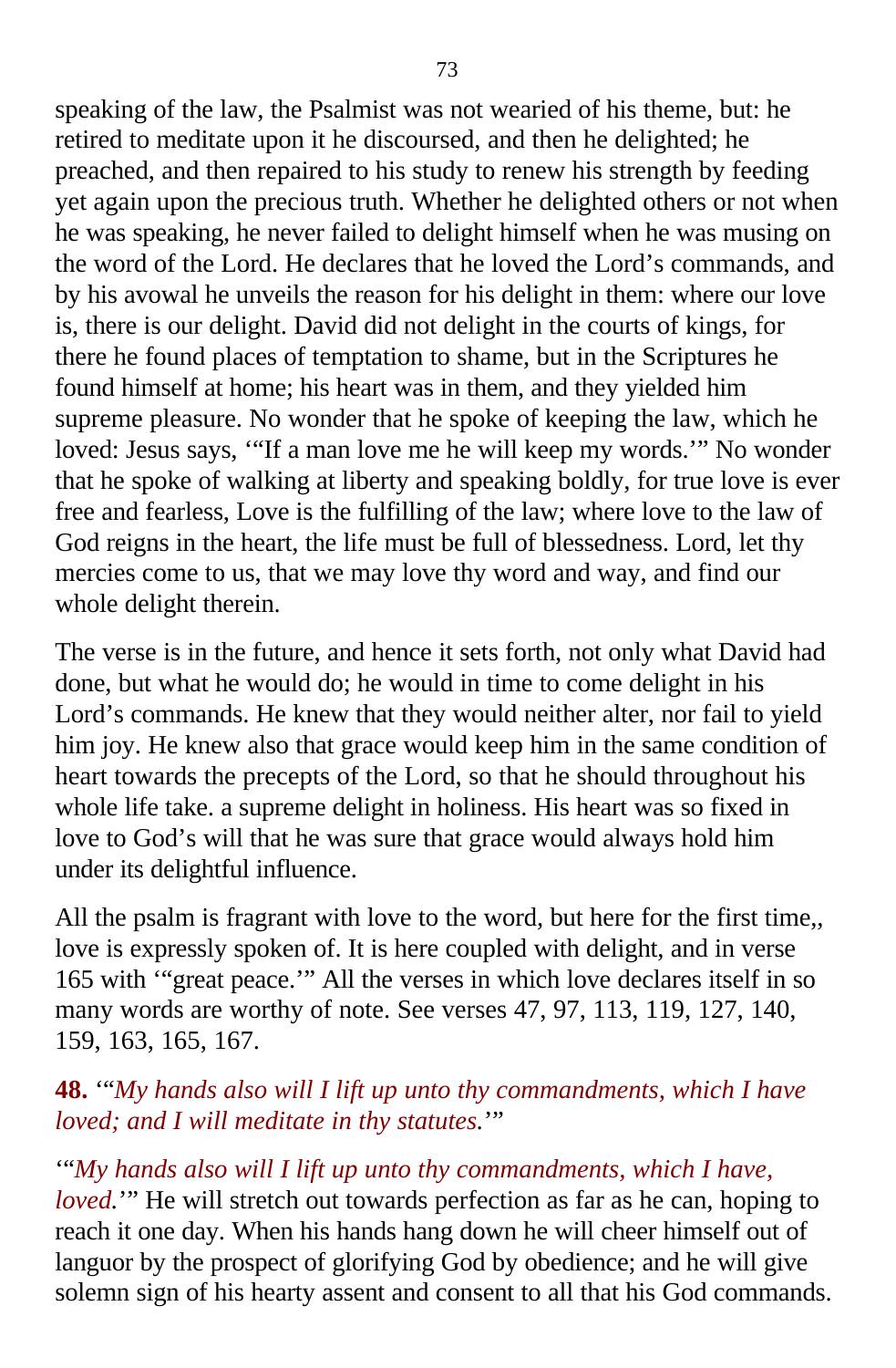speaking of the law, the Psalmist was not wearied of his theme, but: he retired to meditate upon it he discoursed, and then he delighted; he preached, and then repaired to his study to renew his strength by feeding yet again upon the precious truth. Whether he delighted others or not when he was speaking, he never failed to delight himself when he was musing on the word of the Lord. He declares that he loved the Lord's commands, and by his avowal he unveils the reason for his delight in them: where our love is, there is our delight. David did not delight in the courts of kings, for there he found places of temptation to shame, but in the Scriptures he found himself at home; his heart was in them, and they yielded him supreme pleasure. No wonder that he spoke of keeping the law, which he loved: Jesus says, '"If a man love me he will keep my words.'" No wonder that he spoke of walking at liberty and speaking boldly, for true love is ever free and fearless, Love is the fulfilling of the law; where love to the law of God reigns in the heart, the life must be full of blessedness. Lord, let thy mercies come to us, that we may love thy word and way, and find our whole delight therein.

The verse is in the future, and hence it sets forth, not only what David had done, but what he would do; he would in time to come delight in his Lord's commands. He knew that they would neither alter, nor fail to yield him joy. He knew also that grace would keep him in the same condition of heart towards the precepts of the Lord, so that he should throughout his whole life take. a supreme delight in holiness. His heart was so fixed in love to God's will that he was sure that grace would always hold him under its delightful influence.

All the psalm is fragrant with love to the word, but here for the first time,, love is expressly spoken of. It is here coupled with delight, and in verse 165 with '"great peace.'" All the verses in which love declares itself in so many words are worthy of note. See verses 47, 97, 113, 119, 127, 140, 159, 163, 165, 167.

#### **48.** '"*My hands also will I lift up unto thy commandments, which I have loved; and I will meditate in thy statutes.*'"

# '"*My hands also will I lift up unto thy commandments, which I have, loved.*" He will stretch out towards perfection as far as he can, hoping to reach it one day. When his hands hang down he will cheer himself out of languor by the prospect of glorifying God by obedience; and he will give solemn sign of his hearty assent and consent to all that his God commands.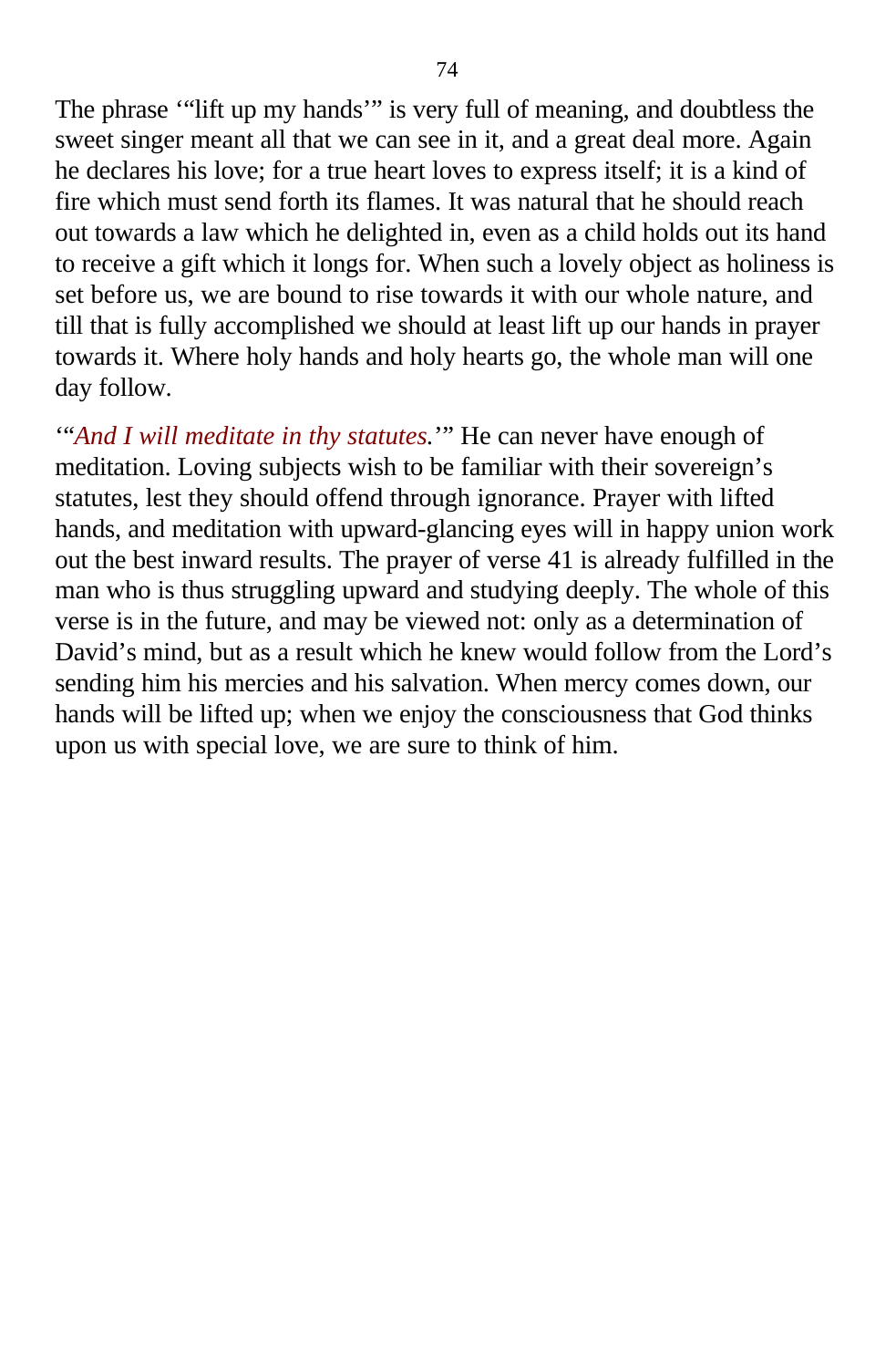The phrase '"lift up my hands'" is very full of meaning, and doubtless the sweet singer meant all that we can see in it, and a great deal more. Again he declares his love; for a true heart loves to express itself; it is a kind of fire which must send forth its flames. It was natural that he should reach out towards a law which he delighted in, even as a child holds out its hand to receive a gift which it longs for. When such a lovely object as holiness is set before us, we are bound to rise towards it with our whole nature, and till that is fully accomplished we should at least lift up our hands in prayer towards it. Where holy hands and holy hearts go, the whole man will one day follow.

'"*And I will meditate in thy statutes.*'" He can never have enough of meditation. Loving subjects wish to be familiar with their sovereign's statutes, lest they should offend through ignorance. Prayer with lifted hands, and meditation with upward-glancing eyes will in happy union work out the best inward results. The prayer of verse 41 is already fulfilled in the man who is thus struggling upward and studying deeply. The whole of this verse is in the future, and may be viewed not: only as a determination of David's mind, but as a result which he knew would follow from the Lord's sending him his mercies and his salvation. When mercy comes down, our hands will be lifted up; when we enjoy the consciousness that God thinks upon us with special love, we are sure to think of him.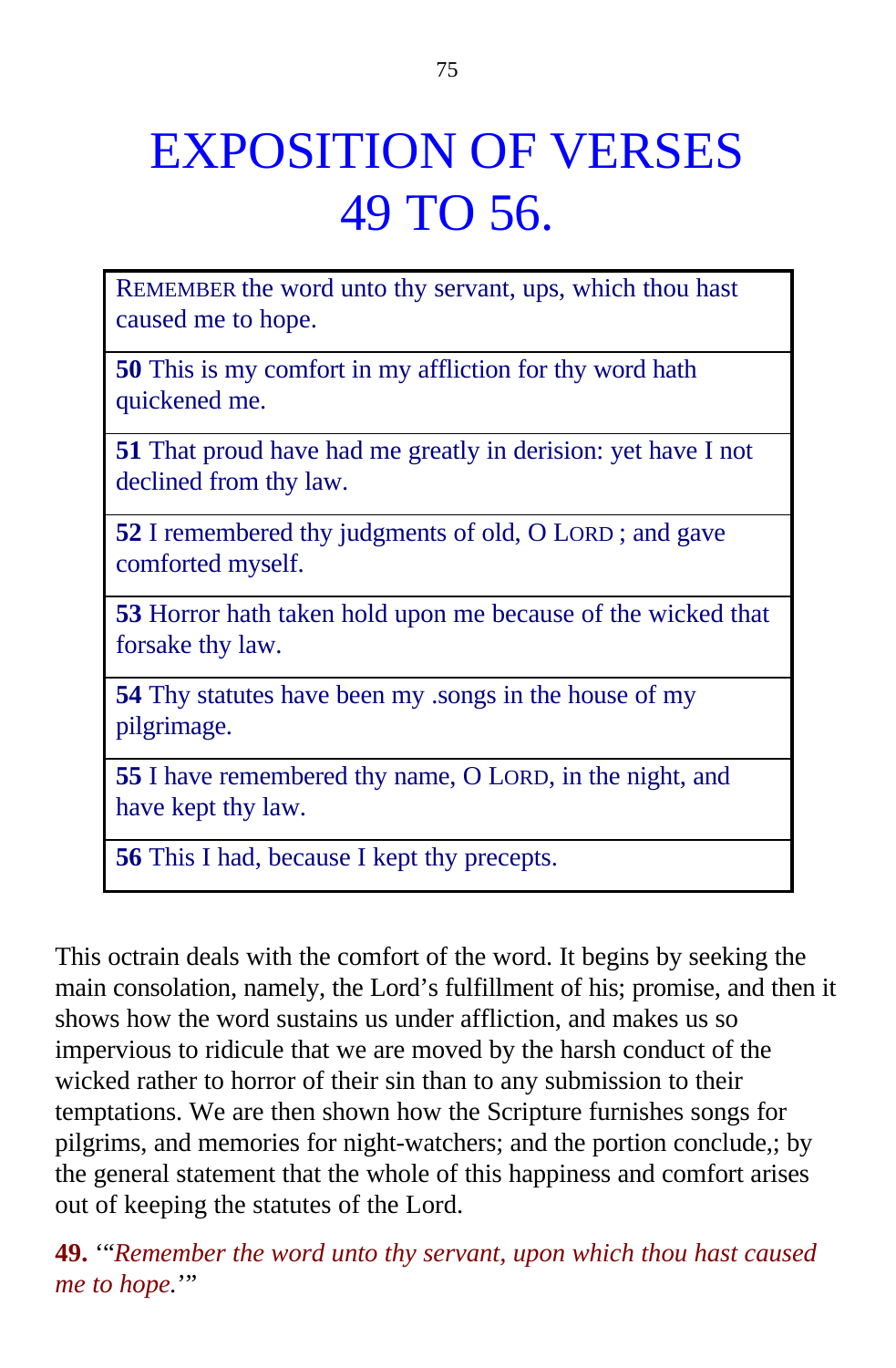# EXPOSITION OF VERSES 49 TO 56.

REMEMBER the word unto thy servant, ups, which thou hast caused me to hope.

**50** This is my comfort in my affliction for thy word hath quickened me.

**51** That proud have had me greatly in derision: yet have I not declined from thy law.

**52** I remembered thy judgments of old, O LORD ; and gave comforted myself.

**53** Horror hath taken hold upon me because of the wicked that forsake thy law.

**54** Thy statutes have been my .songs in the house of my pilgrimage.

**55** I have remembered thy name, O LORD, in the night, and have kept thy law.

**56** This I had, because I kept thy precepts.

This octrain deals with the comfort of the word. It begins by seeking the main consolation, namely, the Lord's fulfillment of his; promise, and then it shows how the word sustains us under affliction, and makes us so impervious to ridicule that we are moved by the harsh conduct of the wicked rather to horror of their sin than to any submission to their temptations. We are then shown how the Scripture furnishes songs for pilgrims, and memories for night-watchers; and the portion conclude,; by the general statement that the whole of this happiness and comfort arises out of keeping the statutes of the Lord.

**49.** '"*Remember the word unto thy servant, upon which thou hast caused me to hope.*'"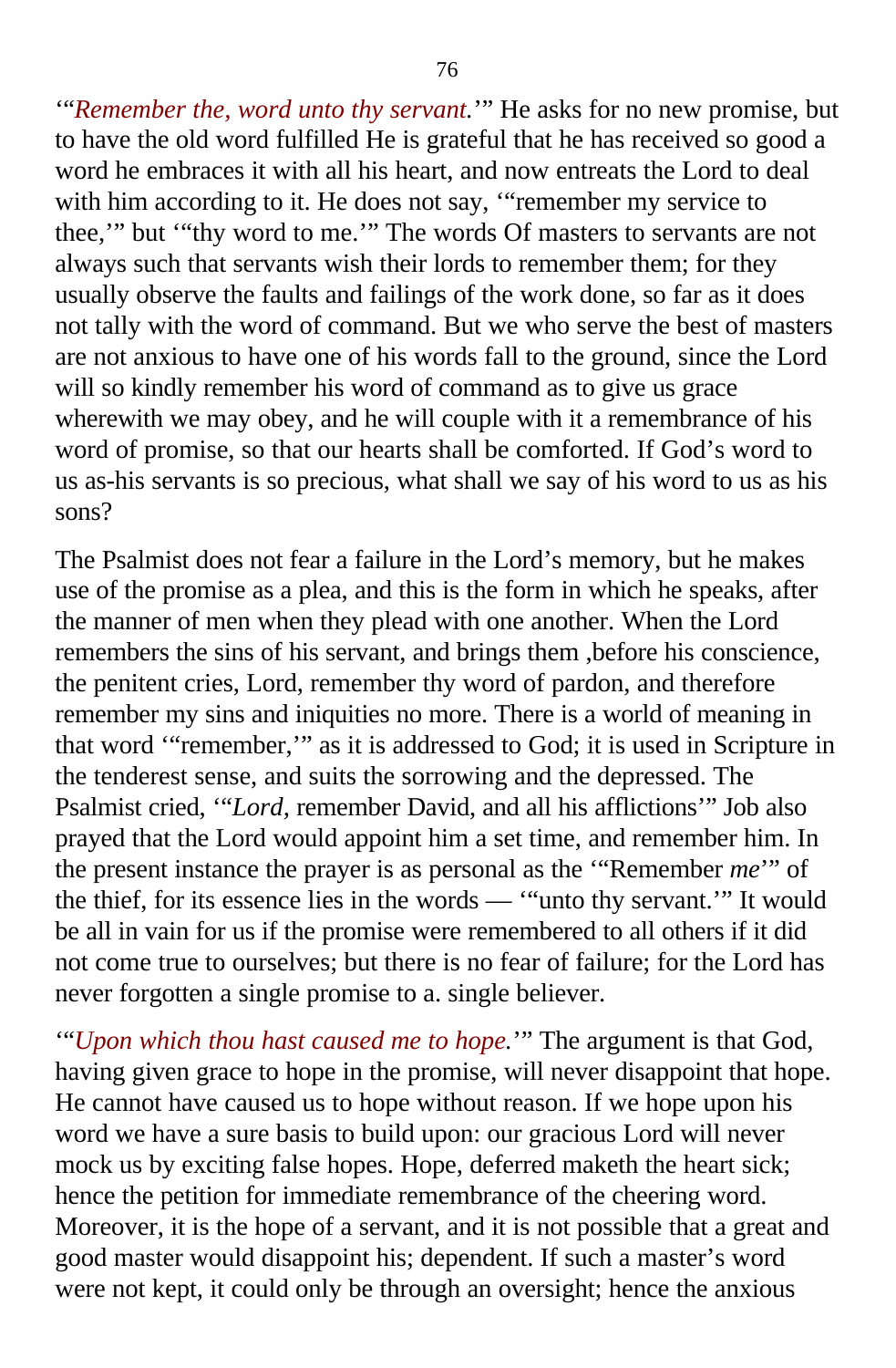'"*Remember the, word unto thy servant.*'" He asks for no new promise, but to have the old word fulfilled He is grateful that he has received so good a word he embraces it with all his heart, and now entreats the Lord to deal with him according to it. He does not say, "remember my service to thee,'" but '"thy word to me.'" The words Of masters to servants are not always such that servants wish their lords to remember them; for they usually observe the faults and failings of the work done, so far as it does not tally with the word of command. But we who serve the best of masters are not anxious to have one of his words fall to the ground, since the Lord will so kindly remember his word of command as to give us grace wherewith we may obey, and he will couple with it a remembrance of his word of promise, so that our hearts shall be comforted. If God's word to us as-his servants is so precious, what shall we say of his word to us as his sons?

The Psalmist does not fear a failure in the Lord's memory, but he makes use of the promise as a plea, and this is the form in which he speaks, after the manner of men when they plead with one another. When the Lord remembers the sins of his servant, and brings them ,before his conscience, the penitent cries, Lord, remember thy word of pardon, and therefore remember my sins and iniquities no more. There is a world of meaning in that word '"remember,'" as it is addressed to God; it is used in Scripture in the tenderest sense, and suits the sorrowing and the depressed. The Psalmist cried, '"*Lord,* remember David, and all his afflictions'" Job also prayed that the Lord would appoint him a set time, and remember him. In the present instance the prayer is as personal as the '"Remember *me*'" of the thief, for its essence lies in the words — '"unto thy servant.'" It would be all in vain for us if the promise were remembered to all others if it did not come true to ourselves; but there is no fear of failure; for the Lord has never forgotten a single promise to a. single believer.

'"*Upon which thou hast caused me to hope.*'" The argument is that God, having given grace to hope in the promise, will never disappoint that hope. He cannot have caused us to hope without reason. If we hope upon his word we have a sure basis to build upon: our gracious Lord will never mock us by exciting false hopes. Hope, deferred maketh the heart sick; hence the petition for immediate remembrance of the cheering word. Moreover, it is the hope of a servant, and it is not possible that a great and good master would disappoint his; dependent. If such a master's word were not kept, it could only be through an oversight; hence the anxious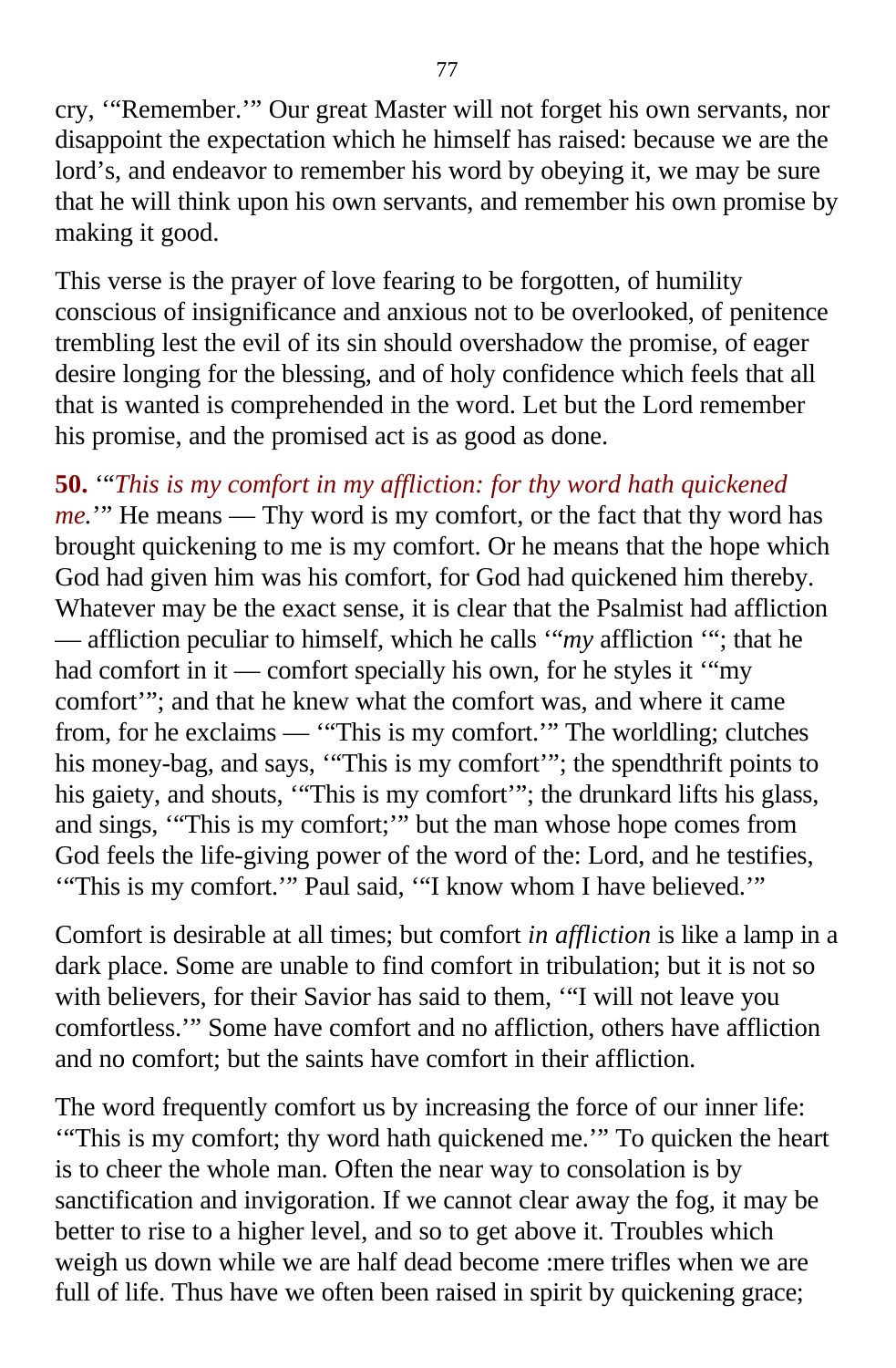cry, '"Remember.'" Our great Master will not forget his own servants, nor disappoint the expectation which he himself has raised: because we are the lord's, and endeavor to remember his word by obeying it, we may be sure that he will think upon his own servants, and remember his own promise by making it good.

This verse is the prayer of love fearing to be forgotten, of humility conscious of insignificance and anxious not to be overlooked, of penitence trembling lest the evil of its sin should overshadow the promise, of eager desire longing for the blessing, and of holy confidence which feels that all that is wanted is comprehended in the word. Let but the Lord remember his promise, and the promised act is as good as done.

**50.** '"*This is my comfort in my affliction: for thy word hath quickened me.*'" He means — Thy word is my comfort, or the fact that thy word has brought quickening to me is my comfort. Or he means that the hope which God had given him was his comfort, for God had quickened him thereby. Whatever may be the exact sense, it is clear that the Psalmist had affliction — affliction peculiar to himself, which he calls '"*my* affliction '"; that he had comfort in it — comfort specially his own, for he styles it "my comfort'"; and that he knew what the comfort was, and where it came from, for he exclaims — '"This is my comfort.'" The worldling; clutches his money-bag, and says, '"This is my comfort'"; the spendthrift points to his gaiety, and shouts, '"This is my comfort'"; the drunkard lifts his glass, and sings, '"This is my comfort;'" but the man whose hope comes from God feels the life-giving power of the word of the: Lord, and he testifies, '"This is my comfort.'" Paul said, '"I know whom I have believed.'"

Comfort is desirable at all times; but comfort *in affliction* is like a lamp in a dark place. Some are unable to find comfort in tribulation; but it is not so with believers, for their Savior has said to them, '"I will not leave you comfortless.'" Some have comfort and no affliction, others have affliction and no comfort; but the saints have comfort in their affliction.

The word frequently comfort us by increasing the force of our inner life: '"This is my comfort; thy word hath quickened me.'" To quicken the heart is to cheer the whole man. Often the near way to consolation is by sanctification and invigoration. If we cannot clear away the fog, it may be better to rise to a higher level, and so to get above it. Troubles which weigh us down while we are half dead become :mere trifles when we are full of life. Thus have we often been raised in spirit by quickening grace;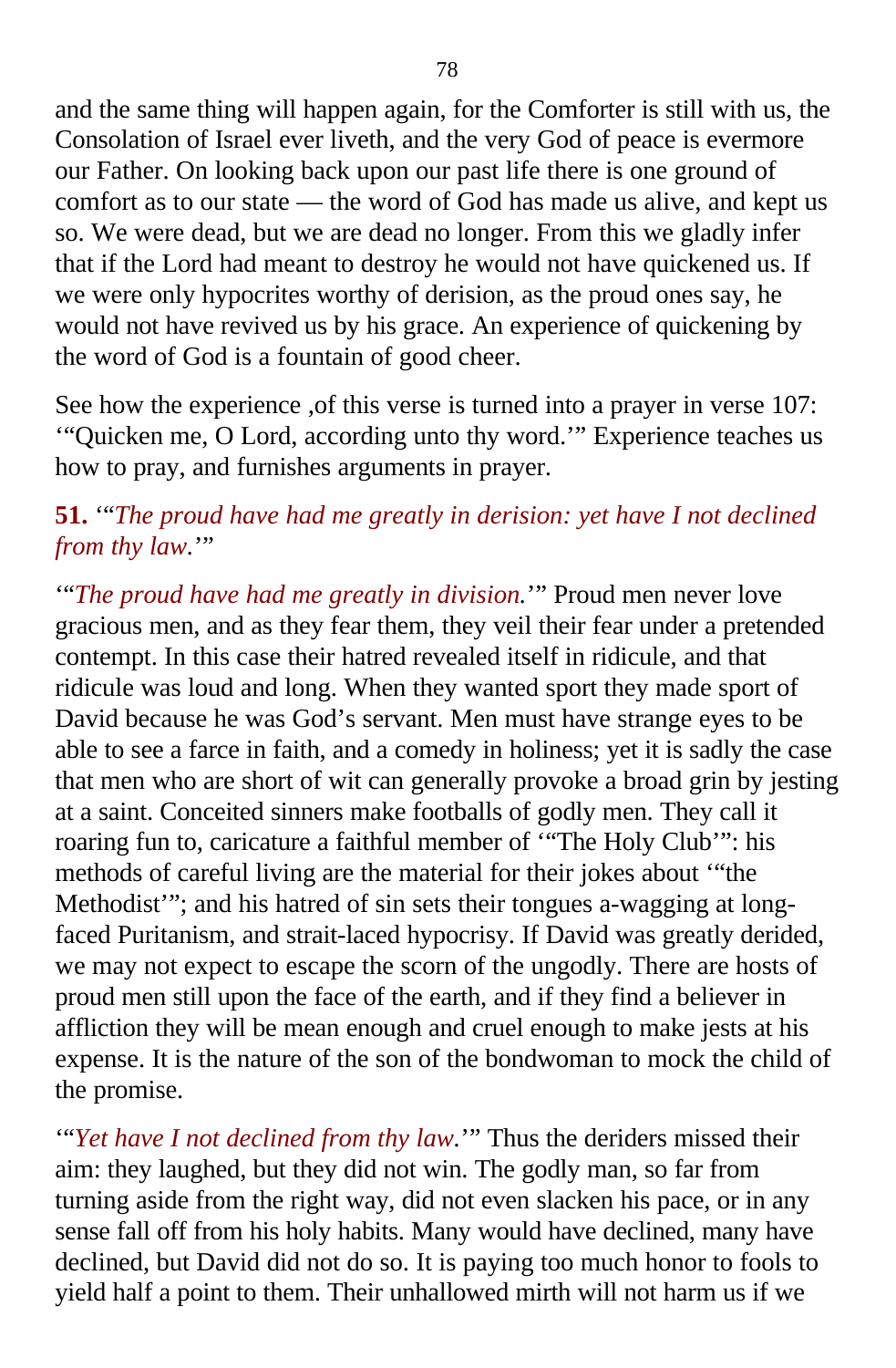and the same thing will happen again, for the Comforter is still with us, the Consolation of Israel ever liveth, and the very God of peace is evermore our Father. On looking back upon our past life there is one ground of comfort as to our state — the word of God has made us alive, and kept us so. We were dead, but we are dead no longer. From this we gladly infer that if the Lord had meant to destroy he would not have quickened us. If we were only hypocrites worthy of derision, as the proud ones say, he would not have revived us by his grace. An experience of quickening by the word of God is a fountain of good cheer.

See how the experience ,of this verse is turned into a prayer in verse 107: '"Quicken me, O Lord, according unto thy word.'" Experience teaches us how to pray, and furnishes arguments in prayer.

### **51.** '"*The proud have had me greatly in derision: yet have I not declined from thy law.*"

'"*The proud have had me greatly in division.*'" Proud men never love gracious men, and as they fear them, they veil their fear under a pretended contempt. In this case their hatred revealed itself in ridicule, and that ridicule was loud and long. When they wanted sport they made sport of David because he was God's servant. Men must have strange eyes to be able to see a farce in faith, and a comedy in holiness; yet it is sadly the case that men who are short of wit can generally provoke a broad grin by jesting at a saint. Conceited sinners make footballs of godly men. They call it roaring fun to, caricature a faithful member of '"The Holy Club'": his methods of careful living are the material for their jokes about '"the Methodist'"; and his hatred of sin sets their tongues a-wagging at longfaced Puritanism, and strait-laced hypocrisy. If David was greatly derided, we may not expect to escape the scorn of the ungodly. There are hosts of proud men still upon the face of the earth, and if they find a believer in affliction they will be mean enough and cruel enough to make jests at his expense. It is the nature of the son of the bondwoman to mock the child of the promise.

'"*Yet have I not declined from thy law.*'" Thus the deriders missed their aim: they laughed, but they did not win. The godly man, so far from turning aside from the right way, did not even slacken his pace, or in any sense fall off from his holy habits. Many would have declined, many have declined, but David did not do so. It is paying too much honor to fools to yield half a point to them. Their unhallowed mirth will not harm us if we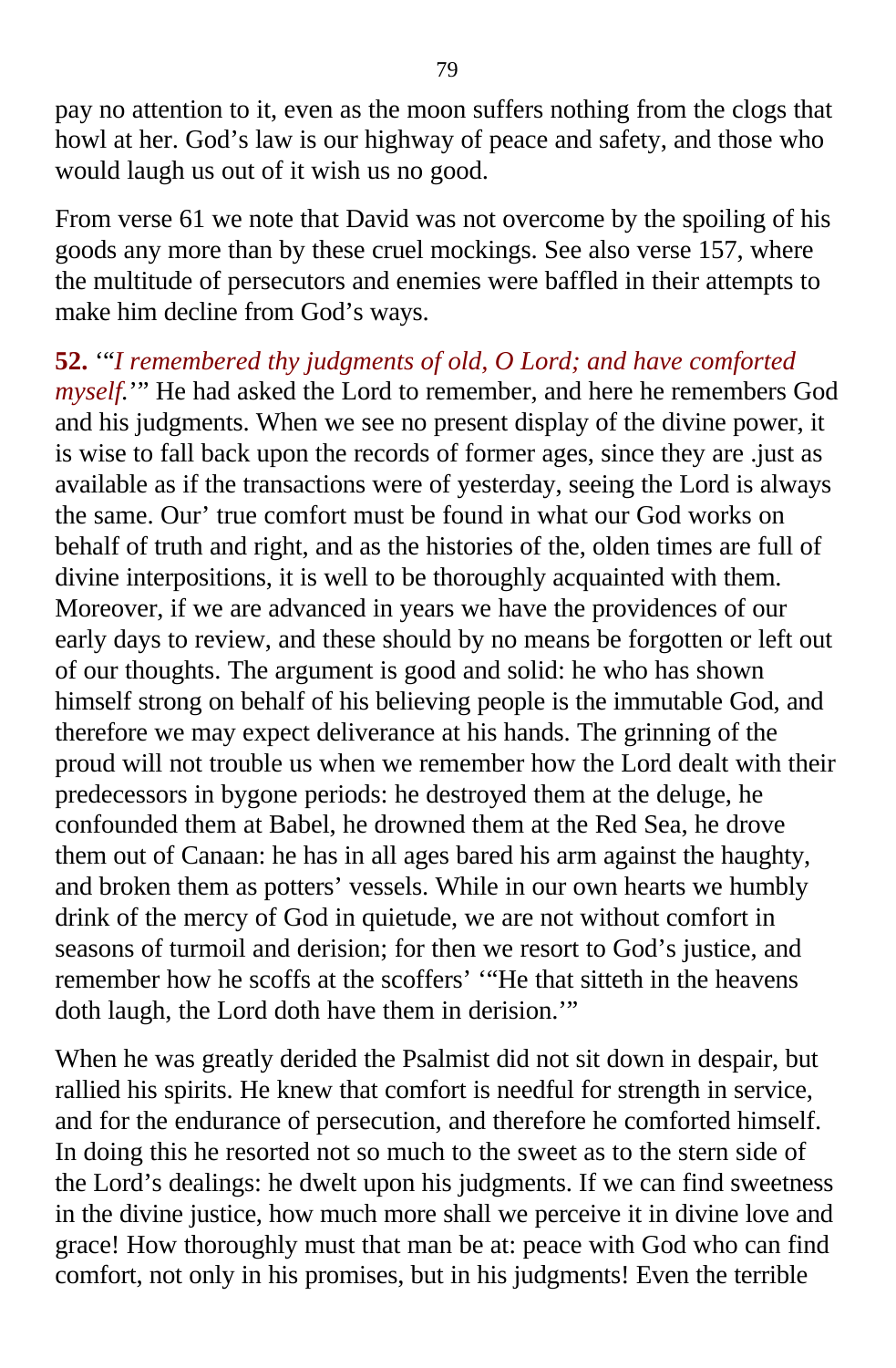pay no attention to it, even as the moon suffers nothing from the clogs that howl at her. God's law is our highway of peace and safety, and those who would laugh us out of it wish us no good.

From verse 61 we note that David was not overcome by the spoiling of his goods any more than by these cruel mockings. See also verse 157, where the multitude of persecutors and enemies were baffled in their attempts to make him decline from God's ways.

**52.** '"*I remembered thy judgments of old, O Lord; and have comforted myself.*'" He had asked the Lord to remember, and here he remembers God and his judgments. When we see no present display of the divine power, it is wise to fall back upon the records of former ages, since they are .just as available as if the transactions were of yesterday, seeing the Lord is always the same. Our' true comfort must be found in what our God works on behalf of truth and right, and as the histories of the, olden times are full of divine interpositions, it is well to be thoroughly acquainted with them. Moreover, if we are advanced in years we have the providences of our early days to review, and these should by no means be forgotten or left out of our thoughts. The argument is good and solid: he who has shown himself strong on behalf of his believing people is the immutable God, and therefore we may expect deliverance at his hands. The grinning of the proud will not trouble us when we remember how the Lord dealt with their predecessors in bygone periods: he destroyed them at the deluge, he confounded them at Babel, he drowned them at the Red Sea, he drove them out of Canaan: he has in all ages bared his arm against the haughty, and broken them as potters' vessels. While in our own hearts we humbly drink of the mercy of God in quietude, we are not without comfort in seasons of turmoil and derision; for then we resort to God's justice, and remember how he scoffs at the scoffers' '"He that sitteth in the heavens doth laugh, the Lord doth have them in derision.'"

When he was greatly derided the Psalmist did not sit down in despair, but rallied his spirits. He knew that comfort is needful for strength in service, and for the endurance of persecution, and therefore he comforted himself. In doing this he resorted not so much to the sweet as to the stern side of the Lord's dealings: he dwelt upon his judgments. If we can find sweetness in the divine justice, how much more shall we perceive it in divine love and grace! How thoroughly must that man be at: peace with God who can find comfort, not only in his promises, but in his judgments! Even the terrible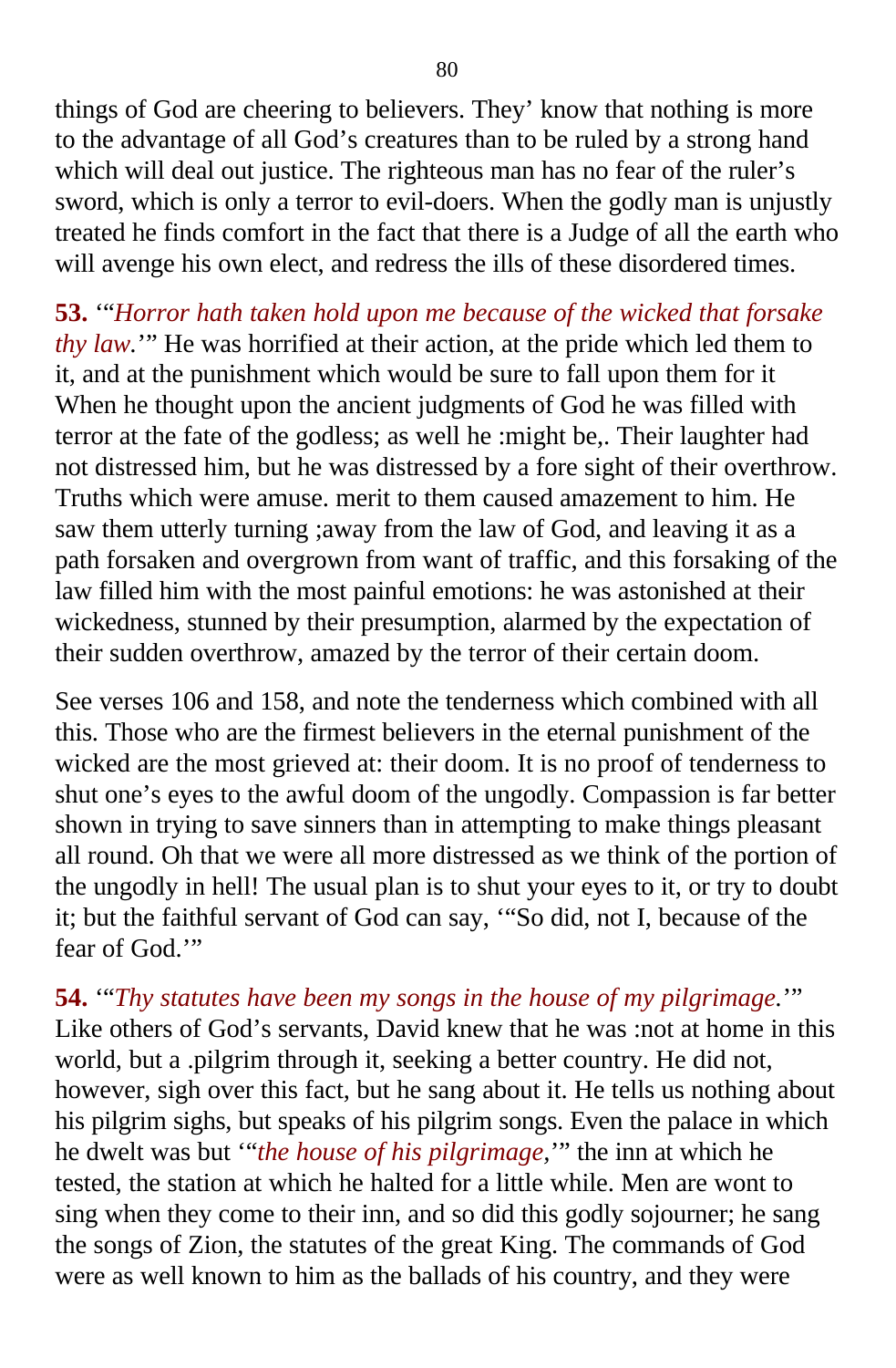things of God are cheering to believers. They' know that nothing is more to the advantage of all God's creatures than to be ruled by a strong hand which will deal out justice. The righteous man has no fear of the ruler's sword, which is only a terror to evil-doers. When the godly man is unjustly treated he finds comfort in the fact that there is a Judge of all the earth who will avenge his own elect, and redress the ills of these disordered times.

**53.** '"*Horror hath taken hold upon me because of the wicked that forsake thy law.*'" He was horrified at their action, at the pride which led them to it, and at the punishment which would be sure to fall upon them for it When he thought upon the ancient judgments of God he was filled with terror at the fate of the godless; as well he :might be,. Their laughter had not distressed him, but he was distressed by a fore sight of their overthrow. Truths which were amuse. merit to them caused amazement to him. He saw them utterly turning ;away from the law of God, and leaving it as a path forsaken and overgrown from want of traffic, and this forsaking of the law filled him with the most painful emotions: he was astonished at their wickedness, stunned by their presumption, alarmed by the expectation of their sudden overthrow, amazed by the terror of their certain doom.

See verses 106 and 158, and note the tenderness which combined with all this. Those who are the firmest believers in the eternal punishment of the wicked are the most grieved at: their doom. It is no proof of tenderness to shut one's eyes to the awful doom of the ungodly. Compassion is far better shown in trying to save sinners than in attempting to make things pleasant all round. Oh that we were all more distressed as we think of the portion of the ungodly in hell! The usual plan is to shut your eyes to it, or try to doubt it; but the faithful servant of God can say, '"So did, not I, because of the fear of God."

# **54.** '"*Thy statutes have been my songs in the house of my pilgrimage.*'"

Like others of God's servants, David knew that he was :not at home in this world, but a .pilgrim through it, seeking a better country. He did not, however, sigh over this fact, but he sang about it. He tells us nothing about his pilgrim sighs, but speaks of his pilgrim songs. Even the palace in which he dwelt was but '"*the house of his pilgrimage,*'" the inn at which he tested, the station at which he halted for a little while. Men are wont to sing when they come to their inn, and so did this godly sojourner; he sang the songs of Zion, the statutes of the great King. The commands of God were as well known to him as the ballads of his country, and they were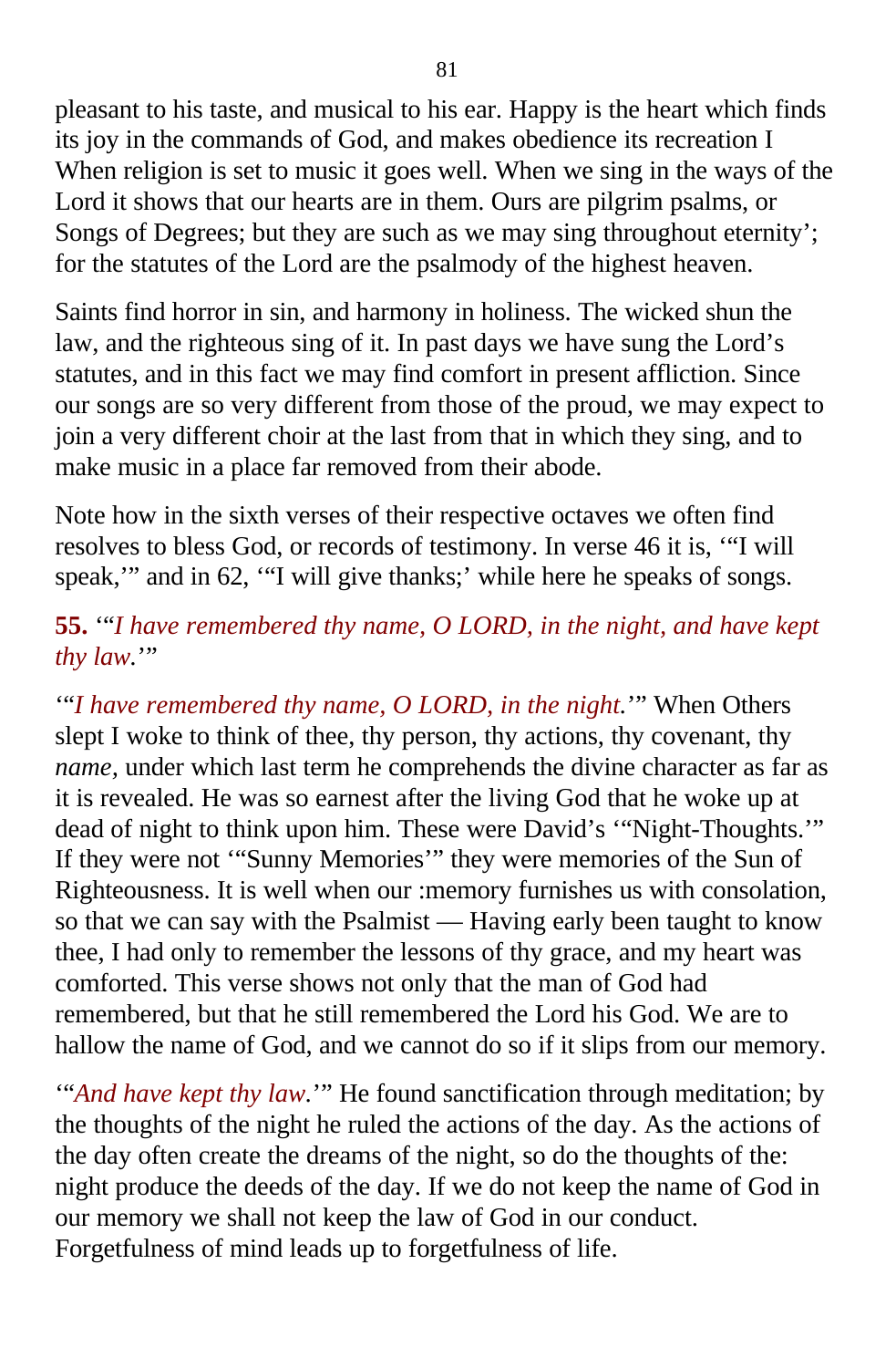pleasant to his taste, and musical to his ear. Happy is the heart which finds its joy in the commands of God, and makes obedience its recreation I When religion is set to music it goes well. When we sing in the ways of the Lord it shows that our hearts are in them. Ours are pilgrim psalms, or Songs of Degrees; but they are such as we may sing throughout eternity'; for the statutes of the Lord are the psalmody of the highest heaven.

Saints find horror in sin, and harmony in holiness. The wicked shun the law, and the righteous sing of it. In past days we have sung the Lord's statutes, and in this fact we may find comfort in present affliction. Since our songs are so very different from those of the proud, we may expect to join a very different choir at the last from that in which they sing, and to make music in a place far removed from their abode.

Note how in the sixth verses of their respective octaves we often find resolves to bless God, or records of testimony. In verse 46 it is, '"I will speak," and in 62, "I will give thanks;' while here he speaks of songs.

# **55.** '"*I have remembered thy name, O LORD, in the night, and have kept thy law.*"

'"*I have remembered thy name, O LORD, in the night.*'" When Others slept I woke to think of thee, thy person, thy actions, thy covenant, thy *name*, under which last term he comprehends the divine character as far as it is revealed. He was so earnest after the living God that he woke up at dead of night to think upon him. These were David's '"Night-Thoughts.'" If they were not '"Sunny Memories'" they were memories of the Sun of Righteousness. It is well when our :memory furnishes us with consolation, so that we can say with the Psalmist — Having early been taught to know thee, I had only to remember the lessons of thy grace, and my heart was comforted. This verse shows not only that the man of God had remembered, but that he still remembered the Lord his God. We are to hallow the name of God, and we cannot do so if it slips from our memory.

'"*And have kept thy law.*'" He found sanctification through meditation; by the thoughts of the night he ruled the actions of the day. As the actions of the day often create the dreams of the night, so do the thoughts of the: night produce the deeds of the day. If we do not keep the name of God in our memory we shall not keep the law of God in our conduct. Forgetfulness of mind leads up to forgetfulness of life.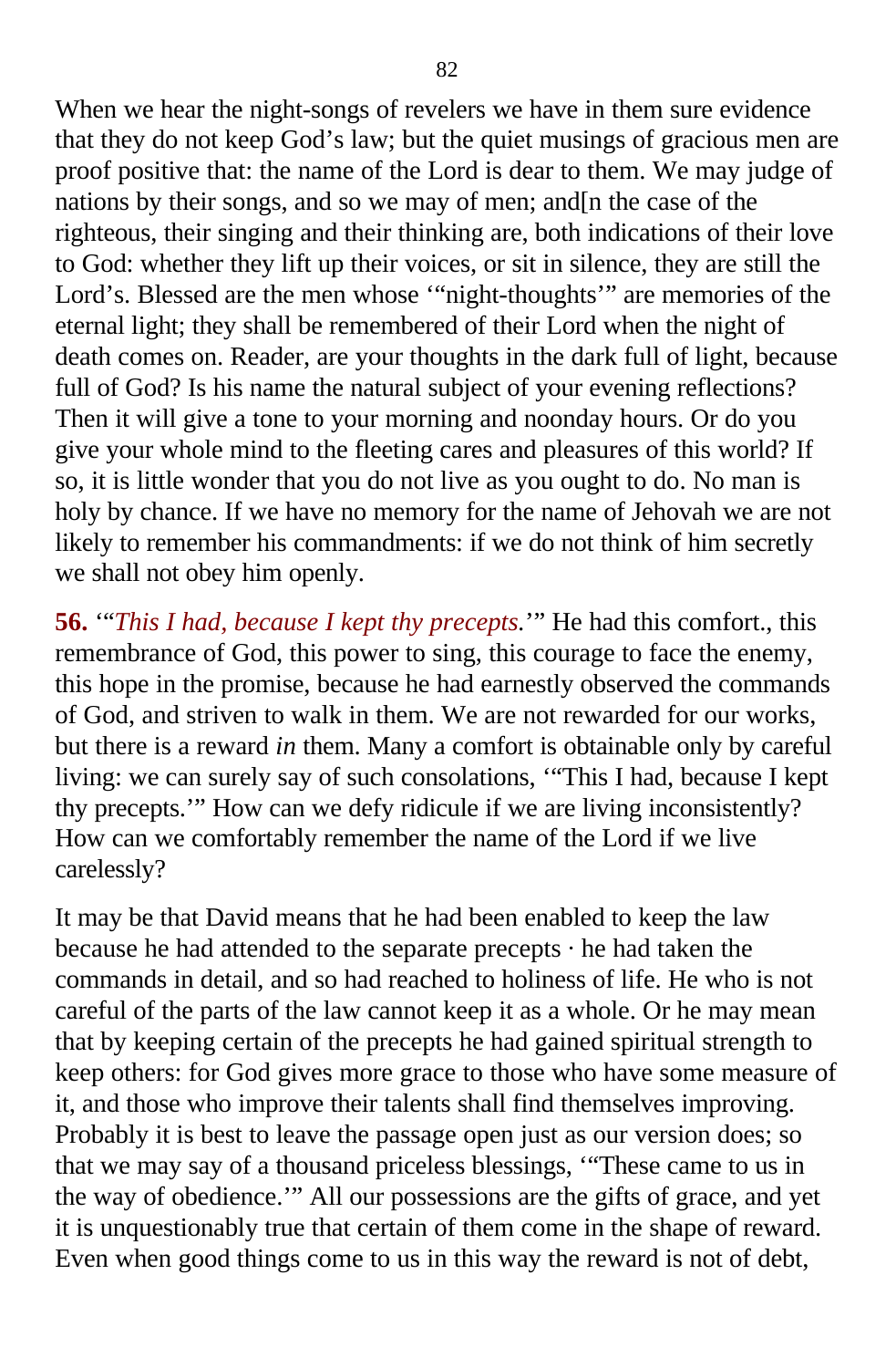When we hear the night-songs of revelers we have in them sure evidence that they do not keep God's law; but the quiet musings of gracious men are proof positive that: the name of the Lord is dear to them. We may judge of nations by their songs, and so we may of men; and[n the case of the righteous, their singing and their thinking are, both indications of their love to God: whether they lift up their voices, or sit in silence, they are still the Lord's. Blessed are the men whose '"night-thoughts'" are memories of the eternal light; they shall be remembered of their Lord when the night of death comes on. Reader, are your thoughts in the dark full of light, because full of God? Is his name the natural subject of your evening reflections? Then it will give a tone to your morning and noonday hours. Or do you give your whole mind to the fleeting cares and pleasures of this world? If so, it is little wonder that you do not live as you ought to do. No man is holy by chance. If we have no memory for the name of Jehovah we are not likely to remember his commandments: if we do not think of him secretly we shall not obey him openly.

**56.** '"*This I had, because I kept thy precepts.*'" He had this comfort., this remembrance of God, this power to sing, this courage to face the enemy, this hope in the promise, because he had earnestly observed the commands of God, and striven to walk in them. We are not rewarded for our works, but there is a reward *in* them. Many a comfort is obtainable only by careful living: we can surely say of such consolations, '"This I had, because I kept thy precepts.'" How can we defy ridicule if we are living inconsistently? How can we comfortably remember the name of the Lord if we live carelessly?

It may be that David means that he had been enabled to keep the law because he had attended to the separate precepts · he had taken the commands in detail, and so had reached to holiness of life. He who is not careful of the parts of the law cannot keep it as a whole. Or he may mean that by keeping certain of the precepts he had gained spiritual strength to keep others: for God gives more grace to those who have some measure of it, and those who improve their talents shall find themselves improving. Probably it is best to leave the passage open just as our version does; so that we may say of a thousand priceless blessings, '"These came to us in the way of obedience.'" All our possessions are the gifts of grace, and yet it is unquestionably true that certain of them come in the shape of reward. Even when good things come to us in this way the reward is not of debt,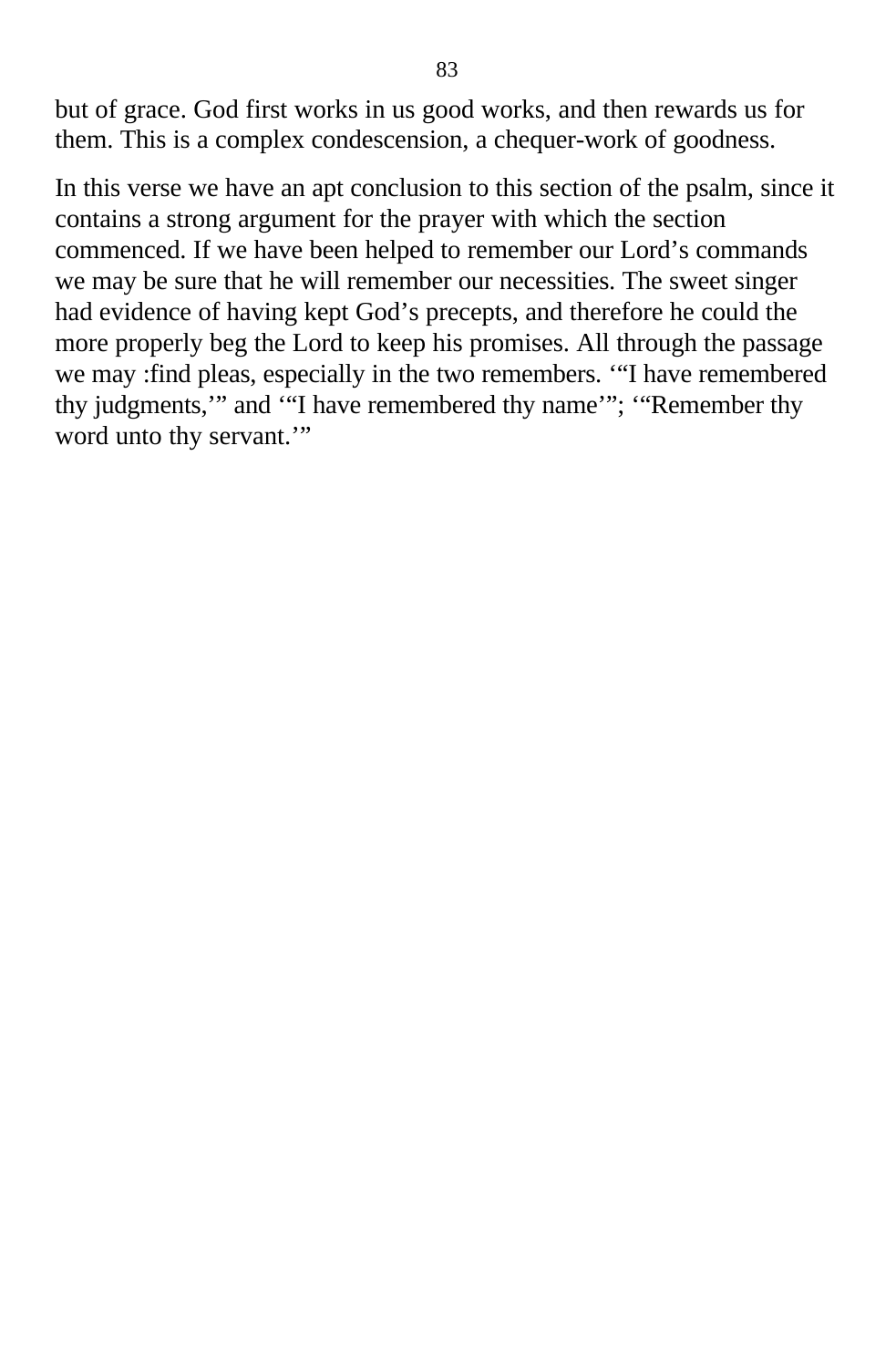but of grace. God first works in us good works, and then rewards us for them. This is a complex condescension, a chequer-work of goodness.

In this verse we have an apt conclusion to this section of the psalm, since it contains a strong argument for the prayer with which the section commenced. If we have been helped to remember our Lord's commands we may be sure that he will remember our necessities. The sweet singer had evidence of having kept God's precepts, and therefore he could the more properly beg the Lord to keep his promises. All through the passage we may :find pleas, especially in the two remembers. '"I have remembered thy judgments,'" and '"I have remembered thy name'"; '"Remember thy word unto thy servant."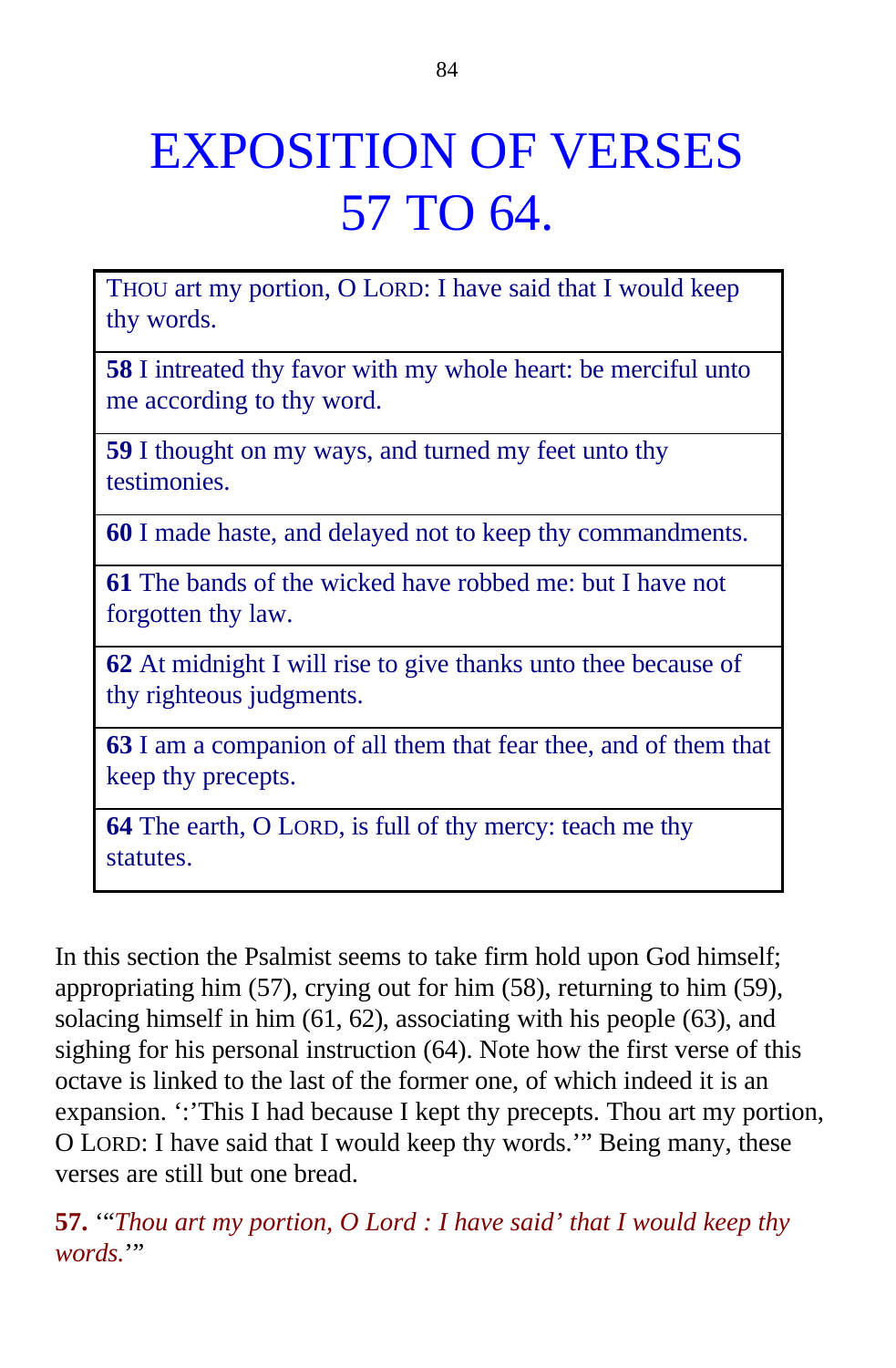# EXPOSITION OF VERSES 57 TO 64.

THOU art my portion, O LORD: I have said that I would keep thy words.

**58** I intreated thy favor with my whole heart: be merciful unto me according to thy word.

**59** I thought on my ways, and turned my feet unto thy testimonies.

**60** I made haste, and delayed not to keep thy commandments.

**61** The bands of the wicked have robbed me: but I have not forgotten thy law.

**62** At midnight I will rise to give thanks unto thee because of thy righteous judgments.

**63** I am a companion of all them that fear thee, and of them that keep thy precepts.

**64** The earth, O LORD, is full of thy mercy: teach me thy statutes.

In this section the Psalmist seems to take firm hold upon God himself; appropriating him (57), crying out for him (58), returning to him (59), solacing himself in him (61, 62), associating with his people (63), and sighing for his personal instruction (64). Note how the first verse of this octave is linked to the last of the former one, of which indeed it is an expansion. ":'This I had because I kept thy precepts. Thou art my portion, O LORD: I have said that I would keep thy words.'" Being many, these verses are still but one bread.

**57.** '"*Thou art my portion, O Lord : I have said' that I would keep thy* words<sup>"</sup>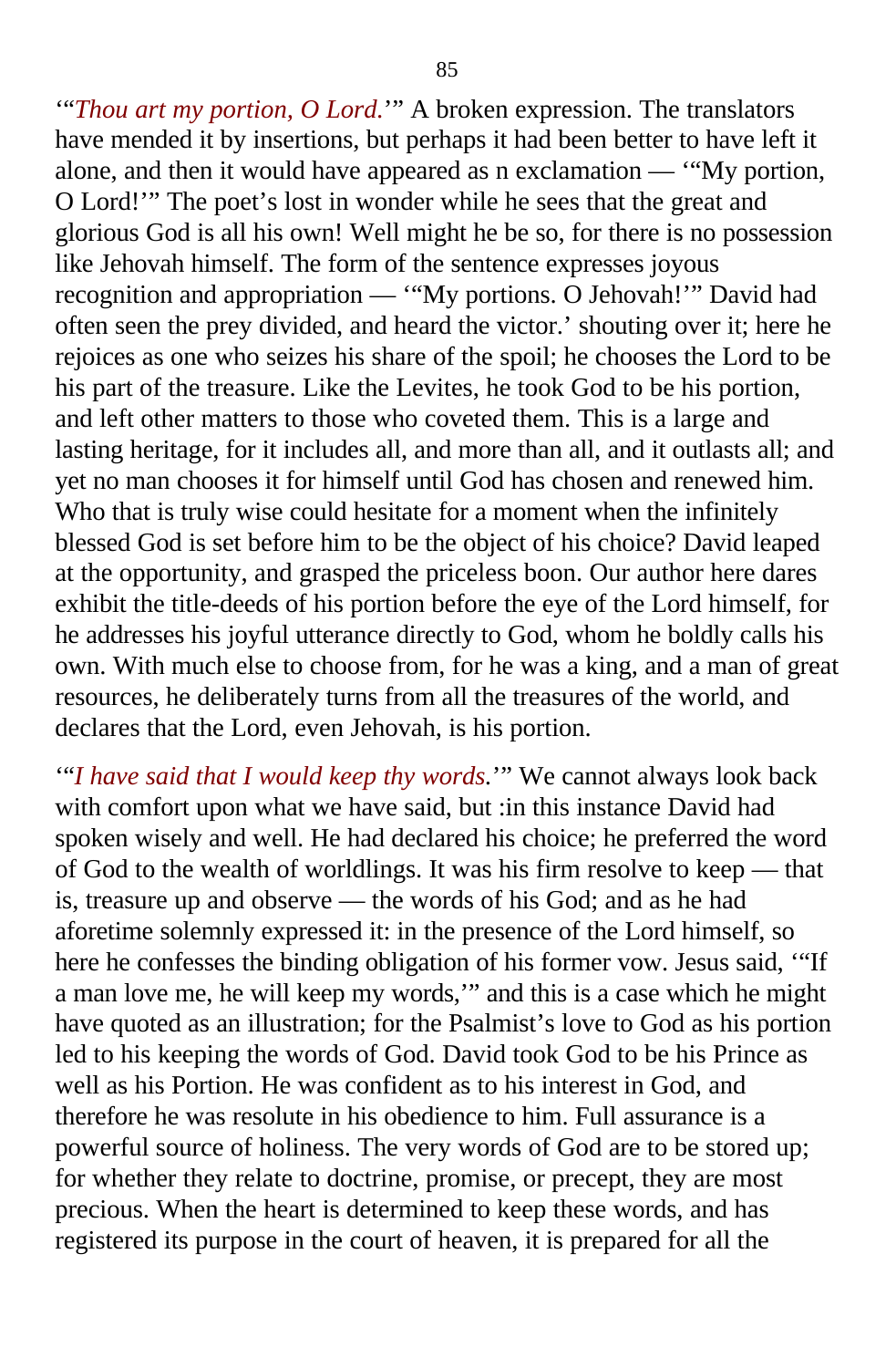'"*Thou art my portion, O Lord.*'" A broken expression. The translators have mended it by insertions, but perhaps it had been better to have left it alone, and then it would have appeared as n exclamation — '"My portion, O Lord!'" The poet's lost in wonder while he sees that the great and glorious God is all his own! Well might he be so, for there is no possession like Jehovah himself. The form of the sentence expresses joyous recognition and appropriation — '"My portions. O Jehovah!'" David had often seen the prey divided, and heard the victor.' shouting over it; here he rejoices as one who seizes his share of the spoil; he chooses the Lord to be his part of the treasure. Like the Levites, he took God to be his portion, and left other matters to those who coveted them. This is a large and lasting heritage, for it includes all, and more than all, and it outlasts all; and yet no man chooses it for himself until God has chosen and renewed him. Who that is truly wise could hesitate for a moment when the infinitely blessed God is set before him to be the object of his choice? David leaped at the opportunity, and grasped the priceless boon. Our author here dares exhibit the title-deeds of his portion before the eye of the Lord himself, for he addresses his joyful utterance directly to God, whom he boldly calls his own. With much else to choose from, for he was a king, and a man of great resources, he deliberately turns from all the treasures of the world, and declares that the Lord, even Jehovah, is his portion.

'"*I have said that I would keep thy words.*'" We cannot always look back with comfort upon what we have said, but :in this instance David had spoken wisely and well. He had declared his choice; he preferred the word of God to the wealth of worldlings. It was his firm resolve to keep — that is, treasure up and observe — the words of his God; and as he had aforetime solemnly expressed it: in the presence of the Lord himself, so here he confesses the binding obligation of his former vow. Jesus said, '"If a man love me, he will keep my words,'" and this is a case which he might have quoted as an illustration; for the Psalmist's love to God as his portion led to his keeping the words of God. David took God to be his Prince as well as his Portion. He was confident as to his interest in God, and therefore he was resolute in his obedience to him. Full assurance is a powerful source of holiness. The very words of God are to be stored up; for whether they relate to doctrine, promise, or precept, they are most precious. When the heart is determined to keep these words, and has registered its purpose in the court of heaven, it is prepared for all the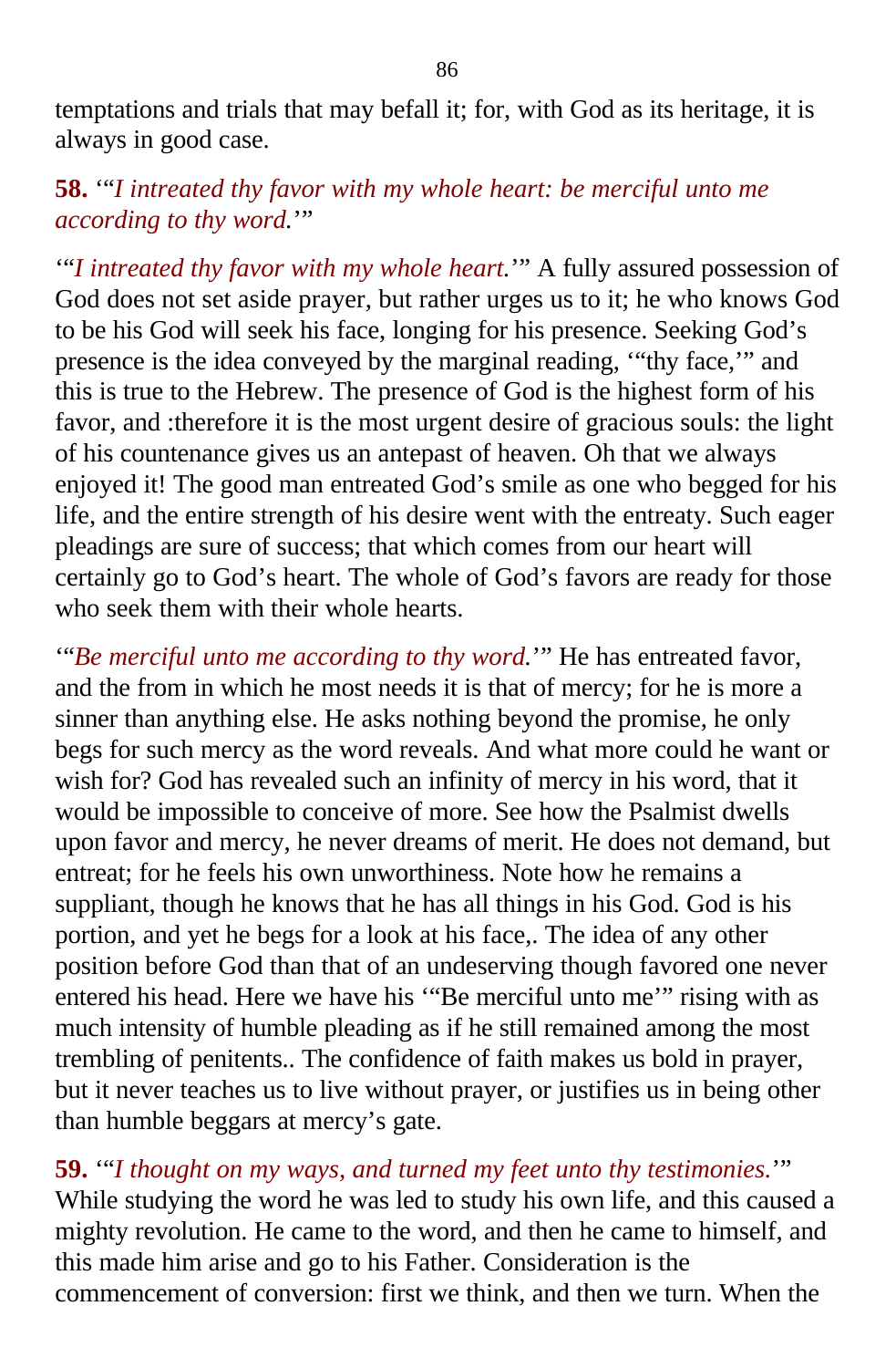temptations and trials that may befall it; for, with God as its heritage, it is always in good case.

# **58.** '"*I intreated thy favor with my whole heart: be merciful unto me according to thy word.*'"

'"*I intreated thy favor with my whole heart.*'" A fully assured possession of God does not set aside prayer, but rather urges us to it; he who knows God to be his God will seek his face, longing for his presence. Seeking God's presence is the idea conveyed by the marginal reading, '"thy face,'" and this is true to the Hebrew. The presence of God is the highest form of his favor, and :therefore it is the most urgent desire of gracious souls: the light of his countenance gives us an antepast of heaven. Oh that we always enjoyed it! The good man entreated God's smile as one who begged for his life, and the entire strength of his desire went with the entreaty. Such eager pleadings are sure of success; that which comes from our heart will certainly go to God's heart. The whole of God's favors are ready for those who seek them with their whole hearts.

'"*Be merciful unto me according to thy word.*'" He has entreated favor, and the from in which he most needs it is that of mercy; for he is more a sinner than anything else. He asks nothing beyond the promise, he only begs for such mercy as the word reveals. And what more could he want or wish for? God has revealed such an infinity of mercy in his word, that it would be impossible to conceive of more. See how the Psalmist dwells upon favor and mercy, he never dreams of merit. He does not demand, but entreat; for he feels his own unworthiness. Note how he remains a suppliant, though he knows that he has all things in his God. God is his portion, and yet he begs for a look at his face,. The idea of any other position before God than that of an undeserving though favored one never entered his head. Here we have his '"Be merciful unto me'" rising with as much intensity of humble pleading as if he still remained among the most trembling of penitents.. The confidence of faith makes us bold in prayer, but it never teaches us to live without prayer, or justifies us in being other than humble beggars at mercy's gate.

**59.** '"*I thought on my ways, and turned my feet unto thy testimonies.*'" While studying the word he was led to study his own life, and this caused a mighty revolution. He came to the word, and then he came to himself, and this made him arise and go to his Father. Consideration is the commencement of conversion: first we think, and then we turn. When the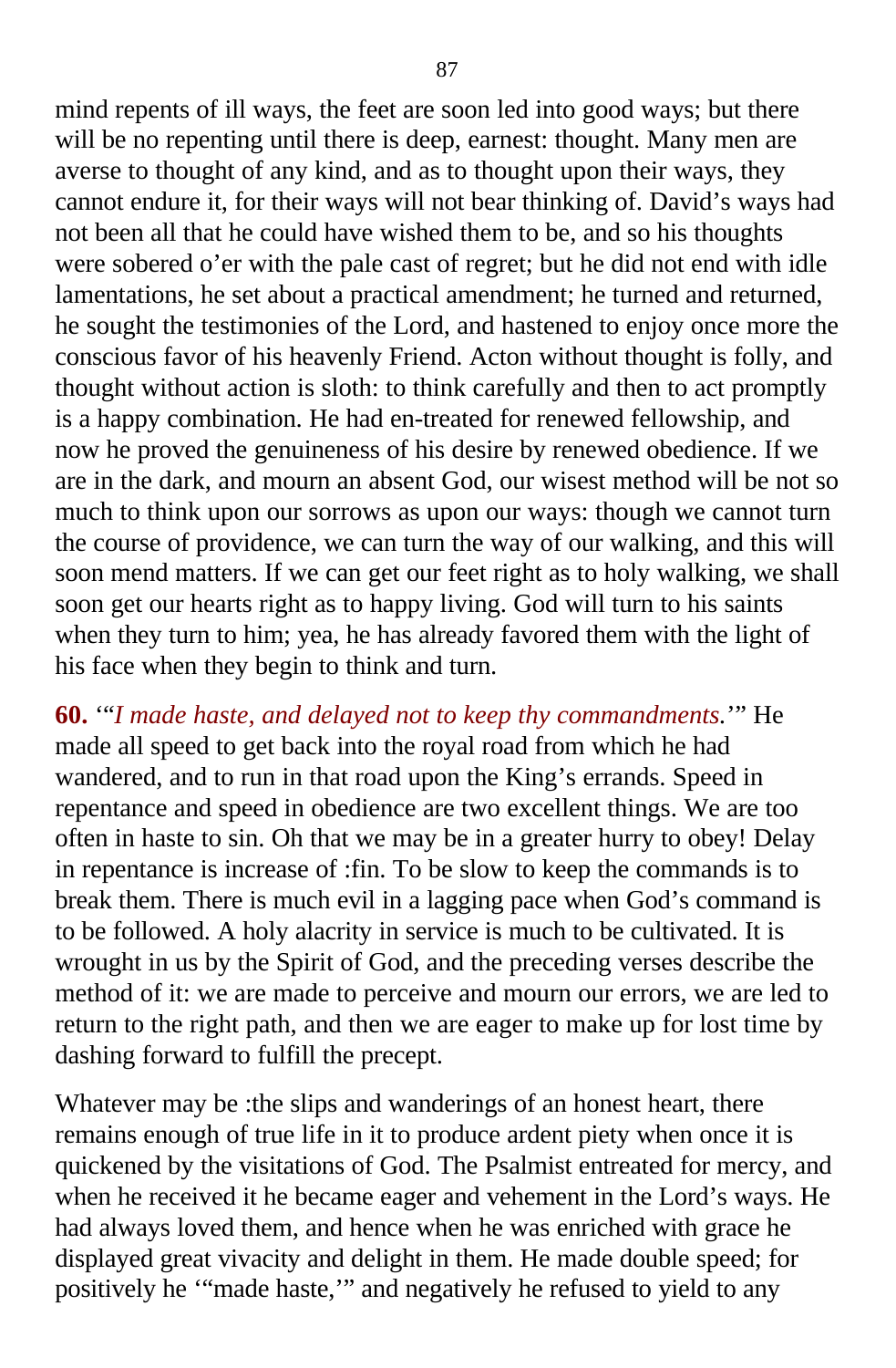mind repents of ill ways, the feet are soon led into good ways; but there will be no repenting until there is deep, earnest: thought. Many men are averse to thought of any kind, and as to thought upon their ways, they cannot endure it, for their ways will not bear thinking of. David's ways had not been all that he could have wished them to be, and so his thoughts were sobered o'er with the pale cast of regret; but he did not end with idle lamentations, he set about a practical amendment; he turned and returned, he sought the testimonies of the Lord, and hastened to enjoy once more the conscious favor of his heavenly Friend. Acton without thought is folly, and thought without action is sloth: to think carefully and then to act promptly is a happy combination. He had en-treated for renewed fellowship, and now he proved the genuineness of his desire by renewed obedience. If we are in the dark, and mourn an absent God, our wisest method will be not so much to think upon our sorrows as upon our ways: though we cannot turn the course of providence, we can turn the way of our walking, and this will soon mend matters. If we can get our feet right as to holy walking, we shall soon get our hearts right as to happy living. God will turn to his saints when they turn to him; yea, he has already favored them with the light of his face when they begin to think and turn.

**60.** '"*I made haste, and delayed not to keep thy commandments.*'" He made all speed to get back into the royal road from which he had wandered, and to run in that road upon the King's errands. Speed in repentance and speed in obedience are two excellent things. We are too often in haste to sin. Oh that we may be in a greater hurry to obey! Delay in repentance is increase of :fin. To be slow to keep the commands is to break them. There is much evil in a lagging pace when God's command is to be followed. A holy alacrity in service is much to be cultivated. It is wrought in us by the Spirit of God, and the preceding verses describe the method of it: we are made to perceive and mourn our errors, we are led to return to the right path, and then we are eager to make up for lost time by dashing forward to fulfill the precept.

Whatever may be :the slips and wanderings of an honest heart, there remains enough of true life in it to produce ardent piety when once it is quickened by the visitations of God. The Psalmist entreated for mercy, and when he received it he became eager and vehement in the Lord's ways. He had always loved them, and hence when he was enriched with grace he displayed great vivacity and delight in them. He made double speed; for positively he '"made haste,'" and negatively he refused to yield to any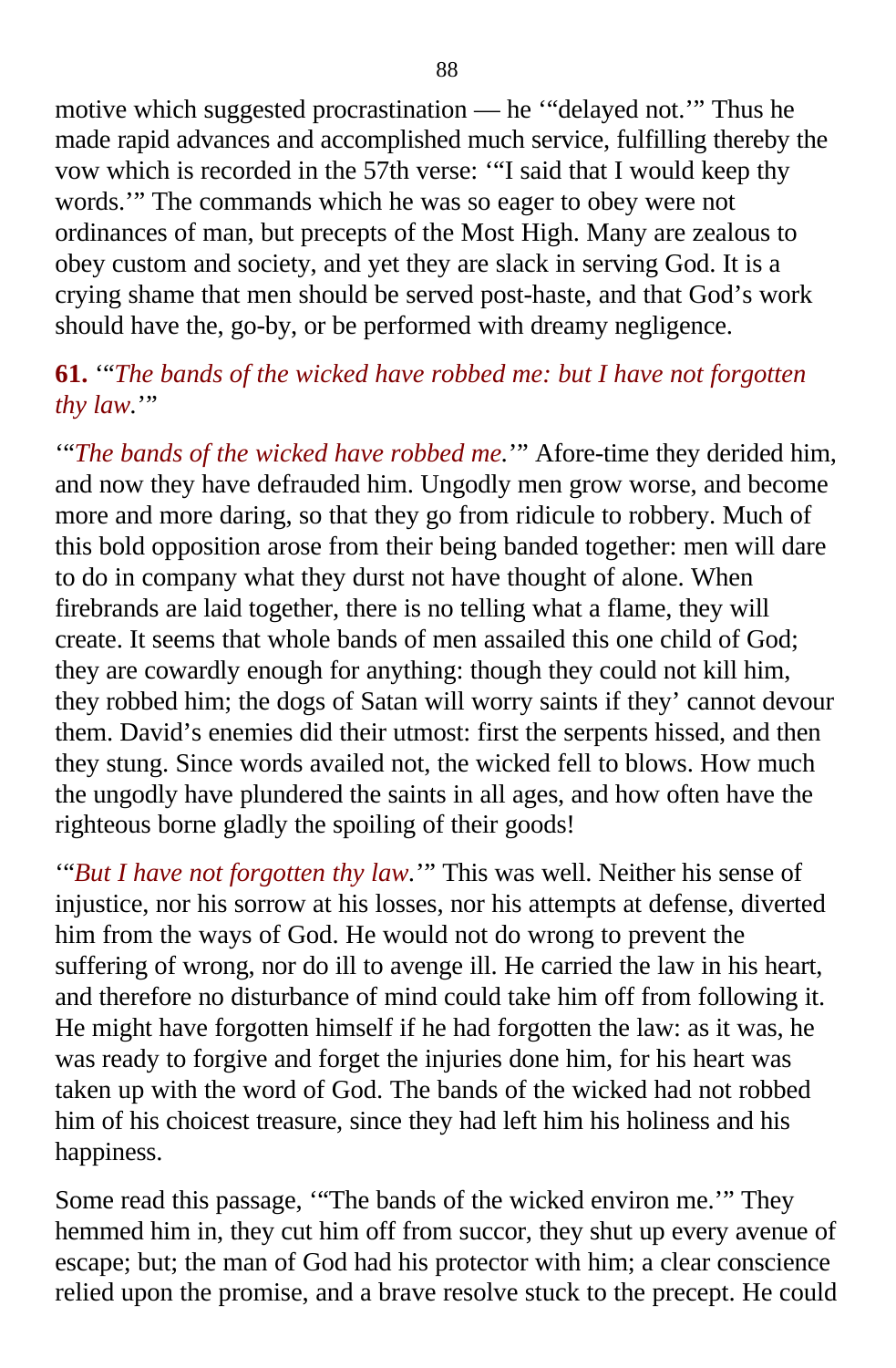motive which suggested procrastination — he '"delayed not.'" Thus he made rapid advances and accomplished much service, fulfilling thereby the vow which is recorded in the 57th verse: '"I said that I would keep thy words.'" The commands which he was so eager to obey were not ordinances of man, but precepts of the Most High. Many are zealous to obey custom and society, and yet they are slack in serving God. It is a crying shame that men should be served post-haste, and that God's work should have the, go-by, or be performed with dreamy negligence.

#### **61.** '"*The bands of the wicked have robbed me: but I have not forgotten thy law.*"

'"*The bands of the wicked have robbed me.*'" Afore-time they derided him, and now they have defrauded him. Ungodly men grow worse, and become more and more daring, so that they go from ridicule to robbery. Much of this bold opposition arose from their being banded together: men will dare to do in company what they durst not have thought of alone. When firebrands are laid together, there is no telling what a flame, they will create. It seems that whole bands of men assailed this one child of God; they are cowardly enough for anything: though they could not kill him, they robbed him; the dogs of Satan will worry saints if they' cannot devour them. David's enemies did their utmost: first the serpents hissed, and then they stung. Since words availed not, the wicked fell to blows. How much the ungodly have plundered the saints in all ages, and how often have the righteous borne gladly the spoiling of their goods!

'"*But I have not forgotten thy law.*'" This was well. Neither his sense of injustice, nor his sorrow at his losses, nor his attempts at defense, diverted him from the ways of God. He would not do wrong to prevent the suffering of wrong, nor do ill to avenge ill. He carried the law in his heart, and therefore no disturbance of mind could take him off from following it. He might have forgotten himself if he had forgotten the law: as it was, he was ready to forgive and forget the injuries done him, for his heart was taken up with the word of God. The bands of the wicked had not robbed him of his choicest treasure, since they had left him his holiness and his happiness.

Some read this passage, '"The bands of the wicked environ me.'" They hemmed him in, they cut him off from succor, they shut up every avenue of escape; but; the man of God had his protector with him; a clear conscience relied upon the promise, and a brave resolve stuck to the precept. He could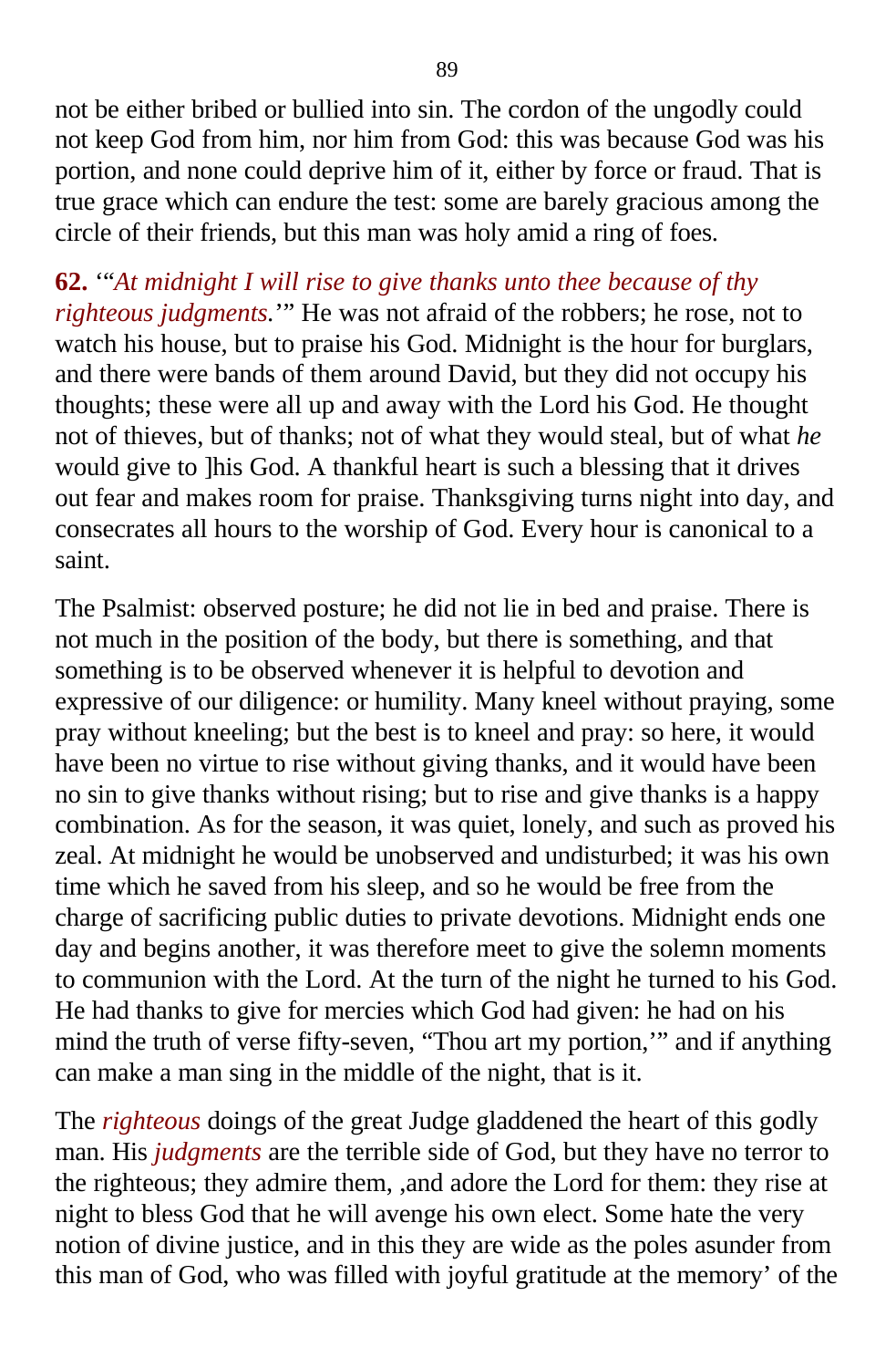not be either bribed or bullied into sin. The cordon of the ungodly could not keep God from him, nor him from God: this was because God was his portion, and none could deprive him of it, either by force or fraud. That is true grace which can endure the test: some are barely gracious among the circle of their friends, but this man was holy amid a ring of foes.

**62.** '"*At midnight I will rise to give thanks unto thee because of thy righteous judgments.*'" He was not afraid of the robbers; he rose, not to watch his house, but to praise his God. Midnight is the hour for burglars, and there were bands of them around David, but they did not occupy his thoughts; these were all up and away with the Lord his God. He thought not of thieves, but of thanks; not of what they would steal, but of what *he* would give to lhis God. A thankful heart is such a blessing that it drives out fear and makes room for praise. Thanksgiving turns night into day, and consecrates all hours to the worship of God. Every hour is canonical to a saint.

The Psalmist: observed posture; he did not lie in bed and praise. There is not much in the position of the body, but there is something, and that something is to be observed whenever it is helpful to devotion and expressive of our diligence: or humility. Many kneel without praying, some pray without kneeling; but the best is to kneel and pray: so here, it would have been no virtue to rise without giving thanks, and it would have been no sin to give thanks without rising; but to rise and give thanks is a happy combination. As for the season, it was quiet, lonely, and such as proved his zeal. At midnight he would be unobserved and undisturbed; it was his own time which he saved from his sleep, and so he would be free from the charge of sacrificing public duties to private devotions. Midnight ends one day and begins another, it was therefore meet to give the solemn moments to communion with the Lord. At the turn of the night he turned to his God. He had thanks to give for mercies which God had given: he had on his mind the truth of verse fifty-seven, "Thou art my portion,'" and if anything can make a man sing in the middle of the night, that is it.

The *righteous* doings of the great Judge gladdened the heart of this godly man. His *judgments* are the terrible side of God, but they have no terror to the righteous; they admire them, ,and adore the Lord for them: they rise at night to bless God that he will avenge his own elect. Some hate the very notion of divine justice, and in this they are wide as the poles asunder from this man of God, who was filled with joyful gratitude at the memory' of the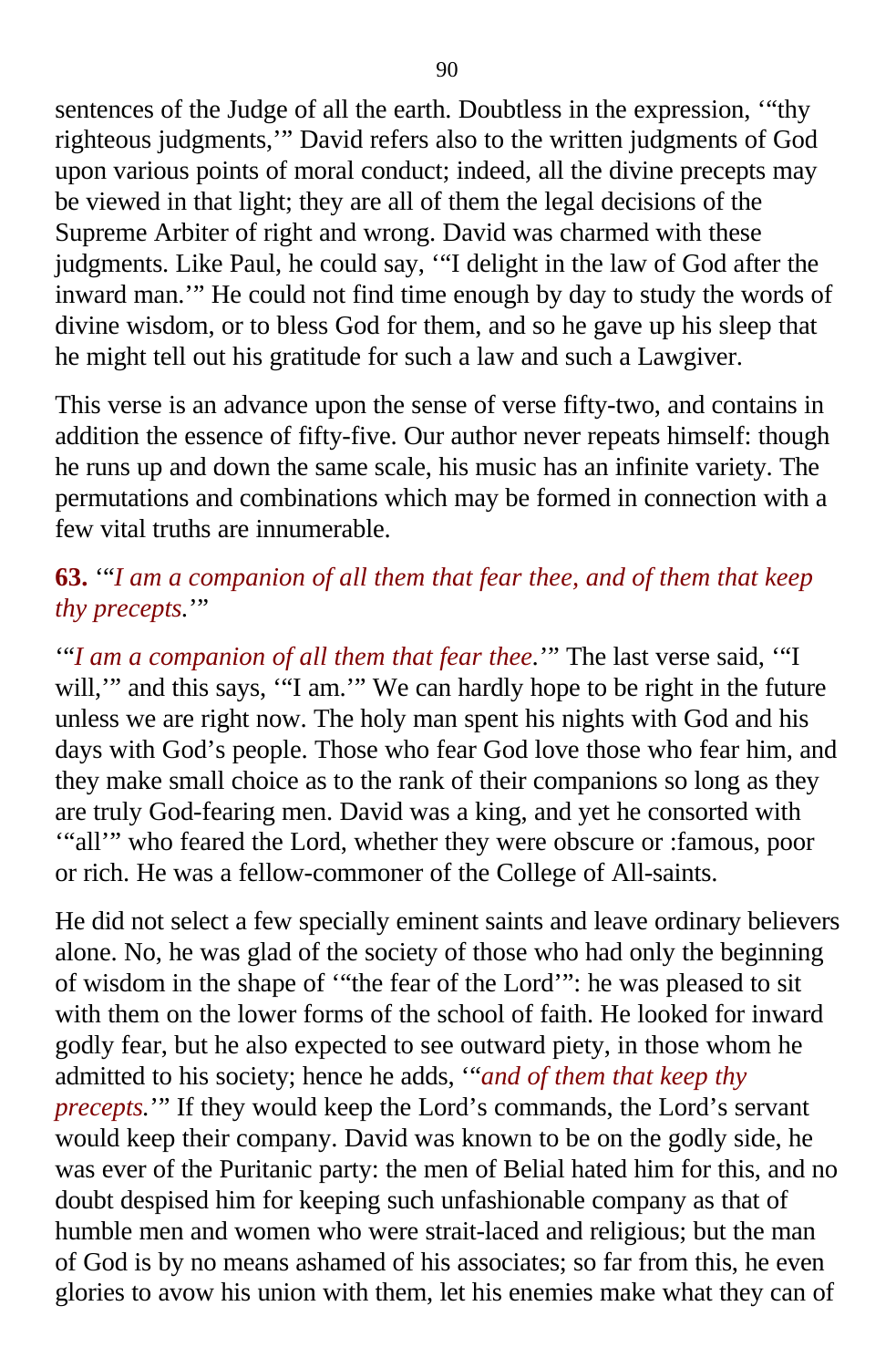sentences of the Judge of all the earth. Doubtless in the expression, '"thy righteous judgments,'" David refers also to the written judgments of God upon various points of moral conduct; indeed, all the divine precepts may be viewed in that light; they are all of them the legal decisions of the Supreme Arbiter of right and wrong. David was charmed with these judgments. Like Paul, he could say, '"I delight in the law of God after the inward man.'" He could not find time enough by day to study the words of divine wisdom, or to bless God for them, and so he gave up his sleep that he might tell out his gratitude for such a law and such a Lawgiver.

This verse is an advance upon the sense of verse fifty-two, and contains in addition the essence of fifty-five. Our author never repeats himself: though he runs up and down the same scale, his music has an infinite variety. The permutations and combinations which may be formed in connection with a few vital truths are innumerable.

#### **63.** '"*I am a companion of all them that fear thee, and of them that keep thy precepts.*"

'"*I am a companion of all them that fear thee.*'" The last verse said, '"I will," and this says, "I am." We can hardly hope to be right in the future unless we are right now. The holy man spent his nights with God and his days with God's people. Those who fear God love those who fear him, and they make small choice as to the rank of their companions so long as they are truly God-fearing men. David was a king, and yet he consorted with '"all'" who feared the Lord, whether they were obscure or :famous, poor or rich. He was a fellow-commoner of the College of All-saints.

He did not select a few specially eminent saints and leave ordinary believers alone. No, he was glad of the society of those who had only the beginning of wisdom in the shape of '"the fear of the Lord'": he was pleased to sit with them on the lower forms of the school of faith. He looked for inward godly fear, but he also expected to see outward piety, in those whom he admitted to his society; hence he adds, '"*and of them that keep thy precepts.*'" If they would keep the Lord's commands, the Lord's servant would keep their company. David was known to be on the godly side, he was ever of the Puritanic party: the men of Belial hated him for this, and no doubt despised him for keeping such unfashionable company as that of humble men and women who were strait-laced and religious; but the man of God is by no means ashamed of his associates; so far from this, he even glories to avow his union with them, let his enemies make what they can of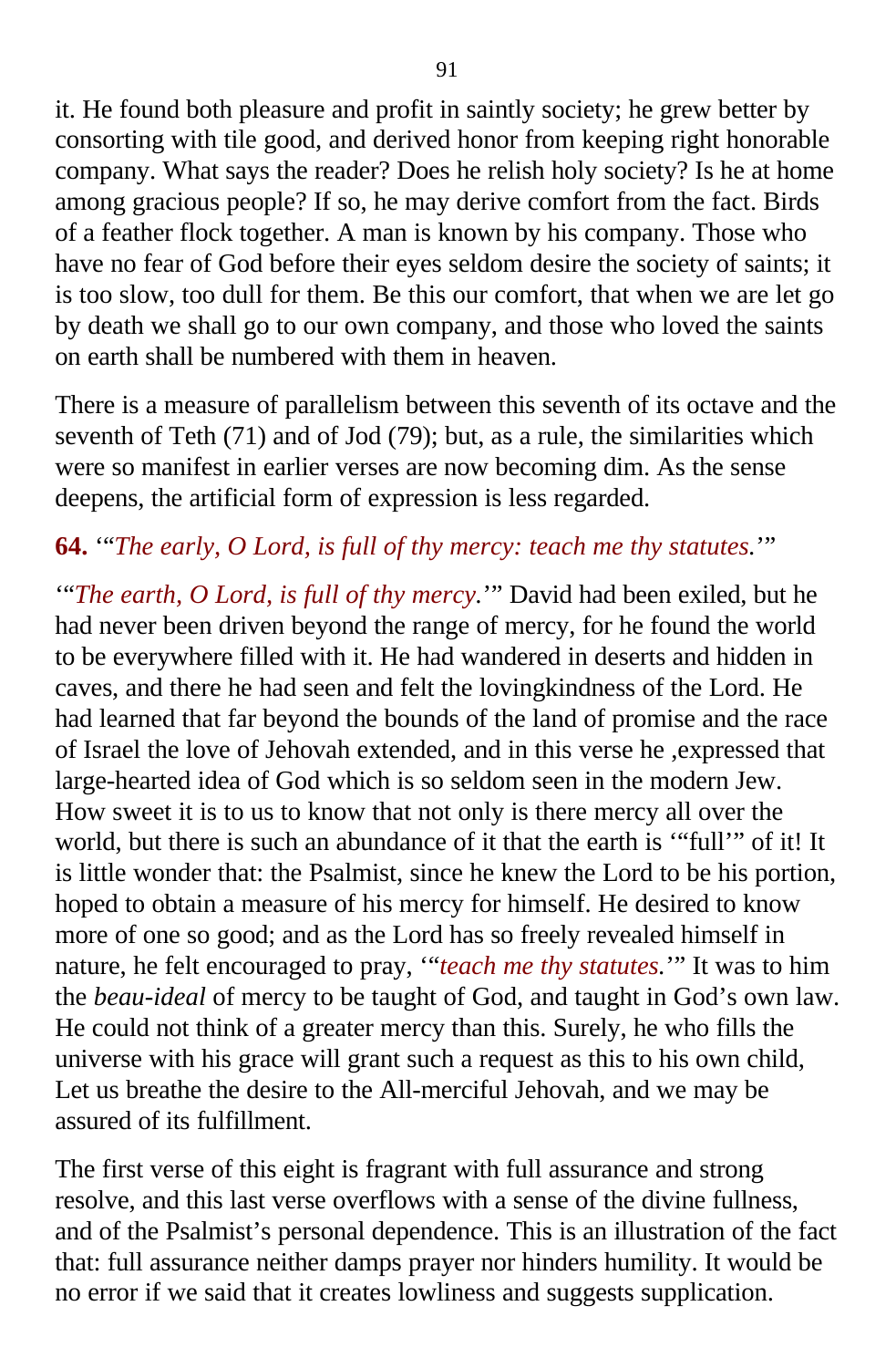it. He found both pleasure and profit in saintly society; he grew better by consorting with tile good, and derived honor from keeping right honorable company. What says the reader? Does he relish holy society? Is he at home among gracious people? If so, he may derive comfort from the fact. Birds of a feather flock together. A man is known by his company. Those who have no fear of God before their eyes seldom desire the society of saints; it is too slow, too dull for them. Be this our comfort, that when we are let go by death we shall go to our own company, and those who loved the saints on earth shall be numbered with them in heaven.

There is a measure of parallelism between this seventh of its octave and the seventh of Teth (71) and of Jod (79); but, as a rule, the similarities which were so manifest in earlier verses are now becoming dim. As the sense deepens, the artificial form of expression is less regarded.

### **64.** '"*The early, O Lord, is full of thy mercy: teach me thy statutes.*'"

'"*The earth, O Lord, is full of thy mercy.*'" David had been exiled, but he had never been driven beyond the range of mercy, for he found the world to be everywhere filled with it. He had wandered in deserts and hidden in caves, and there he had seen and felt the lovingkindness of the Lord. He had learned that far beyond the bounds of the land of promise and the race of Israel the love of Jehovah extended, and in this verse he ,expressed that large-hearted idea of God which is so seldom seen in the modern Jew. How sweet it is to us to know that not only is there mercy all over the world, but there is such an abundance of it that the earth is '"full'" of it! It is little wonder that: the Psalmist, since he knew the Lord to be his portion, hoped to obtain a measure of his mercy for himself. He desired to know more of one so good; and as the Lord has so freely revealed himself in nature, he felt encouraged to pray, '"*teach me thy statutes.*'" It was to him the *beau-ideal* of mercy to be taught of God, and taught in God's own law. He could not think of a greater mercy than this. Surely, he who fills the universe with his grace will grant such a request as this to his own child, Let us breathe the desire to the All-merciful Jehovah, and we may be assured of its fulfillment.

The first verse of this eight is fragrant with full assurance and strong resolve, and this last verse overflows with a sense of the divine fullness, and of the Psalmist's personal dependence. This is an illustration of the fact that: full assurance neither damps prayer nor hinders humility. It would be no error if we said that it creates lowliness and suggests supplication.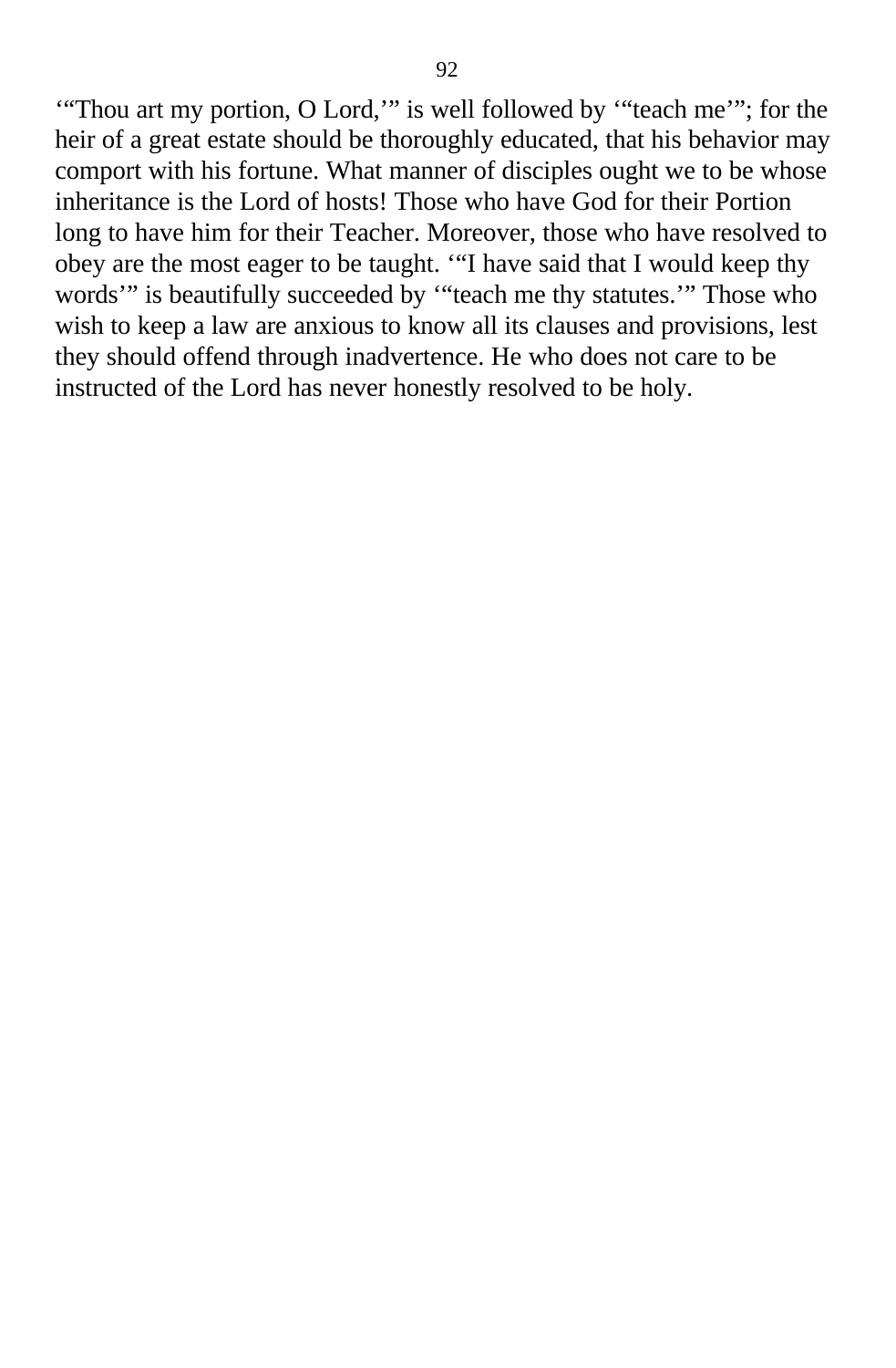'"Thou art my portion, O Lord,'" is well followed by '"teach me'"; for the heir of a great estate should be thoroughly educated, that his behavior may comport with his fortune. What manner of disciples ought we to be whose inheritance is the Lord of hosts! Those who have God for their Portion long to have him for their Teacher. Moreover, those who have resolved to obey are the most eager to be taught. '"I have said that I would keep thy words'" is beautifully succeeded by '"teach me thy statutes.'" Those who wish to keep a law are anxious to know all its clauses and provisions, lest they should offend through inadvertence. He who does not care to be instructed of the Lord has never honestly resolved to be holy.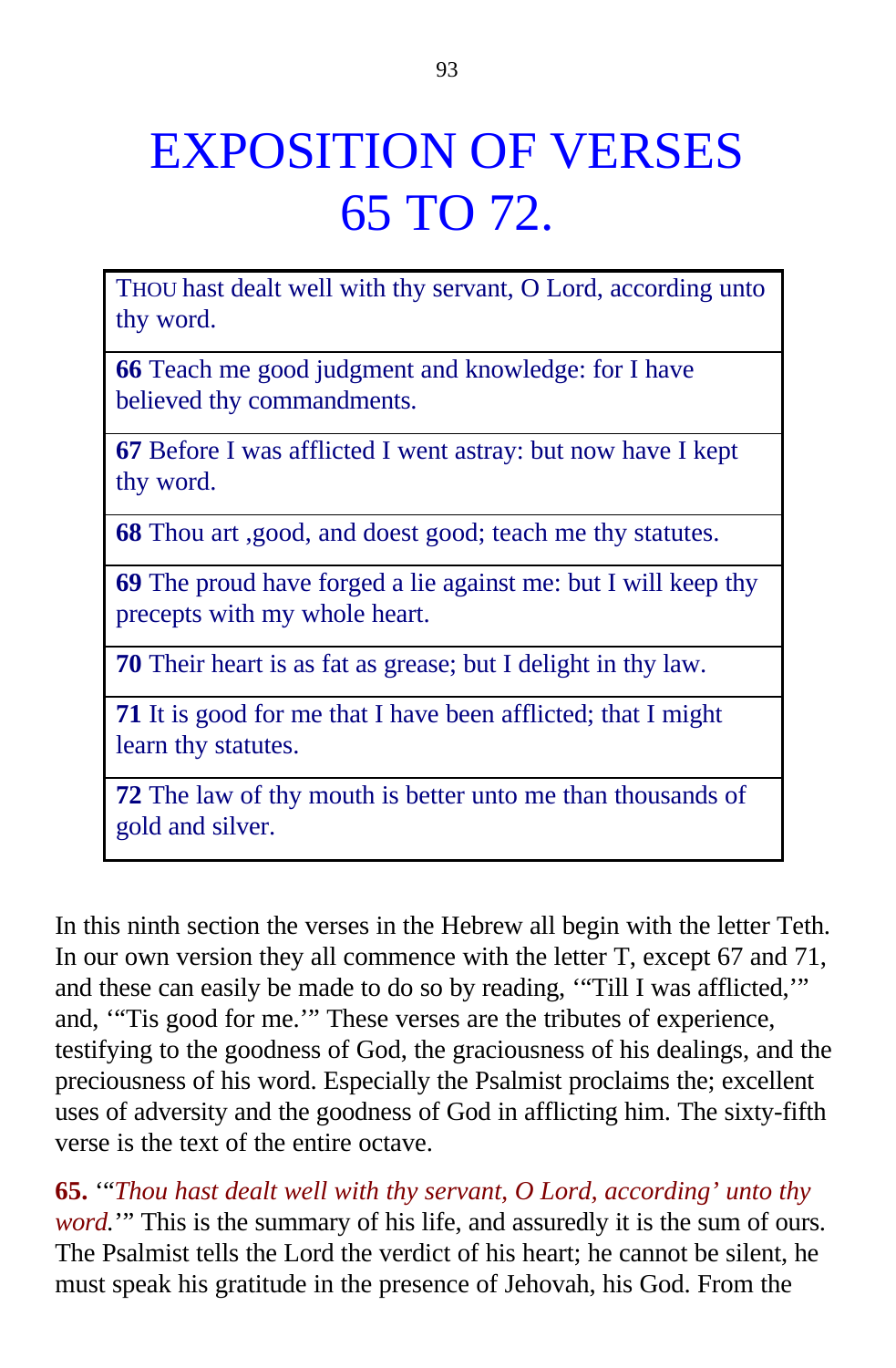# EXPOSITION OF VERSES 65 TO 72.

THOU hast dealt well with thy servant, O Lord, according unto thy word.

**66** Teach me good judgment and knowledge: for I have believed thy commandments.

**67** Before I was afflicted I went astray: but now have I kept thy word.

**68** Thou art ,good, and doest good; teach me thy statutes.

**69** The proud have forged a lie against me: but I will keep thy precepts with my whole heart.

**70** Their heart is as fat as grease; but I delight in thy law.

**71** It is good for me that I have been afflicted; that I might learn thy statutes.

**72** The law of thy mouth is better unto me than thousands of gold and silver.

In this ninth section the verses in the Hebrew all begin with the letter Teth. In our own version they all commence with the letter T, except 67 and 71, and these can easily be made to do so by reading, '"Till I was afflicted,'" and, '"Tis good for me.'" These verses are the tributes of experience, testifying to the goodness of God, the graciousness of his dealings, and the preciousness of his word. Especially the Psalmist proclaims the; excellent uses of adversity and the goodness of God in afflicting him. The sixty-fifth verse is the text of the entire octave.

**65.** '"*Thou hast dealt well with thy servant, O Lord, according' unto thy word.*'" This is the summary of his life, and assuredly it is the sum of ours. The Psalmist tells the Lord the verdict of his heart; he cannot be silent, he must speak his gratitude in the presence of Jehovah, his God. From the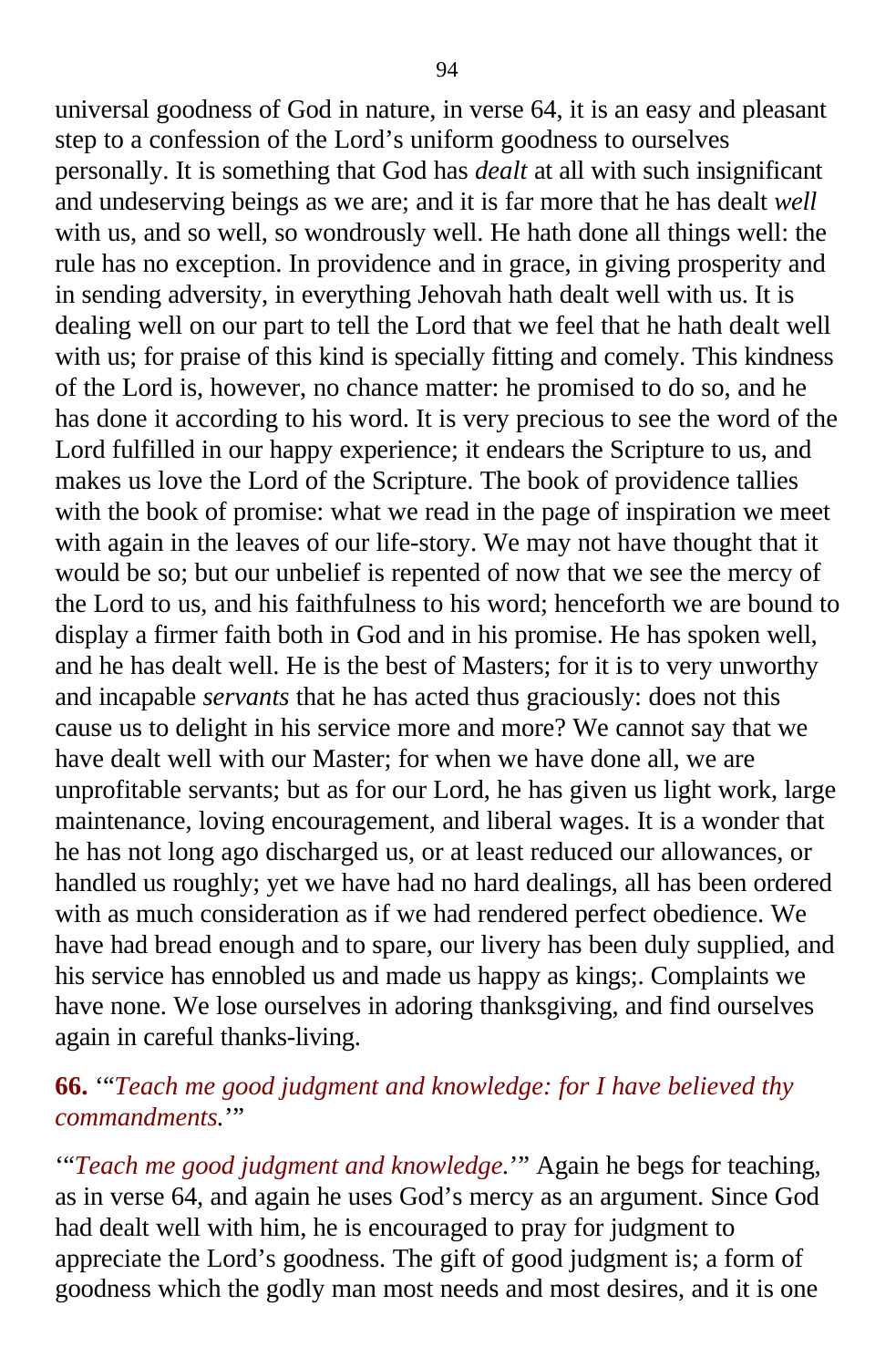universal goodness of God in nature, in verse 64, it is an easy and pleasant step to a confession of the Lord's uniform goodness to ourselves personally. It is something that God has *dealt* at all with such insignificant and undeserving beings as we are; and it is far more that he has dealt *well* with us, and so well, so wondrously well. He hath done all things well: the rule has no exception. In providence and in grace, in giving prosperity and in sending adversity, in everything Jehovah hath dealt well with us. It is dealing well on our part to tell the Lord that we feel that he hath dealt well with us; for praise of this kind is specially fitting and comely. This kindness of the Lord is, however, no chance matter: he promised to do so, and he has done it according to his word. It is very precious to see the word of the Lord fulfilled in our happy experience; it endears the Scripture to us, and makes us love the Lord of the Scripture. The book of providence tallies with the book of promise: what we read in the page of inspiration we meet with again in the leaves of our life-story. We may not have thought that it would be so; but our unbelief is repented of now that we see the mercy of the Lord to us, and his faithfulness to his word; henceforth we are bound to display a firmer faith both in God and in his promise. He has spoken well, and he has dealt well. He is the best of Masters; for it is to very unworthy and incapable *servants* that he has acted thus graciously: does not this cause us to delight in his service more and more? We cannot say that we have dealt well with our Master; for when we have done all, we are unprofitable servants; but as for our Lord, he has given us light work, large maintenance, loving encouragement, and liberal wages. It is a wonder that he has not long ago discharged us, or at least reduced our allowances, or handled us roughly; yet we have had no hard dealings, all has been ordered with as much consideration as if we had rendered perfect obedience. We have had bread enough and to spare, our livery has been duly supplied, and his service has ennobled us and made us happy as kings;. Complaints we have none. We lose ourselves in adoring thanksgiving, and find ourselves again in careful thanks-living.

#### **66.** '"*Teach me good judgment and knowledge: for I have believed thy commandments.*'"

'"*Teach me good judgment and knowledge.*'" Again he begs for teaching, as in verse 64, and again he uses God's mercy as an argument. Since God had dealt well with him, he is encouraged to pray for judgment to appreciate the Lord's goodness. The gift of good judgment is; a form of goodness which the godly man most needs and most desires, and it is one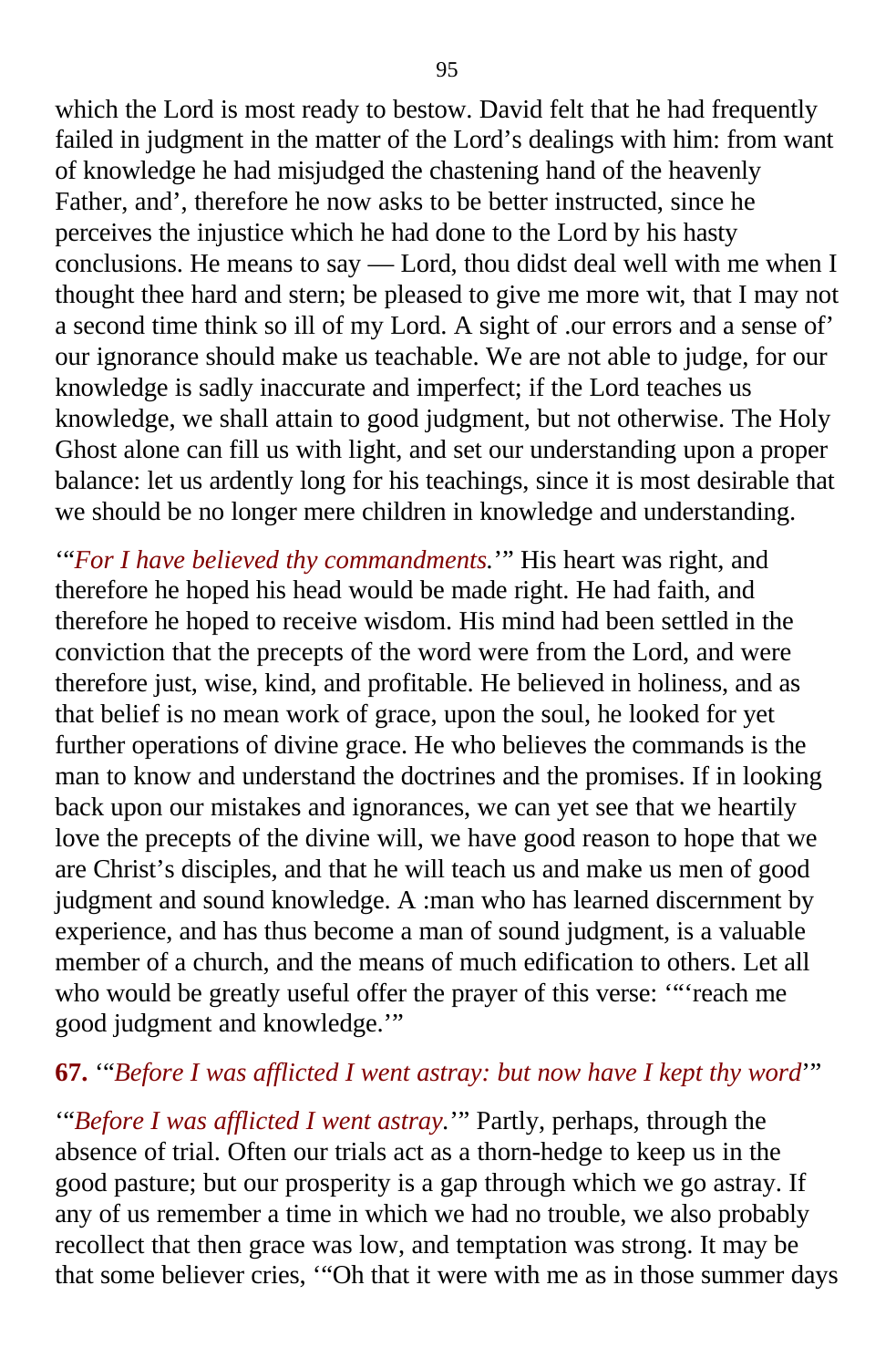which the Lord is most ready to bestow. David felt that he had frequently failed in judgment in the matter of the Lord's dealings with him: from want of knowledge he had misjudged the chastening hand of the heavenly Father, and', therefore he now asks to be better instructed, since he perceives the injustice which he had done to the Lord by his hasty conclusions. He means to say — Lord, thou didst deal well with me when I thought thee hard and stern; be pleased to give me more wit, that I may not a second time think so ill of my Lord. A sight of .our errors and a sense of' our ignorance should make us teachable. We are not able to judge, for our knowledge is sadly inaccurate and imperfect; if the Lord teaches us knowledge, we shall attain to good judgment, but not otherwise. The Holy Ghost alone can fill us with light, and set our understanding upon a proper balance: let us ardently long for his teachings, since it is most desirable that we should be no longer mere children in knowledge and understanding.

'"*For I have believed thy commandments.*'" His heart was right, and therefore he hoped his head would be made right. He had faith, and therefore he hoped to receive wisdom. His mind had been settled in the conviction that the precepts of the word were from the Lord, and were therefore just, wise, kind, and profitable. He believed in holiness, and as that belief is no mean work of grace, upon the soul, he looked for yet further operations of divine grace. He who believes the commands is the man to know and understand the doctrines and the promises. If in looking back upon our mistakes and ignorances, we can yet see that we heartily love the precepts of the divine will, we have good reason to hope that we are Christ's disciples, and that he will teach us and make us men of good judgment and sound knowledge. A :man who has learned discernment by experience, and has thus become a man of sound judgment, is a valuable member of a church, and the means of much edification to others. Let all who would be greatly useful offer the prayer of this verse: '"'reach me good judgment and knowledge.'"

#### **67.** '"*Before I was afflicted I went astray: but now have I kept thy word*'"

'"*Before I was afflicted I went astray.*'" Partly, perhaps, through the absence of trial. Often our trials act as a thorn-hedge to keep us in the good pasture; but our prosperity is a gap through which we go astray. If any of us remember a time in which we had no trouble, we also probably recollect that then grace was low, and temptation was strong. It may be that some believer cries, '"Oh that it were with me as in those summer days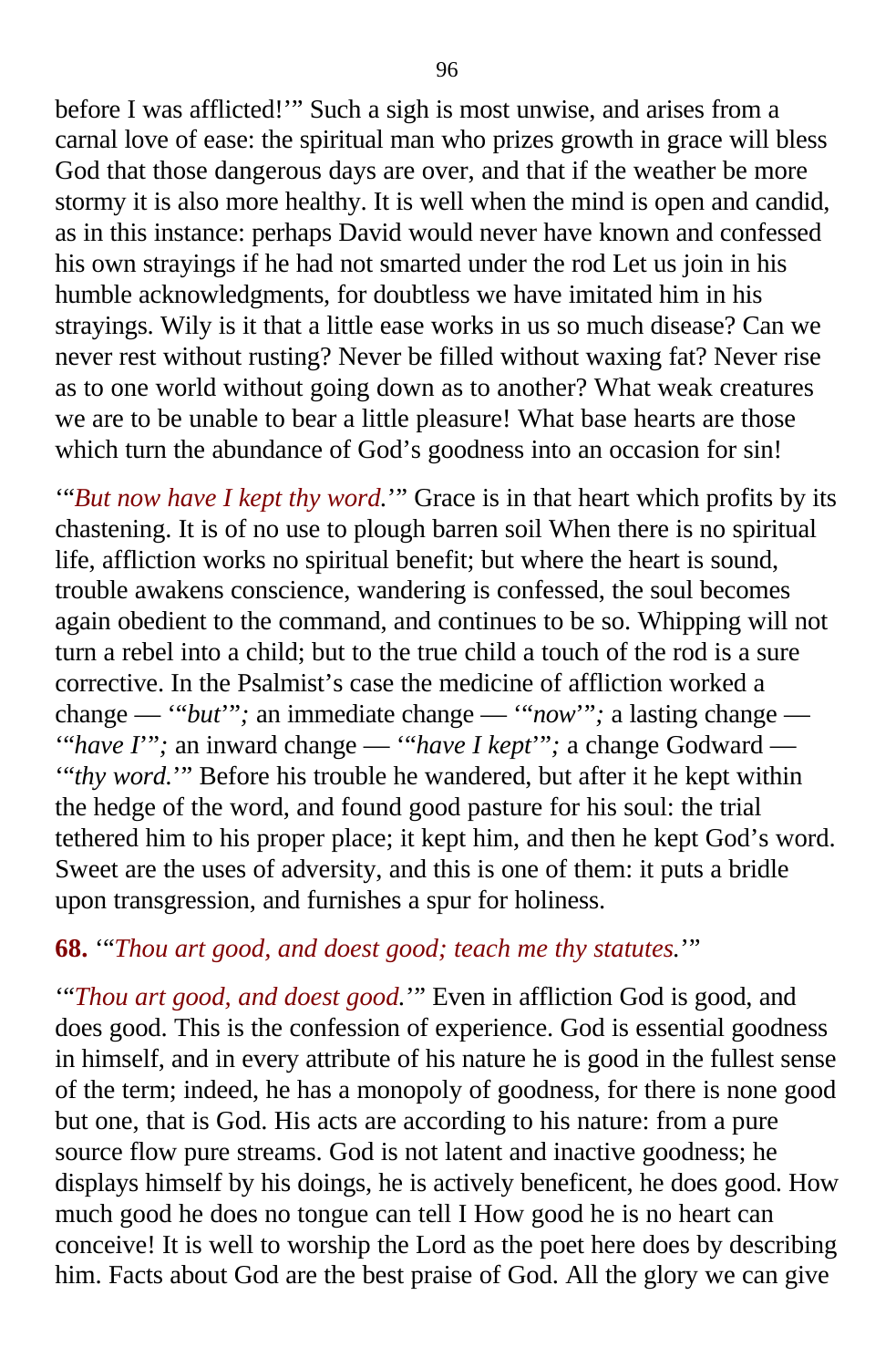before I was afflicted!'" Such a sigh is most unwise, and arises from a carnal love of ease: the spiritual man who prizes growth in grace will bless God that those dangerous days are over, and that if the weather be more stormy it is also more healthy. It is well when the mind is open and candid, as in this instance: perhaps David would never have known and confessed his own strayings if he had not smarted under the rod Let us join in his humble acknowledgments, for doubtless we have imitated him in his strayings. Wily is it that a little ease works in us so much disease? Can we never rest without rusting? Never be filled without waxing fat? Never rise as to one world without going down as to another? What weak creatures we are to be unable to bear a little pleasure! What base hearts are those which turn the abundance of God's goodness into an occasion for sin!

'"*But now have I kept thy word.*'" Grace is in that heart which profits by its chastening. It is of no use to plough barren soil When there is no spiritual life, affliction works no spiritual benefit; but where the heart is sound, trouble awakens conscience, wandering is confessed, the soul becomes again obedient to the command, and continues to be so. Whipping will not turn a rebel into a child; but to the true child a touch of the rod is a sure corrective. In the Psalmist's case the medicine of affliction worked a change — '"*but*'"*;* an immediate change — '"*now*'"*;* a lasting change — '"*have I*'"*;* an inward change — '"*have I kept*'"*;* a change Godward — '"*thy word.*'" Before his trouble he wandered, but after it he kept within the hedge of the word, and found good pasture for his soul: the trial tethered him to his proper place; it kept him, and then he kept God's word. Sweet are the uses of adversity, and this is one of them: it puts a bridle upon transgression, and furnishes a spur for holiness.

#### **68.** '"*Thou art good, and doest good; teach me thy statutes.*'"

'"*Thou art good, and doest good.*'" Even in affliction God is good, and does good. This is the confession of experience. God is essential goodness in himself, and in every attribute of his nature he is good in the fullest sense of the term; indeed, he has a monopoly of goodness, for there is none good but one, that is God. His acts are according to his nature: from a pure source flow pure streams. God is not latent and inactive goodness; he displays himself by his doings, he is actively beneficent, he does good. How much good he does no tongue can tell I How good he is no heart can conceive! It is well to worship the Lord as the poet here does by describing him. Facts about God are the best praise of God. All the glory we can give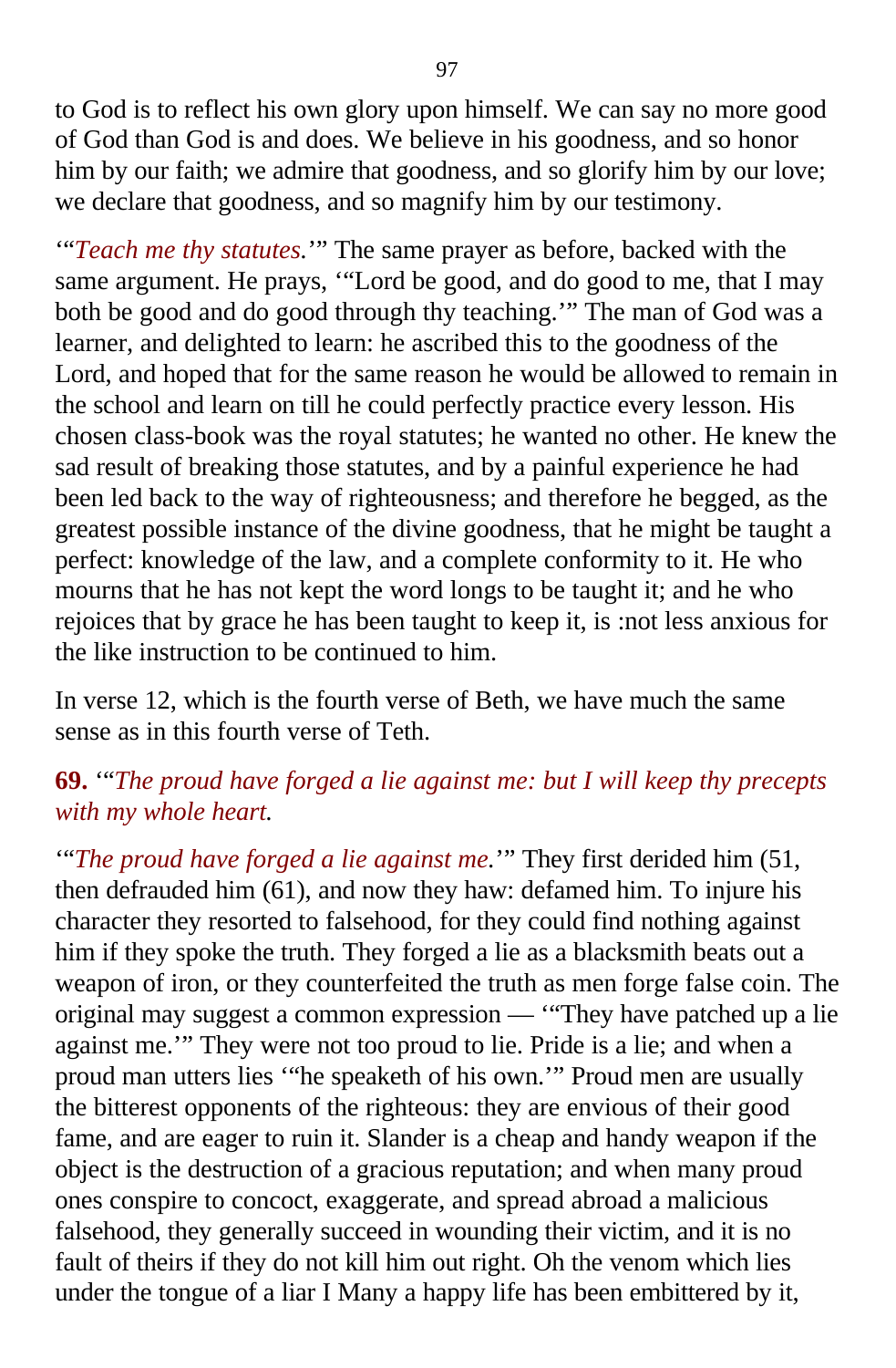to God is to reflect his own glory upon himself. We can say no more good of God than God is and does. We believe in his goodness, and so honor him by our faith; we admire that goodness, and so glorify him by our love; we declare that goodness, and so magnify him by our testimony.

'"*Teach me thy statutes.*'" The same prayer as before, backed with the same argument. He prays, '"Lord be good, and do good to me, that I may both be good and do good through thy teaching.'" The man of God was a learner, and delighted to learn: he ascribed this to the goodness of the Lord, and hoped that for the same reason he would be allowed to remain in the school and learn on till he could perfectly practice every lesson. His chosen class-book was the royal statutes; he wanted no other. He knew the sad result of breaking those statutes, and by a painful experience he had been led back to the way of righteousness; and therefore he begged, as the greatest possible instance of the divine goodness, that he might be taught a perfect: knowledge of the law, and a complete conformity to it. He who mourns that he has not kept the word longs to be taught it; and he who rejoices that by grace he has been taught to keep it, is :not less anxious for the like instruction to be continued to him.

In verse 12, which is the fourth verse of Beth, we have much the same sense as in this fourth verse of Teth.

#### **69.** '"*The proud have forged a lie against me: but I will keep thy precepts with my whole heart.*

'"*The proud have forged a lie against me.*'" They first derided him (51, then defrauded him (61), and now they haw: defamed him. To injure his character they resorted to falsehood, for they could find nothing against him if they spoke the truth. They forged a lie as a blacksmith beats out a weapon of iron, or they counterfeited the truth as men forge false coin. The original may suggest a common expression — '"They have patched up a lie against me.'" They were not too proud to lie. Pride is a lie; and when a proud man utters lies '"he speaketh of his own.'" Proud men are usually the bitterest opponents of the righteous: they are envious of their good fame, and are eager to ruin it. Slander is a cheap and handy weapon if the object is the destruction of a gracious reputation; and when many proud ones conspire to concoct, exaggerate, and spread abroad a malicious falsehood, they generally succeed in wounding their victim, and it is no fault of theirs if they do not kill him out right. Oh the venom which lies under the tongue of a liar I Many a happy life has been embittered by it,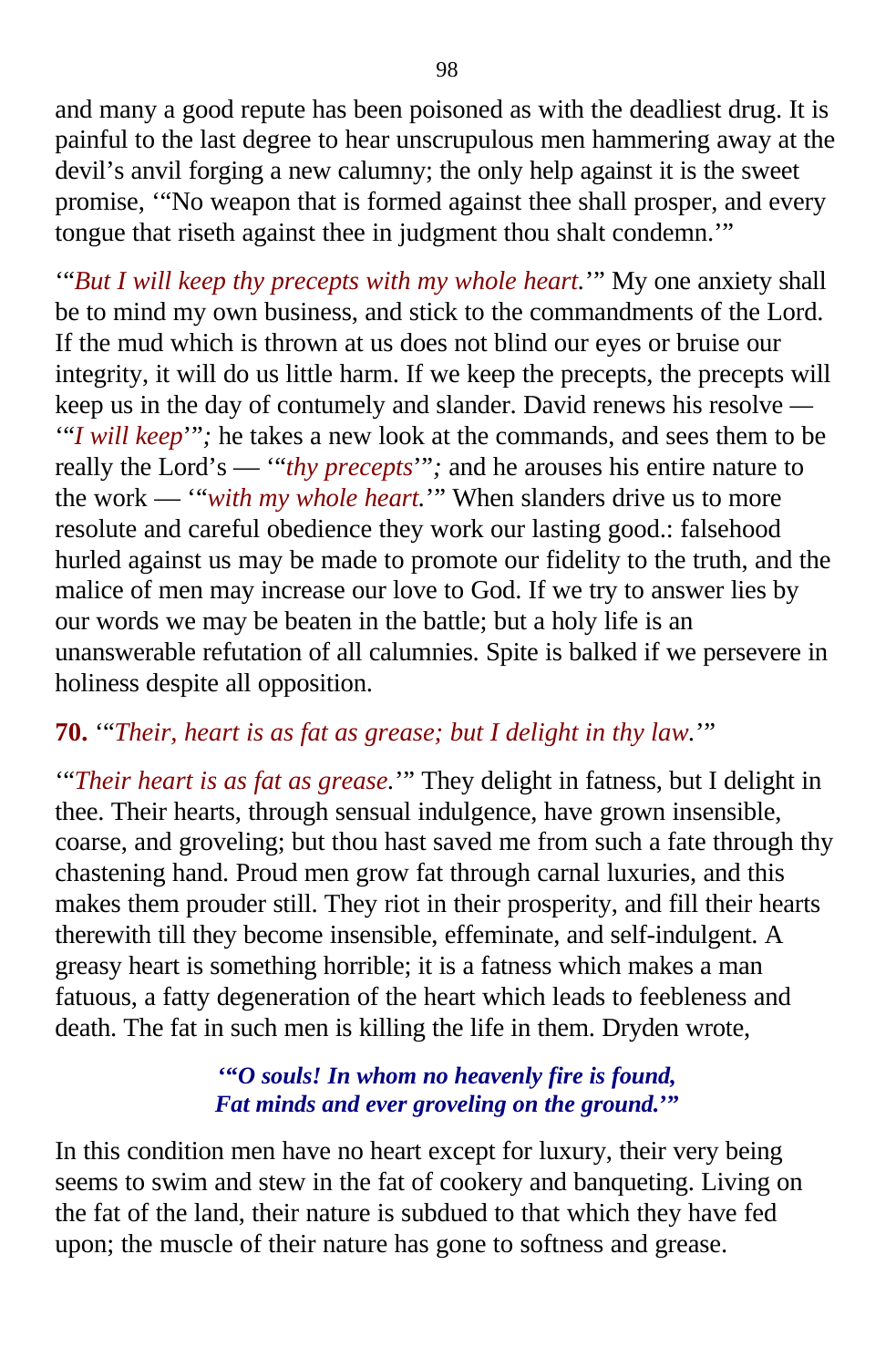and many a good repute has been poisoned as with the deadliest drug. It is painful to the last degree to hear unscrupulous men hammering away at the devil's anvil forging a new calumny; the only help against it is the sweet promise, '"No weapon that is formed against thee shall prosper, and every tongue that riseth against thee in judgment thou shalt condemn.'"

'"*But I will keep thy precepts with my whole heart.*'" My one anxiety shall be to mind my own business, and stick to the commandments of the Lord. If the mud which is thrown at us does not blind our eyes or bruise our integrity, it will do us little harm. If we keep the precepts, the precepts will keep us in the day of contumely and slander. David renews his resolve *—* '"*I will keep*'"*;* he takes a new look at the commands, and sees them to be really the Lord's — '"*thy precepts*'"*;* and he arouses his entire nature to the work — '"*with my whole heart.*'" When slanders drive us to more resolute and careful obedience they work our lasting good.: falsehood hurled against us may be made to promote our fidelity to the truth, and the malice of men may increase our love to God. If we try to answer lies by our words we may be beaten in the battle; but a holy life is an unanswerable refutation of all calumnies. Spite is balked if we persevere in holiness despite all opposition.

#### **70.** '"*Their, heart is as fat as grease; but I delight in thy law.*'"

'"*Their heart is as fat as grease.*'" They delight in fatness, but I delight in thee. Their hearts, through sensual indulgence, have grown insensible, coarse, and groveling; but thou hast saved me from such a fate through thy chastening hand. Proud men grow fat through carnal luxuries, and this makes them prouder still. They riot in their prosperity, and fill their hearts therewith till they become insensible, effeminate, and self-indulgent. A greasy heart is something horrible; it is a fatness which makes a man fatuous, a fatty degeneration of the heart which leads to feebleness and death. The fat in such men is killing the life in them. Dryden wrote,

#### **'"***O souls! In whom no heavenly fire is found, Fat minds and ever groveling on the ground.***'"**

In this condition men have no heart except for luxury, their very being seems to swim and stew in the fat of cookery and banqueting. Living on the fat of the land, their nature is subdued to that which they have fed upon; the muscle of their nature has gone to softness and grease.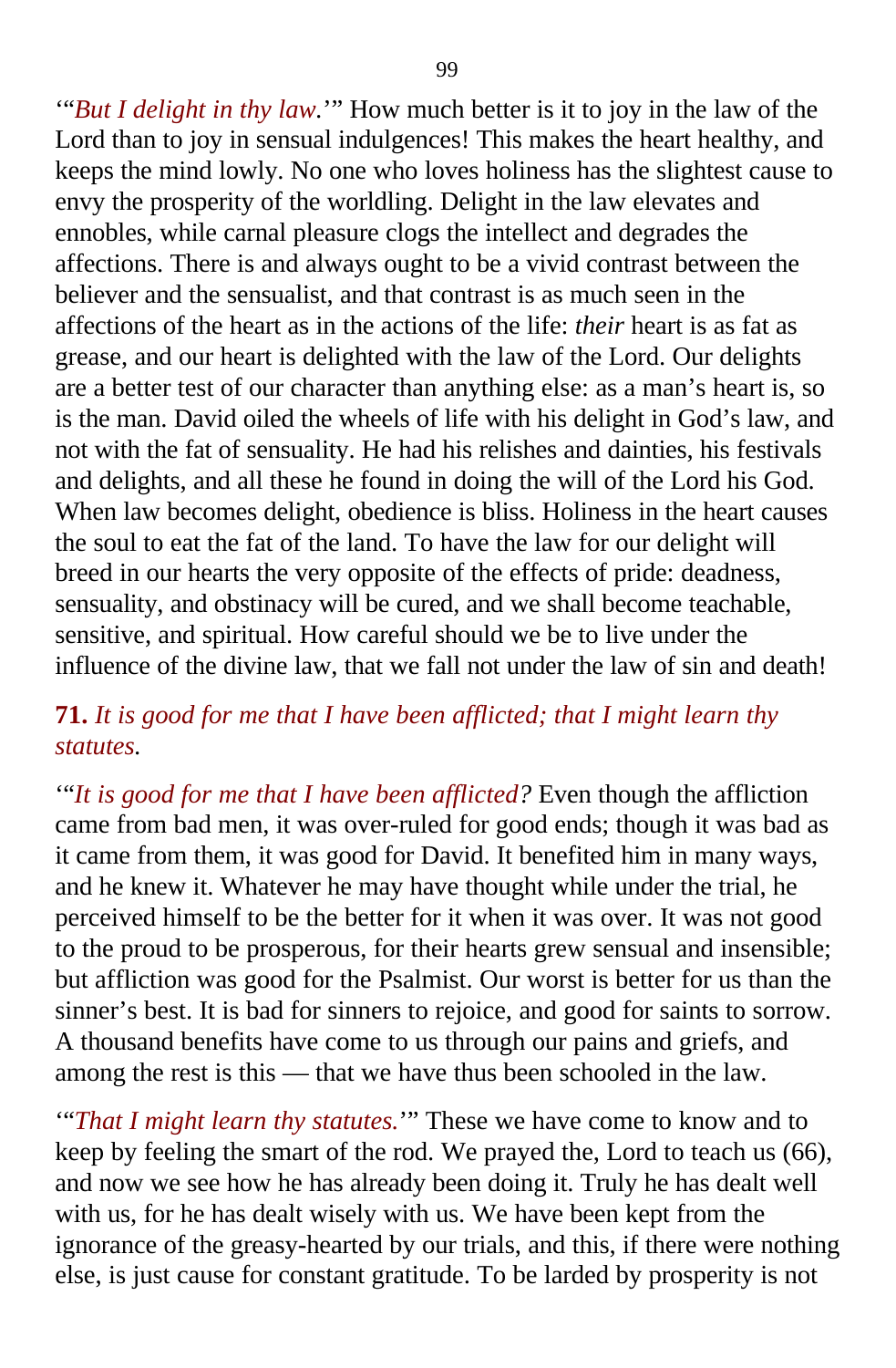'"*But I delight in thy law.*'" How much better is it to joy in the law of the Lord than to joy in sensual indulgences! This makes the heart healthy, and keeps the mind lowly. No one who loves holiness has the slightest cause to envy the prosperity of the worldling. Delight in the law elevates and ennobles, while carnal pleasure clogs the intellect and degrades the affections. There is and always ought to be a vivid contrast between the believer and the sensualist, and that contrast is as much seen in the affections of the heart as in the actions of the life: *their* heart is as fat as grease, and our heart is delighted with the law of the Lord. Our delights are a better test of our character than anything else: as a man's heart is, so is the man. David oiled the wheels of life with his delight in God's law, and not with the fat of sensuality. He had his relishes and dainties, his festivals and delights, and all these he found in doing the will of the Lord his God. When law becomes delight, obedience is bliss. Holiness in the heart causes the soul to eat the fat of the land. To have the law for our delight will breed in our hearts the very opposite of the effects of pride: deadness, sensuality, and obstinacy will be cured, and we shall become teachable, sensitive, and spiritual. How careful should we be to live under the influence of the divine law, that we fall not under the law of sin and death!

#### **71.** *It is good for me that I have been afflicted; that I might learn thy statutes.*

'"*It is good for me that I have been afflicted?* Even though the affliction came from bad men, it was over-ruled for good ends; though it was bad as it came from them, it was good for David. It benefited him in many ways, and he knew it. Whatever he may have thought while under the trial, he perceived himself to be the better for it when it was over. It was not good to the proud to be prosperous, for their hearts grew sensual and insensible; but affliction was good for the Psalmist. Our worst is better for us than the sinner's best. It is bad for sinners to rejoice, and good for saints to sorrow. A thousand benefits have come to us through our pains and griefs, and among the rest is this — that we have thus been schooled in the law.

'"*That I might learn thy statutes.*'" These we have come to know and to keep by feeling the smart of the rod. We prayed the, Lord to teach us (66), and now we see how he has already been doing it. Truly he has dealt well with us, for he has dealt wisely with us. We have been kept from the ignorance of the greasy-hearted by our trials, and this, if there were nothing else, is just cause for constant gratitude. To be larded by prosperity is not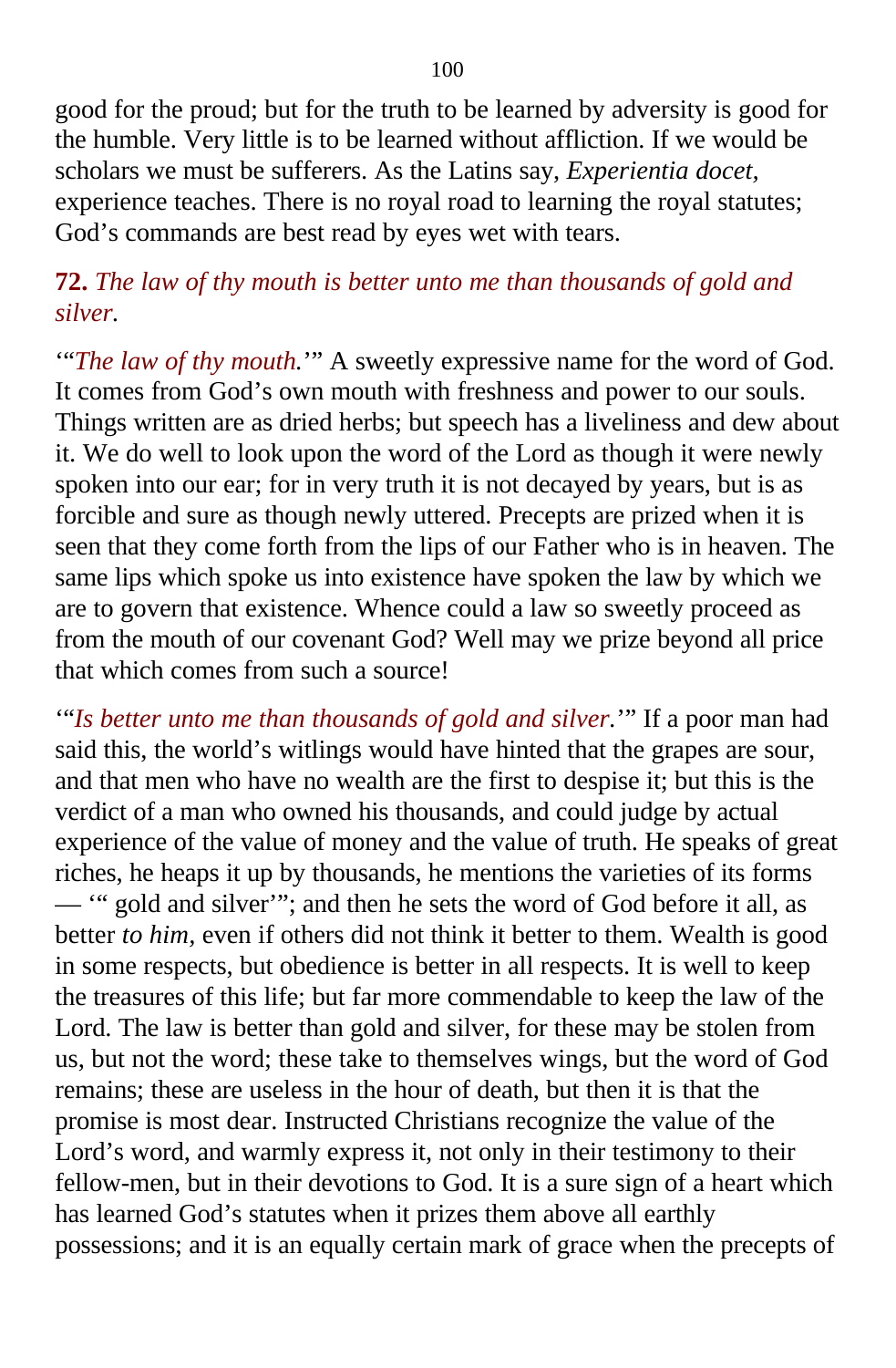good for the proud; but for the truth to be learned by adversity is good for the humble. Very little is to be learned without affliction. If we would be scholars we must be sufferers. As the Latins say, *Experientia docet,* experience teaches. There is no royal road to learning the royal statutes; God's commands are best read by eyes wet with tears.

# **72.** *The law of thy mouth is better unto me than thousands of gold and silver.*

'"*The law of thy mouth.*'" A sweetly expressive name for the word of God. It comes from God's own mouth with freshness and power to our souls. Things written are as dried herbs; but speech has a liveliness and dew about it. We do well to look upon the word of the Lord as though it were newly spoken into our ear; for in very truth it is not decayed by years, but is as forcible and sure as though newly uttered. Precepts are prized when it is seen that they come forth from the lips of our Father who is in heaven. The same lips which spoke us into existence have spoken the law by which we are to govern that existence. Whence could a law so sweetly proceed as from the mouth of our covenant God? Well may we prize beyond all price that which comes from such a source!

'"*Is better unto me than thousands of gold and silver.*'" If a poor man had said this, the world's witlings would have hinted that the grapes are sour, and that men who have no wealth are the first to despise it; but this is the verdict of a man who owned his thousands, and could judge by actual experience of the value of money and the value of truth. He speaks of great riches, he heaps it up by thousands, he mentions the varieties of its forms — '" gold and silver'"; and then he sets the word of God before it all, as better *to him,* even if others did not think it better to them. Wealth is good in some respects, but obedience is better in all respects. It is well to keep the treasures of this life; but far more commendable to keep the law of the Lord. The law is better than gold and silver, for these may be stolen from us, but not the word; these take to themselves wings, but the word of God remains; these are useless in the hour of death, but then it is that the promise is most dear. Instructed Christians recognize the value of the Lord's word, and warmly express it, not only in their testimony to their fellow-men, but in their devotions to God. It is a sure sign of a heart which has learned God's statutes when it prizes them above all earthly possessions; and it is an equally certain mark of grace when the precepts of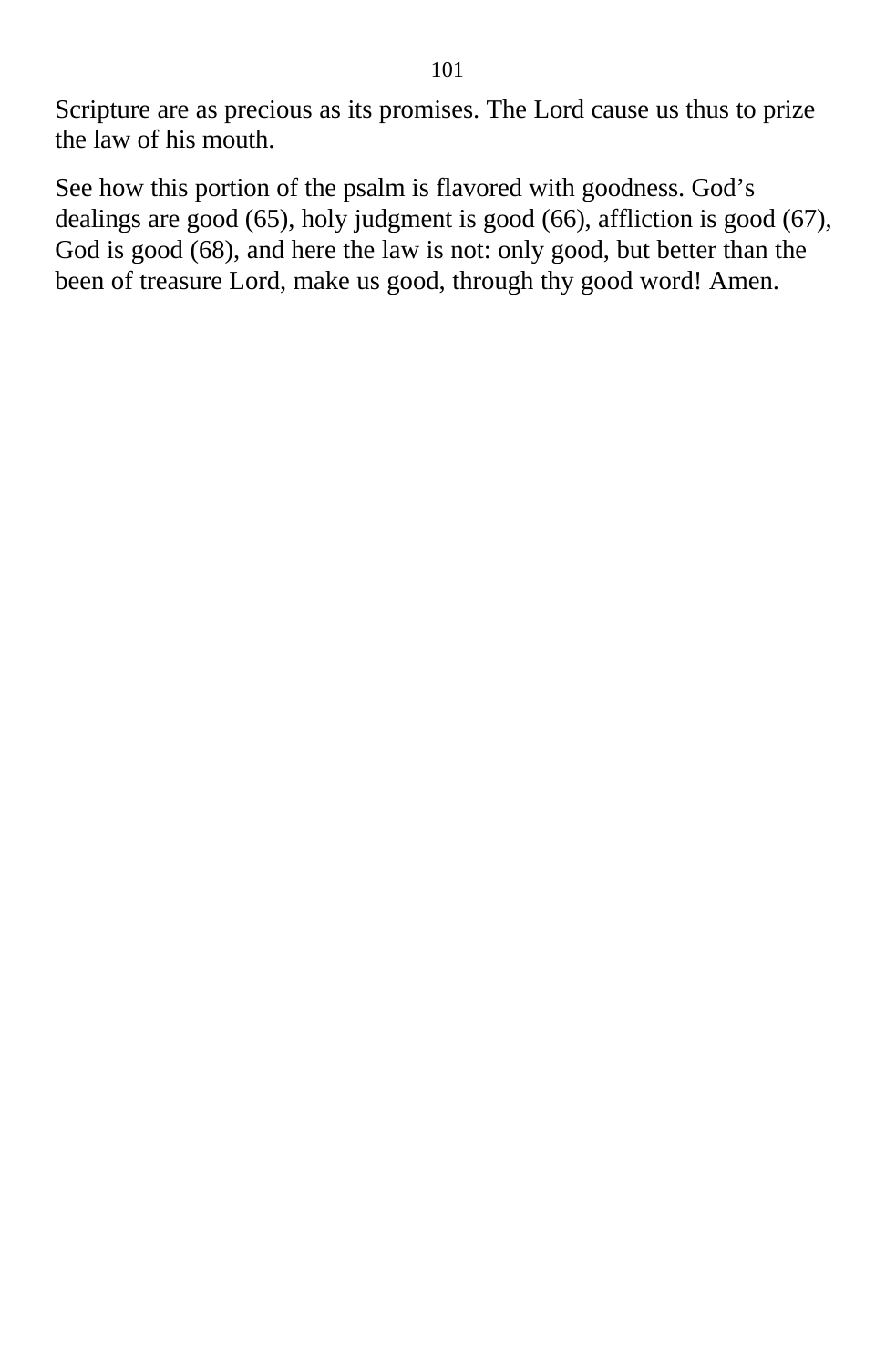Scripture are as precious as its promises. The Lord cause us thus to prize the law of his mouth.

See how this portion of the psalm is flavored with goodness. God's dealings are good (65), holy judgment is good (66), affliction is good (67), God is good (68), and here the law is not: only good, but better than the been of treasure Lord, make us good, through thy good word! Amen.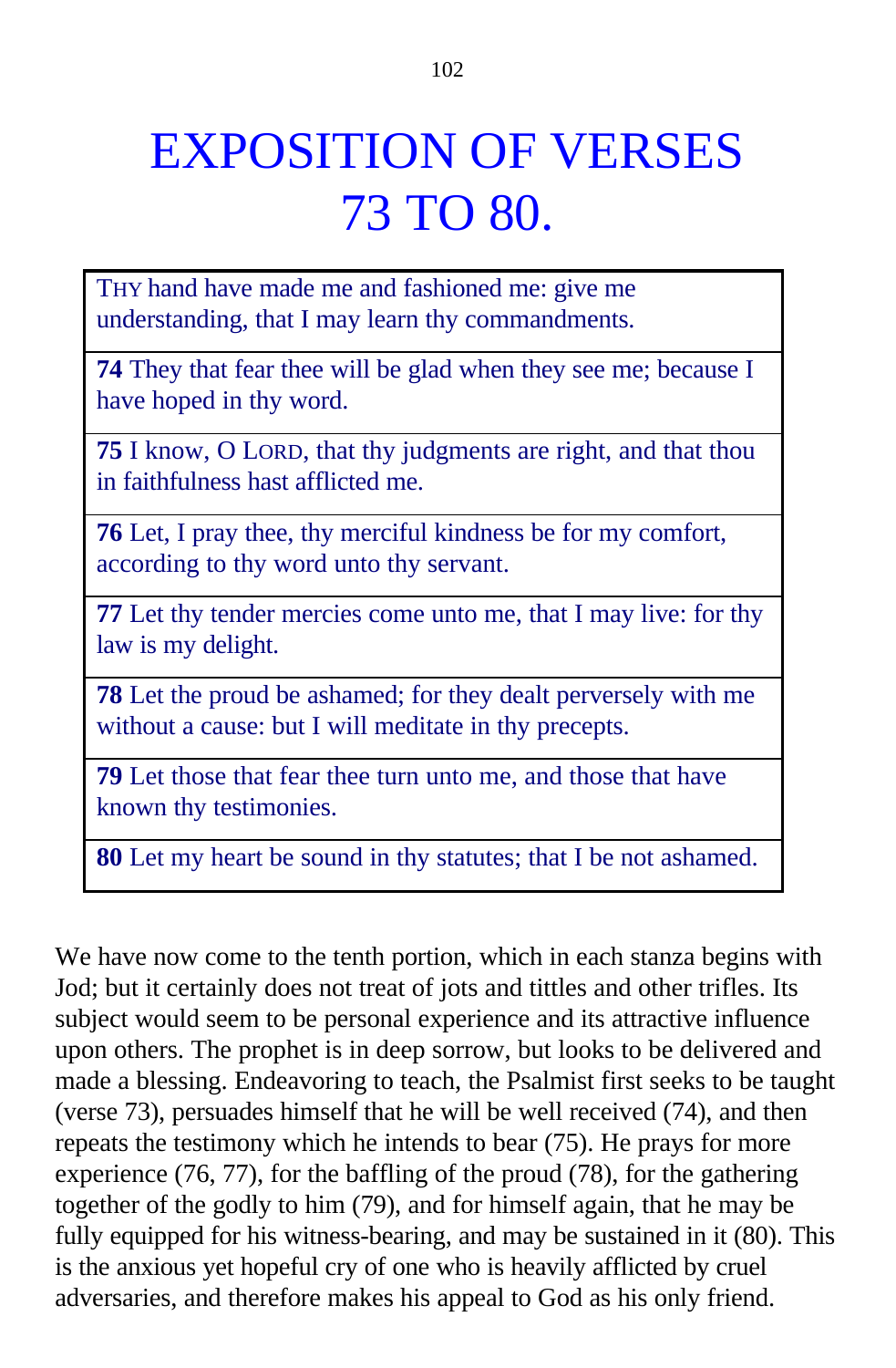# EXPOSITION OF VERSES 73 TO 80.

THY hand have made me and fashioned me: give me understanding, that I may learn thy commandments.

**74** They that fear thee will be glad when they see me; because I have hoped in thy word.

**75** I know, O LORD, that thy judgments are right, and that thou in faithfulness hast afflicted me.

**76** Let, I pray thee, thy merciful kindness be for my comfort, according to thy word unto thy servant.

**77** Let thy tender mercies come unto me, that I may live: for thy law is my delight.

**78** Let the proud be ashamed; for they dealt perversely with me without a cause: but I will meditate in thy precepts.

**79** Let those that fear thee turn unto me, and those that have known thy testimonies.

**80** Let my heart be sound in thy statutes; that I be not ashamed.

We have now come to the tenth portion, which in each stanza begins with Jod; but it certainly does not treat of jots and tittles and other trifles. Its subject would seem to be personal experience and its attractive influence upon others. The prophet is in deep sorrow, but looks to be delivered and made a blessing. Endeavoring to teach, the Psalmist first seeks to be taught (verse 73), persuades himself that he will be well received (74), and then repeats the testimony which he intends to bear (75). He prays for more experience (76, 77), for the baffling of the proud (78), for the gathering together of the godly to him (79), and for himself again, that he may be fully equipped for his witness-bearing, and may be sustained in it (80). This is the anxious yet hopeful cry of one who is heavily afflicted by cruel adversaries, and therefore makes his appeal to God as his only friend.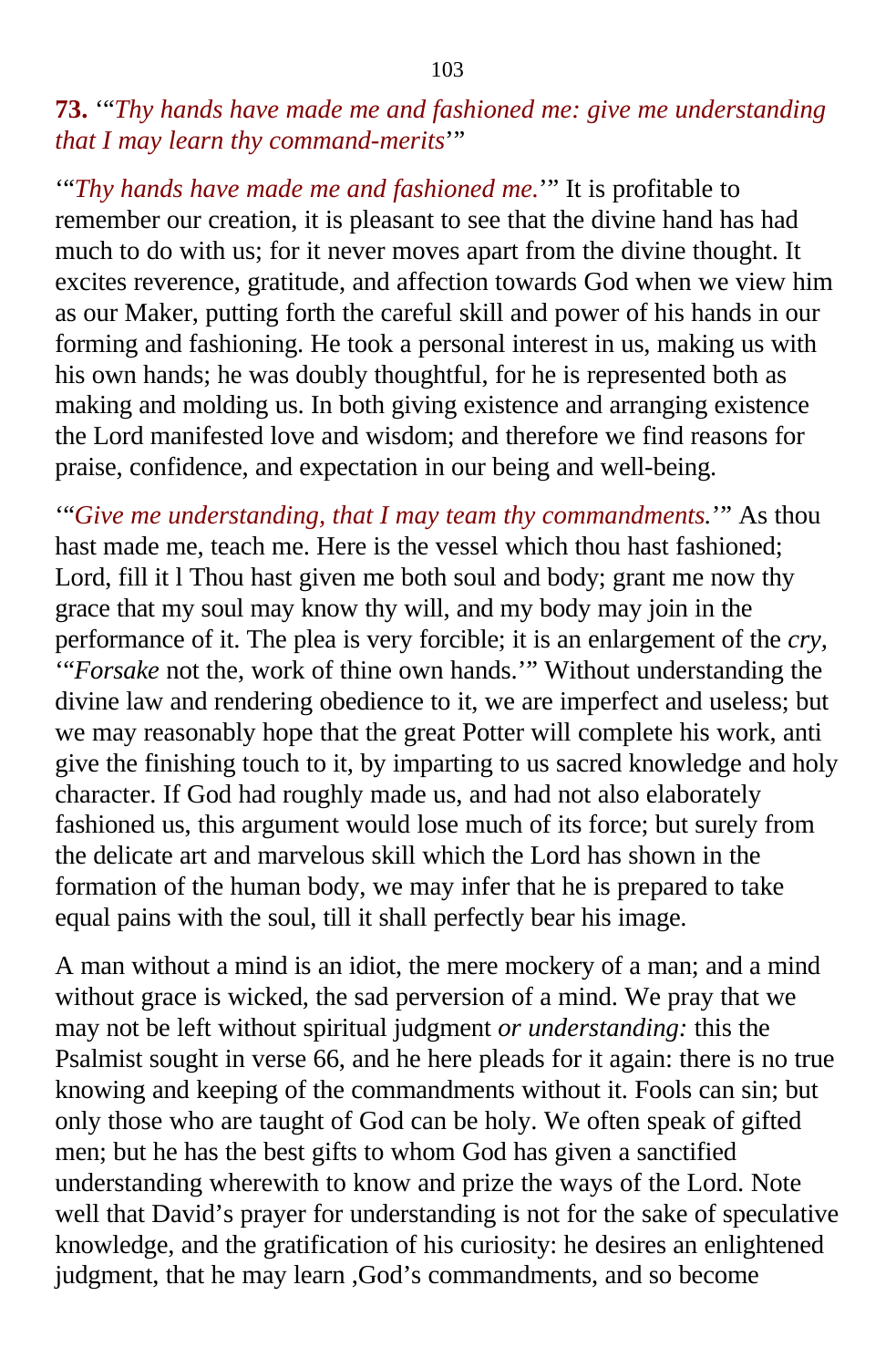**73.** '"*Thy hands have made me and fashioned me: give me understanding that I may learn thy command-merits*'"

'"*Thy hands have made me and fashioned me.*'" It is profitable to remember our creation, it is pleasant to see that the divine hand has had much to do with us; for it never moves apart from the divine thought. It excites reverence, gratitude, and affection towards God when we view him as our Maker, putting forth the careful skill and power of his hands in our forming and fashioning. He took a personal interest in us, making us with his own hands; he was doubly thoughtful, for he is represented both as making and molding us. In both giving existence and arranging existence the Lord manifested love and wisdom; and therefore we find reasons for praise, confidence, and expectation in our being and well-being.

'"*Give me understanding, that I may team thy commandments.*'" As thou hast made me, teach me. Here is the vessel which thou hast fashioned; Lord, fill it l Thou hast given me both soul and body; grant me now thy grace that my soul may know thy will, and my body may join in the performance of it. The plea is very forcible; it is an enlargement of the *cry,* '"*Forsake* not the, work of thine own hands.'" Without understanding the divine law and rendering obedience to it, we are imperfect and useless; but we may reasonably hope that the great Potter will complete his work, anti give the finishing touch to it, by imparting to us sacred knowledge and holy character. If God had roughly made us, and had not also elaborately fashioned us, this argument would lose much of its force; but surely from the delicate art and marvelous skill which the Lord has shown in the formation of the human body, we may infer that he is prepared to take equal pains with the soul, till it shall perfectly bear his image.

A man without a mind is an idiot, the mere mockery of a man; and a mind without grace is wicked, the sad perversion of a mind. We pray that we may not be left without spiritual judgment *or understanding:* this the Psalmist sought in verse 66, and he here pleads for it again: there is no true knowing and keeping of the commandments without it. Fools can sin; but only those who are taught of God can be holy. We often speak of gifted men; but he has the best gifts to whom God has given a sanctified understanding wherewith to know and prize the ways of the Lord. Note well that David's prayer for understanding is not for the sake of speculative knowledge, and the gratification of his curiosity: he desires an enlightened judgment, that he may learn ,God's commandments, and so become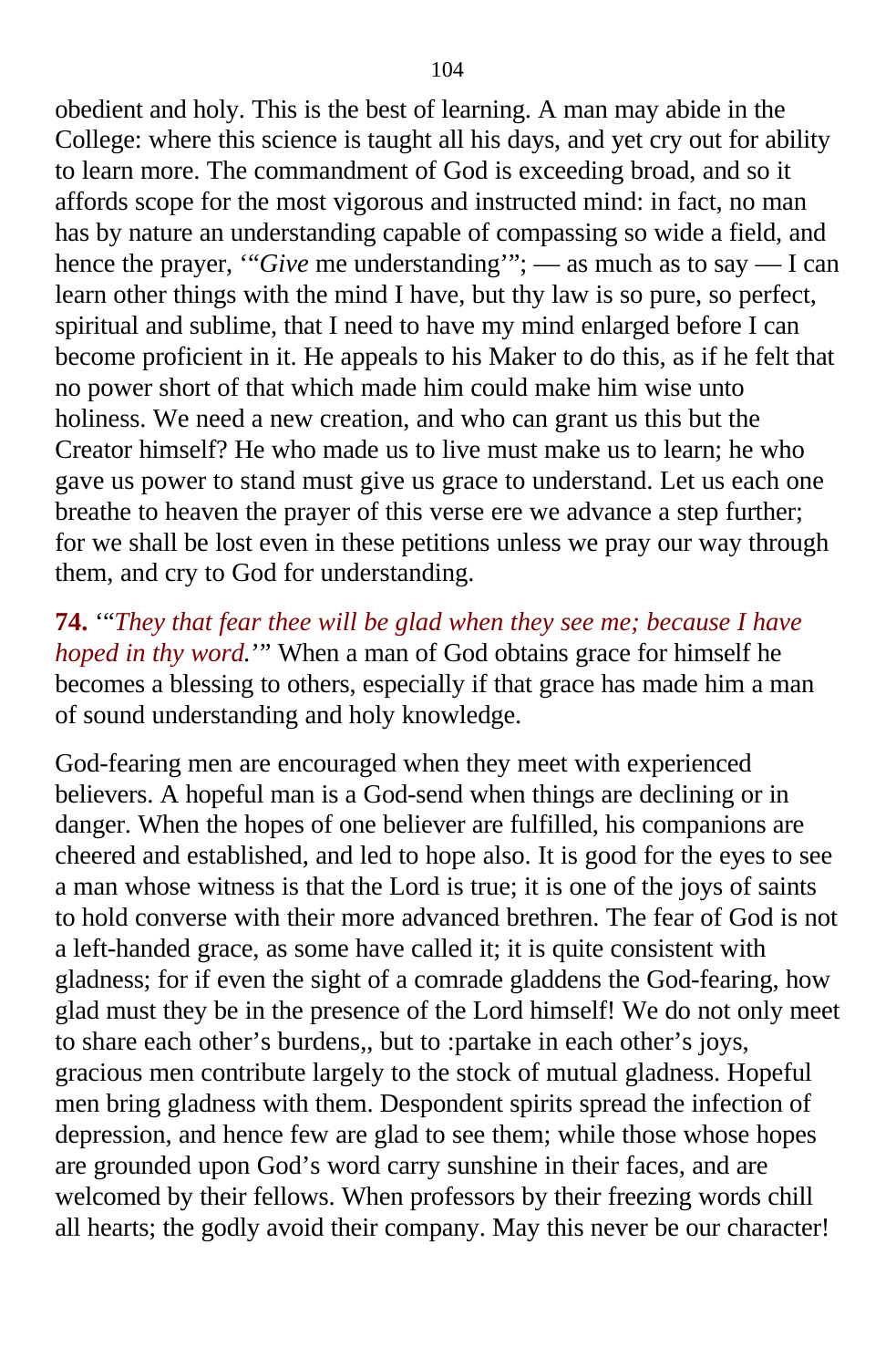obedient and holy. This is the best of learning. A man may abide in the College: where this science is taught all his days, and yet cry out for ability to learn more. The commandment of God is exceeding broad, and so it affords scope for the most vigorous and instructed mind: in fact, no man has by nature an understanding capable of compassing so wide a field, and hence the prayer, "*Give* me understanding"; — as much as to say — I can learn other things with the mind I have, but thy law is so pure, so perfect, spiritual and sublime, that I need to have my mind enlarged before I can become proficient in it. He appeals to his Maker to do this, as if he felt that no power short of that which made him could make him wise unto holiness. We need a new creation, and who can grant us this but the Creator himself? He who made us to live must make us to learn; he who gave us power to stand must give us grace to understand. Let us each one breathe to heaven the prayer of this verse ere we advance a step further; for we shall be lost even in these petitions unless we pray our way through them, and cry to God for understanding.

**74.** '"*They that fear thee will be glad when they see me; because I have hoped in thy word.*'" When a man of God obtains grace for himself he becomes a blessing to others, especially if that grace has made him a man of sound understanding and holy knowledge.

God-fearing men are encouraged when they meet with experienced believers. A hopeful man is a God-send when things are declining or in danger. When the hopes of one believer are fulfilled, his companions are cheered and established, and led to hope also. It is good for the eyes to see a man whose witness is that the Lord is true; it is one of the joys of saints to hold converse with their more advanced brethren. The fear of God is not a left-handed grace, as some have called it; it is quite consistent with gladness; for if even the sight of a comrade gladdens the God-fearing, how glad must they be in the presence of the Lord himself! We do not only meet to share each other's burdens,, but to :partake in each other's joys, gracious men contribute largely to the stock of mutual gladness. Hopeful men bring gladness with them. Despondent spirits spread the infection of depression, and hence few are glad to see them; while those whose hopes are grounded upon God's word carry sunshine in their faces, and are welcomed by their fellows. When professors by their freezing words chill all hearts; the godly avoid their company. May this never be our character!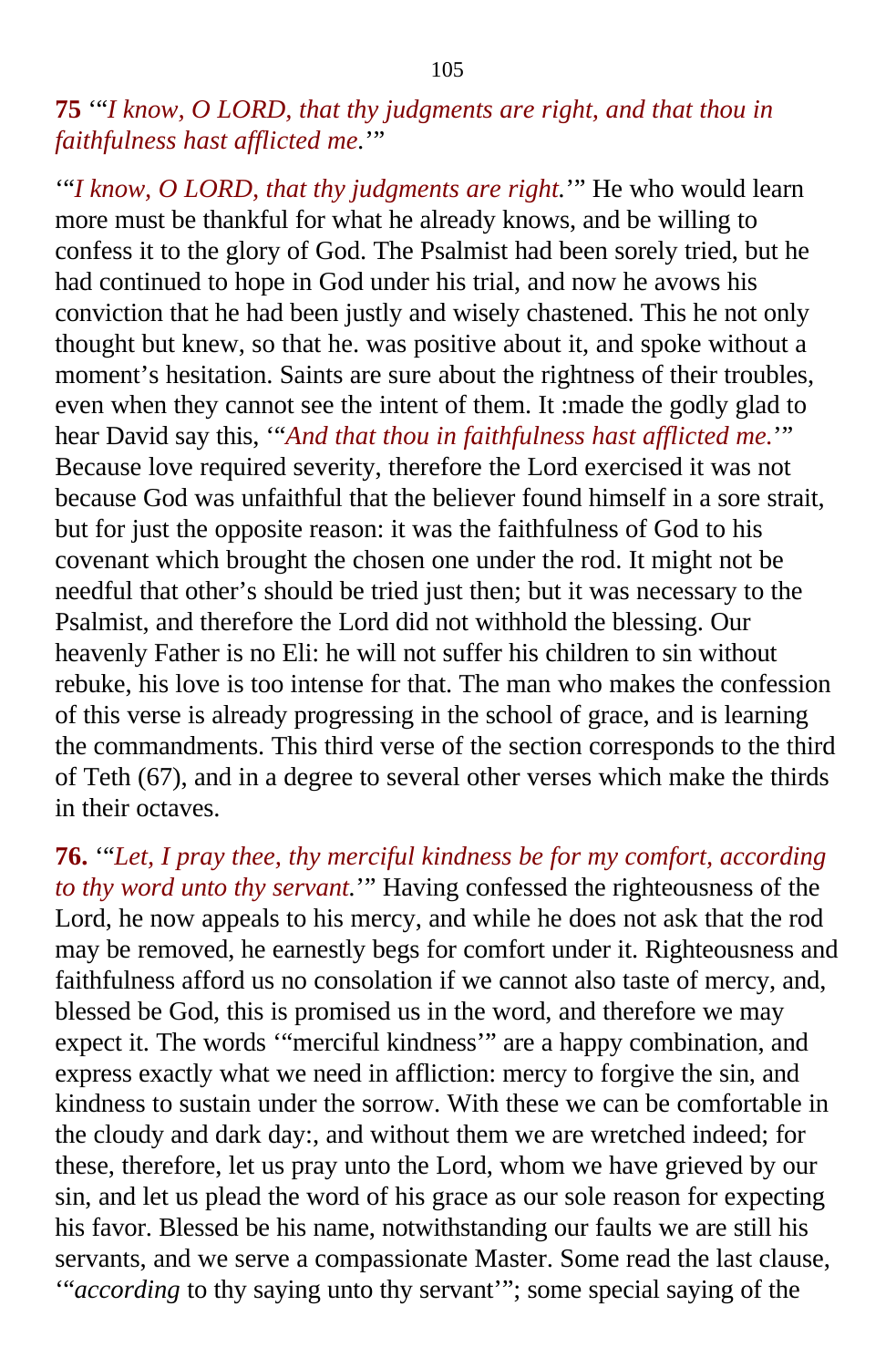**75** '"*I know, O LORD, that thy judgments are right, and that thou in faithfulness hast afflicted me.*'"

'"*I know, O LORD, that thy judgments are right.*'" He who would learn more must be thankful for what he already knows, and be willing to confess it to the glory of God. The Psalmist had been sorely tried, but he had continued to hope in God under his trial, and now he avows his conviction that he had been justly and wisely chastened. This he not only thought but knew, so that he. was positive about it, and spoke without a moment's hesitation. Saints are sure about the rightness of their troubles, even when they cannot see the intent of them. It :made the godly glad to hear David say this, '"*And that thou in faithfulness hast afflicted me.*'" Because love required severity, therefore the Lord exercised it was not because God was unfaithful that the believer found himself in a sore strait, but for just the opposite reason: it was the faithfulness of God to his covenant which brought the chosen one under the rod. It might not be needful that other's should be tried just then; but it was necessary to the Psalmist, and therefore the Lord did not withhold the blessing. Our heavenly Father is no Eli: he will not suffer his children to sin without rebuke, his love is too intense for that. The man who makes the confession of this verse is already progressing in the school of grace, and is learning the commandments. This third verse of the section corresponds to the third of Teth (67), and in a degree to several other verses which make the thirds in their octaves.

**76.** '"*Let, I pray thee, thy merciful kindness be for my comfort, according to thy word unto thy servant.*'" Having confessed the righteousness of the Lord, he now appeals to his mercy, and while he does not ask that the rod may be removed, he earnestly begs for comfort under it. Righteousness and faithfulness afford us no consolation if we cannot also taste of mercy, and, blessed be God, this is promised us in the word, and therefore we may expect it. The words '"merciful kindness'" are a happy combination, and express exactly what we need in affliction: mercy to forgive the sin, and kindness to sustain under the sorrow. With these we can be comfortable in the cloudy and dark day:, and without them we are wretched indeed; for these, therefore, let us pray unto the Lord, whom we have grieved by our sin, and let us plead the word of his grace as our sole reason for expecting his favor. Blessed be his name, notwithstanding our faults we are still his servants, and we serve a compassionate Master. Some read the last clause, '"*according* to thy saying unto thy servant'"; some special saying of the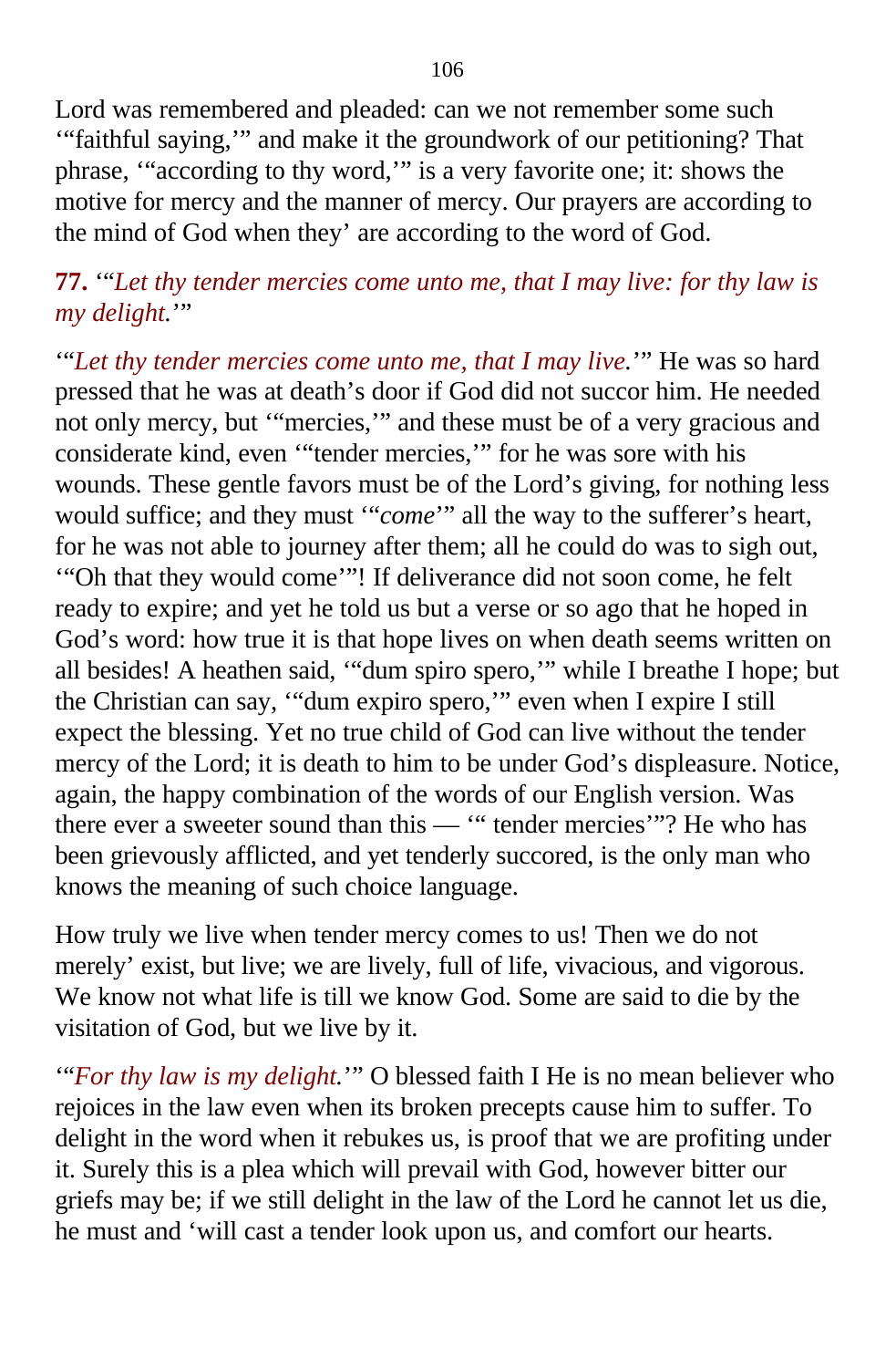Lord was remembered and pleaded: can we not remember some such '"faithful saying,'" and make it the groundwork of our petitioning? That phrase, '"according to thy word,'" is a very favorite one; it: shows the motive for mercy and the manner of mercy. Our prayers are according to the mind of God when they' are according to the word of God.

#### **77.** '"*Let thy tender mercies come unto me, that I may live: for thy law is my delight.*'"

'"*Let thy tender mercies come unto me, that I may live.*'" He was so hard pressed that he was at death's door if God did not succor him. He needed not only mercy, but '"mercies,'" and these must be of a very gracious and considerate kind, even '"tender mercies,'" for he was sore with his wounds. These gentle favors must be of the Lord's giving, for nothing less would suffice; and they must '"*come*'" all the way to the sufferer's heart, for he was not able to journey after them; all he could do was to sigh out, '"Oh that they would come'"! If deliverance did not soon come, he felt ready to expire; and yet he told us but a verse or so ago that he hoped in God's word: how true it is that hope lives on when death seems written on all besides! A heathen said, '"dum spiro spero,'" while I breathe I hope; but the Christian can say, '"dum expiro spero,'" even when I expire I still expect the blessing. Yet no true child of God can live without the tender mercy of the Lord; it is death to him to be under God's displeasure. Notice, again, the happy combination of the words of our English version. Was there ever a sweeter sound than this — '" tender mercies'"? He who has been grievously afflicted, and yet tenderly succored, is the only man who knows the meaning of such choice language.

How truly we live when tender mercy comes to us! Then we do not merely' exist, but live; we are lively, full of life, vivacious, and vigorous. We know not what life is till we know God. Some are said to die by the visitation of God, but we live by it.

'"*For thy law is my delight.*'" O blessed faith I He is no mean believer who rejoices in the law even when its broken precepts cause him to suffer. To delight in the word when it rebukes us, is proof that we are profiting under it. Surely this is a plea which will prevail with God, however bitter our griefs may be; if we still delight in the law of the Lord he cannot let us die, he must and 'will cast a tender look upon us, and comfort our hearts.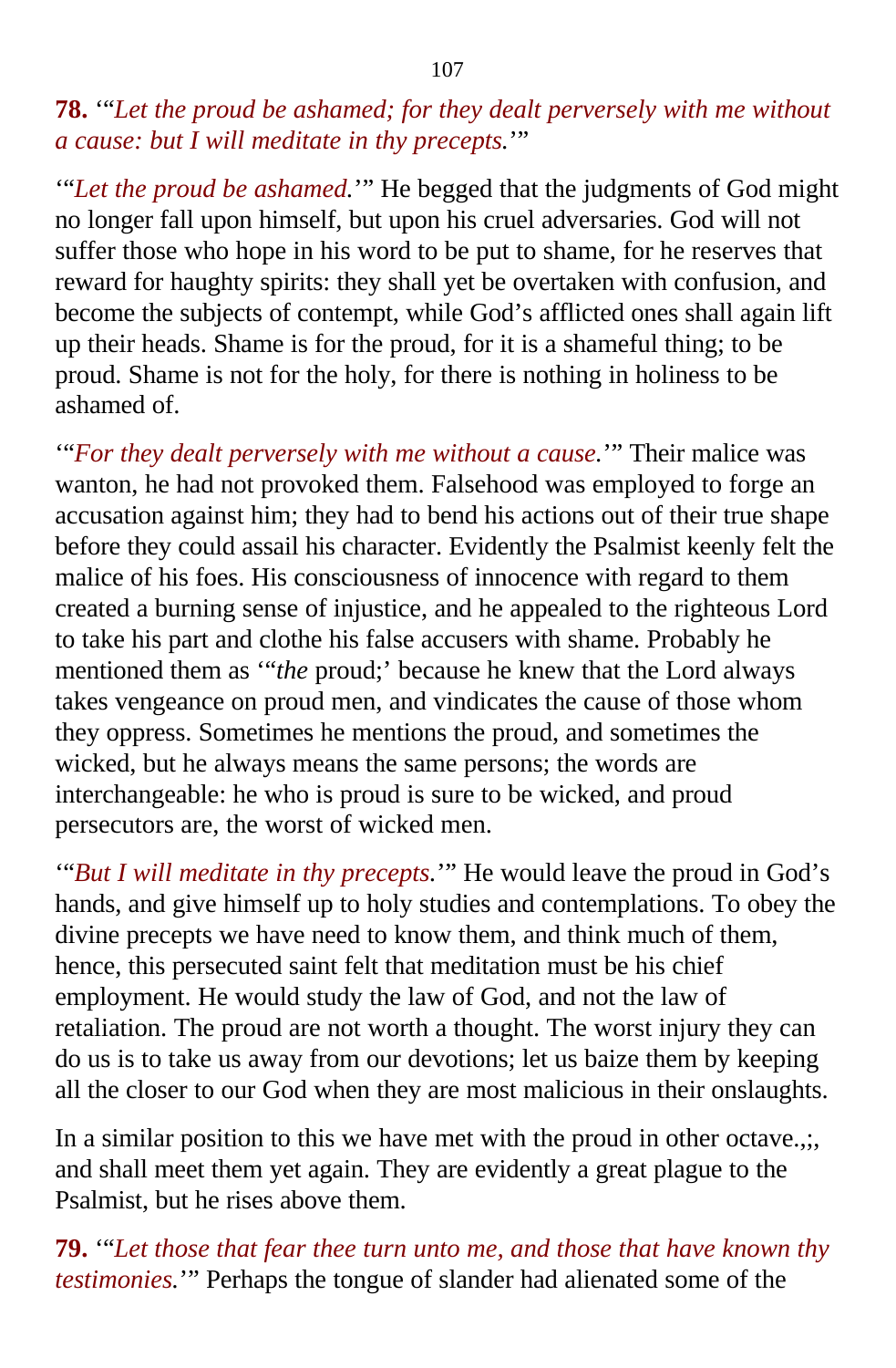#### **78.** '"*Let the proud be ashamed; for they dealt perversely with me without a cause: but I will meditate in thy precepts.*'"

'"*Let the proud be ashamed.*'" He begged that the judgments of God might no longer fall upon himself, but upon his cruel adversaries. God will not suffer those who hope in his word to be put to shame, for he reserves that reward for haughty spirits: they shall yet be overtaken with confusion, and become the subjects of contempt, while God's afflicted ones shall again lift up their heads. Shame is for the proud, for it is a shameful thing; to be proud. Shame is not for the holy, for there is nothing in holiness to be ashamed of.

'"*For they dealt perversely with me without a cause.*'" Their malice was wanton, he had not provoked them. Falsehood was employed to forge an accusation against him; they had to bend his actions out of their true shape before they could assail his character. Evidently the Psalmist keenly felt the malice of his foes. His consciousness of innocence with regard to them created a burning sense of injustice, and he appealed to the righteous Lord to take his part and clothe his false accusers with shame. Probably he mentioned them as '"*the* proud;' because he knew that the Lord always takes vengeance on proud men, and vindicates the cause of those whom they oppress. Sometimes he mentions the proud, and sometimes the wicked, but he always means the same persons; the words are interchangeable: he who is proud is sure to be wicked, and proud persecutors are, the worst of wicked men.

'"*But I will meditate in thy precepts.*'" He would leave the proud in God's hands, and give himself up to holy studies and contemplations. To obey the divine precepts we have need to know them, and think much of them, hence, this persecuted saint felt that meditation must be his chief employment. He would study the law of God, and not the law of retaliation. The proud are not worth a thought. The worst injury they can do us is to take us away from our devotions; let us baize them by keeping all the closer to our God when they are most malicious in their onslaughts.

In a similar position to this we have met with the proud in other octave... and shall meet them yet again. They are evidently a great plague to the Psalmist, but he rises above them.

**79.** '"*Let those that fear thee turn unto me, and those that have known thy testimonies.*'" Perhaps the tongue of slander had alienated some of the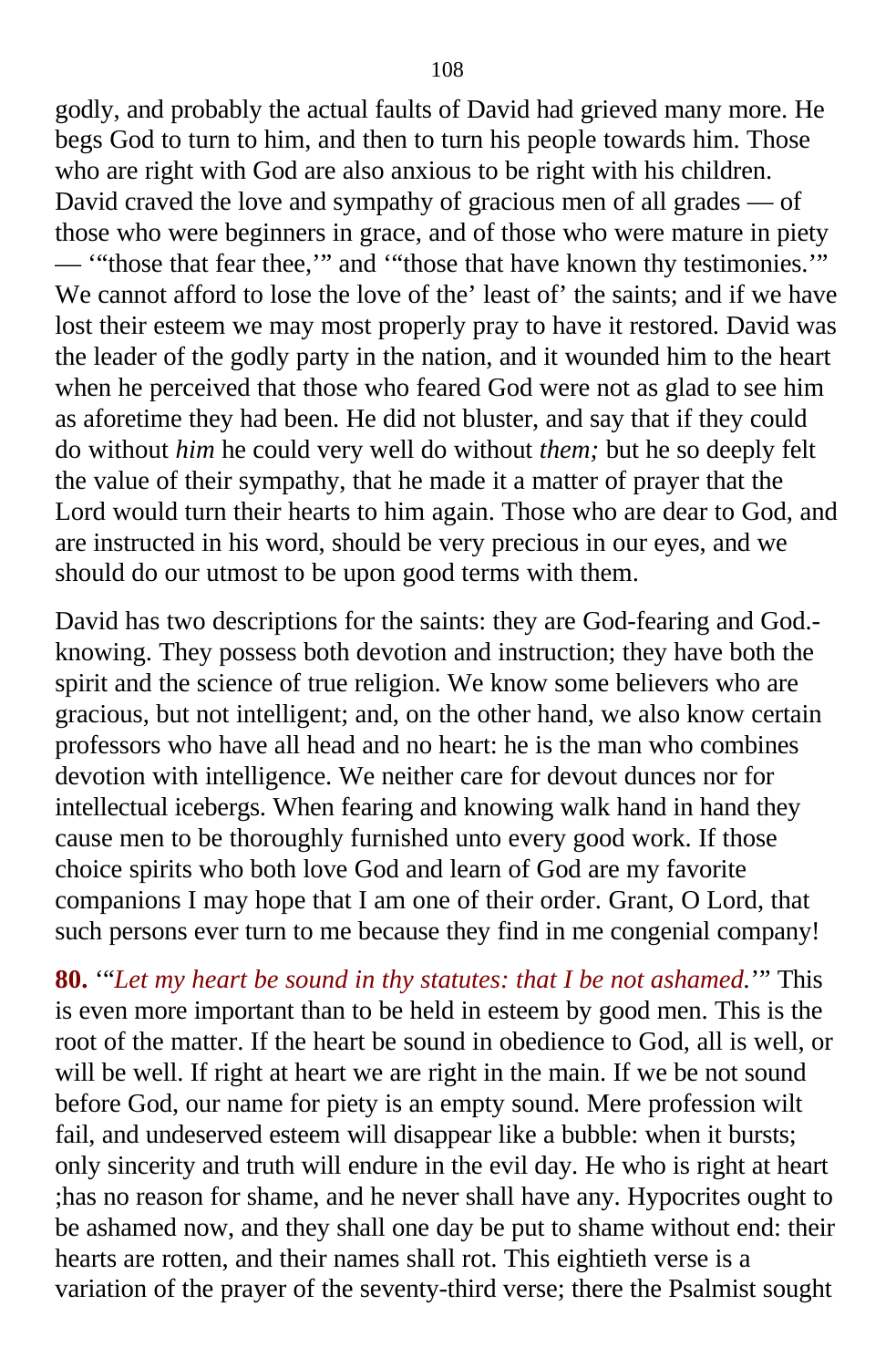godly, and probably the actual faults of David had grieved many more. He begs God to turn to him, and then to turn his people towards him. Those who are right with God are also anxious to be right with his children. David craved the love and sympathy of gracious men of all grades — of those who were beginners in grace, and of those who were mature in piety — '"those that fear thee,'" and '"those that have known thy testimonies.'" We cannot afford to lose the love of the' least of' the saints; and if we have lost their esteem we may most properly pray to have it restored. David was the leader of the godly party in the nation, and it wounded him to the heart when he perceived that those who feared God were not as glad to see him as aforetime they had been. He did not bluster, and say that if they could do without *him* he could very well do without *them;* but he so deeply felt the value of their sympathy, that he made it a matter of prayer that the Lord would turn their hearts to him again. Those who are dear to God, and are instructed in his word, should be very precious in our eyes, and we should do our utmost to be upon good terms with them.

David has two descriptions for the saints: they are God-fearing and God. knowing. They possess both devotion and instruction; they have both the spirit and the science of true religion. We know some believers who are gracious, but not intelligent; and, on the other hand, we also know certain professors who have all head and no heart: he is the man who combines devotion with intelligence. We neither care for devout dunces nor for intellectual icebergs. When fearing and knowing walk hand in hand they cause men to be thoroughly furnished unto every good work. If those choice spirits who both love God and learn of God are my favorite companions I may hope that I am one of their order. Grant, O Lord, that such persons ever turn to me because they find in me congenial company!

**80.** '"*Let my heart be sound in thy statutes: that I be not ashamed.*'" This is even more important than to be held in esteem by good men. This is the root of the matter. If the heart be sound in obedience to God, all is well, or will be well. If right at heart we are right in the main. If we be not sound before God, our name for piety is an empty sound. Mere profession wilt fail, and undeserved esteem will disappear like a bubble: when it bursts; only sincerity and truth will endure in the evil day. He who is right at heart ;has no reason for shame, and he never shall have any. Hypocrites ought to be ashamed now, and they shall one day be put to shame without end: their hearts are rotten, and their names shall rot. This eightieth verse is a variation of the prayer of the seventy-third verse; there the Psalmist sought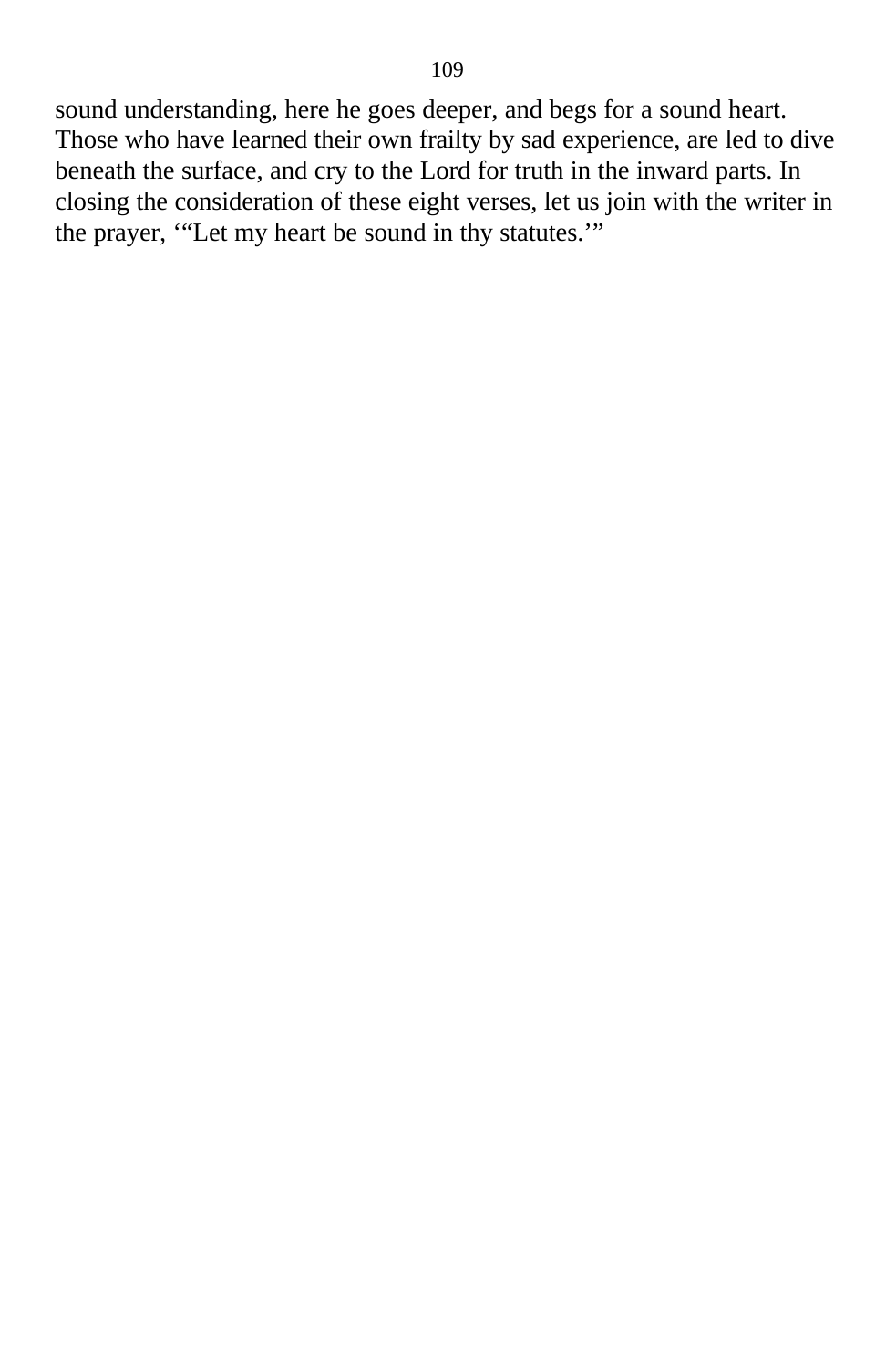sound understanding, here he goes deeper, and begs for a sound heart. Those who have learned their own frailty by sad experience, are led to dive beneath the surface, and cry to the Lord for truth in the inward parts. In closing the consideration of these eight verses, let us join with the writer in the prayer, '"Let my heart be sound in thy statutes.'"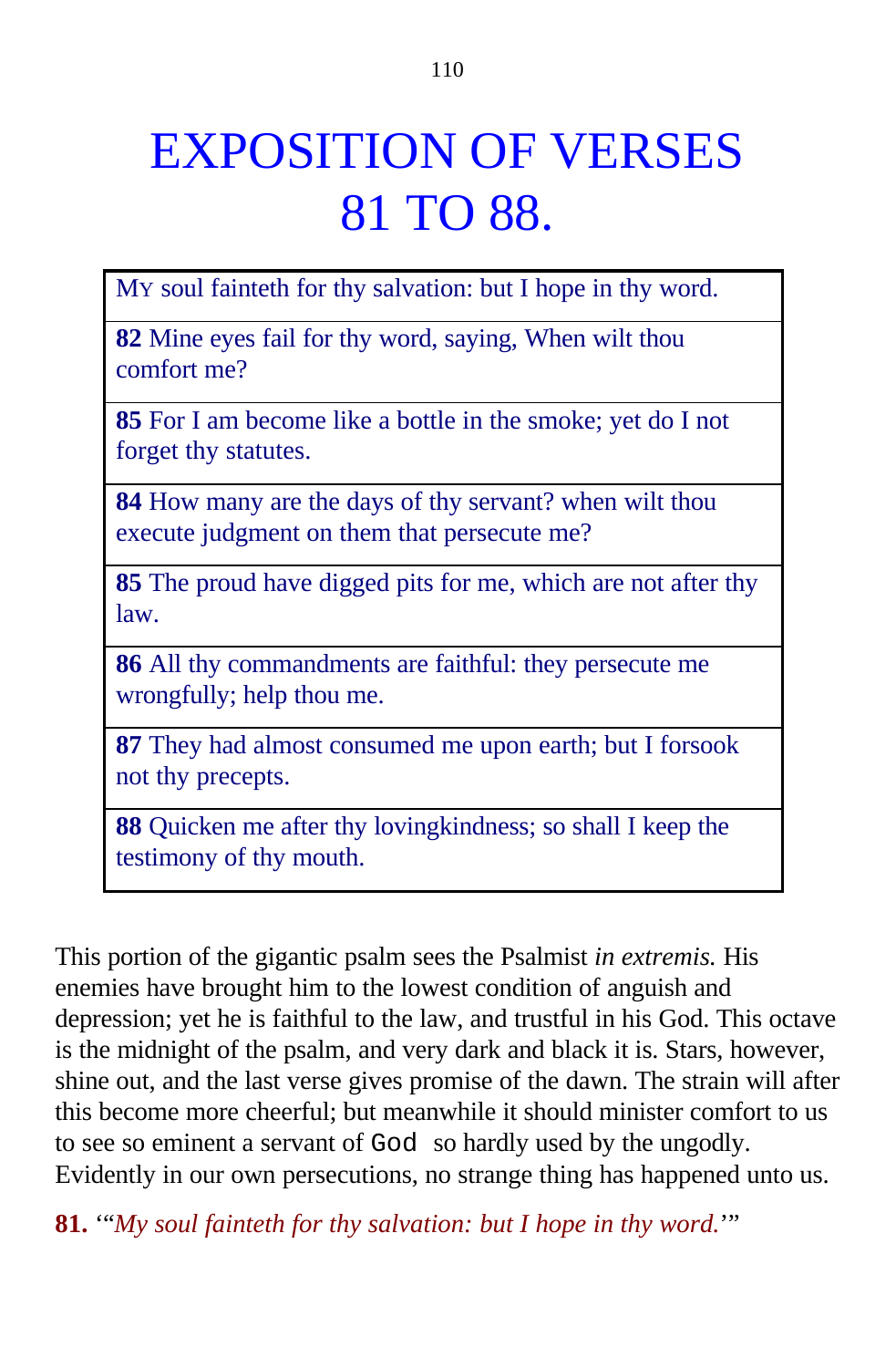## EXPOSITION OF VERSES 81 TO 88.

MY soul fainteth for thy salvation: but I hope in thy word.

**82** Mine eyes fail for thy word, saying, When wilt thou comfort me?

**85** For I am become like a bottle in the smoke; yet do I not forget thy statutes.

**84** How many are the days of thy servant? when wilt thou execute judgment on them that persecute me?

**85** The proud have digged pits for me, which are not after thy law.

**86** All thy commandments are faithful: they persecute me wrongfully; help thou me.

**87** They had almost consumed me upon earth; but I forsook not thy precepts.

**88** Quicken me after thy lovingkindness; so shall I keep the testimony of thy mouth.

This portion of the gigantic psalm sees the Psalmist *in extremis.* His enemies have brought him to the lowest condition of anguish and depression; yet he is faithful to the law, and trustful in his God. This octave is the midnight of the psalm, and very dark and black it is. Stars, however, shine out, and the last verse gives promise of the dawn. The strain will after this become more cheerful; but meanwhile it should minister comfort to us to see so eminent a servant of God so hardly used by the ungodly. Evidently in our own persecutions, no strange thing has happened unto us.

**81.** '"*My soul fainteth for thy salvation: but I hope in thy word.*'"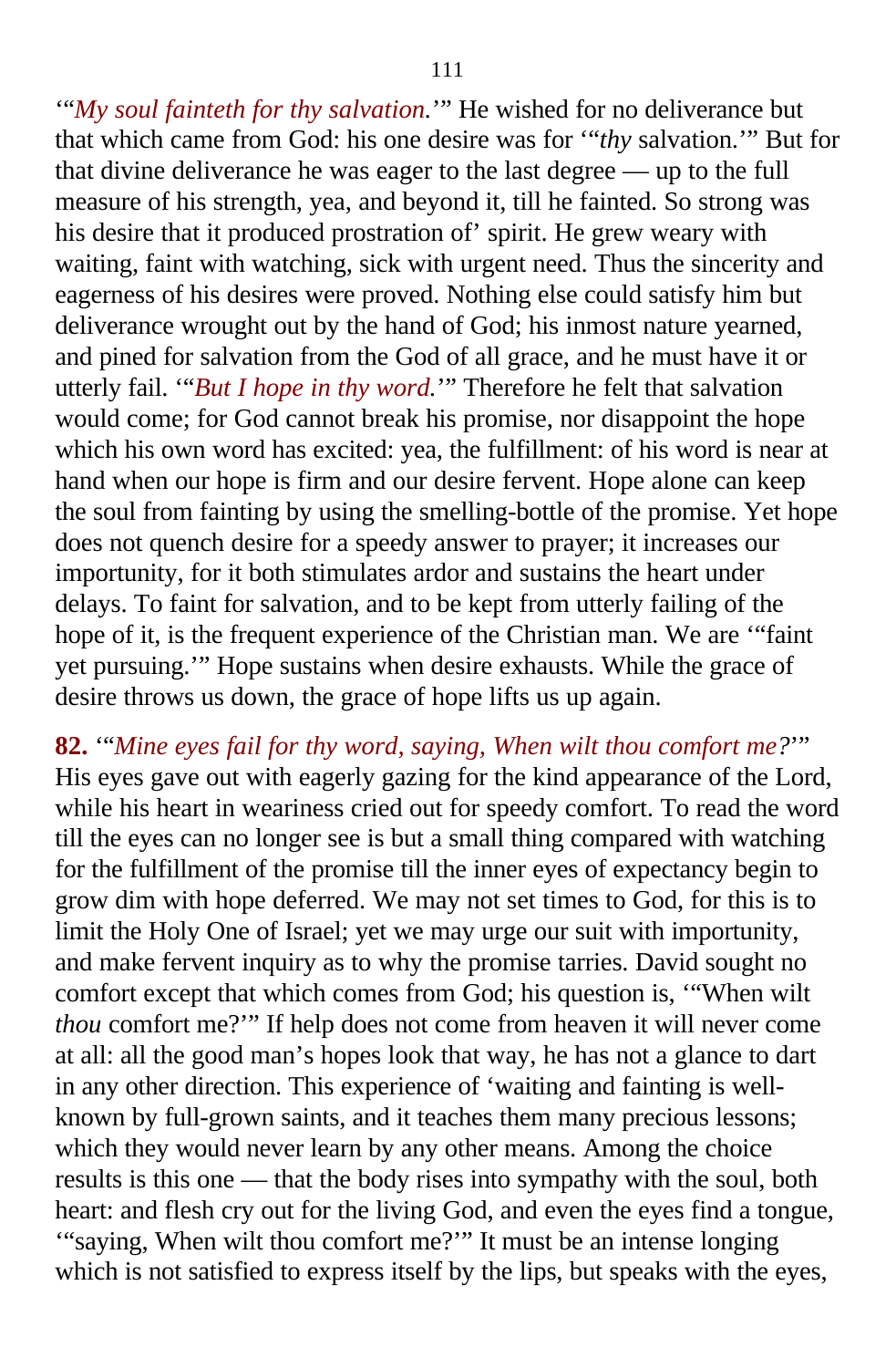'"*My soul fainteth for thy salvation.*'" He wished for no deliverance but that which came from God: his one desire was for '"*thy* salvation.'" But for that divine deliverance he was eager to the last degree — up to the full measure of his strength, yea, and beyond it, till he fainted. So strong was his desire that it produced prostration of' spirit. He grew weary with waiting, faint with watching, sick with urgent need. Thus the sincerity and eagerness of his desires were proved. Nothing else could satisfy him but deliverance wrought out by the hand of God; his inmost nature yearned, and pined for salvation from the God of all grace, and he must have it or utterly fail. '"*But I hope in thy word.*'" Therefore he felt that salvation would come; for God cannot break his promise, nor disappoint the hope which his own word has excited: yea, the fulfillment: of his word is near at hand when our hope is firm and our desire fervent. Hope alone can keep the soul from fainting by using the smelling-bottle of the promise. Yet hope does not quench desire for a speedy answer to prayer; it increases our importunity, for it both stimulates ardor and sustains the heart under delays. To faint for salvation, and to be kept from utterly failing of the hope of it, is the frequent experience of the Christian man. We are '"faint yet pursuing.'" Hope sustains when desire exhausts. While the grace of desire throws us down, the grace of hope lifts us up again.

**82.** '"*Mine eyes fail for thy word, saying, When wilt thou comfort me?*'" His eyes gave out with eagerly gazing for the kind appearance of the Lord, while his heart in weariness cried out for speedy comfort. To read the word till the eyes can no longer see is but a small thing compared with watching for the fulfillment of the promise till the inner eyes of expectancy begin to grow dim with hope deferred. We may not set times to God, for this is to limit the Holy One of Israel; yet we may urge our suit with importunity, and make fervent inquiry as to why the promise tarries. David sought no comfort except that which comes from God; his question is, '"When wilt *thou* comfort me?'" If help does not come from heaven it will never come at all: all the good man's hopes look that way, he has not a glance to dart in any other direction. This experience of 'waiting and fainting is wellknown by full-grown saints, and it teaches them many precious lessons; which they would never learn by any other means. Among the choice results is this one — that the body rises into sympathy with the soul, both heart: and flesh cry out for the living God, and even the eyes find a tongue, '"saying, When wilt thou comfort me?'" It must be an intense longing which is not satisfied to express itself by the lips, but speaks with the eyes,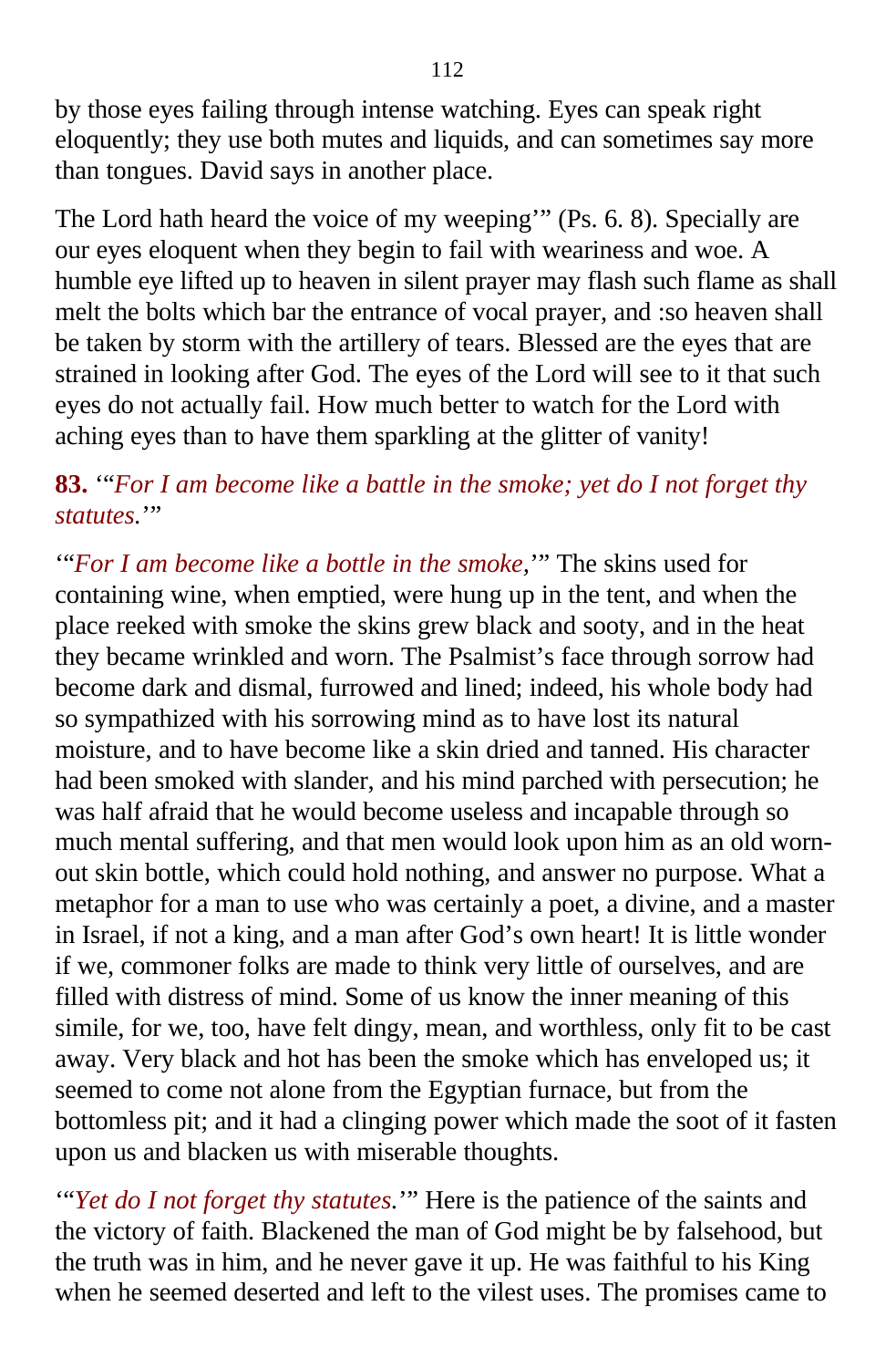by those eyes failing through intense watching. Eyes can speak right eloquently; they use both mutes and liquids, and can sometimes say more than tongues. David says in another place.

The Lord hath heard the voice of my weeping'" (Ps. 6. 8). Specially are our eyes eloquent when they begin to fail with weariness and woe. A humble eye lifted up to heaven in silent prayer may flash such flame as shall melt the bolts which bar the entrance of vocal prayer, and :so heaven shall be taken by storm with the artillery of tears. Blessed are the eyes that are strained in looking after God. The eyes of the Lord will see to it that such eyes do not actually fail. How much better to watch for the Lord with aching eyes than to have them sparkling at the glitter of vanity!

## **83.** '"*For I am become like a battle in the smoke; yet do I not forget thy* statutes<sup>"</sup>

'"*For I am become like a bottle in the smoke,*'" The skins used for containing wine, when emptied, were hung up in the tent, and when the place reeked with smoke the skins grew black and sooty, and in the heat they became wrinkled and worn. The Psalmist's face through sorrow had become dark and dismal, furrowed and lined; indeed, his whole body had so sympathized with his sorrowing mind as to have lost its natural moisture, and to have become like a skin dried and tanned. His character had been smoked with slander, and his mind parched with persecution; he was half afraid that he would become useless and incapable through so much mental suffering, and that men would look upon him as an old wornout skin bottle, which could hold nothing, and answer no purpose. What a metaphor for a man to use who was certainly a poet, a divine, and a master in Israel, if not a king, and a man after God's own heart! It is little wonder if we, commoner folks are made to think very little of ourselves, and are filled with distress of mind. Some of us know the inner meaning of this simile, for we, too, have felt dingy, mean, and worthless, only fit to be cast away. Very black and hot has been the smoke which has enveloped us; it seemed to come not alone from the Egyptian furnace, but from the bottomless pit; and it had a clinging power which made the soot of it fasten upon us and blacken us with miserable thoughts.

'"*Yet do I not forget thy statutes.*'" Here is the patience of the saints and the victory of faith. Blackened the man of God might be by falsehood, but the truth was in him, and he never gave it up. He was faithful to his King when he seemed deserted and left to the vilest uses. The promises came to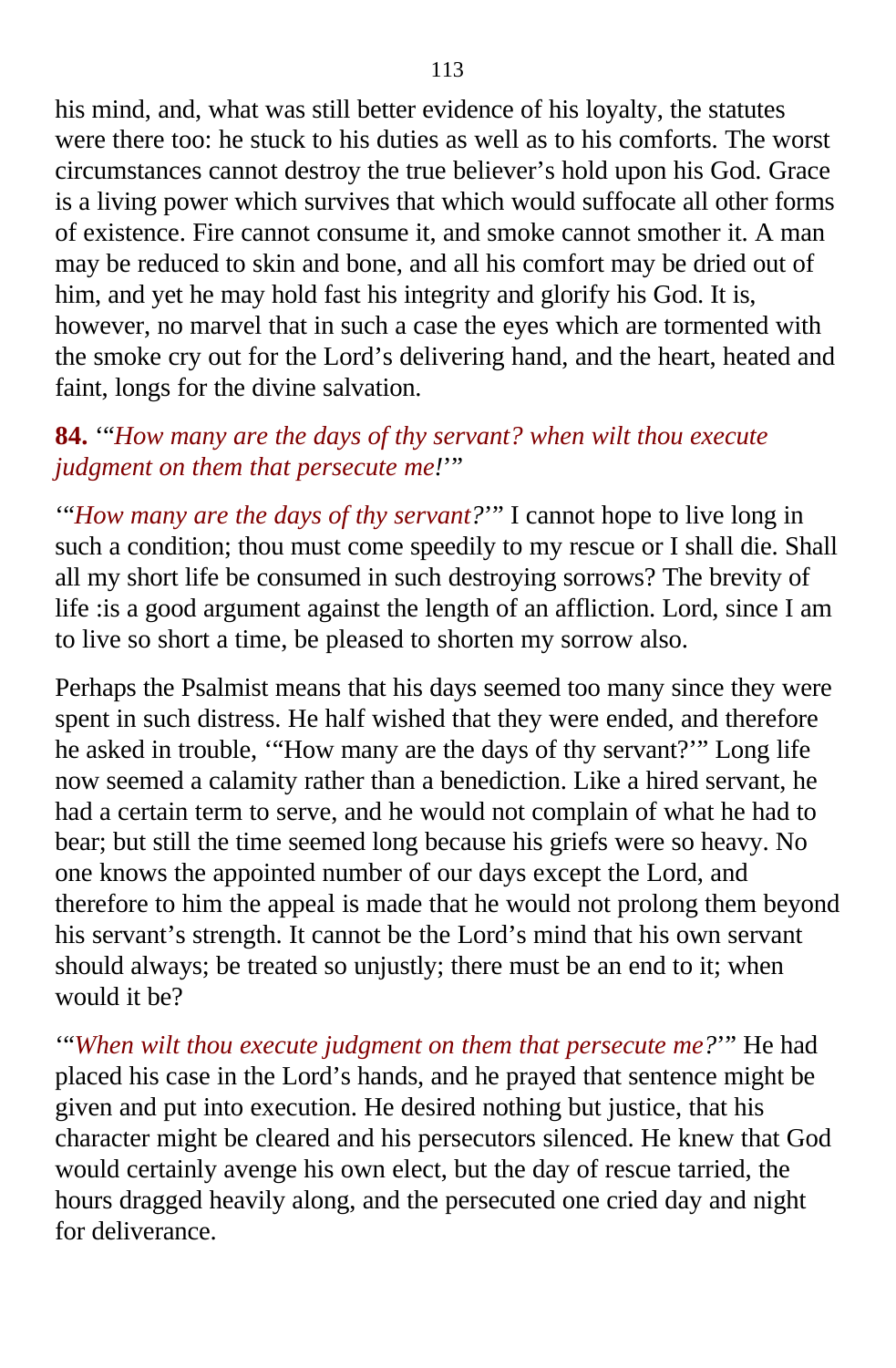his mind, and, what was still better evidence of his loyalty, the statutes were there too: he stuck to his duties as well as to his comforts. The worst circumstances cannot destroy the true believer's hold upon his God. Grace is a living power which survives that which would suffocate all other forms of existence. Fire cannot consume it, and smoke cannot smother it. A man may be reduced to skin and bone, and all his comfort may be dried out of him, and yet he may hold fast his integrity and glorify his God. It is, however, no marvel that in such a case the eyes which are tormented with the smoke cry out for the Lord's delivering hand, and the heart, heated and faint, longs for the divine salvation.

#### **84.** '"*How many are the days of thy servant? when wilt thou execute judgment on them that persecute me!*'"

'"*How many are the days of thy servant?*'" I cannot hope to live long in such a condition; thou must come speedily to my rescue or I shall die. Shall all my short life be consumed in such destroying sorrows? The brevity of life :is a good argument against the length of an affliction. Lord, since I am to live so short a time, be pleased to shorten my sorrow also.

Perhaps the Psalmist means that his days seemed too many since they were spent in such distress. He half wished that they were ended, and therefore he asked in trouble, '"How many are the days of thy servant?'" Long life now seemed a calamity rather than a benediction. Like a hired servant, he had a certain term to serve, and he would not complain of what he had to bear; but still the time seemed long because his griefs were so heavy. No one knows the appointed number of our days except the Lord, and therefore to him the appeal is made that he would not prolong them beyond his servant's strength. It cannot be the Lord's mind that his own servant should always; be treated so unjustly; there must be an end to it; when would it be?

'"*When wilt thou execute judgment on them that persecute me?*'" He had placed his case in the Lord's hands, and he prayed that sentence might be given and put into execution. He desired nothing but justice, that his character might be cleared and his persecutors silenced. He knew that God would certainly avenge his own elect, but the day of rescue tarried, the hours dragged heavily along, and the persecuted one cried day and night for deliverance.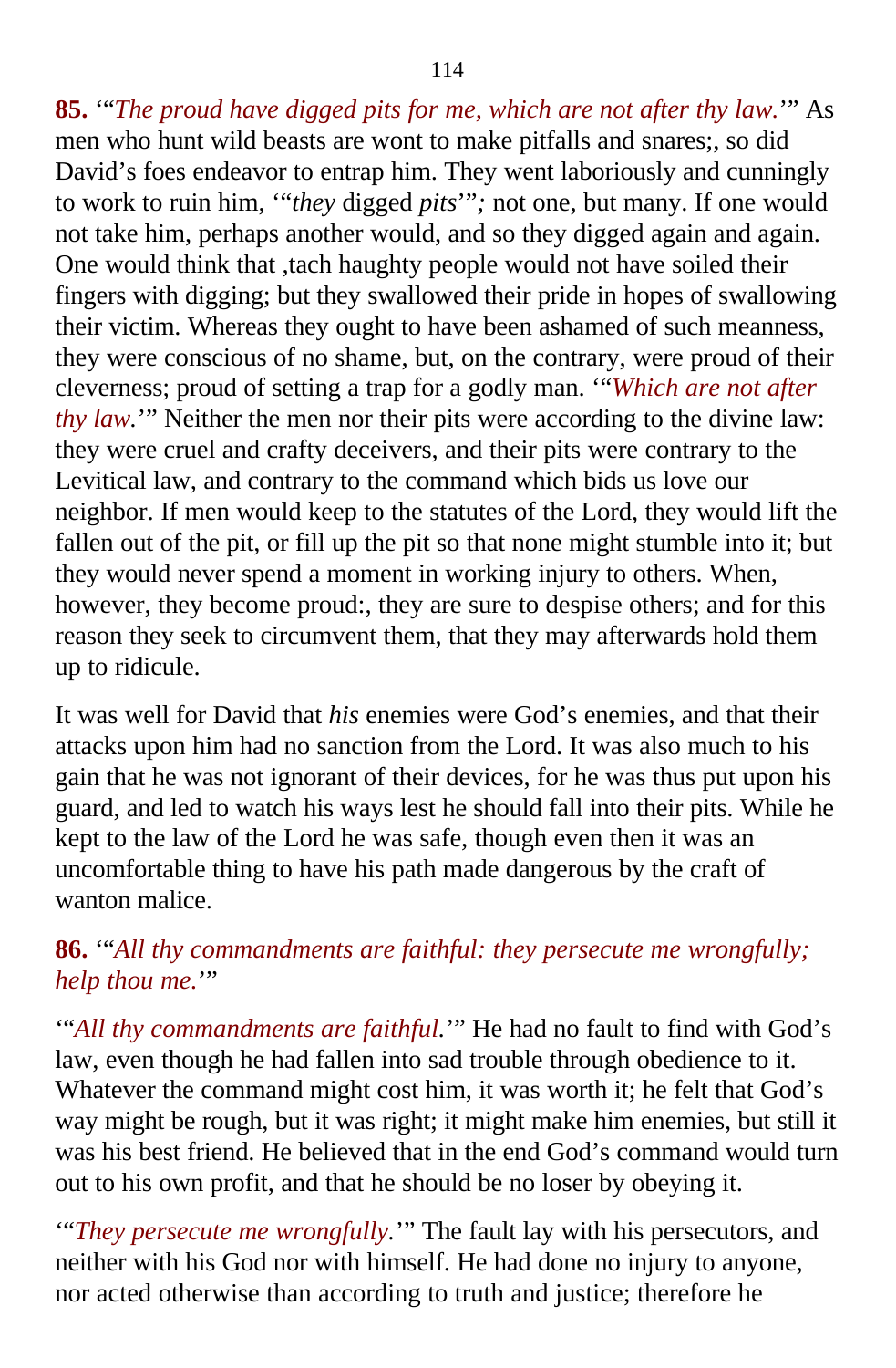**85.** '"*The proud have digged pits for me, which are not after thy law.*'" As men who hunt wild beasts are wont to make pitfalls and snares;, so did David's foes endeavor to entrap him. They went laboriously and cunningly to work to ruin him, '"*they* digged *pits*'"*;* not one, but many. If one would not take him, perhaps another would, and so they digged again and again. One would think that ,tach haughty people would not have soiled their fingers with digging; but they swallowed their pride in hopes of swallowing their victim. Whereas they ought to have been ashamed of such meanness, they were conscious of no shame, but, on the contrary, were proud of their cleverness; proud of setting a trap for a godly man. '"*Which are not after thy law.*'" Neither the men nor their pits were according to the divine law: they were cruel and crafty deceivers, and their pits were contrary to the Levitical law, and contrary to the command which bids us love our neighbor. If men would keep to the statutes of the Lord, they would lift the fallen out of the pit, or fill up the pit so that none might stumble into it; but they would never spend a moment in working injury to others. When, however, they become proud:, they are sure to despise others; and for this reason they seek to circumvent them, that they may afterwards hold them up to ridicule.

It was well for David that *his* enemies were God's enemies, and that their attacks upon him had no sanction from the Lord. It was also much to his gain that he was not ignorant of their devices, for he was thus put upon his guard, and led to watch his ways lest he should fall into their pits. While he kept to the law of the Lord he was safe, though even then it was an uncomfortable thing to have his path made dangerous by the craft of wanton malice.

## **86.** '"*All thy commandments are faithful: they persecute me wrongfully;* help thou me."

'"*All thy commandments are faithful.*'" He had no fault to find with God's law, even though he had fallen into sad trouble through obedience to it. Whatever the command might cost him, it was worth it; he felt that God's way might be rough, but it was right; it might make him enemies, but still it was his best friend. He believed that in the end God's command would turn out to his own profit, and that he should be no loser by obeying it.

'"*They persecute me wrongfully.*'" The fault lay with his persecutors, and neither with his God nor with himself. He had done no injury to anyone, nor acted otherwise than according to truth and justice; therefore he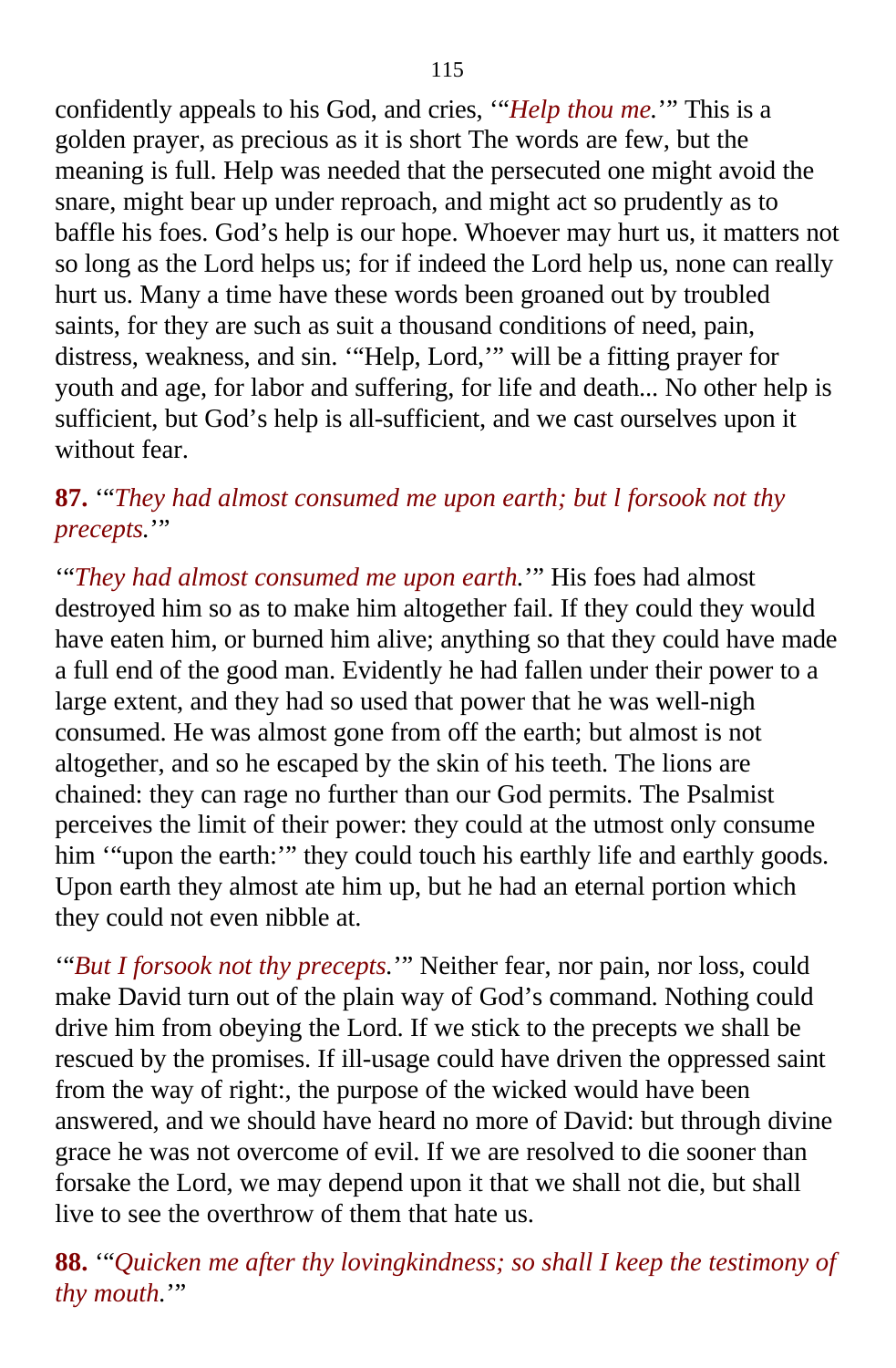confidently appeals to his God, and cries, '"*Help thou me.*'" This is a golden prayer, as precious as it is short The words are few, but the meaning is full. Help was needed that the persecuted one might avoid the snare, might bear up under reproach, and might act so prudently as to baffle his foes. God's help is our hope. Whoever may hurt us, it matters not so long as the Lord helps us; for if indeed the Lord help us, none can really hurt us. Many a time have these words been groaned out by troubled saints, for they are such as suit a thousand conditions of need, pain, distress, weakness, and sin. '"Help, Lord,'" will be a fitting prayer for youth and age, for labor and suffering, for life and death... No other help is sufficient, but God's help is all-sufficient, and we cast ourselves upon it without fear.

## **87.** '"*They had almost consumed me upon earth; but l forsook not thy* precepts."

'"*They had almost consumed me upon earth.*'" His foes had almost destroyed him so as to make him altogether fail. If they could they would have eaten him, or burned him alive; anything so that they could have made a full end of the good man. Evidently he had fallen under their power to a large extent, and they had so used that power that he was well-nigh consumed. He was almost gone from off the earth; but almost is not altogether, and so he escaped by the skin of his teeth. The lions are chained: they can rage no further than our God permits. The Psalmist perceives the limit of their power: they could at the utmost only consume him "upon the earth:" they could touch his earthly life and earthly goods. Upon earth they almost ate him up, but he had an eternal portion which they could not even nibble at.

'"*But I forsook not thy precepts.*'" Neither fear, nor pain, nor loss, could make David turn out of the plain way of God's command. Nothing could drive him from obeying the Lord. If we stick to the precepts we shall be rescued by the promises. If ill-usage could have driven the oppressed saint from the way of right:, the purpose of the wicked would have been answered, and we should have heard no more of David: but through divine grace he was not overcome of evil. If we are resolved to die sooner than forsake the Lord, we may depend upon it that we shall not die, but shall live to see the overthrow of them that hate us.

**88.** '"*Quicken me after thy lovingkindness; so shall I keep the testimony of thy mouth.*"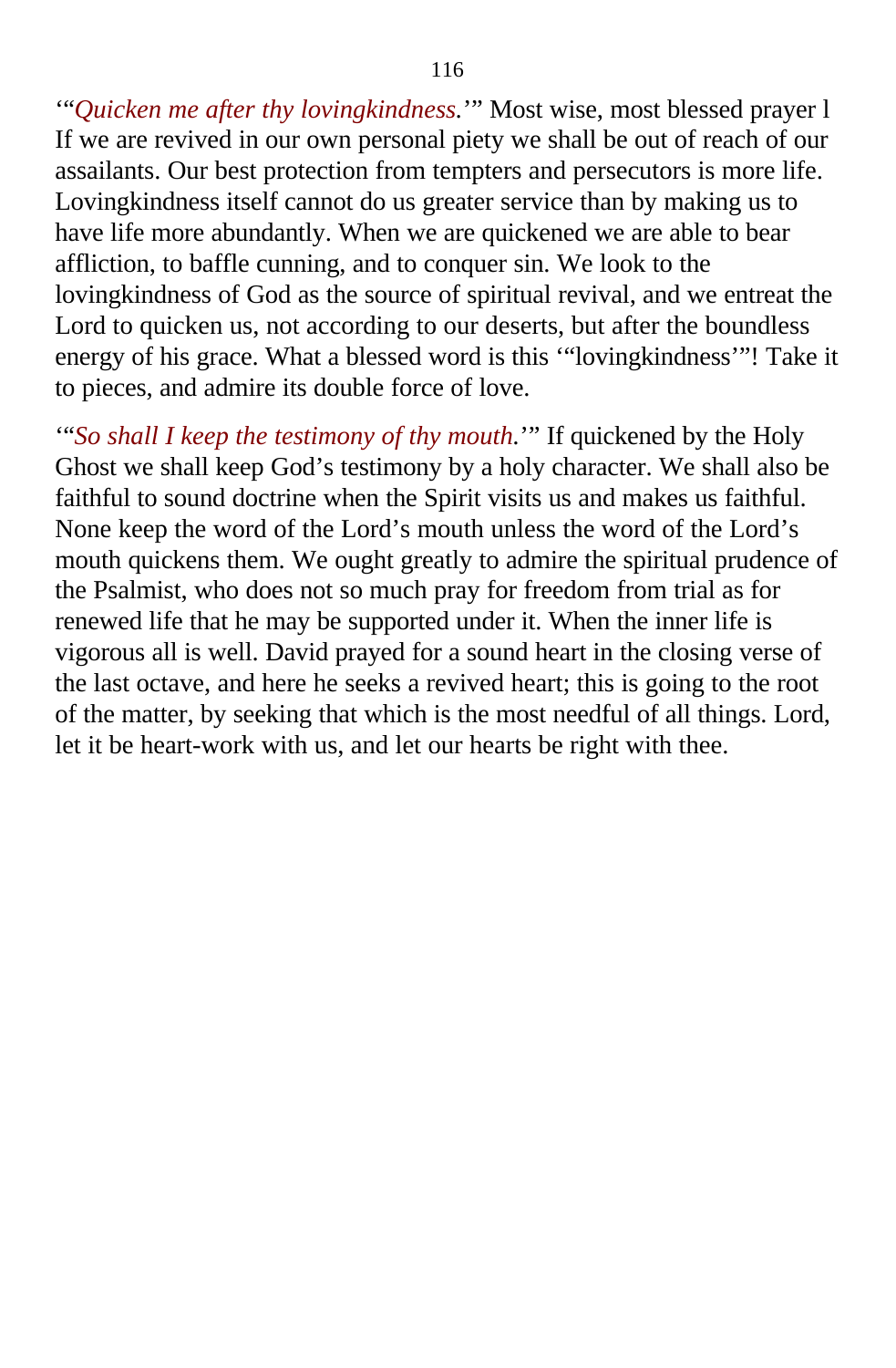'"*Quicken me after thy lovingkindness.*'" Most wise, most blessed prayer l If we are revived in our own personal piety we shall be out of reach of our assailants. Our best protection from tempters and persecutors is more life. Lovingkindness itself cannot do us greater service than by making us to have life more abundantly. When we are quickened we are able to bear affliction, to baffle cunning, and to conquer sin. We look to the lovingkindness of God as the source of spiritual revival, and we entreat the Lord to quicken us, not according to our deserts, but after the boundless energy of his grace. What a blessed word is this '"lovingkindness'"! Take it to pieces, and admire its double force of love.

'"*So shall I keep the testimony of thy mouth.*'" If quickened by the Holy Ghost we shall keep God's testimony by a holy character. We shall also be faithful to sound doctrine when the Spirit visits us and makes us faithful. None keep the word of the Lord's mouth unless the word of the Lord's mouth quickens them. We ought greatly to admire the spiritual prudence of the Psalmist, who does not so much pray for freedom from trial as for renewed life that he may be supported under it. When the inner life is vigorous all is well. David prayed for a sound heart in the closing verse of the last octave, and here he seeks a revived heart; this is going to the root of the matter, by seeking that which is the most needful of all things. Lord, let it be heart-work with us, and let our hearts be right with thee.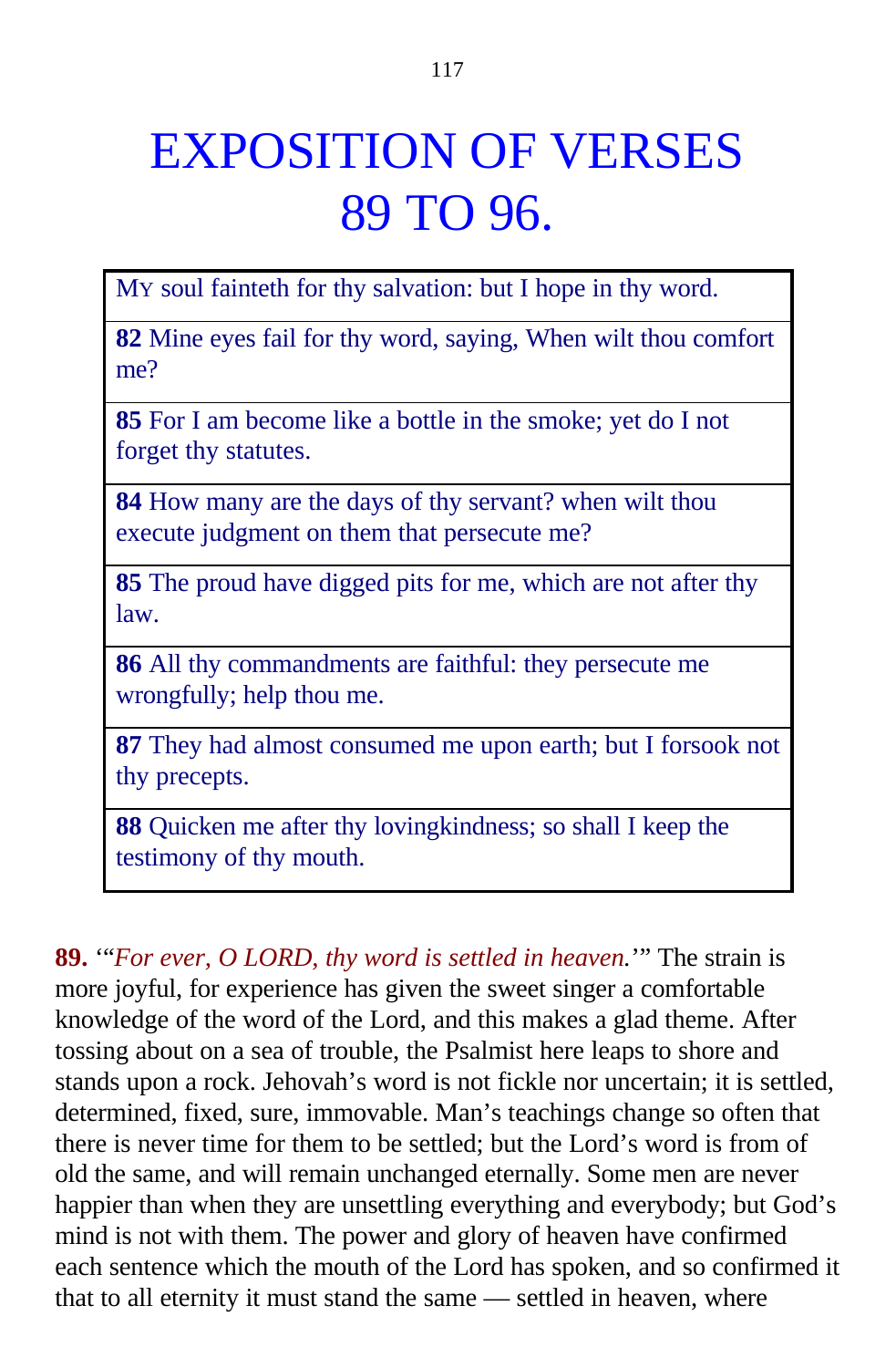## EXPOSITION OF VERSES 89 TO 96.

MY soul fainteth for thy salvation: but I hope in thy word.

**82** Mine eyes fail for thy word, saying, When wilt thou comfort me?

**85** For I am become like a bottle in the smoke; yet do I not forget thy statutes.

**84** How many are the days of thy servant? when wilt thou execute judgment on them that persecute me?

**85** The proud have digged pits for me, which are not after thy law.

**86** All thy commandments are faithful: they persecute me wrongfully; help thou me.

**87** They had almost consumed me upon earth; but I forsook not thy precepts.

**88** Quicken me after thy lovingkindness; so shall I keep the testimony of thy mouth.

**89.** '"*For ever, O LORD, thy word is settled in heaven.*'" The strain is more joyful, for experience has given the sweet singer a comfortable knowledge of the word of the Lord, and this makes a glad theme. After tossing about on a sea of trouble, the Psalmist here leaps to shore and stands upon a rock. Jehovah's word is not fickle nor uncertain; it is settled, determined, fixed, sure, immovable. Man's teachings change so often that there is never time for them to be settled; but the Lord's word is from of old the same, and will remain unchanged eternally. Some men are never happier than when they are unsettling everything and everybody; but God's mind is not with them. The power and glory of heaven have confirmed each sentence which the mouth of the Lord has spoken, and so confirmed it that to all eternity it must stand the same — settled in heaven, where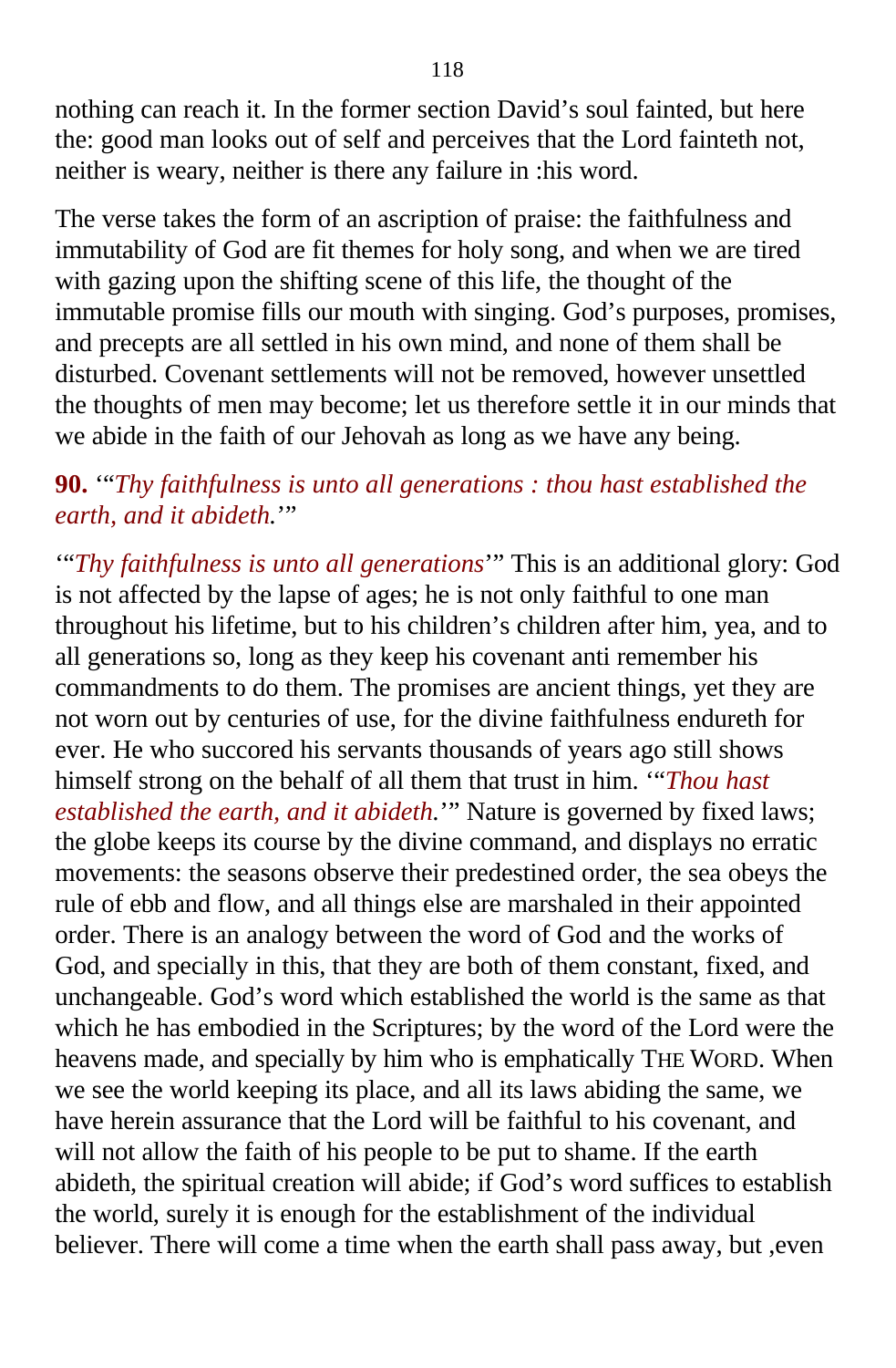nothing can reach it. In the former section David's soul fainted, but here the: good man looks out of self and perceives that the Lord fainteth not, neither is weary, neither is there any failure in :his word.

The verse takes the form of an ascription of praise: the faithfulness and immutability of God are fit themes for holy song, and when we are tired with gazing upon the shifting scene of this life, the thought of the immutable promise fills our mouth with singing. God's purposes, promises, and precepts are all settled in his own mind, and none of them shall be disturbed. Covenant settlements will not be removed, however unsettled the thoughts of men may become; let us therefore settle it in our minds that we abide in the faith of our Jehovah as long as we have any being.

### **90.** '"*Thy faithfulness is unto all generations : thou hast established the earth, and it abideth.*'"

'"*Thy faithfulness is unto all generations*'" This is an additional glory: God is not affected by the lapse of ages; he is not only faithful to one man throughout his lifetime, but to his children's children after him, yea, and to all generations so, long as they keep his covenant anti remember his commandments to do them. The promises are ancient things, yet they are not worn out by centuries of use, for the divine faithfulness endureth for ever. He who succored his servants thousands of years ago still shows himself strong on the behalf of all them that trust in him. '"*Thou hast established the earth, and it abideth.*'" Nature is governed by fixed laws; the globe keeps its course by the divine command, and displays no erratic movements: the seasons observe their predestined order, the sea obeys the rule of ebb and flow, and all things else are marshaled in their appointed order. There is an analogy between the word of God and the works of God, and specially in this, that they are both of them constant, fixed, and unchangeable. God's word which established the world is the same as that which he has embodied in the Scriptures; by the word of the Lord were the heavens made, and specially by him who is emphatically THE WORD. When we see the world keeping its place, and all its laws abiding the same, we have herein assurance that the Lord will be faithful to his covenant, and will not allow the faith of his people to be put to shame. If the earth abideth, the spiritual creation will abide; if God's word suffices to establish the world, surely it is enough for the establishment of the individual believer. There will come a time when the earth shall pass away, but ,even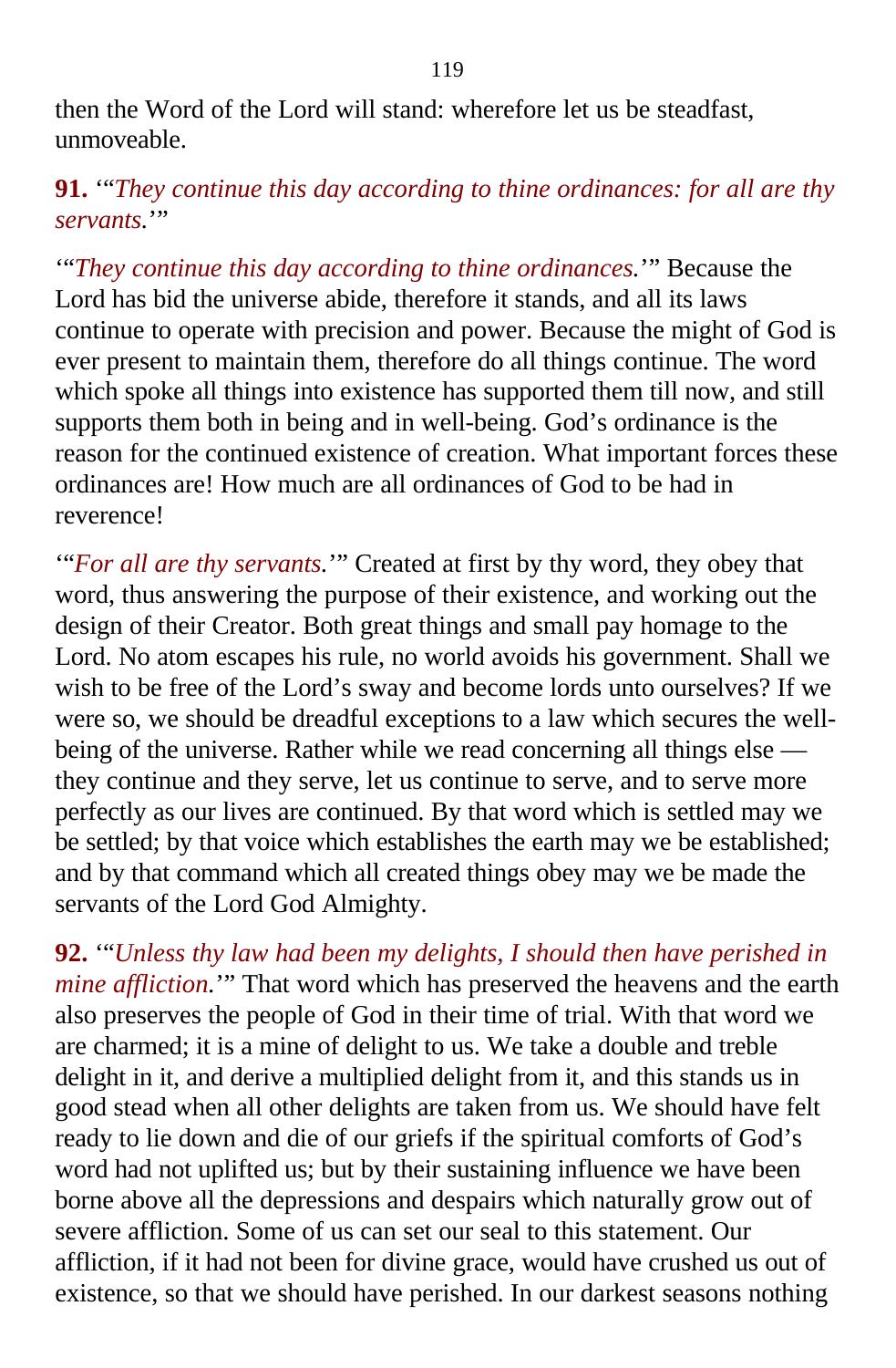then the Word of the Lord will stand: wherefore let us be steadfast, unmoveable.

#### **91.** '"*They continue this day according to thine ordinances: for all are thy* servants<sup>"</sup>

'"*They continue this day according to thine ordinances.*'" Because the Lord has bid the universe abide, therefore it stands, and all its laws continue to operate with precision and power. Because the might of God is ever present to maintain them, therefore do all things continue. The word which spoke all things into existence has supported them till now, and still supports them both in being and in well-being. God's ordinance is the reason for the continued existence of creation. What important forces these ordinances are! How much are all ordinances of God to be had in reverence!

'"*For all are thy servants.*'" Created at first by thy word, they obey that word, thus answering the purpose of their existence, and working out the design of their Creator. Both great things and small pay homage to the Lord. No atom escapes his rule, no world avoids his government. Shall we wish to be free of the Lord's sway and become lords unto ourselves? If we were so, we should be dreadful exceptions to a law which secures the wellbeing of the universe. Rather while we read concerning all things else they continue and they serve, let us continue to serve, and to serve more perfectly as our lives are continued. By that word which is settled may we be settled; by that voice which establishes the earth may we be established; and by that command which all created things obey may we be made the servants of the Lord God Almighty.

**92.** '"*Unless thy law had been my delights, I should then have perished in mine affliction.*'" That word which has preserved the heavens and the earth also preserves the people of God in their time of trial. With that word we are charmed; it is a mine of delight to us. We take a double and treble delight in it, and derive a multiplied delight from it, and this stands us in good stead when all other delights are taken from us. We should have felt ready to lie down and die of our griefs if the spiritual comforts of God's word had not uplifted us; but by their sustaining influence we have been borne above all the depressions and despairs which naturally grow out of severe affliction. Some of us can set our seal to this statement. Our affliction, if it had not been for divine grace, would have crushed us out of existence, so that we should have perished. In our darkest seasons nothing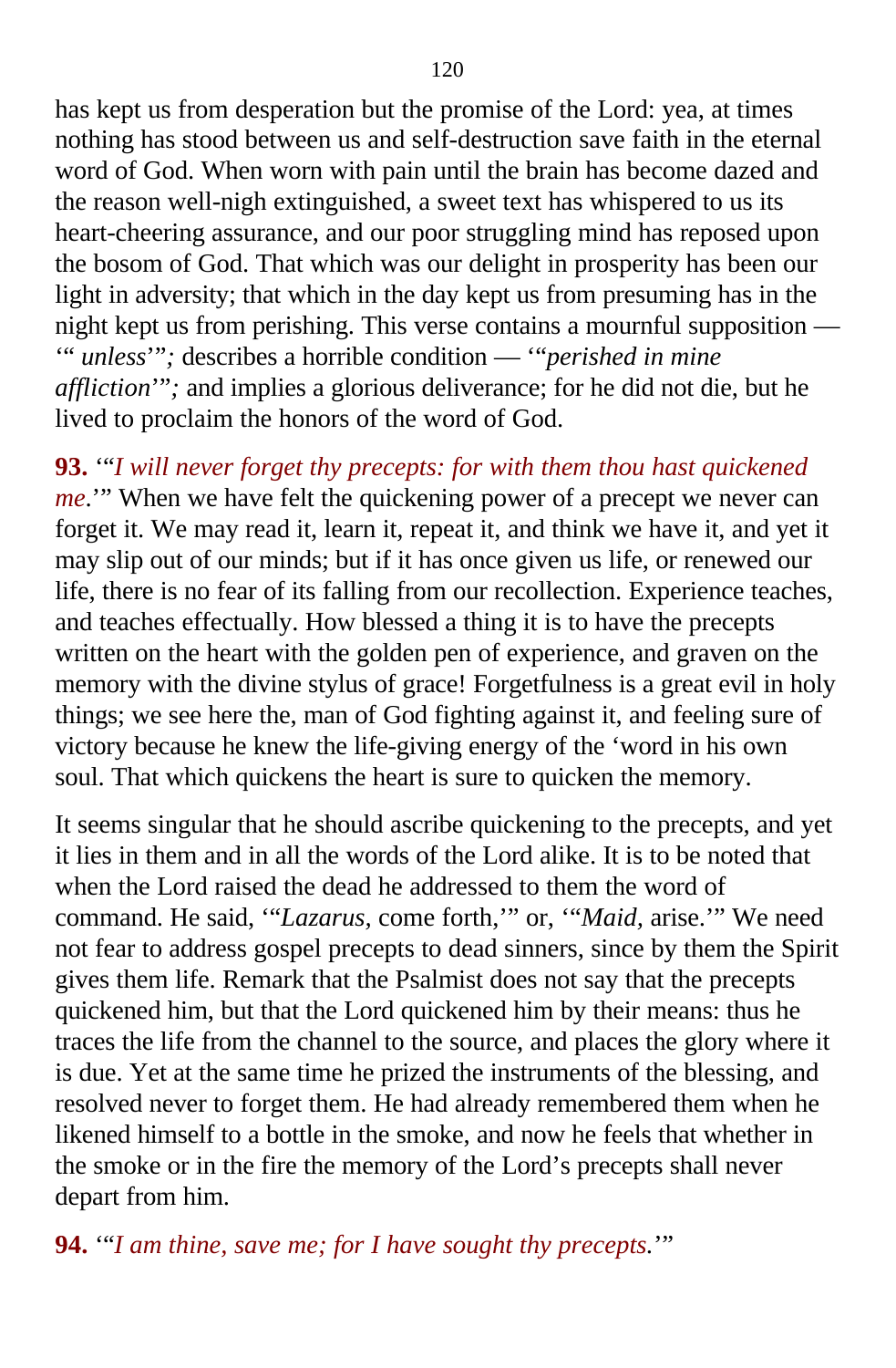has kept us from desperation but the promise of the Lord: yea, at times nothing has stood between us and self-destruction save faith in the eternal word of God. When worn with pain until the brain has become dazed and the reason well-nigh extinguished, a sweet text has whispered to us its heart-cheering assurance, and our poor struggling mind has reposed upon the bosom of God. That which was our delight in prosperity has been our light in adversity; that which in the day kept us from presuming has in the night kept us from perishing. This verse contains a mournful supposition — '" *unless*'"*;* describes a horrible condition — '"*perished in mine affliction*'"*;* and implies a glorious deliverance; for he did not die, but he lived to proclaim the honors of the word of God.

**93.** '"*I will never forget thy precepts: for with them thou hast quickened me*.'" When we have felt the quickening power of a precept we never can forget it. We may read it, learn it, repeat it, and think we have it, and yet it may slip out of our minds; but if it has once given us life, or renewed our life, there is no fear of its falling from our recollection. Experience teaches, and teaches effectually. How blessed a thing it is to have the precepts written on the heart with the golden pen of experience, and graven on the memory with the divine stylus of grace! Forgetfulness is a great evil in holy things; we see here the, man of God fighting against it, and feeling sure of victory because he knew the life-giving energy of the 'word in his own soul. That which quickens the heart is sure to quicken the memory.

It seems singular that he should ascribe quickening to the precepts, and yet it lies in them and in all the words of the Lord alike. It is to be noted that when the Lord raised the dead he addressed to them the word of command. He said, '"*Lazarus,* come forth,'" or, '"*Maid,* arise.'" We need not fear to address gospel precepts to dead sinners, since by them the Spirit gives them life. Remark that the Psalmist does not say that the precepts quickened him, but that the Lord quickened him by their means: thus he traces the life from the channel to the source, and places the glory where it is due. Yet at the same time he prized the instruments of the blessing, and resolved never to forget them. He had already remembered them when he likened himself to a bottle in the smoke, and now he feels that whether in the smoke or in the fire the memory of the Lord's precepts shall never depart from him.

**94.** '"*I am thine, save me; for I have sought thy precepts.*'"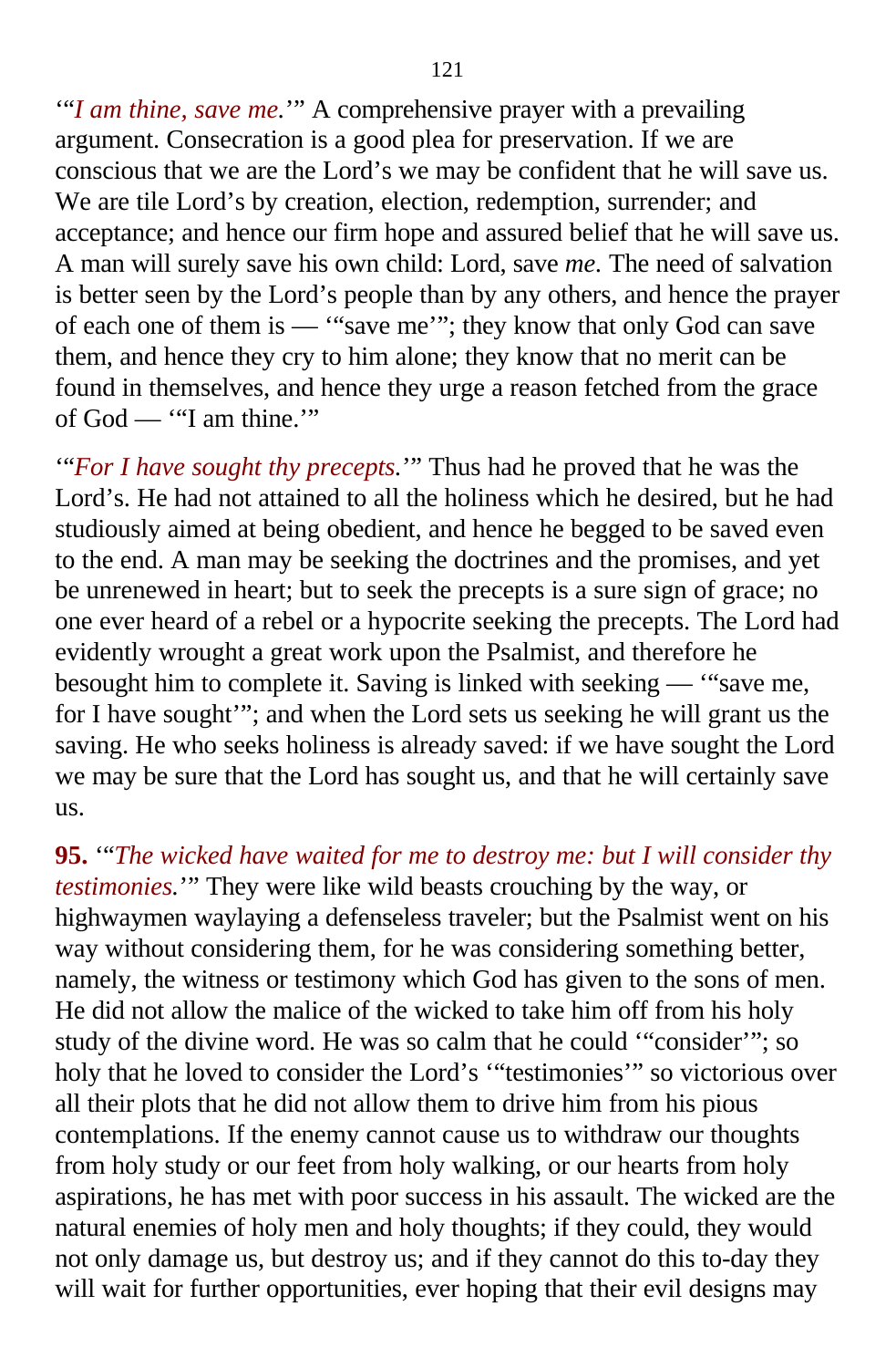'"*I am thine, save me.*'" A comprehensive prayer with a prevailing argument. Consecration is a good plea for preservation. If we are conscious that we are the Lord's we may be confident that he will save us. We are tile Lord's by creation, election, redemption, surrender; and acceptance; and hence our firm hope and assured belief that he will save us. A man will surely save his own child: Lord, save *me.* The need of salvation is better seen by the Lord's people than by any others, and hence the prayer of each one of them is — '"save me'"; they know that only God can save them, and hence they cry to him alone; they know that no merit can be found in themselves, and hence they urge a reason fetched from the grace of God — '"I am thine.'"

'"*For I have sought thy precepts.*'" Thus had he proved that he was the Lord's. He had not attained to all the holiness which he desired, but he had studiously aimed at being obedient, and hence he begged to be saved even to the end. A man may be seeking the doctrines and the promises, and yet be unrenewed in heart; but to seek the precepts is a sure sign of grace; no one ever heard of a rebel or a hypocrite seeking the precepts. The Lord had evidently wrought a great work upon the Psalmist, and therefore he besought him to complete it. Saving is linked with seeking — '"save me, for I have sought'"; and when the Lord sets us seeking he will grant us the saving. He who seeks holiness is already saved: if we have sought the Lord we may be sure that the Lord has sought us, and that he will certainly save us.

**95.** '"*The wicked have waited for me to destroy me: but I will consider thy testimonies.*'" They were like wild beasts crouching by the way, or highwaymen waylaying a defenseless traveler; but the Psalmist went on his way without considering them, for he was considering something better, namely, the witness or testimony which God has given to the sons of men. He did not allow the malice of the wicked to take him off from his holy study of the divine word. He was so calm that he could '"consider'"; so holy that he loved to consider the Lord's '"testimonies'" so victorious over all their plots that he did not allow them to drive him from his pious contemplations. If the enemy cannot cause us to withdraw our thoughts from holy study or our feet from holy walking, or our hearts from holy aspirations, he has met with poor success in his assault. The wicked are the natural enemies of holy men and holy thoughts; if they could, they would not only damage us, but destroy us; and if they cannot do this to-day they will wait for further opportunities, ever hoping that their evil designs may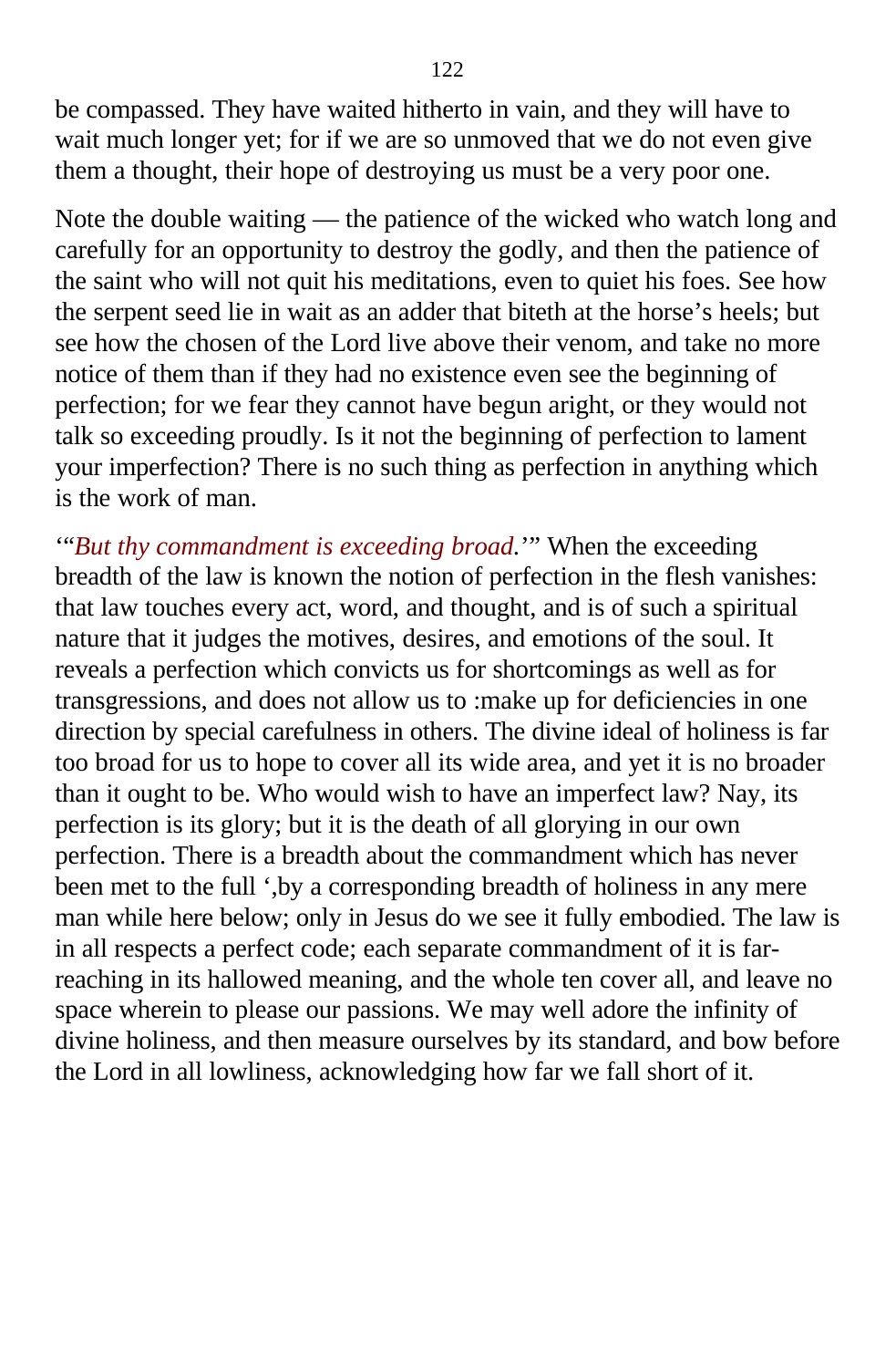be compassed. They have waited hitherto in vain, and they will have to wait much longer yet; for if we are so unmoved that we do not even give them a thought, their hope of destroying us must be a very poor one.

Note the double waiting — the patience of the wicked who watch long and carefully for an opportunity to destroy the godly, and then the patience of the saint who will not quit his meditations, even to quiet his foes. See how the serpent seed lie in wait as an adder that biteth at the horse's heels; but see how the chosen of the Lord live above their venom, and take no more notice of them than if they had no existence even see the beginning of perfection; for we fear they cannot have begun aright, or they would not talk so exceeding proudly. Is it not the beginning of perfection to lament your imperfection? There is no such thing as perfection in anything which is the work of man.

'"*But thy commandment is exceeding broad.*'" When the exceeding breadth of the law is known the notion of perfection in the flesh vanishes: that law touches every act, word, and thought, and is of such a spiritual nature that it judges the motives, desires, and emotions of the soul. It reveals a perfection which convicts us for shortcomings as well as for transgressions, and does not allow us to :make up for deficiencies in one direction by special carefulness in others. The divine ideal of holiness is far too broad for us to hope to cover all its wide area, and yet it is no broader than it ought to be. Who would wish to have an imperfect law? Nay, its perfection is its glory; but it is the death of all glorying in our own perfection. There is a breadth about the commandment which has never been met to the full ',by a corresponding breadth of holiness in any mere man while here below; only in Jesus do we see it fully embodied. The law is in all respects a perfect code; each separate commandment of it is farreaching in its hallowed meaning, and the whole ten cover all, and leave no space wherein to please our passions. We may well adore the infinity of divine holiness, and then measure ourselves by its standard, and bow before the Lord in all lowliness, acknowledging how far we fall short of it.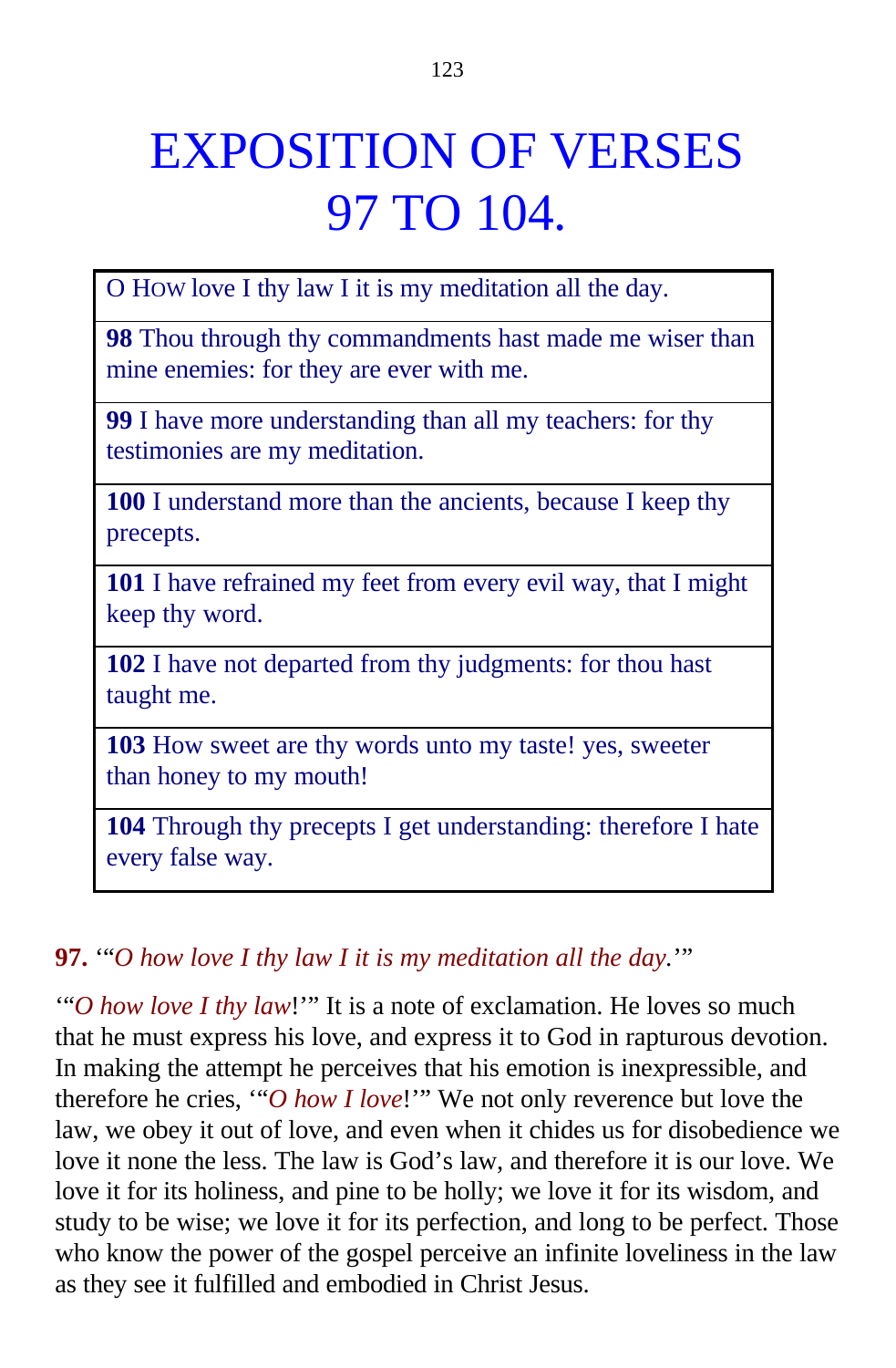## EXPOSITION OF VERSES 97 TO 104.

O HOW love I thy law I it is my meditation all the day.

**98** Thou through thy commandments hast made me wiser than mine enemies: for they are ever with me.

**99** I have more understanding than all my teachers: for thy testimonies are my meditation.

**100** I understand more than the ancients, because I keep thy precepts.

**101** I have refrained my feet from every evil way, that I might keep thy word.

**102** I have not departed from thy judgments: for thou hast taught me.

**103** How sweet are thy words unto my taste! yes, sweeter than honey to my mouth!

**104** Through thy precepts I get understanding: therefore I hate every false way.

#### **97.** '"*O how love I thy law I it is my meditation all the day.*'"

"*O how love I thy law!*" It is a note of exclamation. He loves so much that he must express his love, and express it to God in rapturous devotion. In making the attempt he perceives that his emotion is inexpressible, and therefore he cries, '"*O how I love*!'" We not only reverence but love the law, we obey it out of love, and even when it chides us for disobedience we love it none the less. The law is God's law, and therefore it is our love. We love it for its holiness, and pine to be holly; we love it for its wisdom, and study to be wise; we love it for its perfection, and long to be perfect. Those who know the power of the gospel perceive an infinite loveliness in the law as they see it fulfilled and embodied in Christ Jesus.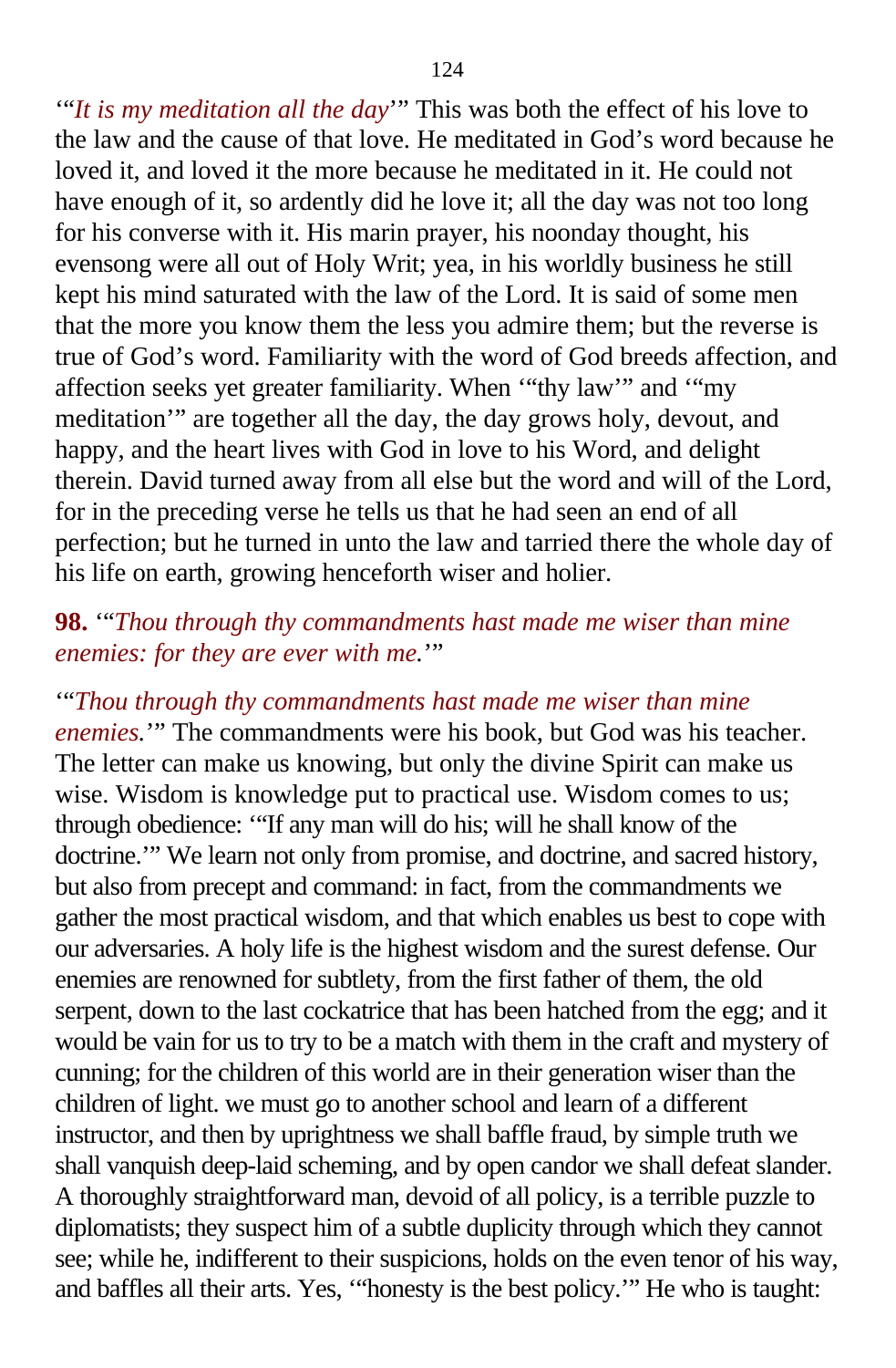'"*It is my meditation all the day*'" This was both the effect of his love to the law and the cause of that love. He meditated in God's word because he loved it, and loved it the more because he meditated in it. He could not have enough of it, so ardently did he love it; all the day was not too long for his converse with it. His marin prayer, his noonday thought, his evensong were all out of Holy Writ; yea, in his worldly business he still kept his mind saturated with the law of the Lord. It is said of some men that the more you know them the less you admire them; but the reverse is true of God's word. Familiarity with the word of God breeds affection, and affection seeks yet greater familiarity. When '"thy law'" and '"my meditation'" are together all the day, the day grows holy, devout, and happy, and the heart lives with God in love to his Word, and delight therein. David turned away from all else but the word and will of the Lord, for in the preceding verse he tells us that he had seen an end of all perfection; but he turned in unto the law and tarried there the whole day of his life on earth, growing henceforth wiser and holier.

#### **98.** '"*Thou through thy commandments hast made me wiser than mine enemies: for they are ever with me.*'"

'"*Thou through thy commandments hast made me wiser than mine enemies.*'" The commandments were his book, but God was his teacher. The letter can make us knowing, but only the divine Spirit can make us wise. Wisdom is knowledge put to practical use. Wisdom comes to us; through obedience: '"If any man will do his; will he shall know of the doctrine.'" We learn not only from promise, and doctrine, and sacred history, but also from precept and command: in fact, from the commandments we gather the most practical wisdom, and that which enables us best to cope with our adversaries. A holy life is the highest wisdom and the surest defense. Our enemies are renowned for subtlety, from the first father of them, the old serpent, down to the last cockatrice that has been hatched from the egg; and it would be vain for us to try to be a match with them in the craft and mystery of cunning; for the children of this world are in their generation wiser than the children of light. we must go to another school and learn of a different instructor, and then by uprightness we shall baffle fraud, by simple truth we shall vanquish deep-laid scheming, and by open candor we shall defeat slander. A thoroughly straightforward man, devoid of all policy, is a terrible puzzle to diplomatists; they suspect him of a subtle duplicity through which they cannot see; while he, indifferent to their suspicions, holds on the even tenor of his way, and baffles all their arts. Yes, '"honesty is the best policy.'" He who is taught: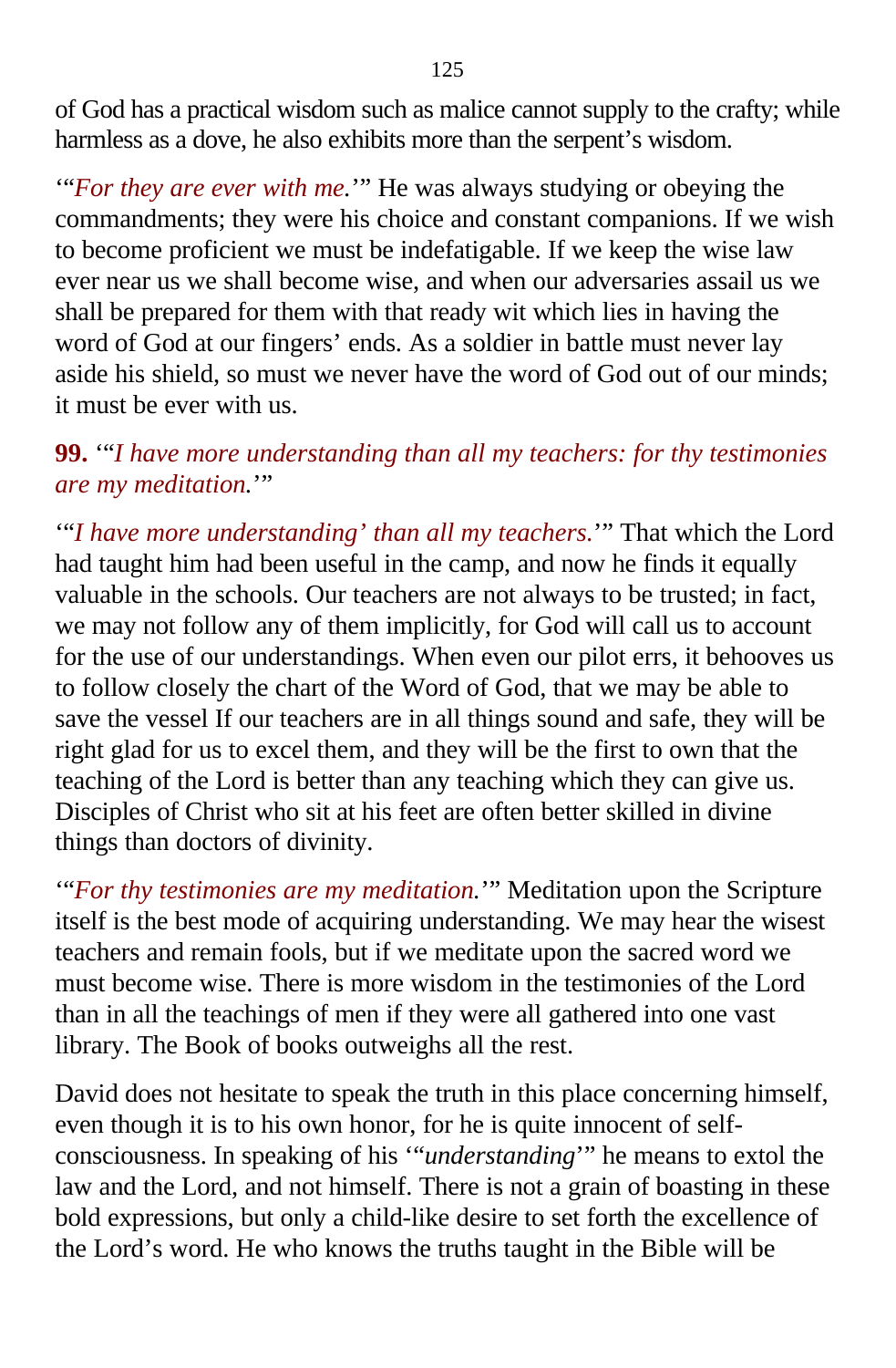of God has a practical wisdom such as malice cannot supply to the crafty; while harmless as a dove, he also exhibits more than the serpent's wisdom.

'"*For they are ever with me.*'" He was always studying or obeying the commandments; they were his choice and constant companions. If we wish to become proficient we must be indefatigable. If we keep the wise law ever near us we shall become wise, and when our adversaries assail us we shall be prepared for them with that ready wit which lies in having the word of God at our fingers' ends. As a soldier in battle must never lay aside his shield, so must we never have the word of God out of our minds; it must be ever with us.

## **99.** '"*I have more understanding than all my teachers: for thy testimonies are my meditation.*"

'"*I have more understanding' than all my teachers.*'" That which the Lord had taught him had been useful in the camp, and now he finds it equally valuable in the schools. Our teachers are not always to be trusted; in fact, we may not follow any of them implicitly, for God will call us to account for the use of our understandings. When even our pilot errs, it behooves us to follow closely the chart of the Word of God, that we may be able to save the vessel If our teachers are in all things sound and safe, they will be right glad for us to excel them, and they will be the first to own that the teaching of the Lord is better than any teaching which they can give us. Disciples of Christ who sit at his feet are often better skilled in divine things than doctors of divinity.

'"*For thy testimonies are my meditation.*'" Meditation upon the Scripture itself is the best mode of acquiring understanding. We may hear the wisest teachers and remain fools, but if we meditate upon the sacred word we must become wise. There is more wisdom in the testimonies of the Lord than in all the teachings of men if they were all gathered into one vast library. The Book of books outweighs all the rest.

David does not hesitate to speak the truth in this place concerning himself, even though it is to his own honor, for he is quite innocent of selfconsciousness. In speaking of his '"*understanding*'" he means to extol the law and the Lord, and not himself. There is not a grain of boasting in these bold expressions, but only a child-like desire to set forth the excellence of the Lord's word. He who knows the truths taught in the Bible will be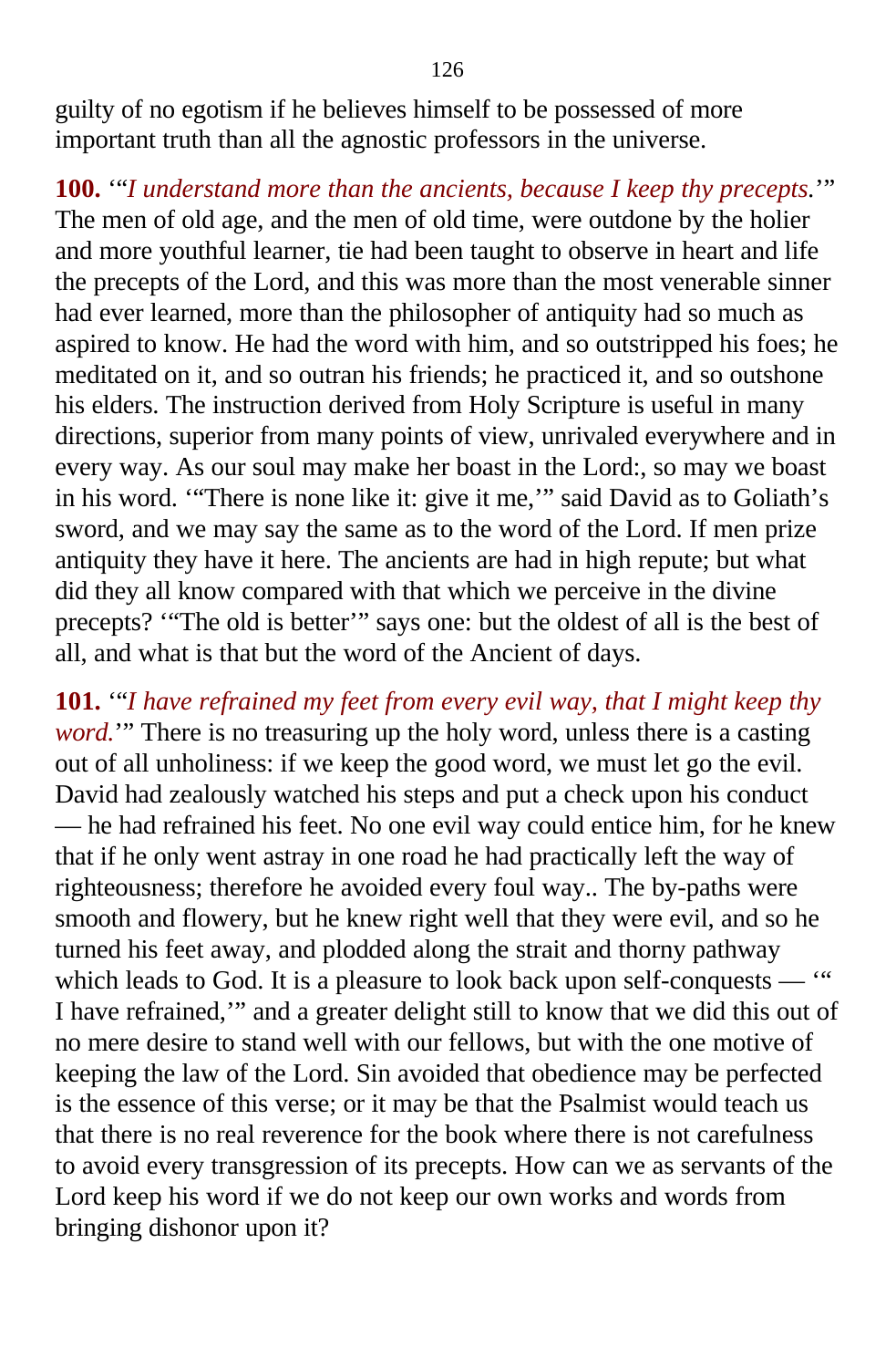guilty of no egotism if he believes himself to be possessed of more important truth than all the agnostic professors in the universe.

**100.** '"*I understand more than the ancients, because I keep thy precepts.*'" The men of old age, and the men of old time, were outdone by the holier and more youthful learner, tie had been taught to observe in heart and life the precepts of the Lord, and this was more than the most venerable sinner had ever learned, more than the philosopher of antiquity had so much as aspired to know. He had the word with him, and so outstripped his foes; he meditated on it, and so outran his friends; he practiced it, and so outshone his elders. The instruction derived from Holy Scripture is useful in many directions, superior from many points of view, unrivaled everywhere and in every way. As our soul may make her boast in the Lord:, so may we boast in his word. '"There is none like it: give it me,'" said David as to Goliath's sword, and we may say the same as to the word of the Lord. If men prize antiquity they have it here. The ancients are had in high repute; but what did they all know compared with that which we perceive in the divine precepts? '"The old is better'" says one: but the oldest of all is the best of all, and what is that but the word of the Ancient of days.

**101.** '"*I have refrained my feet from every evil way, that I might keep thy word.*'" There is no treasuring up the holy word, unless there is a casting out of all unholiness: if we keep the good word, we must let go the evil. David had zealously watched his steps and put a check upon his conduct — he had refrained his feet. No one evil way could entice him, for he knew that if he only went astray in one road he had practically left the way of righteousness; therefore he avoided every foul way.. The by-paths were smooth and flowery, but he knew right well that they were evil, and so he turned his feet away, and plodded along the strait and thorny pathway which leads to God. It is a pleasure to look back upon self-conquests — "" I have refrained,'" and a greater delight still to know that we did this out of no mere desire to stand well with our fellows, but with the one motive of keeping the law of the Lord. Sin avoided that obedience may be perfected is the essence of this verse; or it may be that the Psalmist would teach us that there is no real reverence for the book where there is not carefulness to avoid every transgression of its precepts. How can we as servants of the Lord keep his word if we do not keep our own works and words from bringing dishonor upon it?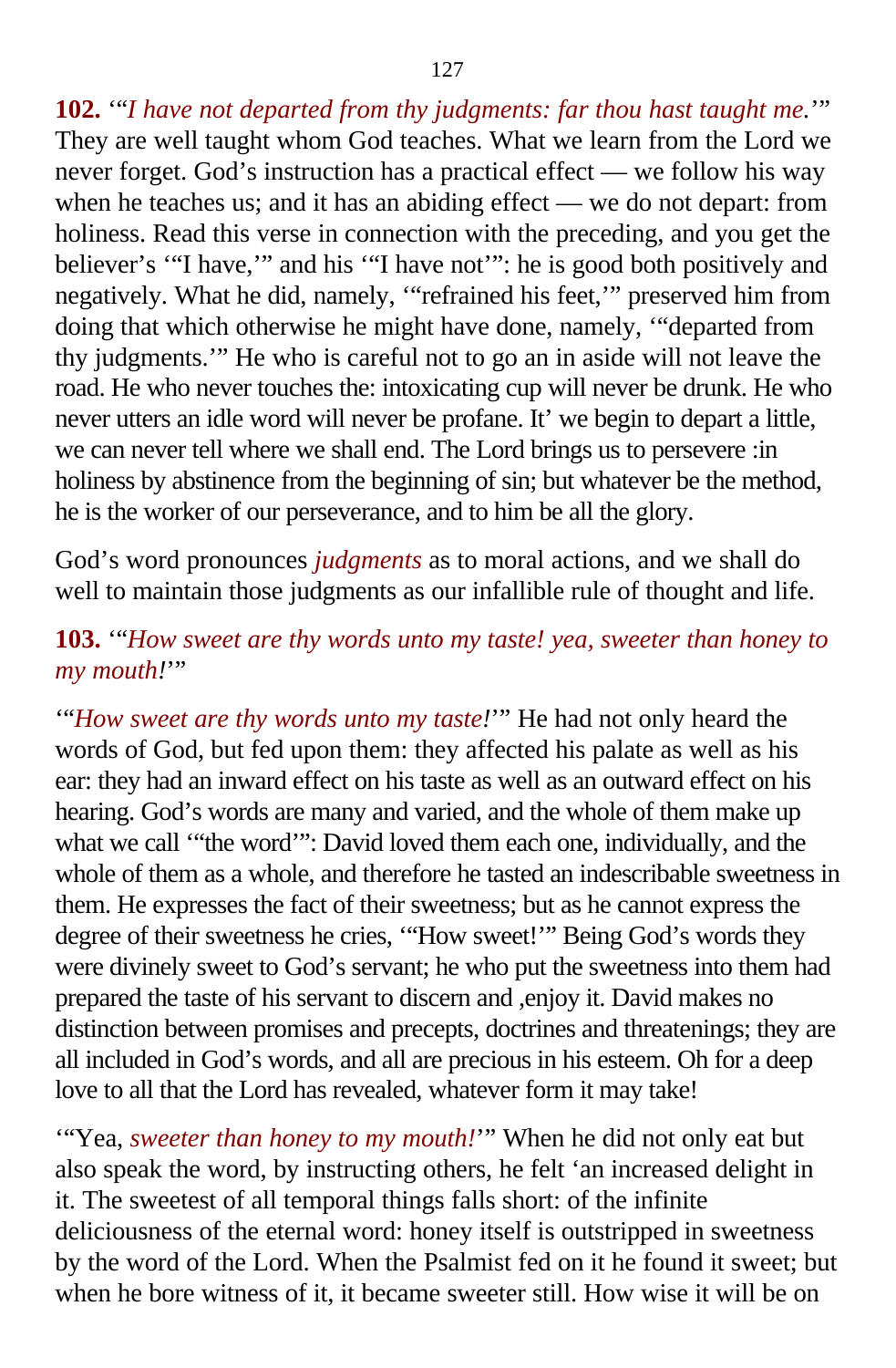**102.** '"*I have not departed from thy judgments: far thou hast taught me.*'" They are well taught whom God teaches. What we learn from the Lord we never forget. God's instruction has a practical effect — we follow his way when he teaches us; and it has an abiding effect — we do not depart: from holiness. Read this verse in connection with the preceding, and you get the believer's '"I have,'" and his '"I have not'": he is good both positively and negatively. What he did, namely, '"refrained his feet,'" preserved him from doing that which otherwise he might have done, namely, '"departed from thy judgments.'" He who is careful not to go an in aside will not leave the road. He who never touches the: intoxicating cup will never be drunk. He who never utters an idle word will never be profane. It' we begin to depart a little, we can never tell where we shall end. The Lord brings us to persevere :in holiness by abstinence from the beginning of sin; but whatever be the method, he is the worker of our perseverance, and to him be all the glory.

God's word pronounces *judgments* as to moral actions, and we shall do well to maintain those judgments as our infallible rule of thought and life.

#### **103.** '"*How sweet are thy words unto my taste! yea, sweeter than honey to my mouth!*'"

'"*How sweet are thy words unto my taste!*'" He had not only heard the words of God, but fed upon them: they affected his palate as well as his ear: they had an inward effect on his taste as well as an outward effect on his hearing. God's words are many and varied, and the whole of them make up what we call '"the word'": David loved them each one, individually, and the whole of them as a whole, and therefore he tasted an indescribable sweetness in them. He expresses the fact of their sweetness; but as he cannot express the degree of their sweetness he cries, '"How sweet!'" Being God's words they were divinely sweet to God's servant; he who put the sweetness into them had prepared the taste of his servant to discern and ,enjoy it. David makes no distinction between promises and precepts, doctrines and threatenings; they are all included in God's words, and all are precious in his esteem. Oh for a deep love to all that the Lord has revealed, whatever form it may take!

'"Yea, *sweeter than honey to my mouth!*'" When he did not only eat but also speak the word, by instructing others, he felt 'an increased delight in it. The sweetest of all temporal things falls short: of the infinite deliciousness of the eternal word: honey itself is outstripped in sweetness by the word of the Lord. When the Psalmist fed on it he found it sweet; but when he bore witness of it, it became sweeter still. How wise it will be on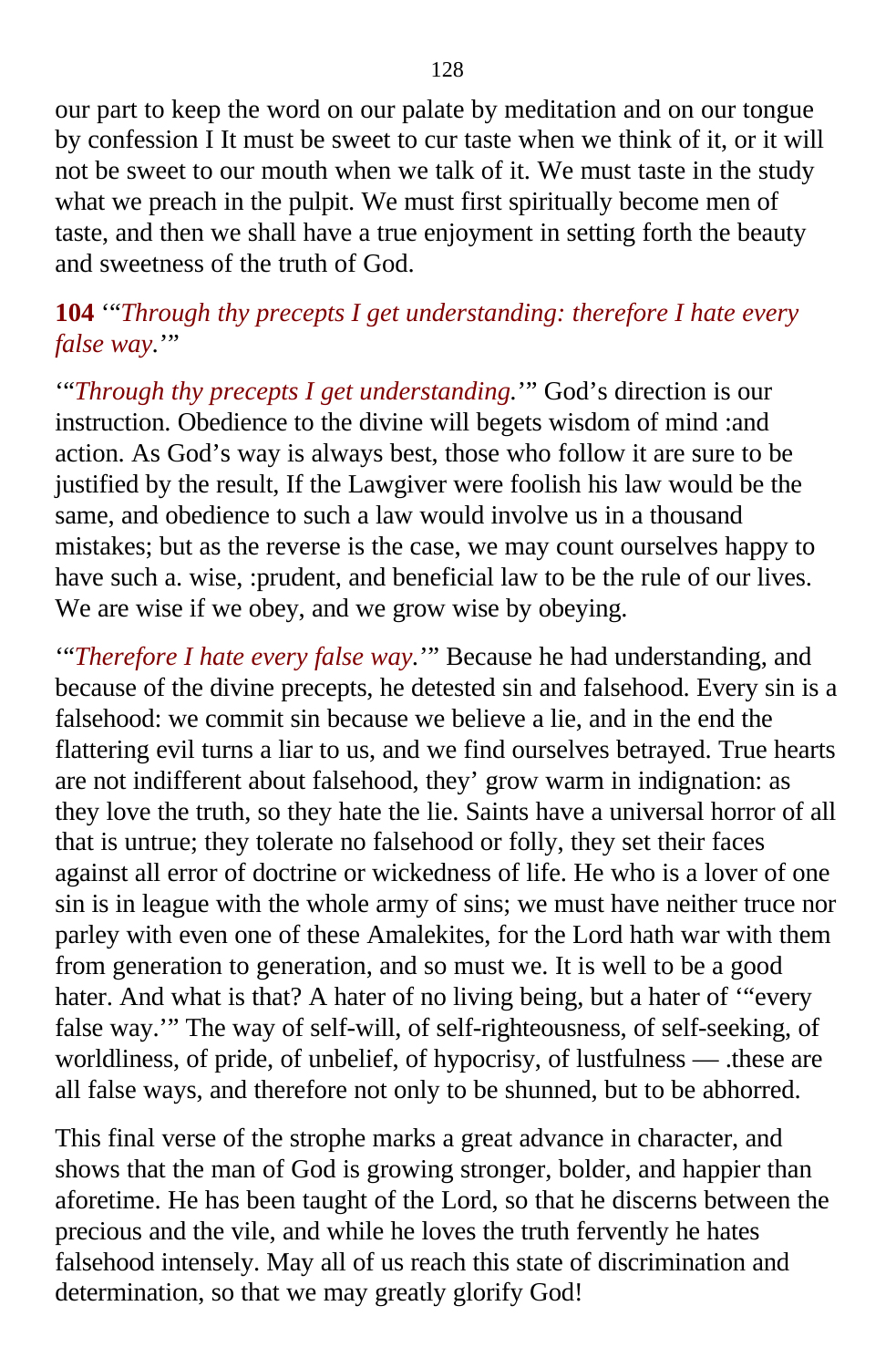our part to keep the word on our palate by meditation and on our tongue by confession I It must be sweet to cur taste when we think of it, or it will not be sweet to our mouth when we talk of it. We must taste in the study what we preach in the pulpit. We must first spiritually become men of taste, and then we shall have a true enjoyment in setting forth the beauty and sweetness of the truth of God.

#### **104** '"*Through thy precepts I get understanding: therefore I hate every false way.*"

'"*Through thy precepts I get understanding.*'" God's direction is our instruction. Obedience to the divine will begets wisdom of mind :and action. As God's way is always best, those who follow it are sure to be justified by the result, If the Lawgiver were foolish his law would be the same, and obedience to such a law would involve us in a thousand mistakes; but as the reverse is the case, we may count ourselves happy to have such a. wise, :prudent, and beneficial law to be the rule of our lives. We are wise if we obey, and we grow wise by obeying.

'"*Therefore I hate every false way.*'" Because he had understanding, and because of the divine precepts, he detested sin and falsehood. Every sin is a falsehood: we commit sin because we believe a lie, and in the end the flattering evil turns a liar to us, and we find ourselves betrayed. True hearts are not indifferent about falsehood, they' grow warm in indignation: as they love the truth, so they hate the lie. Saints have a universal horror of all that is untrue; they tolerate no falsehood or folly, they set their faces against all error of doctrine or wickedness of life. He who is a lover of one sin is in league with the whole army of sins; we must have neither truce nor parley with even one of these Amalekites, for the Lord hath war with them from generation to generation, and so must we. It is well to be a good hater. And what is that? A hater of no living being, but a hater of "every" false way.'" The way of self-will, of self-righteousness, of self-seeking, of worldliness, of pride, of unbelief, of hypocrisy, of lustfulness — .these are all false ways, and therefore not only to be shunned, but to be abhorred.

This final verse of the strophe marks a great advance in character, and shows that the man of God is growing stronger, bolder, and happier than aforetime. He has been taught of the Lord, so that he discerns between the precious and the vile, and while he loves the truth fervently he hates falsehood intensely. May all of us reach this state of discrimination and determination, so that we may greatly glorify God!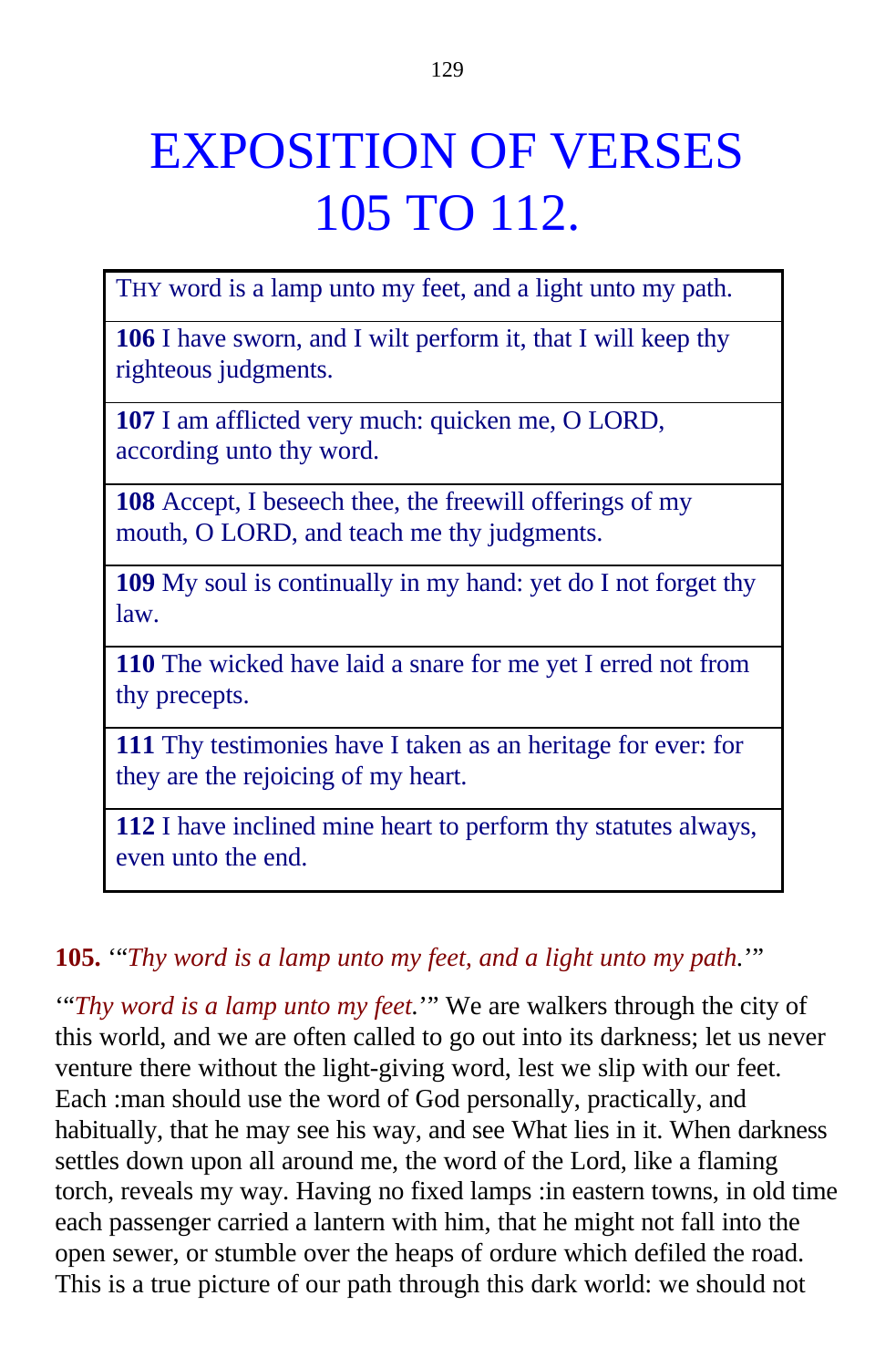## EXPOSITION OF VERSES 105 TO 112.

THY word is a lamp unto my feet, and a light unto my path.

**106** I have sworn, and I wilt perform it, that I will keep thy righteous judgments.

**107** I am afflicted very much: quicken me, O LORD, according unto thy word.

**108** Accept, I beseech thee, the freewill offerings of my mouth, O LORD, and teach me thy judgments.

**109** My soul is continually in my hand: yet do I not forget thy law.

**110** The wicked have laid a snare for me yet I erred not from thy precepts.

**111** Thy testimonies have I taken as an heritage for ever: for they are the rejoicing of my heart.

**112** I have inclined mine heart to perform thy statutes always, even unto the end.

#### **105.** '"*Thy word is a lamp unto my feet, and a light unto my path.*'"

'"*Thy word is a lamp unto my feet.*'" We are walkers through the city of this world, and we are often called to go out into its darkness; let us never venture there without the light-giving word, lest we slip with our feet. Each :man should use the word of God personally, practically, and habitually, that he may see his way, and see What lies in it. When darkness settles down upon all around me, the word of the Lord, like a flaming torch, reveals my way. Having no fixed lamps :in eastern towns, in old time each passenger carried a lantern with him, that he might not fall into the open sewer, or stumble over the heaps of ordure which defiled the road. This is a true picture of our path through this dark world: we should not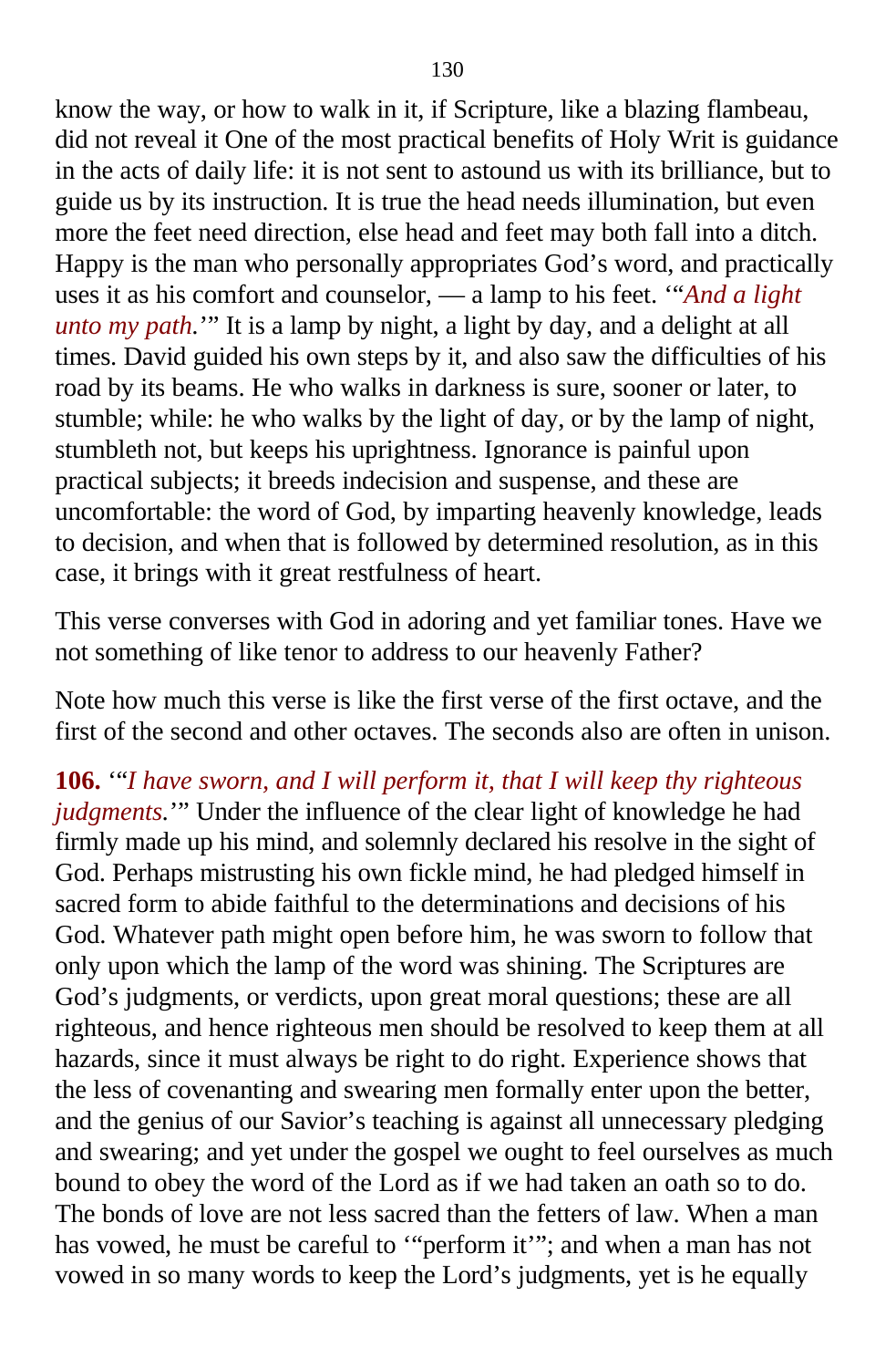know the way, or how to walk in it, if Scripture, like a blazing flambeau, did not reveal it One of the most practical benefits of Holy Writ is guidance in the acts of daily life: it is not sent to astound us with its brilliance, but to guide us by its instruction. It is true the head needs illumination, but even more the feet need direction, else head and feet may both fall into a ditch. Happy is the man who personally appropriates God's word, and practically uses it as his comfort and counselor, — a lamp to his feet. '"*And a light unto my path.*'" It is a lamp by night, a light by day, and a delight at all times. David guided his own steps by it, and also saw the difficulties of his road by its beams. He who walks in darkness is sure, sooner or later, to stumble; while: he who walks by the light of day, or by the lamp of night, stumbleth not, but keeps his uprightness. Ignorance is painful upon practical subjects; it breeds indecision and suspense, and these are uncomfortable: the word of God, by imparting heavenly knowledge, leads to decision, and when that is followed by determined resolution, as in this case, it brings with it great restfulness of heart.

This verse converses with God in adoring and yet familiar tones. Have we not something of like tenor to address to our heavenly Father?

Note how much this verse is like the first verse of the first octave, and the first of the second and other octaves. The seconds also are often in unison.

**106.** '"*I have sworn, and I will perform it, that I will keep thy righteous judgments.*'" Under the influence of the clear light of knowledge he had firmly made up his mind, and solemnly declared his resolve in the sight of God. Perhaps mistrusting his own fickle mind, he had pledged himself in sacred form to abide faithful to the determinations and decisions of his God. Whatever path might open before him, he was sworn to follow that only upon which the lamp of the word was shining. The Scriptures are God's judgments, or verdicts, upon great moral questions; these are all righteous, and hence righteous men should be resolved to keep them at all hazards, since it must always be right to do right. Experience shows that the less of covenanting and swearing men formally enter upon the better, and the genius of our Savior's teaching is against all unnecessary pledging and swearing; and yet under the gospel we ought to feel ourselves as much bound to obey the word of the Lord as if we had taken an oath so to do. The bonds of love are not less sacred than the fetters of law. When a man has vowed, he must be careful to '"perform it'"; and when a man has not vowed in so many words to keep the Lord's judgments, yet is he equally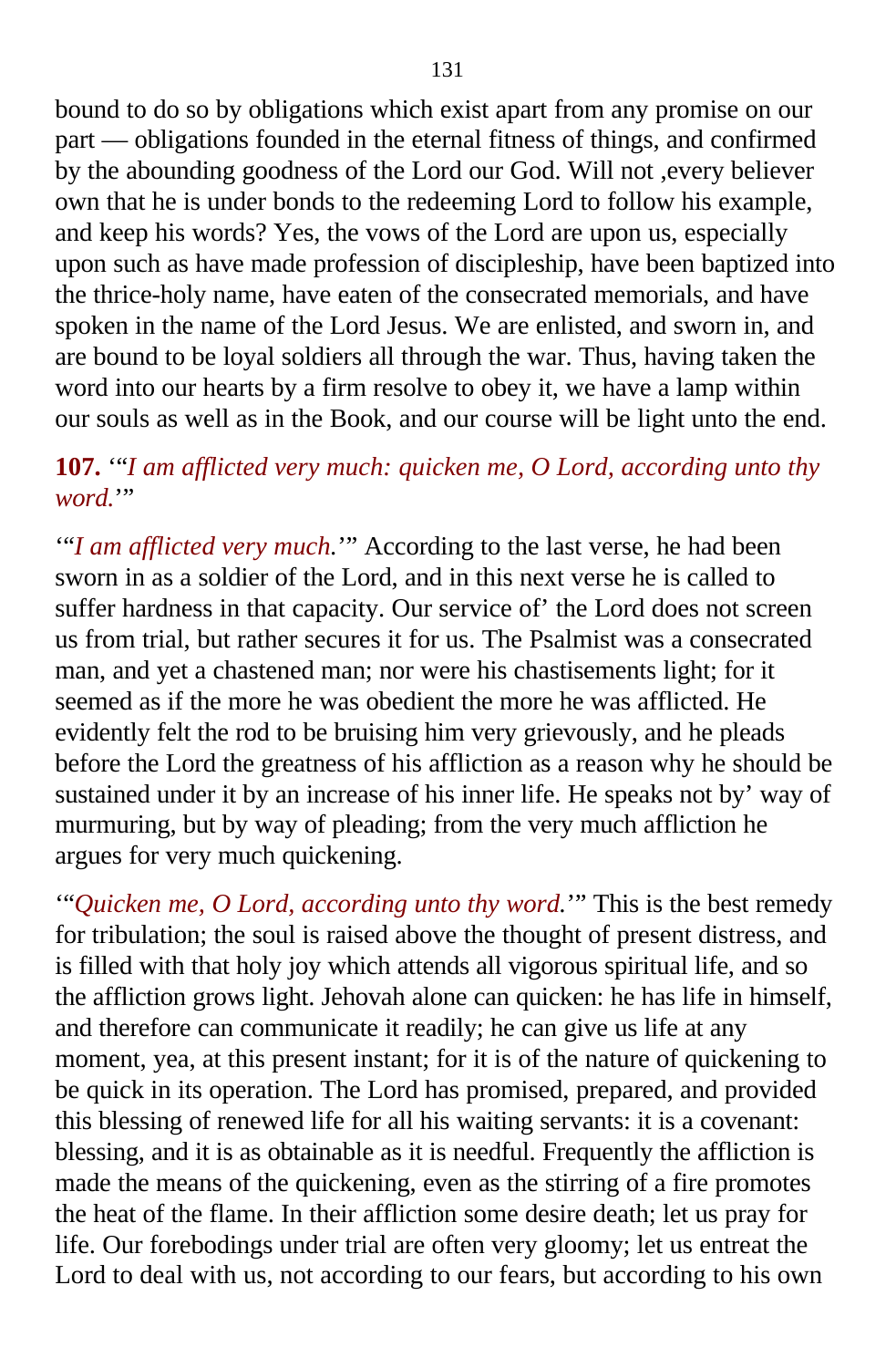bound to do so by obligations which exist apart from any promise on our part — obligations founded in the eternal fitness of things, and confirmed by the abounding goodness of the Lord our God. Will not ,every believer own that he is under bonds to the redeeming Lord to follow his example, and keep his words? Yes, the vows of the Lord are upon us, especially upon such as have made profession of discipleship, have been baptized into the thrice-holy name, have eaten of the consecrated memorials, and have spoken in the name of the Lord Jesus. We are enlisted, and sworn in, and are bound to be loyal soldiers all through the war. Thus, having taken the word into our hearts by a firm resolve to obey it, we have a lamp within our souls as well as in the Book, and our course will be light unto the end.

#### **107.** '"*I am afflicted very much: quicken me, O Lord, according unto thy* word."

'"*I am afflicted very much.*'" According to the last verse, he had been sworn in as a soldier of the Lord, and in this next verse he is called to suffer hardness in that capacity. Our service of' the Lord does not screen us from trial, but rather secures it for us. The Psalmist was a consecrated man, and yet a chastened man; nor were his chastisements light; for it seemed as if the more he was obedient the more he was afflicted. He evidently felt the rod to be bruising him very grievously, and he pleads before the Lord the greatness of his affliction as a reason why he should be sustained under it by an increase of his inner life. He speaks not by' way of murmuring, but by way of pleading; from the very much affliction he argues for very much quickening.

'"*Quicken me, O Lord, according unto thy word.*'" This is the best remedy for tribulation; the soul is raised above the thought of present distress, and is filled with that holy joy which attends all vigorous spiritual life, and so the affliction grows light. Jehovah alone can quicken: he has life in himself, and therefore can communicate it readily; he can give us life at any moment, yea, at this present instant; for it is of the nature of quickening to be quick in its operation. The Lord has promised, prepared, and provided this blessing of renewed life for all his waiting servants: it is a covenant: blessing, and it is as obtainable as it is needful. Frequently the affliction is made the means of the quickening, even as the stirring of a fire promotes the heat of the flame. In their affliction some desire death; let us pray for life. Our forebodings under trial are often very gloomy; let us entreat the Lord to deal with us, not according to our fears, but according to his own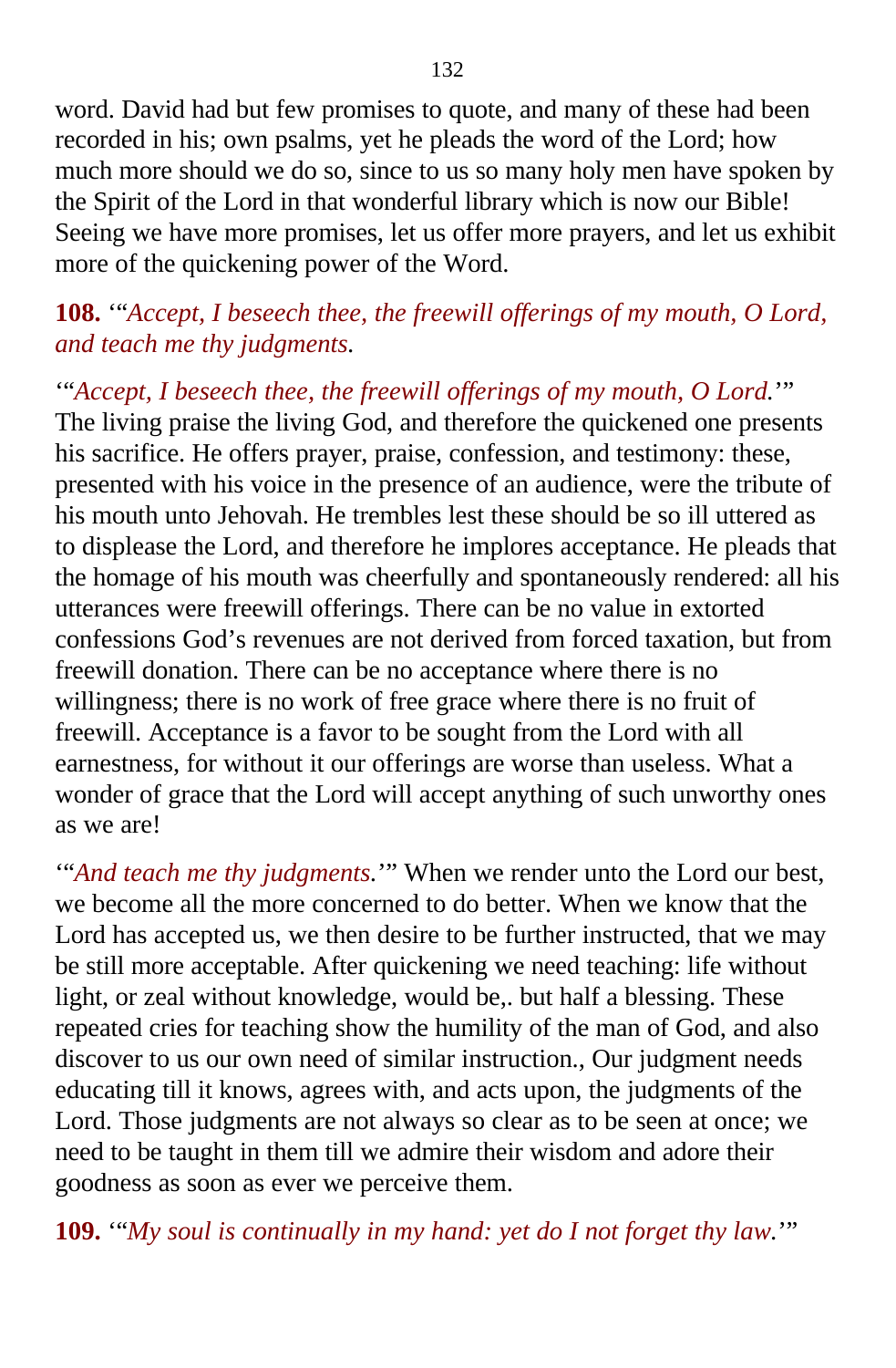word. David had but few promises to quote, and many of these had been recorded in his; own psalms, yet he pleads the word of the Lord; how much more should we do so, since to us so many holy men have spoken by the Spirit of the Lord in that wonderful library which is now our Bible! Seeing we have more promises, let us offer more prayers, and let us exhibit more of the quickening power of the Word.

## **108.** '"*Accept, I beseech thee, the freewill offerings of my mouth, O Lord, and teach me thy judgments.*

'"*Accept, I beseech thee, the freewill offerings of my mouth, O Lord.*'" The living praise the living God, and therefore the quickened one presents his sacrifice. He offers prayer, praise, confession, and testimony: these, presented with his voice in the presence of an audience, were the tribute of his mouth unto Jehovah. He trembles lest these should be so ill uttered as to displease the Lord, and therefore he implores acceptance. He pleads that the homage of his mouth was cheerfully and spontaneously rendered: all his utterances were freewill offerings. There can be no value in extorted confessions God's revenues are not derived from forced taxation, but from freewill donation. There can be no acceptance where there is no willingness; there is no work of free grace where there is no fruit of freewill. Acceptance is a favor to be sought from the Lord with all earnestness, for without it our offerings are worse than useless. What a wonder of grace that the Lord will accept anything of such unworthy ones as we are!

'"*And teach me thy judgments.*'" When we render unto the Lord our best, we become all the more concerned to do better. When we know that the Lord has accepted us, we then desire to be further instructed, that we may be still more acceptable. After quickening we need teaching: life without light, or zeal without knowledge, would be,. but half a blessing. These repeated cries for teaching show the humility of the man of God, and also discover to us our own need of similar instruction., Our judgment needs educating till it knows, agrees with, and acts upon, the judgments of the Lord. Those judgments are not always so clear as to be seen at once; we need to be taught in them till we admire their wisdom and adore their goodness as soon as ever we perceive them.

**109.** '"*My soul is continually in my hand: yet do I not forget thy law.*'"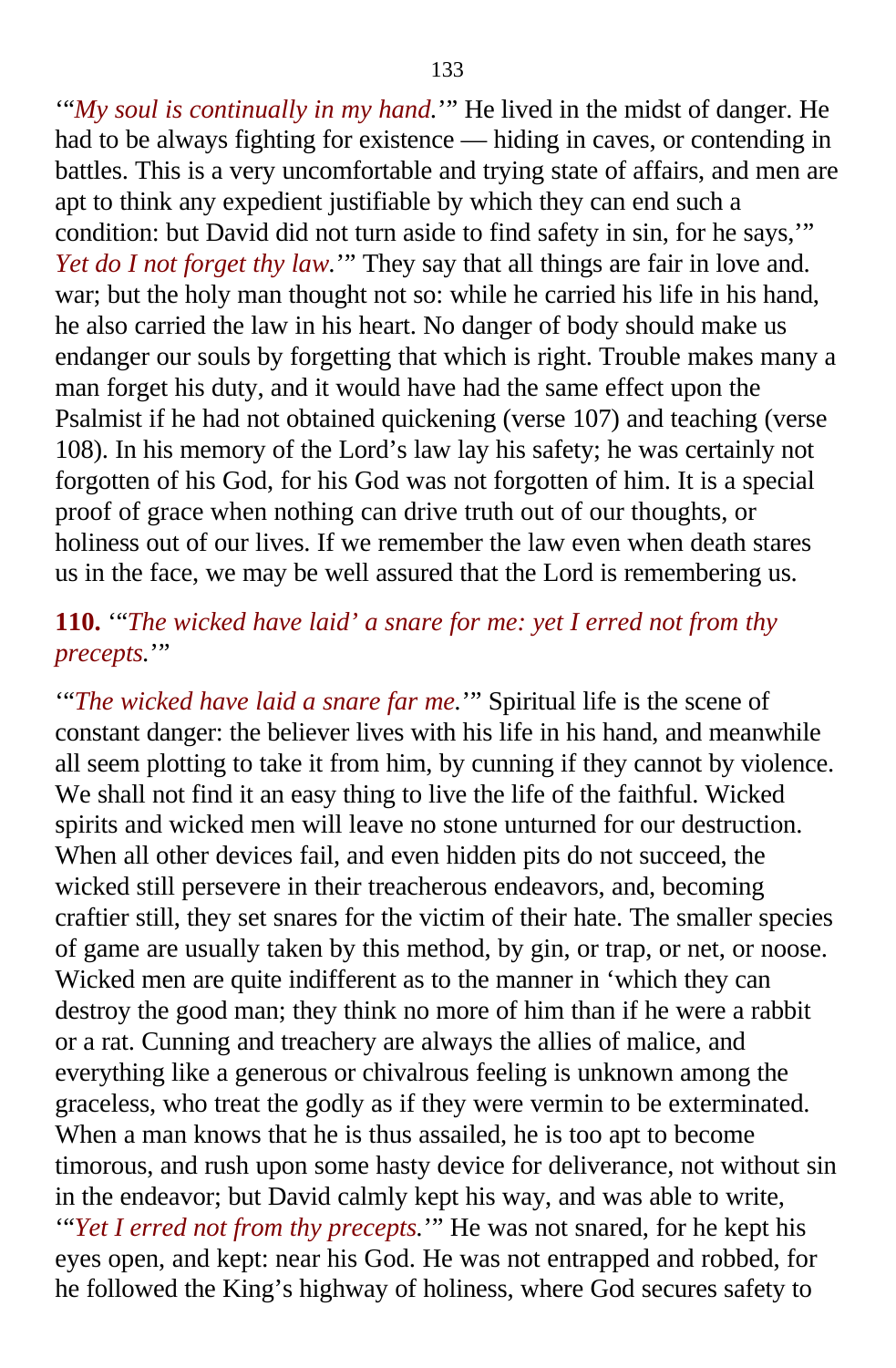'"*My soul is continually in my hand.*'" He lived in the midst of danger. He had to be always fighting for existence — hiding in caves, or contending in battles. This is a very uncomfortable and trying state of affairs, and men are apt to think any expedient justifiable by which they can end such a condition: but David did not turn aside to find safety in sin, for he says,'" *Yet do I not forget thy law.*'" They say that all things are fair in love and. war; but the holy man thought not so: while he carried his life in his hand, he also carried the law in his heart. No danger of body should make us endanger our souls by forgetting that which is right. Trouble makes many a man forget his duty, and it would have had the same effect upon the Psalmist if he had not obtained quickening (verse 107) and teaching (verse 108). In his memory of the Lord's law lay his safety; he was certainly not forgotten of his God, for his God was not forgotten of him. It is a special proof of grace when nothing can drive truth out of our thoughts, or holiness out of our lives. If we remember the law even when death stares us in the face, we may be well assured that the Lord is remembering us.

### **110.** '"*The wicked have laid' a snare for me: yet I erred not from thy* precepts."

'"*The wicked have laid a snare far me.*'" Spiritual life is the scene of constant danger: the believer lives with his life in his hand, and meanwhile all seem plotting to take it from him, by cunning if they cannot by violence. We shall not find it an easy thing to live the life of the faithful. Wicked spirits and wicked men will leave no stone unturned for our destruction. When all other devices fail, and even hidden pits do not succeed, the wicked still persevere in their treacherous endeavors, and, becoming craftier still, they set snares for the victim of their hate. The smaller species of game are usually taken by this method, by gin, or trap, or net, or noose. Wicked men are quite indifferent as to the manner in 'which they can destroy the good man; they think no more of him than if he were a rabbit or a rat. Cunning and treachery are always the allies of malice, and everything like a generous or chivalrous feeling is unknown among the graceless, who treat the godly as if they were vermin to be exterminated. When a man knows that he is thus assailed, he is too apt to become timorous, and rush upon some hasty device for deliverance, not without sin in the endeavor; but David calmly kept his way, and was able to write, '"*Yet I erred not from thy precepts.*'" He was not snared, for he kept his eyes open, and kept: near his God. He was not entrapped and robbed, for he followed the King's highway of holiness, where God secures safety to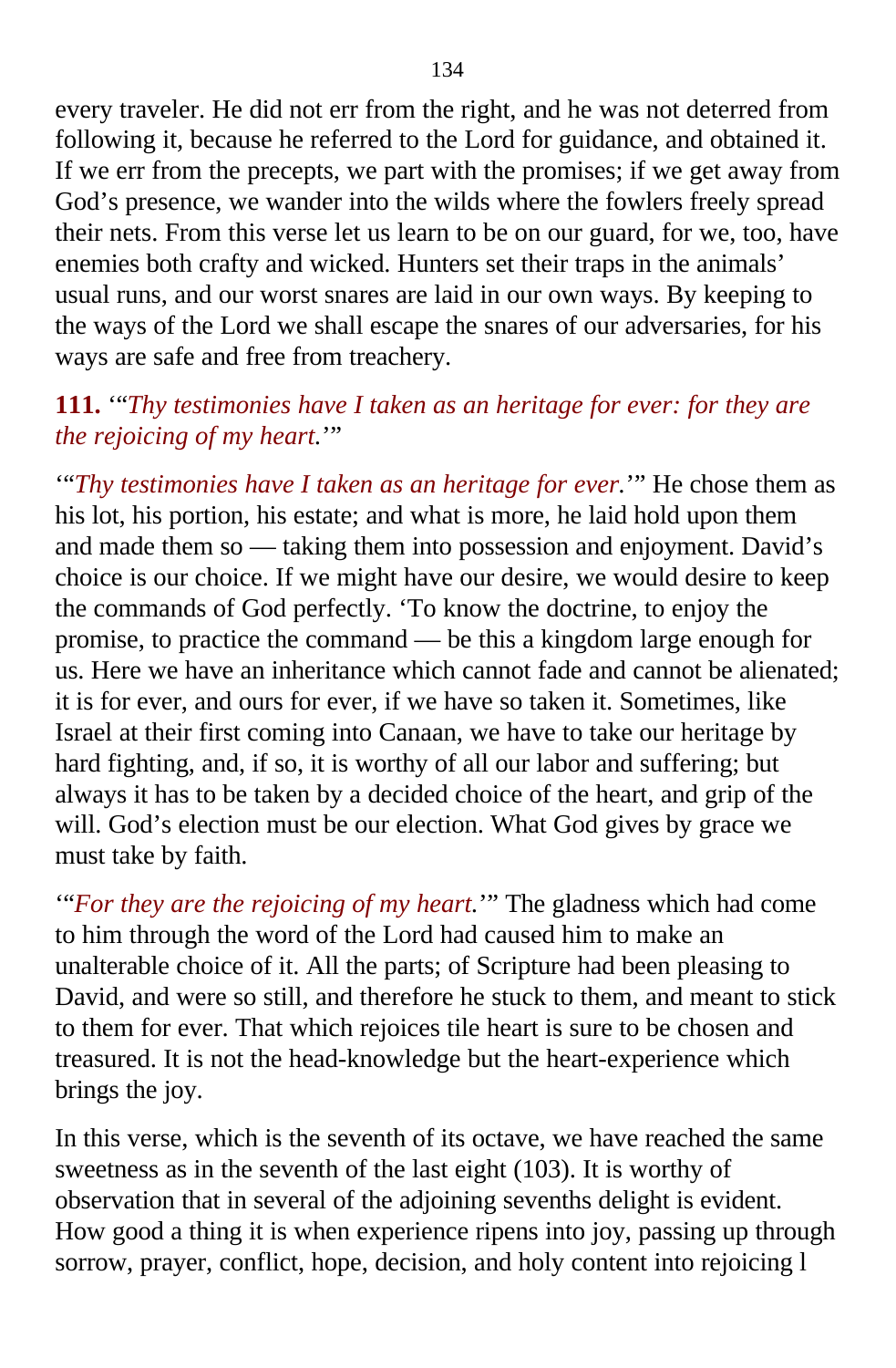every traveler. He did not err from the right, and he was not deterred from following it, because he referred to the Lord for guidance, and obtained it. If we err from the precepts, we part with the promises; if we get away from God's presence, we wander into the wilds where the fowlers freely spread their nets. From this verse let us learn to be on our guard, for we, too, have enemies both crafty and wicked. Hunters set their traps in the animals' usual runs, and our worst snares are laid in our own ways. By keeping to the ways of the Lord we shall escape the snares of our adversaries, for his ways are safe and free from treachery.

#### **111.** '"*Thy testimonies have I taken as an heritage for ever: for they are the rejoicing of my heart.*"

'"*Thy testimonies have I taken as an heritage for ever.*'" He chose them as his lot, his portion, his estate; and what is more, he laid hold upon them and made them so — taking them into possession and enjoyment. David's choice is our choice. If we might have our desire, we would desire to keep the commands of God perfectly. 'To know the doctrine, to enjoy the promise, to practice the command — be this a kingdom large enough for us. Here we have an inheritance which cannot fade and cannot be alienated; it is for ever, and ours for ever, if we have so taken it. Sometimes, like Israel at their first coming into Canaan, we have to take our heritage by hard fighting, and, if so, it is worthy of all our labor and suffering; but always it has to be taken by a decided choice of the heart, and grip of the will. God's election must be our election. What God gives by grace we must take by faith.

'"*For they are the rejoicing of my heart.*'" The gladness which had come to him through the word of the Lord had caused him to make an unalterable choice of it. All the parts; of Scripture had been pleasing to David, and were so still, and therefore he stuck to them, and meant to stick to them for ever. That which rejoices tile heart is sure to be chosen and treasured. It is not the head-knowledge but the heart-experience which brings the joy.

In this verse, which is the seventh of its octave, we have reached the same sweetness as in the seventh of the last eight (103). It is worthy of observation that in several of the adjoining sevenths delight is evident. How good a thing it is when experience ripens into joy, passing up through sorrow, prayer, conflict, hope, decision, and holy content into rejoicing l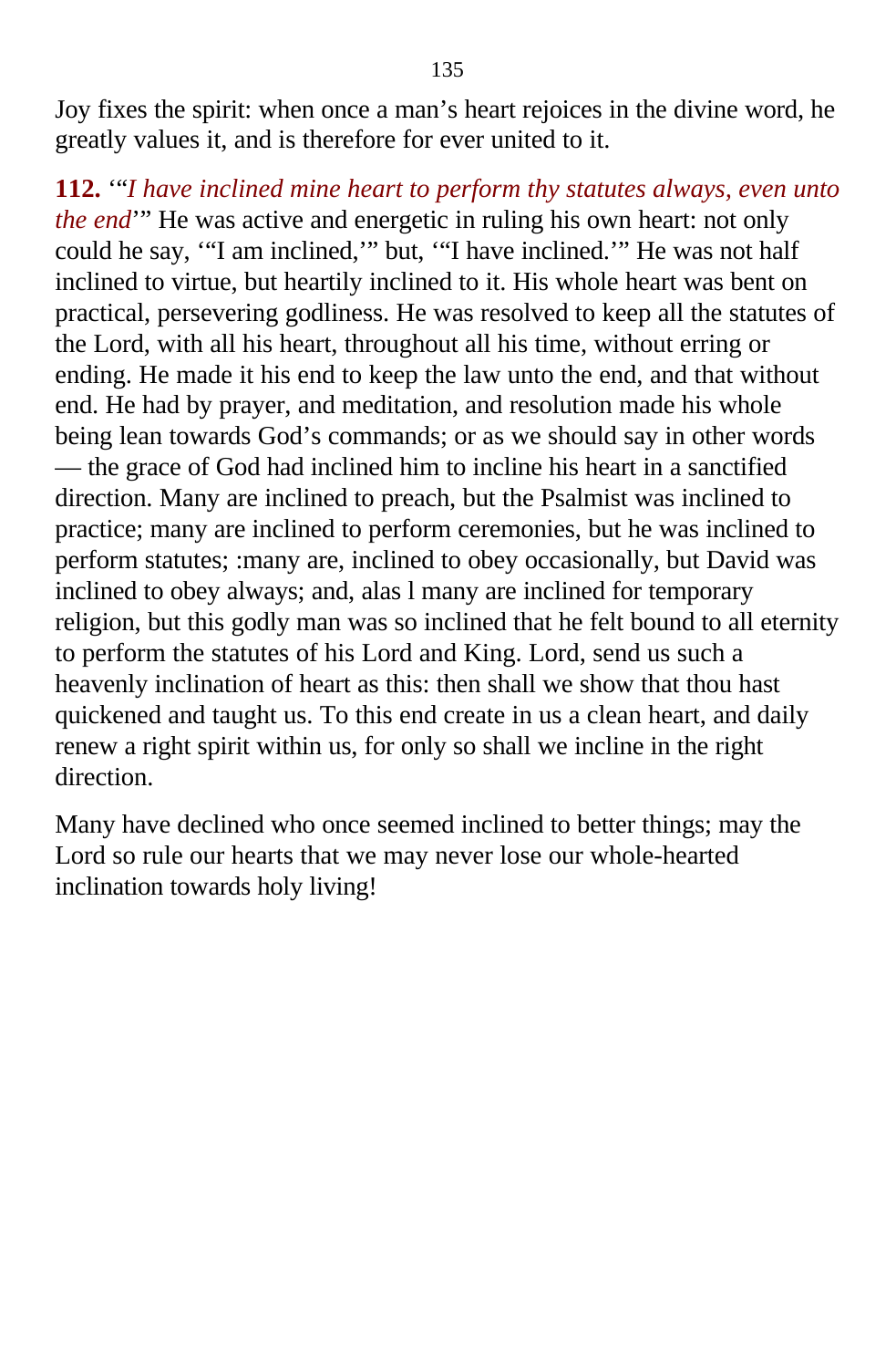Joy fixes the spirit: when once a man's heart rejoices in the divine word, he greatly values it, and is therefore for ever united to it.

**112.** '"*I have inclined mine heart to perform thy statutes always, even unto the end*" He was active and energetic in ruling his own heart: not only could he say, '"I am inclined,'" but, '"I have inclined.'" He was not half inclined to virtue, but heartily inclined to it. His whole heart was bent on practical, persevering godliness. He was resolved to keep all the statutes of the Lord, with all his heart, throughout all his time, without erring or ending. He made it his end to keep the law unto the end, and that without end. He had by prayer, and meditation, and resolution made his whole being lean towards God's commands; or as we should say in other words — the grace of God had inclined him to incline his heart in a sanctified direction. Many are inclined to preach, but the Psalmist was inclined to practice; many are inclined to perform ceremonies, but he was inclined to perform statutes; :many are, inclined to obey occasionally, but David was inclined to obey always; and, alas l many are inclined for temporary religion, but this godly man was so inclined that he felt bound to all eternity to perform the statutes of his Lord and King. Lord, send us such a heavenly inclination of heart as this: then shall we show that thou hast quickened and taught us. To this end create in us a clean heart, and daily renew a right spirit within us, for only so shall we incline in the right direction.

Many have declined who once seemed inclined to better things; may the Lord so rule our hearts that we may never lose our whole-hearted inclination towards holy living!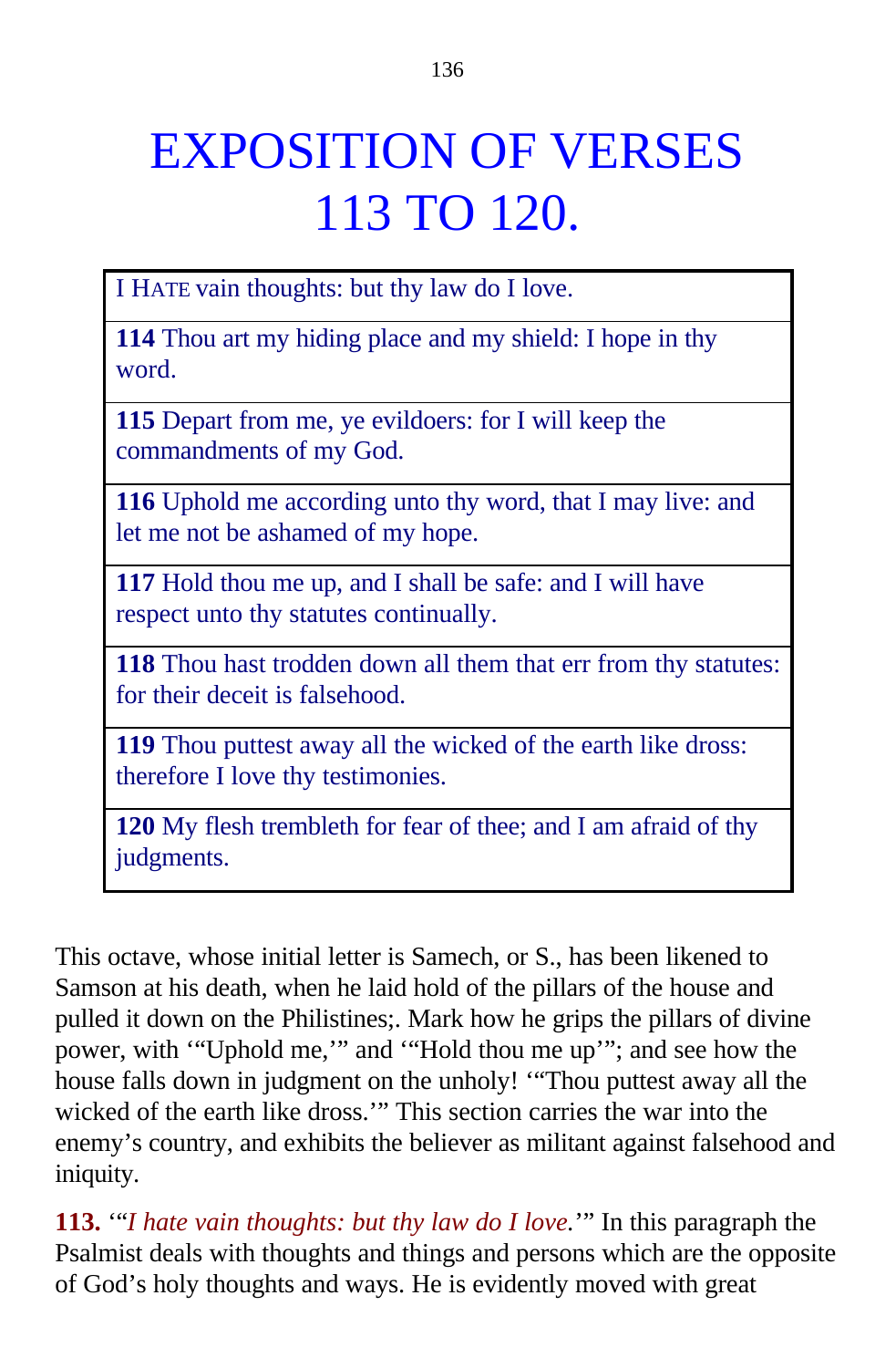# EXPOSITION OF VERSES 113 TO 120.

I HATE vain thoughts: but thy law do I love.

**114** Thou art my hiding place and my shield: I hope in thy word.

**115** Depart from me, ye evildoers: for I will keep the commandments of my God.

**116** Uphold me according unto thy word, that I may live: and let me not be ashamed of my hope.

**117** Hold thou me up, and I shall be safe: and I will have respect unto thy statutes continually.

**118** Thou hast trodden down all them that err from thy statutes: for their deceit is falsehood.

**119** Thou puttest away all the wicked of the earth like dross: therefore I love thy testimonies.

**120** My flesh trembleth for fear of thee; and I am afraid of thy judgments.

This octave, whose initial letter is Samech, or S., has been likened to Samson at his death, when he laid hold of the pillars of the house and pulled it down on the Philistines;. Mark how he grips the pillars of divine power, with '"Uphold me,'" and '"Hold thou me up'"; and see how the house falls down in judgment on the unholy! '"Thou puttest away all the wicked of the earth like dross.'" This section carries the war into the enemy's country, and exhibits the believer as militant against falsehood and iniquity.

**113.** '"*I hate vain thoughts: but thy law do I love.*'" In this paragraph the Psalmist deals with thoughts and things and persons which are the opposite of God's holy thoughts and ways. He is evidently moved with great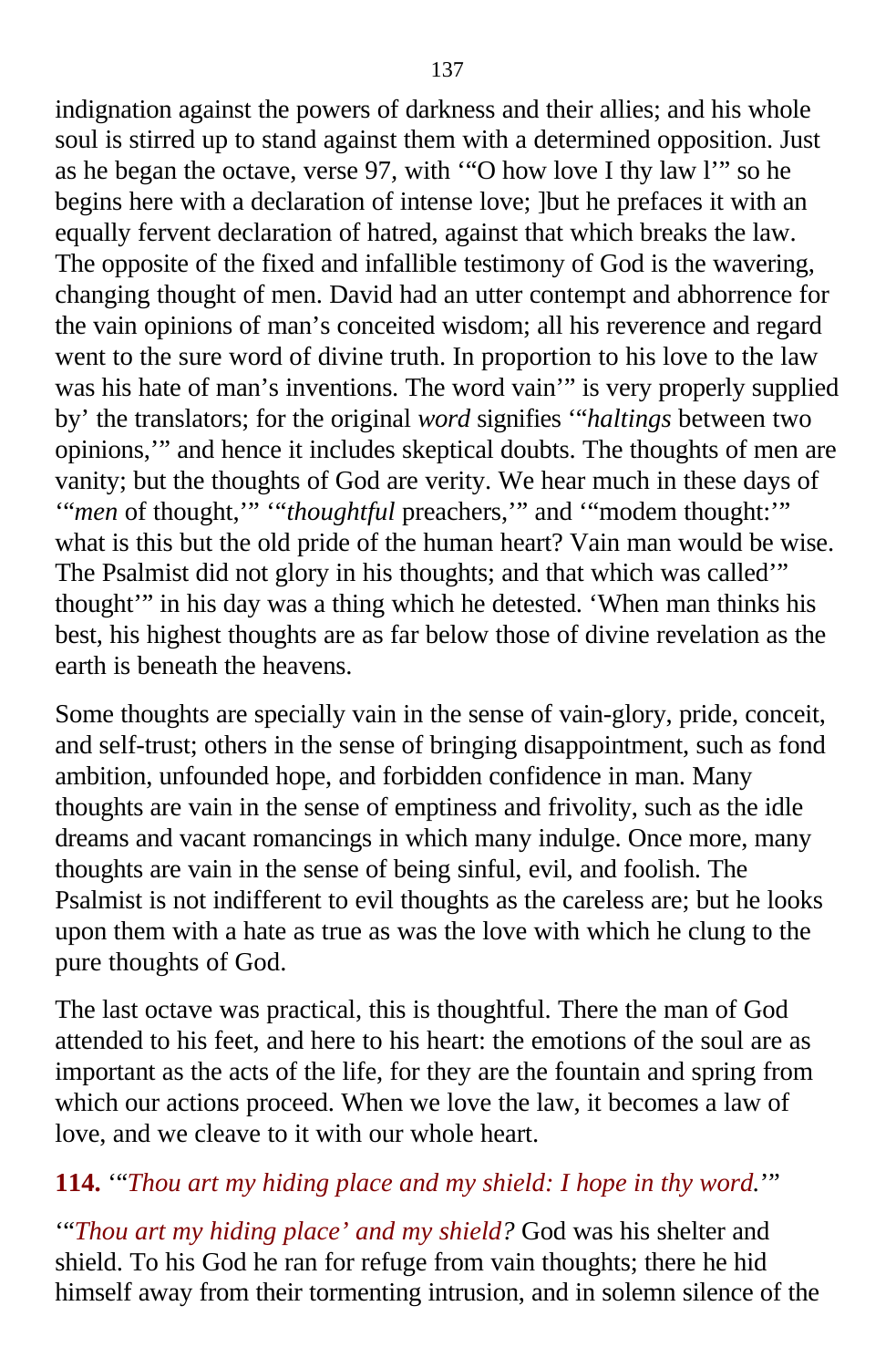indignation against the powers of darkness and their allies; and his whole soul is stirred up to stand against them with a determined opposition. Just as he began the octave, verse 97*,* with '"O how love I thy law l'" so he begins here with a declaration of intense love; ]but he prefaces it with an equally fervent declaration of hatred, against that which breaks the law. The opposite of the fixed and infallible testimony of God is the wavering, changing thought of men. David had an utter contempt and abhorrence for the vain opinions of man's conceited wisdom; all his reverence and regard went to the sure word of divine truth. In proportion to his love to the law was his hate of man's inventions. The word vain'" is very properly supplied by' the translators; for the original *word* signifies '"*haltings* between two opinions,'" and hence it includes skeptical doubts. The thoughts of men are vanity; but the thoughts of God are verity. We hear much in these days of "men of thought," "thoughtful preachers," and "modem thought:" what is this but the old pride of the human heart? Vain man would be wise. The Psalmist did not glory in his thoughts; and that which was called'" thought'" in his day was a thing which he detested. 'When man thinks his best, his highest thoughts are as far below those of divine revelation as the earth is beneath the heavens.

Some thoughts are specially vain in the sense of vain-glory, pride, conceit, and self-trust; others in the sense of bringing disappointment, such as fond ambition, unfounded hope, and forbidden confidence in man. Many thoughts are vain in the sense of emptiness and frivolity, such as the idle dreams and vacant romancings in which many indulge. Once more, many thoughts are vain in the sense of being sinful, evil, and foolish. The Psalmist is not indifferent to evil thoughts as the careless are; but he looks upon them with a hate as true as was the love with which he clung to the pure thoughts of God.

The last octave was practical, this is thoughtful. There the man of God attended to his feet, and here to his heart: the emotions of the soul are as important as the acts of the life, for they are the fountain and spring from which our actions proceed. When we love the law, it becomes a law of love, and we cleave to it with our whole heart.

#### **114.** '"*Thou art my hiding place and my shield: I hope in thy word.*'"

'"*Thou art my hiding place' and my shield?* God was his shelter and shield. To his God he ran for refuge from vain thoughts; there he hid himself away from their tormenting intrusion, and in solemn silence of the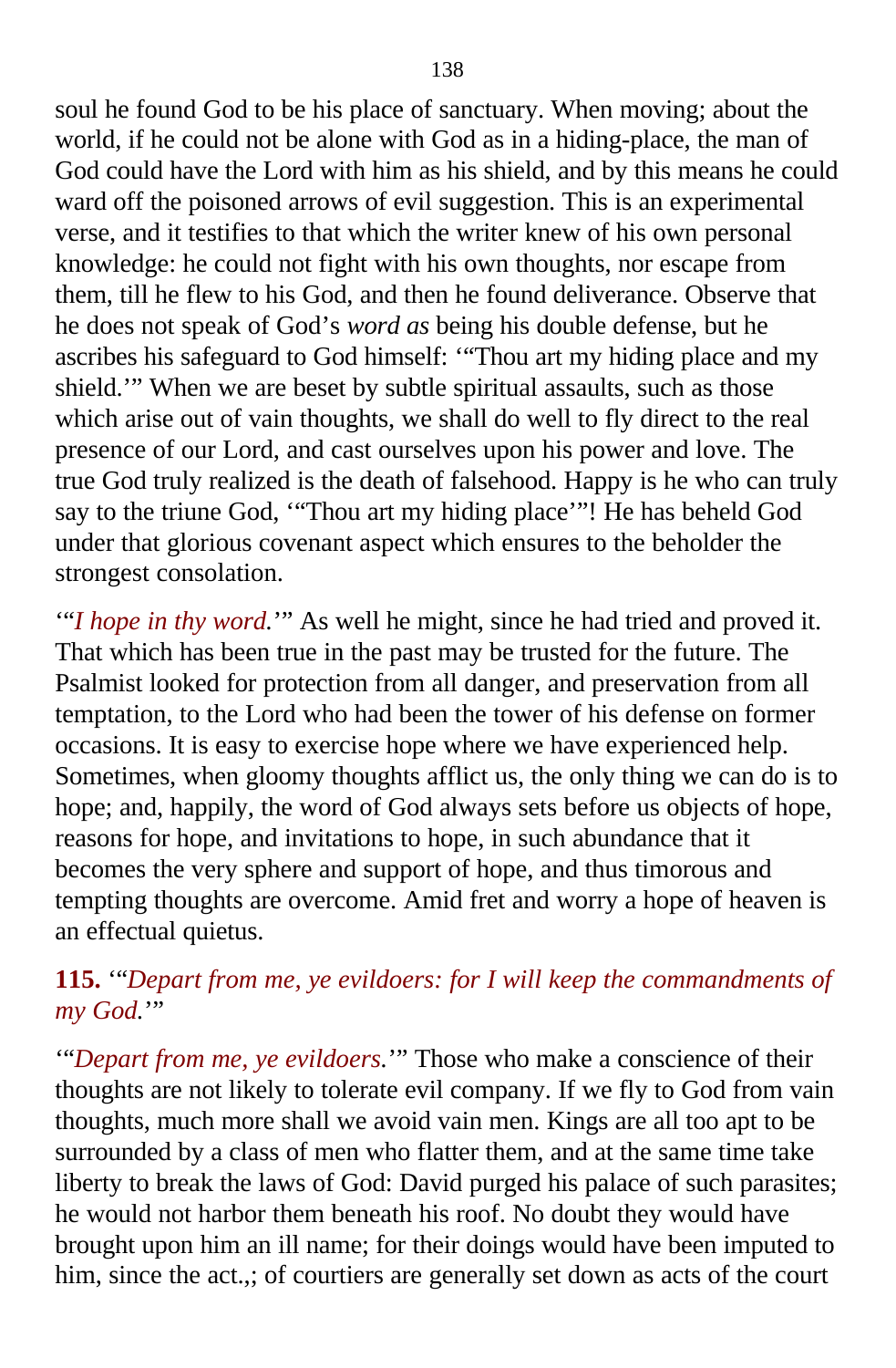soul he found God to be his place of sanctuary. When moving; about the world, if he could not be alone with God as in a hiding-place, the man of God could have the Lord with him as his shield, and by this means he could ward off the poisoned arrows of evil suggestion. This is an experimental verse, and it testifies to that which the writer knew of his own personal knowledge: he could not fight with his own thoughts, nor escape from them, till he flew to his God, and then he found deliverance. Observe that he does not speak of God's *word as* being his double defense, but he ascribes his safeguard to God himself: '"Thou art my hiding place and my shield.'" When we are beset by subtle spiritual assaults, such as those which arise out of vain thoughts, we shall do well to fly direct to the real presence of our Lord, and cast ourselves upon his power and love. The true God truly realized is the death of falsehood. Happy is he who can truly say to the triune God, '"Thou art my hiding place'"! He has beheld God under that glorious covenant aspect which ensures to the beholder the strongest consolation.

'"*I hope in thy word.*'" As well he might, since he had tried and proved it. That which has been true in the past may be trusted for the future. The Psalmist looked for protection from all danger, and preservation from all temptation, to the Lord who had been the tower of his defense on former occasions. It is easy to exercise hope where we have experienced help. Sometimes, when gloomy thoughts afflict us, the only thing we can do is to hope; and, happily, the word of God always sets before us objects of hope, reasons for hope, and invitations to hope, in such abundance that it becomes the very sphere and support of hope, and thus timorous and tempting thoughts are overcome. Amid fret and worry a hope of heaven is an effectual quietus.

## **115.** '"*Depart from me, ye evildoers: for I will keep the commandments of my God.*'"

'"*Depart from me, ye evildoers.*'" Those who make a conscience of their thoughts are not likely to tolerate evil company. If we fly to God from vain thoughts, much more shall we avoid vain men. Kings are all too apt to be surrounded by a class of men who flatter them, and at the same time take liberty to break the laws of God: David purged his palace of such parasites; he would not harbor them beneath his roof. No doubt they would have brought upon him an ill name; for their doings would have been imputed to him, since the act.,; of courtiers are generally set down as acts of the court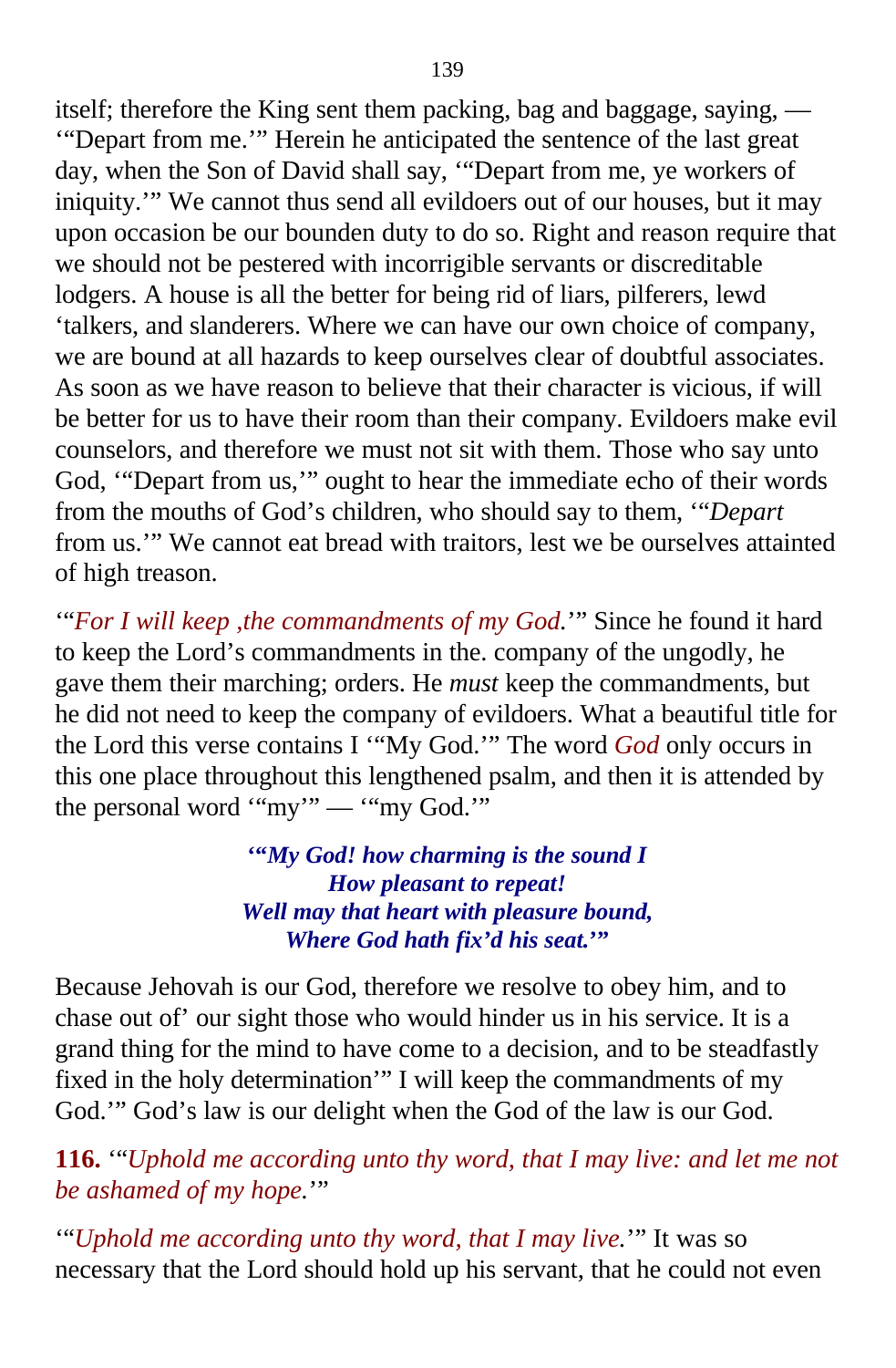itself; therefore the King sent them packing, bag and baggage, saying, — '"Depart from me.'" Herein he anticipated the sentence of the last great day, when the Son of David shall say, '"Depart from me, ye workers of iniquity.'" We cannot thus send all evildoers out of our houses, but it may upon occasion be our bounden duty to do so. Right and reason require that we should not be pestered with incorrigible servants or discreditable lodgers. A house is all the better for being rid of liars, pilferers, lewd 'talkers, and slanderers. Where we can have our own choice of company, we are bound at all hazards to keep ourselves clear of doubtful associates. As soon as we have reason to believe that their character is vicious, if will be better for us to have their room than their company. Evildoers make evil counselors, and therefore we must not sit with them. Those who say unto God, '"Depart from us,'" ought to hear the immediate echo of their words from the mouths of God's children, who should say to them, '"*Depart* from us.'" We cannot eat bread with traitors, lest we be ourselves attainted of high treason.

'"*For I will keep ,the commandments of my God.*'" Since he found it hard to keep the Lord's commandments in the. company of the ungodly, he gave them their marching; orders. He *must* keep the commandments, but he did not need to keep the company of evildoers. What a beautiful title for the Lord this verse contains I '"My God.'" The word *God* only occurs in this one place throughout this lengthened psalm, and then it is attended by the personal word '"my'" — '"my God.'"

> **'"***My God! how charming is the sound I How pleasant to repeat! Well may that heart with pleasure bound, Where God hath fix'd his seat.*

Because Jehovah is our God, therefore we resolve to obey him, and to chase out of' our sight those who would hinder us in his service. It is a grand thing for the mind to have come to a decision, and to be steadfastly fixed in the holy determination'" I will keep the commandments of my God.'" God's law is our delight when the God of the law is our God.

**116.** '"*Uphold me according unto thy word, that I may live: and let me not be ashamed of my hope.*'"

'"*Uphold me according unto thy word, that I may live.*'" It was so necessary that the Lord should hold up his servant, that he could not even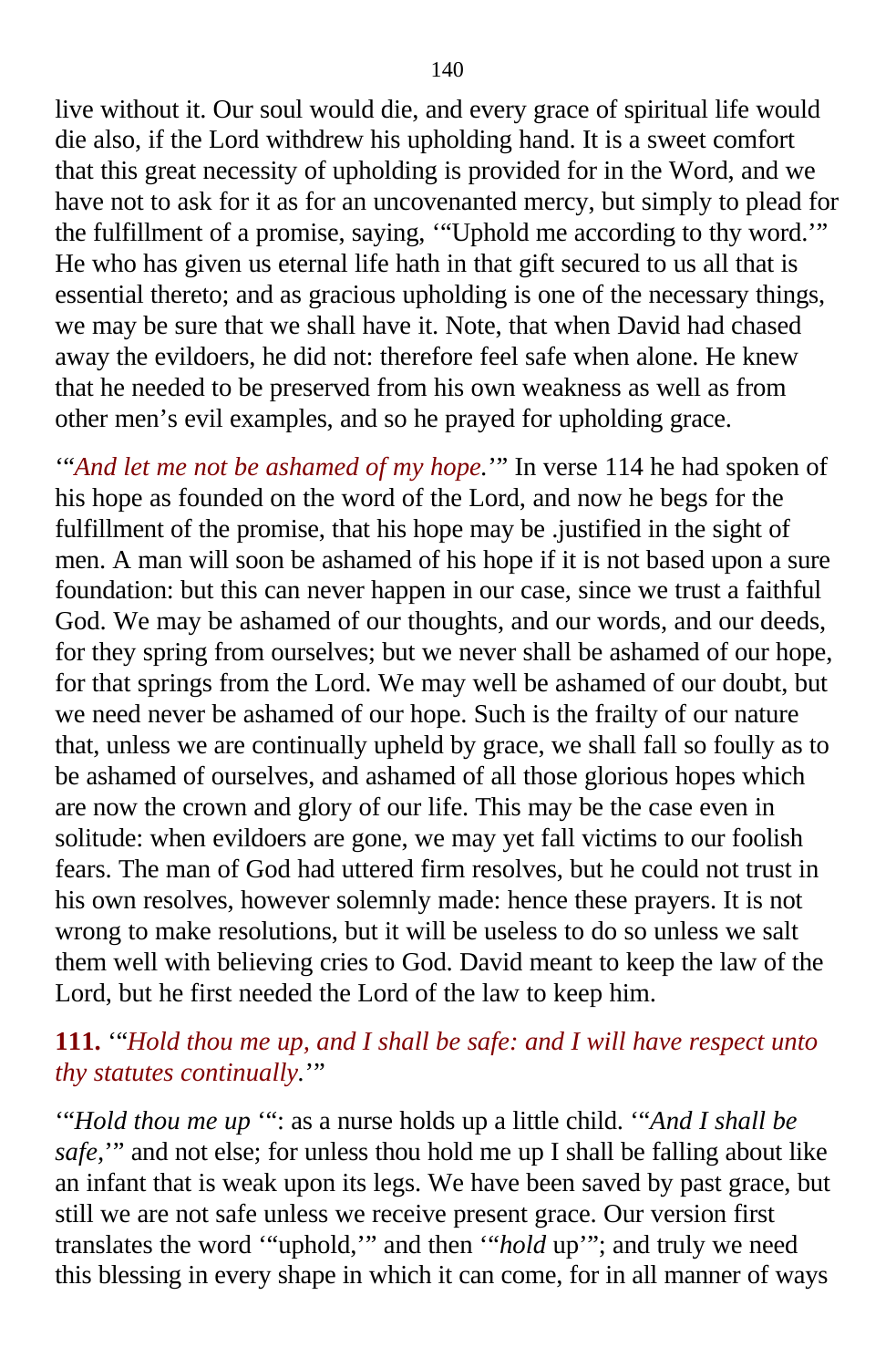live without it. Our soul would die, and every grace of spiritual life would die also, if the Lord withdrew his upholding hand. It is a sweet comfort that this great necessity of upholding is provided for in the Word, and we have not to ask for it as for an uncovenanted mercy, but simply to plead for the fulfillment of a promise, saying, '"Uphold me according to thy word.'" He who has given us eternal life hath in that gift secured to us all that is essential thereto; and as gracious upholding is one of the necessary things, we may be sure that we shall have it. Note, that when David had chased away the evildoers, he did not: therefore feel safe when alone. He knew that he needed to be preserved from his own weakness as well as from other men's evil examples, and so he prayed for upholding grace.

'"*And let me not be ashamed of my hope.*'" In verse 114 he had spoken of his hope as founded on the word of the Lord, and now he begs for the fulfillment of the promise, that his hope may be .justified in the sight of men. A man will soon be ashamed of his hope if it is not based upon a sure foundation: but this can never happen in our case, since we trust a faithful God. We may be ashamed of our thoughts, and our words, and our deeds, for they spring from ourselves; but we never shall be ashamed of our hope, for that springs from the Lord. We may well be ashamed of our doubt, but we need never be ashamed of our hope. Such is the frailty of our nature that, unless we are continually upheld by grace, we shall fall so foully as to be ashamed of ourselves, and ashamed of all those glorious hopes which are now the crown and glory of our life. This may be the case even in solitude: when evildoers are gone, we may yet fall victims to our foolish fears. The man of God had uttered firm resolves, but he could not trust in his own resolves, however solemnly made: hence these prayers. It is not wrong to make resolutions, but it will be useless to do so unless we salt them well with believing cries to God. David meant to keep the law of the Lord, but he first needed the Lord of the law to keep him.

## **111.** '"*Hold thou me up, and I shall be safe: and I will have respect unto thy statutes continually.*'"

'"*Hold thou me up* '": as a nurse holds up a little child. '"*And I shall be safe,*'" and not else; for unless thou hold me up I shall be falling about like an infant that is weak upon its legs. We have been saved by past grace, but still we are not safe unless we receive present grace. Our version first translates the word '"uphold,'" and then '"*hold* up'"; and truly we need this blessing in every shape in which it can come, for in all manner of ways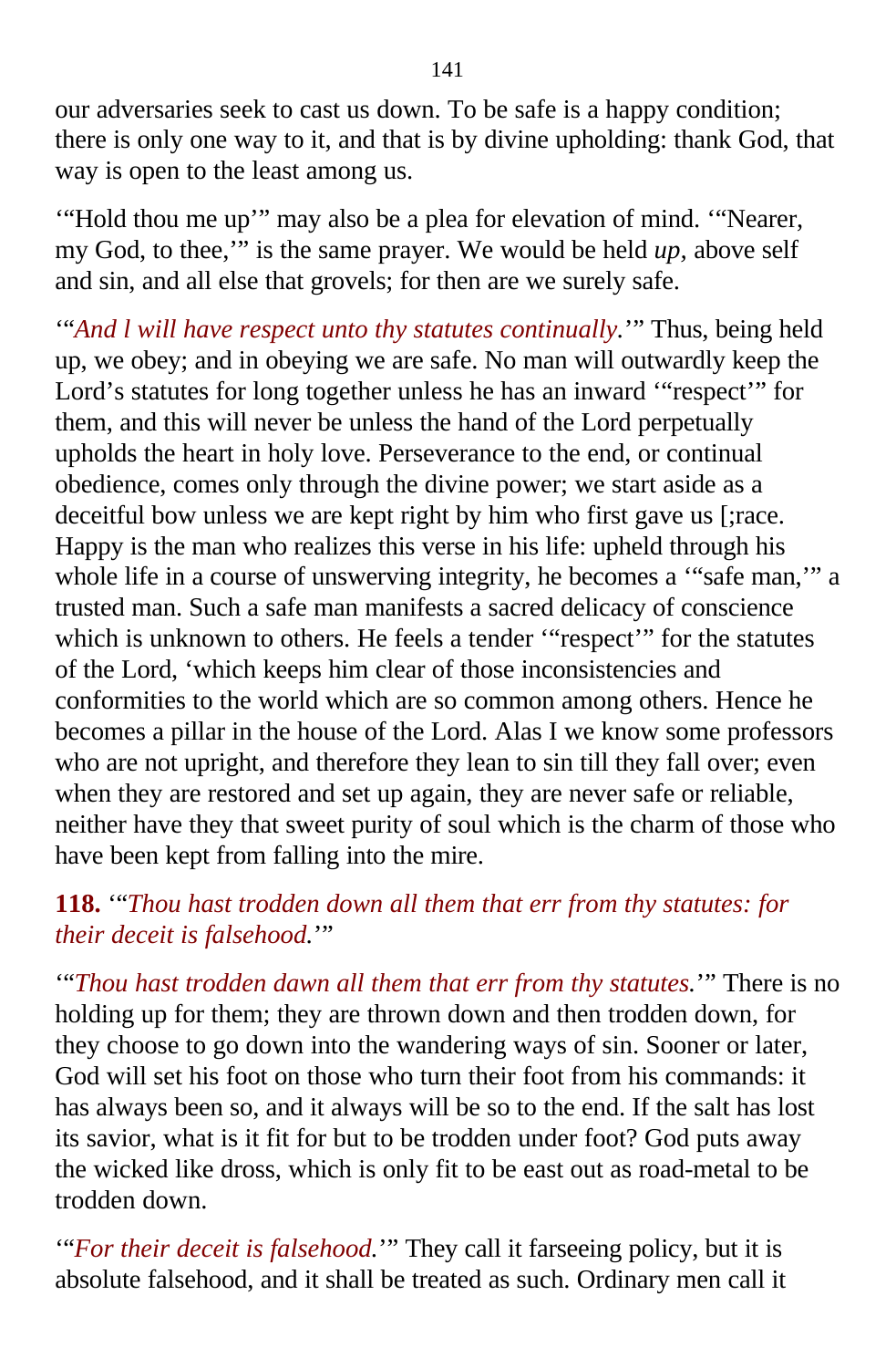our adversaries seek to cast us down. To be safe is a happy condition; there is only one way to it, and that is by divine upholding: thank God, that way is open to the least among us.

'"Hold thou me up'" may also be a plea for elevation of mind. '"Nearer, my God, to thee,'" is the same prayer. We would be held *up,* above self and sin, and all else that grovels; for then are we surely safe.

'"*And l will have respect unto thy statutes continually.*'" Thus, being held up, we obey; and in obeying we are safe. No man will outwardly keep the Lord's statutes for long together unless he has an inward '"respect'" for them, and this will never be unless the hand of the Lord perpetually upholds the heart in holy love. Perseverance to the end, or continual obedience, comes only through the divine power; we start aside as a deceitful bow unless we are kept right by him who first gave us [;race. Happy is the man who realizes this verse in his life: upheld through his whole life in a course of unswerving integrity, he becomes a "safe man," a trusted man. Such a safe man manifests a sacred delicacy of conscience which is unknown to others. He feels a tender '"respect'" for the statutes of the Lord, 'which keeps him clear of those inconsistencies and conformities to the world which are so common among others. Hence he becomes a pillar in the house of the Lord. Alas I we know some professors who are not upright, and therefore they lean to sin till they fall over; even when they are restored and set up again, they are never safe or reliable, neither have they that sweet purity of soul which is the charm of those who have been kept from falling into the mire.

## **118.** '"*Thou hast trodden down all them that err from thy statutes: for their deceit is falsehood.*'"

'"*Thou hast trodden dawn all them that err from thy statutes.*'" There is no holding up for them; they are thrown down and then trodden down, for they choose to go down into the wandering ways of sin. Sooner or later, God will set his foot on those who turn their foot from his commands: it has always been so, and it always will be so to the end. If the salt has lost its savior, what is it fit for but to be trodden under foot? God puts away the wicked like dross, which is only fit to be east out as road-metal to be trodden down.

'"*For their deceit is falsehood.*'" They call it farseeing policy, but it is absolute falsehood, and it shall be treated as such. Ordinary men call it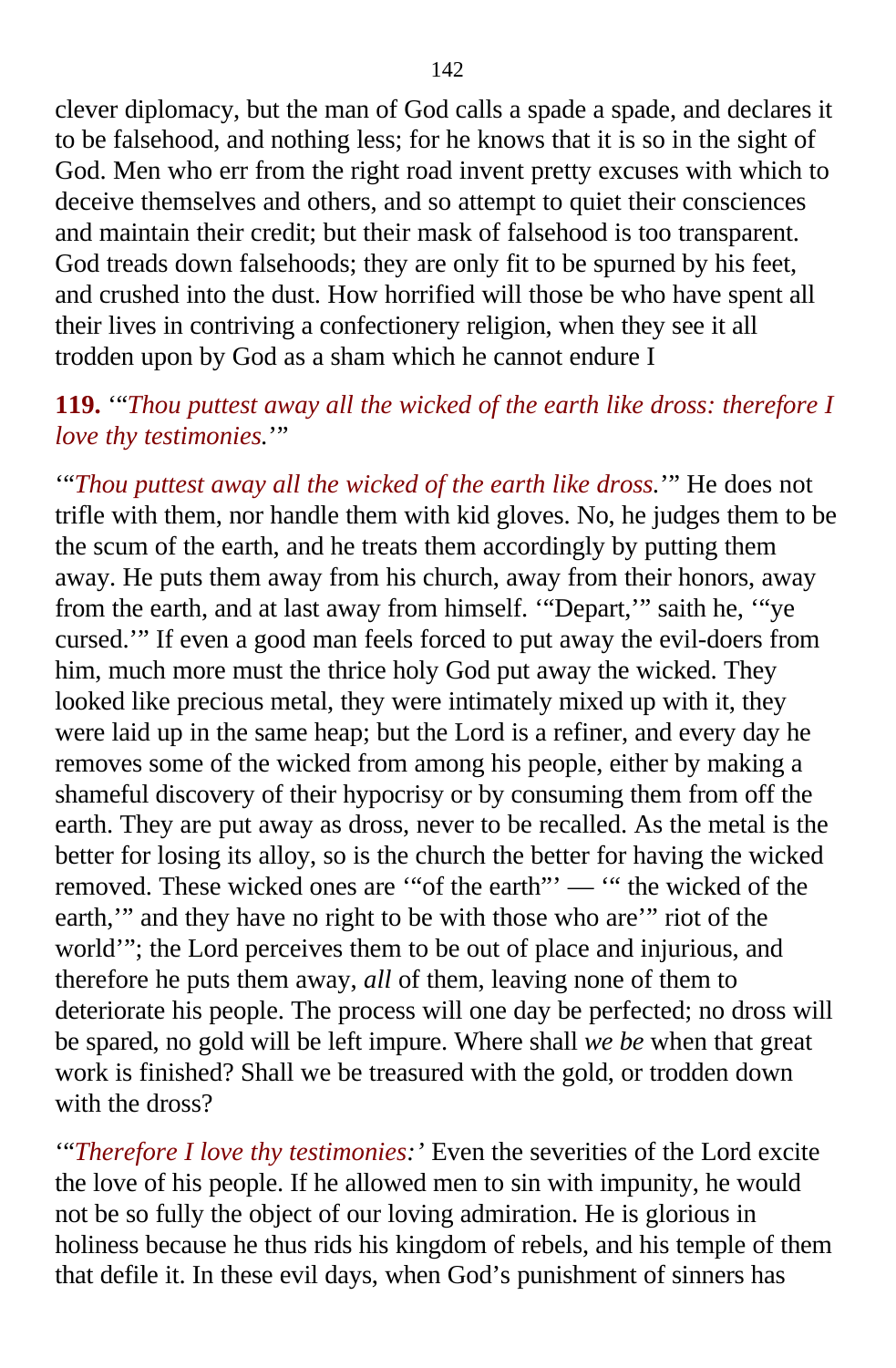clever diplomacy, but the man of God calls a spade a spade, and declares it to be falsehood, and nothing less; for he knows that it is so in the sight of God. Men who err from the right road invent pretty excuses with which to deceive themselves and others, and so attempt to quiet their consciences and maintain their credit; but their mask of falsehood is too transparent. God treads down falsehoods; they are only fit to be spurned by his feet, and crushed into the dust. How horrified will those be who have spent all their lives in contriving a confectionery religion, when they see it all trodden upon by God as a sham which he cannot endure I

#### **119.** '"*Thou puttest away all the wicked of the earth like dross: therefore I love thy testimonies.*"

'"*Thou puttest away all the wicked of the earth like dross.*'" He does not trifle with them, nor handle them with kid gloves. No, he judges them to be the scum of the earth, and he treats them accordingly by putting them away. He puts them away from his church, away from their honors, away from the earth, and at last away from himself. '"Depart,'" saith he, '"ye cursed.'" If even a good man feels forced to put away the evil-doers from him, much more must the thrice holy God put away the wicked. They looked like precious metal, they were intimately mixed up with it, they were laid up in the same heap; but the Lord is a refiner, and every day he removes some of the wicked from among his people, either by making a shameful discovery of their hypocrisy or by consuming them from off the earth. They are put away as dross, never to be recalled. As the metal is the better for losing its alloy, so is the church the better for having the wicked removed. These wicked ones are '"of the earth"' — '" the wicked of the earth,'" and they have no right to be with those who are'" riot of the world'"; the Lord perceives them to be out of place and injurious, and therefore he puts them away, *all* of them, leaving none of them to deteriorate his people. The process will one day be perfected; no dross will be spared, no gold will be left impure. Where shall *we be* when that great work is finished? Shall we be treasured with the gold, or trodden down with the dross?

'"*Therefore I love thy testimonies:'* Even the severities of the Lord excite the love of his people. If he allowed men to sin with impunity, he would not be so fully the object of our loving admiration. He is glorious in holiness because he thus rids his kingdom of rebels, and his temple of them that defile it. In these evil days, when God's punishment of sinners has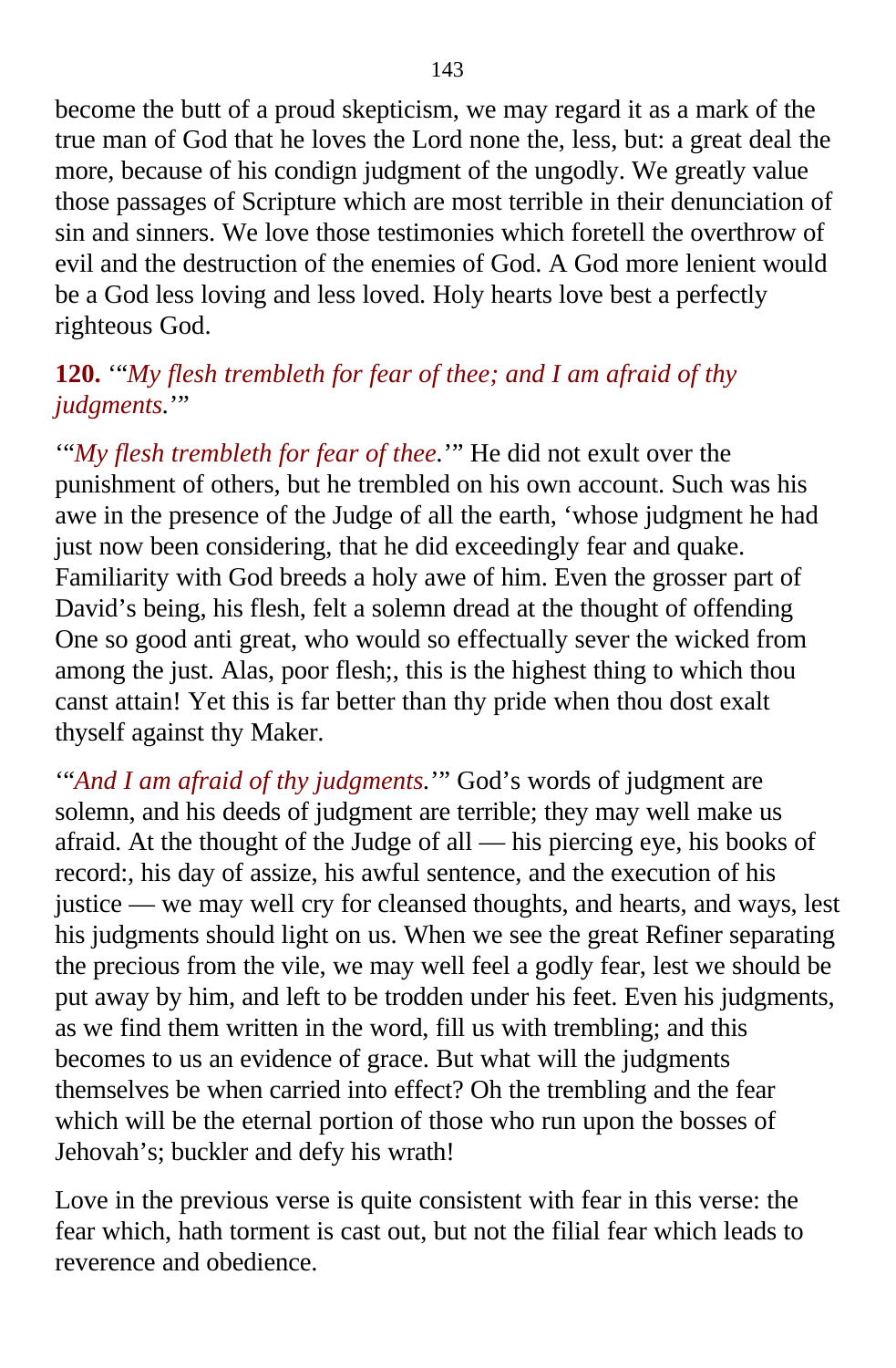become the butt of a proud skepticism, we may regard it as a mark of the true man of God that he loves the Lord none the, less, but: a great deal the more, because of his condign judgment of the ungodly. We greatly value those passages of Scripture which are most terrible in their denunciation of sin and sinners. We love those testimonies which foretell the overthrow of evil and the destruction of the enemies of God. A God more lenient would be a God less loving and less loved. Holy hearts love best a perfectly righteous God.

#### **120.** '"*My flesh trembleth for fear of thee; and I am afraid of thy judgments.*"

'"*My flesh trembleth for fear of thee.*'" He did not exult over the punishment of others, but he trembled on his own account. Such was his awe in the presence of the Judge of all the earth, 'whose judgment he had just now been considering, that he did exceedingly fear and quake. Familiarity with God breeds a holy awe of him. Even the grosser part of David's being, his flesh, felt a solemn dread at the thought of offending One so good anti great, who would so effectually sever the wicked from among the just. Alas, poor flesh;, this is the highest thing to which thou canst attain! Yet this is far better than thy pride when thou dost exalt thyself against thy Maker.

'"*And I am afraid of thy judgments.*'" God's words of judgment are solemn, and his deeds of judgment are terrible; they may well make us afraid. At the thought of the Judge of all — his piercing eye, his books of record:, his day of assize, his awful sentence, and the execution of his justice — we may well cry for cleansed thoughts, and hearts, and ways, lest his judgments should light on us. When we see the great Refiner separating the precious from the vile, we may well feel a godly fear, lest we should be put away by him, and left to be trodden under his feet. Even his judgments, as we find them written in the word, fill us with trembling; and this becomes to us an evidence of grace. But what will the judgments themselves be when carried into effect? Oh the trembling and the fear which will be the eternal portion of those who run upon the bosses of Jehovah's; buckler and defy his wrath!

Love in the previous verse is quite consistent with fear in this verse: the fear which, hath torment is cast out, but not the filial fear which leads to reverence and obedience.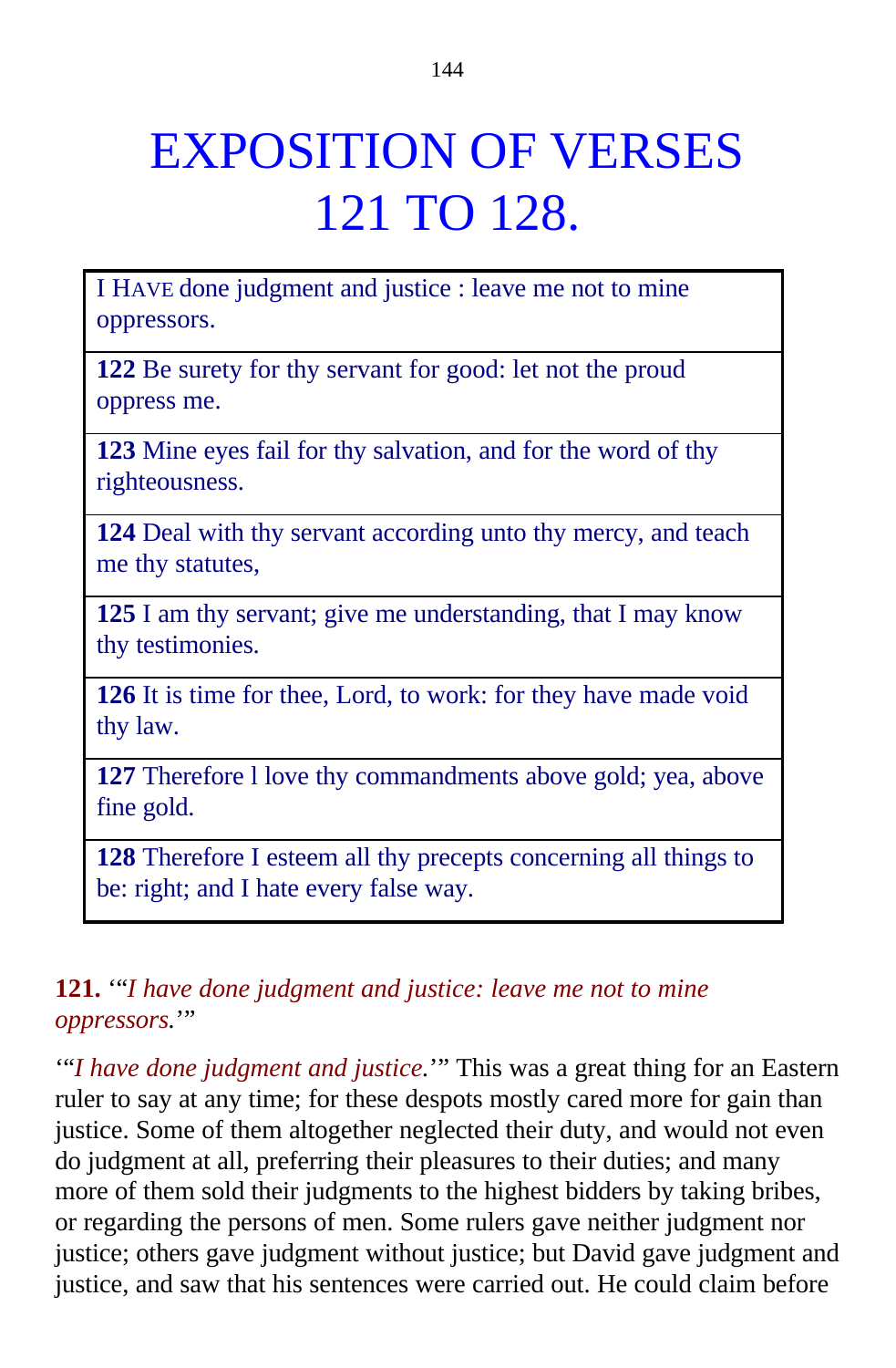# EXPOSITION OF VERSES 121 TO 128.

I HAVE done judgment and justice : leave me not to mine oppressors.

**122** Be surety for thy servant for good: let not the proud oppress me.

**123** Mine eyes fail for thy salvation, and for the word of thy righteousness.

**124** Deal with thy servant according unto thy mercy, and teach me thy statutes,

**125** I am thy servant; give me understanding, that I may know thy testimonies.

**126** It is time for thee, Lord, to work: for they have made void thy law.

**127** Therefore l love thy commandments above gold; yea, above fine gold.

**128** Therefore I esteem all thy precepts concerning all things to be: right; and I hate every false way.

## **121.** '"*I have done judgment and justice: leave me not to mine oppressors.*'"

'"*I have done judgment and justice.*'" This was a great thing for an Eastern ruler to say at any time; for these despots mostly cared more for gain than justice. Some of them altogether neglected their duty, and would not even do judgment at all, preferring their pleasures to their duties; and many more of them sold their judgments to the highest bidders by taking bribes, or regarding the persons of men. Some rulers gave neither judgment nor justice; others gave judgment without justice; but David gave judgment and justice, and saw that his sentences were carried out. He could claim before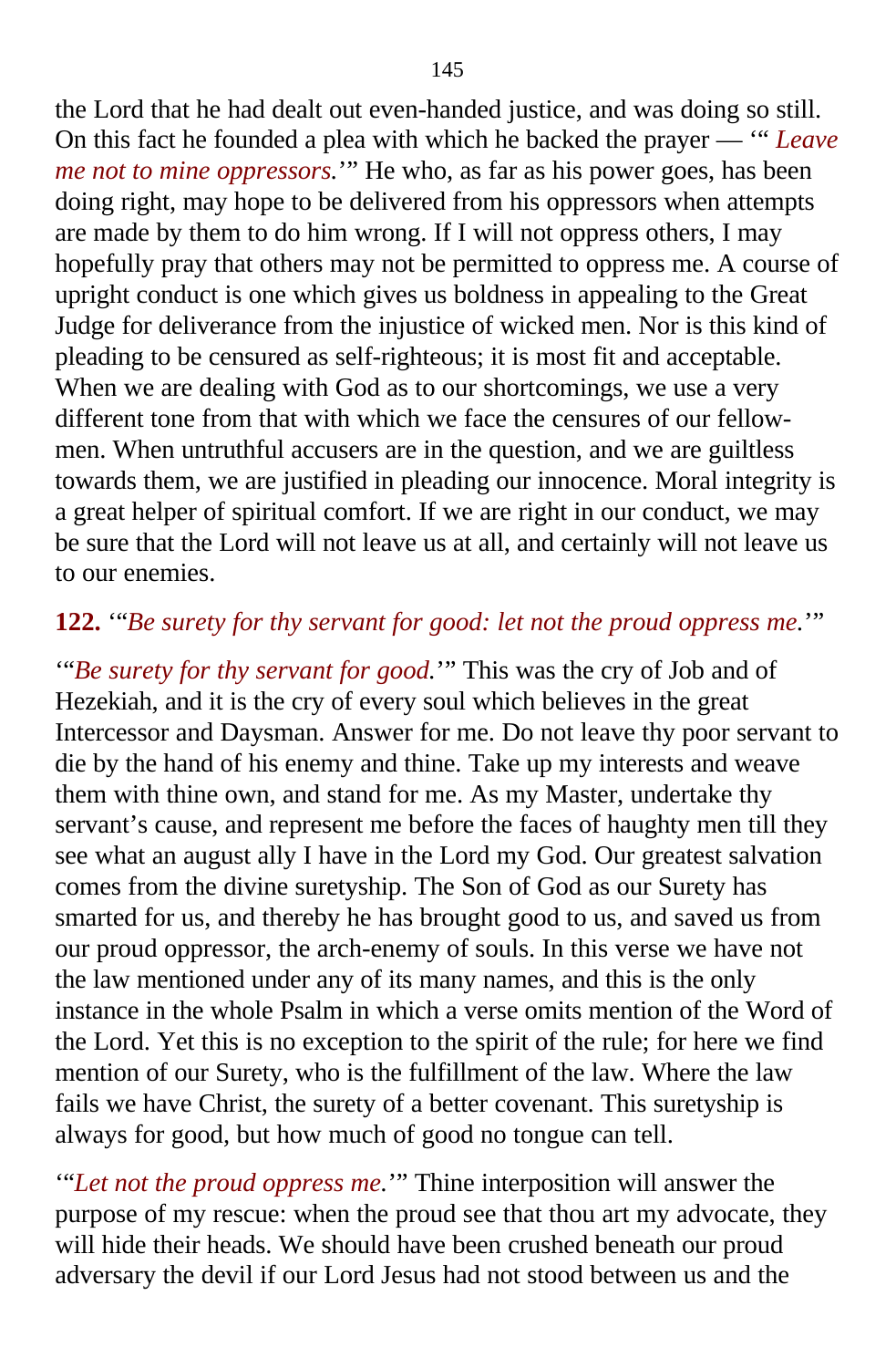the Lord that he had dealt out even-handed justice, and was doing so still. On this fact he founded a plea with which he backed the prayer — '" *Leave me not to mine oppressors.*'" He who, as far as his power goes, has been doing right, may hope to be delivered from his oppressors when attempts are made by them to do him wrong. If I will not oppress others, I may hopefully pray that others may not be permitted to oppress me. A course of upright conduct is one which gives us boldness in appealing to the Great Judge for deliverance from the injustice of wicked men. Nor is this kind of pleading to be censured as self-righteous; it is most fit and acceptable. When we are dealing with God as to our shortcomings, we use a very different tone from that with which we face the censures of our fellowmen. When untruthful accusers are in the question, and we are guiltless towards them, we are justified in pleading our innocence. Moral integrity is a great helper of spiritual comfort. If we are right in our conduct, we may be sure that the Lord will not leave us at all, and certainly will not leave us to our enemies.

### **122.** '"*Be surety for thy servant for good: let not the proud oppress me.*'"

'"*Be surety for thy servant for good.*'" This was the cry of Job and of Hezekiah, and it is the cry of every soul which believes in the great Intercessor and Daysman. Answer for me. Do not leave thy poor servant to die by the hand of his enemy and thine. Take up my interests and weave them with thine own, and stand for me. As my Master, undertake thy servant's cause, and represent me before the faces of haughty men till they see what an august ally I have in the Lord my God. Our greatest salvation comes from the divine suretyship. The Son of God as our Surety has smarted for us, and thereby he has brought good to us, and saved us from our proud oppressor, the arch-enemy of souls. In this verse we have not the law mentioned under any of its many names, and this is the only instance in the whole Psalm in which a verse omits mention of the Word of the Lord. Yet this is no exception to the spirit of the rule; for here we find mention of our Surety, who is the fulfillment of the law. Where the law fails we have Christ, the surety of a better covenant. This suretyship is always for good, but how much of good no tongue can tell.

'"*Let not the proud oppress me.*'" Thine interposition will answer the purpose of my rescue: when the proud see that thou art my advocate, they will hide their heads. We should have been crushed beneath our proud adversary the devil if our Lord Jesus had not stood between us and the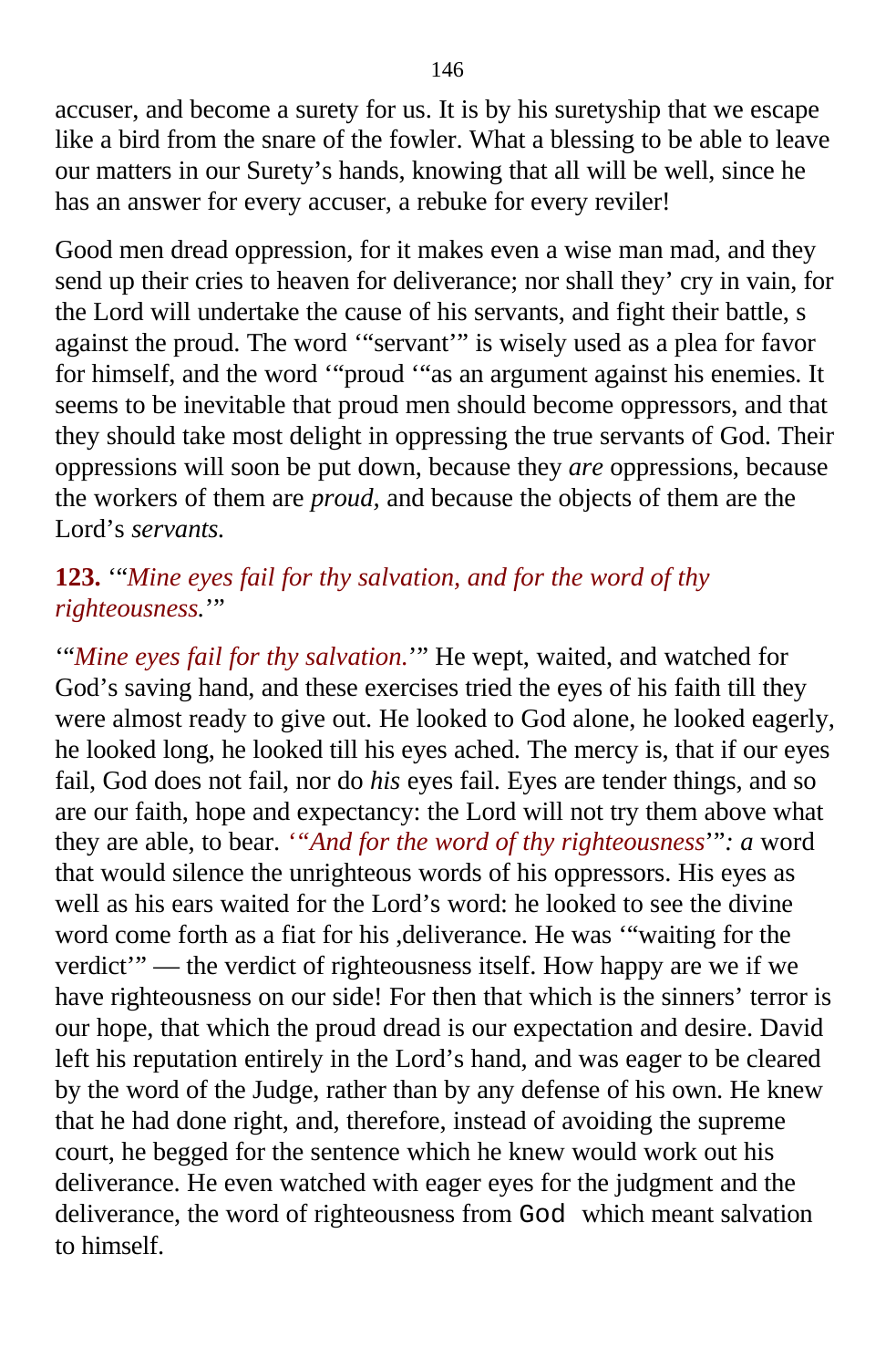accuser, and become a surety for us. It is by his suretyship that we escape like a bird from the snare of the fowler. What a blessing to be able to leave our matters in our Surety's hands, knowing that all will be well, since he has an answer for every accuser, a rebuke for every reviler!

Good men dread oppression, for it makes even a wise man mad, and they send up their cries to heaven for deliverance; nor shall they' cry in vain, for the Lord will undertake the cause of his servants, and fight their battle, s against the proud. The word '"servant'" is wisely used as a plea for favor for himself, and the word '"proud '"as an argument against his enemies. It seems to be inevitable that proud men should become oppressors, and that they should take most delight in oppressing the true servants of God. Their oppressions will soon be put down, because they *are* oppressions, because the workers of them are *proud,* and because the objects of them are the Lord's *servants.*

# **123.** '"*Mine eyes fail for thy salvation, and for the word of thy righteousness.*'"

'"*Mine eyes fail for thy salvation.*'" He wept, waited, and watched for God's saving hand, and these exercises tried the eyes of his faith till they were almost ready to give out. He looked to God alone, he looked eagerly, he looked long, he looked till his eyes ached. The mercy is, that if our eyes fail, God does not fail, nor do *his* eyes fail. Eyes are tender things, and so are our faith, hope and expectancy: the Lord will not try them above what they are able, to bear. *'"And for the word of thy righteousness*'"*: a* word that would silence the unrighteous words of his oppressors. His eyes as well as his ears waited for the Lord's word: he looked to see the divine word come forth as a fiat for his ,deliverance. He was "waiting for the verdict'" — the verdict of righteousness itself. How happy are we if we have righteousness on our side! For then that which is the sinners' terror is our hope, that which the proud dread is our expectation and desire. David left his reputation entirely in the Lord's hand, and was eager to be cleared by the word of the Judge, rather than by any defense of his own. He knew that he had done right, and, therefore, instead of avoiding the supreme court, he begged for the sentence which he knew would work out his deliverance. He even watched with eager eyes for the judgment and the deliverance, the word of righteousness from God which meant salvation to himself.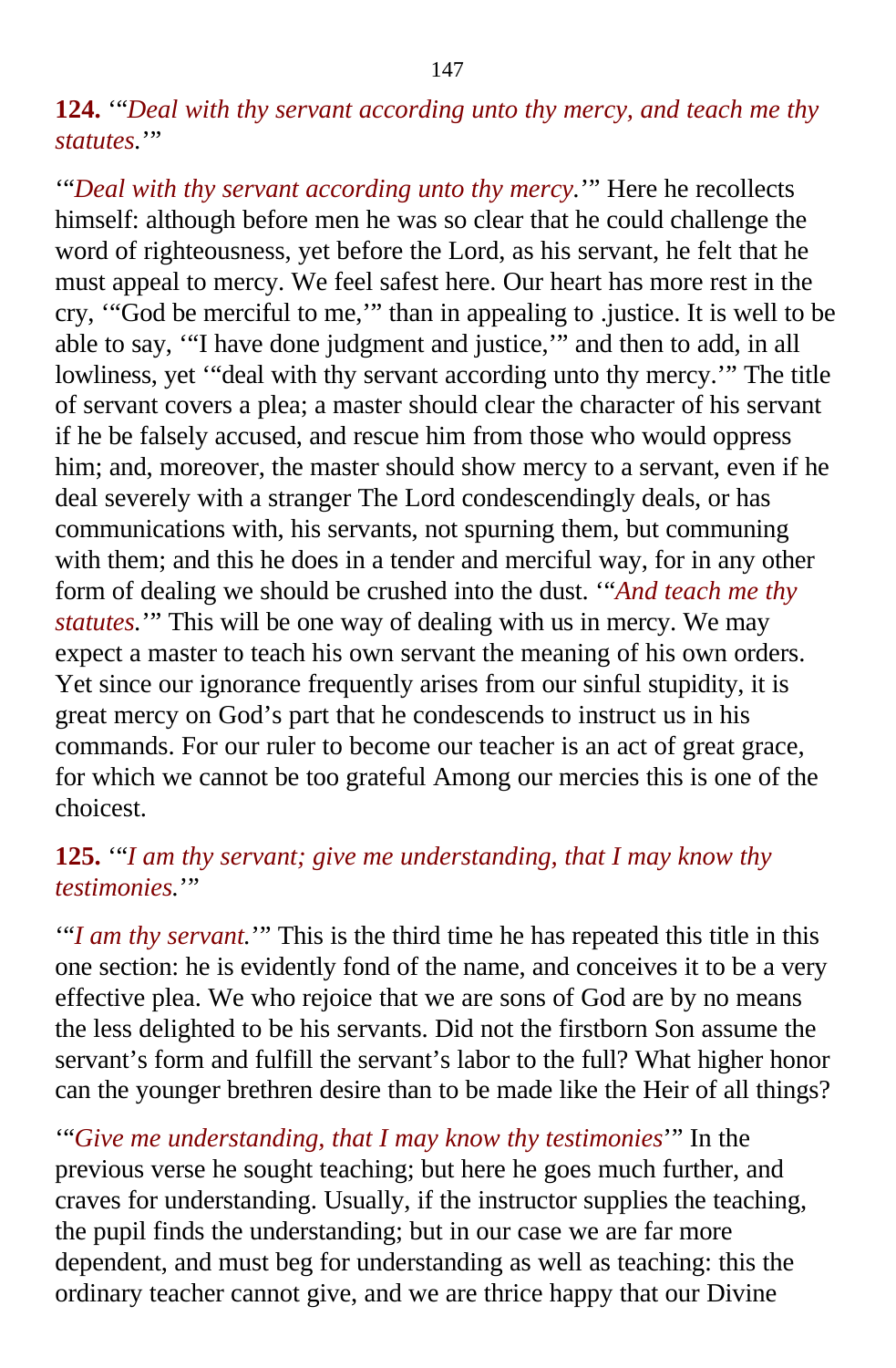**124.** '"*Deal with thy servant according unto thy mercy, and teach me thy* statutes."

'"*Deal with thy servant according unto thy mercy.*'" Here he recollects himself: although before men he was so clear that he could challenge the word of righteousness, yet before the Lord, as his servant, he felt that he must appeal to mercy. We feel safest here. Our heart has more rest in the cry, '"God be merciful to me,'" than in appealing to .justice. It is well to be able to say, '"I have done judgment and justice,'" and then to add, in all lowliness, yet '"deal with thy servant according unto thy mercy.'" The title of servant covers a plea; a master should clear the character of his servant if he be falsely accused, and rescue him from those who would oppress him; and, moreover, the master should show mercy to a servant, even if he deal severely with a stranger The Lord condescendingly deals, or has communications with, his servants, not spurning them, but communing with them; and this he does in a tender and merciful way, for in any other form of dealing we should be crushed into the dust. '"*And teach me thy statutes.*'" This will be one way of dealing with us in mercy. We may expect a master to teach his own servant the meaning of his own orders. Yet since our ignorance frequently arises from our sinful stupidity, it is great mercy on God's part that he condescends to instruct us in his commands. For our ruler to become our teacher is an act of great grace, for which we cannot be too grateful Among our mercies this is one of the choicest.

## **125.** '"*I am thy servant; give me understanding, that I may know thy testimonies.*'"

'"*I am thy servant.*'" This is the third time he has repeated this title in this one section: he is evidently fond of the name, and conceives it to be a very effective plea. We who rejoice that we are sons of God are by no means the less delighted to be his servants. Did not the firstborn Son assume the servant's form and fulfill the servant's labor to the full? What higher honor can the younger brethren desire than to be made like the Heir of all things?

'"*Give me understanding, that I may know thy testimonies*'" In the previous verse he sought teaching; but here he goes much further, and craves for understanding. Usually, if the instructor supplies the teaching, the pupil finds the understanding; but in our case we are far more dependent, and must beg for understanding as well as teaching: this the ordinary teacher cannot give, and we are thrice happy that our Divine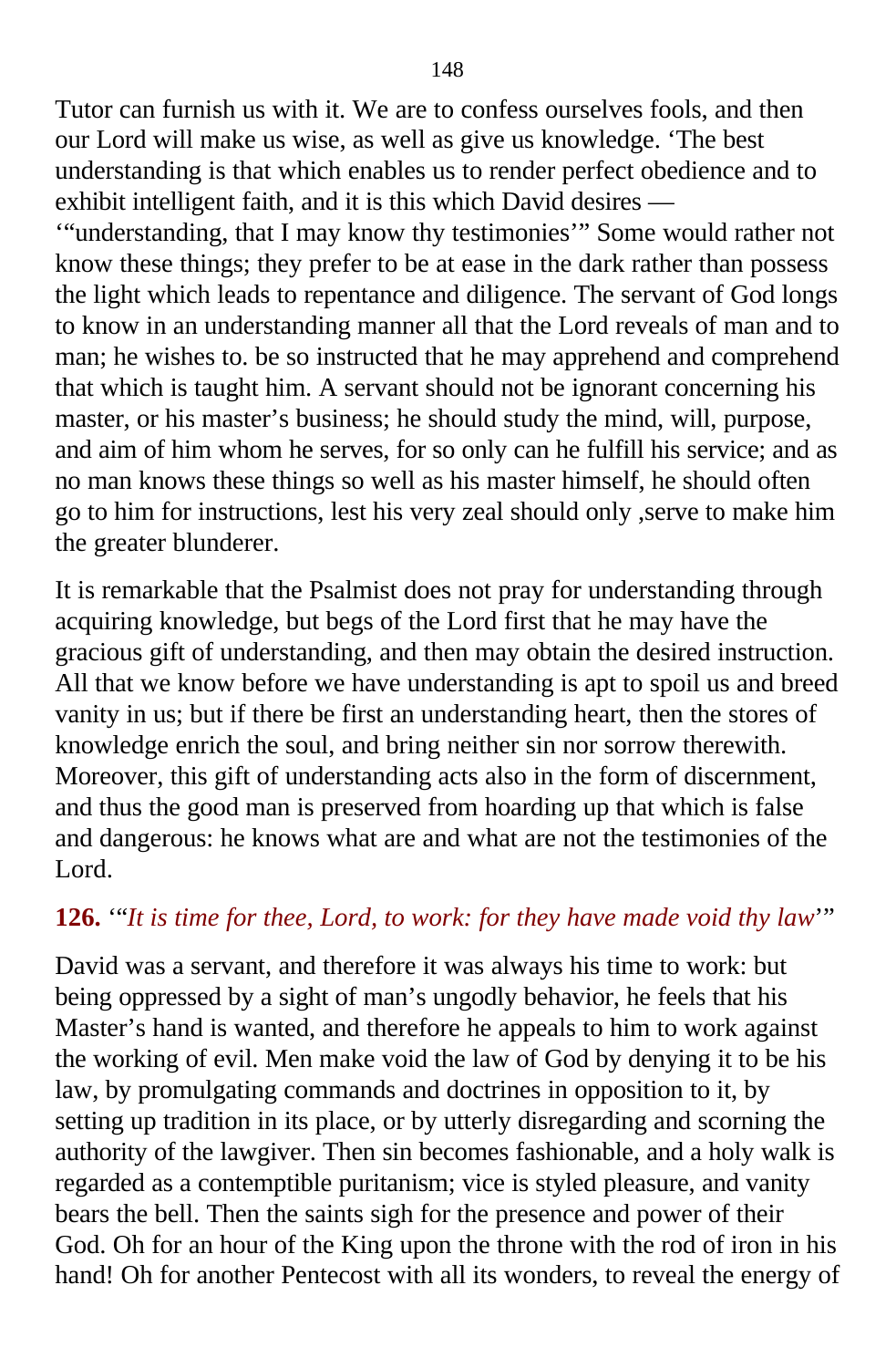Tutor can furnish us with it. We are to confess ourselves fools, and then our Lord will make us wise, as well as give us knowledge. 'The best understanding is that which enables us to render perfect obedience and to exhibit intelligent faith, and it is this which David desires —

'"understanding, that I may know thy testimonies'" Some would rather not know these things; they prefer to be at ease in the dark rather than possess the light which leads to repentance and diligence. The servant of God longs to know in an understanding manner all that the Lord reveals of man and to man; he wishes to. be so instructed that he may apprehend and comprehend that which is taught him. A servant should not be ignorant concerning his master, or his master's business; he should study the mind, will, purpose, and aim of him whom he serves, for so only can he fulfill his service; and as no man knows these things so well as his master himself, he should often go to him for instructions, lest his very zeal should only ,serve to make him the greater blunderer.

It is remarkable that the Psalmist does not pray for understanding through acquiring knowledge, but begs of the Lord first that he may have the gracious gift of understanding, and then may obtain the desired instruction. All that we know before we have understanding is apt to spoil us and breed vanity in us; but if there be first an understanding heart, then the stores of knowledge enrich the soul, and bring neither sin nor sorrow therewith. Moreover, this gift of understanding acts also in the form of discernment, and thus the good man is preserved from hoarding up that which is false and dangerous: he knows what are and what are not the testimonies of the Lord.

### **126.** '"*It is time for thee, Lord, to work: for they have made void thy law*'"

David was a servant, and therefore it was always his time to work: but being oppressed by a sight of man's ungodly behavior, he feels that his Master's hand is wanted, and therefore he appeals to him to work against the working of evil. Men make void the law of God by denying it to be his law, by promulgating commands and doctrines in opposition to it, by setting up tradition in its place, or by utterly disregarding and scorning the authority of the lawgiver. Then sin becomes fashionable, and a holy walk is regarded as a contemptible puritanism; vice is styled pleasure, and vanity bears the bell. Then the saints sigh for the presence and power of their God. Oh for an hour of the King upon the throne with the rod of iron in his hand! Oh for another Pentecost with all its wonders, to reveal the energy of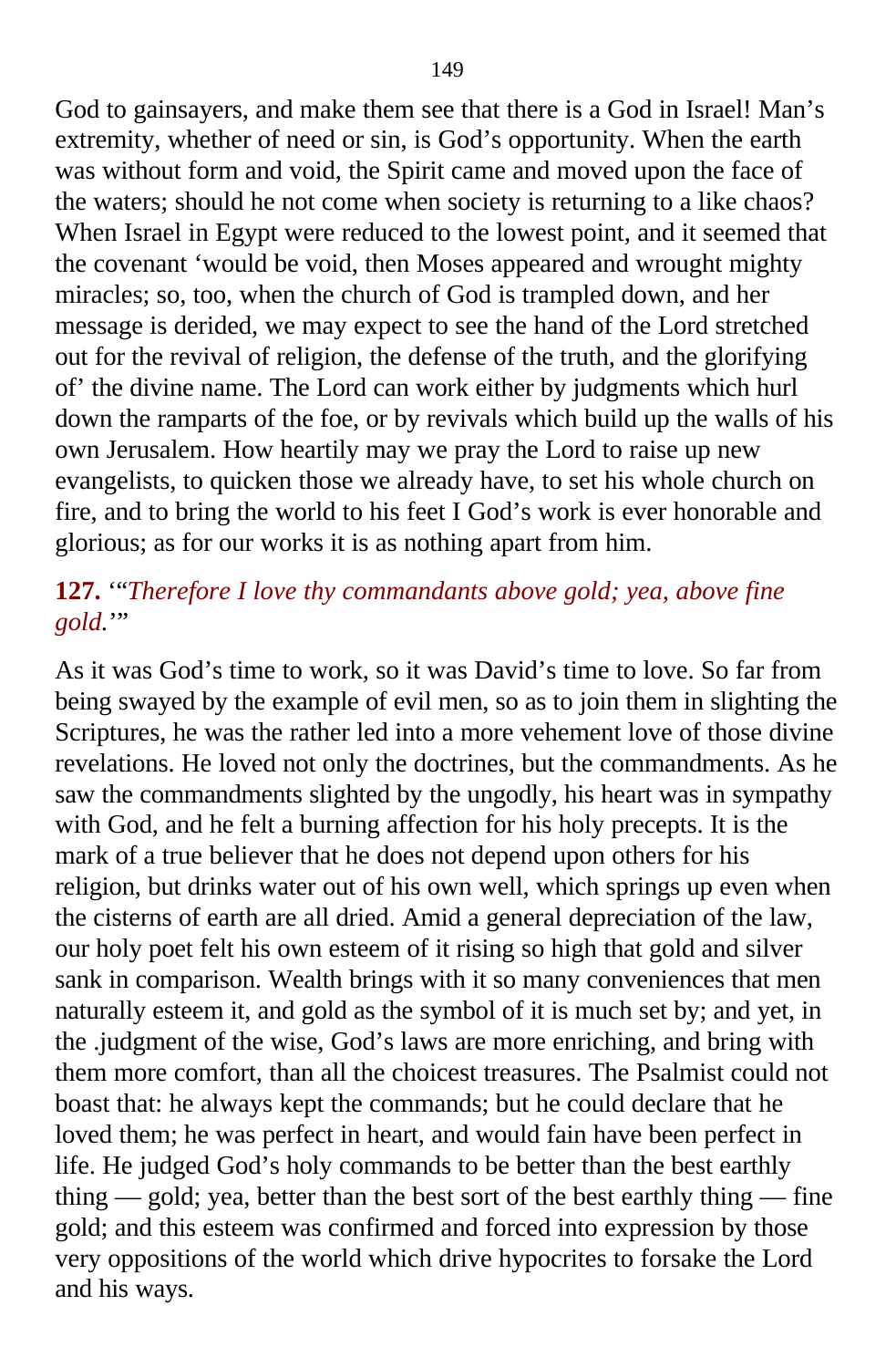God to gainsayers, and make them see that there is a God in Israel! Man's extremity, whether of need or sin, is God's opportunity. When the earth was without form and void, the Spirit came and moved upon the face of the waters; should he not come when society is returning to a like chaos? When Israel in Egypt were reduced to the lowest point, and it seemed that the covenant 'would be void, then Moses appeared and wrought mighty miracles; so, too, when the church of God is trampled down, and her message is derided, we may expect to see the hand of the Lord stretched out for the revival of religion, the defense of the truth, and the glorifying of' the divine name. The Lord can work either by judgments which hurl down the ramparts of the foe, or by revivals which build up the walls of his own Jerusalem. How heartily may we pray the Lord to raise up new evangelists, to quicken those we already have, to set his whole church on fire, and to bring the world to his feet I God's work is ever honorable and glorious; as for our works it is as nothing apart from him.

### **127.** '"*Therefore I love thy commandants above gold; yea, above fine gold.*'"

As it was God's time to work, so it was David's time to love. So far from being swayed by the example of evil men, so as to join them in slighting the Scriptures, he was the rather led into a more vehement love of those divine revelations. He loved not only the doctrines, but the commandments. As he saw the commandments slighted by the ungodly, his heart was in sympathy with God, and he felt a burning affection for his holy precepts. It is the mark of a true believer that he does not depend upon others for his religion, but drinks water out of his own well, which springs up even when the cisterns of earth are all dried. Amid a general depreciation of the law, our holy poet felt his own esteem of it rising so high that gold and silver sank in comparison. Wealth brings with it so many conveniences that men naturally esteem it, and gold as the symbol of it is much set by; and yet, in the .judgment of the wise, God's laws are more enriching, and bring with them more comfort, than all the choicest treasures. The Psalmist could not boast that: he always kept the commands; but he could declare that he loved them; he was perfect in heart, and would fain have been perfect in life. He judged God's holy commands to be better than the best earthly thing — gold; yea, better than the best sort of the best earthly thing — fine gold; and this esteem was confirmed and forced into expression by those very oppositions of the world which drive hypocrites to forsake the Lord and his ways.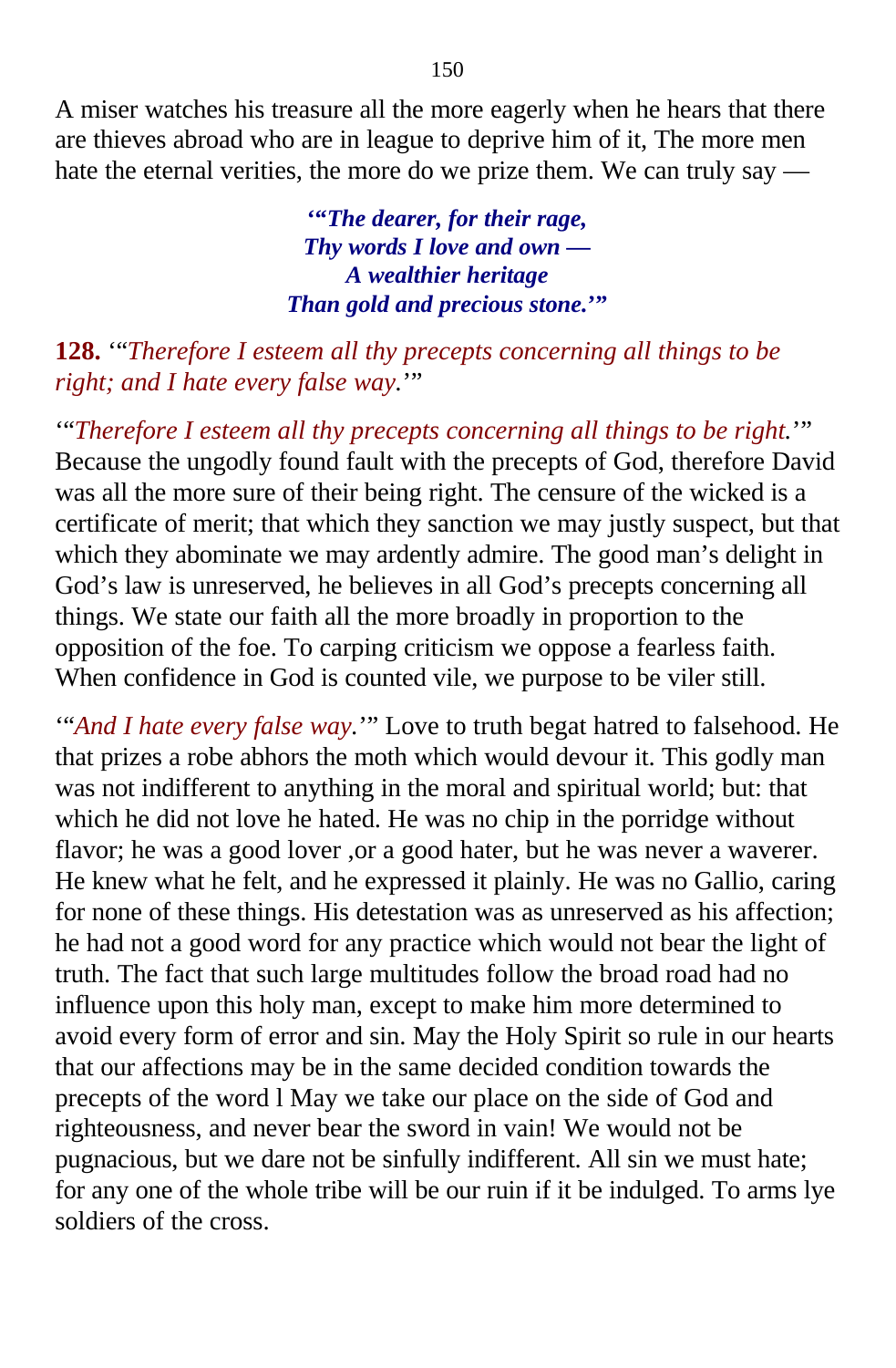A miser watches his treasure all the more eagerly when he hears that there are thieves abroad who are in league to deprive him of it, The more men hate the eternal verities, the more do we prize them. We can truly say —

> **'"***The dearer, for their rage, Thy words I love and own — A wealthier heritage Than gold and precious stone.***'"**

**128.** '"*Therefore I esteem all thy precepts concerning all things to be right; and I hate every false way.*'"

'"*Therefore I esteem all thy precepts concerning all things to be right.*'" Because the ungodly found fault with the precepts of God, therefore David was all the more sure of their being right. The censure of the wicked is a certificate of merit; that which they sanction we may justly suspect, but that which they abominate we may ardently admire. The good man's delight in God's law is unreserved, he believes in all God's precepts concerning all things. We state our faith all the more broadly in proportion to the opposition of the foe. To carping criticism we oppose a fearless faith. When confidence in God is counted vile, we purpose to be viler still.

'"*And I hate every false way.*'" Love to truth begat hatred to falsehood. He that prizes a robe abhors the moth which would devour it. This godly man was not indifferent to anything in the moral and spiritual world; but: that which he did not love he hated. He was no chip in the porridge without flavor; he was a good lover , or a good hater, but he was never a waverer. He knew what he felt, and he expressed it plainly. He was no Gallio, caring for none of these things. His detestation was as unreserved as his affection; he had not a good word for any practice which would not bear the light of truth. The fact that such large multitudes follow the broad road had no influence upon this holy man, except to make him more determined to avoid every form of error and sin. May the Holy Spirit so rule in our hearts that our affections may be in the same decided condition towards the precepts of the word l May we take our place on the side of God and righteousness, and never bear the sword in vain! We would not be pugnacious, but we dare not be sinfully indifferent. All sin we must hate; for any one of the whole tribe will be our ruin if it be indulged. To arms lye soldiers of the cross.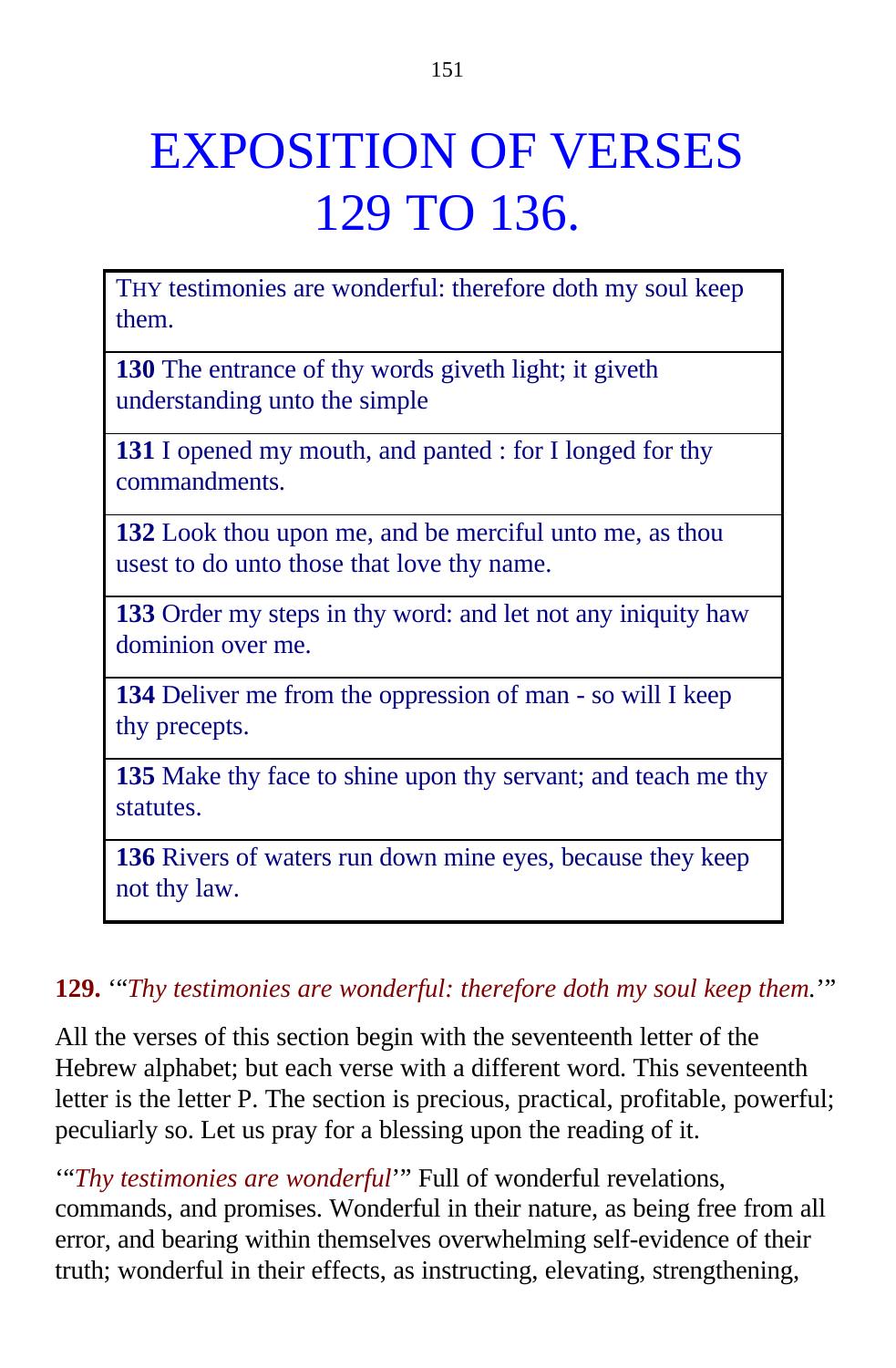# EXPOSITION OF VERSES 129 TO 136.

THY testimonies are wonderful: therefore doth my soul keep them.

**130** The entrance of thy words giveth light; it giveth understanding unto the simple

**131** I opened my mouth, and panted : for I longed for thy commandments.

**132** Look thou upon me, and be merciful unto me, as thou usest to do unto those that love thy name.

**133** Order my steps in thy word: and let not any iniquity haw dominion over me.

**134** Deliver me from the oppression of man - so will I keep thy precepts.

**135** Make thy face to shine upon thy servant; and teach me thy statutes.

**136** Rivers of waters run down mine eyes, because they keep not thy law.

### **129.** '"*Thy testimonies are wonderful: therefore doth my soul keep them.*'"

All the verses of this section begin with the seventeenth letter of the Hebrew alphabet; but each verse with a different word. This seventeenth letter is the letter P. The section is precious, practical, profitable, powerful; peculiarly so. Let us pray for a blessing upon the reading of it.

'"*Thy testimonies are wonderful*'" Full of wonderful revelations, commands, and promises. Wonderful in their nature, as being free from all error, and bearing within themselves overwhelming self-evidence of their truth; wonderful in their effects, as instructing, elevating, strengthening,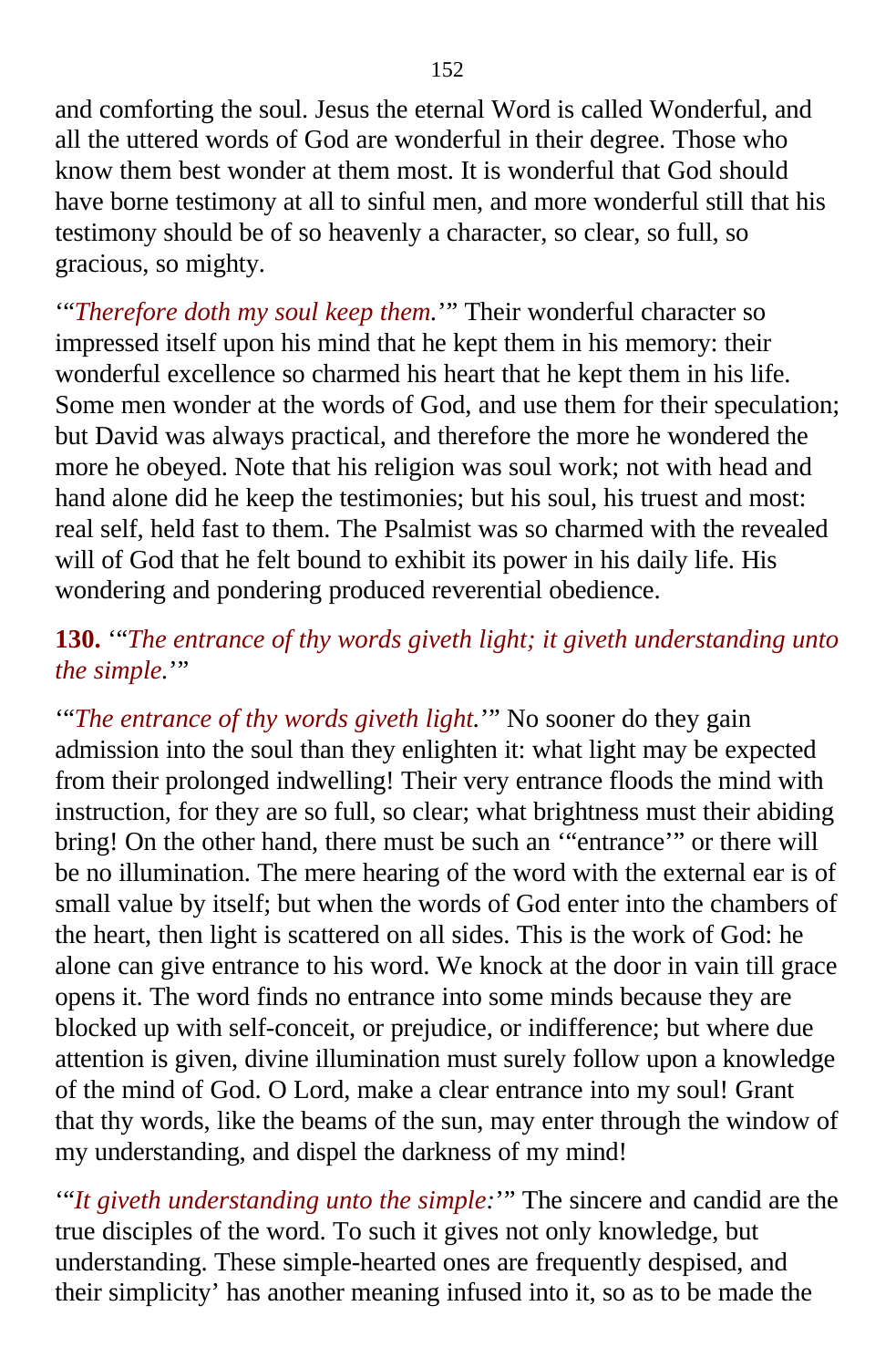and comforting the soul. Jesus the eternal Word is called Wonderful, and all the uttered words of God are wonderful in their degree. Those who know them best wonder at them most. It is wonderful that God should have borne testimony at all to sinful men, and more wonderful still that his testimony should be of so heavenly a character, so clear, so full, so gracious, so mighty.

'"*Therefore doth my soul keep them.*'" Their wonderful character so impressed itself upon his mind that he kept them in his memory: their wonderful excellence so charmed his heart that he kept them in his life. Some men wonder at the words of God, and use them for their speculation; but David was always practical, and therefore the more he wondered the more he obeyed. Note that his religion was soul work; not with head and hand alone did he keep the testimonies; but his soul, his truest and most: real self, held fast to them. The Psalmist was so charmed with the revealed will of God that he felt bound to exhibit its power in his daily life. His wondering and pondering produced reverential obedience.

### **130.** '"*The entrance of thy words giveth light; it giveth understanding unto the simple.*"

'"*The entrance of thy words giveth light.*'" No sooner do they gain admission into the soul than they enlighten it: what light may be expected from their prolonged indwelling! Their very entrance floods the mind with instruction, for they are so full, so clear; what brightness must their abiding bring! On the other hand, there must be such an '"entrance'" or there will be no illumination. The mere hearing of the word with the external ear is of small value by itself; but when the words of God enter into the chambers of the heart, then light is scattered on all sides. This is the work of God: he alone can give entrance to his word. We knock at the door in vain till grace opens it. The word finds no entrance into some minds because they are blocked up with self-conceit, or prejudice, or indifference; but where due attention is given, divine illumination must surely follow upon a knowledge of the mind of God. O Lord, make a clear entrance into my soul! Grant that thy words, like the beams of the sun, may enter through the window of my understanding, and dispel the darkness of my mind!

'"*It giveth understanding unto the simple:*'" The sincere and candid are the true disciples of the word. To such it gives not only knowledge, but understanding. These simple-hearted ones are frequently despised, and their simplicity' has another meaning infused into it, so as to be made the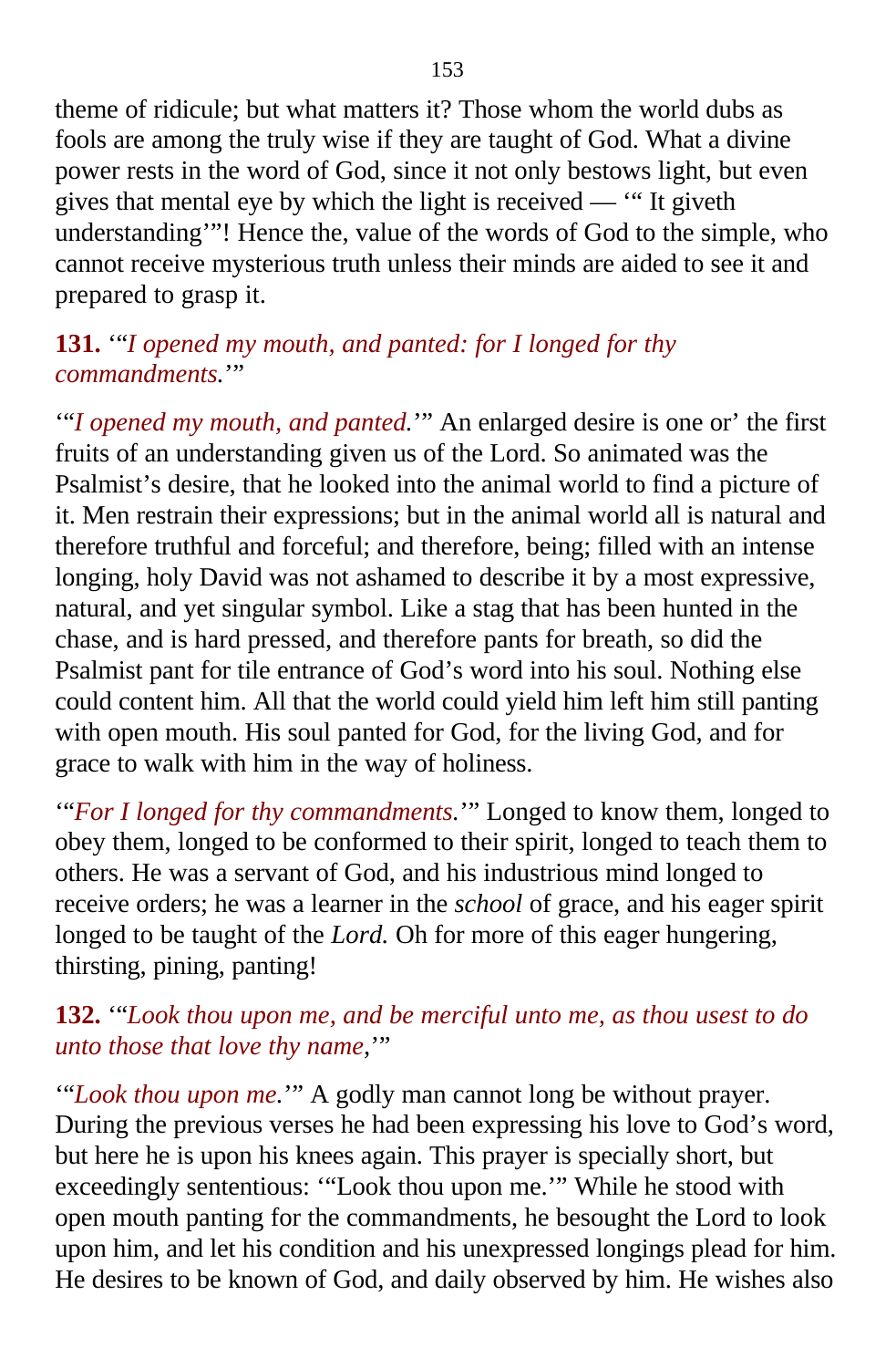theme of ridicule; but what matters it? Those whom the world dubs as fools are among the truly wise if they are taught of God. What a divine power rests in the word of God, since it not only bestows light, but even gives that mental eye by which the light is received — '" It giveth understanding'"! Hence the, value of the words of God to the simple, who cannot receive mysterious truth unless their minds are aided to see it and prepared to grasp it.

# **131.** '"*I opened my mouth, and panted: for I longed for thy commandments.*'"

'"*I opened my mouth, and panted.*'" An enlarged desire is one or' the first fruits of an understanding given us of the Lord. So animated was the Psalmist's desire, that he looked into the animal world to find a picture of it. Men restrain their expressions; but in the animal world all is natural and therefore truthful and forceful; and therefore, being; filled with an intense longing, holy David was not ashamed to describe it by a most expressive, natural, and yet singular symbol. Like a stag that has been hunted in the chase, and is hard pressed, and therefore pants for breath, so did the Psalmist pant for tile entrance of God's word into his soul. Nothing else could content him. All that the world could yield him left him still panting with open mouth. His soul panted for God, for the living God, and for grace to walk with him in the way of holiness.

'"*For I longed for thy commandments.*'" Longed to know them, longed to obey them, longed to be conformed to their spirit, longed to teach them to others. He was a servant of God, and his industrious mind longed to receive orders; he was a learner in the *school* of grace, and his eager spirit longed to be taught of the *Lord.* Oh for more of this eager hungering, thirsting, pining, panting!

# **132.** '"*Look thou upon me, and be merciful unto me, as thou usest to do unto those that love thy name,*"

'"*Look thou upon me.*'" A godly man cannot long be without prayer. During the previous verses he had been expressing his love to God's word, but here he is upon his knees again. This prayer is specially short, but exceedingly sententious: '"Look thou upon me.'" While he stood with open mouth panting for the commandments, he besought the Lord to look upon him, and let his condition and his unexpressed longings plead for him. He desires to be known of God, and daily observed by him. He wishes also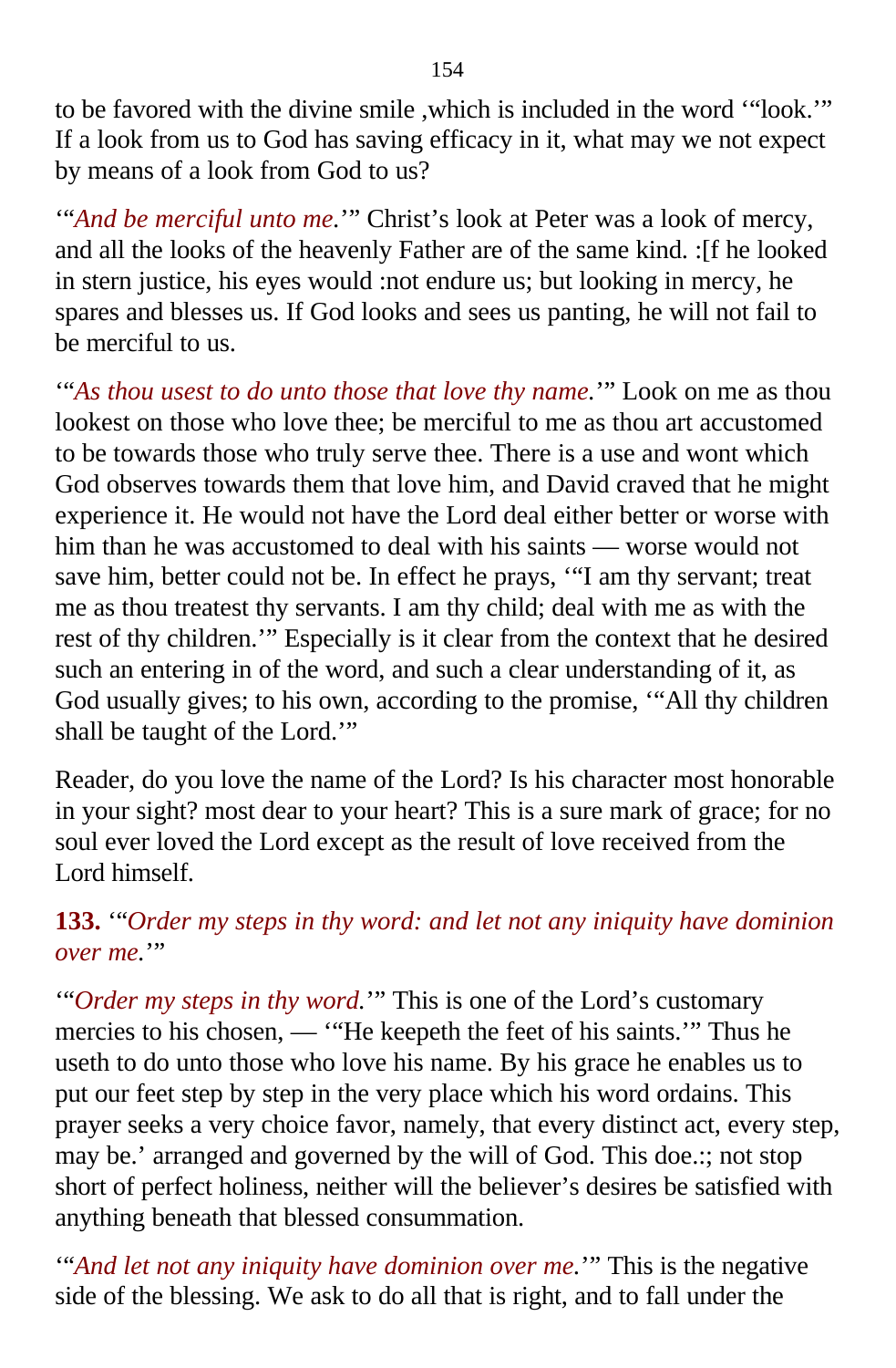to be favored with the divine smile ,which is included in the word '"look.'" If a look from us to God has saving efficacy in it, what may we not expect by means of a look from God to us?

"*And be merciful unto me.*" Christ's look at Peter was a look of mercy, and all the looks of the heavenly Father are of the same kind. :[f he looked in stern justice, his eyes would :not endure us; but looking in mercy, he spares and blesses us. If God looks and sees us panting, he will not fail to be merciful to us.

'"*As thou usest to do unto those that love thy name.*'" Look on me as thou lookest on those who love thee; be merciful to me as thou art accustomed to be towards those who truly serve thee. There is a use and wont which God observes towards them that love him, and David craved that he might experience it. He would not have the Lord deal either better or worse with him than he was accustomed to deal with his saints — worse would not save him, better could not be. In effect he prays, '"I am thy servant; treat me as thou treatest thy servants. I am thy child; deal with me as with the rest of thy children.'" Especially is it clear from the context that he desired such an entering in of the word, and such a clear understanding of it, as God usually gives; to his own, according to the promise, '"All thy children shall be taught of the Lord.'"

Reader, do you love the name of the Lord? Is his character most honorable in your sight? most dear to your heart? This is a sure mark of grace; for no soul ever loved the Lord except as the result of love received from the Lord himself.

# **133.** '"*Order my steps in thy word: and let not any iniquity have dominion over me.*'"

'"*Order my steps in thy word.*'" This is one of the Lord's customary mercies to his chosen, — '"He keepeth the feet of his saints.'" Thus he useth to do unto those who love his name. By his grace he enables us to put our feet step by step in the very place which his word ordains. This prayer seeks a very choice favor, namely, that every distinct act, every step, may be.' arranged and governed by the will of God. This doe.:; not stop short of perfect holiness, neither will the believer's desires be satisfied with anything beneath that blessed consummation.

'"*And let not any iniquity have dominion over me.*'" This is the negative side of the blessing. We ask to do all that is right, and to fall under the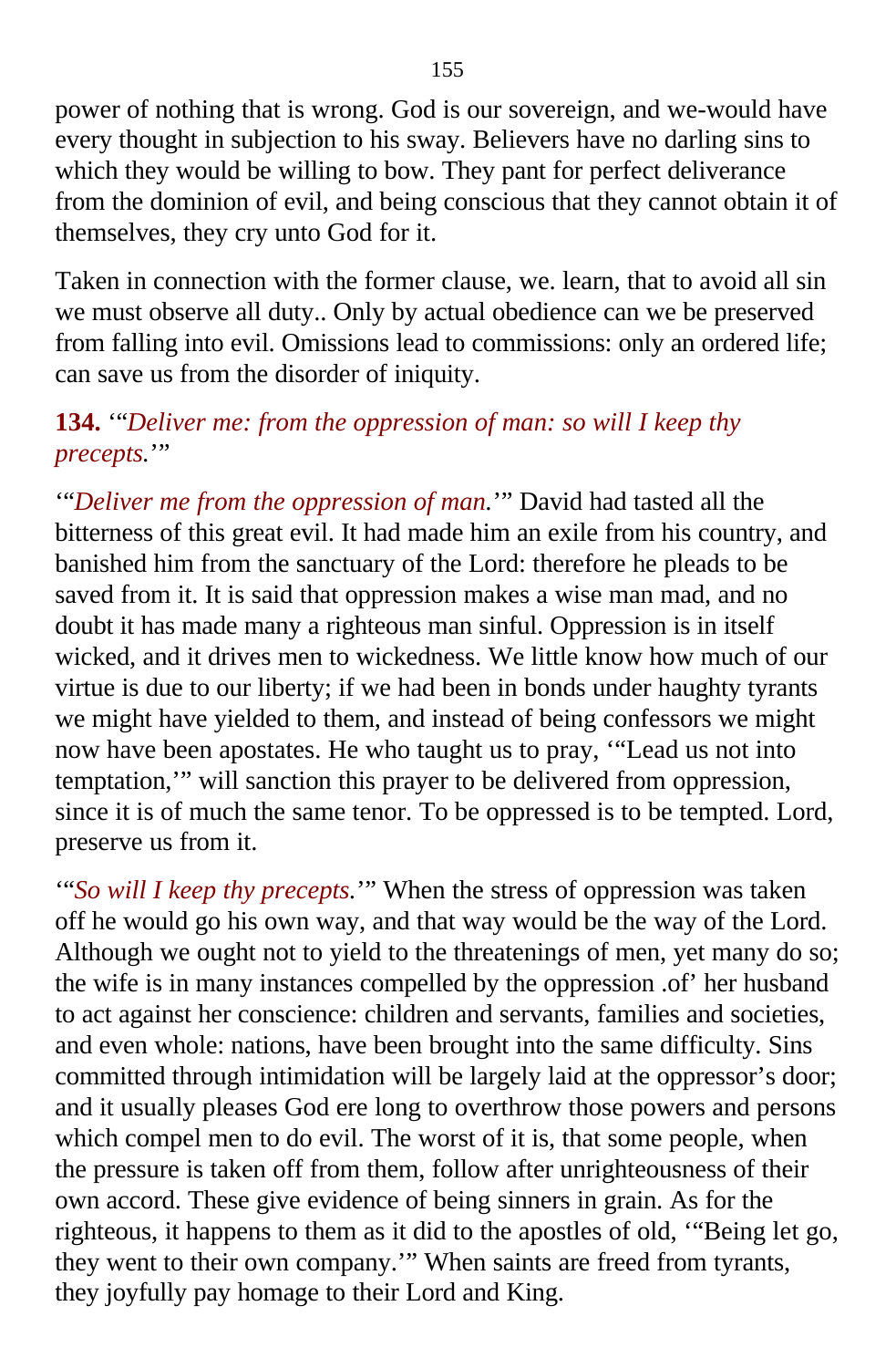power of nothing that is wrong. God is our sovereign, and we-would have every thought in subjection to his sway. Believers have no darling sins to which they would be willing to bow. They pant for perfect deliverance from the dominion of evil, and being conscious that they cannot obtain it of themselves, they cry unto God for it.

Taken in connection with the former clause, we. learn, that to avoid all sin we must observe all duty.. Only by actual obedience can we be preserved from falling into evil. Omissions lead to commissions: only an ordered life; can save us from the disorder of iniquity.

### **134.** '"*Deliver me: from the oppression of man: so will I keep thy* precepts."

'"*Deliver me from the oppression of man.*'" David had tasted all the bitterness of this great evil. It had made him an exile from his country, and banished him from the sanctuary of the Lord: therefore he pleads to be saved from it. It is said that oppression makes a wise man mad, and no doubt it has made many a righteous man sinful. Oppression is in itself wicked, and it drives men to wickedness. We little know how much of our virtue is due to our liberty; if we had been in bonds under haughty tyrants we might have yielded to them, and instead of being confessors we might now have been apostates. He who taught us to pray, '"Lead us not into temptation,'" will sanction this prayer to be delivered from oppression, since it is of much the same tenor. To be oppressed is to be tempted. Lord, preserve us from it.

'"*So will I keep thy precepts.*'" When the stress of oppression was taken off he would go his own way, and that way would be the way of the Lord. Although we ought not to yield to the threatenings of men, yet many do so; the wife is in many instances compelled by the oppression .of' her husband to act against her conscience: children and servants, families and societies, and even whole: nations, have been brought into the same difficulty. Sins committed through intimidation will be largely laid at the oppressor's door; and it usually pleases God ere long to overthrow those powers and persons which compel men to do evil. The worst of it is, that some people, when the pressure is taken off from them, follow after unrighteousness of their own accord. These give evidence of being sinners in grain. As for the righteous, it happens to them as it did to the apostles of old, '"Being let go, they went to their own company.'" When saints are freed from tyrants, they joyfully pay homage to their Lord and King.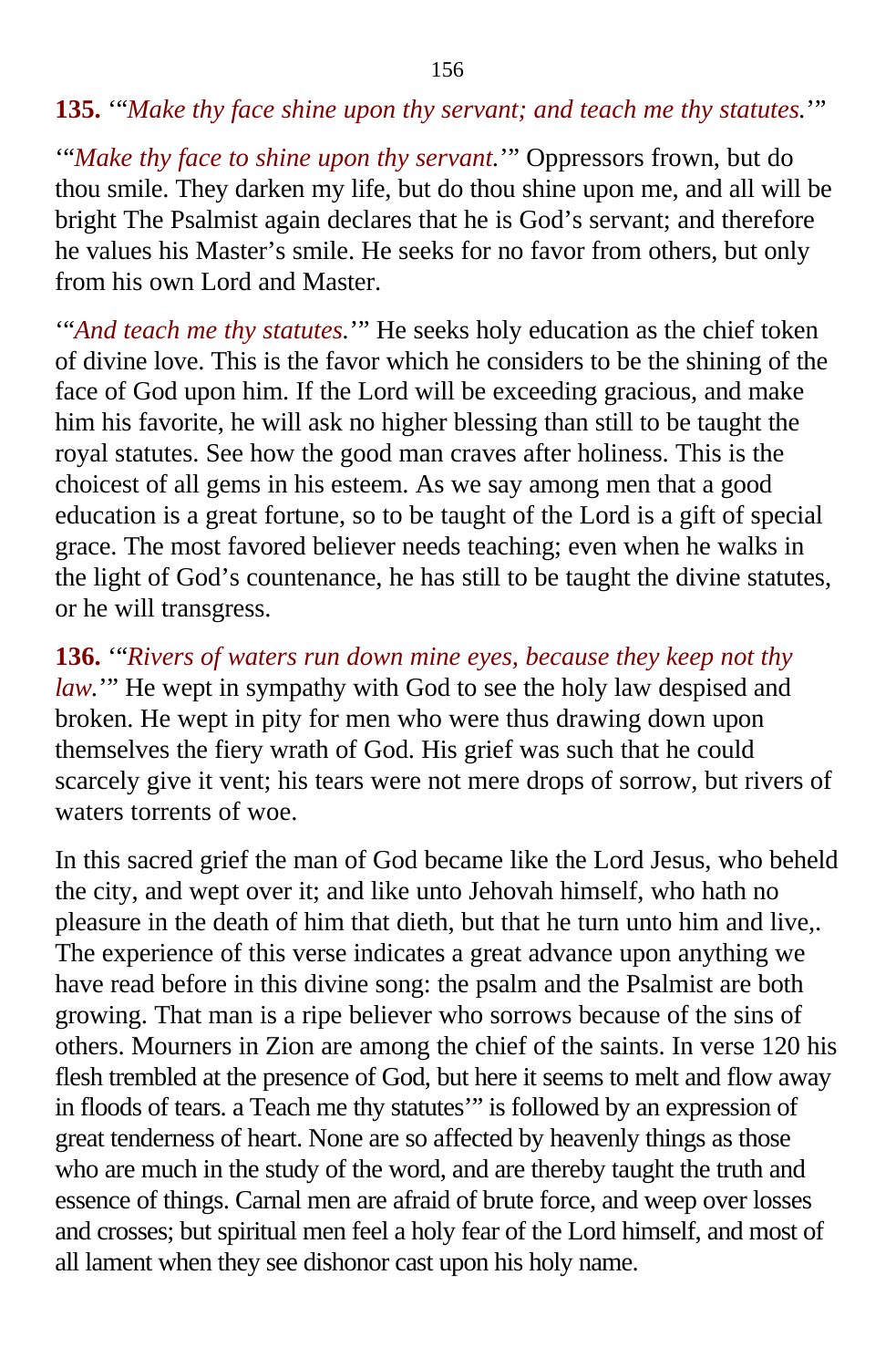#### **135.** '"*Make thy face shine upon thy servant; and teach me thy statutes.*'"

'"*Make thy face to shine upon thy servant.*'" Oppressors frown, but do thou smile. They darken my life, but do thou shine upon me, and all will be bright The Psalmist again declares that he is God's servant; and therefore he values his Master's smile. He seeks for no favor from others, but only from his own Lord and Master.

"*And teach me thy statutes.*" He seeks holy education as the chief token of divine love. This is the favor which he considers to be the shining of the face of God upon him. If the Lord will be exceeding gracious, and make him his favorite, he will ask no higher blessing than still to be taught the royal statutes. See how the good man craves after holiness. This is the choicest of all gems in his esteem. As we say among men that a good education is a great fortune, so to be taught of the Lord is a gift of special grace. The most favored believer needs teaching; even when he walks in the light of God's countenance, he has still to be taught the divine statutes, or he will transgress.

**136.** '"*Rivers of waters run down mine eyes, because they keep not thy law.*" He wept in sympathy with God to see the holy law despised and broken. He wept in pity for men who were thus drawing down upon themselves the fiery wrath of God. His grief was such that he could scarcely give it vent; his tears were not mere drops of sorrow, but rivers of waters torrents of woe.

In this sacred grief the man of God became like the Lord Jesus, who beheld the city, and wept over it; and like unto Jehovah himself, who hath no pleasure in the death of him that dieth, but that he turn unto him and live,. The experience of this verse indicates a great advance upon anything we have read before in this divine song: the psalm and the Psalmist are both growing. That man is a ripe believer who sorrows because of the sins of others. Mourners in Zion are among the chief of the saints. In verse 120 his flesh trembled at the presence of God, but here it seems to melt and flow away in floods of tears. a Teach me thy statutes'" is followed by an expression of great tenderness of heart. None are so affected by heavenly things as those who are much in the study of the word, and are thereby taught the truth and essence of things. Carnal men are afraid of brute force, and weep over losses and crosses; but spiritual men feel a holy fear of the Lord himself, and most of all lament when they see dishonor cast upon his holy name.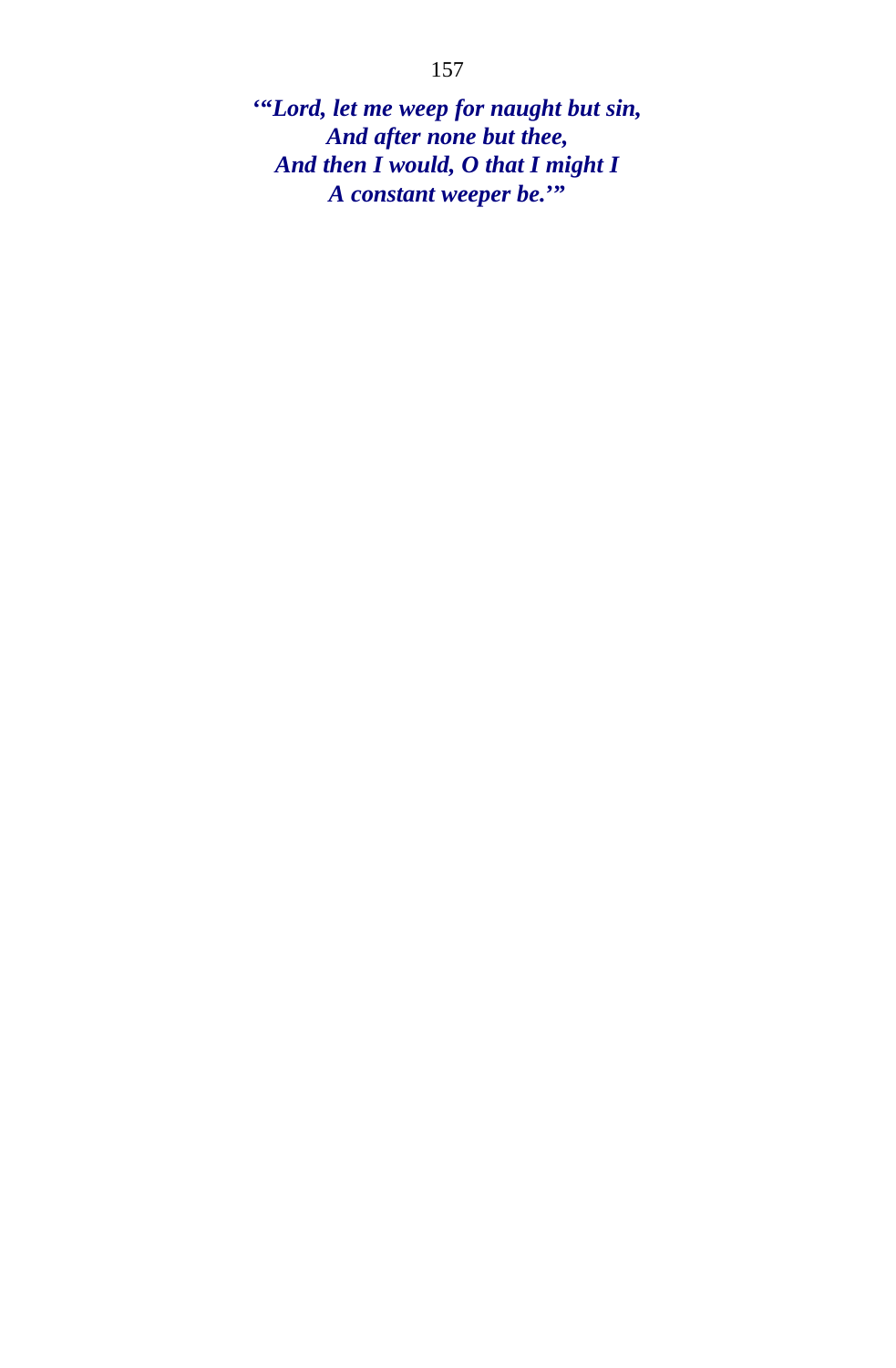**'"***Lord, let me weep for naught but sin, And after none but thee, And then I would, O that I might I A constant weeper be.***'"**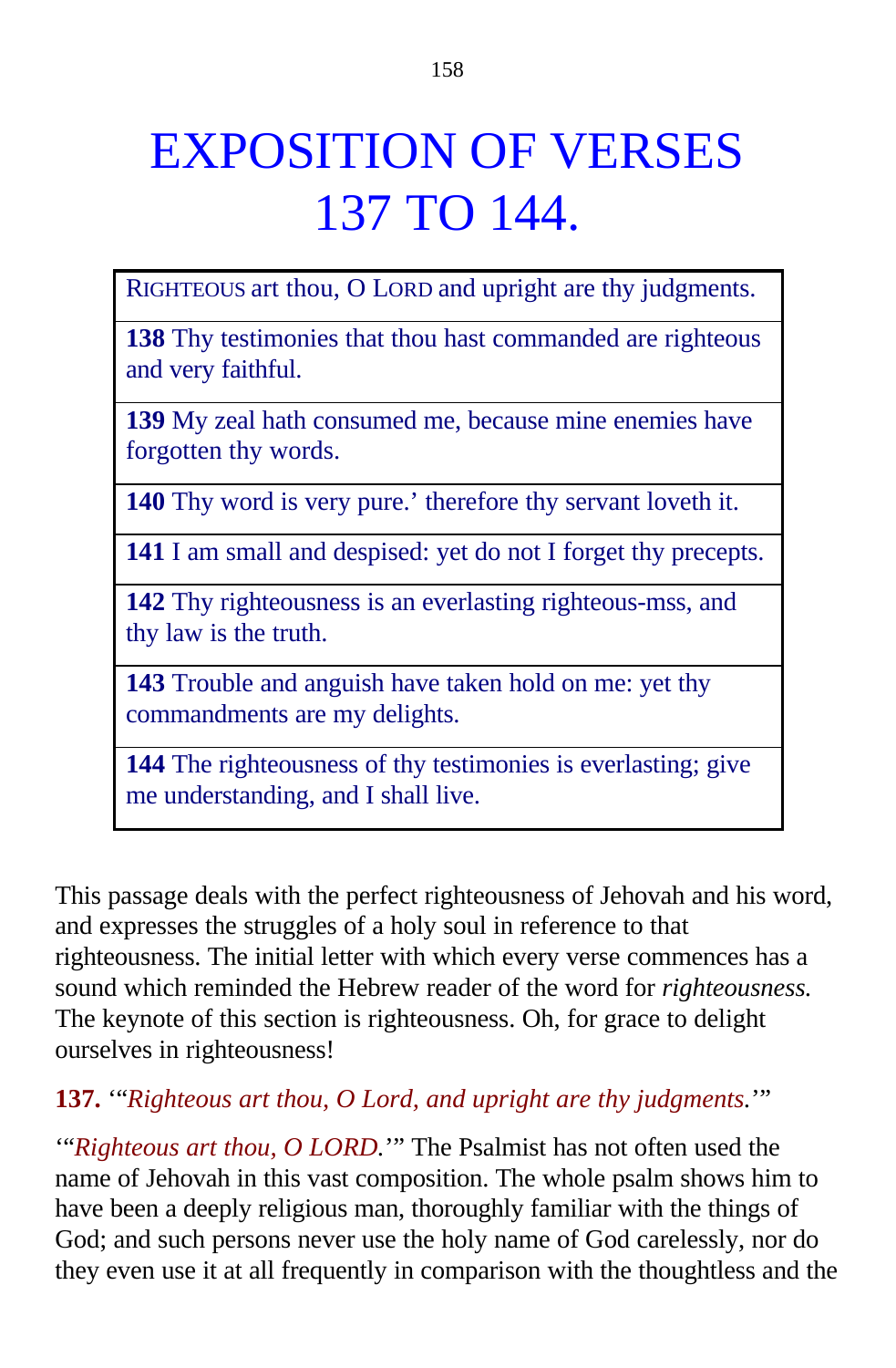# EXPOSITION OF VERSES 137 TO 144.

RIGHTEOUS art thou, O LORD and upright are thy judgments.

**138** Thy testimonies that thou hast commanded are righteous and very faithful.

**139** My zeal hath consumed me, because mine enemies have forgotten thy words.

**140** Thy word is very pure.' therefore thy servant loveth it.

**141** I am small and despised: yet do not I forget thy precepts.

**142** Thy righteousness is an everlasting righteous-mss, and thy law is the truth.

**143** Trouble and anguish have taken hold on me: yet thy commandments are my delights.

**144** The righteousness of thy testimonies is everlasting; give me understanding, and I shall live.

This passage deals with the perfect righteousness of Jehovah and his word, and expresses the struggles of a holy soul in reference to that righteousness. The initial letter with which every verse commences has a sound which reminded the Hebrew reader of the word for *righteousness.* The keynote of this section is righteousness. Oh, for grace to delight ourselves in righteousness!

# **137.** '"*Righteous art thou, O Lord, and upright are thy judgments.*'"

'"*Righteous art thou, O LORD.*'" The Psalmist has not often used the name of Jehovah in this vast composition. The whole psalm shows him to have been a deeply religious man, thoroughly familiar with the things of God; and such persons never use the holy name of God carelessly, nor do they even use it at all frequently in comparison with the thoughtless and the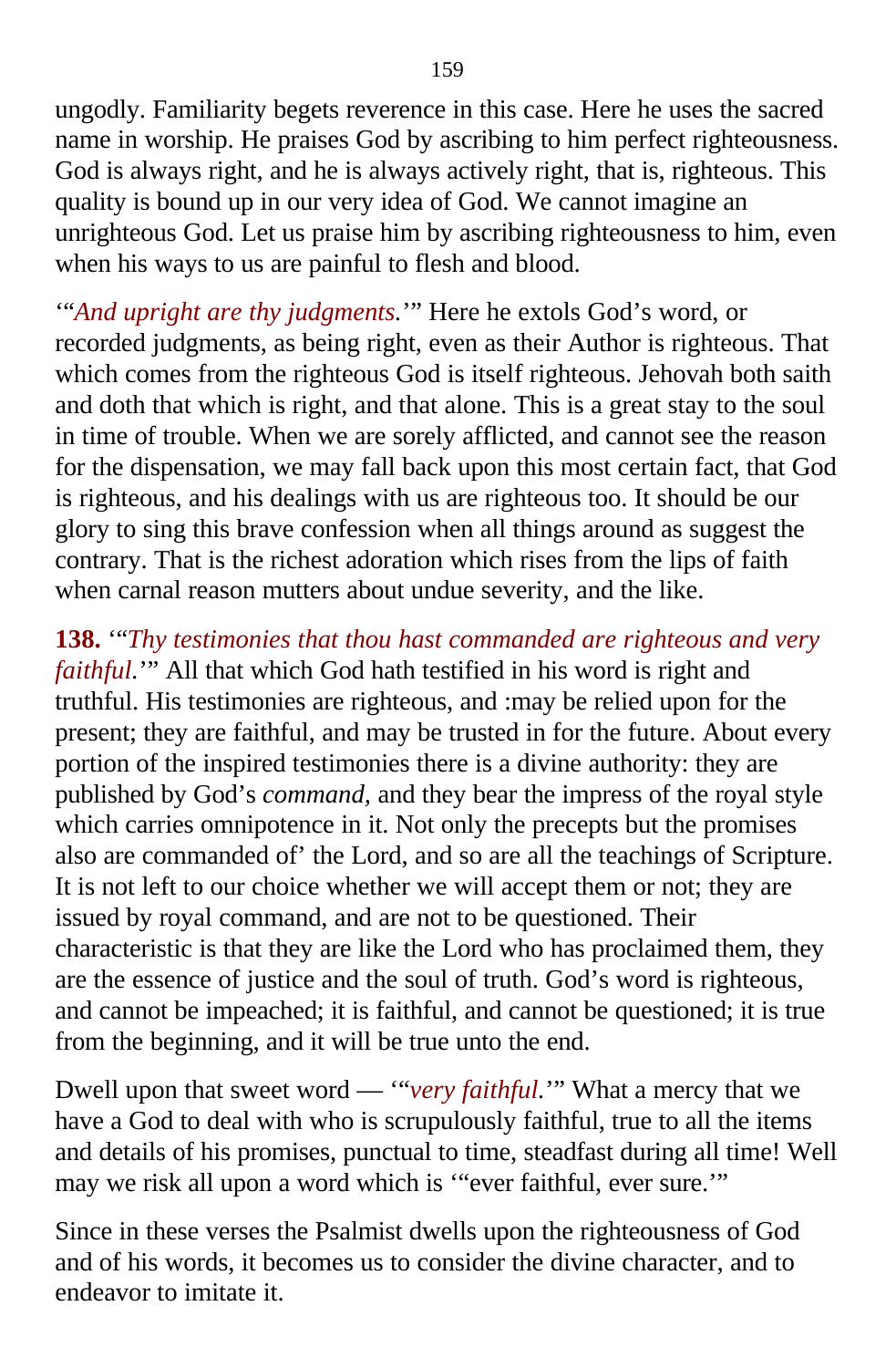ungodly. Familiarity begets reverence in this case. Here he uses the sacred name in worship. He praises God by ascribing to him perfect righteousness. God is always right, and he is always actively right, that is, righteous. This quality is bound up in our very idea of God. We cannot imagine an unrighteous God. Let us praise him by ascribing righteousness to him, even when his ways to us are painful to flesh and blood.

'"*And upright are thy judgments.*'" Here he extols God's word, or recorded judgments, as being right, even as their Author is righteous. That which comes from the righteous God is itself righteous. Jehovah both saith and doth that which is right, and that alone. This is a great stay to the soul in time of trouble. When we are sorely afflicted, and cannot see the reason for the dispensation, we may fall back upon this most certain fact, that God is righteous, and his dealings with us are righteous too. It should be our glory to sing this brave confession when all things around as suggest the contrary. That is the richest adoration which rises from the lips of faith when carnal reason mutters about undue severity, and the like.

**138.** '"*Thy testimonies that thou hast commanded are righteous and very faithful.*'" All that which God hath testified in his word is right and truthful. His testimonies are righteous, and :may be relied upon for the present; they are faithful, and may be trusted in for the future. About every portion of the inspired testimonies there is a divine authority: they are published by God's *command,* and they bear the impress of the royal style which carries omnipotence in it. Not only the precepts but the promises also are commanded of' the Lord, and so are all the teachings of Scripture. It is not left to our choice whether we will accept them or not; they are issued by royal command, and are not to be questioned. Their characteristic is that they are like the Lord who has proclaimed them, they are the essence of justice and the soul of truth. God's word is righteous, and cannot be impeached; it is faithful, and cannot be questioned; it is true from the beginning, and it will be true unto the end.

Dwell upon that sweet word — '"*very faithful.*'" What a mercy that we have a God to deal with who is scrupulously faithful, true to all the items and details of his promises, punctual to time, steadfast during all time! Well may we risk all upon a word which is '"ever faithful, ever sure.'"

Since in these verses the Psalmist dwells upon the righteousness of God and of his words, it becomes us to consider the divine character, and to endeavor to imitate it.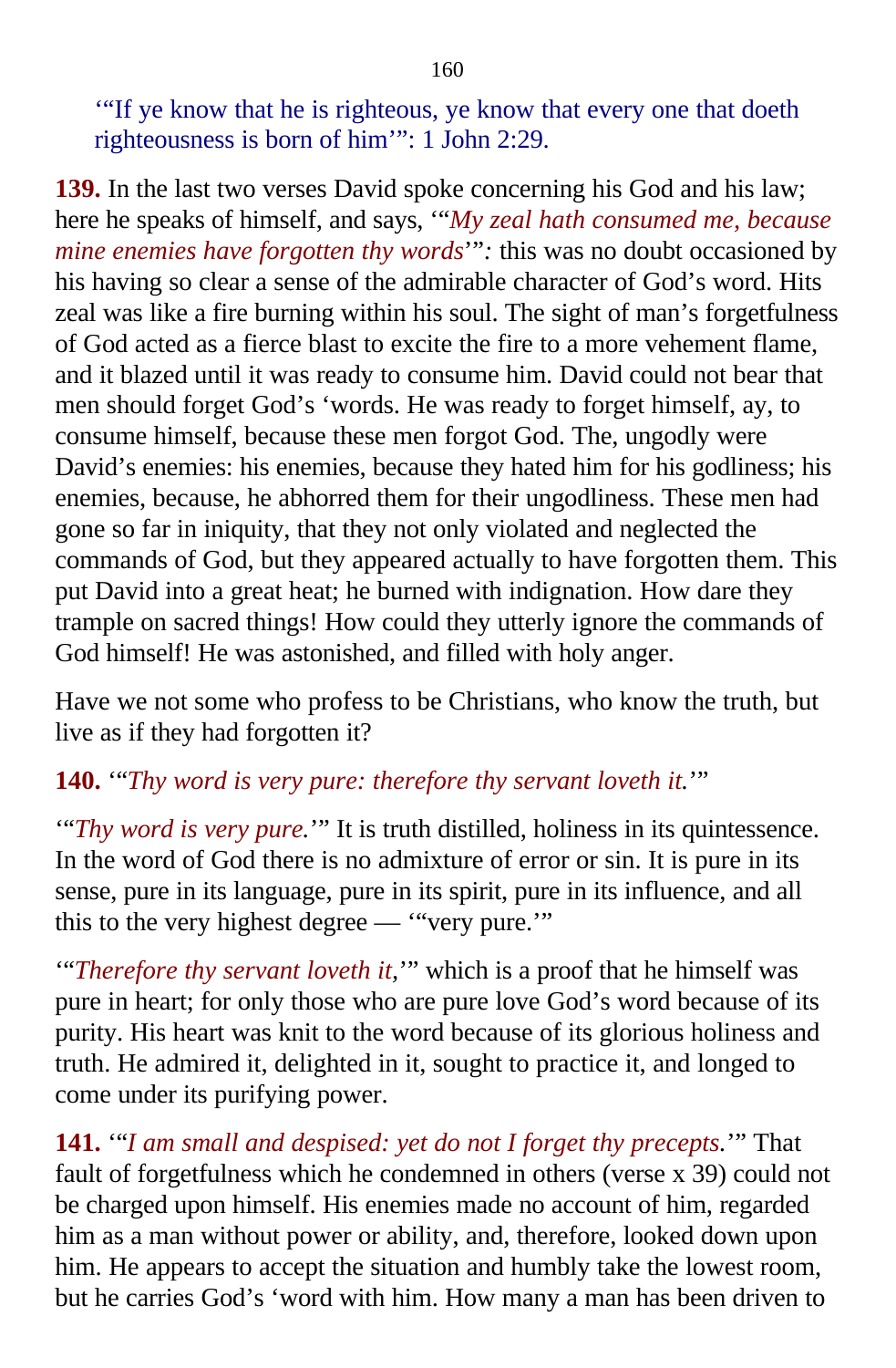'"If ye know that he is righteous, ye know that every one that doeth righteousness is born of him'": 1 John 2:29.

**139.** In the last two verses David spoke concerning his God and his law; here he speaks of himself, and says, '"*My zeal hath consumed me, because mine enemies have forgotten thy words*'"*:* this was no doubt occasioned by his having so clear a sense of the admirable character of God's word. Hits zeal was like a fire burning within his soul. The sight of man's forgetfulness of God acted as a fierce blast to excite the fire to a more vehement flame, and it blazed until it was ready to consume him. David could not bear that men should forget God's 'words. He was ready to forget himself, ay, to consume himself, because these men forgot God. The, ungodly were David's enemies: his enemies, because they hated him for his godliness; his enemies, because, he abhorred them for their ungodliness. These men had gone so far in iniquity, that they not only violated and neglected the commands of God, but they appeared actually to have forgotten them. This put David into a great heat; he burned with indignation. How dare they trample on sacred things! How could they utterly ignore the commands of God himself! He was astonished, and filled with holy anger.

Have we not some who profess to be Christians, who know the truth, but live as if they had forgotten it?

#### **140.** '"*Thy word is very pure: therefore thy servant loveth it.*'"

'"*Thy word is very pure.*'" It is truth distilled, holiness in its quintessence. In the word of God there is no admixture of error or sin. It is pure in its sense, pure in its language, pure in its spirit, pure in its influence, and all this to the very highest degree — '"very pure.'"

'"*Therefore thy servant loveth it,*'" which is a proof that he himself was pure in heart; for only those who are pure love God's word because of its purity. His heart was knit to the word because of its glorious holiness and truth. He admired it, delighted in it, sought to practice it, and longed to come under its purifying power.

**141.** '"*I am small and despised: yet do not I forget thy precepts.*'" That fault of forgetfulness which he condemned in others (verse x 39) could not be charged upon himself. His enemies made no account of him, regarded him as a man without power or ability, and, therefore, looked down upon him. He appears to accept the situation and humbly take the lowest room, but he carries God's 'word with him. How many a man has been driven to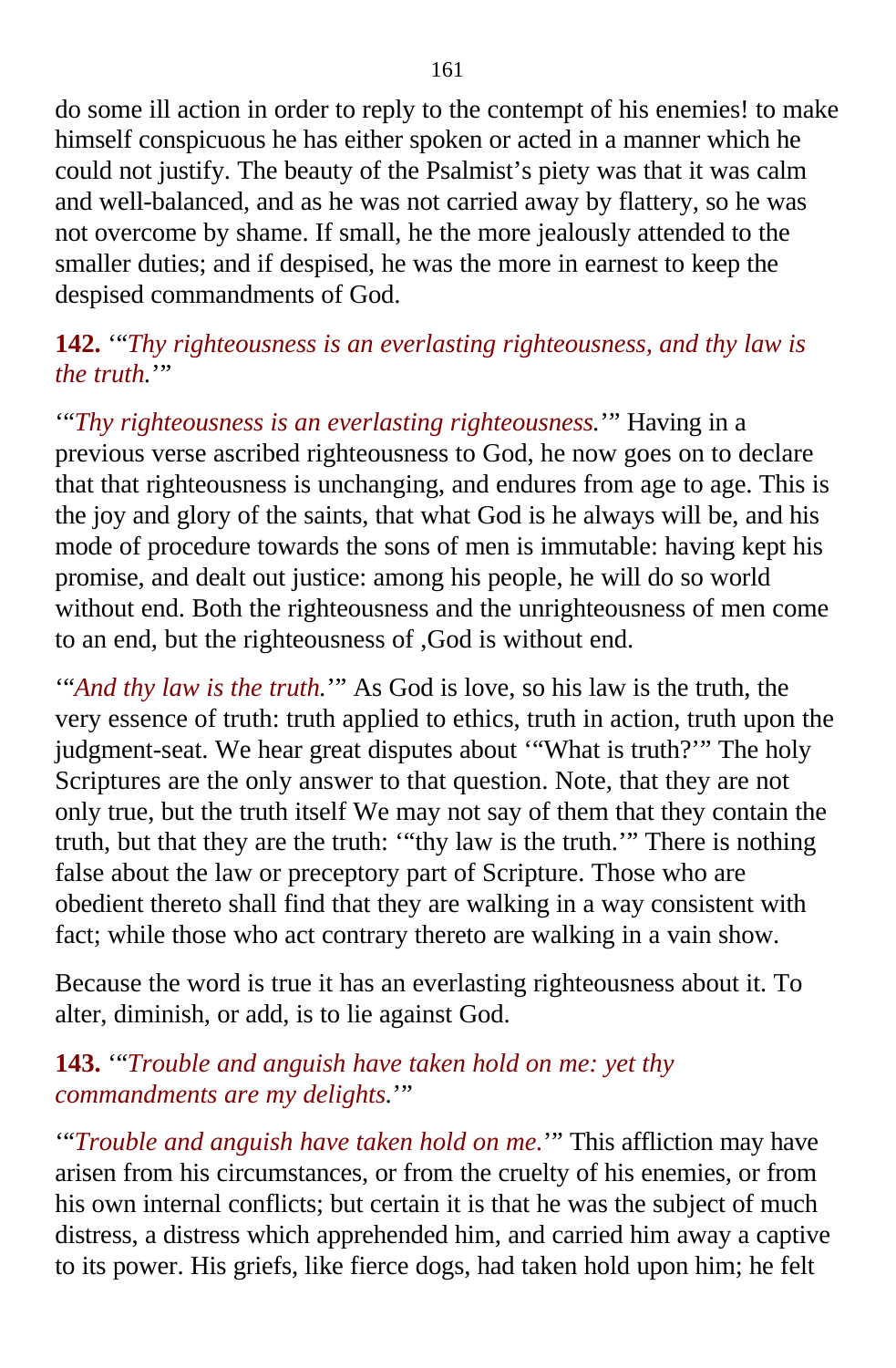do some ill action in order to reply to the contempt of his enemies! to make himself conspicuous he has either spoken or acted in a manner which he could not justify. The beauty of the Psalmist's piety was that it was calm and well-balanced, and as he was not carried away by flattery, so he was not overcome by shame. If small, he the more jealously attended to the smaller duties; and if despised, he was the more in earnest to keep the despised commandments of God.

## **142.** '"*Thy righteousness is an everlasting righteousness, and thy law is the truth*"

'"*Thy righteousness is an everlasting righteousness.*'" Having in a previous verse ascribed righteousness to God, he now goes on to declare that that righteousness is unchanging, and endures from age to age. This is the joy and glory of the saints, that what God is he always will be, and his mode of procedure towards the sons of men is immutable: having kept his promise, and dealt out justice: among his people, he will do so world without end. Both the righteousness and the unrighteousness of men come to an end, but the righteousness of ,God is without end.

'"*And thy law is the truth.*'" As God is love, so his law is the truth, the very essence of truth: truth applied to ethics, truth in action, truth upon the judgment-seat. We hear great disputes about '"What is truth?'" The holy Scriptures are the only answer to that question. Note, that they are not only true, but the truth itself We may not say of them that they contain the truth, but that they are the truth: '"thy law is the truth.'" There is nothing false about the law or preceptory part of Scripture. Those who are obedient thereto shall find that they are walking in a way consistent with fact; while those who act contrary thereto are walking in a vain show.

Because the word is true it has an everlasting righteousness about it. To alter, diminish, or add, is to lie against God.

# **143.** '"*Trouble and anguish have taken hold on me: yet thy commandments are my delights.*'"

'"*Trouble and anguish have taken hold on me.*'" This affliction may have arisen from his circumstances, or from the cruelty of his enemies, or from his own internal conflicts; but certain it is that he was the subject of much distress, a distress which apprehended him, and carried him away a captive to its power. His griefs, like fierce dogs, had taken hold upon him; he felt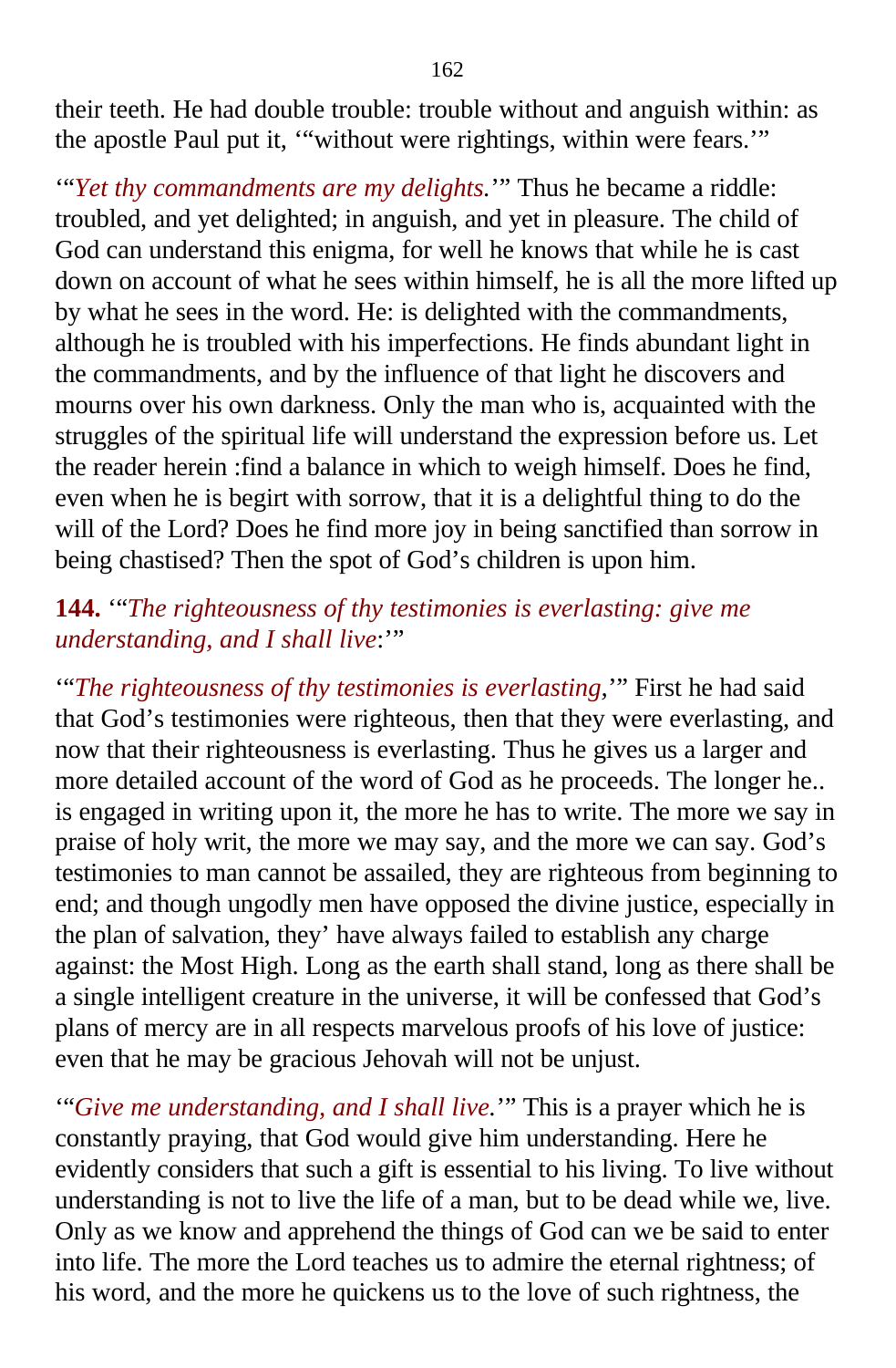their teeth. He had double trouble: trouble without and anguish within: as the apostle Paul put it, '"without were rightings, within were fears.'"

'"*Yet thy commandments are my delights.*'" Thus he became a riddle: troubled, and yet delighted; in anguish, and yet in pleasure. The child of God can understand this enigma, for well he knows that while he is cast down on account of what he sees within himself, he is all the more lifted up by what he sees in the word. He: is delighted with the commandments, although he is troubled with his imperfections. He finds abundant light in the commandments, and by the influence of that light he discovers and mourns over his own darkness. Only the man who is, acquainted with the struggles of the spiritual life will understand the expression before us. Let the reader herein :find a balance in which to weigh himself. Does he find, even when he is begirt with sorrow, that it is a delightful thing to do the will of the Lord? Does he find more joy in being sanctified than sorrow in being chastised? Then the spot of God's children is upon him.

### **144.** '"*The righteousness of thy testimonies is everlasting: give me understanding, and I shall live*:'"

'"*The righteousness of thy testimonies is everlasting,*'" First he had said that God's testimonies were righteous, then that they were everlasting, and now that their righteousness is everlasting. Thus he gives us a larger and more detailed account of the word of God as he proceeds. The longer he.. is engaged in writing upon it, the more he has to write. The more we say in praise of holy writ, the more we may say, and the more we can say. God's testimonies to man cannot be assailed, they are righteous from beginning to end; and though ungodly men have opposed the divine justice, especially in the plan of salvation, they' have always failed to establish any charge against: the Most High. Long as the earth shall stand, long as there shall be a single intelligent creature in the universe, it will be confessed that God's plans of mercy are in all respects marvelous proofs of his love of justice: even that he may be gracious Jehovah will not be unjust.

'"*Give me understanding, and I shall live.*'" This is a prayer which he is constantly praying, that God would give him understanding. Here he evidently considers that such a gift is essential to his living. To live without understanding is not to live the life of a man, but to be dead while we, live. Only as we know and apprehend the things of God can we be said to enter into life. The more the Lord teaches us to admire the eternal rightness; of his word, and the more he quickens us to the love of such rightness, the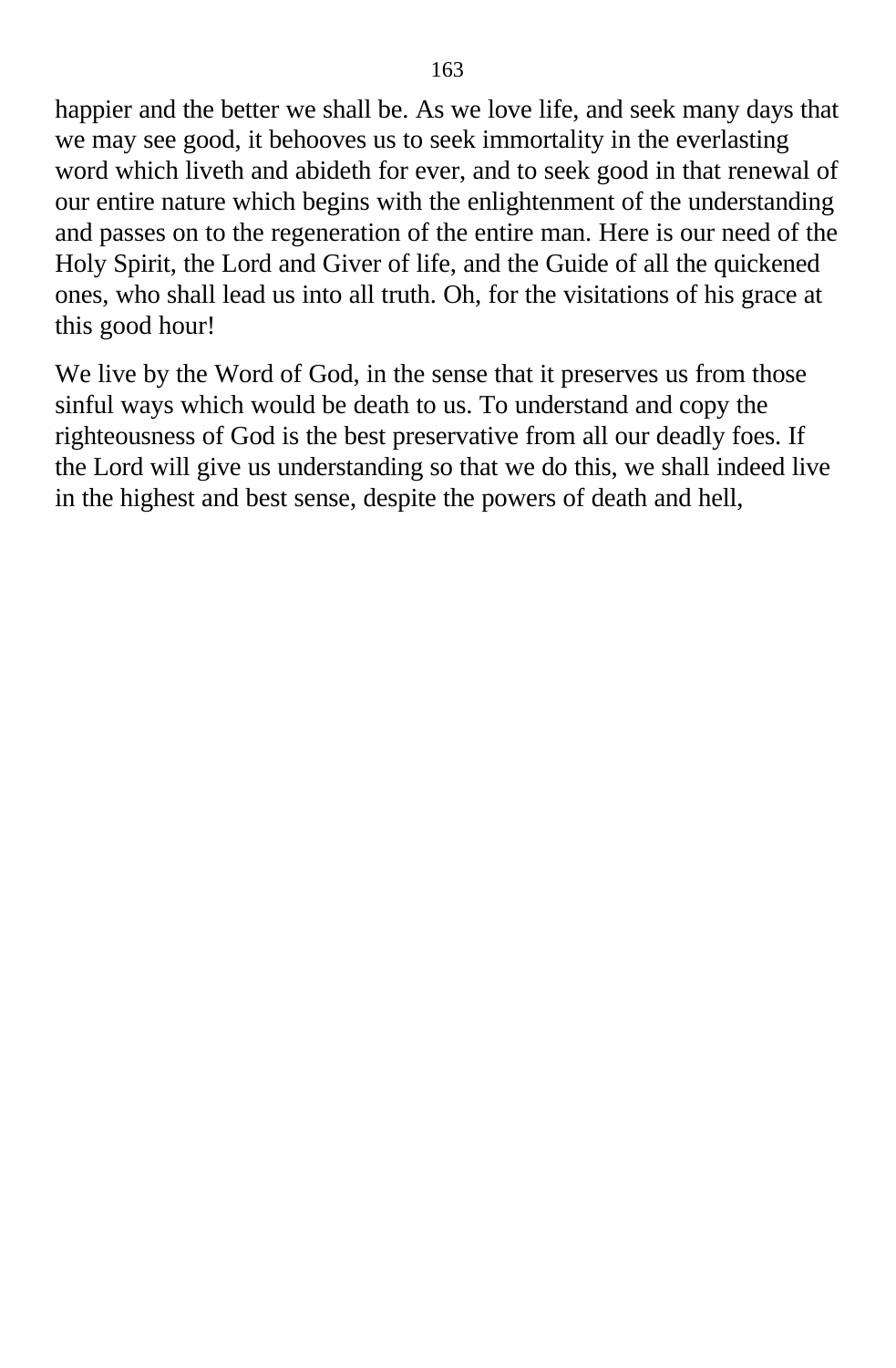happier and the better we shall be. As we love life, and seek many days that we may see good, it behooves us to seek immortality in the everlasting word which liveth and abideth for ever, and to seek good in that renewal of our entire nature which begins with the enlightenment of the understanding and passes on to the regeneration of the entire man. Here is our need of the Holy Spirit, the Lord and Giver of life, and the Guide of all the quickened ones, who shall lead us into all truth. Oh, for the visitations of his grace at this good hour!

We live by the Word of God, in the sense that it preserves us from those sinful ways which would be death to us. To understand and copy the righteousness of God is the best preservative from all our deadly foes. If the Lord will give us understanding so that we do this, we shall indeed live in the highest and best sense, despite the powers of death and hell,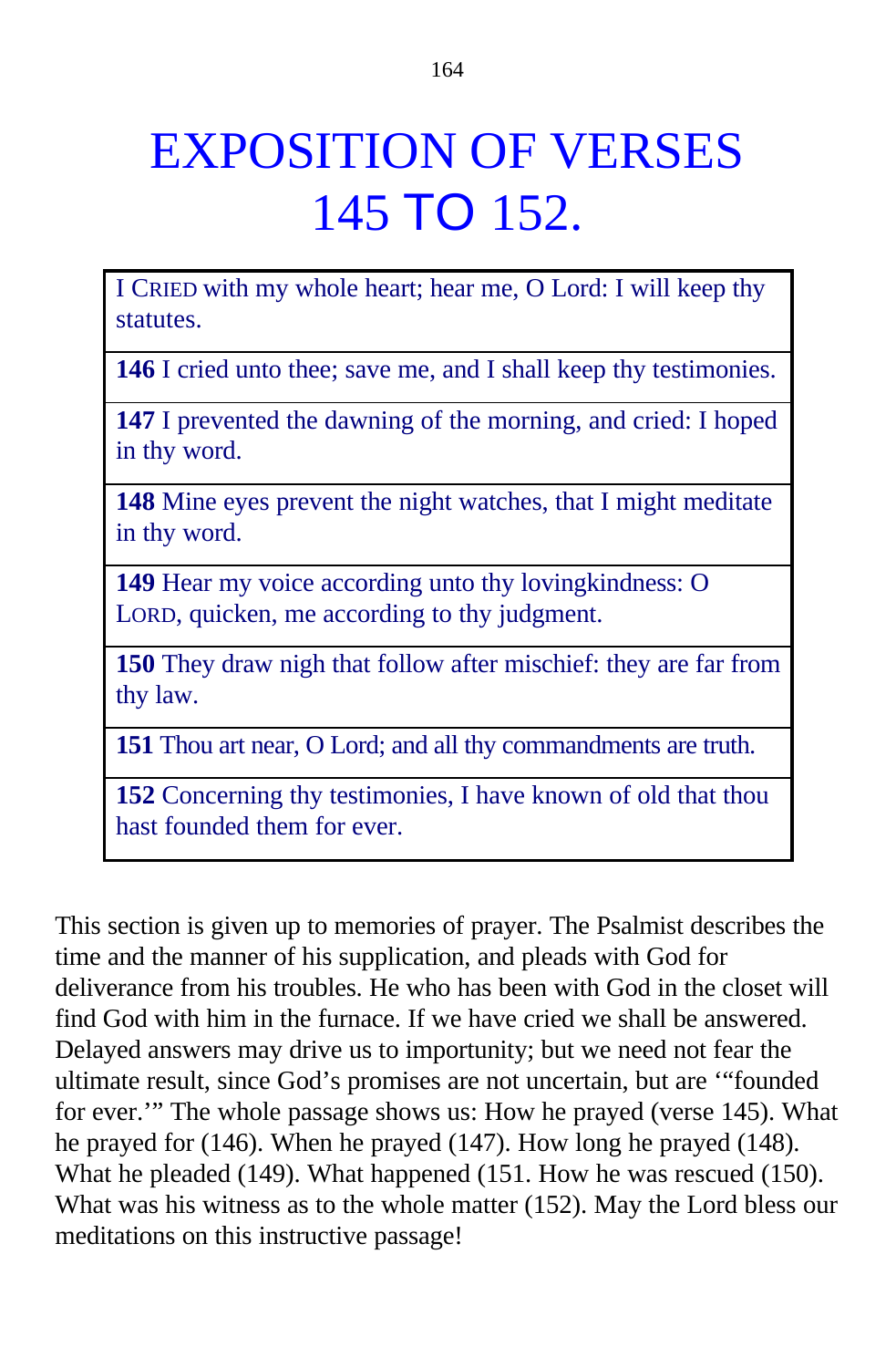# EXPOSITION OF VERSES 145 TO 152.

I CRIED with my whole heart; hear me, O Lord: I will keep thy statutes.

**146** I cried unto thee; save me, and I shall keep thy testimonies.

**147** I prevented the dawning of the morning, and cried: I hoped in thy word.

**148** Mine eyes prevent the night watches, that I might meditate in thy word.

**149** Hear my voice according unto thy lovingkindness: O LORD, quicken, me according to thy judgment.

**150** They draw nigh that follow after mischief: they are far from thy law.

**151** Thou art near, O Lord; and all thy commandments are truth.

**152** Concerning thy testimonies, I have known of old that thou hast founded them for ever.

This section is given up to memories of prayer. The Psalmist describes the time and the manner of his supplication, and pleads with God for deliverance from his troubles. He who has been with God in the closet will find God with him in the furnace. If we have cried we shall be answered. Delayed answers may drive us to importunity; but we need not fear the ultimate result, since God's promises are not uncertain, but are '"founded for ever.'" The whole passage shows us: How he prayed (verse 145). What he prayed for (146). When he prayed (147). How long he prayed (148). What he pleaded (149). What happened (151. How he was rescued (150). What was his witness as to the whole matter (152). May the Lord bless our meditations on this instructive passage!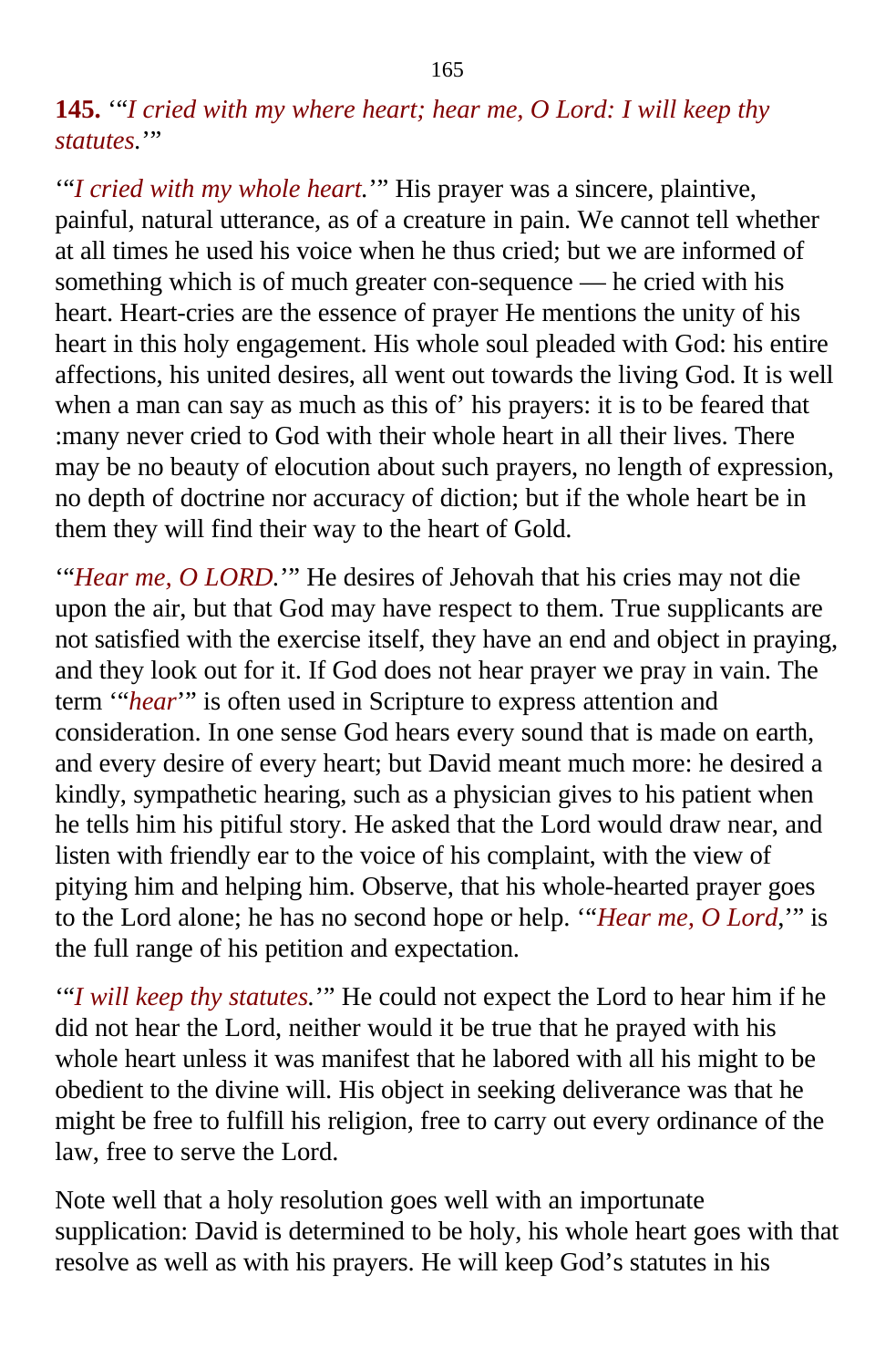**145.** '"*I cried with my where heart; hear me, O Lord: I will keep thy* statutes."

'"*I cried with my whole heart.*'" His prayer was a sincere, plaintive, painful, natural utterance, as of a creature in pain. We cannot tell whether at all times he used his voice when he thus cried; but we are informed of something which is of much greater con-sequence — he cried with his heart. Heart-cries are the essence of prayer He mentions the unity of his heart in this holy engagement. His whole soul pleaded with God: his entire affections, his united desires, all went out towards the living God. It is well when a man can say as much as this of' his prayers: it is to be feared that :many never cried to God with their whole heart in all their lives. There may be no beauty of elocution about such prayers, no length of expression, no depth of doctrine nor accuracy of diction; but if the whole heart be in them they will find their way to the heart of Gold.

'"*Hear me, O LORD.*'" He desires of Jehovah that his cries may not die upon the air, but that God may have respect to them. True supplicants are not satisfied with the exercise itself, they have an end and object in praying, and they look out for it. If God does not hear prayer we pray in vain. The term '"*hear*'" is often used in Scripture to express attention and consideration. In one sense God hears every sound that is made on earth, and every desire of every heart; but David meant much more: he desired a kindly, sympathetic hearing, such as a physician gives to his patient when he tells him his pitiful story. He asked that the Lord would draw near, and listen with friendly ear to the voice of his complaint, with the view of pitying him and helping him. Observe, that his whole-hearted prayer goes to the Lord alone; he has no second hope or help. '"*Hear me, O Lord*,'" is the full range of his petition and expectation.

'"*I will keep thy statutes.*'" He could not expect the Lord to hear him if he did not hear the Lord, neither would it be true that he prayed with his whole heart unless it was manifest that he labored with all his might to be obedient to the divine will. His object in seeking deliverance was that he might be free to fulfill his religion, free to carry out every ordinance of the law, free to serve the Lord.

Note well that a holy resolution goes well with an importunate supplication: David is determined to be holy, his whole heart goes with that resolve as well as with his prayers. He will keep God's statutes in his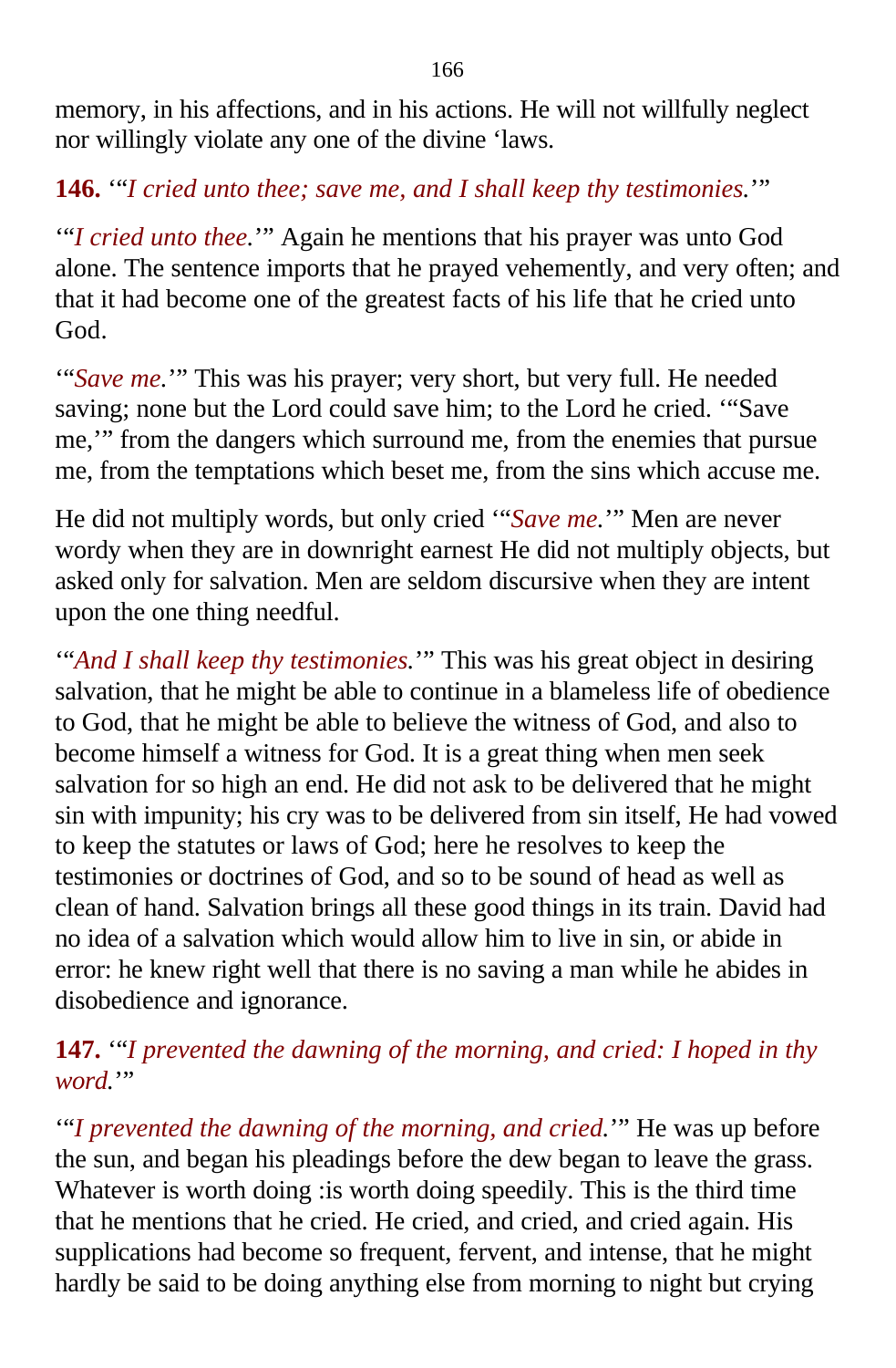memory, in his affections, and in his actions. He will not willfully neglect nor willingly violate any one of the divine 'laws.

# **146.** '"*I cried unto thee; save me, and I shall keep thy testimonies.*'"

'"*I cried unto thee.*'" Again he mentions that his prayer was unto God alone. The sentence imports that he prayed vehemently, and very often; and that it had become one of the greatest facts of his life that he cried unto God.

'"*Save me.*'" This was his prayer; very short, but very full. He needed saving; none but the Lord could save him; to the Lord he cried. '"Save me,'" from the dangers which surround me, from the enemies that pursue me, from the temptations which beset me, from the sins which accuse me.

He did not multiply words, but only cried '"*Save me.*'" Men are never wordy when they are in downright earnest He did not multiply objects, but asked only for salvation. Men are seldom discursive when they are intent upon the one thing needful.

'"*And I shall keep thy testimonies.*'" This was his great object in desiring salvation, that he might be able to continue in a blameless life of obedience to God, that he might be able to believe the witness of God, and also to become himself a witness for God. It is a great thing when men seek salvation for so high an end. He did not ask to be delivered that he might sin with impunity; his cry was to be delivered from sin itself, He had vowed to keep the statutes or laws of God; here he resolves to keep the testimonies or doctrines of God, and so to be sound of head as well as clean of hand. Salvation brings all these good things in its train. David had no idea of a salvation which would allow him to live in sin, or abide in error: he knew right well that there is no saving a man while he abides in disobedience and ignorance.

# **147.** '"*I prevented the dawning of the morning, and cried: I hoped in thy* word."

'"*I prevented the dawning of the morning, and cried.*'" He was up before the sun, and began his pleadings before the dew began to leave the grass. Whatever is worth doing : is worth doing speedily. This is the third time that he mentions that he cried. He cried, and cried, and cried again. His supplications had become so frequent, fervent, and intense, that he might hardly be said to be doing anything else from morning to night but crying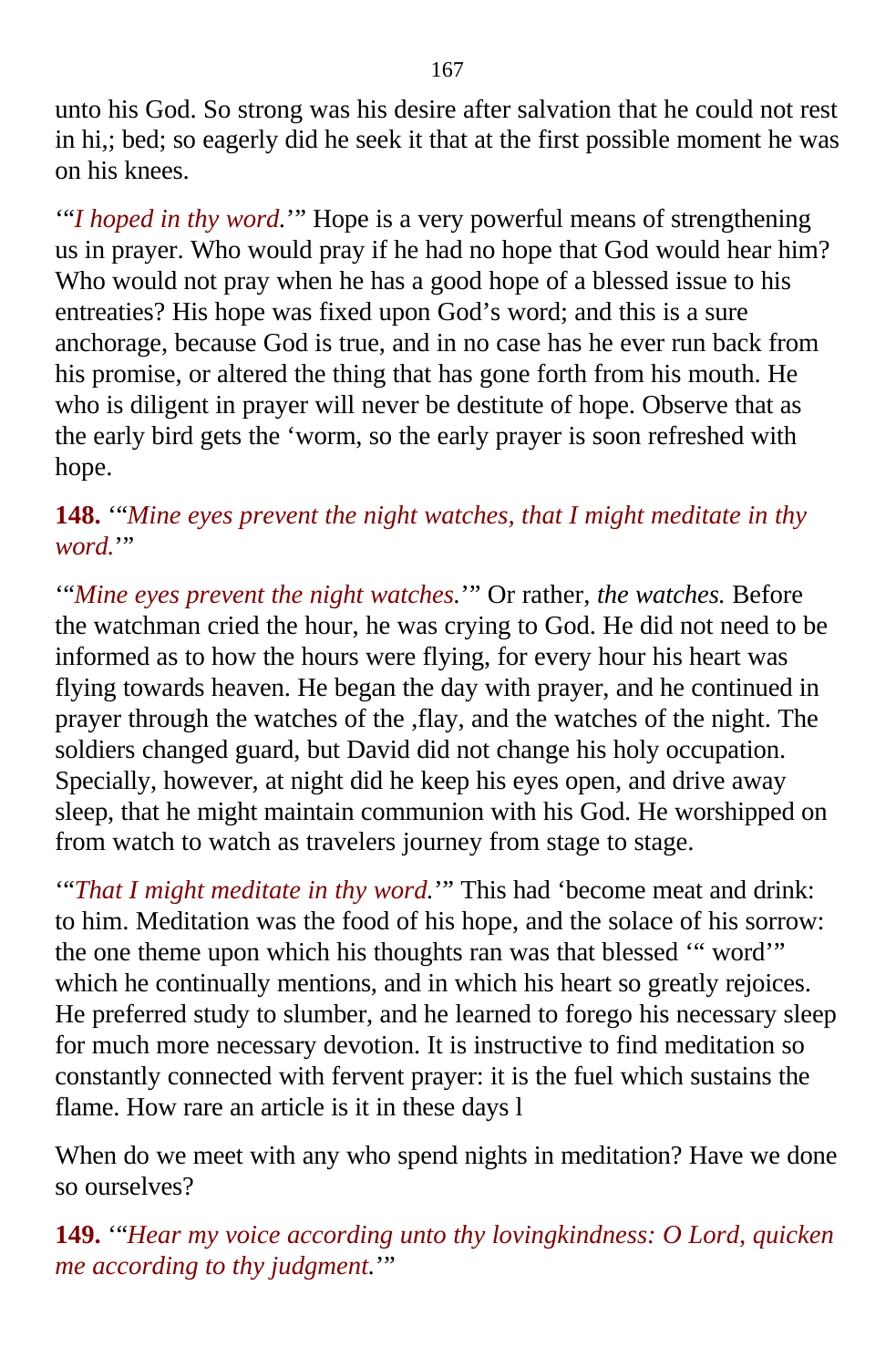unto his God. So strong was his desire after salvation that he could not rest in hi,; bed; so eagerly did he seek it that at the first possible moment he was on his knees.

'"*I hoped in thy word.*'" Hope is a very powerful means of strengthening us in prayer. Who would pray if he had no hope that God would hear him? Who would not pray when he has a good hope of a blessed issue to his entreaties? His hope was fixed upon God's word; and this is a sure anchorage, because God is true, and in no case has he ever run back from his promise, or altered the thing that has gone forth from his mouth. He who is diligent in prayer will never be destitute of hope. Observe that as the early bird gets the 'worm, so the early prayer is soon refreshed with hope.

# **148.** '"*Mine eyes prevent the night watches, that I might meditate in thy* word."

'"*Mine eyes prevent the night watches.*'" Or rather, *the watches.* Before the watchman cried the hour, he was crying to God. He did not need to be informed as to how the hours were flying, for every hour his heart was flying towards heaven. He began the day with prayer, and he continued in prayer through the watches of the ,flay, and the watches of the night. The soldiers changed guard, but David did not change his holy occupation. Specially, however, at night did he keep his eyes open, and drive away sleep, that he might maintain communion with his God. He worshipped on from watch to watch as travelers journey from stage to stage.

'"*That I might meditate in thy word.*'" This had 'become meat and drink: to him. Meditation was the food of his hope, and the solace of his sorrow: the one theme upon which his thoughts ran was that blessed '" word'" which he continually mentions, and in which his heart so greatly rejoices. He preferred study to slumber, and he learned to forego his necessary sleep for much more necessary devotion. It is instructive to find meditation so constantly connected with fervent prayer: it is the fuel which sustains the flame. How rare an article is it in these days l

When do we meet with any who spend nights in meditation? Have we done so ourselves?

**149.** '"*Hear my voice according unto thy lovingkindness: O Lord, quicken me according to thy judgment.*'"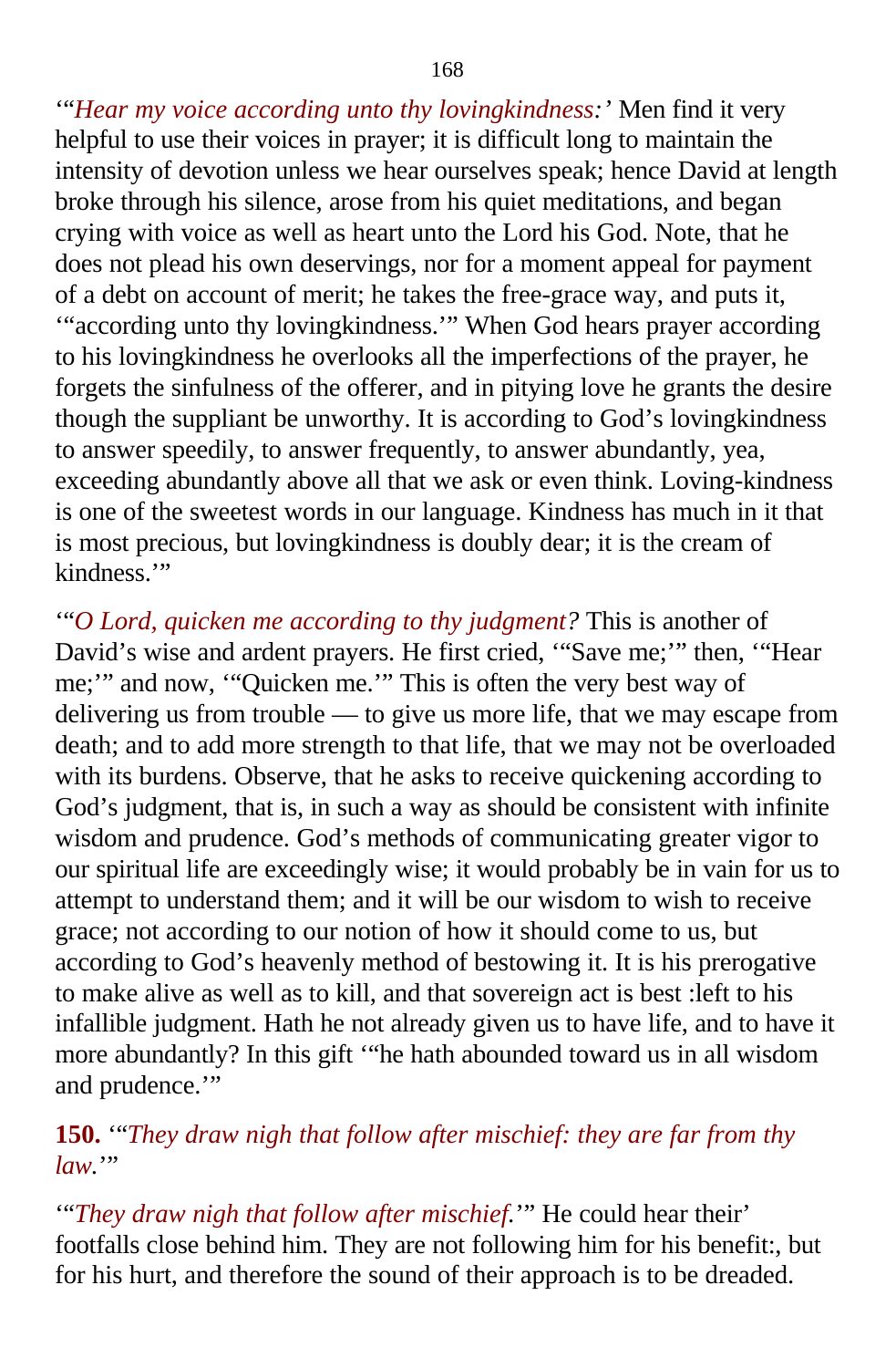'"*Hear my voice according unto thy lovingkindness:'* Men find it very helpful to use their voices in prayer; it is difficult long to maintain the intensity of devotion unless we hear ourselves speak; hence David at length broke through his silence, arose from his quiet meditations, and began crying with voice as well as heart unto the Lord his God. Note, that he does not plead his own deservings, nor for a moment appeal for payment of a debt on account of merit; he takes the free-grace way, and puts it, '"according unto thy lovingkindness.'" When God hears prayer according to his lovingkindness he overlooks all the imperfections of the prayer, he forgets the sinfulness of the offerer, and in pitying love he grants the desire though the suppliant be unworthy. It is according to God's lovingkindness to answer speedily, to answer frequently, to answer abundantly, yea, exceeding abundantly above all that we ask or even think. Loving-kindness is one of the sweetest words in our language. Kindness has much in it that is most precious, but lovingkindness is doubly dear; it is the cream of kindness."

'"*O Lord, quicken me according to thy judgment?* This is another of David's wise and ardent prayers. He first cried, '"Save me;'" then, '"Hear me;'" and now, '"Quicken me.'" This is often the very best way of delivering us from trouble — to give us more life, that we may escape from death; and to add more strength to that life, that we may not be overloaded with its burdens. Observe, that he asks to receive quickening according to God's judgment, that is, in such a way as should be consistent with infinite wisdom and prudence. God's methods of communicating greater vigor to our spiritual life are exceedingly wise; it would probably be in vain for us to attempt to understand them; and it will be our wisdom to wish to receive grace; not according to our notion of how it should come to us, but according to God's heavenly method of bestowing it. It is his prerogative to make alive as well as to kill, and that sovereign act is best :left to his infallible judgment. Hath he not already given us to have life, and to have it more abundantly? In this gift '"he hath abounded toward us in all wisdom and prudence."

### **150.** '"*They draw nigh that follow after mischief: they are far from thy law.*"

'"*They draw nigh that follow after mischief.*'" He could hear their' footfalls close behind him. They are not following him for his benefit:, but for his hurt, and therefore the sound of their approach is to be dreaded.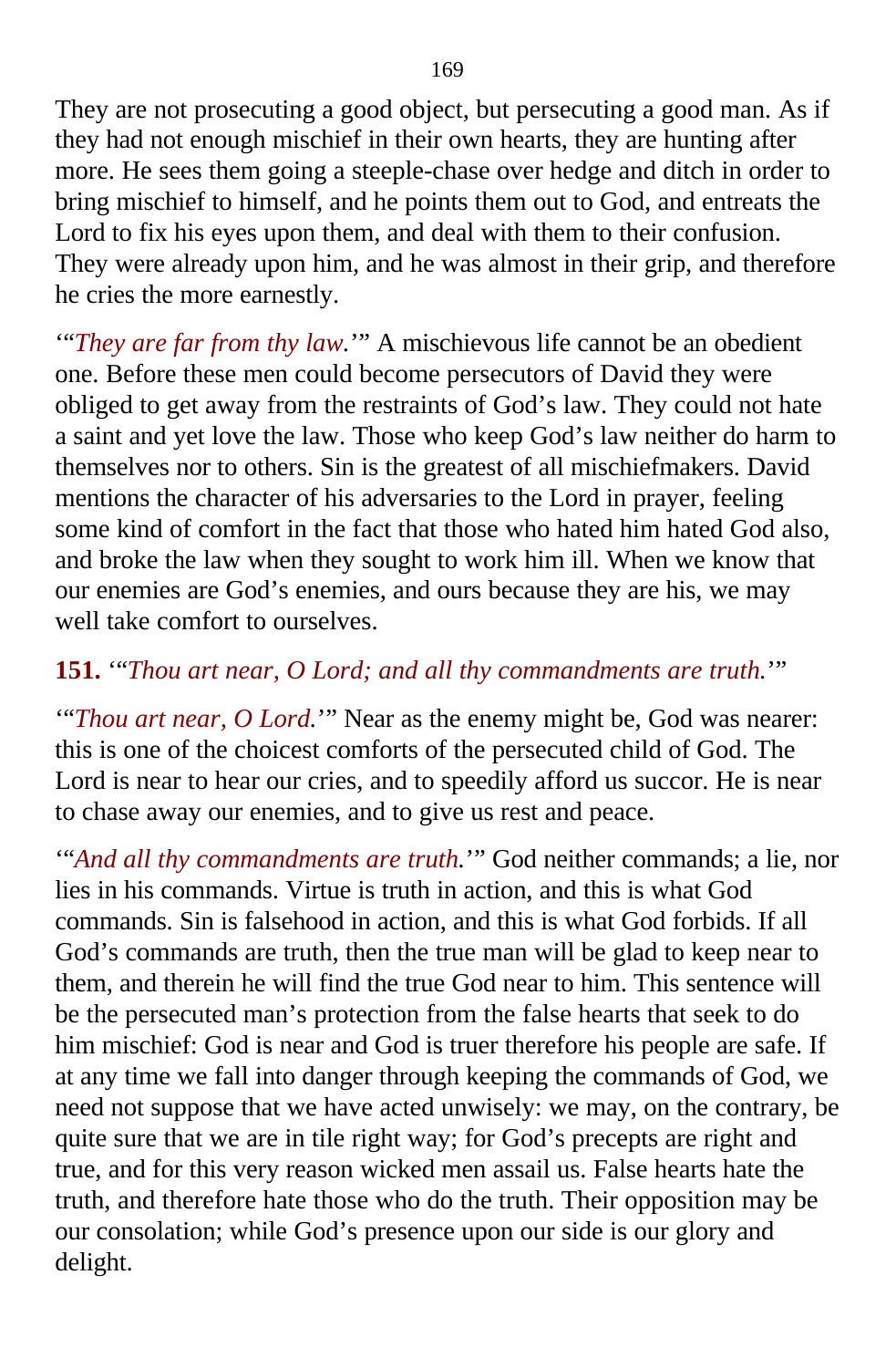They are not prosecuting a good object, but persecuting a good man. As if they had not enough mischief in their own hearts, they are hunting after more. He sees them going a steeple-chase over hedge and ditch in order to bring mischief to himself, and he points them out to God, and entreats the Lord to fix his eyes upon them, and deal with them to their confusion. They were already upon him, and he was almost in their grip, and therefore he cries the more earnestly.

'"*They are far from thy law.*'" A mischievous life cannot be an obedient one. Before these men could become persecutors of David they were obliged to get away from the restraints of God's law. They could not hate a saint and yet love the law. Those who keep God's law neither do harm to themselves nor to others. Sin is the greatest of all mischiefmakers. David mentions the character of his adversaries to the Lord in prayer, feeling some kind of comfort in the fact that those who hated him hated God also, and broke the law when they sought to work him ill. When we know that our enemies are God's enemies, and ours because they are his, we may well take comfort to ourselves.

### **151.** '"*Thou art near, O Lord; and all thy commandments are truth.*'"

'"*Thou art near, O Lord.*'" Near as the enemy might be, God was nearer: this is one of the choicest comforts of the persecuted child of God. The Lord is near to hear our cries, and to speedily afford us succor. He is near to chase away our enemies, and to give us rest and peace.

'"*And all thy commandments are truth.*'" God neither commands; a lie, nor lies in his commands. Virtue is truth in action, and this is what God commands. Sin is falsehood in action, and this is what God forbids. If all God's commands are truth, then the true man will be glad to keep near to them, and therein he will find the true God near to him. This sentence will be the persecuted man's protection from the false hearts that seek to do him mischief: God is near and God is truer therefore his people are safe. If at any time we fall into danger through keeping the commands of God, we need not suppose that we have acted unwisely: we may, on the contrary, be quite sure that we are in tile right way; for God's precepts are right and true, and for this very reason wicked men assail us. False hearts hate the truth, and therefore hate those who do the truth. Their opposition may be our consolation; while God's presence upon our side is our glory and delight.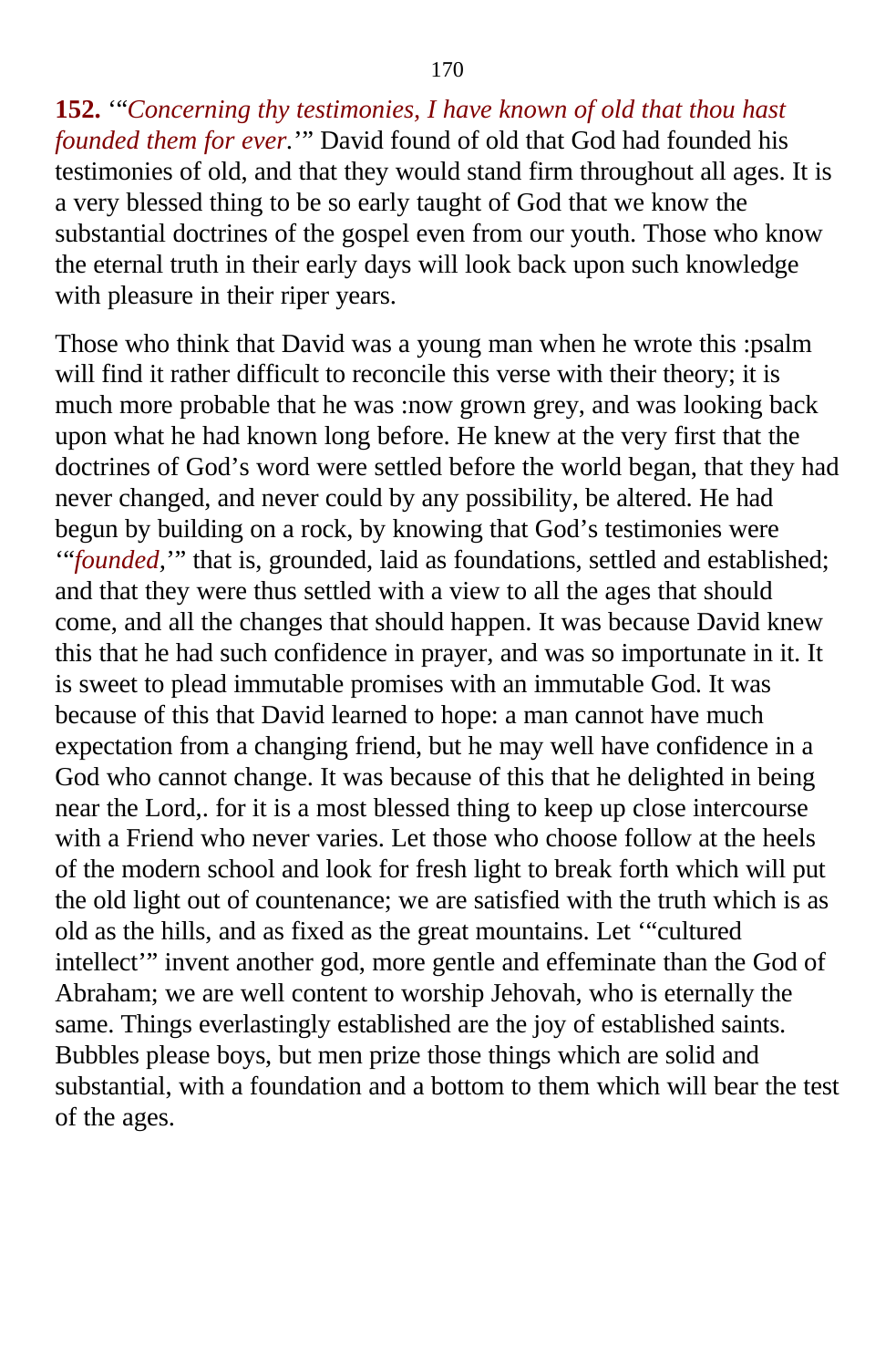**152.** '"*Concerning thy testimonies, I have known of old that thou hast founded them for ever.*'" David found of old that God had founded his testimonies of old, and that they would stand firm throughout all ages. It is a very blessed thing to be so early taught of God that we know the substantial doctrines of the gospel even from our youth. Those who know the eternal truth in their early days will look back upon such knowledge with pleasure in their riper years.

Those who think that David was a young man when he wrote this :psalm will find it rather difficult to reconcile this verse with their theory; it is much more probable that he was :now grown grey, and was looking back upon what he had known long before. He knew at the very first that the doctrines of God's word were settled before the world began, that they had never changed, and never could by any possibility, be altered. He had begun by building on a rock, by knowing that God's testimonies were '"*founded,*'" that is, grounded, laid as foundations, settled and established; and that they were thus settled with a view to all the ages that should come, and all the changes that should happen. It was because David knew this that he had such confidence in prayer, and was so importunate in it. It is sweet to plead immutable promises with an immutable God. It was because of this that David learned to hope: a man cannot have much expectation from a changing friend, but he may well have confidence in a God who cannot change. It was because of this that he delighted in being near the Lord,. for it is a most blessed thing to keep up close intercourse with a Friend who never varies. Let those who choose follow at the heels of the modern school and look for fresh light to break forth which will put the old light out of countenance; we are satisfied with the truth which is as old as the hills, and as fixed as the great mountains. Let '"cultured intellect'" invent another god, more gentle and effeminate than the God of Abraham; we are well content to worship Jehovah, who is eternally the same. Things everlastingly established are the joy of established saints. Bubbles please boys, but men prize those things which are solid and substantial, with a foundation and a bottom to them which will bear the test of the ages.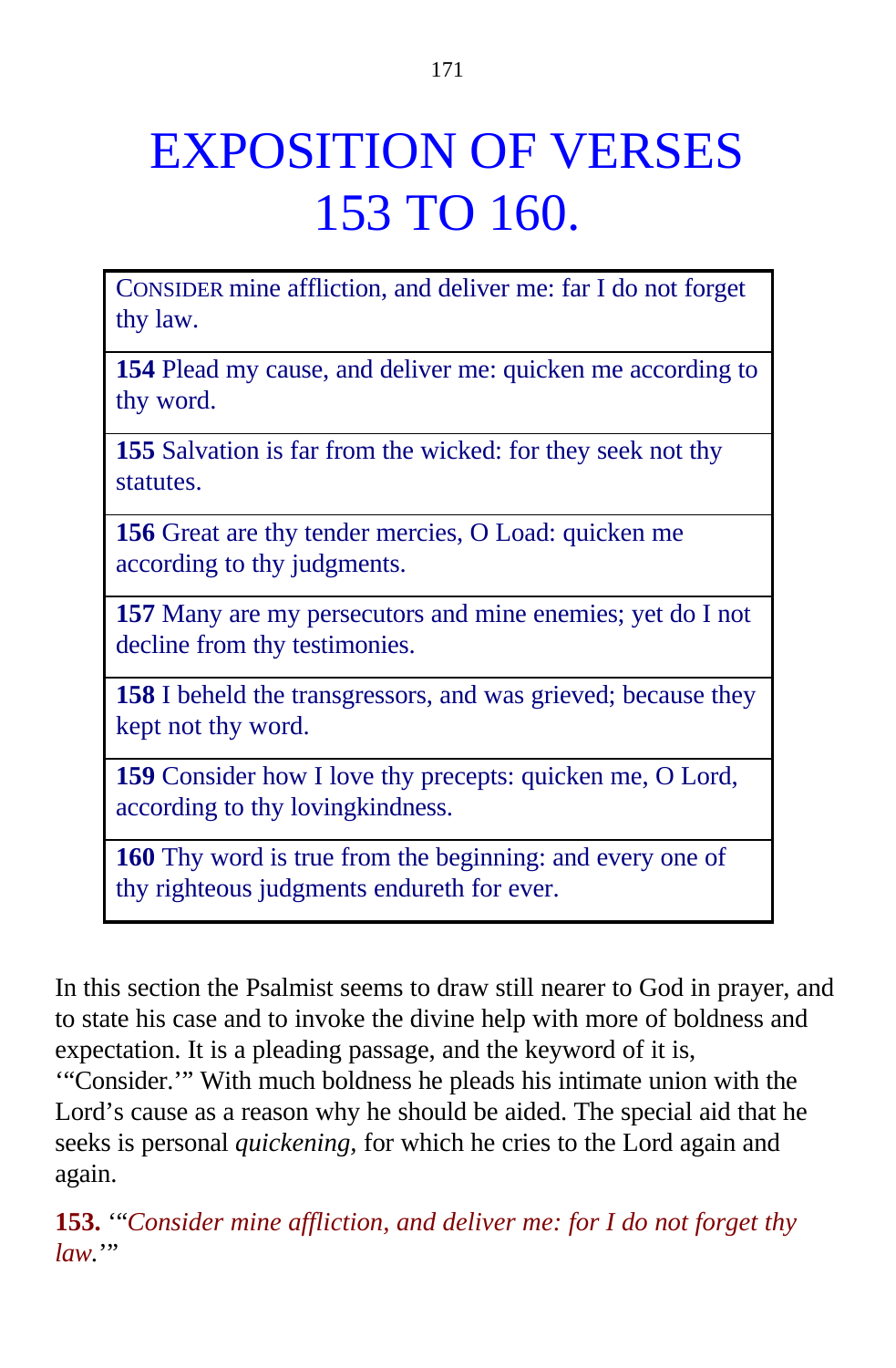# EXPOSITION OF VERSES 153 TO 160.

CONSIDER mine affliction, and deliver me: far I do not forget thy law.

**154** Plead my cause, and deliver me: quicken me according to thy word.

**155** Salvation is far from the wicked: for they seek not thy statutes.

**156** Great are thy tender mercies, O Load: quicken me according to thy judgments.

**157** Many are my persecutors and mine enemies; yet do I not decline from thy testimonies.

**158** I beheld the transgressors, and was grieved; because they kept not thy word.

**159** Consider how I love thy precepts: quicken me, O Lord, according to thy lovingkindness.

**160** Thy word is true from the beginning: and every one of thy righteous judgments endureth for ever.

In this section the Psalmist seems to draw still nearer to God in prayer, and to state his case and to invoke the divine help with more of boldness and expectation. It is a pleading passage, and the keyword of it is,

'"Consider.'" With much boldness he pleads his intimate union with the Lord's cause as a reason why he should be aided. The special aid that he seeks is personal *quickening,* for which he cries to the Lord again and again.

**153.** '"*Consider mine affliction, and deliver me: for I do not forget thy*  $law$ <sup>"</sup>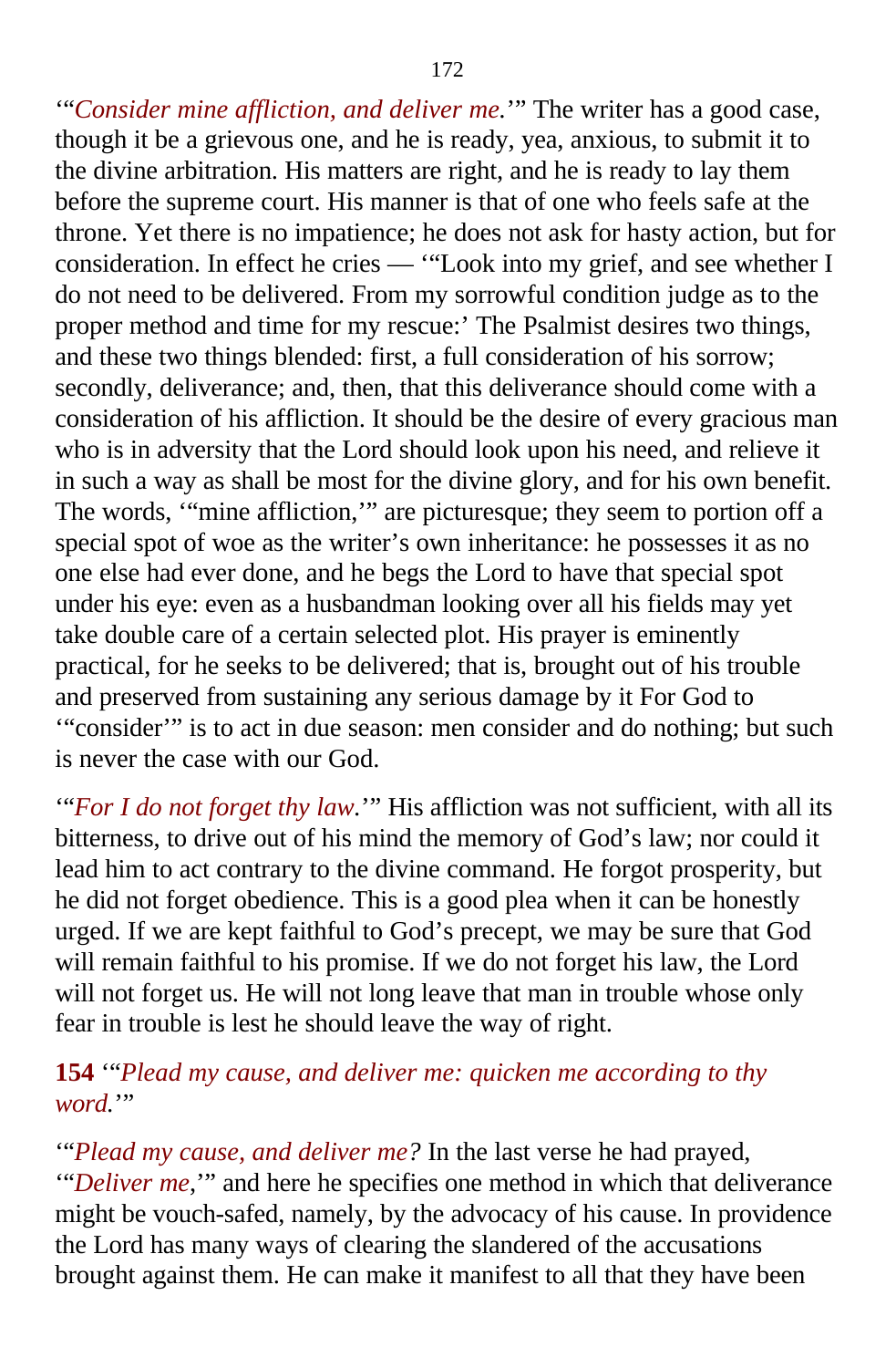'"*Consider mine affliction, and deliver me.*'" The writer has a good case, though it be a grievous one, and he is ready, yea, anxious, to submit it to the divine arbitration. His matters are right, and he is ready to lay them before the supreme court. His manner is that of one who feels safe at the throne. Yet there is no impatience; he does not ask for hasty action, but for consideration. In effect he cries — '"Look into my grief, and see whether I do not need to be delivered. From my sorrowful condition judge as to the proper method and time for my rescue:' The Psalmist desires two things, and these two things blended: first, a full consideration of his sorrow; secondly, deliverance; and, then, that this deliverance should come with a consideration of his affliction. It should be the desire of every gracious man who is in adversity that the Lord should look upon his need, and relieve it in such a way as shall be most for the divine glory, and for his own benefit. The words, '"mine affliction,'" are picturesque; they seem to portion off a special spot of woe as the writer's own inheritance: he possesses it as no one else had ever done, and he begs the Lord to have that special spot under his eye: even as a husbandman looking over all his fields may yet take double care of a certain selected plot. His prayer is eminently practical, for he seeks to be delivered; that is, brought out of his trouble and preserved from sustaining any serious damage by it For God to '"consider'" is to act in due season: men consider and do nothing; but such is never the case with our God.

'"*For I do not forget thy law.*'" His affliction was not sufficient, with all its bitterness, to drive out of his mind the memory of God's law; nor could it lead him to act contrary to the divine command. He forgot prosperity, but he did not forget obedience. This is a good plea when it can be honestly urged. If we are kept faithful to God's precept, we may be sure that God will remain faithful to his promise. If we do not forget his law, the Lord will not forget us. He will not long leave that man in trouble whose only fear in trouble is lest he should leave the way of right.

### **154** '"*Plead my cause, and deliver me: quicken me according to thy* word."

'"*Plead my cause, and deliver me?* In the last verse he had prayed, '"*Deliver me*,'" and here he specifies one method in which that deliverance might be vouch-safed, namely, by the advocacy of his cause. In providence the Lord has many ways of clearing the slandered of the accusations brought against them. He can make it manifest to all that they have been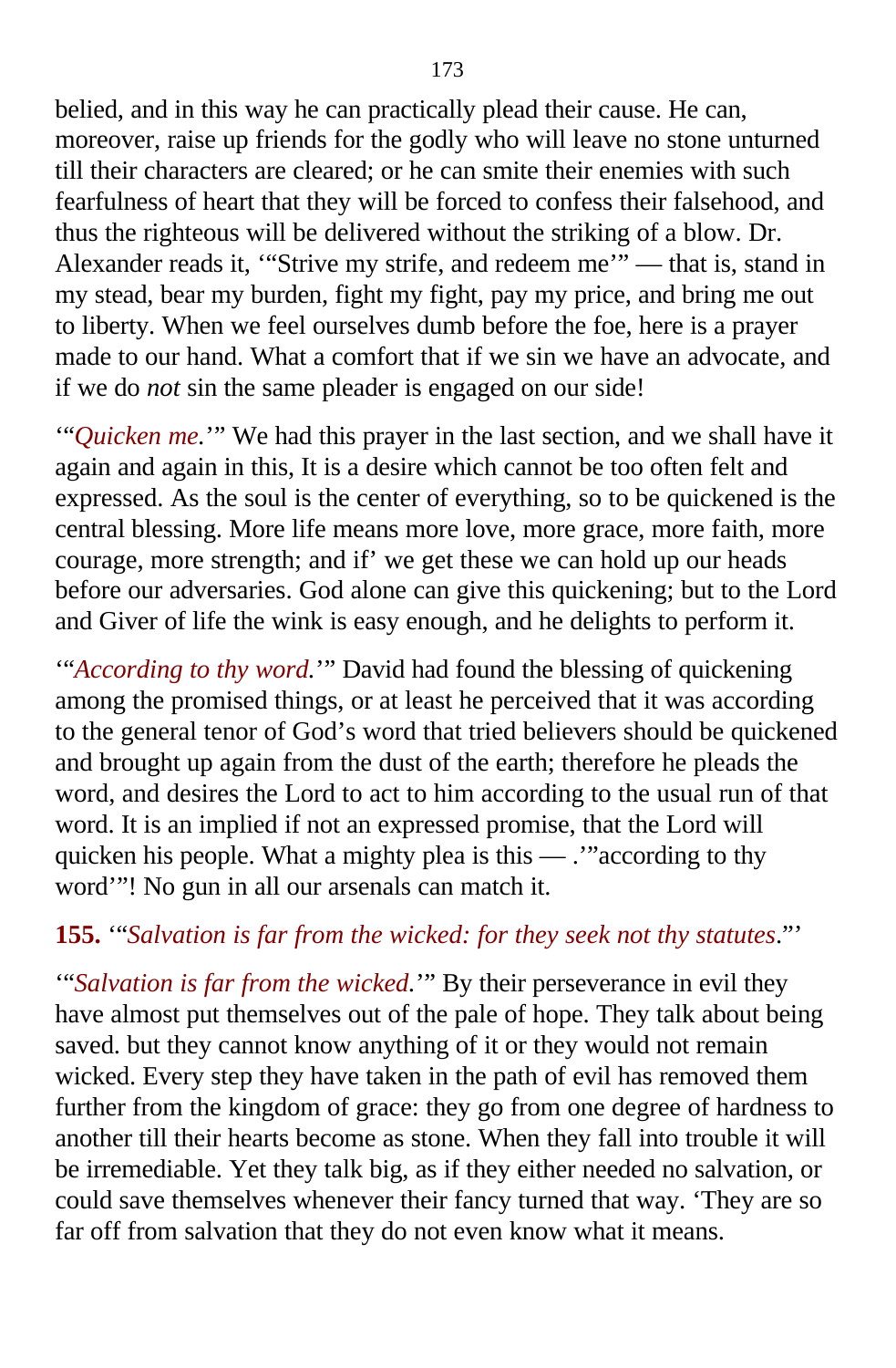belied, and in this way he can practically plead their cause. He can, moreover, raise up friends for the godly who will leave no stone unturned till their characters are cleared; or he can smite their enemies with such fearfulness of heart that they will be forced to confess their falsehood, and thus the righteous will be delivered without the striking of a blow. Dr. Alexander reads it, '"Strive my strife, and redeem me'" — that is, stand in my stead, bear my burden, fight my fight, pay my price, and bring me out to liberty. When we feel ourselves dumb before the foe, here is a prayer made to our hand. What a comfort that if we sin we have an advocate, and if we do *not* sin the same pleader is engaged on our side!

'"*Quicken me.*'" We had this prayer in the last section, and we shall have it again and again in this, It is a desire which cannot be too often felt and expressed. As the soul is the center of everything, so to be quickened is the central blessing. More life means more love, more grace, more faith, more courage, more strength; and if' we get these we can hold up our heads before our adversaries. God alone can give this quickening; but to the Lord and Giver of life the wink is easy enough, and he delights to perform it.

'"*According to thy word.*'" David had found the blessing of quickening among the promised things, or at least he perceived that it was according to the general tenor of God's word that tried believers should be quickened and brought up again from the dust of the earth; therefore he pleads the word, and desires the Lord to act to him according to the usual run of that word. It is an implied if not an expressed promise, that the Lord will quicken his people. What a mighty plea is this — .'"according to thy word'"! No gun in all our arsenals can match it.

### **155.** '"*Salvation is far from the wicked: for they seek not thy statutes*."'

'"*Salvation is far from the wicked.*'" By their perseverance in evil they have almost put themselves out of the pale of hope. They talk about being saved. but they cannot know anything of it or they would not remain wicked. Every step they have taken in the path of evil has removed them further from the kingdom of grace: they go from one degree of hardness to another till their hearts become as stone. When they fall into trouble it will be irremediable. Yet they talk big, as if they either needed no salvation, or could save themselves whenever their fancy turned that way. 'They are so far off from salvation that they do not even know what it means.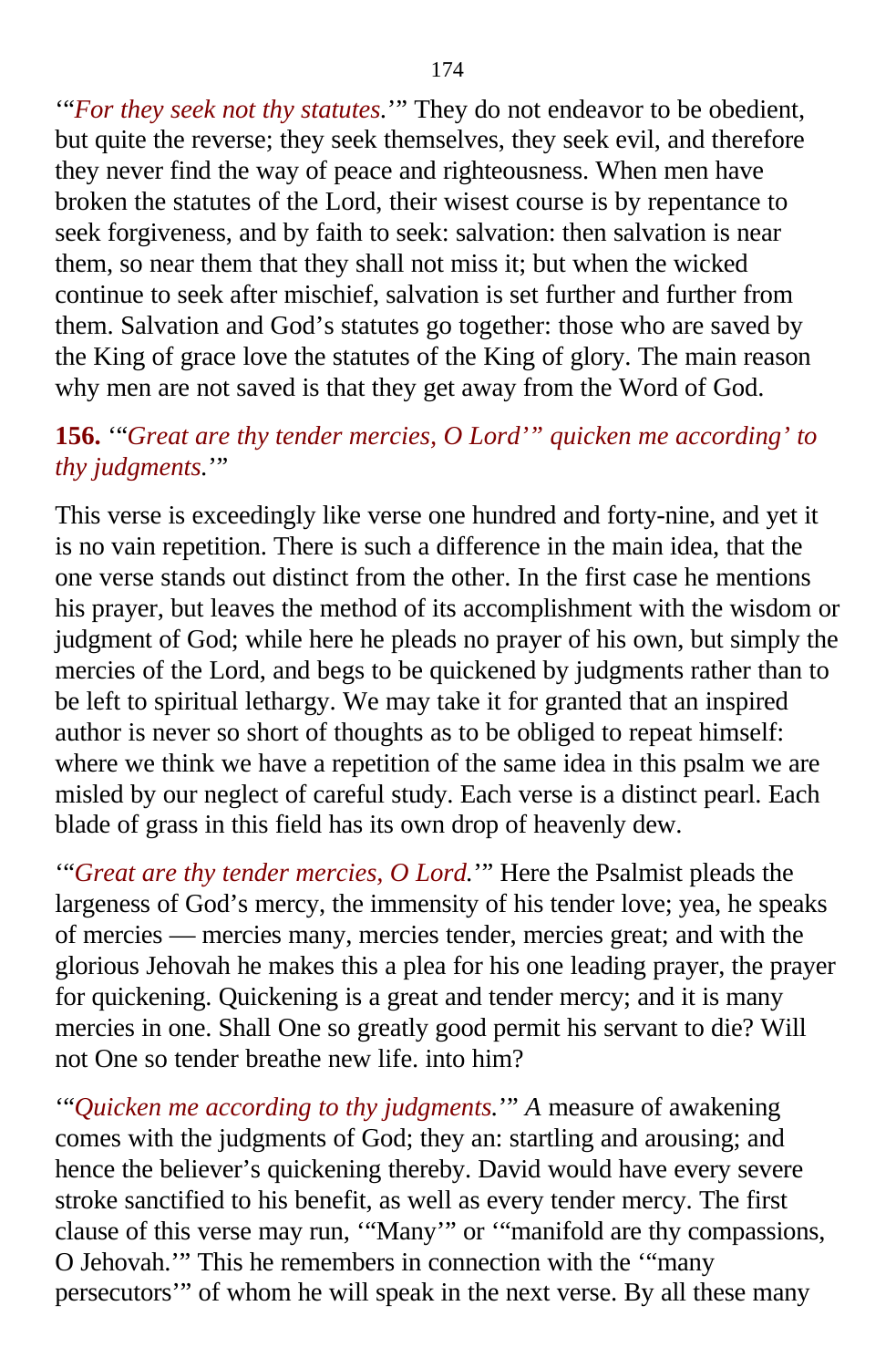'"*For they seek not thy statutes.*'" They do not endeavor to be obedient, but quite the reverse; they seek themselves, they seek evil, and therefore they never find the way of peace and righteousness. When men have broken the statutes of the Lord, their wisest course is by repentance to seek forgiveness, and by faith to seek: salvation: then salvation is near them, so near them that they shall not miss it; but when the wicked continue to seek after mischief, salvation is set further and further from them. Salvation and God's statutes go together: those who are saved by the King of grace love the statutes of the King of glory. The main reason why men are not saved is that they get away from the Word of God.

# **156.** '"*Great are thy tender mercies, O Lord'" quicken me according' to thy judgments.*"

This verse is exceedingly like verse one hundred and forty-nine, and yet it is no vain repetition. There is such a difference in the main idea, that the one verse stands out distinct from the other. In the first case he mentions his prayer, but leaves the method of its accomplishment with the wisdom or judgment of God; while here he pleads no prayer of his own, but simply the mercies of the Lord, and begs to be quickened by judgments rather than to be left to spiritual lethargy. We may take it for granted that an inspired author is never so short of thoughts as to be obliged to repeat himself: where we think we have a repetition of the same idea in this psalm we are misled by our neglect of careful study. Each verse is a distinct pearl. Each blade of grass in this field has its own drop of heavenly dew.

'"*Great are thy tender mercies, O Lord.*'" Here the Psalmist pleads the largeness of God's mercy, the immensity of his tender love; yea, he speaks of mercies — mercies many, mercies tender, mercies great; and with the glorious Jehovah he makes this a plea for his one leading prayer, the prayer for quickening. Quickening is a great and tender mercy; and it is many mercies in one. Shall One so greatly good permit his servant to die? Will not One so tender breathe new life. into him?

'"*Quicken me according to thy judgments.*'" *A* measure of awakening comes with the judgments of God; they an: startling and arousing; and hence the believer's quickening thereby. David would have every severe stroke sanctified to his benefit, as well as every tender mercy. The first clause of this verse may run, '"Many'" or '"manifold are thy compassions, O Jehovah.'" This he remembers in connection with the '"many persecutors'" of whom he will speak in the next verse. By all these many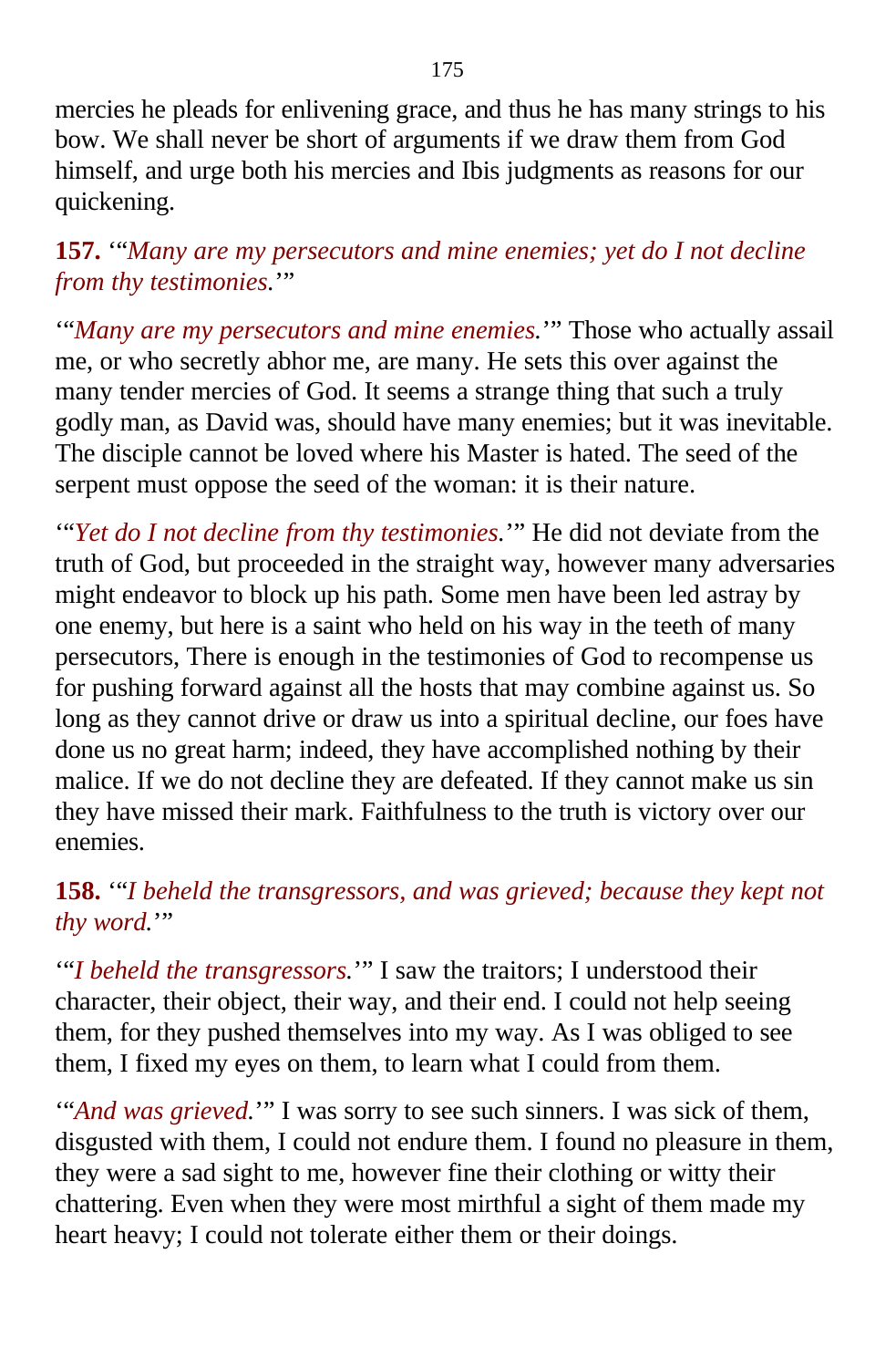mercies he pleads for enlivening grace, and thus he has many strings to his bow. We shall never be short of arguments if we draw them from God himself, and urge both his mercies and Ibis judgments as reasons for our quickening.

# **157.** '"*Many are my persecutors and mine enemies; yet do I not decline from thy testimonies.*"

'"*Many are my persecutors and mine enemies.*'" Those who actually assail me, or who secretly abhor me, are many. He sets this over against the many tender mercies of God. It seems a strange thing that such a truly godly man, as David was, should have many enemies; but it was inevitable. The disciple cannot be loved where his Master is hated. The seed of the serpent must oppose the seed of the woman: it is their nature.

'"*Yet do I not decline from thy testimonies.*'" He did not deviate from the truth of God, but proceeded in the straight way, however many adversaries might endeavor to block up his path. Some men have been led astray by one enemy, but here is a saint who held on his way in the teeth of many persecutors, There is enough in the testimonies of God to recompense us for pushing forward against all the hosts that may combine against us. So long as they cannot drive or draw us into a spiritual decline, our foes have done us no great harm; indeed, they have accomplished nothing by their malice. If we do not decline they are defeated. If they cannot make us sin they have missed their mark. Faithfulness to the truth is victory over our enemies.

# **158.** '"*I beheld the transgressors, and was grieved; because they kept not thy word.*"

'"*I beheld the transgressors.*'" I saw the traitors; I understood their character, their object, their way, and their end. I could not help seeing them, for they pushed themselves into my way. As I was obliged to see them, I fixed my eyes on them, to learn what I could from them.

"*And was grieved.*" I was sorry to see such sinners. I was sick of them, disgusted with them, I could not endure them. I found no pleasure in them, they were a sad sight to me, however fine their clothing or witty their chattering. Even when they were most mirthful a sight of them made my heart heavy; I could not tolerate either them or their doings.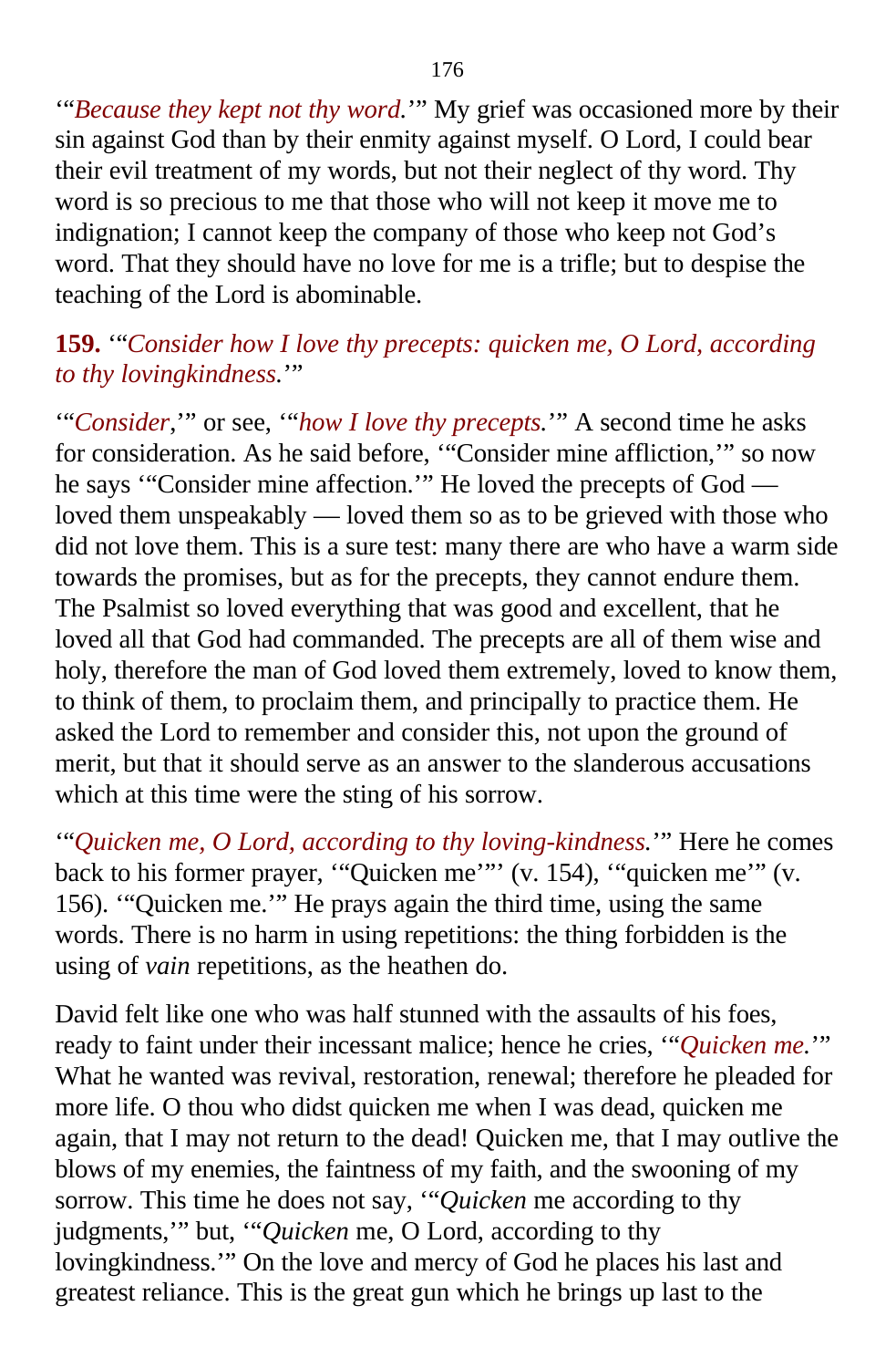'"*Because they kept not thy word.*'" My grief was occasioned more by their sin against God than by their enmity against myself. O Lord, I could bear their evil treatment of my words, but not their neglect of thy word. Thy word is so precious to me that those who will not keep it move me to indignation; I cannot keep the company of those who keep not God's word. That they should have no love for me is a trifle; but to despise the teaching of the Lord is abominable.

### **159.** '"*Consider how I love thy precepts: quicken me, O Lord, according to thy lovingkindness.*'"

'"*Consider*,'" or see, '"*how I love thy precepts.*'" A second time he asks for consideration. As he said before, '"Consider mine affliction,'" so now he says '"Consider mine affection.'" He loved the precepts of God loved them unspeakably — loved them so as to be grieved with those who did not love them. This is a sure test: many there are who have a warm side towards the promises, but as for the precepts, they cannot endure them. The Psalmist so loved everything that was good and excellent, that he loved all that God had commanded. The precepts are all of them wise and holy, therefore the man of God loved them extremely, loved to know them, to think of them, to proclaim them, and principally to practice them. He asked the Lord to remember and consider this, not upon the ground of merit, but that it should serve as an answer to the slanderous accusations which at this time were the sting of his sorrow.

'"*Quicken me, O Lord, according to thy loving-kindness.*'" Here he comes back to his former prayer, '"Quicken me'"' (v. 154), '"quicken me'" (v. 156). '"Quicken me.'" He prays again the third time, using the same words. There is no harm in using repetitions: the thing forbidden is the using of *vain* repetitions, as the heathen do.

David felt like one who was half stunned with the assaults of his foes, ready to faint under their incessant malice; hence he cries, '"*Quicken me.*'" What he wanted was revival, restoration, renewal; therefore he pleaded for more life. O thou who didst quicken me when I was dead, quicken me again, that I may not return to the dead! Quicken me, that I may outlive the blows of my enemies, the faintness of my faith, and the swooning of my sorrow. This time he does not say, '"*Quicken* me according to thy judgments,'" but, '"*Quicken* me, O Lord, according to thy lovingkindness.'" On the love and mercy of God he places his last and greatest reliance. This is the great gun which he brings up last to the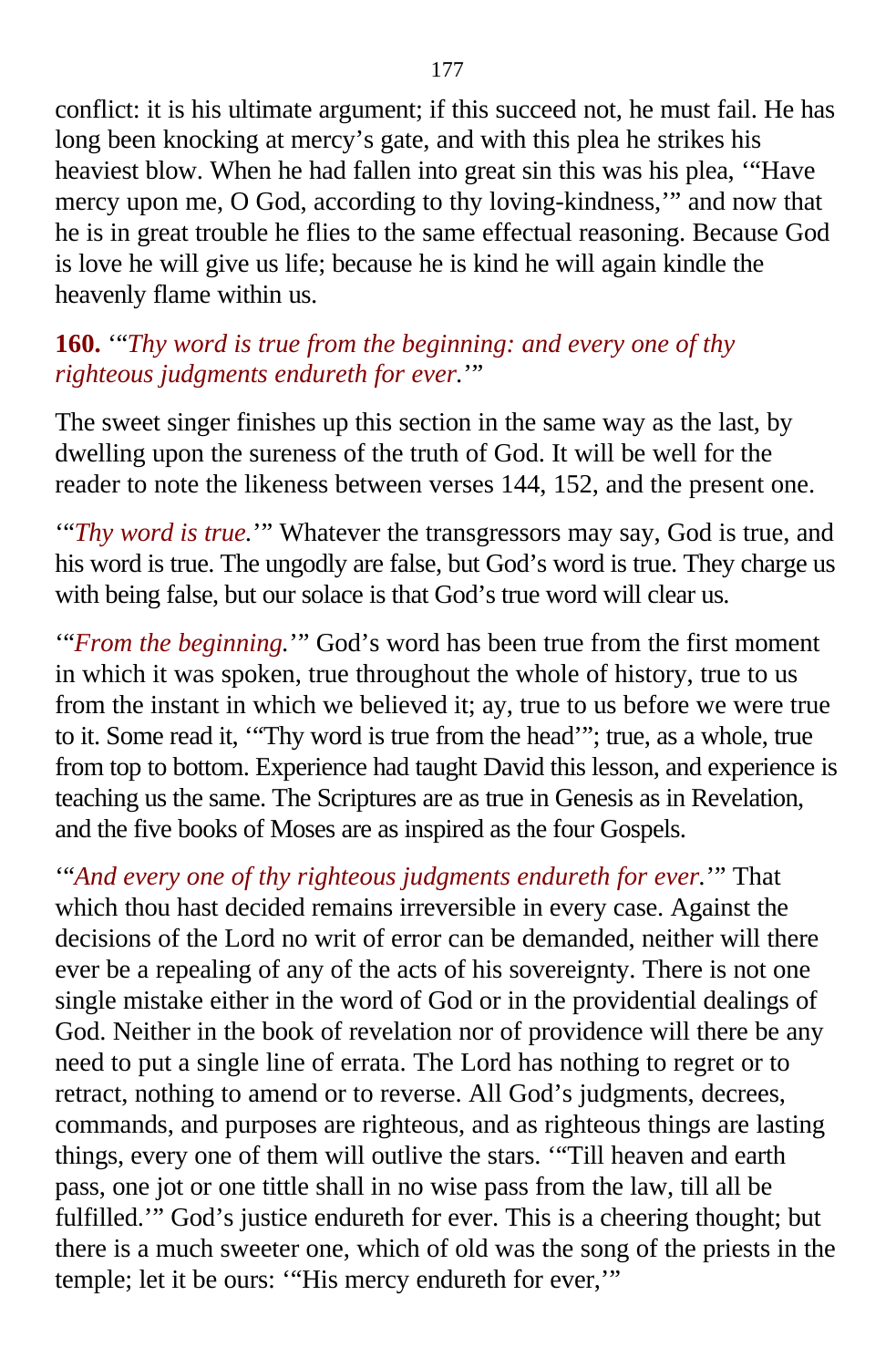conflict: it is his ultimate argument; if this succeed not, he must fail. He has long been knocking at mercy's gate, and with this plea he strikes his heaviest blow. When he had fallen into great sin this was his plea, '"Have mercy upon me, O God, according to thy loving-kindness,'" and now that he is in great trouble he flies to the same effectual reasoning. Because God is love he will give us life; because he is kind he will again kindle the heavenly flame within us.

# **160.** '"*Thy word is true from the beginning: and every one of thy righteous judgments endureth for ever.*'"

The sweet singer finishes up this section in the same way as the last, by dwelling upon the sureness of the truth of God. It will be well for the reader to note the likeness between verses 144, 152, and the present one.

'"*Thy word is true.*'" Whatever the transgressors may say, God is true, and his word is true. The ungodly are false, but God's word is true. They charge us with being false, but our solace is that God's true word will clear us.

'"*From the beginning.*'" God's word has been true from the first moment in which it was spoken, true throughout the whole of history, true to us from the instant in which we believed it; ay, true to us before we were true to it. Some read it, '"Thy word is true from the head'"; true, as a whole, true from top to bottom. Experience had taught David this lesson, and experience is teaching us the same. The Scriptures are as true in Genesis as in Revelation, and the five books of Moses are as inspired as the four Gospels.

'"*And every one of thy righteous judgments endureth for ever.*'" That which thou hast decided remains irreversible in every case. Against the decisions of the Lord no writ of error can be demanded, neither will there ever be a repealing of any of the acts of his sovereignty. There is not one single mistake either in the word of God or in the providential dealings of God. Neither in the book of revelation nor of providence will there be any need to put a single line of errata. The Lord has nothing to regret or to retract, nothing to amend or to reverse. All God's judgments, decrees, commands, and purposes are righteous, and as righteous things are lasting things, every one of them will outlive the stars. '"Till heaven and earth pass, one jot or one tittle shall in no wise pass from the law, till all be fulfilled.'" God's justice endureth for ever. This is a cheering thought; but there is a much sweeter one, which of old was the song of the priests in the temple; let it be ours: '"His mercy endureth for ever,'"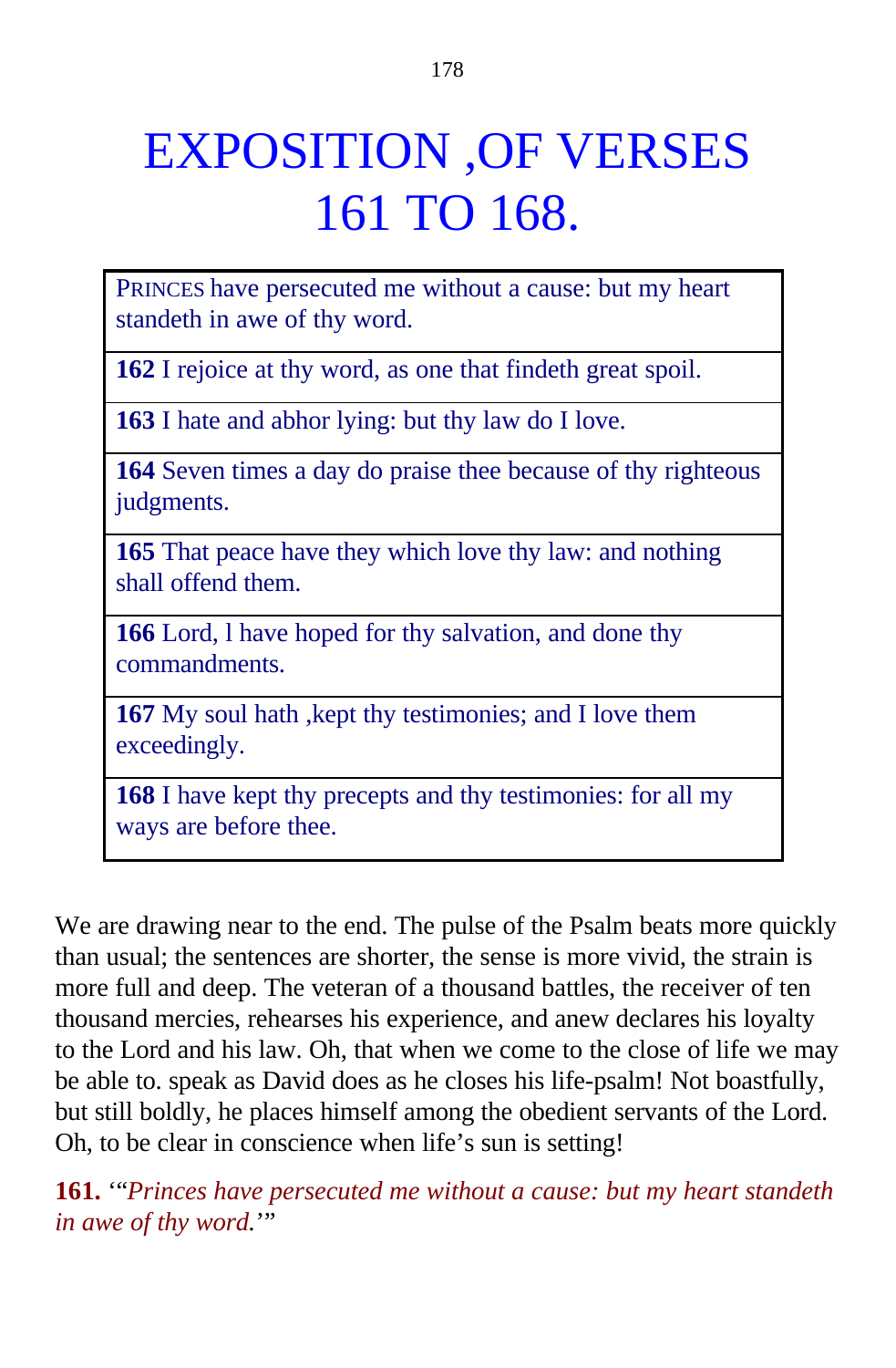# EXPOSITION ,OF VERSES 161 TO 168.

PRINCES have persecuted me without a cause: but my heart standeth in awe of thy word.

**162** I rejoice at thy word, as one that findeth great spoil.

**163** I hate and abhor lying: but thy law do I love.

**164** Seven times a day do praise thee because of thy righteous judgments.

**165** That peace have they which love thy law: and nothing shall offend them.

**166** Lord, l have hoped for thy salvation, and done thy commandments.

**167** My soul hath , kept thy testimonies; and I love them exceedingly.

**168** I have kept thy precepts and thy testimonies: for all my ways are before thee.

We are drawing near to the end. The pulse of the Psalm beats more quickly than usual; the sentences are shorter, the sense is more vivid, the strain is more full and deep. The veteran of a thousand battles, the receiver of ten thousand mercies, rehearses his experience, and anew declares his loyalty to the Lord and his law. Oh, that when we come to the close of life we may be able to. speak as David does as he closes his life-psalm! Not boastfully, but still boldly, he places himself among the obedient servants of the Lord. Oh, to be clear in conscience when life's sun is setting!

**161.** '"*Princes have persecuted me without a cause: but my heart standeth in awe of thy word.*"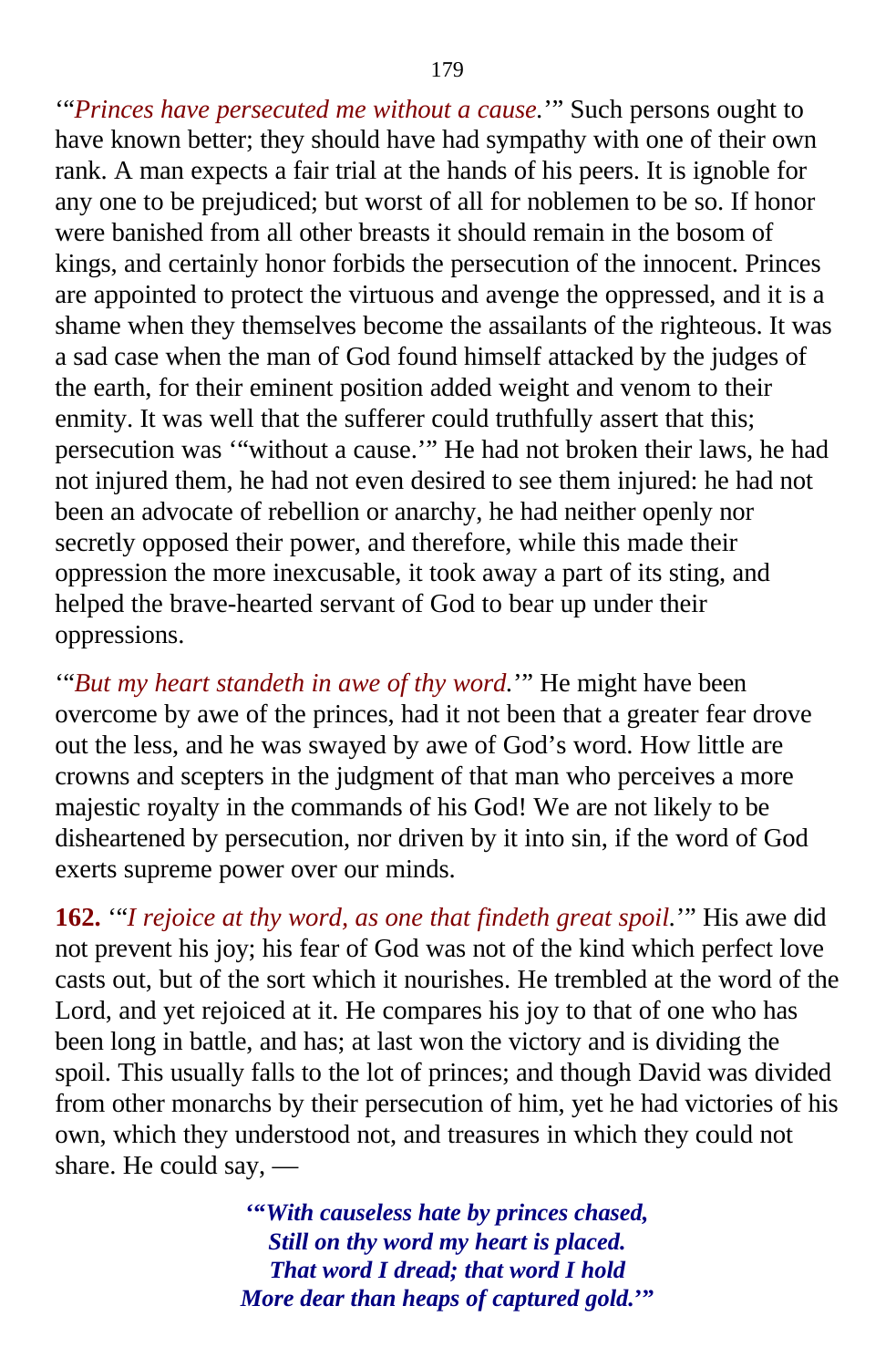'"*Princes have persecuted me without a cause.*'" Such persons ought to have known better; they should have had sympathy with one of their own rank. A man expects a fair trial at the hands of his peers. It is ignoble for any one to be prejudiced; but worst of all for noblemen to be so. If honor were banished from all other breasts it should remain in the bosom of kings, and certainly honor forbids the persecution of the innocent. Princes are appointed to protect the virtuous and avenge the oppressed, and it is a shame when they themselves become the assailants of the righteous. It was a sad case when the man of God found himself attacked by the judges of the earth, for their eminent position added weight and venom to their enmity. It was well that the sufferer could truthfully assert that this; persecution was '"without a cause.'" He had not broken their laws, he had not injured them, he had not even desired to see them injured: he had not been an advocate of rebellion or anarchy, he had neither openly nor secretly opposed their power, and therefore, while this made their oppression the more inexcusable, it took away a part of its sting, and helped the brave-hearted servant of God to bear up under their oppressions.

'"*But my heart standeth in awe of thy word.*'" He might have been overcome by awe of the princes, had it not been that a greater fear drove out the less, and he was swayed by awe of God's word. How little are crowns and scepters in the judgment of that man who perceives a more majestic royalty in the commands of his God! We are not likely to be disheartened by persecution, nor driven by it into sin, if the word of God exerts supreme power over our minds.

**162.** '"*I rejoice at thy word, as one that findeth great spoil.*'" His awe did not prevent his joy; his fear of God was not of the kind which perfect love casts out, but of the sort which it nourishes. He trembled at the word of the Lord, and yet rejoiced at it. He compares his joy to that of one who has been long in battle, and has; at last won the victory and is dividing the spoil. This usually falls to the lot of princes; and though David was divided from other monarchs by their persecution of him, yet he had victories of his own, which they understood not, and treasures in which they could not share. He could say, —

> **'"***With causeless hate by princes chased, Still on thy word my heart is placed. That word I dread; that word I hold More dear than heaps of captured gold.***'"**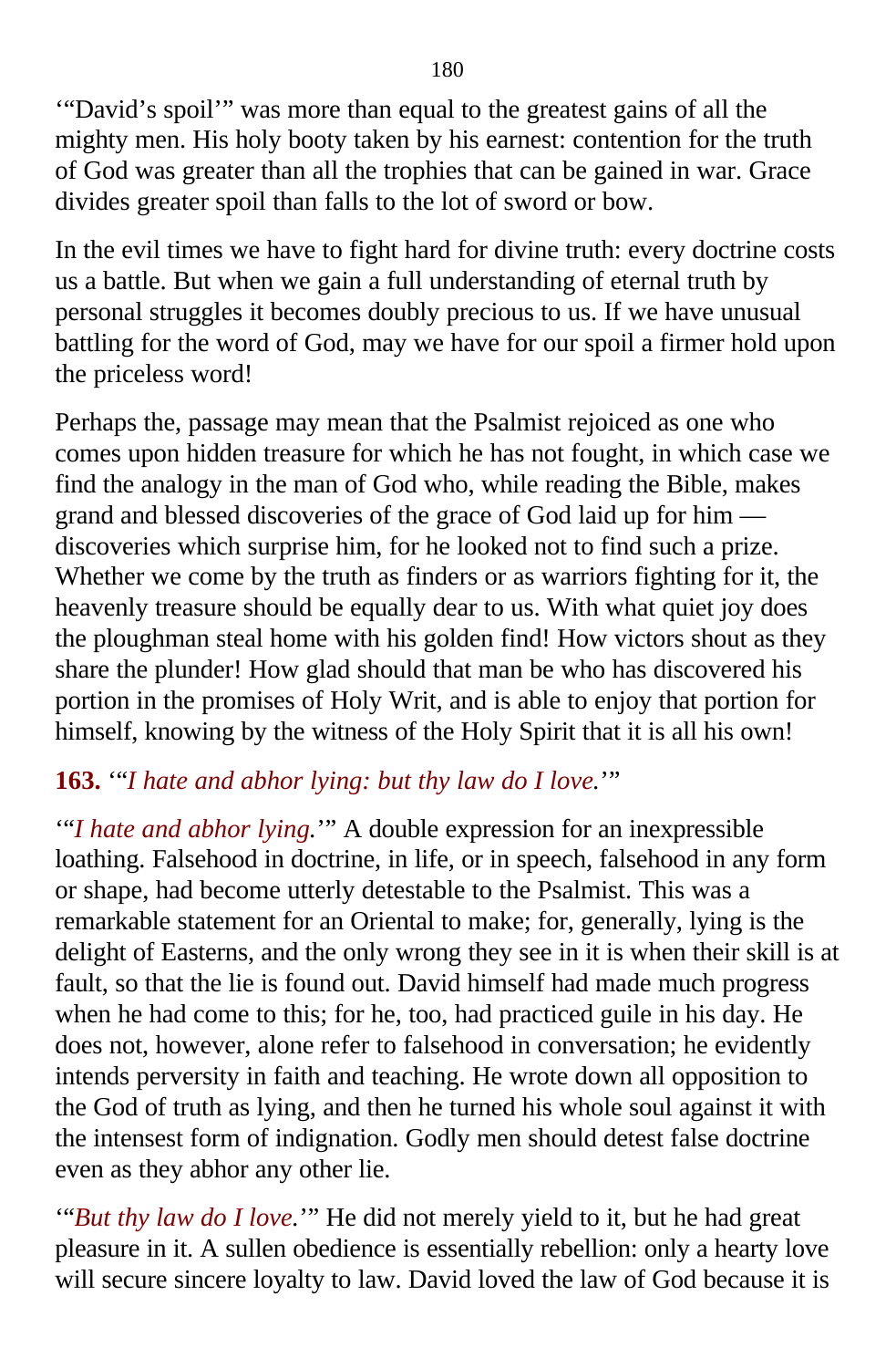'"David's spoil'" was more than equal to the greatest gains of all the mighty men. His holy booty taken by his earnest: contention for the truth of God was greater than all the trophies that can be gained in war. Grace divides greater spoil than falls to the lot of sword or bow.

In the evil times we have to fight hard for divine truth: every doctrine costs us a battle. But when we gain a full understanding of eternal truth by personal struggles it becomes doubly precious to us. If we have unusual battling for the word of God, may we have for our spoil a firmer hold upon the priceless word!

Perhaps the, passage may mean that the Psalmist rejoiced as one who comes upon hidden treasure for which he has not fought, in which case we find the analogy in the man of God who, while reading the Bible, makes grand and blessed discoveries of the grace of God laid up for him discoveries which surprise him, for he looked not to find such a prize. Whether we come by the truth as finders or as warriors fighting for it, the heavenly treasure should be equally dear to us. With what quiet joy does the ploughman steal home with his golden find! How victors shout as they share the plunder! How glad should that man be who has discovered his portion in the promises of Holy Writ, and is able to enjoy that portion for himself, knowing by the witness of the Holy Spirit that it is all his own!

# **163.** '"*I hate and abhor lying: but thy law do I love.*'"

'"*I hate and abhor lying.*'" A double expression for an inexpressible loathing. Falsehood in doctrine, in life, or in speech, falsehood in any form or shape, had become utterly detestable to the Psalmist. This was a remarkable statement for an Oriental to make; for, generally, lying is the delight of Easterns, and the only wrong they see in it is when their skill is at fault, so that the lie is found out. David himself had made much progress when he had come to this; for he, too, had practiced guile in his day. He does not, however, alone refer to falsehood in conversation; he evidently intends perversity in faith and teaching. He wrote down all opposition to the God of truth as lying, and then he turned his whole soul against it with the intensest form of indignation. Godly men should detest false doctrine even as they abhor any other lie.

'"*But thy law do I love.*'" He did not merely yield to it, but he had great pleasure in it. A sullen obedience is essentially rebellion: only a hearty love will secure sincere loyalty to law. David loved the law of God because it is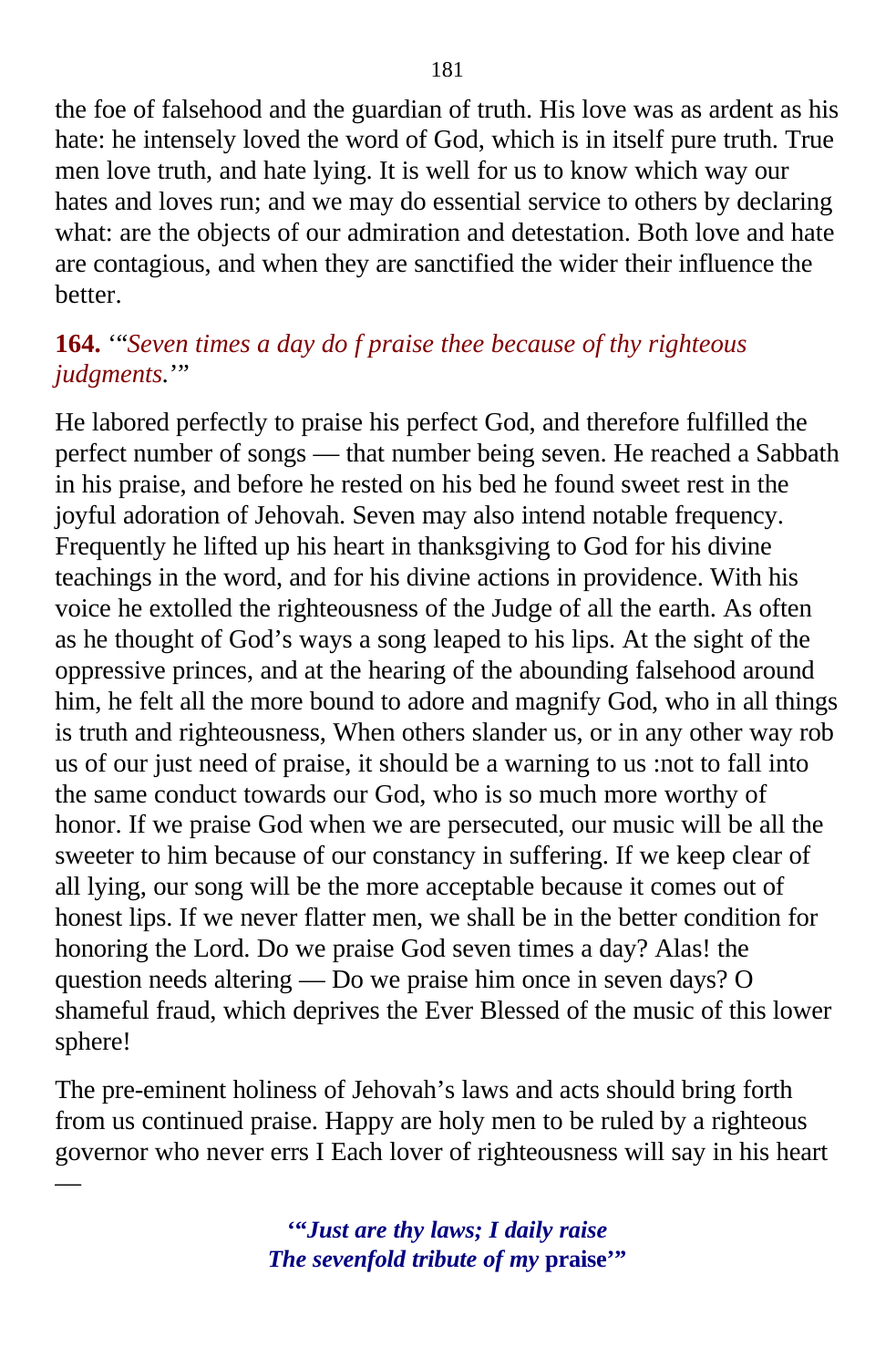the foe of falsehood and the guardian of truth. His love was as ardent as his hate: he intensely loved the word of God, which is in itself pure truth. True men love truth, and hate lying. It is well for us to know which way our hates and loves run; and we may do essential service to others by declaring what: are the objects of our admiration and detestation. Both love and hate are contagious, and when they are sanctified the wider their influence the better.

## **164.** '"*Seven times a day do f praise thee because of thy righteous judgments.*"

He labored perfectly to praise his perfect God, and therefore fulfilled the perfect number of songs — that number being seven. He reached a Sabbath in his praise, and before he rested on his bed he found sweet rest in the joyful adoration of Jehovah. Seven may also intend notable frequency. Frequently he lifted up his heart in thanksgiving to God for his divine teachings in the word, and for his divine actions in providence. With his voice he extolled the righteousness of the Judge of all the earth. As often as he thought of God's ways a song leaped to his lips. At the sight of the oppressive princes, and at the hearing of the abounding falsehood around him, he felt all the more bound to adore and magnify God, who in all things is truth and righteousness, When others slander us, or in any other way rob us of our just need of praise, it should be a warning to us :not to fall into the same conduct towards our God, who is so much more worthy of honor. If we praise God when we are persecuted, our music will be all the sweeter to him because of our constancy in suffering. If we keep clear of all lying, our song will be the more acceptable because it comes out of honest lips. If we never flatter men, we shall be in the better condition for honoring the Lord. Do we praise God seven times a day? Alas! the question needs altering — Do we praise him once in seven days? O shameful fraud, which deprives the Ever Blessed of the music of this lower sphere!

The pre-eminent holiness of Jehovah's laws and acts should bring forth from us continued praise. Happy are holy men to be ruled by a righteous governor who never errs I Each lover of righteousness will say in his heart

—

**'"***Just are thy laws; I daily raise The sevenfold tribute of my praise*"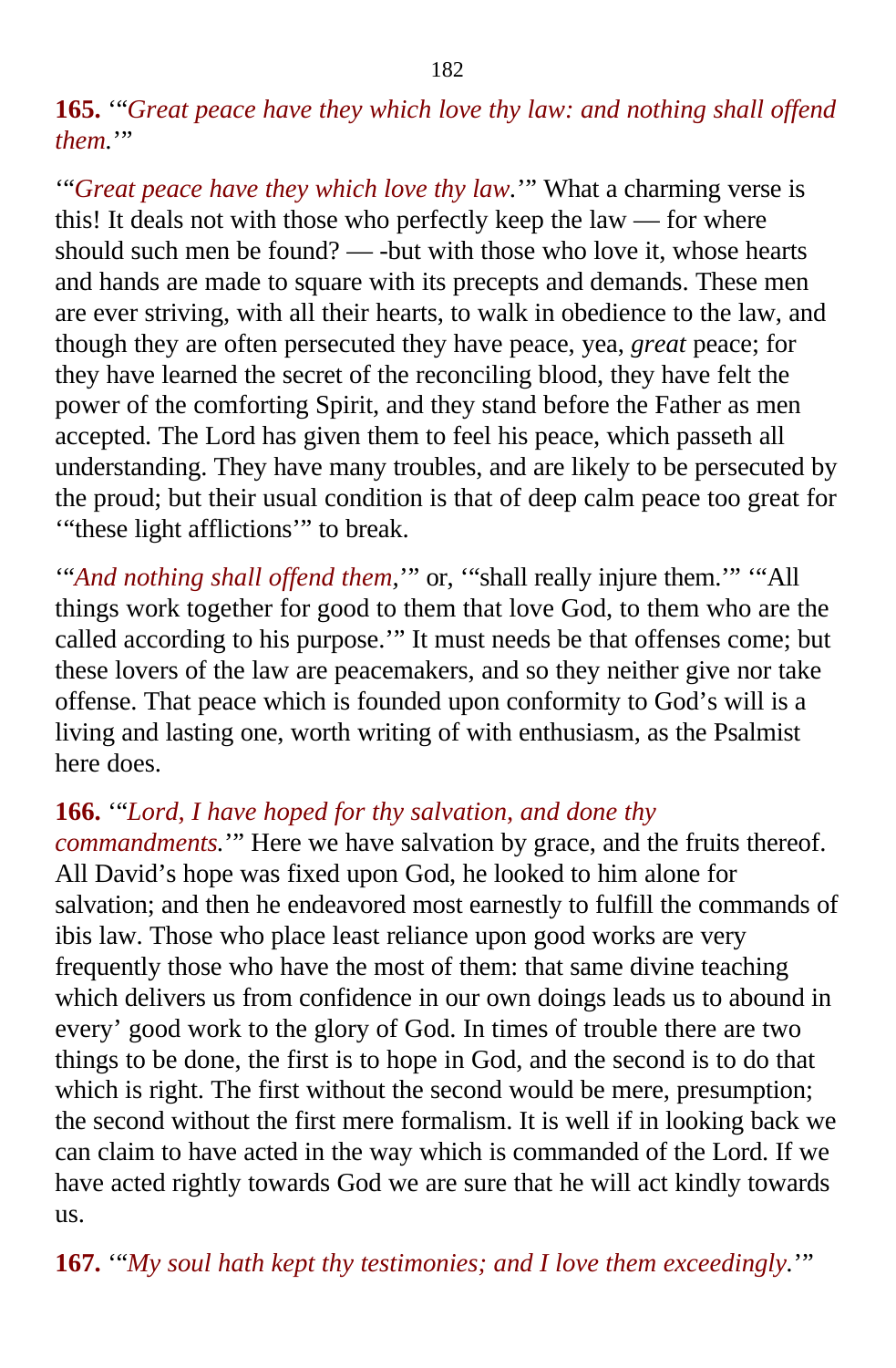**165.** '"*Great peace have they which love thy law: and nothing shall offend them.*"

'"*Great peace have they which love thy law.*'" What a charming verse is this! It deals not with those who perfectly keep the law — for where should such men be found? — -but with those who love it, whose hearts and hands are made to square with its precepts and demands. These men are ever striving, with all their hearts, to walk in obedience to the law, and though they are often persecuted they have peace, yea, *great* peace; for they have learned the secret of the reconciling blood, they have felt the power of the comforting Spirit, and they stand before the Father as men accepted. The Lord has given them to feel his peace, which passeth all understanding. They have many troubles, and are likely to be persecuted by the proud; but their usual condition is that of deep calm peace too great for '"these light afflictions'" to break.

'"*And nothing shall offend them,*'" or, '"shall really injure them.'" '"All things work together for good to them that love God, to them who are the called according to his purpose.'" It must needs be that offenses come; but these lovers of the law are peacemakers, and so they neither give nor take offense. That peace which is founded upon conformity to God's will is a living and lasting one, worth writing of with enthusiasm, as the Psalmist here does.

#### **166.** '"*Lord, I have hoped for thy salvation, and done thy*

*commandments.*'" Here we have salvation by grace, and the fruits thereof. All David's hope was fixed upon God, he looked to him alone for salvation; and then he endeavored most earnestly to fulfill the commands of ibis law. Those who place least reliance upon good works are very frequently those who have the most of them: that same divine teaching which delivers us from confidence in our own doings leads us to abound in every' good work to the glory of God. In times of trouble there are two things to be done, the first is to hope in God, and the second is to do that which is right. The first without the second would be mere, presumption; the second without the first mere formalism. It is well if in looking back we can claim to have acted in the way which is commanded of the Lord. If we have acted rightly towards God we are sure that he will act kindly towards us.

**167.** '"*My soul hath kept thy testimonies; and I love them exceedingly.*'"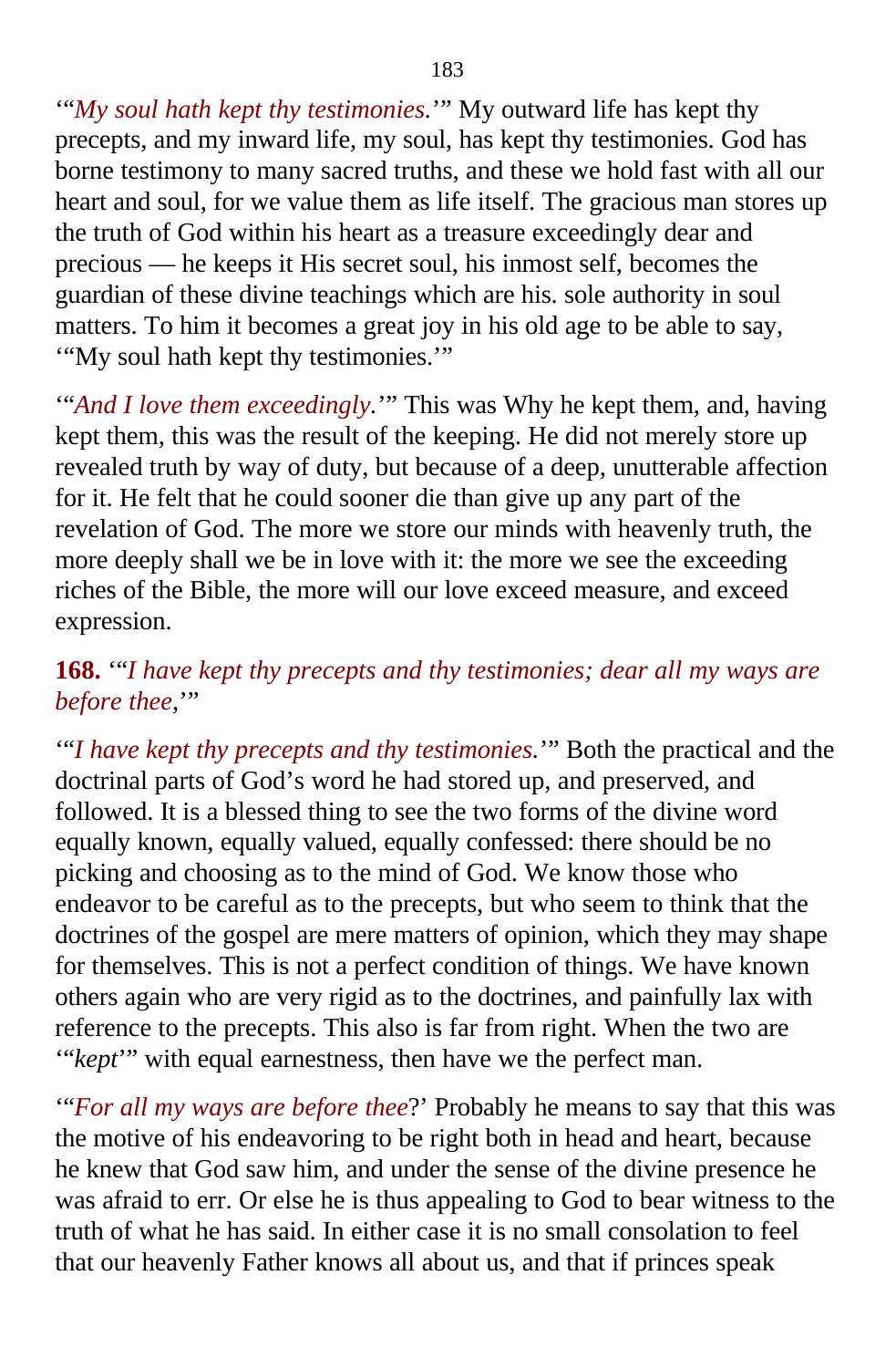'"*My soul hath kept thy testimonies.*'" My outward life has kept thy precepts, and my inward life, my soul, has kept thy testimonies. God has borne testimony to many sacred truths, and these we hold fast with all our heart and soul, for we value them as life itself. The gracious man stores up the truth of God within his heart as a treasure exceedingly dear and precious — he keeps it His secret soul, his inmost self, becomes the guardian of these divine teachings which are his. sole authority in soul matters. To him it becomes a great joy in his old age to be able to say, '"My soul hath kept thy testimonies.'"

'"*And I love them exceedingly.*'" This was Why he kept them, and, having kept them, this was the result of the keeping. He did not merely store up revealed truth by way of duty, but because of a deep, unutterable affection for it. He felt that he could sooner die than give up any part of the revelation of God. The more we store our minds with heavenly truth, the more deeply shall we be in love with it: the more we see the exceeding riches of the Bible, the more will our love exceed measure, and exceed expression.

#### **168.** '"*I have kept thy precepts and thy testimonies; dear all my ways are before thee,"*

'"*I have kept thy precepts and thy testimonies.*'" Both the practical and the doctrinal parts of God's word he had stored up, and preserved, and followed. It is a blessed thing to see the two forms of the divine word equally known, equally valued, equally confessed: there should be no picking and choosing as to the mind of God. We know those who endeavor to be careful as to the precepts, but who seem to think that the doctrines of the gospel are mere matters of opinion, which they may shape for themselves. This is not a perfect condition of things. We have known others again who are very rigid as to the doctrines, and painfully lax with reference to the precepts. This also is far from right. When the two are '"*kept*'" with equal earnestness, then have we the perfect man.

'"*For all my ways are before thee*?' Probably he means to say that this was the motive of his endeavoring to be right both in head and heart, because he knew that God saw him, and under the sense of the divine presence he was afraid to err. Or else he is thus appealing to God to bear witness to the truth of what he has said. In either case it is no small consolation to feel that our heavenly Father knows all about us, and that if princes speak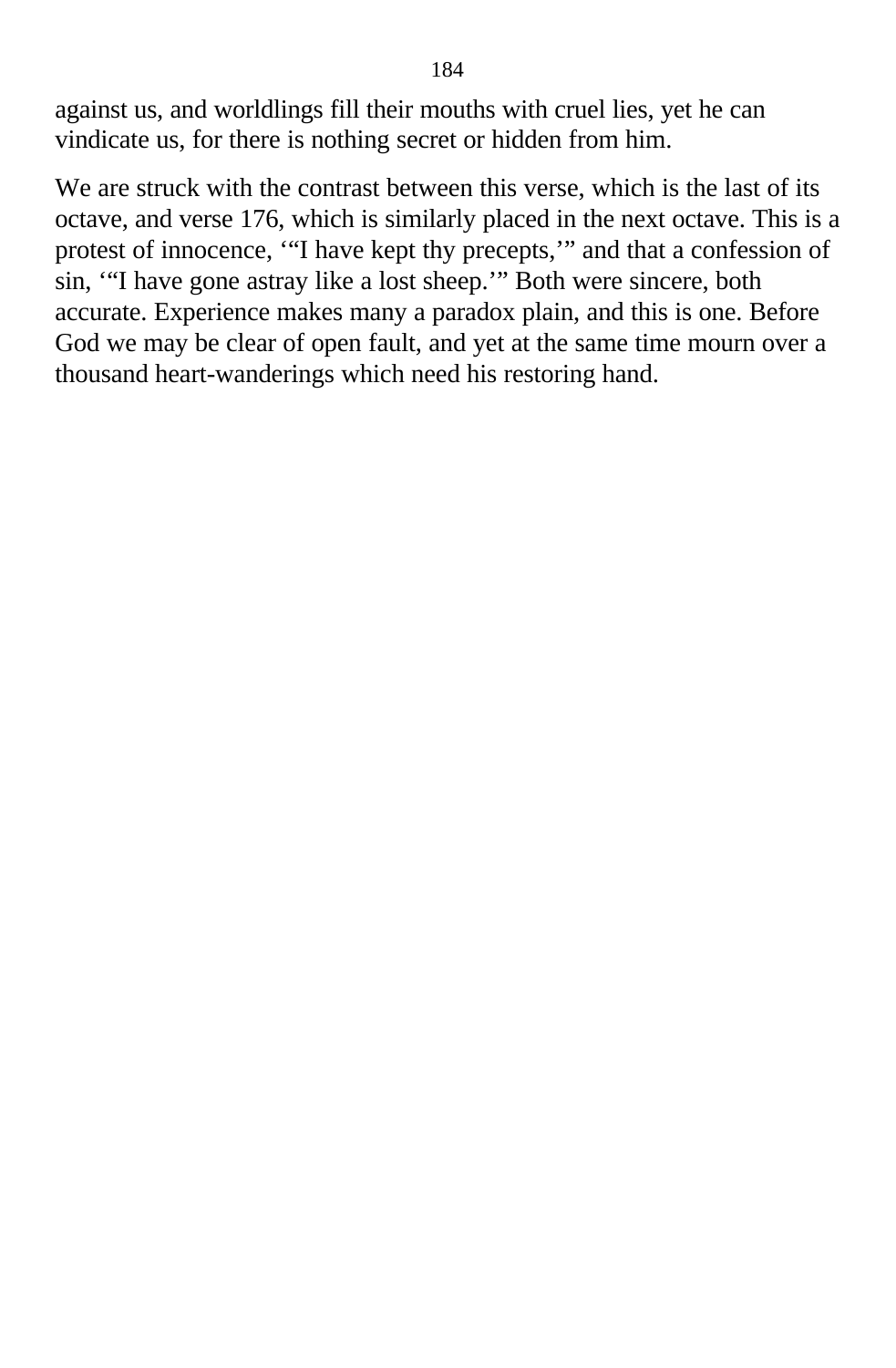against us, and worldlings fill their mouths with cruel lies, yet he can vindicate us, for there is nothing secret or hidden from him.

We are struck with the contrast between this verse, which is the last of its octave, and verse 176, which is similarly placed in the next octave. This is a protest of innocence, '"I have kept thy precepts,'" and that a confession of sin, '"I have gone astray like a lost sheep.'" Both were sincere, both accurate. Experience makes many a paradox plain, and this is one. Before God we may be clear of open fault, and yet at the same time mourn over a thousand heart-wanderings which need his restoring hand.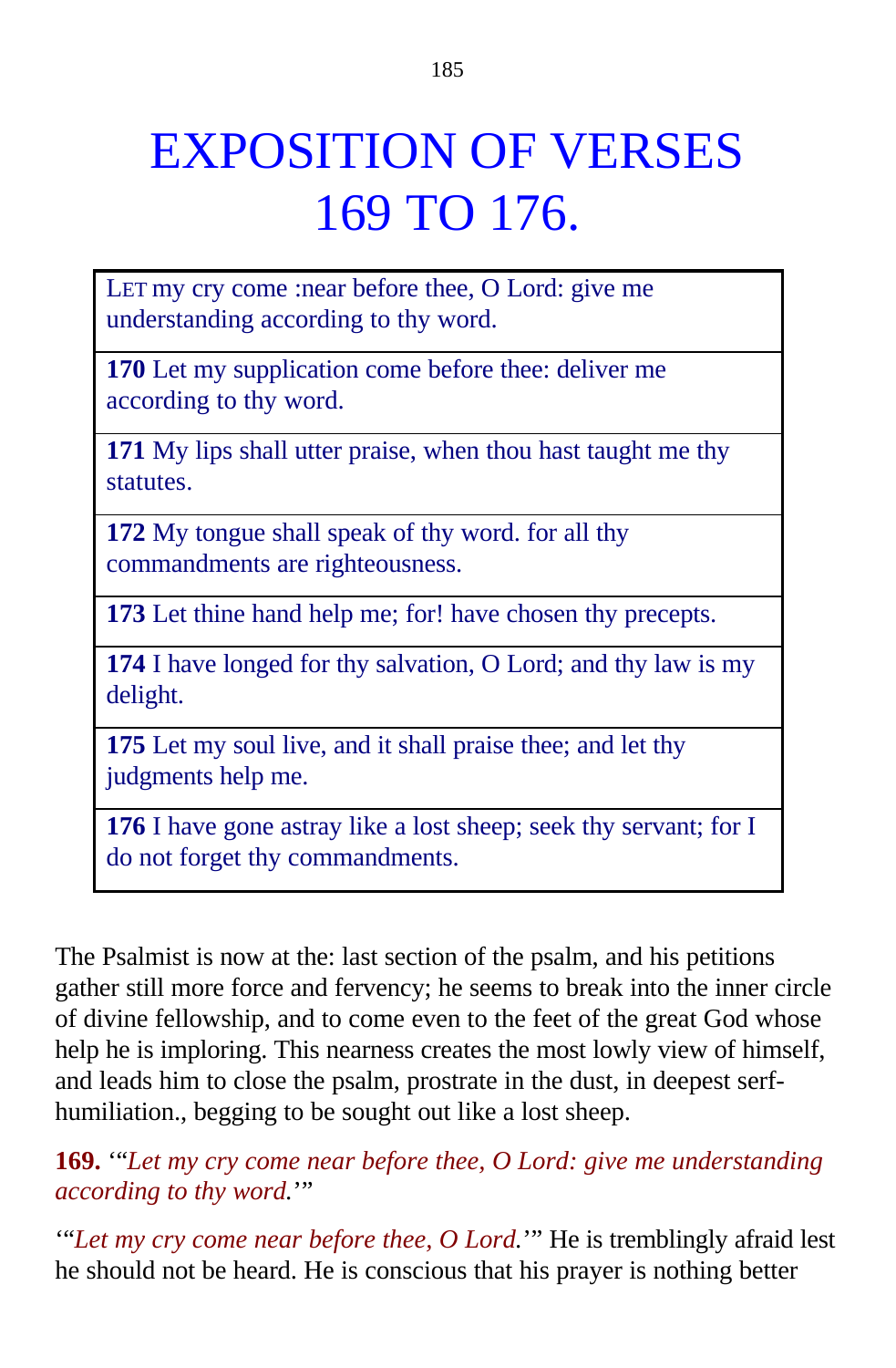# EXPOSITION OF VERSES 169 TO 176.

LET my cry come :near before thee, O Lord: give me understanding according to thy word.

**170** Let my supplication come before thee: deliver me according to thy word.

**171** My lips shall utter praise, when thou hast taught me thy statutes.

**172** My tongue shall speak of thy word. for all thy commandments are righteousness.

**173** Let thine hand help me; for! have chosen thy precepts.

**174** I have longed for thy salvation, O Lord; and thy law is my delight.

**175** Let my soul live, and it shall praise thee; and let thy judgments help me.

**176** I have gone astray like a lost sheep; seek thy servant; for I do not forget thy commandments.

The Psalmist is now at the: last section of the psalm, and his petitions gather still more force and fervency; he seems to break into the inner circle of divine fellowship, and to come even to the feet of the great God whose help he is imploring. This nearness creates the most lowly view of himself, and leads him to close the psalm, prostrate in the dust, in deepest serfhumiliation., begging to be sought out like a lost sheep.

**169.** '"*Let my cry come near before thee, O Lord: give me understanding according to thy word.*"

'"*Let my cry come near before thee, O Lord.*'" He is tremblingly afraid lest he should not be heard. He is conscious that his prayer is nothing better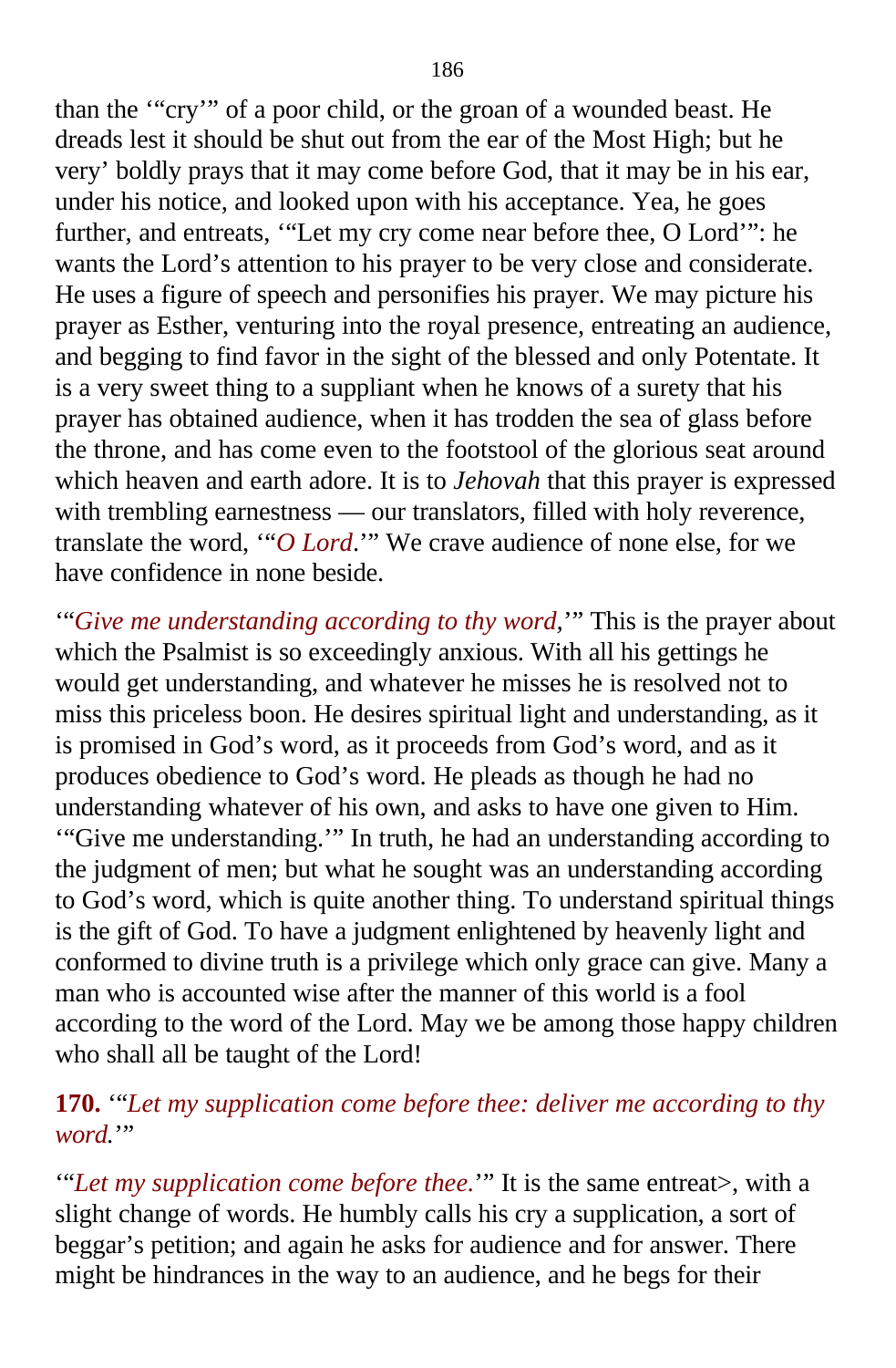than the '"cry'" of a poor child, or the groan of a wounded beast. He dreads lest it should be shut out from the ear of the Most High; but he very' boldly prays that it may come before God, that it may be in his ear, under his notice, and looked upon with his acceptance. Yea, he goes further, and entreats, '"Let my cry come near before thee, O Lord'": he wants the Lord's attention to his prayer to be very close and considerate. He uses a figure of speech and personifies his prayer. We may picture his prayer as Esther, venturing into the royal presence, entreating an audience, and begging to find favor in the sight of the blessed and only Potentate. It is a very sweet thing to a suppliant when he knows of a surety that his prayer has obtained audience, when it has trodden the sea of glass before the throne, and has come even to the footstool of the glorious seat around which heaven and earth adore. It is to *Jehovah* that this prayer is expressed with trembling earnestness — our translators, filled with holy reverence, translate the word, '"*O Lord*.'" We crave audience of none else, for we have confidence in none beside.

'"*Give me understanding according to thy word,*'" This is the prayer about which the Psalmist is so exceedingly anxious. With all his gettings he would get understanding, and whatever he misses he is resolved not to miss this priceless boon. He desires spiritual light and understanding, as it is promised in God's word, as it proceeds from God's word, and as it produces obedience to God's word. He pleads as though he had no understanding whatever of his own, and asks to have one given to Him. '"Give me understanding.'" In truth, he had an understanding according to the judgment of men; but what he sought was an understanding according to God's word, which is quite another thing. To understand spiritual things is the gift of God. To have a judgment enlightened by heavenly light and conformed to divine truth is a privilege which only grace can give. Many a man who is accounted wise after the manner of this world is a fool according to the word of the Lord. May we be among those happy children who shall all be taught of the Lord!

#### **170.** '"*Let my supplication come before thee: deliver me according to thy* word."

'"*Let my supplication come before thee.*'" It is the same entreat>, with a slight change of words. He humbly calls his cry a supplication, a sort of beggar's petition; and again he asks for audience and for answer. There might be hindrances in the way to an audience, and he begs for their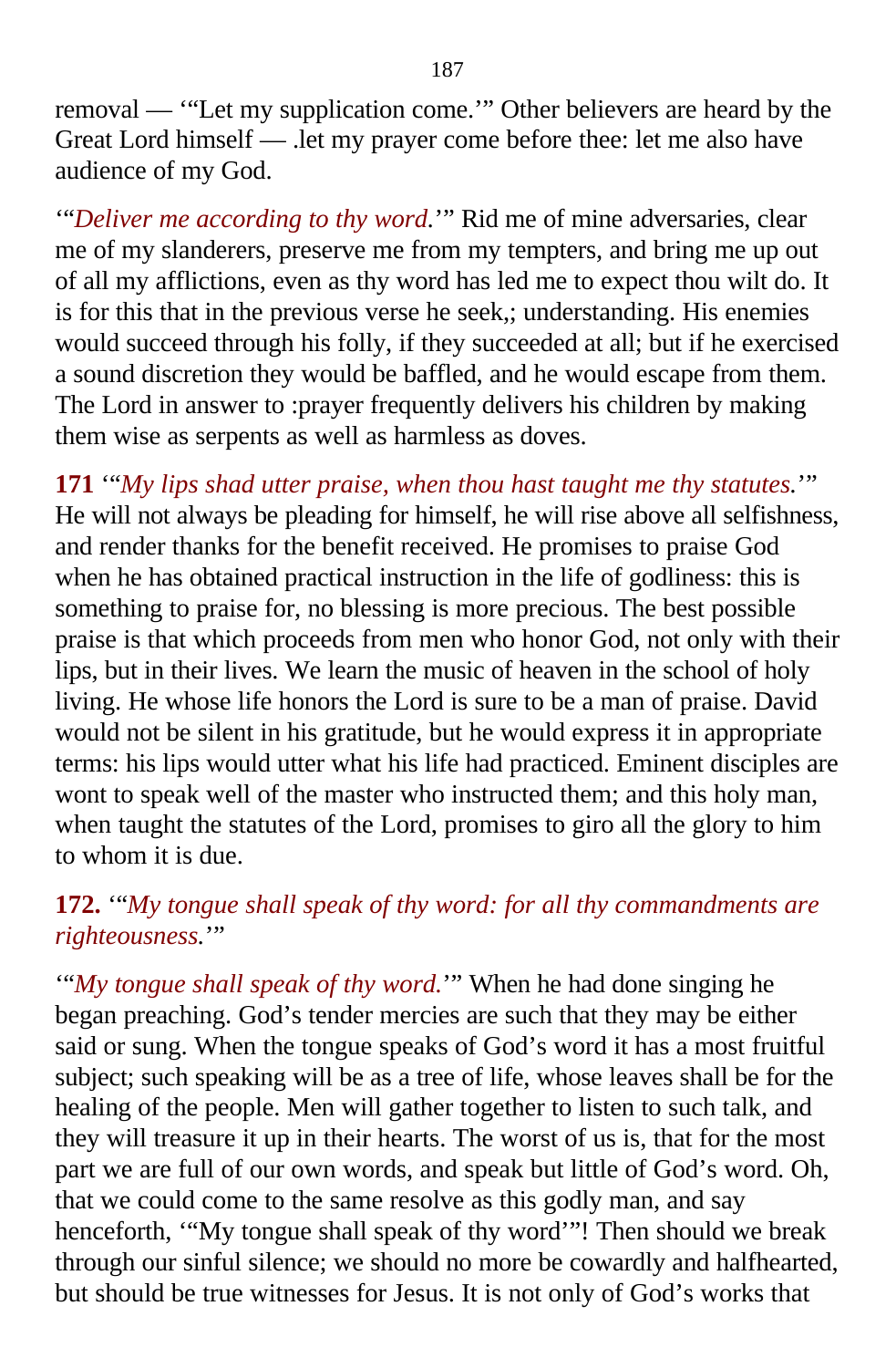removal — '"Let my supplication come.'" Other believers are heard by the Great Lord himself — .let my prayer come before thee: let me also have audience of my God.

'"*Deliver me according to thy word.*'" Rid me of mine adversaries, clear me of my slanderers, preserve me from my tempters, and bring me up out of all my afflictions, even as thy word has led me to expect thou wilt do. It is for this that in the previous verse he seek,; understanding. His enemies would succeed through his folly, if they succeeded at all; but if he exercised a sound discretion they would be baffled, and he would escape from them. The Lord in answer to :prayer frequently delivers his children by making them wise as serpents as well as harmless as doves.

**171** '"*My lips shad utter praise, when thou hast taught me thy statutes.*'" He will not always be pleading for himself, he will rise above all selfishness, and render thanks for the benefit received. He promises to praise God when he has obtained practical instruction in the life of godliness: this is something to praise for, no blessing is more precious. The best possible praise is that which proceeds from men who honor God, not only with their lips, but in their lives. We learn the music of heaven in the school of holy living. He whose life honors the Lord is sure to be a man of praise. David would not be silent in his gratitude, but he would express it in appropriate terms: his lips would utter what his life had practiced. Eminent disciples are wont to speak well of the master who instructed them; and this holy man, when taught the statutes of the Lord, promises to giro all the glory to him to whom it is due.

## **172.** '"*My tongue shall speak of thy word: for all thy commandments are righteousness.*'"

'"*My tongue shall speak of thy word.*'" When he had done singing he began preaching. God's tender mercies are such that they may be either said or sung. When the tongue speaks of God's word it has a most fruitful subject; such speaking will be as a tree of life, whose leaves shall be for the healing of the people. Men will gather together to listen to such talk, and they will treasure it up in their hearts. The worst of us is, that for the most part we are full of our own words, and speak but little of God's word. Oh, that we could come to the same resolve as this godly man, and say henceforth, '"My tongue shall speak of thy word'"! Then should we break through our sinful silence; we should no more be cowardly and halfhearted, but should be true witnesses for Jesus. It is not only of God's works that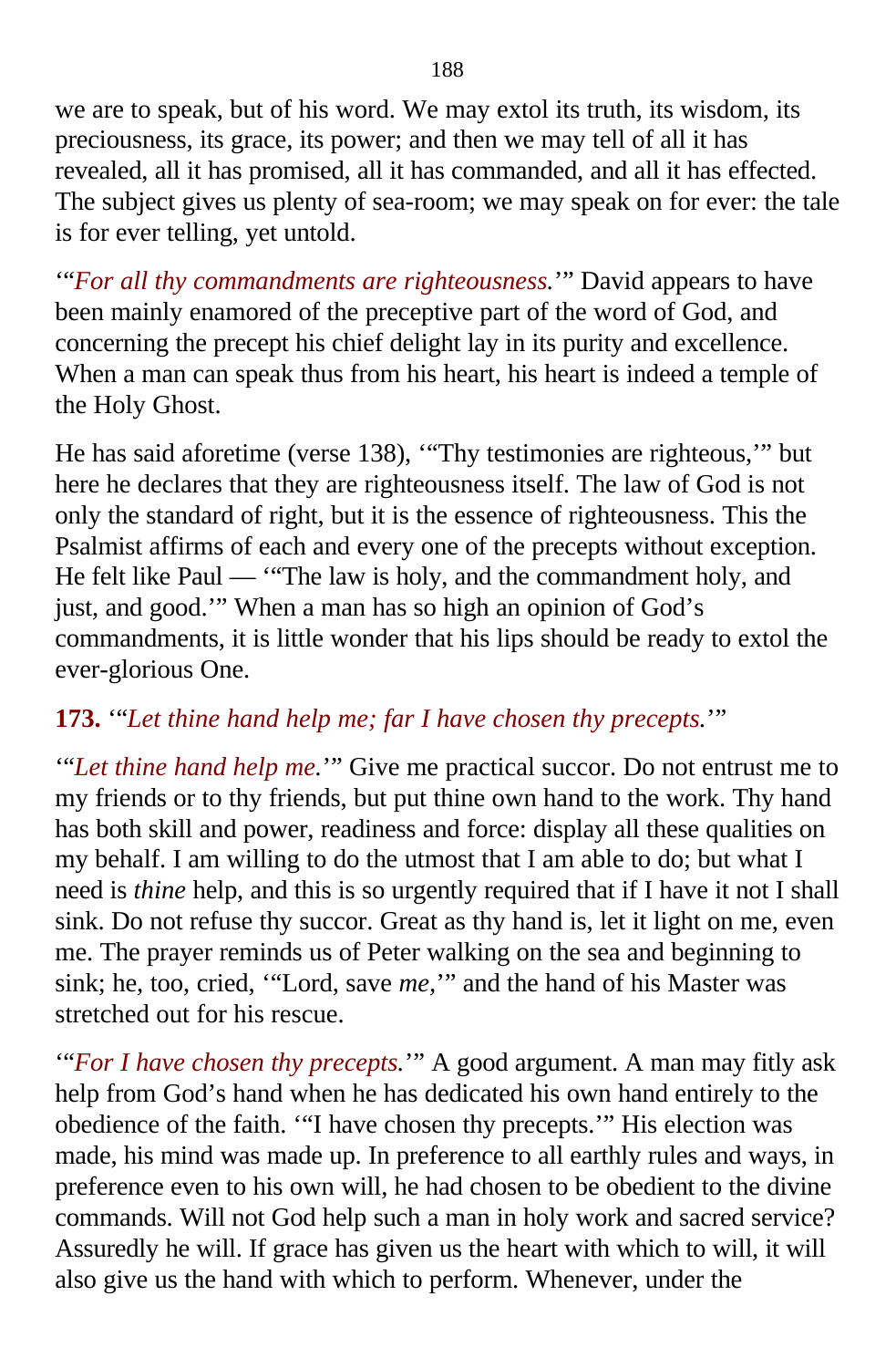we are to speak, but of his word. We may extol its truth, its wisdom, its preciousness, its grace, its power; and then we may tell of all it has revealed, all it has promised, all it has commanded, and all it has effected. The subject gives us plenty of sea-room; we may speak on for ever: the tale is for ever telling, yet untold.

'"*For all thy commandments are righteousness.*'" David appears to have been mainly enamored of the preceptive part of the word of God, and concerning the precept his chief delight lay in its purity and excellence. When a man can speak thus from his heart, his heart is indeed a temple of the Holy Ghost.

He has said aforetime (verse 138), '"Thy testimonies are righteous,'" but here he declares that they are righteousness itself. The law of God is not only the standard of right, but it is the essence of righteousness. This the Psalmist affirms of each and every one of the precepts without exception. He felt like Paul — '"The law is holy, and the commandment holy, and just, and good.'" When a man has so high an opinion of God's commandments, it is little wonder that his lips should be ready to extol the ever-glorious One.

## **173.** '"*Let thine hand help me; far I have chosen thy precepts.*'"

'"*Let thine hand help me.*'" Give me practical succor. Do not entrust me to my friends or to thy friends, but put thine own hand to the work. Thy hand has both skill and power, readiness and force: display all these qualities on my behalf. I am willing to do the utmost that I am able to do; but what I need is *thine* help, and this is so urgently required that if I have it not I shall sink. Do not refuse thy succor. Great as thy hand is, let it light on me, even me. The prayer reminds us of Peter walking on the sea and beginning to sink; he, too, cried, '"Lord, save *me,*'" and the hand of his Master was stretched out for his rescue.

'"*For I have chosen thy precepts.*'" A good argument. A man may fitly ask help from God's hand when he has dedicated his own hand entirely to the obedience of the faith. '"I have chosen thy precepts.'" His election was made, his mind was made up. In preference to all earthly rules and ways, in preference even to his own will, he had chosen to be obedient to the divine commands. Will not God help such a man in holy work and sacred service? Assuredly he will. If grace has given us the heart with which to will, it will also give us the hand with which to perform. Whenever, under the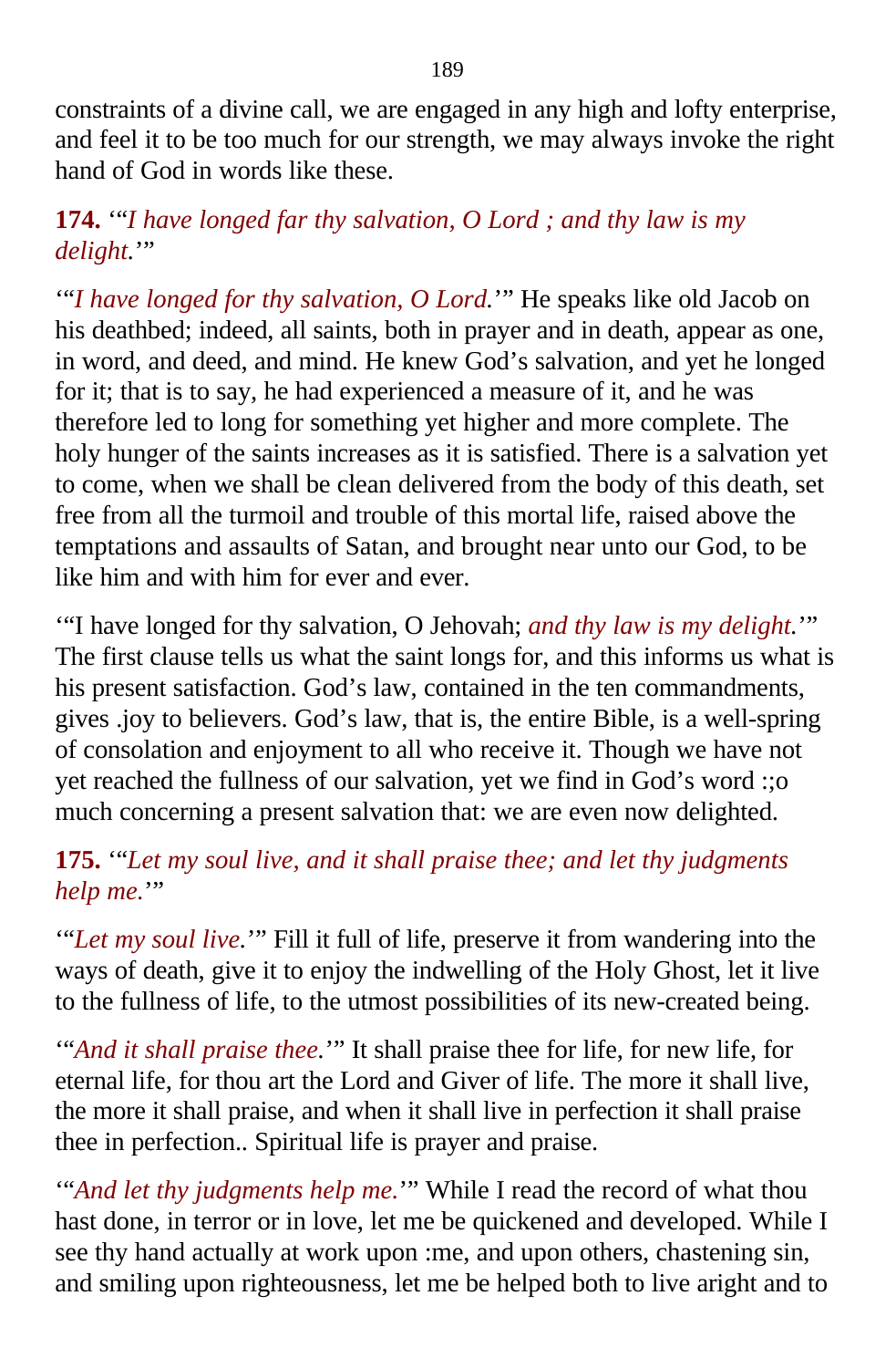constraints of a divine call, we are engaged in any high and lofty enterprise, and feel it to be too much for our strength, we may always invoke the right hand of God in words like these.

## **174.** '"*I have longed far thy salvation, O Lord ; and thy law is my delight.*'"

'"*I have longed for thy salvation, O Lord.*'" He speaks like old Jacob on his deathbed; indeed, all saints, both in prayer and in death, appear as one, in word, and deed, and mind. He knew God's salvation, and yet he longed for it; that is to say, he had experienced a measure of it, and he was therefore led to long for something yet higher and more complete. The holy hunger of the saints increases as it is satisfied. There is a salvation yet to come, when we shall be clean delivered from the body of this death, set free from all the turmoil and trouble of this mortal life, raised above the temptations and assaults of Satan, and brought near unto our God, to be like him and with him for ever and ever.

'"I have longed for thy salvation, O Jehovah; *and thy law is my delight.*'" The first clause tells us what the saint longs for, and this informs us what is his present satisfaction. God's law, contained in the ten commandments, gives .joy to believers. God's law, that is, the entire Bible, is a well-spring of consolation and enjoyment to all who receive it. Though we have not yet reached the fullness of our salvation, yet we find in God's word :;o much concerning a present salvation that: we are even now delighted.

#### **175.** '"*Let my soul live, and it shall praise thee; and let thy judgments* help me."

'"*Let my soul live.*'" Fill it full of life, preserve it from wandering into the ways of death, give it to enjoy the indwelling of the Holy Ghost, let it live to the fullness of life, to the utmost possibilities of its new-created being.

'"*And it shall praise thee.*'" It shall praise thee for life, for new life, for eternal life, for thou art the Lord and Giver of life. The more it shall live, the more it shall praise, and when it shall live in perfection it shall praise thee in perfection.. Spiritual life is prayer and praise.

'"*And let thy judgments help me.*'" While I read the record of what thou hast done, in terror or in love, let me be quickened and developed. While I see thy hand actually at work upon :me, and upon others, chastening sin, and smiling upon righteousness, let me be helped both to live aright and to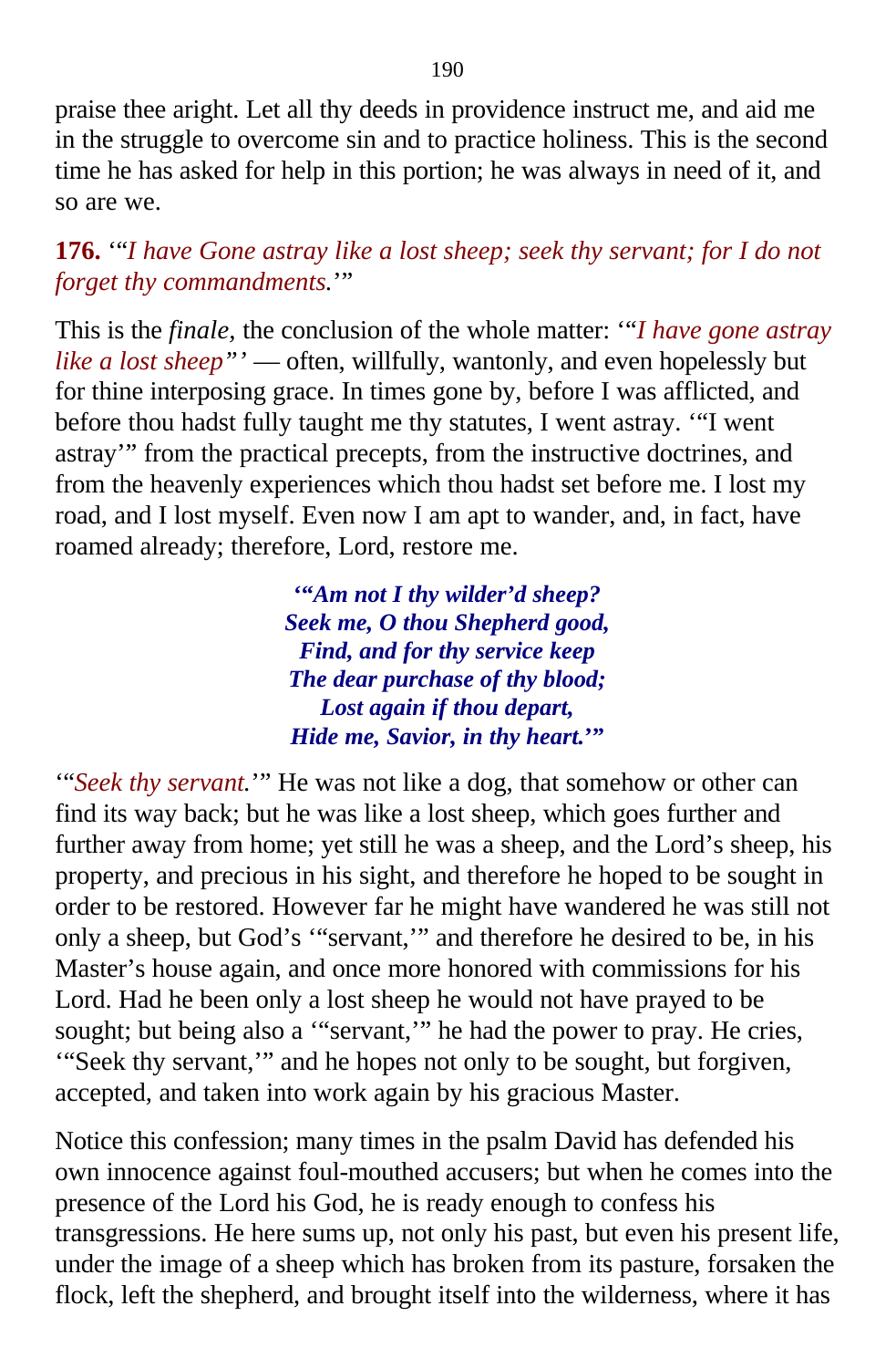praise thee aright. Let all thy deeds in providence instruct me, and aid me in the struggle to overcome sin and to practice holiness. This is the second time he has asked for help in this portion; he was always in need of it, and so are we.

**176.** '"*I have Gone astray like a lost sheep; seek thy servant; for I do not forget thy commandments.*"

This is the *finale,* the conclusion of the whole matter: '"*I have gone astray like a lost sheep*"' — often, willfully, wantonly, and even hopelessly but for thine interposing grace. In times gone by, before I was afflicted, and before thou hadst fully taught me thy statutes, I went astray. '"I went astray'" from the practical precepts, from the instructive doctrines, and from the heavenly experiences which thou hadst set before me. I lost my road, and I lost myself. Even now I am apt to wander, and, in fact, have roamed already; therefore, Lord, restore me.

> **'"***Am not I thy wilder'd sheep? Seek me, O thou Shepherd good, Find, and for thy service keep The dear purchase of thy blood; Lost again if thou depart, Hide me, Savior, in thy heart.*<sup>\*\*</sup>

'"*Seek thy servant.*'" He was not like a dog, that somehow or other can find its way back; but he was like a lost sheep, which goes further and further away from home; yet still he was a sheep, and the Lord's sheep, his property, and precious in his sight, and therefore he hoped to be sought in order to be restored. However far he might have wandered he was still not only a sheep, but God's '"servant,'" and therefore he desired to be, in his Master's house again, and once more honored with commissions for his Lord. Had he been only a lost sheep he would not have prayed to be sought; but being also a "servant," he had the power to pray. He cries, '"Seek thy servant,'" and he hopes not only to be sought, but forgiven, accepted, and taken into work again by his gracious Master.

Notice this confession; many times in the psalm David has defended his own innocence against foul-mouthed accusers; but when he comes into the presence of the Lord his God, he is ready enough to confess his transgressions. He here sums up, not only his past, but even his present life, under the image of a sheep which has broken from its pasture, forsaken the flock, left the shepherd, and brought itself into the wilderness, where it has